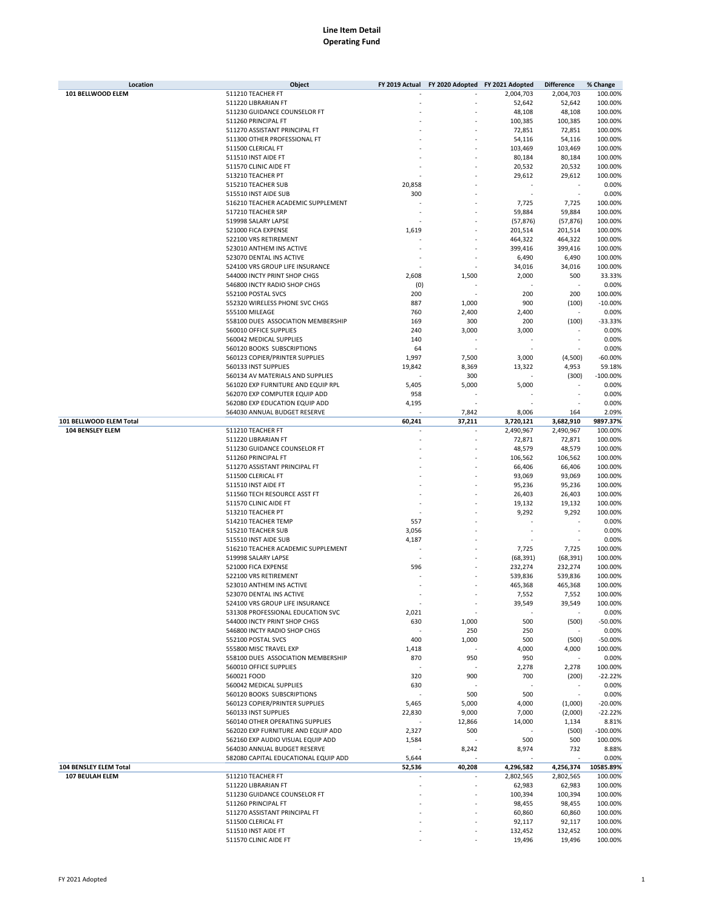| Location                | Object                               | FY 2019 Actual | FY 2020 Adopted FY 2021 Adopted |           | <b>Difference</b> | % Change   |
|-------------------------|--------------------------------------|----------------|---------------------------------|-----------|-------------------|------------|
| 101 BELLWOOD ELEM       | 511210 TEACHER FT                    |                |                                 | 2,004,703 | 2,004,703         | 100.00%    |
|                         | 511220 LIBRARIAN FT                  |                |                                 | 52,642    | 52,642            | 100.00%    |
|                         | 511230 GUIDANCE COUNSELOR FT         |                |                                 | 48,108    | 48,108            | 100.00%    |
|                         |                                      |                |                                 |           |                   |            |
|                         | 511260 PRINCIPAL FT                  |                |                                 | 100,385   | 100,385           | 100.00%    |
|                         | 511270 ASSISTANT PRINCIPAL FT        |                |                                 | 72,851    | 72,851            | 100.00%    |
|                         | 511300 OTHER PROFESSIONAL FT         |                |                                 | 54,116    | 54,116            | 100.00%    |
|                         | 511500 CLERICAL FT                   |                |                                 | 103,469   | 103,469           | 100.00%    |
|                         | 511510 INST AIDE FT                  |                |                                 | 80,184    | 80,184            | 100.00%    |
|                         |                                      |                |                                 |           |                   |            |
|                         | 511570 CLINIC AIDE FT                |                |                                 | 20,532    | 20,532            | 100.00%    |
|                         | 513210 TEACHER PT                    |                |                                 | 29,612    | 29,612            | 100.00%    |
|                         | 515210 TEACHER SUB                   | 20,858         |                                 |           |                   | 0.00%      |
|                         | 515510 INST AIDE SUB                 | 300            |                                 |           |                   | 0.00%      |
|                         | 516210 TEACHER ACADEMIC SUPPLEMENT   |                |                                 | 7,725     | 7,725             | 100.00%    |
|                         | 517210 TEACHER SRP                   |                |                                 | 59,884    | 59,884            | 100.00%    |
|                         |                                      |                |                                 |           |                   |            |
|                         | 519998 SALARY LAPSE                  |                |                                 | (57, 876) | (57, 876)         | 100.00%    |
|                         | 521000 FICA EXPENSE                  | 1,619          |                                 | 201,514   | 201,514           | 100.00%    |
|                         | 522100 VRS RETIREMENT                |                |                                 | 464,322   | 464,322           | 100.00%    |
|                         | 523010 ANTHEM INS ACTIVE             |                |                                 | 399,416   | 399,416           | 100.00%    |
|                         | 523070 DENTAL INS ACTIVE             |                |                                 | 6,490     | 6,490             | 100.00%    |
|                         | 524100 VRS GROUP LIFE INSURANCE      |                |                                 | 34,016    | 34,016            | 100.00%    |
|                         |                                      |                |                                 |           |                   |            |
|                         | 544000 INCTY PRINT SHOP CHGS         | 2,608          | 1,500                           | 2,000     | 500               | 33.33%     |
|                         | 546800 INCTY RADIO SHOP CHGS         | (0)            |                                 |           |                   | 0.00%      |
|                         | 552100 POSTAL SVCS                   | 200            |                                 | 200       | 200               | 100.00%    |
|                         | 552320 WIRELESS PHONE SVC CHGS       | 887            | 1,000                           | 900       | (100)             | $-10.00%$  |
|                         | 555100 MILEAGE                       | 760            | 2,400                           | 2,400     |                   | 0.00%      |
|                         | 558100 DUES ASSOCIATION MEMBERSHIP   | 169            |                                 |           |                   | $-33.33%$  |
|                         |                                      |                | 300                             | 200       | (100)             |            |
|                         | 560010 OFFICE SUPPLIES               | 240            | 3,000                           | 3,000     |                   | 0.00%      |
|                         | 560042 MEDICAL SUPPLIES              | 140            |                                 |           |                   | 0.00%      |
|                         | 560120 BOOKS SUBSCRIPTIONS           | 64             |                                 |           |                   | 0.00%      |
|                         | 560123 COPIER/PRINTER SUPPLIES       | 1,997          | 7,500                           | 3,000     | (4,500)           | $-60.00%$  |
|                         | 560133 INST SUPPLIES                 | 19,842         | 8,369                           | 13,322    | 4,953             | 59.18%     |
|                         |                                      |                |                                 |           |                   |            |
|                         | 560134 AV MATERIALS AND SUPPLIES     |                | 300                             |           | (300)             | $-100.00%$ |
|                         | 561020 EXP FURNITURE AND EQUIP RPL   | 5,405          | 5,000                           | 5,000     |                   | 0.00%      |
|                         | 562070 EXP COMPUTER EQUIP ADD        | 958            |                                 |           |                   | 0.00%      |
|                         | 562080 EXP EDUCATION EQUIP ADD       | 4,195          |                                 |           |                   | 0.00%      |
|                         | 564030 ANNUAL BUDGET RESERVE         |                | 7,842                           | 8,006     | 164               | 2.09%      |
| 101 BELLWOOD ELEM Total |                                      | 60,241         | 37,211                          | 3,720,121 | 3,682,910         | 9897.37%   |
|                         |                                      |                |                                 |           |                   |            |
| 104 BENSLEY ELEM        | 511210 TEACHER FT                    |                |                                 | 2,490,967 | 2,490,967         | 100.00%    |
|                         | 511220 LIBRARIAN FT                  |                |                                 | 72,871    | 72,871            | 100.00%    |
|                         | 511230 GUIDANCE COUNSELOR FT         |                |                                 | 48,579    | 48,579            | 100.00%    |
|                         | 511260 PRINCIPAL FT                  |                |                                 | 106,562   | 106,562           | 100.00%    |
|                         | 511270 ASSISTANT PRINCIPAL FT        |                |                                 | 66,406    | 66,406            | 100.00%    |
|                         |                                      |                |                                 |           |                   |            |
|                         | 511500 CLERICAL FT                   |                |                                 | 93,069    | 93,069            | 100.00%    |
|                         | 511510 INST AIDE FT                  |                |                                 | 95,236    | 95,236            | 100.00%    |
|                         | 511560 TECH RESOURCE ASST FT         |                |                                 | 26,403    | 26,403            | 100.00%    |
|                         | 511570 CLINIC AIDE FT                |                |                                 | 19,132    | 19,132            | 100.00%    |
|                         | 513210 TEACHER PT                    |                |                                 | 9,292     | 9,292             | 100.00%    |
|                         | 514210 TEACHER TEMP                  | 557            |                                 |           |                   | 0.00%      |
|                         |                                      |                |                                 |           |                   |            |
|                         | 515210 TEACHER SUB                   | 3,056          |                                 |           |                   | 0.00%      |
|                         | 515510 INST AIDE SUB                 | 4,187          |                                 |           |                   | 0.00%      |
|                         | 516210 TEACHER ACADEMIC SUPPLEMENT   |                |                                 | 7,725     | 7,725             | 100.00%    |
|                         | 519998 SALARY LAPSE                  |                |                                 | (68, 391) | (68, 391)         | 100.00%    |
|                         | 521000 FICA EXPENSE                  | 596            |                                 | 232,274   | 232,274           | 100.00%    |
|                         | 522100 VRS RETIREMENT                |                |                                 | 539,836   | 539,836           | 100.00%    |
|                         | 523010 ANTHEM INS ACTIVE             |                |                                 | 465,368   | 465,368           | 100.00%    |
|                         |                                      |                |                                 |           |                   |            |
|                         | 523070 DENTAL INS ACTIVE             |                |                                 | 7,552     | 7,552             | 100.00%    |
|                         | 524100 VRS GROUP LIFE INSURANCE      |                | ×                               | 39,549    | 39,549            | 100.00%    |
|                         | 531308 PROFESSIONAL EDUCATION SVC    | 2,021          |                                 |           |                   | 0.00%      |
|                         | 544000 INCTY PRINT SHOP CHGS         | 630            | 1,000                           | 500       | (500)             | $-50.00%$  |
|                         | 546800 INCTY RADIO SHOP CHGS         |                | 250                             | 250       |                   | 0.00%      |
|                         | 552100 POSTAL SVCS                   | 400            | 1,000                           | 500       | (500)             | $-50.00%$  |
|                         | 555800 MISC TRAVEL EXP               |                |                                 |           |                   | 100.00%    |
|                         |                                      | 1,418          |                                 | 4,000     | 4,000             |            |
|                         | 558100 DUES ASSOCIATION MEMBERSHIP   | 870            | 950                             | 950       |                   | 0.00%      |
|                         | 560010 OFFICE SUPPLIES               |                |                                 | 2,278     | 2,278             | 100.00%    |
|                         | 560021 FOOD                          | 320            | 900                             | 700       | (200)             | $-22.22%$  |
|                         | 560042 MEDICAL SUPPLIES              | 630            |                                 |           |                   | 0.00%      |
|                         | 560120 BOOKS SUBSCRIPTIONS           |                | 500                             | 500       |                   | 0.00%      |
|                         | 560123 COPIER/PRINTER SUPPLIES       |                |                                 |           |                   | $-20.00%$  |
|                         |                                      | 5,465          | 5,000                           | 4,000     | (1,000)           |            |
|                         | 560133 INST SUPPLIES                 | 22,830         | 9,000                           | 7,000     | (2,000)           | $-22.22%$  |
|                         | 560140 OTHER OPERATING SUPPLIES      |                | 12,866                          | 14,000    | 1,134             | 8.81%      |
|                         | 562020 EXP FURNITURE AND EQUIP ADD   | 2,327          | 500                             |           | (500)             | $-100.00%$ |
|                         | 562160 EXP AUDIO VISUAL EQUIP ADD    | 1,584          |                                 | 500       | 500               | 100.00%    |
|                         | 564030 ANNUAL BUDGET RESERVE         |                | 8,242                           | 8,974     | 732               | 8.88%      |
|                         | 582080 CAPITAL EDUCATIONAL EQUIP ADD | 5,644          |                                 |           |                   | 0.00%      |
|                         |                                      |                |                                 |           |                   |            |
| 104 BENSLEY ELEM Total  |                                      | 52,536         | 40,208                          | 4,296,582 | 4,256,374         | 10585.89%  |
| 107 BEULAH ELEM         | 511210 TEACHER FT                    |                | $\overline{\phantom{a}}$        | 2,802,565 | 2,802,565         | 100.00%    |
|                         | 511220 LIBRARIAN FT                  |                |                                 | 62,983    | 62,983            | 100.00%    |
|                         | 511230 GUIDANCE COUNSELOR FT         |                |                                 | 100,394   | 100,394           | 100.00%    |
|                         | 511260 PRINCIPAL FT                  |                |                                 | 98,455    | 98,455            | 100.00%    |
|                         | 511270 ASSISTANT PRINCIPAL FT        |                |                                 | 60,860    | 60,860            | 100.00%    |
|                         |                                      |                |                                 |           |                   |            |
|                         | 511500 CLERICAL FT                   |                |                                 | 92,117    | 92,117            | 100.00%    |
|                         | 511510 INST AIDE FT                  |                |                                 | 132,452   | 132,452           | 100.00%    |
|                         | 511570 CLINIC AIDE FT                |                |                                 | 19,496    | 19,496            | 100.00%    |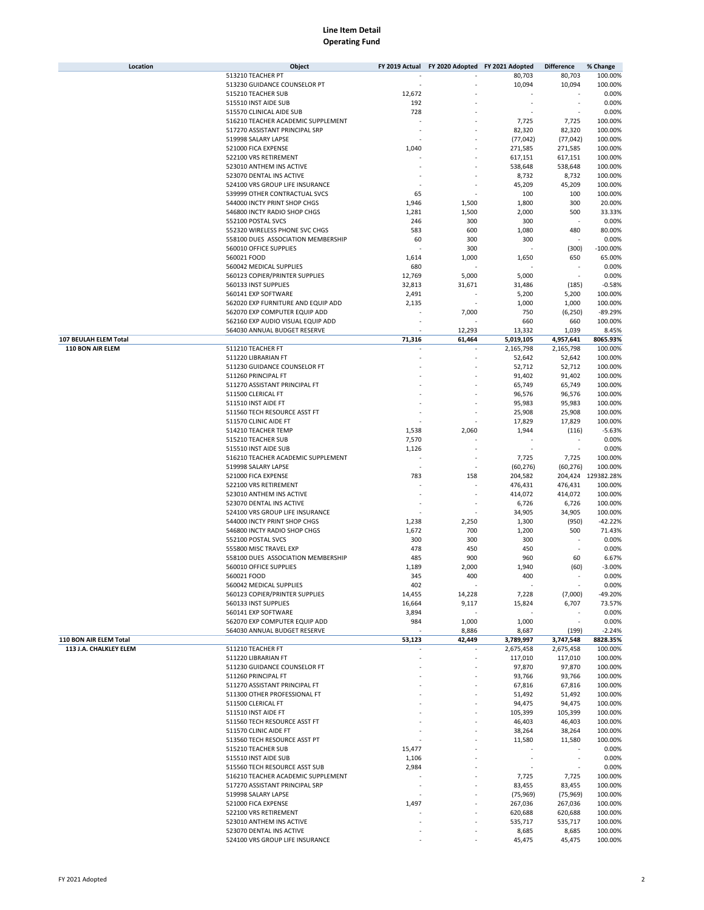| Location               | Object                             | FY 2019 Actual | FY 2020 Adopted FY 2021 Adopted |           | <b>Difference</b>        | % Change           |
|------------------------|------------------------------------|----------------|---------------------------------|-----------|--------------------------|--------------------|
|                        | 513210 TEACHER PT                  |                |                                 | 80,703    | 80,703                   | 100.00%            |
|                        | 513230 GUIDANCE COUNSELOR PT       |                |                                 | 10,094    | 10,094                   | 100.00%            |
|                        | 515210 TEACHER SUB                 | 12,672         |                                 |           |                          | 0.00%              |
|                        | 515510 INST AIDE SUB               | 192            |                                 |           | ٠                        | 0.00%              |
|                        | 515570 CLINICAL AIDE SUB           | 728            |                                 |           | ä,                       | 0.00%              |
|                        | 516210 TEACHER ACADEMIC SUPPLEMENT |                |                                 | 7,725     | 7,725                    | 100.00%            |
|                        | 517270 ASSISTANT PRINCIPAL SRP     |                |                                 | 82,320    | 82,320                   | 100.00%            |
|                        | 519998 SALARY LAPSE                |                |                                 | (77, 042) | (77, 042)                | 100.00%            |
|                        | 521000 FICA EXPENSE                | 1,040          |                                 | 271,585   | 271,585                  | 100.00%            |
|                        | 522100 VRS RETIREMENT              |                |                                 | 617,151   | 617,151                  | 100.00%            |
|                        | 523010 ANTHEM INS ACTIVE           |                |                                 | 538,648   | 538,648                  | 100.00%            |
|                        | 523070 DENTAL INS ACTIVE           |                |                                 | 8,732     | 8,732                    | 100.00%            |
|                        | 524100 VRS GROUP LIFE INSURANCE    |                |                                 | 45,209    | 45,209                   | 100.00%            |
|                        | 539999 OTHER CONTRACTUAL SVCS      | 65             |                                 | 100       | 100                      | 100.00%            |
|                        | 544000 INCTY PRINT SHOP CHGS       | 1,946          | 1,500                           | 1,800     | 300                      | 20.00%             |
|                        | 546800 INCTY RADIO SHOP CHGS       | 1,281          | 1,500                           | 2,000     | 500                      | 33.33%             |
|                        | 552100 POSTAL SVCS                 | 246            | 300                             | 300       | ÷                        | 0.00%              |
|                        | 552320 WIRELESS PHONE SVC CHGS     | 583            | 600                             | 1,080     | 480                      | 80.00%             |
|                        | 558100 DUES ASSOCIATION MEMBERSHIP | 60             | 300                             | 300       |                          | 0.00%              |
|                        | 560010 OFFICE SUPPLIES             |                | 300                             |           | (300)                    | $-100.00%$         |
|                        | 560021 FOOD                        | 1,614          | 1,000                           | 1,650     | 650                      | 65.00%             |
|                        | 560042 MEDICAL SUPPLIES            | 680            |                                 |           |                          | 0.00%              |
|                        | 560123 COPIER/PRINTER SUPPLIES     | 12,769         | 5,000                           | 5,000     | $\overline{\phantom{a}}$ | 0.00%              |
|                        | 560133 INST SUPPLIES               | 32,813         | 31,671                          | 31,486    | (185)                    | $-0.58%$           |
|                        | 560141 EXP SOFTWARE                | 2,491          |                                 | 5,200     | 5,200                    | 100.00%            |
|                        | 562020 EXP FURNITURE AND EQUIP ADD | 2,135          |                                 | 1,000     | 1,000                    | 100.00%            |
|                        | 562070 EXP COMPUTER EQUIP ADD      |                | 7,000                           | 750       | (6, 250)                 | $-89.29%$          |
|                        | 562160 EXP AUDIO VISUAL EQUIP ADD  |                |                                 | 660       | 660                      | 100.00%            |
|                        | 564030 ANNUAL BUDGET RESERVE       |                | 12,293                          | 13,332    | 1,039                    | 8.45%              |
| 107 BEULAH ELEM Total  |                                    | 71,316         | 61,464                          | 5,019,105 | 4,957,641                | 8065.93%           |
| 110 BON AIR ELEM       | 511210 TEACHER FT                  |                |                                 | 2,165,798 | 2,165,798                | 100.00%            |
|                        | 511220 LIBRARIAN FT                |                | ٠                               | 52,642    | 52,642                   | 100.00%            |
|                        | 511230 GUIDANCE COUNSELOR FT       |                |                                 | 52,712    | 52,712                   | 100.00%            |
|                        | 511260 PRINCIPAL FT                |                |                                 | 91,402    | 91,402                   | 100.00%            |
|                        | 511270 ASSISTANT PRINCIPAL FT      |                |                                 | 65,749    | 65,749                   | 100.00%            |
|                        | 511500 CLERICAL FT                 |                |                                 | 96,576    | 96,576                   | 100.00%            |
|                        | 511510 INST AIDE FT                |                |                                 | 95,983    | 95,983                   | 100.00%            |
|                        | 511560 TECH RESOURCE ASST FT       |                |                                 | 25,908    | 25,908                   | 100.00%            |
|                        | 511570 CLINIC AIDE FT              |                |                                 | 17,829    | 17,829                   | 100.00%            |
|                        | 514210 TEACHER TEMP                | 1,538          | 2,060                           | 1,944     | (116)                    | $-5.63%$           |
|                        | 515210 TEACHER SUB                 | 7,570          |                                 |           |                          | 0.00%              |
|                        | 515510 INST AIDE SUB               | 1,126          |                                 |           |                          | 0.00%              |
|                        | 516210 TEACHER ACADEMIC SUPPLEMENT |                | ٠                               | 7,725     | 7,725                    | 100.00%            |
|                        | 519998 SALARY LAPSE                |                |                                 | (60, 276) | (60, 276)                | 100.00%            |
|                        | 521000 FICA EXPENSE                | 783            | 158                             | 204,582   |                          | 204,424 129382.28% |
|                        | 522100 VRS RETIREMENT              |                |                                 | 476,431   | 476,431                  | 100.00%            |
|                        | 523010 ANTHEM INS ACTIVE           |                | ٠                               | 414,072   | 414,072                  | 100.00%            |
|                        | 523070 DENTAL INS ACTIVE           |                |                                 | 6,726     | 6,726                    | 100.00%            |
|                        | 524100 VRS GROUP LIFE INSURANCE    |                |                                 | 34,905    | 34,905                   | 100.00%            |
|                        | 544000 INCTY PRINT SHOP CHGS       | 1,238          | 2,250                           | 1,300     | (950)                    | $-42.22%$          |
|                        | 546800 INCTY RADIO SHOP CHGS       | 1,672          | 700                             | 1,200     | 500                      | 71.43%             |
|                        | 552100 POSTAL SVCS                 | 300            | 300                             | 300       |                          | 0.00%              |
|                        | 555800 MISC TRAVEL EXP             | 478            | 450                             | 450       |                          | 0.00%              |
|                        | 558100 DUES ASSOCIATION MEMBERSHIP | 485            | 900                             | 960       | 60                       | 6.67%              |
|                        | 560010 OFFICE SUPPLIES             | 1,189          | 2,000                           | 1,940     | (60)                     | $-3.00%$           |
|                        | 560021 FOOD                        | 345            | 400                             | 400       |                          | 0.00%              |
|                        | 560042 MEDICAL SUPPLIES            | 402            |                                 |           | $\overline{\phantom{a}}$ | 0.00%              |
|                        | 560123 COPIER/PRINTER SUPPLIES     | 14,455         | 14,228                          | 7,228     | (7,000)                  | $-49.20%$          |
|                        | 560133 INST SUPPLIES               | 16,664         | 9,117                           | 15,824    | 6,707                    | 73.57%             |
|                        | 560141 EXP SOFTWARE                | 3,894          |                                 |           |                          | 0.00%              |
|                        | 562070 EXP COMPUTER EQUIP ADD      | 984            | 1,000                           | 1,000     | $\sim$                   | 0.00%              |
|                        | 564030 ANNUAL BUDGET RESERVE       |                | 8,886                           | 8,687     | (199)                    | $-2.24%$           |
| 110 BON AIR ELEM Total |                                    | 53,123         | 42,449                          | 3,789,997 | 3,747,548                | 8828.35%           |
| 113 J.A. CHALKLEY ELEM | 511210 TEACHER FT                  |                |                                 | 2,675,458 | 2,675,458                | 100.00%            |
|                        | 511220 LIBRARIAN FT                |                |                                 | 117,010   | 117,010                  | 100.00%            |
|                        | 511230 GUIDANCE COUNSELOR FT       |                |                                 | 97,870    | 97,870                   | 100.00%            |
|                        | 511260 PRINCIPAL FT                |                |                                 | 93,766    | 93,766                   | 100.00%            |
|                        | 511270 ASSISTANT PRINCIPAL FT      |                |                                 | 67,816    | 67,816                   | 100.00%            |
|                        | 511300 OTHER PROFESSIONAL FT       |                |                                 | 51,492    | 51,492                   | 100.00%            |
|                        | 511500 CLERICAL FT                 |                |                                 | 94,475    | 94,475                   | 100.00%            |
|                        | 511510 INST AIDE FT                |                |                                 | 105,399   | 105,399                  | 100.00%            |
|                        | 511560 TECH RESOURCE ASST FT       |                |                                 | 46,403    | 46,403                   | 100.00%            |
|                        | 511570 CLINIC AIDE FT              |                |                                 | 38,264    | 38,264                   | 100.00%            |
|                        | 513560 TECH RESOURCE ASST PT       |                |                                 | 11,580    | 11,580                   | 100.00%            |
|                        | 515210 TEACHER SUB                 | 15,477         |                                 |           |                          | 0.00%              |
|                        | 515510 INST AIDE SUB               | 1,106          |                                 |           |                          | 0.00%              |
|                        | 515560 TECH RESOURCE ASST SUB      | 2,984          |                                 |           |                          | 0.00%              |
|                        | 516210 TEACHER ACADEMIC SUPPLEMENT |                |                                 | 7,725     | 7,725                    | 100.00%            |
|                        | 517270 ASSISTANT PRINCIPAL SRP     |                |                                 | 83,455    | 83,455                   | 100.00%            |
|                        | 519998 SALARY LAPSE                |                |                                 | (75, 969) | (75, 969)                | 100.00%            |
|                        | 521000 FICA EXPENSE                | 1,497          |                                 | 267,036   | 267,036                  | 100.00%            |
|                        | 522100 VRS RETIREMENT              |                |                                 | 620,688   | 620,688                  | 100.00%            |
|                        | 523010 ANTHEM INS ACTIVE           |                |                                 | 535,717   | 535,717                  | 100.00%            |
|                        | 523070 DENTAL INS ACTIVE           |                |                                 | 8,685     | 8,685                    | 100.00%            |
|                        | 524100 VRS GROUP LIFE INSURANCE    |                |                                 | 45,475    | 45,475                   | 100.00%            |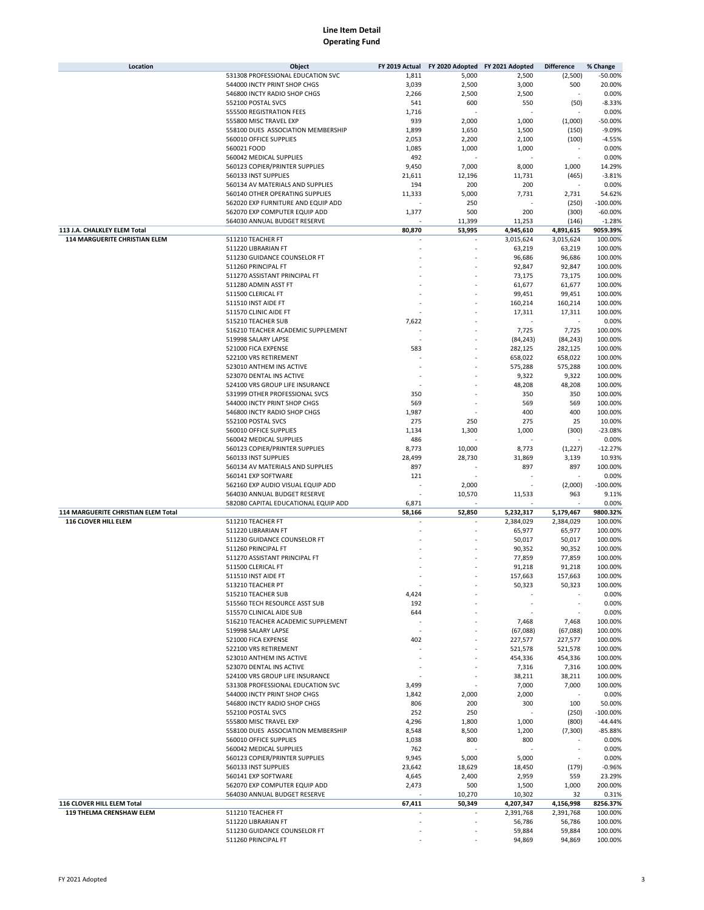|                                      | Object                                              | FY 2019 Actual | FY 2020 Adopted FY 2021 Adopted |                  | <b>Difference</b> | % Change           |
|--------------------------------------|-----------------------------------------------------|----------------|---------------------------------|------------------|-------------------|--------------------|
|                                      | 531308 PROFESSIONAL EDUCATION SVC                   | 1,811          | 5,000                           | 2,500            | (2,500)           | $-50.00%$          |
|                                      | 544000 INCTY PRINT SHOP CHGS                        | 3,039          | 2,500                           | 3,000            | 500               | 20.00%             |
|                                      | 546800 INCTY RADIO SHOP CHGS                        | 2,266          | 2,500                           | 2,500            |                   | 0.00%              |
|                                      |                                                     |                |                                 |                  |                   |                    |
|                                      | 552100 POSTAL SVCS                                  | 541            | 600                             | 550              | (50)              | $-8.33%$           |
|                                      | 555500 REGISTRATION FEES                            | 1,716          |                                 |                  |                   | 0.00%              |
|                                      | 555800 MISC TRAVEL EXP                              | 939            | 2,000                           | 1,000            | (1,000)           | $-50.00%$          |
|                                      | 558100 DUES ASSOCIATION MEMBERSHIP                  | 1,899          | 1,650                           | 1,500            | (150)             | $-9.09%$           |
|                                      | 560010 OFFICE SUPPLIES                              | 2,053          | 2,200                           | 2,100            | (100)             | $-4.55%$           |
|                                      |                                                     |                |                                 |                  |                   |                    |
|                                      | 560021 FOOD                                         | 1,085          | 1,000                           | 1,000            |                   | 0.00%              |
|                                      | 560042 MEDICAL SUPPLIES                             | 492            |                                 |                  |                   | 0.00%              |
|                                      | 560123 COPIER/PRINTER SUPPLIES                      | 9,450          | 7,000                           | 8,000            | 1,000             | 14.29%             |
|                                      | 560133 INST SUPPLIES                                | 21,611         | 12,196                          | 11,731           | (465)             | $-3.81%$           |
|                                      | 560134 AV MATERIALS AND SUPPLIES                    | 194            | 200                             | 200              |                   | 0.00%              |
|                                      |                                                     |                |                                 |                  |                   |                    |
|                                      | 560140 OTHER OPERATING SUPPLIES                     | 11,333         | 5,000                           | 7,731            | 2,731             | 54.62%             |
|                                      | 562020 EXP FURNITURE AND EQUIP ADD                  |                | 250                             |                  | (250)             | $-100.00%$         |
|                                      | 562070 EXP COMPUTER EQUIP ADD                       | 1,377          | 500                             | 200              | (300)             | $-60.00%$          |
|                                      | 564030 ANNUAL BUDGET RESERVE                        |                | 11,399                          | 11,253           | (146)             | $-1.28%$           |
| 113 J.A. CHALKLEY ELEM Total         |                                                     | 80,870         | 53,995                          | 4,945,610        | 4,891,615         | 9059.39%           |
| <b>114 MARGUERITE CHRISTIAN ELEM</b> | 511210 TEACHER FT                                   |                |                                 |                  |                   | 100.00%            |
|                                      |                                                     |                |                                 | 3,015,624        | 3,015,624         |                    |
|                                      | 511220 LIBRARIAN FT                                 |                |                                 | 63,219           | 63,219            | 100.00%            |
|                                      | 511230 GUIDANCE COUNSELOR FT                        |                |                                 | 96,686           | 96,686            | 100.00%            |
|                                      | 511260 PRINCIPAL FT                                 |                |                                 | 92,847           | 92,847            | 100.00%            |
|                                      | 511270 ASSISTANT PRINCIPAL FT                       |                |                                 | 73,175           | 73,175            | 100.00%            |
|                                      | 511280 ADMIN ASST FT                                |                |                                 | 61,677           | 61,677            | 100.00%            |
|                                      |                                                     |                |                                 |                  |                   |                    |
|                                      | 511500 CLERICAL FT                                  |                |                                 | 99,451           | 99,451            | 100.00%            |
|                                      | 511510 INST AIDE FT                                 |                |                                 | 160,214          | 160,214           | 100.00%            |
|                                      | 511570 CLINIC AIDE FT                               |                |                                 | 17,311           | 17,311            | 100.00%            |
|                                      | 515210 TEACHER SUB                                  | 7,622          |                                 |                  |                   | 0.00%              |
|                                      | 516210 TEACHER ACADEMIC SUPPLEMENT                  |                |                                 | 7,725            | 7,725             | 100.00%            |
|                                      |                                                     |                |                                 |                  |                   |                    |
|                                      | 519998 SALARY LAPSE                                 |                |                                 | (84, 243)        | (84, 243)         | 100.00%            |
|                                      | 521000 FICA EXPENSE                                 | 583            |                                 | 282,125          | 282,125           | 100.00%            |
|                                      | 522100 VRS RETIREMENT                               |                |                                 | 658,022          | 658,022           | 100.00%            |
|                                      | 523010 ANTHEM INS ACTIVE                            |                |                                 | 575,288          | 575,288           | 100.00%            |
|                                      | 523070 DENTAL INS ACTIVE                            |                |                                 | 9,322            | 9,322             | 100.00%            |
|                                      | 524100 VRS GROUP LIFE INSURANCE                     |                |                                 |                  |                   |                    |
|                                      |                                                     |                |                                 | 48,208           | 48,208            | 100.00%            |
|                                      | 531999 OTHER PROFESSIONAL SVCS                      | 350            |                                 | 350              | 350               | 100.00%            |
|                                      | 544000 INCTY PRINT SHOP CHGS                        | 569            |                                 | 569              | 569               | 100.00%            |
|                                      | 546800 INCTY RADIO SHOP CHGS                        | 1,987          |                                 | 400              | 400               | 100.00%            |
|                                      | 552100 POSTAL SVCS                                  | 275            | 250                             | 275              | 25                | 10.00%             |
|                                      | 560010 OFFICE SUPPLIES                              | 1,134          | 1,300                           | 1,000            | (300)             | $-23.08%$          |
|                                      |                                                     |                |                                 |                  |                   |                    |
|                                      | 560042 MEDICAL SUPPLIES                             | 486            |                                 |                  |                   | 0.00%              |
|                                      | 560123 COPIER/PRINTER SUPPLIES                      | 8,773          | 10,000                          | 8,773            | (1,227)           | $-12.27%$          |
|                                      | 560133 INST SUPPLIES                                | 28,499         | 28,730                          | 31,869           | 3,139             | 10.93%             |
|                                      | 560134 AV MATERIALS AND SUPPLIES                    | 897            |                                 | 897              | 897               | 100.00%            |
|                                      | 560141 EXP SOFTWARE                                 | 121            |                                 |                  |                   | 0.00%              |
|                                      |                                                     |                |                                 |                  |                   |                    |
|                                      | 562160 EXP AUDIO VISUAL EQUIP ADD                   |                | 2,000                           |                  | (2,000)           | $-100.00%$         |
|                                      | 564030 ANNUAL BUDGET RESERVE                        |                | 10,570                          | 11,533           | 963               | 9.11%              |
|                                      |                                                     |                |                                 |                  |                   |                    |
|                                      | 582080 CAPITAL EDUCATIONAL EQUIP ADD                | 6,871          |                                 |                  |                   | 0.00%              |
| 114 MARGUERITE CHRISTIAN ELEM Total  |                                                     | 58,166         | 52,850                          | 5,232,317        | 5,179,467         | 9800.32%           |
|                                      |                                                     |                |                                 |                  |                   |                    |
| 116 CLOVER HILL ELEM                 | 511210 TEACHER FT                                   |                |                                 | 2,384,029        | 2,384,029         | 100.00%            |
|                                      | 511220 LIBRARIAN FT                                 |                |                                 | 65,977           | 65,977            | 100.00%            |
|                                      | 511230 GUIDANCE COUNSELOR FT                        |                |                                 | 50,017           | 50,017            | 100.00%            |
|                                      | 511260 PRINCIPAL FT                                 |                |                                 | 90,352           | 90,352            | 100.00%            |
|                                      | 511270 ASSISTANT PRINCIPAL FT                       |                |                                 | 77,859           | 77,859            | 100.00%            |
|                                      |                                                     |                |                                 |                  |                   |                    |
|                                      | 511500 CLERICAL FT                                  |                |                                 | 91,218           | 91,218            | 100.00%            |
|                                      | 511510 INST AIDE FT                                 |                |                                 | 157,663          | 157,663           | 100.00%            |
|                                      | 513210 TEACHER PT                                   |                |                                 | 50,323           | 50,323            | 100.00%            |
|                                      | 515210 TEACHER SUB                                  | 4,424          |                                 |                  |                   | 0.00%              |
|                                      | 515560 TECH RESOURCE ASST SUB                       | 192            |                                 |                  |                   | 0.00%              |
|                                      | 515570 CLINICAL AIDE SUB                            | 644            |                                 |                  |                   | 0.00%              |
|                                      |                                                     |                |                                 |                  |                   |                    |
|                                      | 516210 TEACHER ACADEMIC SUPPLEMENT                  |                |                                 | 7,468            | 7,468             | 100.00%            |
|                                      | 519998 SALARY LAPSE                                 |                |                                 | (67,088)         | (67,088)          | 100.00%            |
|                                      | 521000 FICA EXPENSE                                 | 402            |                                 | 227,577          | 227,577           | 100.00%            |
|                                      | 522100 VRS RETIREMENT                               |                |                                 | 521,578          | 521,578           | 100.00%            |
|                                      | 523010 ANTHEM INS ACTIVE                            |                |                                 | 454,336          | 454,336           | 100.00%            |
|                                      |                                                     |                |                                 |                  |                   |                    |
|                                      | 523070 DENTAL INS ACTIVE                            |                |                                 | 7,316            | 7,316             | 100.00%            |
|                                      | 524100 VRS GROUP LIFE INSURANCE                     |                |                                 | 38,211           | 38,211            | 100.00%            |
|                                      | 531308 PROFESSIONAL EDUCATION SVC                   | 3,499          |                                 | 7,000            | 7,000             | 100.00%            |
|                                      | 544000 INCTY PRINT SHOP CHGS                        | 1,842          | 2,000                           | 2,000            |                   | 0.00%              |
|                                      | 546800 INCTY RADIO SHOP CHGS                        | 806            | 200                             | 300              | 100               | 50.00%             |
|                                      | 552100 POSTAL SVCS                                  | 252            | 250                             |                  | (250)             | $-100.00%$         |
|                                      |                                                     |                |                                 |                  |                   |                    |
|                                      | 555800 MISC TRAVEL EXP                              | 4,296          | 1,800                           | 1,000            | (800)             | $-44.44%$          |
|                                      | 558100 DUES ASSOCIATION MEMBERSHIP                  | 8,548          | 8,500                           | 1,200            | (7,300)           | $-85.88%$          |
|                                      | 560010 OFFICE SUPPLIES                              | 1,038          | 800                             | 800              |                   | 0.00%              |
|                                      | 560042 MEDICAL SUPPLIES                             | 762            |                                 |                  |                   | 0.00%              |
|                                      | 560123 COPIER/PRINTER SUPPLIES                      | 9,945          | 5,000                           | 5,000            |                   | 0.00%              |
|                                      | 560133 INST SUPPLIES                                | 23,642         |                                 | 18,450           |                   | $-0.96%$           |
|                                      |                                                     |                | 18,629                          |                  | (179)             |                    |
|                                      | 560141 EXP SOFTWARE                                 | 4,645          | 2,400                           | 2,959            | 559               | 23.29%             |
|                                      | 562070 EXP COMPUTER EQUIP ADD                       | 2,473          | 500                             | 1,500            | 1,000             | 200.00%            |
|                                      | 564030 ANNUAL BUDGET RESERVE                        |                | 10,270                          | 10,302           | 32                | 0.31%              |
| 116 CLOVER HILL ELEM Total           |                                                     | 67,411         | 50,349                          | 4,207,347        | 4,156,998         | 8256.37%           |
| 119 THELMA CRENSHAW ELEM             | 511210 TEACHER FT                                   |                |                                 | 2,391,768        | 2,391,768         | 100.00%            |
|                                      |                                                     |                | ÷,                              |                  |                   |                    |
|                                      | 511220 LIBRARIAN FT                                 |                |                                 | 56,786           | 56,786            | 100.00%            |
|                                      | 511230 GUIDANCE COUNSELOR FT<br>511260 PRINCIPAL FT |                |                                 | 59,884<br>94,869 | 59,884<br>94,869  | 100.00%<br>100.00% |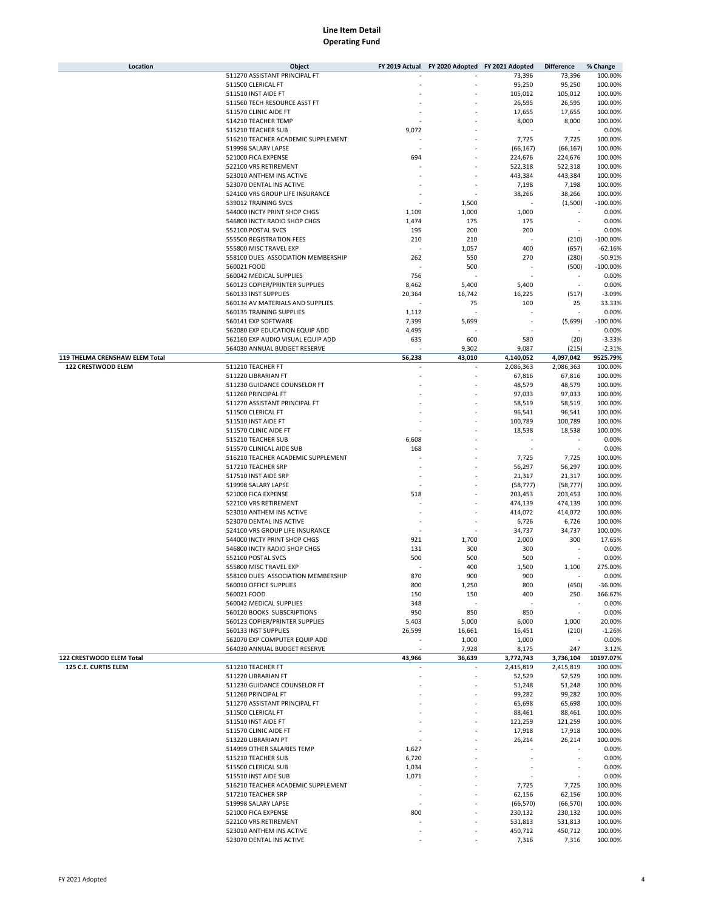| Location                       | Object                             | FY 2019 Actual | FY 2020 Adopted FY 2021 Adopted |              | <b>Difference</b> | % Change         |
|--------------------------------|------------------------------------|----------------|---------------------------------|--------------|-------------------|------------------|
|                                | 511270 ASSISTANT PRINCIPAL FT      |                |                                 | 73,396       | 73,396            | 100.00%          |
|                                | 511500 CLERICAL FT                 |                |                                 | 95,250       | 95,250            | 100.00%          |
|                                | 511510 INST AIDE FT                |                |                                 | 105,012      | 105,012           | 100.00%          |
|                                | 511560 TECH RESOURCE ASST FT       |                |                                 | 26,595       | 26,595            | 100.00%          |
|                                | 511570 CLINIC AIDE FT              |                |                                 | 17,655       | 17,655            | 100.00%          |
|                                | 514210 TEACHER TEMP                |                |                                 | 8,000        | 8,000             | 100.00%          |
|                                | 515210 TEACHER SUB                 | 9,072          |                                 |              |                   | 0.00%            |
|                                | 516210 TEACHER ACADEMIC SUPPLEMENT |                |                                 | 7,725        | 7,725             | 100.00%          |
|                                | 519998 SALARY LAPSE                |                |                                 | (66, 167)    | (66, 167)         | 100.00%          |
|                                | 521000 FICA EXPENSE                | 694            |                                 | 224,676      | 224,676           | 100.00%          |
|                                | 522100 VRS RETIREMENT              |                |                                 | 522,318      | 522,318           | 100.00%          |
|                                | 523010 ANTHEM INS ACTIVE           |                |                                 | 443,384      | 443,384           | 100.00%          |
|                                | 523070 DENTAL INS ACTIVE           |                |                                 | 7,198        | 7,198             | 100.00%          |
|                                | 524100 VRS GROUP LIFE INSURANCE    |                |                                 | 38,266       | 38,266            | 100.00%          |
|                                | 539012 TRAINING SVCS               |                | 1,500                           | J.           | (1,500)           | $-100.00%$       |
|                                | 544000 INCTY PRINT SHOP CHGS       | 1,109          | 1,000                           | 1,000        |                   | 0.00%            |
|                                | 546800 INCTY RADIO SHOP CHGS       | 1,474          | 175                             | 175          |                   | 0.00%            |
|                                | 552100 POSTAL SVCS                 | 195            | 200                             | 200          | ٠                 | 0.00%            |
|                                | 555500 REGISTRATION FEES           | 210            | 210                             |              | (210)             | $-100.00%$       |
|                                | 555800 MISC TRAVEL EXP             |                | 1,057                           | 400          | (657)             | $-62.16%$        |
|                                | 558100 DUES ASSOCIATION MEMBERSHIP | 262            | 550                             | 270          | (280)             | $-50.91%$        |
|                                | 560021 FOOD                        |                | 500                             |              | (500)             | $-100.00%$       |
|                                |                                    |                |                                 |              | $\sim$            |                  |
|                                | 560042 MEDICAL SUPPLIES            | 756            |                                 |              |                   | 0.00%            |
|                                | 560123 COPIER/PRINTER SUPPLIES     | 8,462          | 5,400                           | 5,400        |                   | 0.00%            |
|                                | 560133 INST SUPPLIES               | 20,364         | 16,742                          | 16,225       | (517)             | $-3.09%$         |
|                                | 560134 AV MATERIALS AND SUPPLIES   |                | 75                              | 100          | 25                | 33.33%           |
|                                | 560135 TRAINING SUPPLIES           | 1,112          |                                 |              |                   | 0.00%            |
|                                | 560141 EXP SOFTWARE                | 7,399          | 5,699                           |              | (5,699)           | $-100.00%$       |
|                                | 562080 EXP EDUCATION EQUIP ADD     | 4,495          |                                 |              |                   | 0.00%            |
|                                | 562160 EXP AUDIO VISUAL EQUIP ADD  | 635            | 600                             | 580          | (20)              | $-3.33%$         |
|                                | 564030 ANNUAL BUDGET RESERVE       |                | 9,302                           | 9,087        | (215)             | $-2.31%$         |
| 119 THELMA CRENSHAW ELEM Total |                                    | 56,238         | 43,010                          | 4,140,052    | 4,097,042         | 9525.79%         |
| 122 CRESTWOOD ELEM             | 511210 TEACHER FT                  |                |                                 | 2,086,363    | 2,086,363         | 100.00%          |
|                                | 511220 LIBRARIAN FT                |                |                                 | 67,816       | 67,816            | 100.00%          |
|                                | 511230 GUIDANCE COUNSELOR FT       |                |                                 | 48,579       | 48,579            | 100.00%          |
|                                | 511260 PRINCIPAL FT                |                |                                 | 97,033       | 97,033            | 100.00%          |
|                                | 511270 ASSISTANT PRINCIPAL FT      |                |                                 | 58,519       | 58,519            | 100.00%          |
|                                | 511500 CLERICAL FT                 |                |                                 | 96,541       | 96,541            | 100.00%          |
|                                | 511510 INST AIDE FT                |                |                                 | 100,789      | 100,789           | 100.00%          |
|                                | 511570 CLINIC AIDE FT              |                |                                 | 18,538       | 18,538            | 100.00%          |
|                                | 515210 TEACHER SUB                 | 6,608          |                                 |              |                   | 0.00%            |
|                                | 515570 CLINICAL AIDE SUB           | 168            |                                 |              | ٠                 | 0.00%            |
|                                | 516210 TEACHER ACADEMIC SUPPLEMENT |                |                                 | 7,725        | 7,725             | 100.00%          |
|                                | 517210 TEACHER SRP                 |                |                                 | 56,297       | 56,297            | 100.00%          |
|                                | 517510 INST AIDE SRP               |                |                                 | 21,317       | 21,317            | 100.00%          |
|                                | 519998 SALARY LAPSE                |                |                                 | (58, 777)    | (58, 777)         | 100.00%          |
|                                | 521000 FICA EXPENSE                | 518            |                                 | 203,453      | 203,453           | 100.00%          |
|                                | 522100 VRS RETIREMENT              |                |                                 | 474,139      | 474,139           | 100.00%          |
|                                | 523010 ANTHEM INS ACTIVE           |                |                                 | 414,072      | 414,072           | 100.00%          |
|                                | 523070 DENTAL INS ACTIVE           |                |                                 | 6,726        | 6,726             | 100.00%          |
|                                | 524100 VRS GROUP LIFE INSURANCE    |                |                                 | 34,737       | 34,737            | 100.00%          |
|                                | 544000 INCTY PRINT SHOP CHGS       | 921            | 1,700                           | 2,000        | 300               | 17.65%           |
|                                | 546800 INCTY RADIO SHOP CHGS       | 131            | 300                             | 300          |                   | 0.00%            |
|                                | 552100 POSTAL SVCS                 | 500            | 500                             | 500          |                   | 0.00%            |
|                                | 555800 MISC TRAVEL EXP             |                | 400                             |              |                   |                  |
|                                | 558100 DUES ASSOCIATION MEMBERSHIP | 870            | 900                             | 1,500<br>900 | 1,100             | 275.00%<br>0.00% |
|                                | 560010 OFFICE SUPPLIES             |                |                                 |              |                   |                  |
|                                |                                    | 800            | 1,250                           | 800          | (450)             | $-36.00%$        |
|                                | 560021 FOOD                        | 150            | 150                             | 400          | 250               | 166.67%          |
|                                | 560042 MEDICAL SUPPLIES            | 348            |                                 |              |                   | 0.00%            |
|                                | 560120 BOOKS SUBSCRIPTIONS         | 950            | 850                             | 850          | ٠                 | 0.00%            |
|                                | 560123 COPIER/PRINTER SUPPLIES     | 5,403          | 5,000                           | 6,000        | 1,000             | 20.00%           |
|                                | 560133 INST SUPPLIES               | 26,599         | 16,661                          | 16,451       | (210)             | $-1.26%$         |
|                                | 562070 EXP COMPUTER EQUIP ADD      |                | 1,000                           | 1,000        |                   | 0.00%            |
|                                | 564030 ANNUAL BUDGET RESERVE       |                | 7,928                           | 8,175        | 247               | 3.12%            |
| 122 CRESTWOOD ELEM Total       |                                    | 43,966         | 36,639                          | 3,772,743    | 3,736,104         | 10197.07%        |
| 125 C.E. CURTIS ELEM           | 511210 TEACHER FT                  |                |                                 | 2,415,819    | 2,415,819         | 100.00%          |
|                                | 511220 LIBRARIAN FT                |                |                                 | 52,529       | 52,529            | 100.00%          |
|                                | 511230 GUIDANCE COUNSELOR FT       |                |                                 | 51,248       | 51,248            | 100.00%          |
|                                | 511260 PRINCIPAL FT                |                |                                 | 99,282       | 99,282            | 100.00%          |
|                                | 511270 ASSISTANT PRINCIPAL FT      |                |                                 | 65,698       | 65,698            | 100.00%          |
|                                | 511500 CLERICAL FT                 |                |                                 | 88,461       | 88,461            | 100.00%          |
|                                | 511510 INST AIDE FT                |                |                                 | 121,259      | 121,259           | 100.00%          |
|                                | 511570 CLINIC AIDE FT              |                |                                 | 17,918       | 17,918            | 100.00%          |
|                                | 513220 LIBRARIAN PT                |                |                                 | 26,214       | 26,214            | 100.00%          |
|                                | 514999 OTHER SALARIES TEMP         | 1,627          |                                 |              |                   | 0.00%            |
|                                | 515210 TEACHER SUB                 | 6,720          |                                 |              |                   | 0.00%            |
|                                | 515500 CLERICAL SUB                | 1,034          |                                 |              |                   | 0.00%            |
|                                | 515510 INST AIDE SUB               | 1,071          |                                 |              |                   | 0.00%            |
|                                | 516210 TEACHER ACADEMIC SUPPLEMENT |                |                                 | 7,725        | 7,725             | 100.00%          |
|                                | 517210 TEACHER SRP                 |                |                                 | 62,156       | 62,156            | 100.00%          |
|                                | 519998 SALARY LAPSE                |                |                                 | (66, 570)    | (66, 570)         | 100.00%          |
|                                | 521000 FICA EXPENSE                | 800            |                                 | 230,132      | 230,132           | 100.00%          |
|                                | 522100 VRS RETIREMENT              |                |                                 | 531,813      | 531,813           | 100.00%          |
|                                | 523010 ANTHEM INS ACTIVE           |                |                                 | 450,712      | 450,712           | 100.00%          |
|                                | 523070 DENTAL INS ACTIVE           |                |                                 | 7,316        | 7,316             | 100.00%          |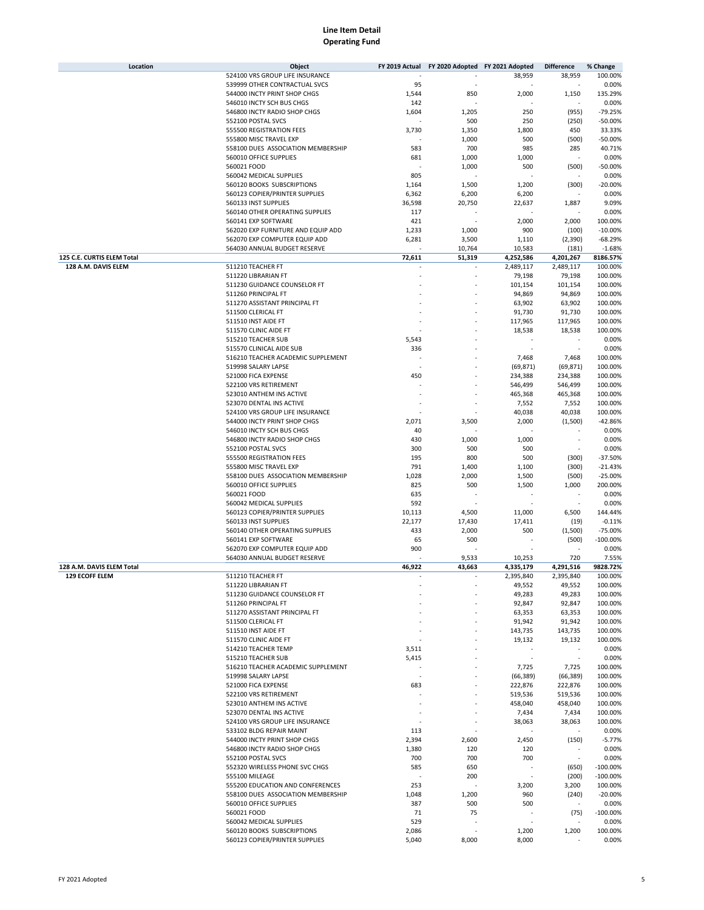| Location                   | Object                             | FY 2019 Actual | FY 2020 Adopted FY 2021 Adopted |                          | <b>Difference</b>        | % Change    |
|----------------------------|------------------------------------|----------------|---------------------------------|--------------------------|--------------------------|-------------|
|                            | 524100 VRS GROUP LIFE INSURANCE    |                |                                 | 38,959                   | 38,959                   | 100.00%     |
|                            | 539999 OTHER CONTRACTUAL SVCS      | 95             |                                 |                          |                          | 0.00%       |
|                            | 544000 INCTY PRINT SHOP CHGS       | 1,544          | 850                             | 2,000                    | 1,150                    | 135.29%     |
|                            | 546010 INCTY SCH BUS CHGS          | 142            |                                 |                          |                          | 0.00%       |
|                            | 546800 INCTY RADIO SHOP CHGS       | 1,604          | 1,205                           | 250                      | (955)                    | $-79.25%$   |
|                            | 552100 POSTAL SVCS                 |                | 500                             | 250                      | (250)                    | $-50.00%$   |
|                            | 555500 REGISTRATION FEES           | 3,730          | 1,350                           | 1,800                    | 450                      | 33.33%      |
|                            | 555800 MISC TRAVEL EXP             |                |                                 | 500                      | (500)                    | $-50.00%$   |
|                            |                                    |                | 1,000                           |                          |                          |             |
|                            | 558100 DUES ASSOCIATION MEMBERSHIP | 583            | 700                             | 985                      | 285                      | 40.71%      |
|                            | 560010 OFFICE SUPPLIES             | 681            | 1,000                           | 1,000                    |                          | 0.00%       |
|                            | 560021 FOOD                        |                | 1,000                           | 500                      | (500)                    | $-50.00%$   |
|                            | 560042 MEDICAL SUPPLIES            | 805            |                                 |                          |                          | 0.00%       |
|                            | 560120 BOOKS SUBSCRIPTIONS         | 1,164          | 1,500                           | 1,200                    | (300)                    | $-20.00%$   |
|                            | 560123 COPIER/PRINTER SUPPLIES     | 6,362          | 6,200                           | 6,200                    |                          | 0.00%       |
|                            | 560133 INST SUPPLIES               | 36,598         | 20,750                          | 22,637                   | 1,887                    | 9.09%       |
|                            | 560140 OTHER OPERATING SUPPLIES    | 117            |                                 |                          |                          | 0.00%       |
|                            | 560141 EXP SOFTWARE                | 421            |                                 | 2,000                    | 2,000                    | 100.00%     |
|                            | 562020 EXP FURNITURE AND EQUIP ADD | 1,233          | 1,000                           | 900                      | (100)                    | $-10.00%$   |
|                            | 562070 EXP COMPUTER EQUIP ADD      | 6,281          | 3,500                           | 1,110                    | (2,390)                  | $-68.29%$   |
|                            | 564030 ANNUAL BUDGET RESERVE       |                |                                 | 10,583                   | (181)                    | $-1.68%$    |
|                            |                                    |                | 10,764                          |                          |                          |             |
| 125 C.E. CURTIS ELEM Total |                                    | 72,611         | 51,319                          | 4,252,586                | 4,201,267                | 8186.57%    |
| 128 A.M. DAVIS ELEM        | 511210 TEACHER FT                  |                |                                 | 2,489,117                | 2,489,117                | 100.00%     |
|                            | 511220 LIBRARIAN FT                |                |                                 | 79,198                   | 79,198                   | 100.00%     |
|                            | 511230 GUIDANCE COUNSELOR FT       |                |                                 | 101,154                  | 101,154                  | 100.00%     |
|                            | 511260 PRINCIPAL FT                |                |                                 | 94,869                   | 94,869                   | 100.00%     |
|                            | 511270 ASSISTANT PRINCIPAL FT      |                |                                 | 63,902                   | 63,902                   | 100.00%     |
|                            | 511500 CLERICAL FT                 |                |                                 | 91,730                   | 91,730                   | 100.00%     |
|                            | 511510 INST AIDE FT                |                |                                 | 117,965                  | 117,965                  | 100.00%     |
|                            | 511570 CLINIC AIDE FT              |                |                                 | 18,538                   | 18,538                   | 100.00%     |
|                            | 515210 TEACHER SUB                 | 5,543          |                                 |                          |                          | 0.00%       |
|                            | 515570 CLINICAL AIDE SUB           | 336            |                                 |                          |                          | 0.00%       |
|                            | 516210 TEACHER ACADEMIC SUPPLEMENT |                |                                 | 7,468                    | 7,468                    | 100.00%     |
|                            |                                    |                |                                 |                          | (69, 871)                |             |
|                            | 519998 SALARY LAPSE                |                |                                 | (69, 871)                |                          | 100.00%     |
|                            | 521000 FICA EXPENSE                | 450            |                                 | 234,388                  | 234,388                  | 100.00%     |
|                            | 522100 VRS RETIREMENT              |                |                                 | 546,499                  | 546,499                  | 100.00%     |
|                            | 523010 ANTHEM INS ACTIVE           |                |                                 | 465,368                  | 465,368                  | 100.00%     |
|                            | 523070 DENTAL INS ACTIVE           |                |                                 | 7,552                    | 7,552                    | 100.00%     |
|                            | 524100 VRS GROUP LIFE INSURANCE    |                |                                 | 40,038                   | 40,038                   | 100.00%     |
|                            | 544000 INCTY PRINT SHOP CHGS       | 2,071          | 3,500                           | 2,000                    | (1,500)                  | $-42.86%$   |
|                            | 546010 INCTY SCH BUS CHGS          | 40             |                                 |                          |                          | 0.00%       |
|                            | 546800 INCTY RADIO SHOP CHGS       | 430            | 1,000                           | 1,000                    |                          | 0.00%       |
|                            | 552100 POSTAL SVCS                 | 300            | 500                             | 500                      |                          | 0.00%       |
|                            | 555500 REGISTRATION FEES           | 195            | 800                             | 500                      | (300)                    | $-37.50%$   |
|                            | 555800 MISC TRAVEL EXP             | 791            | 1,400                           | 1,100                    | (300)                    | $-21.43%$   |
|                            | 558100 DUES ASSOCIATION MEMBERSHIP | 1,028          | 2,000                           | 1,500                    | (500)                    | $-25.00%$   |
|                            |                                    |                |                                 |                          |                          |             |
|                            | 560010 OFFICE SUPPLIES             | 825            | 500                             | 1,500                    | 1,000                    | 200.00%     |
|                            | 560021 FOOD                        | 635            |                                 |                          |                          | 0.00%       |
|                            | 560042 MEDICAL SUPPLIES            | 592            |                                 |                          |                          | 0.00%       |
|                            | 560123 COPIER/PRINTER SUPPLIES     | 10,113         | 4,500                           | 11,000                   | 6,500                    | 144.44%     |
|                            | 560133 INST SUPPLIES               | 22,177         | 17,430                          | 17,411                   | (19)                     | $-0.11%$    |
|                            | 560140 OTHER OPERATING SUPPLIES    | 433            | 2,000                           | 500                      | (1,500)                  | $-75.00%$   |
|                            | 560141 EXP SOFTWARE                | 65             | 500                             |                          | (500)                    | $-100.00%$  |
|                            | 562070 EXP COMPUTER EQUIP ADD      | 900            |                                 |                          |                          | 0.00%       |
|                            | 564030 ANNUAL BUDGET RESERVE       |                | 9,533                           | 10,253                   | 720                      | 7.55%       |
| 128 A.M. DAVIS ELEM Total  |                                    | 46,922         | 43,663                          | 4,335,179                | 4,291,516                | 9828.72%    |
| <b>129 ECOFF ELEM</b>      | 511210 TEACHER FT                  |                |                                 | 2,395,840                | 2,395,840                | 100.00%     |
|                            | 511220 LIBRARIAN FT                |                | ä,                              | 49,552                   | 49,552                   | 100.00%     |
|                            | 511230 GUIDANCE COUNSELOR FT       |                |                                 |                          |                          | 100.00%     |
|                            |                                    |                |                                 | 49,283                   | 49,283                   |             |
|                            | 511260 PRINCIPAL FT                |                |                                 | 92,847                   | 92,847                   | 100.00%     |
|                            | 511270 ASSISTANT PRINCIPAL FT      |                |                                 | 63,353                   | 63,353                   | 100.00%     |
|                            | 511500 CLERICAL FT                 |                |                                 | 91,942                   | 91,942                   | 100.00%     |
|                            | 511510 INST AIDE FT                |                |                                 | 143,735                  | 143,735                  | 100.00%     |
|                            | 511570 CLINIC AIDE FT              |                |                                 | 19,132                   | 19,132                   | 100.00%     |
|                            | 514210 TEACHER TEMP                | 3,511          |                                 |                          |                          | 0.00%       |
|                            | 515210 TEACHER SUB                 | 5,415          |                                 | $\overline{\phantom{a}}$ | $\sim$                   | 0.00%       |
|                            | 516210 TEACHER ACADEMIC SUPPLEMENT |                |                                 | 7,725                    | 7,725                    | 100.00%     |
|                            | 519998 SALARY LAPSE                |                |                                 | (66, 389)                | (66, 389)                | 100.00%     |
|                            | 521000 FICA EXPENSE                | 683            |                                 | 222,876                  | 222,876                  | 100.00%     |
|                            | 522100 VRS RETIREMENT              |                |                                 | 519,536                  | 519,536                  | 100.00%     |
|                            | 523010 ANTHEM INS ACTIVE           |                |                                 | 458,040                  | 458,040                  | 100.00%     |
|                            | 523070 DENTAL INS ACTIVE           |                |                                 |                          | 7,434                    | 100.00%     |
|                            |                                    |                |                                 | 7,434                    |                          |             |
|                            | 524100 VRS GROUP LIFE INSURANCE    |                |                                 | 38,063                   | 38,063                   | 100.00%     |
|                            | 533102 BLDG REPAIR MAINT           | 113            |                                 |                          |                          | 0.00%       |
|                            | 544000 INCTY PRINT SHOP CHGS       | 2,394          | 2,600                           | 2,450                    | (150)                    | $-5.77%$    |
|                            | 546800 INCTY RADIO SHOP CHGS       | 1,380          | 120                             | 120                      |                          | 0.00%       |
|                            | 552100 POSTAL SVCS                 | 700            | 700                             | 700                      | $\overline{\phantom{a}}$ | 0.00%       |
|                            | 552320 WIRELESS PHONE SVC CHGS     | 585            | 650                             |                          | (650)                    | $-100.00%$  |
|                            | 555100 MILEAGE                     |                | 200                             |                          | (200)                    | $-100.00%$  |
|                            | 555200 EDUCATION AND CONFERENCES   | 253            |                                 | 3,200                    | 3,200                    | 100.00%     |
|                            | 558100 DUES ASSOCIATION MEMBERSHIP | 1,048          | 1,200                           | 960                      | (240)                    | $-20.00%$   |
|                            | 560010 OFFICE SUPPLIES             | 387            | 500                             | 500                      |                          | 0.00%       |
|                            | 560021 FOOD                        | 71             | 75                              | $\overline{\phantom{a}}$ | (75)                     | $-100.00\%$ |
|                            | 560042 MEDICAL SUPPLIES            | 529            |                                 |                          |                          | 0.00%       |
|                            |                                    |                |                                 |                          |                          |             |
|                            | 560120 BOOKS SUBSCRIPTIONS         | 2,086          |                                 | 1,200                    | 1,200                    | 100.00%     |
|                            | 560123 COPIER/PRINTER SUPPLIES     | 5,040          | 8,000                           | 8,000                    |                          | 0.00%       |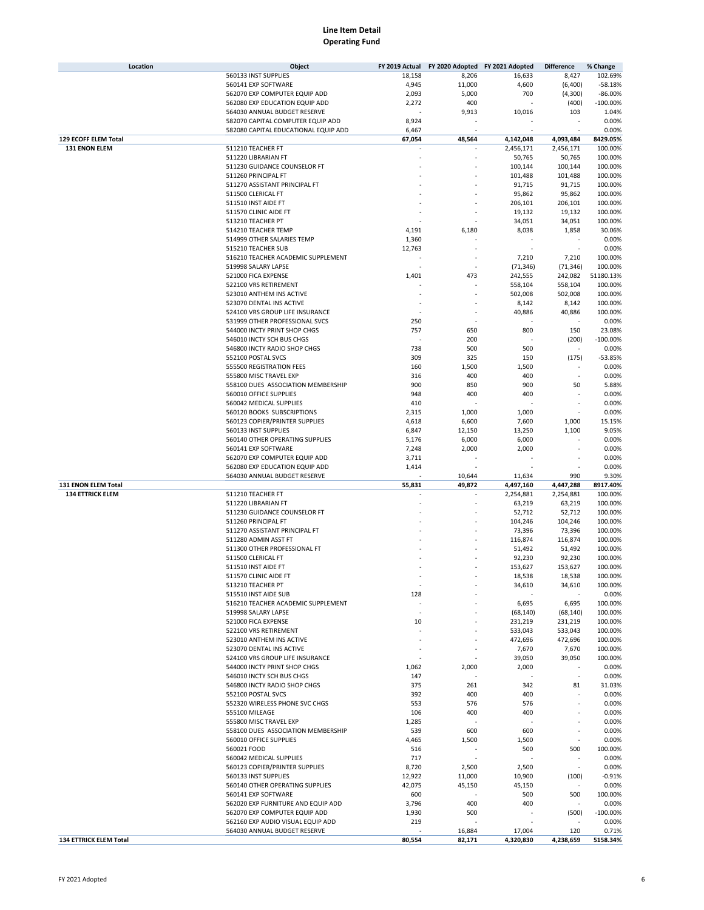| Location                | Object                               | FY 2019 Actual | FY 2020 Adopted FY 2021 Adopted |           | <b>Difference</b> | % Change   |
|-------------------------|--------------------------------------|----------------|---------------------------------|-----------|-------------------|------------|
|                         | 560133 INST SUPPLIES                 | 18,158         | 8,206                           | 16,633    | 8,427             | 102.69%    |
|                         | 560141 EXP SOFTWARE                  | 4,945          | 11,000                          | 4,600     | (6,400)           | $-58.18%$  |
|                         | 562070 EXP COMPUTER EQUIP ADD        | 2,093          | 5,000                           | 700       | (4,300)           | $-86.00%$  |
|                         | 562080 EXP EDUCATION EQUIP ADD       | 2,272          | 400                             |           | (400)             | $-100.00%$ |
|                         | 564030 ANNUAL BUDGET RESERVE         |                | 9,913                           | 10,016    | 103               | 1.04%      |
|                         | 582070 CAPITAL COMPUTER EQUIP ADD    | 8,924          |                                 |           |                   | 0.00%      |
|                         | 582080 CAPITAL EDUCATIONAL EQUIP ADD | 6,467          |                                 |           |                   | 0.00%      |
| 129 ECOFF ELEM Total    |                                      | 67,054         | 48,564                          | 4,142,048 | 4,093,484         | 8429.05%   |
| 131 ENON ELEM           | 511210 TEACHER FT                    |                |                                 | 2,456,171 | 2,456,171         | 100.00%    |
|                         | 511220 LIBRARIAN FT                  |                |                                 | 50,765    | 50,765            | 100.00%    |
|                         | 511230 GUIDANCE COUNSELOR FT         |                |                                 | 100,144   | 100,144           | 100.00%    |
|                         | 511260 PRINCIPAL FT                  |                |                                 | 101,488   | 101,488           | 100.00%    |
|                         | 511270 ASSISTANT PRINCIPAL FT        |                |                                 | 91,715    | 91,715            | 100.00%    |
|                         | 511500 CLERICAL FT                   |                |                                 | 95,862    | 95,862            | 100.00%    |
|                         | 511510 INST AIDE FT                  |                |                                 | 206,101   | 206,101           | 100.00%    |
|                         | 511570 CLINIC AIDE FT                |                |                                 | 19,132    | 19,132            | 100.00%    |
|                         | 513210 TEACHER PT                    |                |                                 | 34,051    | 34,051            | 100.00%    |
|                         | 514210 TEACHER TEMP                  |                |                                 |           |                   | 30.06%     |
|                         |                                      | 4,191          | 6,180                           | 8,038     | 1,858             |            |
|                         | 514999 OTHER SALARIES TEMP           | 1,360          |                                 |           |                   | 0.00%      |
|                         | 515210 TEACHER SUB                   | 12,763         |                                 |           |                   | 0.00%      |
|                         | 516210 TEACHER ACADEMIC SUPPLEMENT   |                |                                 | 7,210     | 7,210             | 100.00%    |
|                         | 519998 SALARY LAPSE                  |                |                                 | (71, 346) | (71, 346)         | 100.00%    |
|                         | 521000 FICA EXPENSE                  | 1,401          | 473                             | 242,555   | 242,082           | 51180.13%  |
|                         | 522100 VRS RETIREMENT                |                |                                 | 558,104   | 558,104           | 100.00%    |
|                         | 523010 ANTHEM INS ACTIVE             |                |                                 | 502,008   | 502,008           | 100.00%    |
|                         | 523070 DENTAL INS ACTIVE             |                |                                 | 8,142     | 8,142             | 100.00%    |
|                         | 524100 VRS GROUP LIFE INSURANCE      |                |                                 | 40,886    | 40,886            | 100.00%    |
|                         | 531999 OTHER PROFESSIONAL SVCS       | 250            |                                 |           |                   | 0.00%      |
|                         | 544000 INCTY PRINT SHOP CHGS         | 757            | 650                             | 800       | 150               | 23.08%     |
|                         | 546010 INCTY SCH BUS CHGS            |                | 200                             |           | (200)             | $-100.00%$ |
|                         | 546800 INCTY RADIO SHOP CHGS         | 738            | 500                             | 500       |                   | 0.00%      |
|                         | 552100 POSTAL SVCS                   | 309            | 325                             | 150       | (175)             | $-53.85%$  |
|                         | 555500 REGISTRATION FEES             | 160            | 1,500                           | 1,500     |                   | 0.00%      |
|                         | 555800 MISC TRAVEL EXP               | 316            | 400                             | 400       | ä,                | 0.00%      |
|                         | 558100 DUES ASSOCIATION MEMBERSHIP   | 900            | 850                             | 900       | 50                | 5.88%      |
|                         | 560010 OFFICE SUPPLIES               | 948            | 400                             | 400       |                   | 0.00%      |
|                         | 560042 MEDICAL SUPPLIES              | 410            |                                 |           | ٠                 | 0.00%      |
|                         | 560120 BOOKS SUBSCRIPTIONS           | 2,315          | 1,000                           | 1,000     |                   | 0.00%      |
|                         | 560123 COPIER/PRINTER SUPPLIES       | 4,618          | 6,600                           | 7,600     | 1,000             | 15.15%     |
|                         | 560133 INST SUPPLIES                 | 6,847          | 12,150                          | 13,250    | 1,100             | 9.05%      |
|                         | 560140 OTHER OPERATING SUPPLIES      | 5,176          | 6,000                           | 6,000     |                   | 0.00%      |
|                         | 560141 EXP SOFTWARE                  | 7,248          | 2,000                           | 2,000     |                   | 0.00%      |
|                         | 562070 EXP COMPUTER EQUIP ADD        | 3,711          |                                 |           |                   | 0.00%      |
|                         | 562080 EXP EDUCATION EQUIP ADD       | 1,414          |                                 |           |                   | 0.00%      |
|                         | 564030 ANNUAL BUDGET RESERVE         |                | 10,644                          | 11,634    | 990               | 9.30%      |
| 131 ENON ELEM Total     |                                      | 55,831         | 49,872                          | 4,497,160 | 4,447,288         | 8917.40%   |
| <b>134 ETTRICK ELEM</b> | 511210 TEACHER FT                    |                |                                 | 2,254,881 | 2,254,881         | 100.00%    |
|                         | 511220 LIBRARIAN FT                  |                |                                 | 63,219    | 63,219            | 100.00%    |
|                         | 511230 GUIDANCE COUNSELOR FT         |                |                                 | 52,712    | 52,712            | 100.00%    |
|                         | 511260 PRINCIPAL FT                  |                |                                 | 104,246   | 104,246           | 100.00%    |
|                         | 511270 ASSISTANT PRINCIPAL FT        |                |                                 | 73,396    | 73,396            | 100.00%    |
|                         | 511280 ADMIN ASST FT                 |                |                                 | 116,874   | 116,874           | 100.00%    |
|                         | 511300 OTHER PROFESSIONAL FT         |                |                                 | 51,492    | 51,492            | 100.00%    |
|                         | 511500 CLERICAL FT                   |                |                                 | 92,230    | 92,230            | 100.00%    |
|                         | 511510 INST AIDE FT                  |                |                                 | 153,627   | 153,627           | 100.00%    |
|                         | 511570 CLINIC AIDE FT                |                |                                 | 18,538    | 18,538            | 100.00%    |
|                         | 513210 TEACHER PT                    |                |                                 | 34,610    | 34,610            | 100.00%    |
|                         | 515510 INST AIDE SUB                 | 128            |                                 |           |                   | 0.00%      |
|                         | 516210 TEACHER ACADEMIC SUPPLEMENT   |                |                                 | 6,695     | 6,695             | 100.00%    |
|                         | 519998 SALARY LAPSE                  | ×              |                                 | (68, 140) | (68, 140)         | 100.00%    |
|                         | 521000 FICA EXPENSE                  | 10             |                                 | 231,219   | 231,219           | 100.00%    |
|                         | 522100 VRS RETIREMENT                |                |                                 | 533,043   | 533,043           | 100.00%    |
|                         | 523010 ANTHEM INS ACTIVE             |                |                                 | 472,696   | 472,696           | 100.00%    |
|                         | 523070 DENTAL INS ACTIVE             |                |                                 | 7,670     | 7,670             | 100.00%    |
|                         | 524100 VRS GROUP LIFE INSURANCE      |                |                                 | 39,050    | 39,050            | 100.00%    |
|                         | 544000 INCTY PRINT SHOP CHGS         | 1,062          | 2,000                           | 2,000     |                   | 0.00%      |
|                         |                                      |                |                                 |           | ٠                 | 0.00%      |
|                         | 546010 INCTY SCH BUS CHGS            | 147            |                                 |           |                   |            |
|                         | 546800 INCTY RADIO SHOP CHGS         | 375            | 261                             | 342       | 81<br>ä,          | 31.03%     |
|                         | 552100 POSTAL SVCS                   | 392            | 400                             | 400       |                   | 0.00%      |
|                         | 552320 WIRELESS PHONE SVC CHGS       | 553            | 576                             | 576       | í,                | 0.00%      |
|                         | 555100 MILEAGE                       | 106            | 400                             | 400       | í,                | 0.00%      |
|                         | 555800 MISC TRAVEL EXP               | 1,285          |                                 |           |                   | 0.00%      |
|                         | 558100 DUES ASSOCIATION MEMBERSHIP   | 539            | 600                             | 600       | ä,                | 0.00%      |
|                         | 560010 OFFICE SUPPLIES               | 4,465          | 1,500                           | 1,500     | ×.                | 0.00%      |
|                         | 560021 FOOD                          | 516            | ÷                               | 500       | 500               | 100.00%    |
|                         | 560042 MEDICAL SUPPLIES              | 717            |                                 |           | ä,                | 0.00%      |
|                         | 560123 COPIER/PRINTER SUPPLIES       | 8,720          | 2,500                           | 2,500     | ÷.                | 0.00%      |
|                         | 560133 INST SUPPLIES                 | 12,922         | 11,000                          | 10,900    | (100)             | $-0.91%$   |
|                         | 560140 OTHER OPERATING SUPPLIES      | 42,075         | 45,150                          | 45,150    |                   | 0.00%      |
|                         | 560141 EXP SOFTWARE                  | 600            |                                 | 500       | 500               | 100.00%    |
|                         | 562020 EXP FURNITURE AND EQUIP ADD   | 3,796          | 400                             | 400       |                   | 0.00%      |
|                         | 562070 EXP COMPUTER EQUIP ADD        | 1,930          | 500                             |           | (500)             | $-100.00%$ |
|                         | 562160 EXP AUDIO VISUAL EQUIP ADD    | 219            |                                 |           |                   | 0.00%      |
|                         | 564030 ANNUAL BUDGET RESERVE         |                | 16,884                          | 17,004    | 120               | 0.71%      |
| 134 ETTRICK ELEM Total  |                                      | 80,554         | 82,171                          | 4,320,830 | 4,238,659         | 5158.34%   |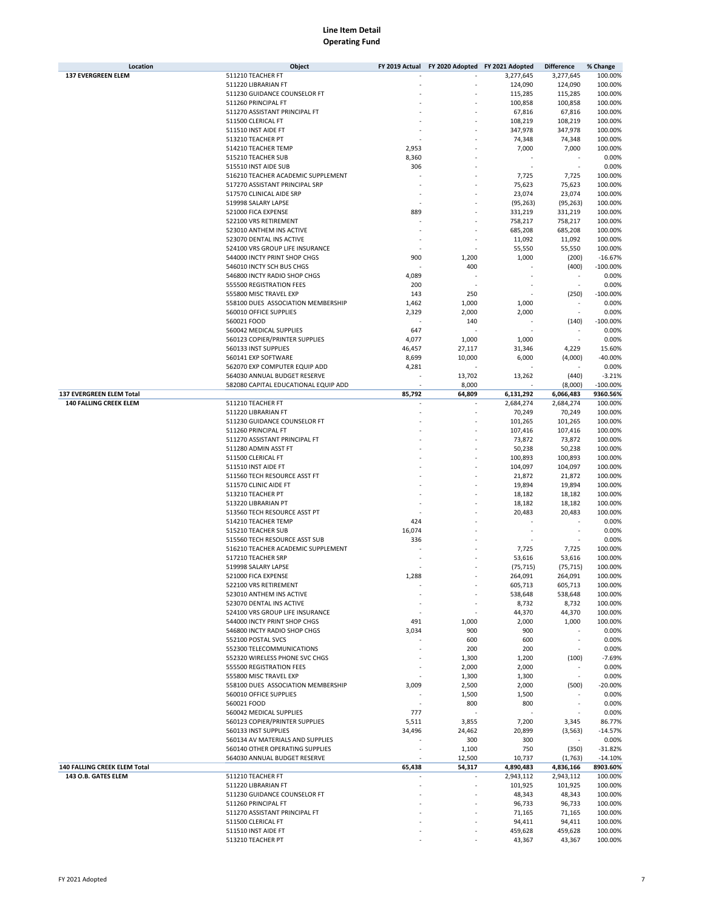| Location                      | Object                               |                 | FY 2019 Actual FY 2020 Adopted FY 2021 Adopted |           | <b>Difference</b>        | % Change   |
|-------------------------------|--------------------------------------|-----------------|------------------------------------------------|-----------|--------------------------|------------|
| <b>137 EVERGREEN ELEM</b>     | 511210 TEACHER FT                    |                 |                                                | 3,277,645 | 3,277,645                | 100.00%    |
|                               | 511220 LIBRARIAN FT                  |                 |                                                | 124,090   | 124,090                  | 100.00%    |
|                               | 511230 GUIDANCE COUNSELOR FT         |                 |                                                | 115,285   | 115,285                  | 100.00%    |
|                               | 511260 PRINCIPAL FT                  |                 |                                                | 100,858   | 100,858                  | 100.00%    |
|                               | 511270 ASSISTANT PRINCIPAL FT        |                 |                                                | 67,816    | 67,816                   | 100.00%    |
|                               | 511500 CLERICAL FT                   |                 |                                                | 108,219   | 108,219                  | 100.00%    |
|                               | 511510 INST AIDE FT                  |                 |                                                | 347,978   | 347,978                  | 100.00%    |
|                               | 513210 TEACHER PT                    |                 |                                                | 74,348    | 74,348                   | 100.00%    |
|                               | 514210 TEACHER TEMP                  | 2,953           |                                                | 7,000     | 7,000                    | 100.00%    |
|                               | 515210 TEACHER SUB                   | 8,360           |                                                |           |                          | 0.00%      |
|                               | 515510 INST AIDE SUB                 | 306             |                                                |           |                          | 0.00%      |
|                               | 516210 TEACHER ACADEMIC SUPPLEMENT   |                 |                                                | 7,725     | 7,725                    | 100.00%    |
|                               | 517270 ASSISTANT PRINCIPAL SRP       |                 |                                                | 75,623    | 75,623                   | 100.00%    |
|                               | 517570 CLINICAL AIDE SRP             |                 |                                                | 23,074    | 23,074                   | 100.00%    |
|                               | 519998 SALARY LAPSE                  |                 |                                                | (95, 263) | (95, 263)                | 100.00%    |
|                               | 521000 FICA EXPENSE                  | 889             |                                                | 331,219   | 331,219                  | 100.00%    |
|                               | 522100 VRS RETIREMENT                |                 |                                                |           |                          |            |
|                               |                                      |                 |                                                | 758,217   | 758,217                  | 100.00%    |
|                               | 523010 ANTHEM INS ACTIVE             |                 |                                                | 685,208   | 685,208                  | 100.00%    |
|                               | 523070 DENTAL INS ACTIVE             |                 |                                                | 11,092    | 11,092                   | 100.00%    |
|                               | 524100 VRS GROUP LIFE INSURANCE      |                 |                                                | 55,550    | 55,550                   | 100.00%    |
|                               | 544000 INCTY PRINT SHOP CHGS         | 900             | 1,200                                          | 1,000     | (200)                    | $-16.67%$  |
|                               | 546010 INCTY SCH BUS CHGS            |                 | 400                                            |           | (400)                    | $-100.00%$ |
|                               | 546800 INCTY RADIO SHOP CHGS         | 4,089           |                                                |           |                          | 0.00%      |
|                               | 555500 REGISTRATION FEES             | 200             |                                                |           |                          | 0.00%      |
|                               | 555800 MISC TRAVEL EXP               | 143             | 250                                            |           | (250)                    | $-100.00%$ |
|                               | 558100 DUES ASSOCIATION MEMBERSHIP   | 1,462           | 1,000                                          | 1,000     |                          | 0.00%      |
|                               | 560010 OFFICE SUPPLIES               | 2,329           | 2,000                                          | 2,000     |                          | 0.00%      |
|                               | 560021 FOOD                          |                 | 140                                            |           | (140)                    | $-100.00%$ |
|                               | 560042 MEDICAL SUPPLIES              | 647             |                                                |           |                          | 0.00%      |
|                               | 560123 COPIER/PRINTER SUPPLIES       | 4,077           | 1,000                                          | 1,000     | $\sim$                   | 0.00%      |
|                               | 560133 INST SUPPLIES                 | 46,457          | 27,117                                         | 31,346    | 4,229                    | 15.60%     |
|                               | 560141 EXP SOFTWARE                  | 8,699           | 10,000                                         | 6,000     | (4,000)                  | $-40.00%$  |
|                               | 562070 EXP COMPUTER EQUIP ADD        | 4,281           |                                                |           |                          | 0.00%      |
|                               | 564030 ANNUAL BUDGET RESERVE         |                 | 13,702                                         | 13,262    | (440)                    | $-3.21%$   |
|                               | 582080 CAPITAL EDUCATIONAL EQUIP ADD |                 | 8,000                                          |           | (8,000)                  | $-100.00%$ |
| 137 EVERGREEN ELEM Total      |                                      | 85,792          | 64,809                                         | 6,131,292 | 6,066,483                | 9360.56%   |
| <b>140 FALLING CREEK ELEM</b> | 511210 TEACHER FT                    |                 |                                                | 2,684,274 | 2,684,274                | 100.00%    |
|                               | 511220 LIBRARIAN FT                  |                 |                                                | 70,249    | 70,249                   | 100.00%    |
|                               | 511230 GUIDANCE COUNSELOR FT         |                 |                                                | 101,265   | 101,265                  | 100.00%    |
|                               | 511260 PRINCIPAL FT                  |                 |                                                | 107,416   | 107,416                  | 100.00%    |
|                               | 511270 ASSISTANT PRINCIPAL FT        |                 |                                                | 73,872    | 73,872                   | 100.00%    |
|                               | 511280 ADMIN ASST FT                 |                 |                                                | 50,238    | 50,238                   | 100.00%    |
|                               | 511500 CLERICAL FT                   |                 |                                                | 100,893   | 100,893                  | 100.00%    |
|                               | 511510 INST AIDE FT                  |                 |                                                | 104,097   | 104,097                  | 100.00%    |
|                               | 511560 TECH RESOURCE ASST FT         |                 |                                                | 21,872    | 21,872                   | 100.00%    |
|                               | 511570 CLINIC AIDE FT                |                 |                                                | 19,894    | 19,894                   | 100.00%    |
|                               | 513210 TEACHER PT                    |                 |                                                | 18,182    | 18,182                   | 100.00%    |
|                               | 513220 LIBRARIAN PT                  |                 |                                                | 18,182    | 18,182                   | 100.00%    |
|                               | 513560 TECH RESOURCE ASST PT         |                 |                                                | 20,483    | 20,483                   | 100.00%    |
|                               | 514210 TEACHER TEMP                  | 424             |                                                |           |                          | 0.00%      |
|                               | 515210 TEACHER SUB                   | 16,074          |                                                |           |                          | 0.00%      |
|                               | 515560 TECH RESOURCE ASST SUB        | 336             |                                                |           |                          | 0.00%      |
|                               | 516210 TEACHER ACADEMIC SUPPLEMENT   |                 |                                                | 7,725     | 7,725                    | 100.00%    |
|                               | 517210 TEACHER SRP                   |                 |                                                | 53,616    | 53,616                   | 100.00%    |
|                               | 519998 SALARY LAPSE                  |                 |                                                | (75, 715) | (75, 715)                | 100.00%    |
|                               | 521000 FICA EXPENSE                  | 1,288           |                                                | 264,091   | 264,091                  | 100.00%    |
|                               | 522100 VRS RETIREMENT                |                 | $\sim$                                         | 605,713   | 605,713                  | 100.00%    |
|                               | 523010 ANTHEM INS ACTIVE             |                 |                                                | 538,648   | 538,648                  | 100.00%    |
|                               | 523070 DENTAL INS ACTIVE             |                 |                                                | 8,732     | 8,732                    | 100.00%    |
|                               | 524100 VRS GROUP LIFE INSURANCE      |                 |                                                | 44,370    | 44,370                   | 100.00%    |
|                               | 544000 INCTY PRINT SHOP CHGS         | 491             | 1,000                                          | 2,000     | 1,000                    | 100.00%    |
|                               | 546800 INCTY RADIO SHOP CHGS         | 3,034           | 900                                            | 900       |                          | 0.00%      |
|                               | 552100 POSTAL SVCS                   |                 | 600                                            | 600       |                          | 0.00%      |
|                               | 552300 TELECOMMUNICATIONS            |                 | 200                                            | 200       |                          | 0.00%      |
|                               | 552320 WIRELESS PHONE SVC CHGS       |                 | 1,300                                          | 1,200     | (100)                    | $-7.69%$   |
|                               | 555500 REGISTRATION FEES             |                 | 2,000                                          | 2,000     |                          | 0.00%      |
|                               | 555800 MISC TRAVEL EXP               |                 | 1,300                                          | 1,300     | $\overline{\phantom{a}}$ | 0.00%      |
|                               | 558100 DUES ASSOCIATION MEMBERSHIP   | 3,009           | 2,500                                          | 2,000     | (500)                    | $-20.00%$  |
|                               | 560010 OFFICE SUPPLIES               |                 | 1,500                                          | 1,500     |                          | 0.00%      |
|                               | 560021 FOOD                          |                 | 800                                            | 800       |                          | 0.00%      |
|                               | 560042 MEDICAL SUPPLIES              | 777             |                                                |           |                          | 0.00%      |
|                               | 560123 COPIER/PRINTER SUPPLIES       |                 |                                                | 7,200     |                          | 86.77%     |
|                               |                                      | 5,511<br>34,496 | 3,855                                          |           | 3,345                    |            |
|                               | 560133 INST SUPPLIES                 |                 | 24,462                                         | 20,899    | (3, 563)                 | $-14.57%$  |
|                               | 560134 AV MATERIALS AND SUPPLIES     |                 | 300                                            | 300       |                          | 0.00%      |
|                               | 560140 OTHER OPERATING SUPPLIES      |                 | 1,100                                          | 750       | (350)                    | $-31.82%$  |
|                               | 564030 ANNUAL BUDGET RESERVE         |                 | 12,500                                         | 10,737    | (1,763)                  | $-14.10%$  |
| 140 FALLING CREEK ELEM Total  |                                      | 65,438          | 54,317                                         | 4,890,483 | 4,836,166                | 8903.60%   |
| 143 O.B. GATES ELEM           | 511210 TEACHER FT                    |                 |                                                | 2,943,112 | 2,943,112                | 100.00%    |
|                               | 511220 LIBRARIAN FT                  |                 |                                                | 101,925   | 101,925                  | 100.00%    |
|                               | 511230 GUIDANCE COUNSELOR FT         |                 |                                                | 48,343    | 48,343                   | 100.00%    |
|                               | 511260 PRINCIPAL FT                  |                 |                                                | 96,733    | 96,733                   | 100.00%    |
|                               | 511270 ASSISTANT PRINCIPAL FT        |                 |                                                | 71,165    | 71,165                   | 100.00%    |
|                               | 511500 CLERICAL FT                   |                 |                                                | 94,411    | 94,411                   | 100.00%    |
|                               | 511510 INST AIDE FT                  |                 |                                                | 459,628   | 459,628                  | 100.00%    |
|                               | 513210 TEACHER PT                    |                 |                                                | 43,367    | 43,367                   | 100.00%    |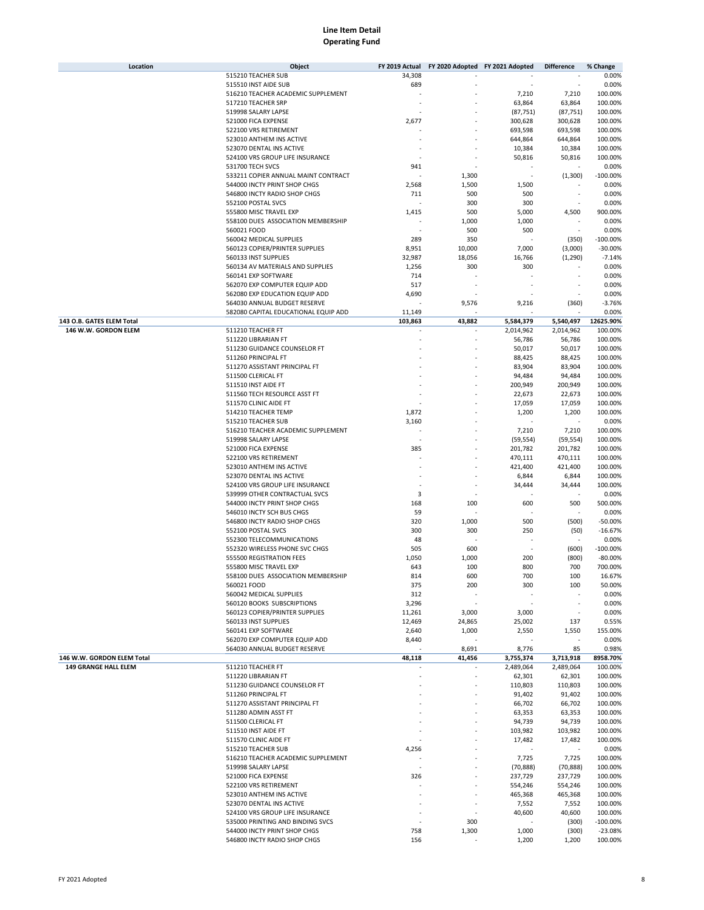| Location                    | Object                                              | FY 2019 Actual | FY 2020 Adopted FY 2021 Adopted |                   | <b>Difference</b> | % Change           |
|-----------------------------|-----------------------------------------------------|----------------|---------------------------------|-------------------|-------------------|--------------------|
|                             | 515210 TEACHER SUB                                  | 34,308         |                                 |                   |                   | 0.00%              |
|                             | 515510 INST AIDE SUB                                | 689            |                                 |                   |                   | 0.00%              |
|                             | 516210 TEACHER ACADEMIC SUPPLEMENT                  |                |                                 | 7,210             | 7,210             | 100.00%            |
|                             | 517210 TEACHER SRP                                  |                |                                 | 63,864            | 63,864            | 100.00%            |
|                             | 519998 SALARY LAPSE                                 |                |                                 | (87, 751)         | (87, 751)         | 100.00%            |
|                             | 521000 FICA EXPENSE                                 | 2,677          |                                 | 300,628           | 300,628           | 100.00%            |
|                             | 522100 VRS RETIREMENT                               |                |                                 | 693,598           | 693,598           | 100.00%            |
|                             | 523010 ANTHEM INS ACTIVE                            |                |                                 | 644,864           | 644,864           | 100.00%            |
|                             | 523070 DENTAL INS ACTIVE                            |                |                                 | 10,384            | 10,384            | 100.00%            |
|                             | 524100 VRS GROUP LIFE INSURANCE                     |                |                                 | 50,816            | 50,816            | 100.00%            |
|                             | 531700 TECH SVCS                                    | 941            |                                 |                   |                   | 0.00%              |
|                             | 533211 COPIER ANNUAL MAINT CONTRACT                 |                | 1,300                           |                   | (1,300)           | $-100.00%$         |
|                             | 544000 INCTY PRINT SHOP CHGS                        | 2,568          | 1,500                           | 1,500             |                   | 0.00%              |
|                             | 546800 INCTY RADIO SHOP CHGS                        | 711            | 500                             | 500               |                   | 0.00%              |
|                             | 552100 POSTAL SVCS                                  |                | 300                             | 300               |                   | 0.00%              |
|                             | 555800 MISC TRAVEL EXP                              | 1,415          | 500                             | 5,000             | 4,500             | 900.00%            |
|                             |                                                     |                |                                 |                   |                   |                    |
|                             | 558100 DUES ASSOCIATION MEMBERSHIP                  |                | 1,000                           | 1,000             | ÷,                | 0.00%              |
|                             | 560021 FOOD                                         |                | 500                             | 500               |                   | 0.00%              |
|                             | 560042 MEDICAL SUPPLIES                             | 289            | 350                             |                   | (350)             | $-100.00%$         |
|                             | 560123 COPIER/PRINTER SUPPLIES                      | 8,951          | 10,000                          | 7,000             | (3,000)           | $-30.00%$          |
|                             | 560133 INST SUPPLIES                                | 32,987         | 18,056                          | 16,766            | (1, 290)          | $-7.14%$           |
|                             | 560134 AV MATERIALS AND SUPPLIES                    | 1,256          | 300                             | 300               |                   | 0.00%              |
|                             | 560141 EXP SOFTWARE                                 | 714            |                                 |                   |                   | 0.00%              |
|                             | 562070 EXP COMPUTER EQUIP ADD                       | 517            |                                 |                   |                   | 0.00%              |
|                             | 562080 EXP EDUCATION EQUIP ADD                      | 4,690          |                                 |                   |                   | 0.00%              |
|                             | 564030 ANNUAL BUDGET RESERVE                        |                | 9,576                           | 9,216             | (360)             | $-3.76%$           |
|                             | 582080 CAPITAL EDUCATIONAL EQUIP ADD                | 11,149         |                                 |                   |                   | 0.00%              |
| 143 O.B. GATES ELEM Total   |                                                     | 103,863        | 43,882                          | 5,584,379         | 5,540,497         | 12625.90%          |
| 146 W.W. GORDON ELEM        | 511210 TEACHER FT                                   |                |                                 | 2,014,962         | 2,014,962         | 100.00%            |
|                             | 511220 LIBRARIAN FT                                 |                |                                 | 56,786            | 56,786            | 100.00%            |
|                             | 511230 GUIDANCE COUNSELOR FT                        |                |                                 | 50,017            | 50,017            | 100.00%            |
|                             | 511260 PRINCIPAL FT                                 |                |                                 | 88,425            | 88,425            | 100.00%            |
|                             | 511270 ASSISTANT PRINCIPAL FT                       |                |                                 | 83,904            | 83,904            | 100.00%            |
|                             | 511500 CLERICAL FT                                  |                |                                 | 94,484            | 94,484            | 100.00%            |
|                             | 511510 INST AIDE FT                                 |                |                                 | 200,949           | 200,949           | 100.00%            |
|                             | 511560 TECH RESOURCE ASST FT                        |                |                                 | 22,673            | 22,673            | 100.00%            |
|                             | 511570 CLINIC AIDE FT                               |                |                                 | 17,059            | 17,059            | 100.00%            |
|                             | 514210 TEACHER TEMP                                 | 1,872          |                                 | 1,200             | 1,200             | 100.00%            |
|                             | 515210 TEACHER SUB                                  | 3,160          |                                 |                   |                   | 0.00%              |
|                             | 516210 TEACHER ACADEMIC SUPPLEMENT                  |                |                                 | 7,210             | 7,210             | 100.00%            |
|                             | 519998 SALARY LAPSE                                 |                |                                 | (59, 554)         | (59, 554)         | 100.00%            |
|                             |                                                     |                |                                 |                   |                   |                    |
|                             | 521000 FICA EXPENSE                                 | 385            |                                 | 201,782           | 201,782           | 100.00%            |
|                             | 522100 VRS RETIREMENT                               |                |                                 | 470,111           | 470,111           | 100.00%            |
|                             | 523010 ANTHEM INS ACTIVE                            |                |                                 | 421,400           | 421,400           | 100.00%            |
|                             | 523070 DENTAL INS ACTIVE                            |                |                                 | 6,844             | 6,844             | 100.00%            |
|                             | 524100 VRS GROUP LIFE INSURANCE                     |                |                                 | 34,444            | 34,444            | 100.00%            |
|                             | 539999 OTHER CONTRACTUAL SVCS                       | 3              |                                 |                   |                   | 0.00%              |
|                             | 544000 INCTY PRINT SHOP CHGS                        | 168            | 100                             | 600               | 500               | 500.00%            |
|                             | 546010 INCTY SCH BUS CHGS                           | 59             |                                 |                   |                   | 0.00%              |
|                             | 546800 INCTY RADIO SHOP CHGS                        | 320            | 1,000                           | 500               | (500)             | $-50.00%$          |
|                             | 552100 POSTAL SVCS                                  | 300            | 300                             | 250               | (50)              | $-16.67%$          |
|                             | 552300 TELECOMMUNICATIONS                           | 48             |                                 |                   |                   | 0.00%              |
|                             | 552320 WIRELESS PHONE SVC CHGS                      | 505            | 600                             |                   | (600)             | $-100.00%$         |
|                             | 555500 REGISTRATION FEES                            | 1,050          | 1,000                           | 200               | (800)             | $-80.00%$          |
|                             | 555800 MISC TRAVEL EXP                              | 643            | 100                             | 800               | 700               | 700.00%            |
|                             | 558100 DUES ASSOCIATION MEMBERSHIP                  | 814            | 600                             | 700               | 100               | 16.67%             |
|                             | 560021 FOOD                                         | 375            | 200                             | 300               | 100               | 50.00%             |
|                             | 560042 MEDICAL SUPPLIES                             | 312            |                                 |                   |                   | 0.00%              |
|                             | 560120 BOOKS SUBSCRIPTIONS                          | 3,296          |                                 |                   |                   | 0.00%              |
|                             | 560123 COPIER/PRINTER SUPPLIES                      | 11,261         | 3,000                           | 3,000             | ä,                | 0.00%              |
|                             | 560133 INST SUPPLIES                                | 12,469         | 24,865                          | 25,002            | 137               | 0.55%              |
|                             | 560141 EXP SOFTWARE                                 | 2,640          | 1,000                           | 2,550             | 1,550             | 155.00%            |
|                             | 562070 EXP COMPUTER EQUIP ADD                       | 8,440          |                                 |                   |                   | 0.00%              |
|                             | 564030 ANNUAL BUDGET RESERVE                        |                | 8,691                           | 8,776             | 85                | 0.98%              |
| 146 W.W. GORDON ELEM Total  |                                                     | 48,118         | 41,456                          | 3,755,374         | 3,713,918         | 8958.70%           |
| <b>149 GRANGE HALL ELEM</b> | 511210 TEACHER FT                                   |                |                                 | 2,489,064         | 2,489,064         | 100.00%            |
|                             |                                                     |                |                                 |                   |                   |                    |
|                             | 511220 LIBRARIAN FT<br>511230 GUIDANCE COUNSELOR FT |                |                                 | 62,301<br>110,803 | 62,301<br>110,803 | 100.00%<br>100.00% |
|                             |                                                     |                |                                 |                   |                   |                    |
|                             | 511260 PRINCIPAL FT                                 |                |                                 | 91,402            | 91,402            | 100.00%            |
|                             | 511270 ASSISTANT PRINCIPAL FT                       |                |                                 | 66,702            | 66,702            | 100.00%            |
|                             | 511280 ADMIN ASST FT                                |                |                                 | 63,353            | 63,353            | 100.00%            |
|                             | 511500 CLERICAL FT                                  |                |                                 | 94,739            | 94,739            | 100.00%            |
|                             | 511510 INST AIDE FT                                 |                |                                 | 103,982           | 103,982           | 100.00%            |
|                             | 511570 CLINIC AIDE FT                               |                |                                 | 17,482            | 17,482            | 100.00%            |
|                             | 515210 TEACHER SUB                                  | 4,256          |                                 |                   |                   | 0.00%              |
|                             | 516210 TEACHER ACADEMIC SUPPLEMENT                  |                |                                 | 7,725             | 7,725             | 100.00%            |
|                             | 519998 SALARY LAPSE                                 |                |                                 | (70, 888)         | (70, 888)         | 100.00%            |
|                             | 521000 FICA EXPENSE                                 | 326            |                                 | 237,729           | 237,729           | 100.00%            |
|                             | 522100 VRS RETIREMENT                               |                |                                 | 554,246           | 554,246           | 100.00%            |
|                             | 523010 ANTHEM INS ACTIVE                            |                |                                 | 465,368           | 465,368           | 100.00%            |
|                             | 523070 DENTAL INS ACTIVE                            |                |                                 | 7,552             | 7,552             | 100.00%            |
|                             | 524100 VRS GROUP LIFE INSURANCE                     |                |                                 | 40,600            | 40,600            | 100.00%            |
|                             | 535000 PRINTING AND BINDING SVCS                    | ٠              | 300                             |                   | (300)             | $-100.00%$         |
|                             | 544000 INCTY PRINT SHOP CHGS                        | 758            | 1,300                           | 1,000             | (300)             | $-23.08%$          |
|                             | 546800 INCTY RADIO SHOP CHGS                        | 156            |                                 | 1,200             | 1,200             | 100.00%            |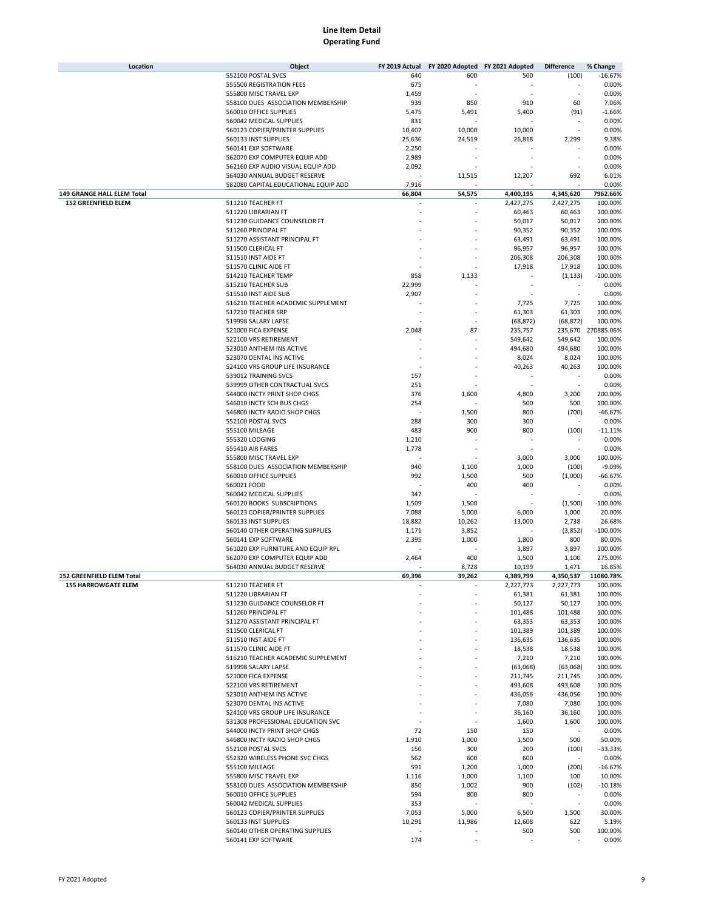| Location                         | Object                                                       | FY 2019 Actual |              | FY 2020 Adopted FY 2021 Adopted | <b>Difference</b> | % Change              |
|----------------------------------|--------------------------------------------------------------|----------------|--------------|---------------------------------|-------------------|-----------------------|
|                                  | 552100 POSTAL SVCS                                           | 640            | 600          | 500                             | (100)             | $-16.67%$             |
|                                  | 555500 REGISTRATION FEES                                     | 675            |              |                                 |                   | 0.00%                 |
|                                  | 555800 MISC TRAVEL EXP                                       | 1,459          |              |                                 |                   | 0.00%                 |
|                                  | 558100 DUES ASSOCIATION MEMBERSHIP                           | 939            | 850          | 910                             | 60                | 7.06%                 |
|                                  | 560010 OFFICE SUPPLIES                                       | 5,475          | 5,491        | 5,400                           | (91)              | $-1.66%$              |
|                                  | 560042 MEDICAL SUPPLIES                                      | 831            |              |                                 |                   | 0.00%                 |
|                                  | 560123 COPIER/PRINTER SUPPLIES                               | 10,407         | 10,000       | 10,000                          |                   | 0.00%                 |
|                                  | 560133 INST SUPPLIES                                         | 25,636         | 24,519       | 26,818                          | 2,299             | 9.38%                 |
|                                  | 560141 EXP SOFTWARE<br>562070 EXP COMPUTER EQUIP ADD         | 2,250<br>2,989 |              |                                 |                   | 0.00%<br>0.00%        |
|                                  | 562160 EXP AUDIO VISUAL EQUIP ADD                            | 2,092          |              |                                 |                   | 0.00%                 |
|                                  | 564030 ANNUAL BUDGET RESERVE                                 |                | 11,515       | 12,207                          | 692               | 6.01%                 |
|                                  | 582080 CAPITAL EDUCATIONAL EQUIP ADD                         | 7,916          |              |                                 |                   | 0.00%                 |
| 149 GRANGE HALL ELEM Total       |                                                              | 66,804         | 54,575       | 4,400,195                       | 4,345,620         | 7962.66%              |
| <b>152 GREENFIELD ELEM</b>       | 511210 TEACHER FT                                            |                |              | 2,427,275                       | 2,427,275         | 100.00%               |
|                                  | 511220 LIBRARIAN FT                                          |                |              | 60,463                          | 60,463            | 100.00%               |
|                                  | 511230 GUIDANCE COUNSELOR FT                                 |                |              | 50,017                          | 50,017            | 100.00%               |
|                                  | 511260 PRINCIPAL FT                                          |                |              | 90,352                          | 90,352            | 100.00%               |
|                                  | 511270 ASSISTANT PRINCIPAL FT                                |                |              | 63,491                          | 63,491            | 100.00%               |
|                                  | 511500 CLERICAL FT                                           |                |              | 96,957                          | 96,957            | 100.00%               |
|                                  | 511510 INST AIDE FT                                          |                |              | 206,308                         | 206,308           | 100.00%               |
|                                  | 511570 CLINIC AIDE FT                                        |                |              | 17,918                          | 17,918            | 100.00%               |
|                                  | 514210 TEACHER TEMP                                          | 858            | 1,133        |                                 | (1, 133)          | $-100.00%$            |
|                                  | 515210 TEACHER SUB                                           | 22,999         |              |                                 |                   | 0.00%                 |
|                                  | 515510 INST AIDE SUB                                         | 2,907          |              |                                 |                   | 0.00%                 |
|                                  | 516210 TEACHER ACADEMIC SUPPLEMENT                           |                |              | 7,725                           | 7,725             | 100.00%<br>100.00%    |
|                                  | 517210 TEACHER SRP<br>519998 SALARY LAPSE                    |                |              | 61,303                          | 61,303            | 100.00%               |
|                                  | 521000 FICA EXPENSE                                          | 2,048          | 87           | (68, 872)<br>235,757            | (68, 872)         | 235,670 270885.06%    |
|                                  | 522100 VRS RETIREMENT                                        |                |              | 549,642                         | 549,642           | 100.00%               |
|                                  | 523010 ANTHEM INS ACTIVE                                     |                |              | 494,680                         | 494,680           | 100.00%               |
|                                  | 523070 DENTAL INS ACTIVE                                     |                |              | 8,024                           | 8,024             | 100.00%               |
|                                  | 524100 VRS GROUP LIFE INSURANCE                              |                |              | 40,263                          | 40,263            | 100.00%               |
|                                  | 539012 TRAINING SVCS                                         | 157            |              |                                 |                   | 0.00%                 |
|                                  | 539999 OTHER CONTRACTUAL SVCS                                | 251            |              |                                 |                   | 0.00%                 |
|                                  | 544000 INCTY PRINT SHOP CHGS                                 | 376            | 1,600        | 4,800                           | 3,200             | 200.00%               |
|                                  | 546010 INCTY SCH BUS CHGS                                    | 254            |              | 500                             | 500               | 100.00%               |
|                                  | 546800 INCTY RADIO SHOP CHGS                                 |                | 1,500        | 800                             | (700)             | $-46.67%$             |
|                                  | 552100 POSTAL SVCS                                           | 288            | 300          | 300                             |                   | 0.00%                 |
|                                  | 555100 MILEAGE                                               | 483            | 900          | 800                             | (100)             | $-11.11%$             |
|                                  | 555320 LODGING                                               | 1,210          |              |                                 |                   | 0.00%                 |
|                                  | 555410 AIR FARES                                             | 1,778          |              |                                 |                   | 0.00%                 |
|                                  | 555800 MISC TRAVEL EXP                                       |                |              | 3,000                           | 3,000             | 100.00%               |
|                                  | 558100 DUES ASSOCIATION MEMBERSHIP<br>560010 OFFICE SUPPLIES | 940<br>992     | 1,100        | 1,000<br>500                    | (100)<br>(1,000)  | $-9.09%$<br>$-66.67%$ |
|                                  | 560021 FOOD                                                  |                | 1,500<br>400 | 400                             |                   | 0.00%                 |
|                                  | 560042 MEDICAL SUPPLIES                                      | 347            |              |                                 |                   | 0.00%                 |
|                                  | 560120 BOOKS SUBSCRIPTIONS                                   | 1,509          | 1,500        |                                 | (1,500)           | $-100.00%$            |
|                                  | 560123 COPIER/PRINTER SUPPLIES                               | 7,088          | 5,000        | 6,000                           | 1,000             | 20.00%                |
|                                  | 560133 INST SUPPLIES                                         | 18,882         | 10,262       | 13,000                          | 2,738             | 26.68%                |
|                                  | 560140 OTHER OPERATING SUPPLIES                              | 1,171          | 3,852        |                                 | (3,852)           | $-100.00%$            |
|                                  | 560141 EXP SOFTWARE                                          | 2,395          | 1,000        | 1,800                           | 800               | 80.00%                |
|                                  | 561020 EXP FURNITURE AND EQUIP RPL                           |                |              | 3,897                           | 3,897             | 100.00%               |
|                                  | 562070 EXP COMPUTER EQUIP ADD                                | 2,464          | 400          | 1,500                           | 1,100             | 275.00%               |
|                                  | 564030 ANNUAL BUDGET RESERVE                                 |                | 8,728        | 10,199                          | 1,471             | 16.85%                |
| <b>152 GREENFIELD ELEM Total</b> |                                                              | 69.396         | 39.262       | 4,389,799                       | 4,350,537         | 11080.78%             |
| <b>155 HARROWGATE ELEM</b>       | 511210 TEACHER FT                                            |                |              | 2,227,773                       | 2,227,773         | 100.00%               |
|                                  | 511220 LIBRARIAN FT<br>511230 GUIDANCE COUNSELOR FT          |                |              | 61,381<br>50,127                | 61,381<br>50,127  | 100.00%<br>100.00%    |
|                                  | 511260 PRINCIPAL FT                                          |                |              | 101,488                         | 101,488           | 100.00%               |
|                                  | 511270 ASSISTANT PRINCIPAL FT                                |                |              | 63,353                          | 63,353            | 100.00%               |
|                                  | 511500 CLERICAL FT                                           |                |              | 101,389                         | 101,389           | 100.00%               |
|                                  | 511510 INST AIDE FT                                          |                |              | 136,635                         | 136,635           | 100.00%               |
|                                  | 511570 CLINIC AIDE FT                                        |                |              | 18,538                          | 18,538            | 100.00%               |
|                                  | 516210 TEACHER ACADEMIC SUPPLEMENT                           |                |              | 7,210                           | 7,210             | 100.00%               |
|                                  | 519998 SALARY LAPSE                                          |                |              | (63,068)                        | (63,068)          | 100.00%               |
|                                  | 521000 FICA EXPENSE                                          |                |              | 211,745                         | 211,745           | 100.00%               |
|                                  | 522100 VRS RETIREMENT                                        |                |              | 493,608                         | 493,608           | 100.00%               |
|                                  | 523010 ANTHEM INS ACTIVE                                     |                |              | 436,056                         | 436,056           | 100.00%               |
|                                  | 523070 DENTAL INS ACTIVE                                     |                |              | 7,080                           | 7,080             | 100.00%               |
|                                  | 524100 VRS GROUP LIFE INSURANCE                              |                |              | 36,160                          | 36,160            | 100.00%               |
|                                  | 531308 PROFESSIONAL EDUCATION SVC                            |                |              | 1,600                           | 1,600             | 100.00%<br>0.00%      |
|                                  | 544000 INCTY PRINT SHOP CHGS<br>546800 INCTY RADIO SHOP CHGS | 72<br>1,910    | 150<br>1,000 | 150<br>1,500                    | 500               | 50.00%                |
|                                  | 552100 POSTAL SVCS                                           | 150            | 300          | 200                             | (100)             | $-33.33%$             |
|                                  | 552320 WIRELESS PHONE SVC CHGS                               | 562            | 600          | 600                             |                   | 0.00%                 |
|                                  | 555100 MILEAGE                                               | 591            | 1,200        | 1,000                           | (200)             | $-16.67%$             |
|                                  | 555800 MISC TRAVEL EXP                                       | 1,116          | 1,000        | 1,100                           | 100               | 10.00%                |
|                                  | 558100 DUES ASSOCIATION MEMBERSHIP                           | 850            | 1,002        | 900                             | (102)             | $-10.18%$             |
|                                  | 560010 OFFICE SUPPLIES                                       | 594            | 800          | 800                             |                   | 0.00%                 |
|                                  | 560042 MEDICAL SUPPLIES                                      | 353            |              |                                 |                   | 0.00%                 |
|                                  | 560123 COPIER/PRINTER SUPPLIES                               | 7,053          | 5,000        | 6,500                           | 1,500             | 30.00%                |
|                                  | 560133 INST SUPPLIES                                         | 10,291         | 11,986       | 12,608                          | 622               | 5.19%                 |
|                                  | 560140 OTHER OPERATING SUPPLIES                              |                |              | 500                             | 500               | 100.00%               |
|                                  | 560141 EXP SOFTWARE                                          | 174            |              |                                 |                   | 0.00%                 |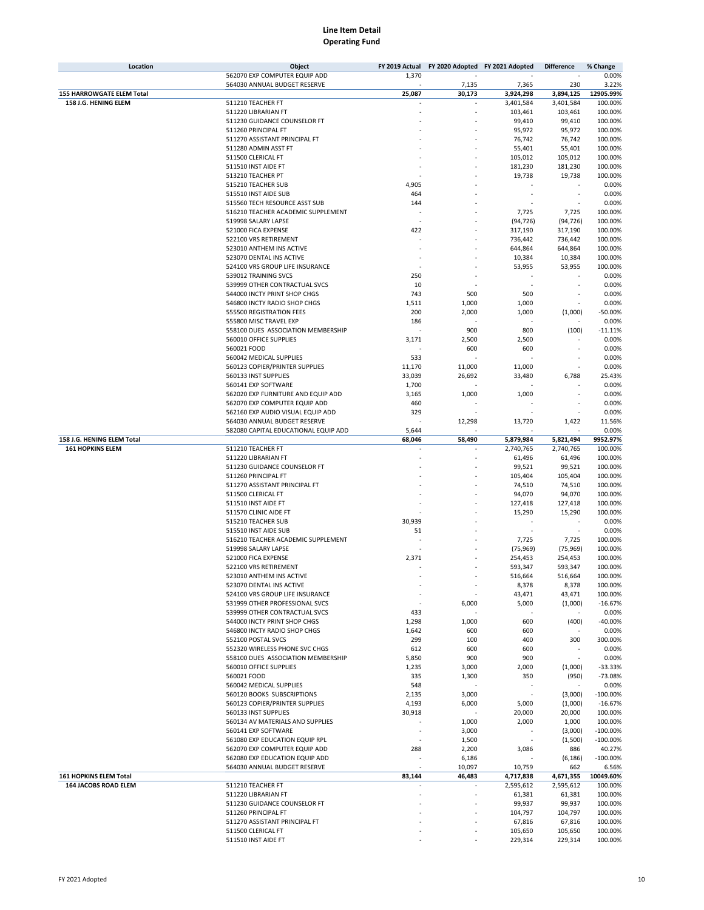| Location                         | Object                               | FY 2019 Actual | FY 2020 Adopted FY 2021 Adopted |           | <b>Difference</b> | % Change   |
|----------------------------------|--------------------------------------|----------------|---------------------------------|-----------|-------------------|------------|
|                                  | 562070 EXP COMPUTER EQUIP ADD        | 1,370          |                                 | ٠         | ä,                | 0.00%      |
|                                  | 564030 ANNUAL BUDGET RESERVE         |                | 7,135                           | 7,365     | 230               | 3.22%      |
| <b>155 HARROWGATE ELEM Total</b> |                                      | 25,087         | 30,173                          | 3,924,298 | 3,894,125         | 12905.99%  |
| 158 J.G. HENING ELEM             | 511210 TEACHER FT                    |                | $\overline{\phantom{a}}$        | 3,401,584 | 3,401,584         | 100.00%    |
|                                  | 511220 LIBRARIAN FT                  |                |                                 | 103,461   | 103,461           | 100.00%    |
|                                  | 511230 GUIDANCE COUNSELOR FT         |                |                                 | 99,410    | 99,410            | 100.00%    |
|                                  | 511260 PRINCIPAL FT                  |                |                                 | 95,972    | 95,972            | 100.00%    |
|                                  |                                      |                |                                 |           |                   |            |
|                                  | 511270 ASSISTANT PRINCIPAL FT        |                |                                 | 76,742    | 76,742            | 100.00%    |
|                                  | 511280 ADMIN ASST FT                 |                |                                 | 55,401    | 55,401            | 100.00%    |
|                                  | 511500 CLERICAL FT                   |                |                                 | 105,012   | 105,012           | 100.00%    |
|                                  | 511510 INST AIDE FT                  |                |                                 | 181,230   | 181,230           | 100.00%    |
|                                  | 513210 TEACHER PT                    |                |                                 | 19,738    | 19,738            | 100.00%    |
|                                  | 515210 TEACHER SUB                   | 4,905          |                                 |           |                   | 0.00%      |
|                                  | 515510 INST AIDE SUB                 | 464            |                                 |           |                   | 0.00%      |
|                                  | 515560 TECH RESOURCE ASST SUB        | 144            |                                 |           |                   | 0.00%      |
|                                  | 516210 TEACHER ACADEMIC SUPPLEMENT   |                |                                 | 7,725     | 7,725             | 100.00%    |
|                                  | 519998 SALARY LAPSE                  |                |                                 | (94, 726) | (94, 726)         | 100.00%    |
|                                  | 521000 FICA EXPENSE                  | 422            |                                 | 317,190   | 317,190           | 100.00%    |
|                                  | 522100 VRS RETIREMENT                |                |                                 | 736,442   | 736,442           | 100.00%    |
|                                  | 523010 ANTHEM INS ACTIVE             |                |                                 |           |                   |            |
|                                  |                                      |                |                                 | 644,864   | 644,864           | 100.00%    |
|                                  | 523070 DENTAL INS ACTIVE             |                |                                 | 10,384    | 10,384            | 100.00%    |
|                                  | 524100 VRS GROUP LIFE INSURANCE      |                |                                 | 53,955    | 53,955            | 100.00%    |
|                                  | 539012 TRAINING SVCS                 | 250            |                                 |           |                   | 0.00%      |
|                                  | 539999 OTHER CONTRACTUAL SVCS        | 10             |                                 |           |                   | 0.00%      |
|                                  | 544000 INCTY PRINT SHOP CHGS         | 743            | 500                             | 500       |                   | 0.00%      |
|                                  | 546800 INCTY RADIO SHOP CHGS         | 1,511          | 1,000                           | 1,000     |                   | 0.00%      |
|                                  | 555500 REGISTRATION FEES             | 200            | 2,000                           | 1,000     | (1,000)           | $-50.00%$  |
|                                  | 555800 MISC TRAVEL EXP               | 186            |                                 |           |                   | 0.00%      |
|                                  | 558100 DUES ASSOCIATION MEMBERSHIP   |                | 900                             | 800       | (100)             | $-11.11%$  |
|                                  | 560010 OFFICE SUPPLIES               | 3,171          | 2,500                           | 2,500     |                   | 0.00%      |
|                                  | 560021 FOOD                          |                | 600                             | 600       | ä,                | 0.00%      |
|                                  | 560042 MEDICAL SUPPLIES              | 533            |                                 |           |                   | 0.00%      |
|                                  | 560123 COPIER/PRINTER SUPPLIES       |                |                                 |           |                   | 0.00%      |
|                                  |                                      | 11,170         | 11,000                          | 11,000    |                   |            |
|                                  | 560133 INST SUPPLIES                 | 33,039         | 26,692                          | 33,480    | 6,788             | 25.43%     |
|                                  | 560141 EXP SOFTWARE                  | 1,700          |                                 |           |                   | 0.00%      |
|                                  | 562020 EXP FURNITURE AND EQUIP ADD   | 3,165          | 1,000                           | 1,000     |                   | 0.00%      |
|                                  | 562070 EXP COMPUTER EQUIP ADD        | 460            |                                 |           |                   | 0.00%      |
|                                  | 562160 EXP AUDIO VISUAL EQUIP ADD    | 329            |                                 |           |                   | 0.00%      |
|                                  | 564030 ANNUAL BUDGET RESERVE         |                | 12,298                          | 13,720    | 1,422             | 11.56%     |
|                                  | 582080 CAPITAL EDUCATIONAL EQUIP ADD | 5,644          |                                 |           |                   | 0.00%      |
| 158 J.G. HENING ELEM Total       |                                      | 68,046         | 58,490                          | 5,879,984 | 5,821,494         | 9952.97%   |
| <b>161 HOPKINS ELEM</b>          | 511210 TEACHER FT                    |                |                                 | 2,740,765 | 2,740,765         | 100.00%    |
|                                  | 511220 LIBRARIAN FT                  |                |                                 | 61,496    | 61,496            | 100.00%    |
|                                  | 511230 GUIDANCE COUNSELOR FT         |                |                                 | 99,521    | 99,521            | 100.00%    |
|                                  | 511260 PRINCIPAL FT                  |                |                                 | 105,404   | 105,404           | 100.00%    |
|                                  | 511270 ASSISTANT PRINCIPAL FT        |                |                                 | 74,510    | 74,510            | 100.00%    |
|                                  |                                      |                |                                 |           |                   |            |
|                                  | 511500 CLERICAL FT                   |                |                                 | 94,070    | 94,070            | 100.00%    |
|                                  | 511510 INST AIDE FT                  |                |                                 | 127,418   | 127,418           | 100.00%    |
|                                  | 511570 CLINIC AIDE FT                |                |                                 | 15,290    | 15,290            | 100.00%    |
|                                  | 515210 TEACHER SUB                   | 30,939         |                                 |           |                   | 0.00%      |
|                                  | 515510 INST AIDE SUB                 | 51             |                                 |           |                   | 0.00%      |
|                                  | 516210 TEACHER ACADEMIC SUPPLEMENT   |                |                                 | 7,725     | 7,725             | 100.00%    |
|                                  | 519998 SALARY LAPSE                  |                |                                 | (75, 969) | (75, 969)         | 100.00%    |
|                                  | 521000 FICA EXPENSE                  | 2,371          |                                 | 254,453   | 254,453           | 100.00%    |
|                                  | 522100 VRS RETIREMENT                |                |                                 | 593,347   | 593,347           | 100.00%    |
|                                  | 523010 ANTHEM INS ACTIVE             |                |                                 | 516,664   | 516,664           | 100.00%    |
|                                  | 523070 DENTAL INS ACTIVE             |                | ×                               | 8,378     | 8,378             | 100.00%    |
|                                  | 524100 VRS GROUP LIFE INSURANCE      |                |                                 | 43,471    | 43,471            | 100.00%    |
|                                  | 531999 OTHER PROFESSIONAL SVCS       |                | 6,000                           | 5,000     | (1,000)           | $-16.67%$  |
|                                  | 539999 OTHER CONTRACTUAL SVCS        | 433            |                                 |           |                   | 0.00%      |
|                                  | 544000 INCTY PRINT SHOP CHGS         | 1,298          | 1,000                           | 600       | (400)             | $-40.00%$  |
|                                  |                                      |                |                                 |           |                   |            |
|                                  | 546800 INCTY RADIO SHOP CHGS         | 1,642          | 600                             | 600       |                   | 0.00%      |
|                                  | 552100 POSTAL SVCS                   | 299            | 100                             | 400       | 300               | 300.00%    |
|                                  | 552320 WIRELESS PHONE SVC CHGS       | 612            | 600                             | 600       |                   | 0.00%      |
|                                  | 558100 DUES ASSOCIATION MEMBERSHIP   | 5,850          | 900                             | 900       |                   | 0.00%      |
|                                  | 560010 OFFICE SUPPLIES               | 1,235          | 3,000                           | 2,000     | (1,000)           | $-33.33%$  |
|                                  | 560021 FOOD                          | 335            | 1,300                           | 350       | (950)             | $-73.08%$  |
|                                  | 560042 MEDICAL SUPPLIES              | 548            |                                 |           |                   | 0.00%      |
|                                  | 560120 BOOKS SUBSCRIPTIONS           | 2,135          | 3,000                           |           | (3,000)           | $-100.00%$ |
|                                  | 560123 COPIER/PRINTER SUPPLIES       | 4,193          | 6,000                           | 5,000     | (1,000)           | $-16.67%$  |
|                                  | 560133 INST SUPPLIES                 | 30,918         |                                 | 20,000    | 20,000            | 100.00%    |
|                                  | 560134 AV MATERIALS AND SUPPLIES     |                | 1,000                           | 2,000     | 1,000             | 100.00%    |
|                                  | 560141 EXP SOFTWARE                  | ٠              | 3,000                           |           | (3,000)           | $-100.00%$ |
|                                  |                                      |                |                                 |           |                   |            |
|                                  | 561080 EXP EDUCATION EQUIP RPL       |                | 1,500                           |           | (1,500)           | $-100.00%$ |
|                                  | 562070 EXP COMPUTER EQUIP ADD        | 288            | 2,200                           | 3,086     | 886               | 40.27%     |
|                                  | 562080 EXP EDUCATION EQUIP ADD       | ٠              | 6,186                           |           | (6, 186)          | $-100.00%$ |
|                                  | 564030 ANNUAL BUDGET RESERVE         |                | 10,097                          | 10,759    | 662               | 6.56%      |
| <b>161 HOPKINS ELEM Total</b>    |                                      | 83,144         | 46,483                          | 4,717,838 | 4,671,355         | 10049.60%  |
| 164 JACOBS ROAD ELEM             | 511210 TEACHER FT                    | ٠              | $\overline{\phantom{a}}$        | 2,595,612 | 2,595,612         | 100.00%    |
|                                  | 511220 LIBRARIAN FT                  |                | ä,                              | 61,381    | 61,381            | 100.00%    |
|                                  | 511230 GUIDANCE COUNSELOR FT         |                |                                 | 99,937    | 99,937            | 100.00%    |
|                                  | 511260 PRINCIPAL FT                  |                |                                 | 104,797   | 104,797           | 100.00%    |
|                                  | 511270 ASSISTANT PRINCIPAL FT        |                |                                 | 67,816    | 67,816            | 100.00%    |
|                                  | 511500 CLERICAL FT                   |                |                                 | 105,650   | 105,650           | 100.00%    |
|                                  | 511510 INST AIDE FT                  |                |                                 | 229,314   | 229,314           | 100.00%    |
|                                  |                                      |                |                                 |           |                   |            |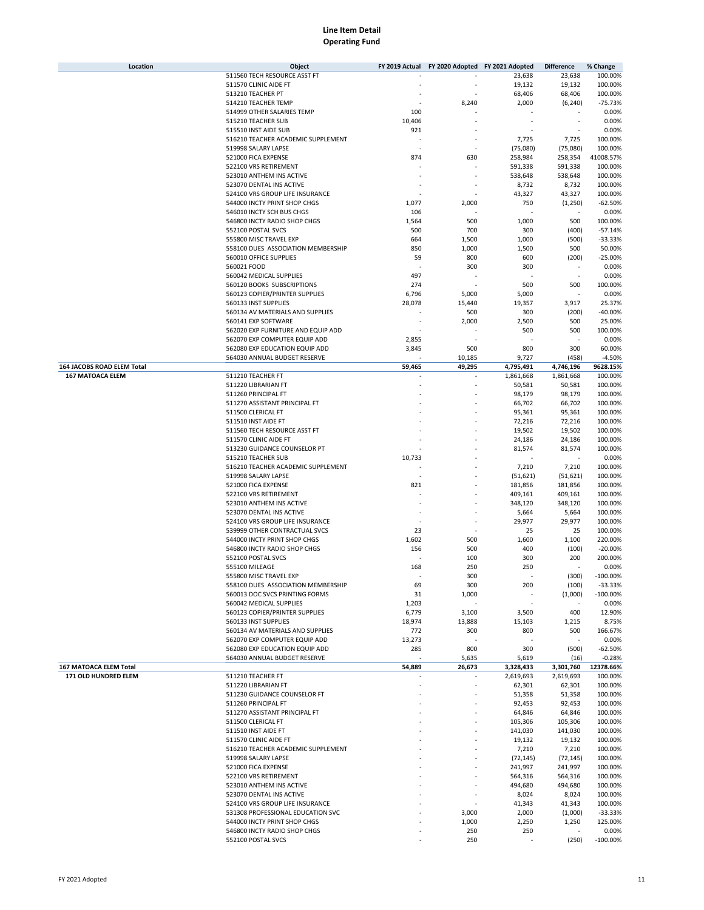| Location                   | Object                             | FY 2019 Actual | FY 2020 Adopted FY 2021 Adopted |           | <b>Difference</b> | % Change    |
|----------------------------|------------------------------------|----------------|---------------------------------|-----------|-------------------|-------------|
|                            | 511560 TECH RESOURCE ASST FT       |                |                                 | 23,638    | 23,638            | 100.00%     |
|                            | 511570 CLINIC AIDE FT              |                |                                 | 19,132    | 19,132            | 100.00%     |
|                            | 513210 TEACHER PT                  |                |                                 | 68,406    | 68,406            | 100.00%     |
|                            | 514210 TEACHER TEMP                |                | 8,240                           | 2,000     | (6, 240)          | $-75.73%$   |
|                            | 514999 OTHER SALARIES TEMP         | 100            |                                 |           |                   | 0.00%       |
|                            | 515210 TEACHER SUB                 | 10,406         |                                 |           |                   | 0.00%       |
|                            | 515510 INST AIDE SUB               | 921            |                                 |           |                   | 0.00%       |
|                            |                                    |                | ä,                              |           |                   |             |
|                            | 516210 TEACHER ACADEMIC SUPPLEMENT |                |                                 | 7,725     | 7,725             | 100.00%     |
|                            | 519998 SALARY LAPSE                |                |                                 | (75,080)  | (75,080)          | 100.00%     |
|                            | 521000 FICA EXPENSE                | 874            | 630                             | 258,984   | 258,354           | 41008.57%   |
|                            | 522100 VRS RETIREMENT              |                |                                 | 591,338   | 591,338           | 100.00%     |
|                            | 523010 ANTHEM INS ACTIVE           |                |                                 | 538,648   | 538,648           | 100.00%     |
|                            | 523070 DENTAL INS ACTIVE           |                |                                 | 8,732     | 8,732             | 100.00%     |
|                            | 524100 VRS GROUP LIFE INSURANCE    |                |                                 | 43,327    | 43,327            | 100.00%     |
|                            | 544000 INCTY PRINT SHOP CHGS       | 1,077          | 2,000                           | 750       | (1,250)           | $-62.50%$   |
|                            | 546010 INCTY SCH BUS CHGS          | 106            |                                 |           |                   | 0.00%       |
|                            | 546800 INCTY RADIO SHOP CHGS       | 1,564          | 500                             | 1,000     | 500               | 100.00%     |
|                            | 552100 POSTAL SVCS                 | 500            | 700                             | 300       | (400)             | $-57.14%$   |
|                            | 555800 MISC TRAVEL EXP             | 664            | 1,500                           | 1,000     | (500)             | $-33.33%$   |
|                            |                                    | 850            |                                 |           |                   |             |
|                            | 558100 DUES ASSOCIATION MEMBERSHIP |                | 1,000                           | 1,500     | 500               | 50.00%      |
|                            | 560010 OFFICE SUPPLIES             | 59             | 800                             | 600       | (200)             | $-25.00%$   |
|                            | 560021 FOOD                        |                | 300                             | 300       |                   | 0.00%       |
|                            | 560042 MEDICAL SUPPLIES            | 497            |                                 |           | ×                 | 0.00%       |
|                            | 560120 BOOKS SUBSCRIPTIONS         | 274            |                                 | 500       | 500               | 100.00%     |
|                            | 560123 COPIER/PRINTER SUPPLIES     | 6,796          | 5,000                           | 5,000     |                   | 0.00%       |
|                            | 560133 INST SUPPLIES               | 28,078         | 15,440                          | 19,357    | 3,917             | 25.37%      |
|                            | 560134 AV MATERIALS AND SUPPLIES   |                | 500                             | 300       | (200)             | $-40.00%$   |
|                            | 560141 EXP SOFTWARE                |                | 2,000                           | 2,500     | 500               | 25.00%      |
|                            | 562020 EXP FURNITURE AND EQUIP ADD |                |                                 | 500       | 500               | 100.00%     |
|                            | 562070 EXP COMPUTER EQUIP ADD      | 2,855          |                                 |           |                   | 0.00%       |
|                            | 562080 EXP EDUCATION EQUIP ADD     | 3,845          | 500                             | 800       | 300               | 60.00%      |
|                            | 564030 ANNUAL BUDGET RESERVE       |                | 10,185                          | 9,727     | (458)             | $-4.50%$    |
| 164 JACOBS ROAD ELEM Total |                                    | 59,465         | 49,295                          | 4,795,491 | 4,746,196         | 9628.15%    |
|                            | 511210 TEACHER FT                  |                | ٠                               | 1,861,668 | 1,861,668         |             |
| <b>167 MATOACA ELEM</b>    |                                    |                |                                 |           |                   | 100.00%     |
|                            | 511220 LIBRARIAN FT                |                |                                 | 50,581    | 50,581            | 100.00%     |
|                            | 511260 PRINCIPAL FT                |                |                                 | 98,179    | 98,179            | 100.00%     |
|                            | 511270 ASSISTANT PRINCIPAL FT      |                |                                 | 66,702    | 66,702            | 100.00%     |
|                            | 511500 CLERICAL FT                 |                |                                 | 95,361    | 95,361            | 100.00%     |
|                            | 511510 INST AIDE FT                |                |                                 | 72,216    | 72,216            | 100.00%     |
|                            | 511560 TECH RESOURCE ASST FT       |                |                                 | 19,502    | 19,502            | 100.00%     |
|                            | 511570 CLINIC AIDE FT              |                |                                 | 24,186    | 24,186            | 100.00%     |
|                            | 513230 GUIDANCE COUNSELOR PT       |                |                                 | 81,574    | 81,574            | 100.00%     |
|                            | 515210 TEACHER SUB                 | 10,733         |                                 |           |                   | 0.00%       |
|                            | 516210 TEACHER ACADEMIC SUPPLEMENT |                |                                 | 7,210     | 7,210             | 100.00%     |
|                            | 519998 SALARY LAPSE                |                |                                 | (51, 621) | (51, 621)         | 100.00%     |
|                            | 521000 FICA EXPENSE                | 821            |                                 | 181,856   | 181,856           | 100.00%     |
|                            |                                    |                |                                 |           |                   |             |
|                            | 522100 VRS RETIREMENT              |                |                                 | 409,161   | 409,161           | 100.00%     |
|                            | 523010 ANTHEM INS ACTIVE           |                |                                 | 348,120   | 348,120           | 100.00%     |
|                            | 523070 DENTAL INS ACTIVE           |                |                                 | 5,664     | 5,664             | 100.00%     |
|                            | 524100 VRS GROUP LIFE INSURANCE    |                |                                 | 29,977    | 29,977            | 100.00%     |
|                            | 539999 OTHER CONTRACTUAL SVCS      | 23             |                                 | 25        | 25                | 100.00%     |
|                            | 544000 INCTY PRINT SHOP CHGS       | 1,602          | 500                             | 1,600     | 1,100             | 220.00%     |
|                            | 546800 INCTY RADIO SHOP CHGS       | 156            | 500                             | 400       | (100)             | $-20.00%$   |
|                            | 552100 POSTAL SVCS                 |                | 100                             | 300       | 200               | 200.00%     |
|                            | 555100 MILEAGE                     | 168            | 250                             | 250       |                   | 0.00%       |
|                            | 555800 MISC TRAVEL EXP             |                | 300                             |           | (300)             | $-100.00%$  |
|                            | 558100 DUES ASSOCIATION MEMBERSHIP | 69             | 300                             | 200       | (100)             | $-33.33%$   |
|                            | 560013 DOC SVCS PRINTING FORMS     | 31             | 1,000                           |           | (1,000)           | $-100.00\%$ |
|                            | 560042 MEDICAL SUPPLIES            | 1,203          |                                 |           |                   | 0.00%       |
|                            | 560123 COPIER/PRINTER SUPPLIES     | 6,779          | 3,100                           | 3,500     | 400               | 12.90%      |
|                            |                                    | 18,974         |                                 |           |                   | 8.75%       |
|                            | 560133 INST SUPPLIES               |                | 13,888                          | 15,103    | 1,215             |             |
|                            | 560134 AV MATERIALS AND SUPPLIES   | 772            | 300                             | 800       | 500               | 166.67%     |
|                            | 562070 EXP COMPUTER EQUIP ADD      | 13,273         |                                 |           |                   | 0.00%       |
|                            | 562080 EXP EDUCATION EQUIP ADD     | 285            | 800                             | 300       | (500)             | $-62.50%$   |
|                            | 564030 ANNUAL BUDGET RESERVE       |                | 5,635                           | 5,619     | (16)              | $-0.28%$    |
| 167 MATOACA ELEM Total     |                                    | 54,889         | 26,673                          | 3,328,433 | 3,301,760         | 12378.66%   |
| 171 OLD HUNDRED ELEM       | 511210 TEACHER FT                  |                |                                 | 2,619,693 | 2,619,693         | 100.00%     |
|                            | 511220 LIBRARIAN FT                |                |                                 | 62,301    | 62,301            | 100.00%     |
|                            | 511230 GUIDANCE COUNSELOR FT       |                |                                 | 51,358    | 51,358            | 100.00%     |
|                            | 511260 PRINCIPAL FT                |                |                                 | 92,453    | 92,453            | 100.00%     |
|                            | 511270 ASSISTANT PRINCIPAL FT      |                |                                 | 64,846    | 64,846            | 100.00%     |
|                            | 511500 CLERICAL FT                 |                |                                 | 105,306   | 105,306           | 100.00%     |
|                            | 511510 INST AIDE FT                |                |                                 | 141,030   | 141,030           | 100.00%     |
|                            | 511570 CLINIC AIDE FT              |                |                                 | 19,132    | 19,132            | 100.00%     |
|                            | 516210 TEACHER ACADEMIC SUPPLEMENT |                |                                 | 7,210     | 7,210             | 100.00%     |
|                            | 519998 SALARY LAPSE                |                |                                 |           |                   | 100.00%     |
|                            |                                    |                |                                 | (72, 145) | (72, 145)         |             |
|                            | 521000 FICA EXPENSE                |                |                                 | 241,997   | 241,997           | 100.00%     |
|                            | 522100 VRS RETIREMENT              |                |                                 | 564,316   | 564,316           | 100.00%     |
|                            | 523010 ANTHEM INS ACTIVE           |                |                                 | 494,680   | 494,680           | 100.00%     |
|                            | 523070 DENTAL INS ACTIVE           |                |                                 | 8,024     | 8,024             | 100.00%     |
|                            | 524100 VRS GROUP LIFE INSURANCE    |                |                                 | 41,343    | 41,343            | 100.00%     |
|                            | 531308 PROFESSIONAL EDUCATION SVC  |                | 3,000                           | 2,000     | (1,000)           | $-33.33%$   |
|                            | 544000 INCTY PRINT SHOP CHGS       |                | 1,000                           | 2,250     | 1,250             | 125.00%     |
|                            | 546800 INCTY RADIO SHOP CHGS       |                | 250                             | 250       |                   | 0.00%       |
|                            | 552100 POSTAL SVCS                 |                | 250                             |           | (250)             | $-100.00\%$ |
|                            |                                    |                |                                 |           |                   |             |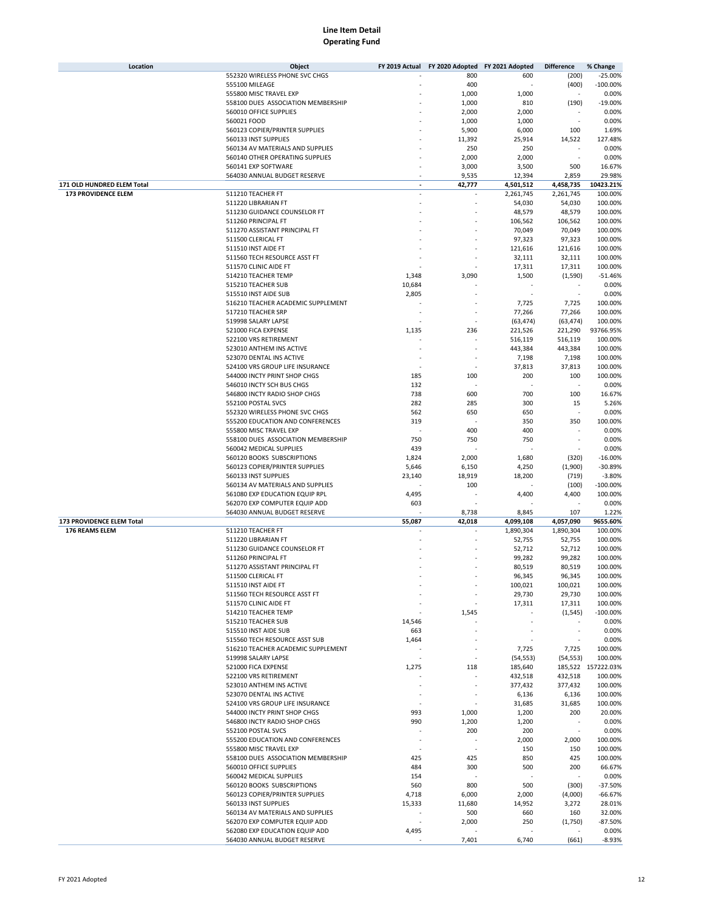| Location                   | Object                                              | FY 2019 Actual | FY 2020 Adopted FY 2021 Adopted |                  | <b>Difference</b> | % Change           |
|----------------------------|-----------------------------------------------------|----------------|---------------------------------|------------------|-------------------|--------------------|
|                            | 552320 WIRELESS PHONE SVC CHGS                      |                | 800                             | 600              | (200)             | $-25.00%$          |
|                            | 555100 MILEAGE                                      |                | 400                             |                  | (400)             | $-100.00%$         |
|                            | 555800 MISC TRAVEL EXP                              |                | 1,000                           | 1,000            |                   | 0.00%              |
|                            | 558100 DUES ASSOCIATION MEMBERSHIP                  |                | 1,000                           | 810              | (190)             | $-19.00%$          |
|                            | 560010 OFFICE SUPPLIES                              |                | 2,000                           | 2,000            |                   | 0.00%              |
|                            | 560021 FOOD                                         |                | 1,000                           | 1,000            |                   | 0.00%              |
|                            | 560123 COPIER/PRINTER SUPPLIES                      |                | 5,900                           | 6,000            | 100               | 1.69%              |
|                            | 560133 INST SUPPLIES                                |                | 11,392                          | 25,914           | 14,522            | 127.48%            |
|                            | 560134 AV MATERIALS AND SUPPLIES                    |                | 250                             | 250              |                   | 0.00%              |
|                            | 560140 OTHER OPERATING SUPPLIES                     |                | 2,000                           | 2,000            |                   | 0.00%              |
|                            | 560141 EXP SOFTWARE                                 |                |                                 |                  |                   |                    |
|                            | 564030 ANNUAL BUDGET RESERVE                        |                | 3,000                           | 3,500            | 500               | 16.67%             |
|                            |                                                     |                | 9,535                           | 12,394           | 2,859             | 29.98%             |
| 171 OLD HUNDRED ELEM Total |                                                     | ٠              | 42,777                          | 4,501,512        | 4,458,735         | 10423.21%          |
| 173 PROVIDENCE ELEM        | 511210 TEACHER FT                                   |                |                                 | 2,261,745        | 2,261,745         | 100.00%            |
|                            | 511220 LIBRARIAN FT                                 |                |                                 | 54,030           | 54,030            | 100.00%            |
|                            | 511230 GUIDANCE COUNSELOR FT                        |                |                                 | 48,579           | 48,579            | 100.00%            |
|                            | 511260 PRINCIPAL FT                                 |                |                                 | 106,562          | 106,562           | 100.00%            |
|                            | 511270 ASSISTANT PRINCIPAL FT                       |                |                                 | 70,049           | 70,049            | 100.00%            |
|                            | 511500 CLERICAL FT                                  |                |                                 | 97,323           | 97,323            | 100.00%            |
|                            | 511510 INST AIDE FT                                 |                |                                 | 121,616          | 121,616           | 100.00%            |
|                            | 511560 TECH RESOURCE ASST FT                        |                |                                 | 32,111           | 32,111            | 100.00%            |
|                            | 511570 CLINIC AIDE FT                               |                |                                 | 17,311           | 17,311            | 100.00%            |
|                            | 514210 TEACHER TEMP                                 | 1,348          | 3,090                           | 1,500            | (1,590)           | $-51.46%$          |
|                            | 515210 TEACHER SUB                                  | 10,684         |                                 |                  |                   | 0.00%              |
|                            | 515510 INST AIDE SUB                                | 2,805          |                                 |                  |                   | 0.00%              |
|                            | 516210 TEACHER ACADEMIC SUPPLEMENT                  |                |                                 | 7,725            | 7,725             | 100.00%            |
|                            | 517210 TEACHER SRP                                  |                |                                 | 77,266           | 77,266            | 100.00%            |
|                            | 519998 SALARY LAPSE                                 |                |                                 | (63, 474)        | (63, 474)         | 100.00%            |
|                            | 521000 FICA EXPENSE                                 | 1,135          | 236                             | 221,526          | 221,290           | 93766.95%          |
|                            | 522100 VRS RETIREMENT                               |                |                                 | 516,119          | 516,119           | 100.00%            |
|                            | 523010 ANTHEM INS ACTIVE                            |                |                                 | 443,384          | 443,384           | 100.00%            |
|                            | 523070 DENTAL INS ACTIVE                            |                |                                 | 7,198            | 7,198             | 100.00%            |
|                            | 524100 VRS GROUP LIFE INSURANCE                     |                |                                 |                  |                   |                    |
|                            |                                                     |                |                                 | 37,813           | 37,813            | 100.00%            |
|                            | 544000 INCTY PRINT SHOP CHGS                        | 185            | 100                             | 200              | 100               | 100.00%            |
|                            | 546010 INCTY SCH BUS CHGS                           | 132            |                                 |                  |                   | 0.00%              |
|                            | 546800 INCTY RADIO SHOP CHGS                        | 738            | 600                             | 700              | 100               | 16.67%             |
|                            | 552100 POSTAL SVCS                                  | 282            | 285                             | 300              | 15                | 5.26%              |
|                            | 552320 WIRELESS PHONE SVC CHGS                      | 562            | 650                             | 650              |                   | 0.00%              |
|                            | 555200 EDUCATION AND CONFERENCES                    | 319            |                                 | 350              | 350               | 100.00%            |
|                            | 555800 MISC TRAVEL EXP                              |                | 400                             | 400              |                   | 0.00%              |
|                            | 558100 DUES ASSOCIATION MEMBERSHIP                  | 750            | 750                             | 750              |                   | 0.00%              |
|                            | 560042 MEDICAL SUPPLIES                             | 439            |                                 |                  |                   | 0.00%              |
|                            | 560120 BOOKS SUBSCRIPTIONS                          | 1,824          | 2,000                           | 1,680            | (320)             | $-16.00%$          |
|                            | 560123 COPIER/PRINTER SUPPLIES                      | 5,646          | 6,150                           | 4,250            | (1,900)           | $-30.89%$          |
|                            | 560133 INST SUPPLIES                                | 23,140         | 18,919                          | 18,200           | (719)             | $-3.80%$           |
|                            | 560134 AV MATERIALS AND SUPPLIES                    |                | 100                             |                  | (100)             | $-100.00%$         |
|                            | 561080 EXP EDUCATION EQUIP RPL                      | 4,495          |                                 | 4,400            | 4,400             | 100.00%            |
|                            | 562070 EXP COMPUTER EQUIP ADD                       | 603            |                                 |                  |                   | 0.00%              |
|                            | 564030 ANNUAL BUDGET RESERVE                        |                | 8,738                           | 8,845            | 107               | 1.22%              |
| 173 PROVIDENCE ELEM Total  |                                                     | 55,087         | 42,018                          | 4,099,108        | 4,057,090         | 9655.60%           |
| 176 REAMS ELEM             | 511210 TEACHER FT                                   |                |                                 | 1,890,304        | 1,890,304         | 100.00%            |
|                            | 511220 LIBRARIAN FT                                 |                |                                 | 52,755           | 52,755            | 100.00%            |
|                            | 511230 GUIDANCE COUNSELOR FT                        |                |                                 | 52,712           | 52,712            | 100.00%            |
|                            | 511260 PRINCIPAL FT                                 |                |                                 | 99,282           | 99,282            | 100.00%            |
|                            |                                                     |                |                                 |                  |                   | 100.00%            |
|                            | 511270 ASSISTANT PRINCIPAL FT<br>511500 CLERICAL FT |                |                                 | 80,519<br>96,345 | 80,519<br>96,345  | 100.00%            |
|                            |                                                     |                |                                 |                  |                   | 100.00%            |
|                            | 511510 INST AIDE FT                                 |                |                                 | 100,021          | 100,021           |                    |
|                            | 511560 TECH RESOURCE ASST FT                        |                |                                 | 29,730           | 29,730            | 100.00%            |
|                            | 511570 CLINIC AIDE FT                               |                |                                 | 17,311           | 17,311            | 100.00%            |
|                            | 514210 TEACHER TEMP                                 |                | 1,545                           |                  | (1, 545)          | $-100.00\%$        |
|                            | 515210 TEACHER SUB                                  | 14,546         |                                 |                  |                   | 0.00%              |
|                            | 515510 INST AIDE SUB                                | 663            |                                 |                  |                   | 0.00%              |
|                            | 515560 TECH RESOURCE ASST SUB                       | 1,464          |                                 |                  |                   | 0.00%              |
|                            | 516210 TEACHER ACADEMIC SUPPLEMENT                  |                |                                 | 7,725            | 7,725             | 100.00%            |
|                            | 519998 SALARY LAPSE                                 |                |                                 | (54, 553)        | (54, 553)         | 100.00%            |
|                            | 521000 FICA EXPENSE                                 | 1,275          | 118                             | 185,640          |                   | 185,522 157222.03% |
|                            | 522100 VRS RETIREMENT                               |                |                                 | 432,518          | 432,518           | 100.00%            |
|                            | 523010 ANTHEM INS ACTIVE                            |                |                                 | 377,432          | 377,432           | 100.00%            |
|                            | 523070 DENTAL INS ACTIVE                            |                |                                 | 6,136            | 6,136             | 100.00%            |
|                            | 524100 VRS GROUP LIFE INSURANCE                     | ٠              |                                 | 31,685           | 31,685            | 100.00%            |
|                            | 544000 INCTY PRINT SHOP CHGS                        | 993            | 1,000                           | 1,200            | 200               | 20.00%             |
|                            | 546800 INCTY RADIO SHOP CHGS                        | 990            | 1,200                           | 1,200            |                   | 0.00%              |
|                            | 552100 POSTAL SVCS                                  |                | 200                             | 200              |                   | 0.00%              |
|                            | 555200 EDUCATION AND CONFERENCES                    | ٠              |                                 | 2,000            | 2,000             | 100.00%            |
|                            | 555800 MISC TRAVEL EXP                              |                |                                 | 150              | 150               | 100.00%            |
|                            | 558100 DUES ASSOCIATION MEMBERSHIP                  | 425            | 425                             | 850              | 425               | 100.00%            |
|                            | 560010 OFFICE SUPPLIES                              | 484            | 300                             | 500              | 200               | 66.67%             |
|                            | 560042 MEDICAL SUPPLIES                             | 154            |                                 |                  |                   | 0.00%              |
|                            | 560120 BOOKS SUBSCRIPTIONS                          | 560            | 800                             | 500              | (300)             | $-37.50%$          |
|                            | 560123 COPIER/PRINTER SUPPLIES                      | 4,718          | 6,000                           | 2,000            | (4,000)           | $-66.67%$          |
|                            | 560133 INST SUPPLIES                                | 15,333         | 11,680                          | 14,952           | 3,272             | 28.01%             |
|                            | 560134 AV MATERIALS AND SUPPLIES                    |                | 500                             | 660              | 160               | 32.00%             |
|                            | 562070 EXP COMPUTER EQUIP ADD                       |                | 2,000                           | 250              | (1,750)           | $-87.50%$          |
|                            | 562080 EXP EDUCATION EQUIP ADD                      | 4,495          |                                 |                  |                   | 0.00%              |
|                            |                                                     |                |                                 |                  |                   | $-8.93%$           |
|                            | 564030 ANNUAL BUDGET RESERVE                        |                | 7,401                           | 6,740            | (661)             |                    |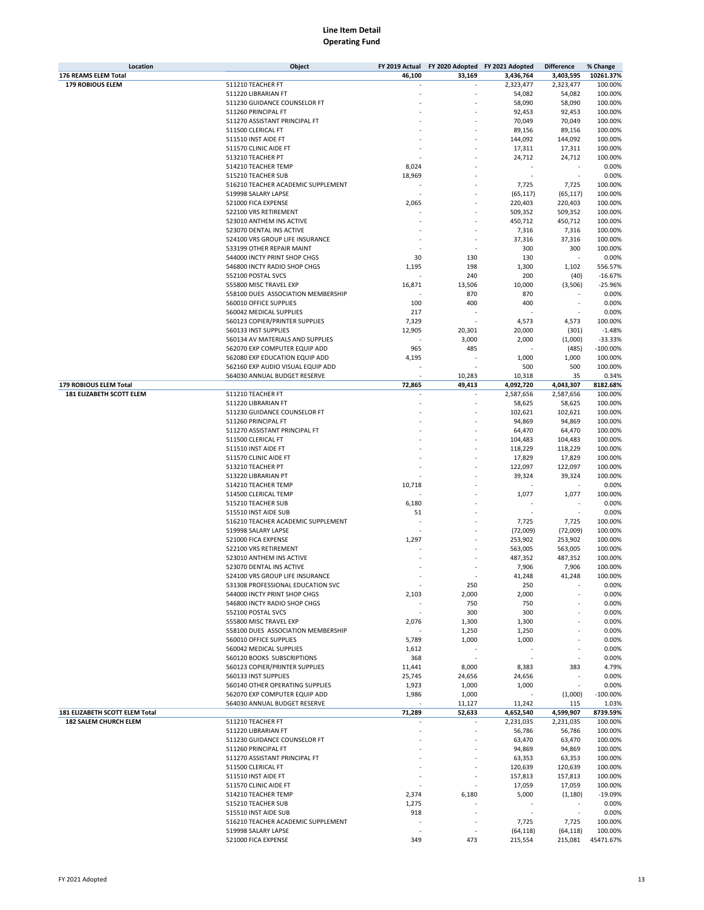| Location                        | Object                                                       | FY 2019 Actual | FY 2020 Adopted FY 2021 Adopted |            | <b>Difference</b> | % Change   |
|---------------------------------|--------------------------------------------------------------|----------------|---------------------------------|------------|-------------------|------------|
| 176 REAMS ELEM Total            |                                                              | 46,100         | 33,169                          | 3,436,764  | 3,403,595         | 10261.37%  |
| <b>179 ROBIOUS ELEM</b>         | 511210 TEACHER FT                                            |                |                                 | 2,323,477  | 2,323,477         | 100.00%    |
|                                 | 511220 LIBRARIAN FT                                          |                |                                 | 54,082     | 54,082            | 100.00%    |
|                                 | 511230 GUIDANCE COUNSELOR FT                                 |                |                                 | 58,090     | 58,090            | 100.00%    |
|                                 | 511260 PRINCIPAL FT                                          |                |                                 | 92,453     | 92,453            | 100.00%    |
|                                 | 511270 ASSISTANT PRINCIPAL FT                                |                |                                 | 70,049     | 70,049            | 100.00%    |
|                                 | 511500 CLERICAL FT                                           |                |                                 | 89,156     | 89,156            | 100.00%    |
|                                 | 511510 INST AIDE FT                                          |                |                                 | 144,092    | 144,092           | 100.00%    |
|                                 | 511570 CLINIC AIDE FT                                        |                |                                 | 17,311     | 17,311            | 100.00%    |
|                                 | 513210 TEACHER PT                                            |                |                                 | 24,712     | 24,712            | 100.00%    |
|                                 | 514210 TEACHER TEMP                                          | 8,024          |                                 |            |                   | 0.00%      |
|                                 | 515210 TEACHER SUB                                           | 18,969         |                                 |            | í,                | 0.00%      |
|                                 | 516210 TEACHER ACADEMIC SUPPLEMENT                           |                |                                 | 7,725      | 7,725             | 100.00%    |
|                                 | 519998 SALARY LAPSE                                          |                |                                 | (65, 117)  | (65, 117)         | 100.00%    |
|                                 | 521000 FICA EXPENSE                                          | 2,065          |                                 | 220,403    | 220,403           | 100.00%    |
|                                 | 522100 VRS RETIREMENT                                        |                |                                 | 509,352    | 509,352           | 100.00%    |
|                                 | 523010 ANTHEM INS ACTIVE                                     |                |                                 | 450,712    | 450,712           | 100.00%    |
|                                 | 523070 DENTAL INS ACTIVE                                     |                |                                 | 7,316      | 7,316             | 100.00%    |
|                                 | 524100 VRS GROUP LIFE INSURANCE                              |                |                                 | 37,316     | 37,316            | 100.00%    |
|                                 | 533199 OTHER REPAIR MAINT                                    |                |                                 | 300        | 300               | 100.00%    |
|                                 | 544000 INCTY PRINT SHOP CHGS                                 | 30             | 130                             | 130        |                   | 0.00%      |
|                                 | 546800 INCTY RADIO SHOP CHGS                                 | 1,195          | 198                             | 1,300      | 1,102             | 556.57%    |
|                                 | 552100 POSTAL SVCS                                           |                | 240                             | 200        |                   | $-16.67%$  |
|                                 |                                                              |                |                                 |            | (40)              |            |
|                                 | 555800 MISC TRAVEL EXP<br>558100 DUES ASSOCIATION MEMBERSHIP | 16,871         | 13,506                          | 10,000     | (3,506)           | $-25.96%$  |
|                                 |                                                              |                | 870                             | 870        |                   | 0.00%      |
|                                 | 560010 OFFICE SUPPLIES                                       | 100            | 400                             | 400        |                   | 0.00%      |
|                                 | 560042 MEDICAL SUPPLIES                                      | 217            |                                 |            |                   | 0.00%      |
|                                 | 560123 COPIER/PRINTER SUPPLIES                               | 7,329          |                                 | 4,573      | 4,573             | 100.00%    |
|                                 | 560133 INST SUPPLIES                                         | 12,905         | 20,301                          | 20,000     | (301)             | $-1.48%$   |
|                                 | 560134 AV MATERIALS AND SUPPLIES                             |                | 3,000                           | 2,000      | (1,000)           | $-33.33%$  |
|                                 | 562070 EXP COMPUTER EQUIP ADD                                | 965            | 485                             |            | (485)             | $-100.00%$ |
|                                 | 562080 EXP EDUCATION EQUIP ADD                               | 4,195          |                                 | 1,000      | 1,000             | 100.00%    |
|                                 | 562160 EXP AUDIO VISUAL EQUIP ADD                            |                |                                 | 500        | 500               | 100.00%    |
|                                 | 564030 ANNUAL BUDGET RESERVE                                 |                | 10,283                          | 10,318     | 35                | 0.34%      |
| 179 ROBIOUS ELEM Total          |                                                              | 72,865         | 49,413                          | 4,092,720  | 4,043,307         | 8182.68%   |
| <b>181 ELIZABETH SCOTT ELEM</b> | 511210 TEACHER FT                                            |                |                                 | 2,587,656  | 2,587,656         | 100.00%    |
|                                 | 511220 LIBRARIAN FT                                          |                |                                 | 58,625     | 58,625            | 100.00%    |
|                                 | 511230 GUIDANCE COUNSELOR FT                                 |                |                                 | 102,621    | 102,621           | 100.00%    |
|                                 | 511260 PRINCIPAL FT                                          |                |                                 | 94,869     | 94,869            | 100.00%    |
|                                 | 511270 ASSISTANT PRINCIPAL FT                                |                |                                 | 64,470     | 64,470            | 100.00%    |
|                                 | 511500 CLERICAL FT                                           |                |                                 | 104,483    | 104,483           | 100.00%    |
|                                 | 511510 INST AIDE FT                                          |                |                                 | 118,229    | 118,229           | 100.00%    |
|                                 | 511570 CLINIC AIDE FT                                        |                |                                 | 17,829     | 17,829            | 100.00%    |
|                                 | 513210 TEACHER PT                                            |                |                                 | 122,097    | 122,097           | 100.00%    |
|                                 | 513220 LIBRARIAN PT                                          |                |                                 | 39,324     | 39,324            | 100.00%    |
|                                 | 514210 TEACHER TEMP                                          | 10,718         |                                 |            |                   | 0.00%      |
|                                 | 514500 CLERICAL TEMP                                         |                |                                 | 1,077      | 1,077             | 100.00%    |
|                                 | 515210 TEACHER SUB                                           | 6,180          |                                 |            |                   | 0.00%      |
|                                 | 515510 INST AIDE SUB                                         | 51             |                                 |            | ×,                | 0.00%      |
|                                 | 516210 TEACHER ACADEMIC SUPPLEMENT                           |                |                                 | 7,725      | 7,725             | 100.00%    |
|                                 | 519998 SALARY LAPSE                                          |                |                                 | (72,009)   | (72,009)          | 100.00%    |
|                                 | 521000 FICA EXPENSE                                          | 1,297          |                                 | 253,902    | 253,902           | 100.00%    |
|                                 | 522100 VRS RETIREMENT                                        |                |                                 | 563,005    | 563,005           | 100.00%    |
|                                 | 523010 ANTHEM INS ACTIVE                                     |                |                                 | 487,352    | 487,352           | 100.00%    |
|                                 | 523070 DENTAL INS ACTIVE                                     |                |                                 | 7,906      | 7,906             | 100.00%    |
|                                 | 524100 VRS GROUP LIFE INSURANCE                              |                |                                 | 41,248     | 41,248            | 100.00%    |
|                                 | 531308 PROFESSIONAL EDUCATION SVC                            |                | 250                             | 250        |                   | 0.00%      |
|                                 | 544000 INCTY PRINT SHOP CHGS                                 | 2,103          | 2,000                           | 2,000      |                   | 0.00%      |
|                                 | 546800 INCTY RADIO SHOP CHGS                                 |                |                                 |            |                   | 0.00%      |
|                                 | 552100 POSTAL SVCS                                           |                | 750<br>300                      | 750<br>300 |                   | 0.00%      |
|                                 |                                                              |                |                                 |            |                   |            |
|                                 | 555800 MISC TRAVEL EXP                                       | 2,076          | 1,300                           | 1,300      |                   | 0.00%      |
|                                 | 558100 DUES ASSOCIATION MEMBERSHIP                           |                | 1,250                           | 1,250      |                   | 0.00%      |
|                                 | 560010 OFFICE SUPPLIES                                       | 5,789          | 1,000                           | 1,000      |                   | 0.00%      |
|                                 | 560042 MEDICAL SUPPLIES                                      | 1,612          |                                 |            |                   | 0.00%      |
|                                 | 560120 BOOKS SUBSCRIPTIONS                                   | 368            |                                 |            | ÷                 | 0.00%      |
|                                 | 560123 COPIER/PRINTER SUPPLIES                               | 11,441         | 8,000                           | 8,383      | 383               | 4.79%      |
|                                 | 560133 INST SUPPLIES                                         | 25,745         | 24,656                          | 24,656     |                   | 0.00%      |
|                                 | 560140 OTHER OPERATING SUPPLIES                              | 1,923          | 1,000                           | 1,000      | ×                 | 0.00%      |
|                                 | 562070 EXP COMPUTER EQUIP ADD                                | 1,986          | 1,000                           |            | (1,000)           | $-100.00%$ |
|                                 | 564030 ANNUAL BUDGET RESERVE                                 |                | 11,127                          | 11,242     | 115               | 1.03%      |
| 181 ELIZABETH SCOTT ELEM Total  |                                                              | 71,289         | 52,633                          | 4,652,540  | 4,599,907         | 8739.59%   |
| 182 SALEM CHURCH ELEM           | 511210 TEACHER FT                                            |                |                                 | 2,231,035  | 2,231,035         | 100.00%    |
|                                 | 511220 LIBRARIAN FT                                          |                |                                 | 56,786     | 56,786            | 100.00%    |
|                                 | 511230 GUIDANCE COUNSELOR FT                                 |                |                                 | 63,470     | 63,470            | 100.00%    |
|                                 | 511260 PRINCIPAL FT                                          |                |                                 | 94,869     | 94,869            | 100.00%    |
|                                 | 511270 ASSISTANT PRINCIPAL FT                                |                |                                 | 63,353     | 63,353            | 100.00%    |
|                                 | 511500 CLERICAL FT                                           |                |                                 | 120,639    | 120,639           | 100.00%    |
|                                 | 511510 INST AIDE FT                                          |                |                                 | 157,813    | 157,813           | 100.00%    |
|                                 | 511570 CLINIC AIDE FT                                        |                |                                 | 17,059     | 17,059            | 100.00%    |
|                                 | 514210 TEACHER TEMP                                          | 2,374          | 6,180                           | 5,000      | (1, 180)          | $-19.09%$  |
|                                 | 515210 TEACHER SUB                                           | 1,275          |                                 | ÷,         | ×,                | 0.00%      |
|                                 | 515510 INST AIDE SUB                                         | 918            |                                 |            |                   | 0.00%      |
|                                 | 516210 TEACHER ACADEMIC SUPPLEMENT                           |                |                                 | 7,725      | 7,725             | 100.00%    |
|                                 | 519998 SALARY LAPSE                                          |                |                                 | (64, 118)  | (64, 118)         | 100.00%    |
|                                 | 521000 FICA EXPENSE                                          | 349            | 473                             | 215,554    | 215,081           | 45471.67%  |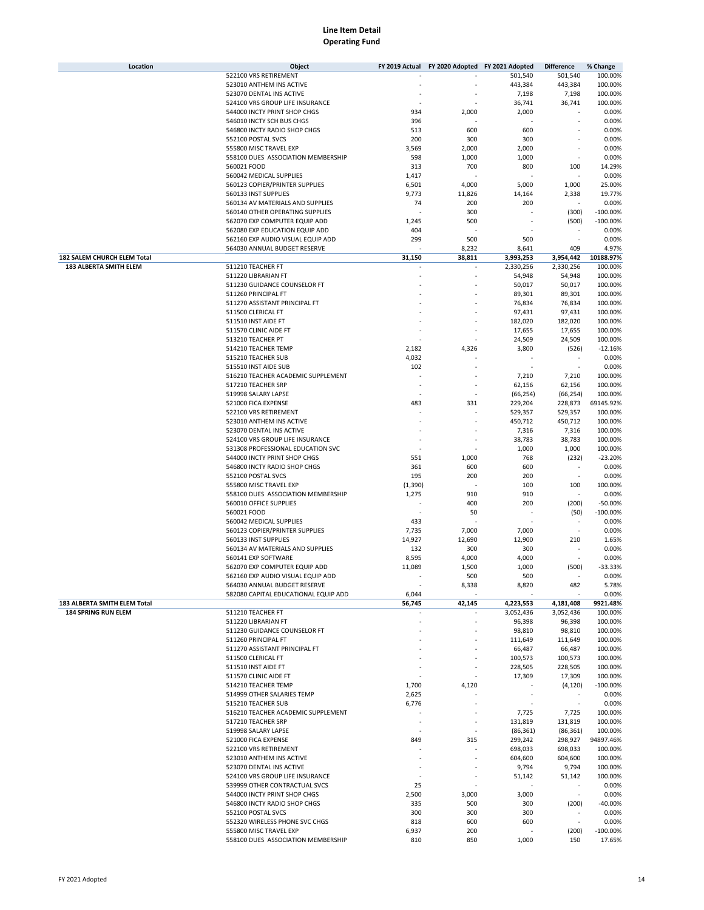| Location                     | Object                                                       | FY 2019 Actual | FY 2020 Adopted FY 2021 Adopted |               | <b>Difference</b>        | % Change           |
|------------------------------|--------------------------------------------------------------|----------------|---------------------------------|---------------|--------------------------|--------------------|
|                              | 522100 VRS RETIREMENT                                        |                |                                 | 501,540       | 501,540                  | 100.00%            |
|                              | 523010 ANTHEM INS ACTIVE                                     |                |                                 | 443,384       | 443,384                  | 100.00%            |
|                              | 523070 DENTAL INS ACTIVE                                     |                |                                 | 7,198         | 7,198                    | 100.00%            |
|                              | 524100 VRS GROUP LIFE INSURANCE                              |                |                                 | 36,741        | 36,741                   | 100.00%            |
|                              | 544000 INCTY PRINT SHOP CHGS                                 | 934            | 2,000                           | 2,000         |                          | 0.00%              |
|                              | 546010 INCTY SCH BUS CHGS                                    | 396            |                                 |               |                          | 0.00%              |
|                              | 546800 INCTY RADIO SHOP CHGS                                 | 513            | 600                             | 600           |                          | 0.00%              |
|                              | 552100 POSTAL SVCS                                           | 200            | 300                             | 300           |                          | 0.00%              |
|                              | 555800 MISC TRAVEL EXP                                       | 3,569          | 2,000                           | 2,000         |                          | 0.00%              |
|                              | 558100 DUES ASSOCIATION MEMBERSHIP                           | 598            | 1,000                           | 1,000         |                          | 0.00%              |
|                              | 560021 FOOD                                                  | 313            | 700                             | 800           | 100<br>ä,                | 14.29%             |
|                              | 560042 MEDICAL SUPPLIES<br>560123 COPIER/PRINTER SUPPLIES    | 1,417          |                                 |               |                          | 0.00%              |
|                              |                                                              | 6,501          | 4,000                           | 5,000         | 1,000                    | 25.00%<br>19.77%   |
|                              | 560133 INST SUPPLIES<br>560134 AV MATERIALS AND SUPPLIES     | 9,773<br>74    | 11,826<br>200                   | 14,164<br>200 | 2,338<br>ä,              | 0.00%              |
|                              | 560140 OTHER OPERATING SUPPLIES                              |                | 300                             |               | (300)                    | $-100.00%$         |
|                              | 562070 EXP COMPUTER EQUIP ADD                                | 1,245          | 500                             |               | (500)                    | $-100.00%$         |
|                              | 562080 EXP EDUCATION EQUIP ADD                               | 404            |                                 |               | ×                        | 0.00%              |
|                              | 562160 EXP AUDIO VISUAL EQUIP ADD                            | 299            | 500                             | 500           | ä,                       | 0.00%              |
|                              | 564030 ANNUAL BUDGET RESERVE                                 |                | 8,232                           | 8,641         | 409                      | 4.97%              |
| 182 SALEM CHURCH ELEM Total  |                                                              | 31,150         | 38,811                          | 3,993,253     | 3,954,442                | 10188.97%          |
| 183 ALBERTA SMITH ELEM       | 511210 TEACHER FT                                            |                |                                 | 2,330,256     | 2,330,256                | 100.00%            |
|                              | 511220 LIBRARIAN FT                                          |                |                                 | 54,948        | 54,948                   | 100.00%            |
|                              | 511230 GUIDANCE COUNSELOR FT                                 |                |                                 | 50,017        | 50,017                   | 100.00%            |
|                              | 511260 PRINCIPAL FT                                          |                |                                 | 89,301        | 89,301                   | 100.00%            |
|                              | 511270 ASSISTANT PRINCIPAL FT                                |                |                                 | 76,834        | 76,834                   | 100.00%            |
|                              | 511500 CLERICAL FT                                           |                |                                 | 97,431        | 97,431                   | 100.00%            |
|                              | 511510 INST AIDE FT                                          |                |                                 | 182,020       | 182,020                  | 100.00%            |
|                              | 511570 CLINIC AIDE FT                                        |                |                                 | 17,655        | 17,655                   | 100.00%            |
|                              | 513210 TEACHER PT                                            |                |                                 | 24,509        | 24,509                   | 100.00%            |
|                              | 514210 TEACHER TEMP                                          | 2,182          | 4,326                           | 3,800         | (526)                    | $-12.16%$          |
|                              | 515210 TEACHER SUB                                           | 4,032          |                                 |               |                          | 0.00%              |
|                              | 515510 INST AIDE SUB                                         | 102            |                                 |               | ٠                        | 0.00%              |
|                              | 516210 TEACHER ACADEMIC SUPPLEMENT                           |                |                                 | 7,210         | 7,210                    | 100.00%            |
|                              | 517210 TEACHER SRP                                           |                | í,                              | 62,156        | 62,156                   | 100.00%            |
|                              | 519998 SALARY LAPSE                                          |                | ä,                              | (66, 254)     | (66, 254)                | 100.00%            |
|                              | 521000 FICA EXPENSE                                          | 483            | 331                             | 229,204       | 228,873                  | 69145.92%          |
|                              | 522100 VRS RETIREMENT                                        |                |                                 | 529,357       | 529,357                  | 100.00%            |
|                              | 523010 ANTHEM INS ACTIVE                                     |                |                                 | 450,712       | 450,712                  | 100.00%            |
|                              | 523070 DENTAL INS ACTIVE                                     |                |                                 | 7,316         | 7,316                    | 100.00%            |
|                              | 524100 VRS GROUP LIFE INSURANCE                              |                |                                 | 38,783        | 38,783                   | 100.00%            |
|                              | 531308 PROFESSIONAL EDUCATION SVC                            |                |                                 | 1,000         | 1,000                    | 100.00%            |
|                              | 544000 INCTY PRINT SHOP CHGS                                 | 551            | 1,000                           | 768           | (232)                    | $-23.20%$          |
|                              | 546800 INCTY RADIO SHOP CHGS                                 | 361            | 600                             | 600           |                          | 0.00%              |
|                              | 552100 POSTAL SVCS                                           | 195            | 200                             | 200           | ł,                       | 0.00%              |
|                              | 555800 MISC TRAVEL EXP                                       | (1, 390)       |                                 | 100           | 100                      | 100.00%            |
|                              | 558100 DUES ASSOCIATION MEMBERSHIP                           | 1,275          | 910                             | 910           |                          | 0.00%              |
|                              | 560010 OFFICE SUPPLIES                                       |                | 400                             | 200           | (200)                    | $-50.00%$          |
|                              | 560021 FOOD                                                  |                | 50                              |               | (50)                     | $-100.00%$         |
|                              | 560042 MEDICAL SUPPLIES                                      | 433            |                                 |               |                          | 0.00%              |
|                              | 560123 COPIER/PRINTER SUPPLIES                               | 7,735          | 7,000                           | 7,000         | ٠                        | 0.00%              |
|                              | 560133 INST SUPPLIES                                         | 14,927         | 12,690                          | 12,900        | 210                      | 1.65%              |
|                              | 560134 AV MATERIALS AND SUPPLIES                             | 132            | 300                             | 300           |                          | 0.00%              |
|                              | 560141 EXP SOFTWARE                                          | 8,595          | 4,000                           | 4,000         |                          | 0.00%              |
|                              | 562070 EXP COMPUTER EQUIP ADD                                | 11,089         | 1,500                           | 1,000         | (500)                    | $-33.33%$          |
|                              | 562160 EXP AUDIO VISUAL EQUIP ADD                            |                | 500                             | 500           |                          | 0.00%              |
|                              | 564030 ANNUAL BUDGET RESERVE                                 |                | 8,338                           | 8,820         | 482                      | 5.78%              |
|                              | 582080 CAPITAL EDUCATIONAL EQUIP ADD                         | 6,044          |                                 |               | ä,                       | 0.00%              |
| 183 ALBERTA SMITH ELEM Total |                                                              | 56,745         | 42,145                          | 4,223,553     | 4,181,408                | 9921.48%           |
| <b>184 SPRING RUN ELEM</b>   | 511210 TEACHER FT                                            |                |                                 | 3,052,436     | 3,052,436                | 100.00%            |
|                              | 511220 LIBRARIAN FT                                          |                |                                 | 96,398        | 96,398                   | 100.00%            |
|                              | 511230 GUIDANCE COUNSELOR FT                                 |                |                                 | 98,810        | 98,810                   | 100.00%            |
|                              | 511260 PRINCIPAL FT                                          |                |                                 | 111,649       | 111,649                  | 100.00%            |
|                              | 511270 ASSISTANT PRINCIPAL FT                                |                |                                 | 66,487        | 66,487                   | 100.00%            |
|                              | 511500 CLERICAL FT                                           |                |                                 | 100,573       | 100,573                  | 100.00%            |
|                              | 511510 INST AIDE FT                                          |                |                                 | 228,505       | 228,505                  | 100.00%            |
|                              | 511570 CLINIC AIDE FT                                        |                |                                 | 17,309        | 17,309                   | 100.00%            |
|                              | 514210 TEACHER TEMP                                          | 1,700          | 4,120                           |               | (4, 120)                 | $-100.00%$         |
|                              | 514999 OTHER SALARIES TEMP                                   | 2,625          |                                 |               |                          | 0.00%              |
|                              | 515210 TEACHER SUB                                           | 6,776          |                                 |               |                          | 0.00%              |
|                              | 516210 TEACHER ACADEMIC SUPPLEMENT                           |                |                                 | 7,725         | 7,725                    | 100.00%            |
|                              | 517210 TEACHER SRP                                           |                | ٠                               | 131,819       | 131,819                  | 100.00%            |
|                              | 519998 SALARY LAPSE                                          |                | ä,                              | (86, 361)     | (86, 361)                | 100.00%            |
|                              | 521000 FICA EXPENSE                                          | 849            | 315                             | 299,242       | 298,927                  | 94897.46%          |
|                              | 522100 VRS RETIREMENT                                        |                |                                 | 698,033       | 698,033                  | 100.00%            |
|                              | 523010 ANTHEM INS ACTIVE                                     |                |                                 | 604,600       | 604,600                  | 100.00%            |
|                              | 523070 DENTAL INS ACTIVE                                     |                |                                 | 9,794         | 9,794                    | 100.00%            |
|                              | 524100 VRS GROUP LIFE INSURANCE                              |                |                                 | 51,142        | 51,142<br>×,             | 100.00%            |
|                              | 539999 OTHER CONTRACTUAL SVCS                                | 25             |                                 | 3,000         | $\overline{\phantom{a}}$ | 0.00%              |
|                              | 544000 INCTY PRINT SHOP CHGS<br>546800 INCTY RADIO SHOP CHGS | 2,500<br>335   | 3,000<br>500                    | 300           |                          | 0.00%<br>$-40.00%$ |
|                              | 552100 POSTAL SVCS                                           | 300            | 300                             | 300           | (200)<br>٠               | 0.00%              |
|                              | 552320 WIRELESS PHONE SVC CHGS                               | 818            | 600                             | 600           | $\overline{\phantom{a}}$ | 0.00%              |
|                              | 555800 MISC TRAVEL EXP                                       | 6,937          | 200                             |               | (200)                    | $-100.00\%$        |
|                              | 558100 DUES ASSOCIATION MEMBERSHIP                           | 810            | 850                             | 1,000         | 150                      | 17.65%             |
|                              |                                                              |                |                                 |               |                          |                    |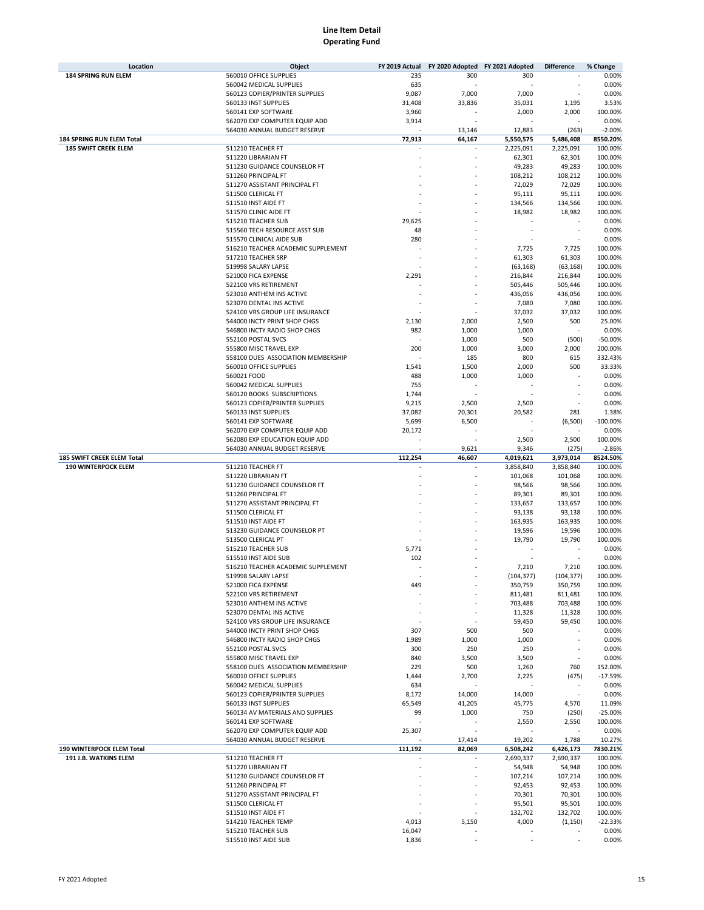| Location                    | Object                             | FY 2019 Actual | FY 2020 Adopted FY 2021 Adopted |            | <b>Difference</b>        | % Change   |
|-----------------------------|------------------------------------|----------------|---------------------------------|------------|--------------------------|------------|
| <b>184 SPRING RUN ELEM</b>  | 560010 OFFICE SUPPLIES             | 235            | 300                             | 300        |                          | 0.00%      |
|                             | 560042 MEDICAL SUPPLIES            | 635            |                                 |            |                          | 0.00%      |
|                             | 560123 COPIER/PRINTER SUPPLIES     | 9,087          | 7,000                           | 7,000      |                          | 0.00%      |
|                             | 560133 INST SUPPLIES               | 31,408         | 33,836                          | 35,031     | 1,195                    | 3.53%      |
|                             | 560141 EXP SOFTWARE                | 3,960          |                                 | 2,000      | 2,000                    | 100.00%    |
|                             | 562070 EXP COMPUTER EQUIP ADD      | 3,914          |                                 |            |                          | 0.00%      |
|                             | 564030 ANNUAL BUDGET RESERVE       |                | 13,146                          | 12,883     | (263)                    | $-2.00%$   |
| 184 SPRING RUN ELEM Total   |                                    | 72,913         | 64,167                          | 5,550,575  | 5,486,408                | 8550.20%   |
| <b>185 SWIFT CREEK ELEM</b> | 511210 TEACHER FT                  |                |                                 | 2,225,091  | 2,225,091                | 100.00%    |
|                             | 511220 LIBRARIAN FT                |                |                                 | 62,301     | 62,301                   | 100.00%    |
|                             | 511230 GUIDANCE COUNSELOR FT       |                |                                 | 49,283     | 49,283                   | 100.00%    |
|                             | 511260 PRINCIPAL FT                |                |                                 | 108,212    | 108,212                  | 100.00%    |
|                             | 511270 ASSISTANT PRINCIPAL FT      |                |                                 | 72,029     | 72,029                   | 100.00%    |
|                             | 511500 CLERICAL FT                 |                |                                 | 95,111     | 95,111                   | 100.00%    |
|                             | 511510 INST AIDE FT                |                |                                 | 134,566    | 134,566                  | 100.00%    |
|                             | 511570 CLINIC AIDE FT              |                |                                 | 18,982     | 18,982                   | 100.00%    |
|                             | 515210 TEACHER SUB                 |                |                                 |            |                          |            |
|                             |                                    | 29,625         |                                 |            |                          | 0.00%      |
|                             | 515560 TECH RESOURCE ASST SUB      | 48             |                                 |            |                          | 0.00%      |
|                             | 515570 CLINICAL AIDE SUB           | 280            |                                 |            |                          | 0.00%      |
|                             | 516210 TEACHER ACADEMIC SUPPLEMENT |                |                                 | 7,725      | 7,725                    | 100.00%    |
|                             | 517210 TEACHER SRP                 |                |                                 | 61,303     | 61,303                   | 100.00%    |
|                             | 519998 SALARY LAPSE                |                |                                 | (63, 168)  | (63, 168)                | 100.00%    |
|                             | 521000 FICA EXPENSE                | 2,291          |                                 | 216,844    | 216,844                  | 100.00%    |
|                             | 522100 VRS RETIREMENT              |                |                                 | 505,446    | 505,446                  | 100.00%    |
|                             | 523010 ANTHEM INS ACTIVE           |                |                                 | 436,056    | 436,056                  | 100.00%    |
|                             | 523070 DENTAL INS ACTIVE           |                |                                 | 7,080      | 7,080                    | 100.00%    |
|                             | 524100 VRS GROUP LIFE INSURANCE    |                |                                 | 37,032     | 37,032                   | 100.00%    |
|                             | 544000 INCTY PRINT SHOP CHGS       | 2,130          | 2,000                           | 2,500      | 500                      | 25.00%     |
|                             | 546800 INCTY RADIO SHOP CHGS       | 982            | 1,000                           | 1,000      |                          | 0.00%      |
|                             | 552100 POSTAL SVCS                 |                | 1,000                           | 500        | (500)                    | $-50.00%$  |
|                             | 555800 MISC TRAVEL EXP             | 200            | 1,000                           | 3,000      | 2,000                    | 200.00%    |
|                             | 558100 DUES ASSOCIATION MEMBERSHIP |                | 185                             | 800        | 615                      | 332.43%    |
|                             | 560010 OFFICE SUPPLIES             | 1,541          | 1,500                           | 2,000      | 500                      | 33.33%     |
|                             | 560021 FOOD                        | 488            | 1,000                           | 1,000      |                          | 0.00%      |
|                             | 560042 MEDICAL SUPPLIES            | 755            |                                 |            |                          | 0.00%      |
|                             | 560120 BOOKS SUBSCRIPTIONS         | 1,744          |                                 |            |                          | 0.00%      |
|                             | 560123 COPIER/PRINTER SUPPLIES     | 9,215          | 2,500                           | 2,500      |                          | 0.00%      |
|                             | 560133 INST SUPPLIES               | 37,082         | 20,301                          | 20,582     | 281                      | 1.38%      |
|                             | 560141 EXP SOFTWARE                | 5,699          | 6,500                           |            | (6,500)                  | $-100.00%$ |
|                             | 562070 EXP COMPUTER EQUIP ADD      | 20,172         |                                 |            |                          | 0.00%      |
|                             | 562080 EXP EDUCATION EQUIP ADD     |                |                                 | 2,500      | 2,500                    | 100.00%    |
|                             | 564030 ANNUAL BUDGET RESERVE       |                | 9,621                           | 9,346      | (275)                    | $-2.86%$   |
|                             |                                    |                |                                 |            |                          |            |
|                             |                                    |                |                                 |            |                          |            |
| 185 SWIFT CREEK ELEM Total  |                                    | 112,254        | 46,607                          | 4,019,621  | 3,973,014                | 8524.50%   |
| <b>190 WINTERPOCK ELEM</b>  | 511210 TEACHER FT                  |                |                                 | 3,858,840  | 3,858,840                | 100.00%    |
|                             | 511220 LIBRARIAN FT                |                |                                 | 101,068    | 101,068                  | 100.00%    |
|                             | 511230 GUIDANCE COUNSELOR FT       |                |                                 | 98,566     | 98,566                   | 100.00%    |
|                             | 511260 PRINCIPAL FT                |                |                                 | 89,301     | 89,301                   | 100.00%    |
|                             | 511270 ASSISTANT PRINCIPAL FT      |                |                                 | 133,657    | 133,657                  | 100.00%    |
|                             | 511500 CLERICAL FT                 |                |                                 | 93,138     | 93,138                   | 100.00%    |
|                             | 511510 INST AIDE FT                |                |                                 | 163,935    | 163,935                  | 100.00%    |
|                             | 513230 GUIDANCE COUNSELOR PT       |                |                                 | 19,596     | 19,596                   | 100.00%    |
|                             | 513500 CLERICAL PT                 |                |                                 | 19,790     | 19,790                   | 100.00%    |
|                             | 515210 TEACHER SUB                 | 5,771          |                                 |            |                          | 0.00%      |
|                             | 515510 INST AIDE SUB               | 102            |                                 |            |                          | 0.00%      |
|                             | 516210 TEACHER ACADEMIC SUPPLEMENT |                |                                 | 7,210      | 7,210                    | 100.00%    |
|                             | 519998 SALARY LAPSE                |                |                                 | (104, 377) | (104, 377)               | 100.00%    |
|                             | 521000 FICA EXPENSE                | 449            |                                 | 350,759    | 350,759                  | 100.00%    |
|                             | 522100 VRS RETIREMENT              |                |                                 | 811,481    | 811,481                  | 100.00%    |
|                             | 523010 ANTHEM INS ACTIVE           |                |                                 | 703,488    | 703,488                  | 100.00%    |
|                             | 523070 DENTAL INS ACTIVE           |                |                                 | 11,328     | 11,328                   | 100.00%    |
|                             | 524100 VRS GROUP LIFE INSURANCE    |                |                                 | 59,450     | 59,450                   | 100.00%    |
|                             | 544000 INCTY PRINT SHOP CHGS       | 307            | 500                             | 500        |                          | 0.00%      |
|                             | 546800 INCTY RADIO SHOP CHGS       | 1,989          | 1,000                           | 1,000      |                          | 0.00%      |
|                             | 552100 POSTAL SVCS                 | 300            | 250                             | 250        |                          | 0.00%      |
|                             | 555800 MISC TRAVEL EXP             | 840            | 3,500                           | 3,500      |                          | 0.00%      |
|                             | 558100 DUES ASSOCIATION MEMBERSHIP | 229            | 500                             | 1,260      | 760                      | 152.00%    |
|                             | 560010 OFFICE SUPPLIES             | 1,444          | 2,700                           | 2,225      | (475)                    | $-17.59%$  |
|                             | 560042 MEDICAL SUPPLIES            | 634            |                                 |            | $\sim$                   | 0.00%      |
|                             | 560123 COPIER/PRINTER SUPPLIES     | 8,172          | 14,000                          | 14,000     | $\overline{\phantom{a}}$ | 0.00%      |
|                             | 560133 INST SUPPLIES               | 65,549         | 41,205                          | 45,775     | 4,570                    | 11.09%     |
|                             | 560134 AV MATERIALS AND SUPPLIES   | 99             | 1,000                           | 750        | (250)                    | $-25.00%$  |
|                             | 560141 EXP SOFTWARE                |                |                                 | 2,550      | 2,550                    | 100.00%    |
|                             | 562070 EXP COMPUTER EQUIP ADD      | 25,307         |                                 |            |                          | 0.00%      |
|                             | 564030 ANNUAL BUDGET RESERVE       |                | 17,414                          | 19,202     | 1,788                    | 10.27%     |
| 190 WINTERPOCK ELEM Total   |                                    | 111,192        | 82,069                          | 6,508,242  | 6,426,173                | 7830.21%   |
| 191 J.B. WATKINS ELEM       | 511210 TEACHER FT                  |                |                                 | 2,690,337  | 2,690,337                | 100.00%    |
|                             | 511220 LIBRARIAN FT                |                |                                 | 54,948     | 54,948                   | 100.00%    |
|                             | 511230 GUIDANCE COUNSELOR FT       |                |                                 | 107,214    | 107,214                  | 100.00%    |
|                             | 511260 PRINCIPAL FT                |                |                                 | 92,453     | 92,453                   | 100.00%    |
|                             | 511270 ASSISTANT PRINCIPAL FT      |                |                                 | 70,301     | 70,301                   | 100.00%    |
|                             | 511500 CLERICAL FT                 |                |                                 | 95,501     | 95,501                   | 100.00%    |
|                             | 511510 INST AIDE FT                |                |                                 | 132,702    | 132,702                  | 100.00%    |
|                             | 514210 TEACHER TEMP                | 4,013          | 5,150                           | 4,000      | (1, 150)                 | $-22.33%$  |
|                             | 515210 TEACHER SUB                 | 16,047         |                                 |            |                          | 0.00%      |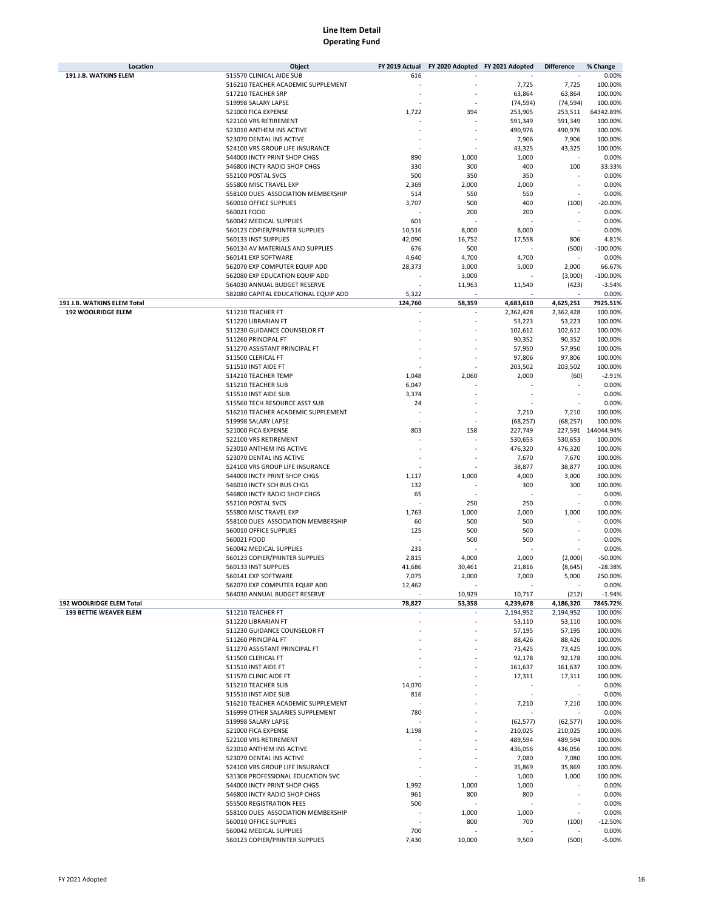| Location                      | Object                                       | FY 2019 Actual |                 | FY 2020 Adopted FY 2021 Adopted | <b>Difference</b>        | % Change           |
|-------------------------------|----------------------------------------------|----------------|-----------------|---------------------------------|--------------------------|--------------------|
| 191 J.B. WATKINS ELEM         | 515570 CLINICAL AIDE SUB                     | 616            |                 |                                 |                          | 0.00%              |
|                               | 516210 TEACHER ACADEMIC SUPPLEMENT           |                |                 | 7,725                           | 7,725                    | 100.00%            |
|                               | 517210 TEACHER SRP                           |                |                 | 63,864                          | 63,864                   | 100.00%            |
|                               | 519998 SALARY LAPSE                          |                |                 | (74, 594)                       | (74, 594)                | 100.00%            |
|                               | 521000 FICA EXPENSE                          | 1,722          | 394             | 253,905                         | 253,511                  | 64342.89%          |
|                               | 522100 VRS RETIREMENT                        |                |                 | 591,349                         | 591,349                  | 100.00%            |
|                               | 523010 ANTHEM INS ACTIVE                     |                |                 | 490,976                         | 490,976                  | 100.00%            |
|                               | 523070 DENTAL INS ACTIVE                     |                |                 | 7,906                           | 7,906                    | 100.00%            |
|                               | 524100 VRS GROUP LIFE INSURANCE              |                |                 | 43,325                          | 43,325                   | 100.00%            |
|                               | 544000 INCTY PRINT SHOP CHGS                 | 890            | 1,000           | 1,000                           |                          | 0.00%              |
|                               | 546800 INCTY RADIO SHOP CHGS                 | 330            | 300             | 400                             | 100                      | 33.33%             |
|                               | 552100 POSTAL SVCS                           | 500            | 350             | 350                             |                          | 0.00%              |
|                               | 555800 MISC TRAVEL EXP                       | 2,369          | 2,000           | 2,000                           |                          | 0.00%              |
|                               | 558100 DUES ASSOCIATION MEMBERSHIP           | 514            | 550             | 550                             | ٠                        | 0.00%              |
|                               | 560010 OFFICE SUPPLIES                       | 3,707          | 500             | 400                             | (100)                    | $-20.00\%$         |
|                               | 560021 FOOD                                  |                | 200             | 200                             |                          | 0.00%              |
|                               | 560042 MEDICAL SUPPLIES                      | 601            |                 |                                 |                          | 0.00%              |
|                               | 560123 COPIER/PRINTER SUPPLIES               | 10,516         | 8,000           | 8,000                           |                          | 0.00%              |
|                               | 560133 INST SUPPLIES                         | 42,090         | 16,752          | 17,558                          | 806                      | 4.81%              |
|                               | 560134 AV MATERIALS AND SUPPLIES             | 676            | 500             |                                 | (500)                    | $-100.00%$         |
|                               | 560141 EXP SOFTWARE                          | 4,640          | 4,700           | 4,700                           |                          | 0.00%              |
|                               | 562070 EXP COMPUTER EQUIP ADD                | 28,373         | 3,000           | 5,000                           | 2,000                    | 66.67%             |
|                               | 562080 EXP EDUCATION EQUIP ADD               |                | 3,000           |                                 | (3,000)                  | $-100.00%$         |
|                               | 564030 ANNUAL BUDGET RESERVE                 |                | 11,963          | 11,540                          | (423)                    | $-3.54%$           |
|                               | 582080 CAPITAL EDUCATIONAL EQUIP ADD         | 5,322          |                 |                                 |                          | 0.00%              |
| 191 J.B. WATKINS ELEM Total   |                                              | 124,760        | 58,359          | 4,683,610                       | 4,625,251                | 7925.51%           |
| <b>192 WOOLRIDGE ELEM</b>     | 511210 TEACHER FT                            |                |                 | 2,362,428                       | 2,362,428                | 100.00%            |
|                               | 511220 LIBRARIAN FT                          |                |                 | 53,223                          | 53,223                   | 100.00%            |
|                               | 511230 GUIDANCE COUNSELOR FT                 |                |                 | 102,612                         | 102,612                  | 100.00%            |
|                               | 511260 PRINCIPAL FT                          |                |                 | 90,352                          | 90,352                   | 100.00%            |
|                               | 511270 ASSISTANT PRINCIPAL FT                |                |                 | 57,950                          | 57,950                   | 100.00%            |
|                               | 511500 CLERICAL FT                           |                |                 | 97,806                          | 97,806                   | 100.00%            |
|                               | 511510 INST AIDE FT                          |                |                 | 203,502                         | 203,502                  | 100.00%            |
|                               | 514210 TEACHER TEMP                          | 1,048          | 2,060           | 2,000                           | (60)                     | $-2.91%$           |
|                               | 515210 TEACHER SUB                           | 6,047          |                 |                                 |                          | 0.00%              |
|                               | 515510 INST AIDE SUB                         | 3,374          |                 |                                 |                          | 0.00%              |
|                               | 515560 TECH RESOURCE ASST SUB                | 24             |                 |                                 |                          | 0.00%              |
|                               | 516210 TEACHER ACADEMIC SUPPLEMENT           |                |                 | 7,210                           | 7,210                    | 100.00%            |
|                               | 519998 SALARY LAPSE                          |                |                 | (68, 257)                       | (68, 257)                | 100.00%            |
|                               | 521000 FICA EXPENSE                          | 803            | 158             | 227,749                         |                          | 227,591 144044.94% |
|                               | 522100 VRS RETIREMENT                        |                |                 | 530,653                         | 530,653                  | 100.00%            |
|                               | 523010 ANTHEM INS ACTIVE                     |                |                 | 476,320                         | 476,320                  | 100.00%            |
|                               | 523070 DENTAL INS ACTIVE                     |                |                 | 7,670                           | 7,670                    | 100.00%            |
|                               | 524100 VRS GROUP LIFE INSURANCE              |                |                 | 38,877                          | 38,877                   | 100.00%            |
|                               | 544000 INCTY PRINT SHOP CHGS                 | 1,117          | 1,000           | 4,000                           | 3,000                    | 300.00%            |
|                               | 546010 INCTY SCH BUS CHGS                    | 132            |                 | 300                             | 300                      | 100.00%            |
|                               | 546800 INCTY RADIO SHOP CHGS                 | 65             |                 |                                 |                          | 0.00%              |
|                               | 552100 POSTAL SVCS<br>555800 MISC TRAVEL EXP | 1,763          | 250             | 250<br>2,000                    |                          | 0.00%<br>100.00%   |
|                               | 558100 DUES ASSOCIATION MEMBERSHIP           | 60             | 1,000<br>500    | 500                             | 1,000                    | 0.00%              |
|                               | 560010 OFFICE SUPPLIES                       | 125            | 500             | 500                             |                          | 0.00%              |
|                               | 560021 FOOD                                  |                | 500             | 500                             |                          | 0.00%              |
|                               | 560042 MEDICAL SUPPLIES                      | 231            |                 |                                 |                          | 0.00%              |
|                               | 560123 COPIER/PRINTER SUPPLIES               | 2,815          |                 |                                 | (2,000)                  | $-50.00%$          |
|                               | 560133 INST SUPPLIES                         | 41,686         | 4,000<br>30,461 | 2,000<br>21,816                 | (8,645)                  | $-28.38%$          |
|                               | 560141 EXP SOFTWARE                          | 7,075          | 2,000           | 7,000                           | 5,000                    | 250.00%            |
|                               | 562070 EXP COMPUTER EQUIP ADD                | 12,462         |                 |                                 |                          | 0.00%              |
|                               | 564030 ANNUAL BUDGET RESERVE                 |                | 10,929          | 10,717                          | (212)                    | $-1.94%$           |
| 192 WOOLRIDGE ELEM Total      |                                              | 78,827         | 53,358          | 4,239,678                       | 4,186,320                | 7845.72%           |
| <b>193 BETTIE WEAVER ELEM</b> | 511210 TEACHER FT                            |                |                 | 2,194,952                       | 2,194,952                | 100.00%            |
|                               | 511220 LIBRARIAN FT                          |                |                 | 53,110                          | 53,110                   | 100.00%            |
|                               | 511230 GUIDANCE COUNSELOR FT                 |                |                 | 57,195                          | 57,195                   | 100.00%            |
|                               | 511260 PRINCIPAL FT                          |                |                 | 88,426                          | 88,426                   | 100.00%            |
|                               | 511270 ASSISTANT PRINCIPAL FT                |                |                 | 73,425                          | 73,425                   | 100.00%            |
|                               | 511500 CLERICAL FT                           |                |                 | 92,178                          | 92,178                   | 100.00%            |
|                               | 511510 INST AIDE FT                          |                |                 | 161,637                         | 161,637                  | 100.00%            |
|                               | 511570 CLINIC AIDE FT                        |                |                 | 17,311                          | 17,311                   | 100.00%            |
|                               | 515210 TEACHER SUB                           | 14,070         |                 |                                 | $\overline{\phantom{a}}$ | 0.00%              |
|                               | 515510 INST AIDE SUB                         | 816            |                 |                                 | ×,                       | 0.00%              |
|                               | 516210 TEACHER ACADEMIC SUPPLEMENT           |                |                 | 7,210                           | 7,210                    | 100.00%            |
|                               | 516999 OTHER SALARIES SUPPLEMENT             | 780            |                 |                                 |                          | 0.00%              |
|                               | 519998 SALARY LAPSE                          |                |                 | (62, 577)                       | (62, 577)                | 100.00%            |
|                               | 521000 FICA EXPENSE                          | 1,198          |                 | 210,025                         | 210,025                  | 100.00%            |
|                               | 522100 VRS RETIREMENT                        |                |                 | 489,594                         | 489,594                  | 100.00%            |
|                               | 523010 ANTHEM INS ACTIVE                     |                |                 | 436,056                         | 436,056                  | 100.00%            |
|                               | 523070 DENTAL INS ACTIVE                     |                |                 | 7,080                           | 7,080                    | 100.00%            |
|                               | 524100 VRS GROUP LIFE INSURANCE              |                |                 | 35,869                          | 35,869                   | 100.00%            |
|                               | 531308 PROFESSIONAL EDUCATION SVC            |                |                 | 1,000                           | 1,000                    | 100.00%            |
|                               | 544000 INCTY PRINT SHOP CHGS                 | 1,992          | 1,000           | 1,000                           |                          | 0.00%              |
|                               | 546800 INCTY RADIO SHOP CHGS                 | 961            | 800             | 800                             |                          | 0.00%              |
|                               | 555500 REGISTRATION FEES                     | 500            |                 |                                 |                          | 0.00%              |
|                               | 558100 DUES ASSOCIATION MEMBERSHIP           |                | 1,000           | 1,000                           |                          | 0.00%              |
|                               | 560010 OFFICE SUPPLIES                       |                | 800             | 700                             | (100)                    | $-12.50%$          |
|                               | 560042 MEDICAL SUPPLIES                      | 700            |                 |                                 |                          | 0.00%              |
|                               | 560123 COPIER/PRINTER SUPPLIES               | 7,430          | 10,000          | 9,500                           | (500)                    | $-5.00%$           |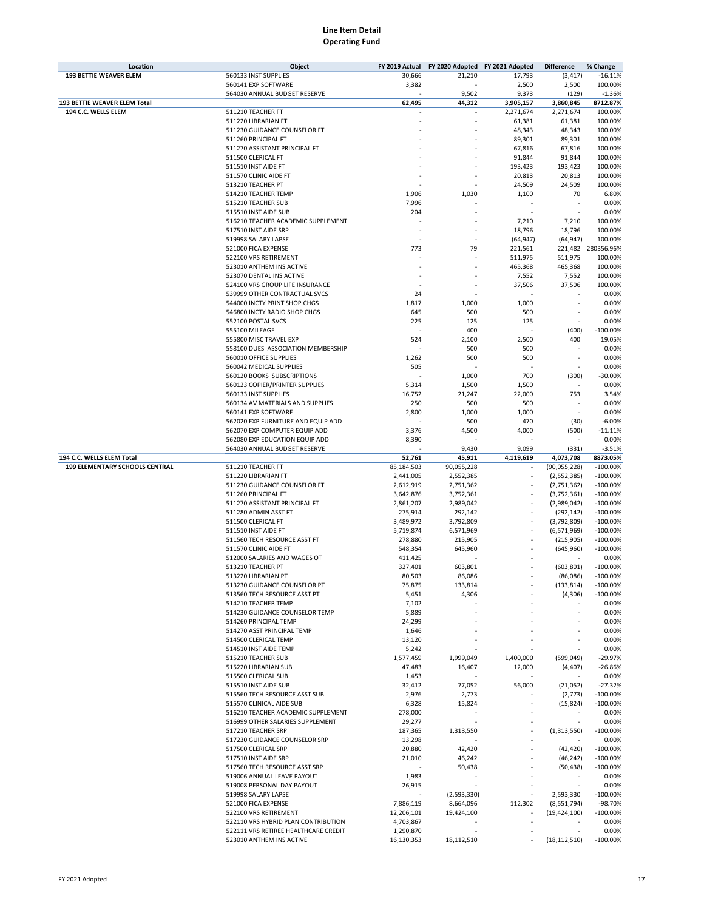|                                     | Object                               | FY 2019 Actual | FY 2020 Adopted FY 2021 Adopted |           | <b>Difference</b> | % Change           |
|-------------------------------------|--------------------------------------|----------------|---------------------------------|-----------|-------------------|--------------------|
| <b>193 BETTIE WEAVER ELEM</b>       | 560133 INST SUPPLIES                 | 30,666         | 21,210                          | 17,793    | (3, 417)          | $-16.11%$          |
|                                     | 560141 EXP SOFTWARE                  | 3,382          |                                 | 2,500     | 2,500             | 100.00%            |
|                                     | 564030 ANNUAL BUDGET RESERVE         |                | 9,502                           | 9,373     | (129)             | $-1.36%$           |
| <b>193 BETTIE WEAVER ELEM Total</b> |                                      | 62,495         | 44,312                          | 3,905,157 | 3,860,845         | 8712.87%           |
| 194 C.C. WELLS ELEM                 | 511210 TEACHER FT                    |                |                                 | 2,271,674 | 2,271,674         | 100.00%            |
|                                     | 511220 LIBRARIAN FT                  |                |                                 | 61,381    | 61,381            | 100.00%            |
|                                     | 511230 GUIDANCE COUNSELOR FT         |                |                                 | 48,343    | 48,343            | 100.00%            |
|                                     | 511260 PRINCIPAL FT                  |                |                                 | 89,301    | 89,301            | 100.00%            |
|                                     |                                      |                |                                 |           |                   |                    |
|                                     | 511270 ASSISTANT PRINCIPAL FT        |                |                                 | 67,816    | 67,816            | 100.00%            |
|                                     | 511500 CLERICAL FT                   |                |                                 | 91,844    | 91,844            | 100.00%            |
|                                     | 511510 INST AIDE FT                  |                |                                 | 193,423   | 193,423           | 100.00%            |
|                                     | 511570 CLINIC AIDE FT                |                |                                 | 20,813    | 20,813            | 100.00%            |
|                                     | 513210 TEACHER PT                    |                |                                 | 24,509    | 24,509            | 100.00%            |
|                                     | 514210 TEACHER TEMP                  | 1,906          | 1,030                           | 1,100     | 70                | 6.80%              |
|                                     | 515210 TEACHER SUB                   | 7,996          |                                 |           |                   | 0.00%              |
|                                     | 515510 INST AIDE SUB                 | 204            |                                 |           |                   | 0.00%              |
|                                     | 516210 TEACHER ACADEMIC SUPPLEMENT   |                |                                 | 7,210     | 7,210             | 100.00%            |
|                                     | 517510 INST AIDE SRP                 |                |                                 | 18,796    | 18,796            | 100.00%            |
|                                     | 519998 SALARY LAPSE                  |                |                                 | (64, 947) | (64, 947)         | 100.00%            |
|                                     | 521000 FICA EXPENSE                  | 773            | 79                              | 221,561   |                   | 221,482 280356.96% |
|                                     |                                      |                |                                 |           |                   |                    |
|                                     | 522100 VRS RETIREMENT                |                |                                 | 511,975   | 511,975           | 100.00%            |
|                                     | 523010 ANTHEM INS ACTIVE             |                |                                 | 465,368   | 465,368           | 100.00%            |
|                                     | 523070 DENTAL INS ACTIVE             |                |                                 | 7,552     | 7,552             | 100.00%            |
|                                     | 524100 VRS GROUP LIFE INSURANCE      |                |                                 | 37,506    | 37,506            | 100.00%            |
|                                     | 539999 OTHER CONTRACTUAL SVCS        | 24             |                                 |           |                   | 0.00%              |
|                                     | 544000 INCTY PRINT SHOP CHGS         | 1,817          | 1,000                           | 1,000     |                   | 0.00%              |
|                                     | 546800 INCTY RADIO SHOP CHGS         | 645            | 500                             | 500       |                   | 0.00%              |
|                                     | 552100 POSTAL SVCS                   | 225            | 125                             | 125       |                   | 0.00%              |
|                                     | 555100 MILEAGE                       |                | 400                             |           | (400)             | $-100.00%$         |
|                                     | 555800 MISC TRAVEL EXP               | 524            | 2,100                           | 2,500     | 400               | 19.05%             |
|                                     | 558100 DUES ASSOCIATION MEMBERSHIP   |                | 500                             | 500       |                   | 0.00%              |
|                                     | 560010 OFFICE SUPPLIES               | 1,262          | 500                             | 500       |                   | 0.00%              |
|                                     | 560042 MEDICAL SUPPLIES              | 505            |                                 |           |                   | 0.00%              |
|                                     |                                      |                |                                 |           |                   |                    |
|                                     | 560120 BOOKS SUBSCRIPTIONS           |                | 1,000                           | 700       | (300)             | $-30.00%$          |
|                                     | 560123 COPIER/PRINTER SUPPLIES       | 5,314          | 1,500                           | 1,500     |                   | 0.00%              |
|                                     | 560133 INST SUPPLIES                 | 16,752         | 21,247                          | 22,000    | 753               | 3.54%              |
|                                     | 560134 AV MATERIALS AND SUPPLIES     | 250            | 500                             | 500       |                   | 0.00%              |
|                                     | 560141 EXP SOFTWARE                  | 2,800          | 1,000                           | 1,000     |                   | 0.00%              |
|                                     | 562020 EXP FURNITURE AND EQUIP ADD   |                | 500                             | 470       | (30)              | $-6.00%$           |
|                                     | 562070 EXP COMPUTER EQUIP ADD        | 3,376          | 4,500                           | 4,000     | (500)             | $-11.11%$          |
|                                     | 562080 EXP EDUCATION EQUIP ADD       | 8,390          |                                 |           |                   | 0.00%              |
|                                     | 564030 ANNUAL BUDGET RESERVE         |                | 9,430                           | 9,099     | (331)             | $-3.51%$           |
| 194 C.C. WELLS ELEM Total           |                                      | 52,761         | 45,911                          | 4,119,619 | 4,073,708         | 8873.05%           |
| 199 ELEMENTARY SCHOOLS CENTRAL      | 511210 TEACHER FT                    | 85,184,503     | 90,055,228                      |           | (90, 055, 228)    | $-100.00%$         |
|                                     | 511220 LIBRARIAN FT                  | 2,441,005      | 2,552,385                       | $\sim$    | (2,552,385)       | $-100.00%$         |
|                                     | 511230 GUIDANCE COUNSELOR FT         |                |                                 |           |                   |                    |
|                                     |                                      |                |                                 |           |                   |                    |
|                                     |                                      | 2,612,919      | 2,751,362                       |           | (2,751,362)       | $-100.00%$         |
|                                     | 511260 PRINCIPAL FT                  | 3,642,876      | 3,752,361                       |           | (3,752,361)       | $-100.00%$         |
|                                     | 511270 ASSISTANT PRINCIPAL FT        | 2,861,207      | 2,989,042                       |           | (2,989,042)       | $-100.00%$         |
|                                     | 511280 ADMIN ASST FT                 | 275,914        | 292,142                         |           | (292, 142)        | $-100.00%$         |
|                                     | 511500 CLERICAL FT                   | 3,489,972      | 3,792,809                       |           | (3,792,809)       | $-100.00%$         |
|                                     | 511510 INST AIDE FT                  | 5,719,874      | 6,571,969                       |           | (6,571,969)       | $-100.00%$         |
|                                     | 511560 TECH RESOURCE ASST FT         | 278,880        | 215,905                         |           | (215, 905)        | $-100.00%$         |
|                                     | 511570 CLINIC AIDE FT                | 548,354        | 645,960                         |           | (645, 960)        | $-100.00%$         |
|                                     | 512000 SALARIES AND WAGES OT         | 411,425        |                                 |           |                   | 0.00%              |
|                                     | 513210 TEACHER PT                    | 327,401        | 603,801                         |           | (603, 801)        | $-100.00%$         |
|                                     | 513220 LIBRARIAN PT                  | 80.503         | 86,086                          |           | (86,086)          | $-100.00%$         |
|                                     | 513230 GUIDANCE COUNSELOR PT         | 75,875         | 133,814                         |           | (133, 814)        | $-100.00\%$        |
|                                     | 513560 TECH RESOURCE ASST PT         | 5,451          | 4,306                           |           | (4,306)           | $-100.00\%$        |
|                                     | 514210 TEACHER TEMP                  | 7,102          |                                 |           |                   | 0.00%              |
|                                     | 514230 GUIDANCE COUNSELOR TEMP       | 5,889          |                                 |           |                   | 0.00%              |
|                                     | 514260 PRINCIPAL TEMP                |                |                                 |           |                   |                    |
|                                     |                                      | 24,299         |                                 |           |                   | 0.00%              |
|                                     | 514270 ASST PRINCIPAL TEMP           | 1,646          |                                 |           |                   | 0.00%              |
|                                     | 514500 CLERICAL TEMP                 | 13,120         |                                 |           |                   | 0.00%              |
|                                     | 514510 INST AIDE TEMP                | 5,242          |                                 |           |                   | 0.00%              |
|                                     | 515210 TEACHER SUB                   | 1,577,459      | 1,999,049                       | 1,400,000 | (599,049)         | $-29.97%$          |
|                                     | 515220 LIBRARIAN SUB                 | 47,483         | 16,407                          | 12,000    | (4, 407)          | $-26.86%$          |
|                                     | 515500 CLERICAL SUB                  | 1,453          |                                 |           |                   | 0.00%              |
|                                     | 515510 INST AIDE SUB                 | 32,412         | 77,052                          | 56,000    | (21,052)          | $-27.32%$          |
|                                     | 515560 TECH RESOURCE ASST SUB        | 2,976          | 2,773                           |           | (2, 773)          | $-100.00\%$        |
|                                     | 515570 CLINICAL AIDE SUB             | 6,328          | 15,824                          |           | (15, 824)         | $-100.00\%$        |
|                                     | 516210 TEACHER ACADEMIC SUPPLEMENT   | 278,000        |                                 |           |                   | 0.00%              |
|                                     | 516999 OTHER SALARIES SUPPLEMENT     | 29,277         |                                 |           |                   | 0.00%              |
|                                     | 517210 TEACHER SRP                   | 187,365        | 1,313,550                       |           | (1,313,550)       | $-100.00\%$        |
|                                     | 517230 GUIDANCE COUNSELOR SRP        | 13,298         |                                 |           |                   | 0.00%              |
|                                     |                                      |                |                                 |           |                   |                    |
|                                     | 517500 CLERICAL SRP                  | 20,880         | 42,420                          |           | (42, 420)         | $-100.00\%$        |
|                                     | 517510 INST AIDE SRP                 | 21,010         | 46,242                          |           | (46, 242)         | $-100.00\%$        |
|                                     | 517560 TECH RESOURCE ASST SRP        |                | 50,438                          |           | (50, 438)         | $-100.00%$         |
|                                     | 519006 ANNUAL LEAVE PAYOUT           | 1,983          |                                 |           |                   | 0.00%              |
|                                     | 519008 PERSONAL DAY PAYOUT           | 26,915         |                                 |           |                   | 0.00%              |
|                                     | 519998 SALARY LAPSE                  |                | (2,593,330)                     |           | 2,593,330         | $-100.00\%$        |
|                                     | 521000 FICA EXPENSE                  | 7,886,119      | 8,664,096                       | 112,302   | (8,551,794)       | -98.70%            |
|                                     | 522100 VRS RETIREMENT                | 12,206,101     | 19,424,100                      |           | (19, 424, 100)    | $-100.00\%$        |
|                                     | 522110 VRS HYBRID PLAN CONTRIBUTION  | 4,703,867      |                                 |           |                   | 0.00%              |
|                                     | 522111 VRS RETIREE HEALTHCARE CREDIT | 1,290,870      |                                 |           |                   | 0.00%              |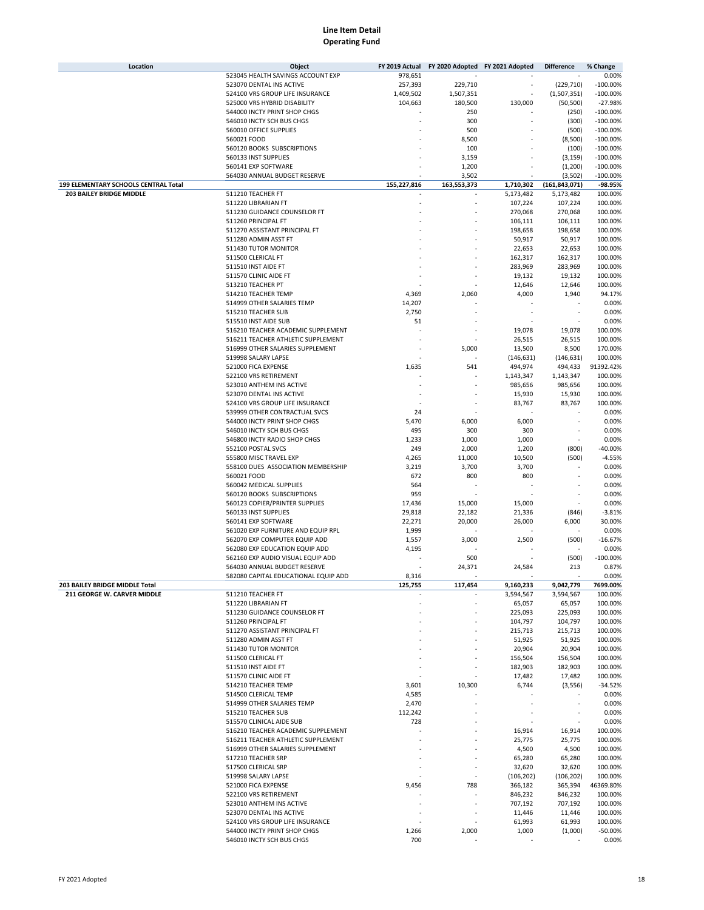| Location                             | Object                               | FY 2019 Actual | FY 2020 Adopted FY 2021 Adopted |            | <b>Difference</b> | % Change   |
|--------------------------------------|--------------------------------------|----------------|---------------------------------|------------|-------------------|------------|
|                                      | 523045 HEALTH SAVINGS ACCOUNT EXP    | 978,651        |                                 |            |                   | 0.00%      |
|                                      | 523070 DENTAL INS ACTIVE             | 257,393        | 229,710                         |            | (229, 710)        | $-100.00%$ |
|                                      | 524100 VRS GROUP LIFE INSURANCE      | 1,409,502      | 1,507,351                       |            | (1,507,351)       | $-100.00%$ |
|                                      | 525000 VRS HYBRID DISABILITY         | 104,663        | 180,500                         | 130,000    | (50, 500)         | $-27.98%$  |
|                                      | 544000 INCTY PRINT SHOP CHGS         |                | 250                             |            | (250)             | $-100.00%$ |
|                                      | 546010 INCTY SCH BUS CHGS            |                | 300                             |            | (300)             | $-100.00%$ |
|                                      | 560010 OFFICE SUPPLIES               |                | 500                             |            | (500)             | $-100.00%$ |
|                                      | 560021 FOOD                          |                | 8,500                           |            | (8,500)           | $-100.00%$ |
|                                      | 560120 BOOKS SUBSCRIPTIONS           |                | 100                             |            | (100)             | $-100.00%$ |
|                                      | 560133 INST SUPPLIES                 |                | 3,159                           |            | (3, 159)          | $-100.00%$ |
|                                      | 560141 EXP SOFTWARE                  |                | 1,200                           |            | (1,200)           | $-100.00%$ |
|                                      | 564030 ANNUAL BUDGET RESERVE         |                | 3,502                           |            | (3,502)           | $-100.00%$ |
| 199 ELEMENTARY SCHOOLS CENTRAL Total |                                      | 155,227,816    | 163,553,373                     | 1,710,302  | (161, 843, 071)   | -98.95%    |
| <b>203 BAILEY BRIDGE MIDDLE</b>      | 511210 TEACHER FT                    |                |                                 | 5,173,482  | 5,173,482         | 100.00%    |
|                                      | 511220 LIBRARIAN FT                  |                |                                 | 107,224    | 107,224           | 100.00%    |
|                                      | 511230 GUIDANCE COUNSELOR FT         |                |                                 | 270,068    | 270,068           | 100.00%    |
|                                      | 511260 PRINCIPAL FT                  |                |                                 | 106,111    | 106,111           | 100.00%    |
|                                      | 511270 ASSISTANT PRINCIPAL FT        |                |                                 | 198,658    | 198,658           | 100.00%    |
|                                      | 511280 ADMIN ASST FT                 |                |                                 | 50,917     | 50,917            | 100.00%    |
|                                      | 511430 TUTOR MONITOR                 |                |                                 | 22,653     | 22,653            | 100.00%    |
|                                      | 511500 CLERICAL FT                   |                |                                 | 162,317    | 162,317           | 100.00%    |
|                                      | 511510 INST AIDE FT                  |                |                                 | 283,969    | 283,969           | 100.00%    |
|                                      | 511570 CLINIC AIDE FT                |                |                                 | 19,132     | 19,132            | 100.00%    |
|                                      | 513210 TEACHER PT                    |                |                                 | 12,646     | 12,646            | 100.00%    |
|                                      | 514210 TEACHER TEMP                  | 4,369          | 2,060                           | 4,000      | 1,940             | 94.17%     |
|                                      |                                      |                |                                 |            |                   |            |
|                                      | 514999 OTHER SALARIES TEMP           | 14,207         |                                 |            |                   | 0.00%      |
|                                      | 515210 TEACHER SUB                   | 2,750          |                                 |            |                   | 0.00%      |
|                                      | 515510 INST AIDE SUB                 | 51             |                                 |            |                   | 0.00%      |
|                                      | 516210 TEACHER ACADEMIC SUPPLEMENT   |                |                                 | 19,078     | 19,078            | 100.00%    |
|                                      | 516211 TEACHER ATHLETIC SUPPLEMENT   |                |                                 | 26,515     | 26,515            | 100.00%    |
|                                      | 516999 OTHER SALARIES SUPPLEMENT     |                | 5,000                           | 13,500     | 8,500             | 170.00%    |
|                                      | 519998 SALARY LAPSE                  |                |                                 | (146, 631) | (146, 631)        | 100.00%    |
|                                      | 521000 FICA EXPENSE                  | 1,635          | 541                             | 494,974    | 494,433           | 91392.42%  |
|                                      | 522100 VRS RETIREMENT                |                |                                 | 1,143,347  | 1,143,347         | 100.00%    |
|                                      | 523010 ANTHEM INS ACTIVE             |                |                                 | 985,656    | 985,656           | 100.00%    |
|                                      | 523070 DENTAL INS ACTIVE             |                |                                 | 15,930     | 15,930            | 100.00%    |
|                                      | 524100 VRS GROUP LIFE INSURANCE      |                |                                 | 83,767     | 83,767            | 100.00%    |
|                                      | 539999 OTHER CONTRACTUAL SVCS        | 24             |                                 |            |                   | 0.00%      |
|                                      | 544000 INCTY PRINT SHOP CHGS         | 5,470          | 6,000                           | 6,000      |                   | 0.00%      |
|                                      | 546010 INCTY SCH BUS CHGS            | 495            | 300                             | 300        |                   | 0.00%      |
|                                      | 546800 INCTY RADIO SHOP CHGS         | 1,233          | 1,000                           | 1,000      |                   | 0.00%      |
|                                      | 552100 POSTAL SVCS                   | 249            | 2,000                           | 1,200      | (800)             | -40.00%    |
|                                      | 555800 MISC TRAVEL EXP               | 4,265          | 11,000                          | 10,500     | (500)             | $-4.55%$   |
|                                      | 558100 DUES ASSOCIATION MEMBERSHIP   | 3,219          | 3,700                           | 3,700      |                   | 0.00%      |
|                                      | 560021 FOOD                          | 672            | 800                             | 800        |                   | 0.00%      |
|                                      | 560042 MEDICAL SUPPLIES              | 564            |                                 |            |                   | 0.00%      |
|                                      | 560120 BOOKS SUBSCRIPTIONS           | 959            |                                 |            |                   | 0.00%      |
|                                      | 560123 COPIER/PRINTER SUPPLIES       | 17,436         | 15,000                          | 15,000     |                   | 0.00%      |
|                                      | 560133 INST SUPPLIES                 | 29,818         | 22,182                          | 21,336     | (846)             | $-3.81%$   |
|                                      | 560141 EXP SOFTWARE                  | 22,271         | 20,000                          | 26,000     | 6,000             | 30.00%     |
|                                      | 561020 EXP FURNITURE AND EQUIP RPL   | 1,999          |                                 |            |                   | 0.00%      |
|                                      | 562070 EXP COMPUTER EQUIP ADD        | 1,557          | 3,000                           | 2,500      | (500)             | $-16.67%$  |
|                                      | 562080 EXP EDUCATION EQUIP ADD       | 4,195          |                                 |            |                   | 0.00%      |
|                                      | 562160 EXP AUDIO VISUAL EQUIP ADD    |                | 500                             |            | (500)             | $-100.00%$ |
|                                      | 564030 ANNUAL BUDGET RESERVE         |                | 24,371                          | 24,584     | 213               | 0.87%      |
|                                      | 582080 CAPITAL EDUCATIONAL EQUIP ADD | 8,316          |                                 |            |                   | 0.00%      |
| 203 BAILEY BRIDGE MIDDLE Total       |                                      | 125,755        | 117,454                         | 9,160,233  | 9,042,779         | 7699.00%   |
| 211 GEORGE W. CARVER MIDDLE          | 511210 TEACHER FT                    |                |                                 | 3,594,567  | 3,594,567         | 100.00%    |
|                                      | 511220 LIBRARIAN FT                  |                |                                 | 65,057     | 65,057            | 100.00%    |
|                                      | 511230 GUIDANCE COUNSELOR FT         |                |                                 | 225,093    | 225,093           | 100.00%    |
|                                      | 511260 PRINCIPAL FT                  |                |                                 | 104,797    | 104,797           | 100.00%    |
|                                      | 511270 ASSISTANT PRINCIPAL FT        |                |                                 | 215,713    | 215,713           | 100.00%    |
|                                      | 511280 ADMIN ASST FT                 |                |                                 | 51,925     | 51,925            | 100.00%    |
|                                      | 511430 TUTOR MONITOR                 |                |                                 | 20,904     | 20,904            | 100.00%    |
|                                      | 511500 CLERICAL FT                   |                |                                 | 156,504    | 156,504           | 100.00%    |
|                                      | 511510 INST AIDE FT                  |                |                                 | 182,903    | 182,903           | 100.00%    |
|                                      | 511570 CLINIC AIDE FT                |                |                                 | 17,482     | 17,482            | 100.00%    |
|                                      | 514210 TEACHER TEMP                  | 3,601          | 10,300                          | 6,744      | (3,556)           | $-34.52%$  |
|                                      | 514500 CLERICAL TEMP                 | 4,585          |                                 |            |                   | 0.00%      |
|                                      | 514999 OTHER SALARIES TEMP           | 2,470          |                                 |            |                   | 0.00%      |
|                                      | 515210 TEACHER SUB                   | 112,242        |                                 |            |                   | 0.00%      |
|                                      | 515570 CLINICAL AIDE SUB             | 728            |                                 |            |                   | 0.00%      |
|                                      | 516210 TEACHER ACADEMIC SUPPLEMENT   |                |                                 | 16,914     | 16,914            | 100.00%    |
|                                      | 516211 TEACHER ATHLETIC SUPPLEMENT   |                |                                 | 25,775     | 25,775            | 100.00%    |
|                                      | 516999 OTHER SALARIES SUPPLEMENT     |                |                                 | 4,500      | 4,500             | 100.00%    |
|                                      | 517210 TEACHER SRP                   |                |                                 | 65,280     | 65,280            | 100.00%    |
|                                      | 517500 CLERICAL SRP                  |                |                                 | 32,620     | 32,620            | 100.00%    |
|                                      | 519998 SALARY LAPSE                  |                |                                 | (106, 202) | (106, 202)        | 100.00%    |
|                                      | 521000 FICA EXPENSE                  | 9,456          | 788                             | 366,182    | 365,394           | 46369.80%  |
|                                      | 522100 VRS RETIREMENT                |                |                                 | 846,232    | 846,232           | 100.00%    |
|                                      | 523010 ANTHEM INS ACTIVE             |                |                                 | 707,192    | 707,192           | 100.00%    |
|                                      | 523070 DENTAL INS ACTIVE             |                |                                 | 11,446     | 11,446            | 100.00%    |
|                                      | 524100 VRS GROUP LIFE INSURANCE      |                |                                 | 61,993     | 61,993            | 100.00%    |
|                                      | 544000 INCTY PRINT SHOP CHGS         | 1,266          | 2,000                           | 1,000      | (1,000)           | -50.00%    |
|                                      | 546010 INCTY SCH BUS CHGS            | 700            |                                 |            |                   | 0.00%      |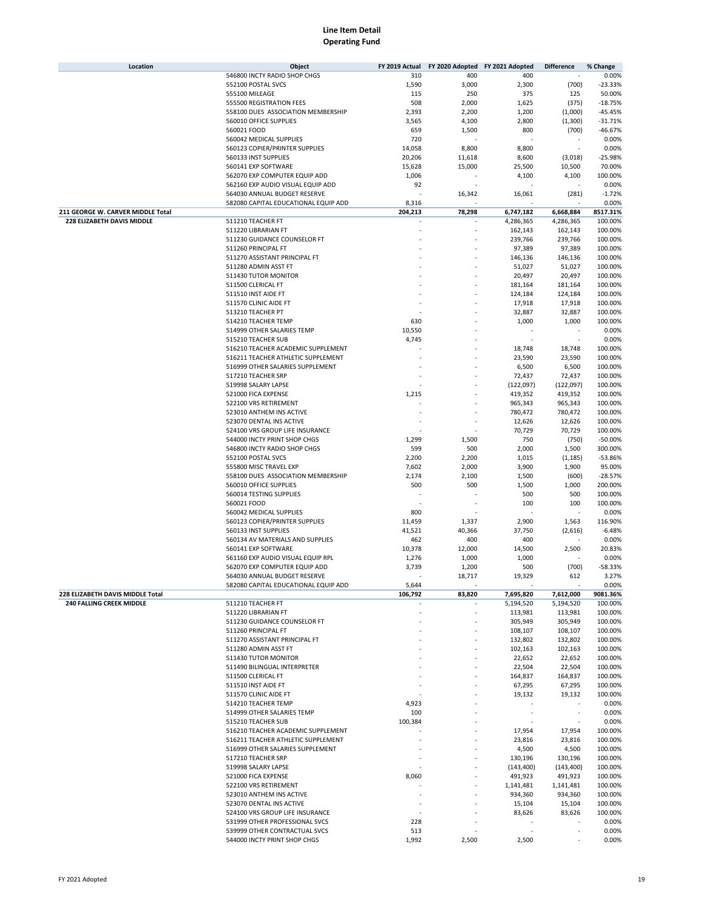| Location                          | Object                                                               | FY 2019 Actual | FY 2020 Adopted FY 2021 Adopted |                      | <b>Difference</b>    | % Change           |
|-----------------------------------|----------------------------------------------------------------------|----------------|---------------------------------|----------------------|----------------------|--------------------|
|                                   | 546800 INCTY RADIO SHOP CHGS                                         | 310            | 400                             | 400                  |                      | 0.00%              |
|                                   | 552100 POSTAL SVCS                                                   | 1,590          | 3,000                           | 2,300                | (700)                | $-23.33%$          |
|                                   | 555100 MILEAGE                                                       | 115            | 250                             | 375                  | 125                  | 50.00%             |
|                                   | 555500 REGISTRATION FEES                                             | 508            | 2,000                           | 1,625                | (375)                | $-18.75%$          |
|                                   | 558100 DUES ASSOCIATION MEMBERSHIP                                   | 2,393          | 2,200                           | 1,200                | (1,000)              | $-45.45%$          |
|                                   | 560010 OFFICE SUPPLIES                                               | 3,565          | 4,100                           | 2,800                | (1,300)              | $-31.71%$          |
|                                   | 560021 FOOD                                                          | 659            | 1,500                           | 800                  | (700)                | $-46.67%$          |
|                                   | 560042 MEDICAL SUPPLIES                                              | 720            |                                 |                      |                      | 0.00%              |
|                                   | 560123 COPIER/PRINTER SUPPLIES                                       | 14,058         | 8,800                           | 8,800                |                      | 0.00%              |
|                                   | 560133 INST SUPPLIES                                                 | 20,206         | 11,618                          | 8,600                | (3,018)              | $-25.98%$          |
|                                   | 560141 EXP SOFTWARE                                                  | 15,628         | 15,000                          | 25,500               | 10,500               | 70.00%             |
|                                   | 562070 EXP COMPUTER EQUIP ADD                                        | 1,006          |                                 | 4,100                | 4,100                | 100.00%            |
|                                   | 562160 EXP AUDIO VISUAL EQUIP ADD                                    | 92             |                                 |                      |                      | 0.00%              |
|                                   | 564030 ANNUAL BUDGET RESERVE                                         |                | 16,342                          | 16,061               | (281)                | $-1.72%$           |
|                                   | 582080 CAPITAL EDUCATIONAL EQUIP ADD                                 | 8,316          |                                 |                      |                      | 0.00%              |
| 211 GEORGE W. CARVER MIDDLE Total |                                                                      | 204,213        | 78,298                          | 6,747,182            | 6,668,884            | 8517.31%           |
| 228 ELIZABETH DAVIS MIDDLE        | 511210 TEACHER FT                                                    |                |                                 | 4,286,365            | 4,286,365            | 100.00%            |
|                                   | 511220 LIBRARIAN FT                                                  |                |                                 | 162,143              | 162,143              | 100.00%            |
|                                   | 511230 GUIDANCE COUNSELOR FT                                         |                |                                 | 239,766              | 239,766              | 100.00%            |
|                                   | 511260 PRINCIPAL FT                                                  |                |                                 | 97,389               | 97,389               | 100.00%            |
|                                   | 511270 ASSISTANT PRINCIPAL FT                                        |                |                                 | 146,136              | 146,136              | 100.00%            |
|                                   | 511280 ADMIN ASST FT                                                 |                |                                 | 51,027               | 51,027               | 100.00%            |
|                                   | 511430 TUTOR MONITOR                                                 |                |                                 | 20,497               | 20,497               | 100.00%            |
|                                   | 511500 CLERICAL FT                                                   |                |                                 | 181,164              | 181,164              | 100.00%            |
|                                   | 511510 INST AIDE FT                                                  |                |                                 | 124,184              | 124,184              | 100.00%            |
|                                   | 511570 CLINIC AIDE FT                                                |                |                                 | 17,918               | 17,918               | 100.00%            |
|                                   | 513210 TEACHER PT                                                    |                |                                 | 32,887               | 32,887               | 100.00%            |
|                                   | 514210 TEACHER TEMP                                                  | 630            |                                 | 1,000                | 1,000                | 100.00%            |
|                                   | 514999 OTHER SALARIES TEMP                                           | 10,550         |                                 |                      |                      | 0.00%              |
|                                   | 515210 TEACHER SUB                                                   | 4,745          |                                 |                      |                      | 0.00%              |
|                                   | 516210 TEACHER ACADEMIC SUPPLEMENT                                   |                |                                 | 18,748               | 18,748               | 100.00%            |
|                                   | 516211 TEACHER ATHLETIC SUPPLEMENT                                   |                |                                 | 23,590               | 23,590               | 100.00%            |
|                                   | 516999 OTHER SALARIES SUPPLEMENT                                     |                |                                 | 6,500                | 6,500                | 100.00%            |
|                                   | 517210 TEACHER SRP                                                   |                |                                 | 72,437               | 72,437               | 100.00%            |
|                                   | 519998 SALARY LAPSE                                                  |                |                                 | (122, 097)           | (122,097)            | 100.00%            |
|                                   | 521000 FICA EXPENSE                                                  | 1,215          |                                 | 419,352              | 419,352              | 100.00%            |
|                                   | 522100 VRS RETIREMENT                                                |                |                                 | 965,343              | 965,343              | 100.00%            |
|                                   | 523010 ANTHEM INS ACTIVE                                             |                |                                 | 780,472              | 780,472              | 100.00%            |
|                                   | 523070 DENTAL INS ACTIVE                                             |                |                                 | 12,626               | 12,626               | 100.00%            |
|                                   | 524100 VRS GROUP LIFE INSURANCE                                      |                |                                 | 70,729               | 70,729               | 100.00%            |
|                                   | 544000 INCTY PRINT SHOP CHGS                                         | 1,299          | 1,500                           | 750                  | (750)                | $-50.00%$          |
|                                   | 546800 INCTY RADIO SHOP CHGS                                         | 599            | 500                             | 2,000                | 1,500                | 300.00%            |
|                                   | 552100 POSTAL SVCS                                                   | 2,200          | 2,200                           | 1,015                | (1, 185)             | $-53.86%$          |
|                                   | 555800 MISC TRAVEL EXP                                               | 7,602          | 2,000                           | 3,900                | 1,900                | 95.00%             |
|                                   | 558100 DUES ASSOCIATION MEMBERSHIP                                   | 2,174          | 2,100                           | 1,500                | (600)                | $-28.57%$          |
|                                   | 560010 OFFICE SUPPLIES                                               | 500            | 500                             | 1,500                | 1,000                | 200.00%            |
|                                   | 560014 TESTING SUPPLIES                                              |                |                                 | 500                  | 500                  | 100.00%            |
|                                   | 560021 FOOD                                                          |                |                                 | 100                  | 100                  | 100.00%            |
|                                   | 560042 MEDICAL SUPPLIES<br>560123 COPIER/PRINTER SUPPLIES            | 800            |                                 |                      |                      | 0.00%              |
|                                   |                                                                      | 11,459         | 1,337                           | 2,900                | 1,563                | 116.90%            |
|                                   | 560133 INST SUPPLIES                                                 | 41,521         | 40,366                          | 37,750               | (2,616)              | $-6.48%$           |
|                                   | 560134 AV MATERIALS AND SUPPLIES                                     | 462            | 400                             | 400                  |                      | 0.00%              |
|                                   | 560141 EXP SOFTWARE<br>561160 EXP AUDIO VISUAL EQUIP RPL             | 10,378         | 12,000                          | 14,500               | 2,500                | 20.83%             |
|                                   |                                                                      | 1,276          | 1,000                           | 1,000                |                      | 0.00%<br>$-58.33%$ |
|                                   | 562070 EXP COMPUTER EQUIP ADD                                        | 3,739          | 1,200                           | 500<br>19,329        | (700)                |                    |
|                                   | 564030 ANNUAL BUDGET RESERVE<br>582080 CAPITAL EDUCATIONAL EQUIP ADD | 5,644          | 18,717                          |                      | 612                  | 3.27%<br>0.00%     |
| 228 ELIZABETH DAVIS MIDDLE Total  |                                                                      | 106,792        | 83,820                          | 7,695,820            | 7,612,000            | 9081.36%           |
| <b>240 FALLING CREEK MIDDLE</b>   |                                                                      |                |                                 |                      |                      | 100.00%            |
|                                   | 511210 TEACHER FT<br>511220 LIBRARIAN FT                             |                |                                 | 5,194,520<br>113,981 | 5,194,520<br>113,981 | 100.00%            |
|                                   | 511230 GUIDANCE COUNSELOR FT                                         |                |                                 | 305,949              | 305,949              | 100.00%            |
|                                   | 511260 PRINCIPAL FT                                                  |                |                                 | 108,107              | 108,107              | 100.00%            |
|                                   | 511270 ASSISTANT PRINCIPAL FT                                        |                |                                 | 132,802              | 132,802              | 100.00%            |
|                                   | 511280 ADMIN ASST FT                                                 |                |                                 | 102,163              | 102,163              | 100.00%            |
|                                   | 511430 TUTOR MONITOR                                                 |                |                                 | 22,652               | 22,652               | 100.00%            |
|                                   | 511490 BILINGUAL INTERPRETER                                         |                |                                 | 22,504               | 22,504               | 100.00%            |
|                                   | 511500 CLERICAL FT                                                   |                |                                 | 164,837              | 164,837              | 100.00%            |
|                                   | 511510 INST AIDE FT                                                  |                |                                 | 67,295               | 67,295               | 100.00%            |
|                                   | 511570 CLINIC AIDE FT                                                |                |                                 | 19,132               | 19,132               | 100.00%            |
|                                   | 514210 TEACHER TEMP                                                  | 4,923          |                                 |                      |                      | 0.00%              |
|                                   | 514999 OTHER SALARIES TEMP                                           | 100            |                                 |                      |                      | 0.00%              |
|                                   | 515210 TEACHER SUB                                                   | 100,384        |                                 |                      |                      | 0.00%              |
|                                   | 516210 TEACHER ACADEMIC SUPPLEMENT                                   |                |                                 | 17,954               | 17,954               | 100.00%            |
|                                   | 516211 TEACHER ATHLETIC SUPPLEMENT                                   |                |                                 | 23,816               | 23,816               | 100.00%            |
|                                   | 516999 OTHER SALARIES SUPPLEMENT                                     |                |                                 | 4,500                | 4,500                | 100.00%            |
|                                   | 517210 TEACHER SRP                                                   |                |                                 | 130,196              | 130,196              | 100.00%            |
|                                   | 519998 SALARY LAPSE                                                  |                |                                 | (143, 400)           | (143, 400)           | 100.00%            |
|                                   | 521000 FICA EXPENSE                                                  | 8,060          |                                 | 491,923              | 491,923              | 100.00%            |
|                                   | 522100 VRS RETIREMENT                                                |                |                                 | 1,141,481            | 1,141,481            | 100.00%            |
|                                   | 523010 ANTHEM INS ACTIVE                                             |                |                                 | 934,360              | 934,360              | 100.00%            |
|                                   | 523070 DENTAL INS ACTIVE                                             |                |                                 | 15,104               | 15,104               | 100.00%            |
|                                   | 524100 VRS GROUP LIFE INSURANCE                                      |                |                                 | 83,626               | 83,626               | 100.00%            |
|                                   | 531999 OTHER PROFESSIONAL SVCS                                       | 228            |                                 |                      |                      | 0.00%              |
|                                   | 539999 OTHER CONTRACTUAL SVCS                                        | 513            |                                 |                      |                      | 0.00%              |
|                                   | 544000 INCTY PRINT SHOP CHGS                                         | 1,992          | 2,500                           | 2,500                |                      | 0.00%              |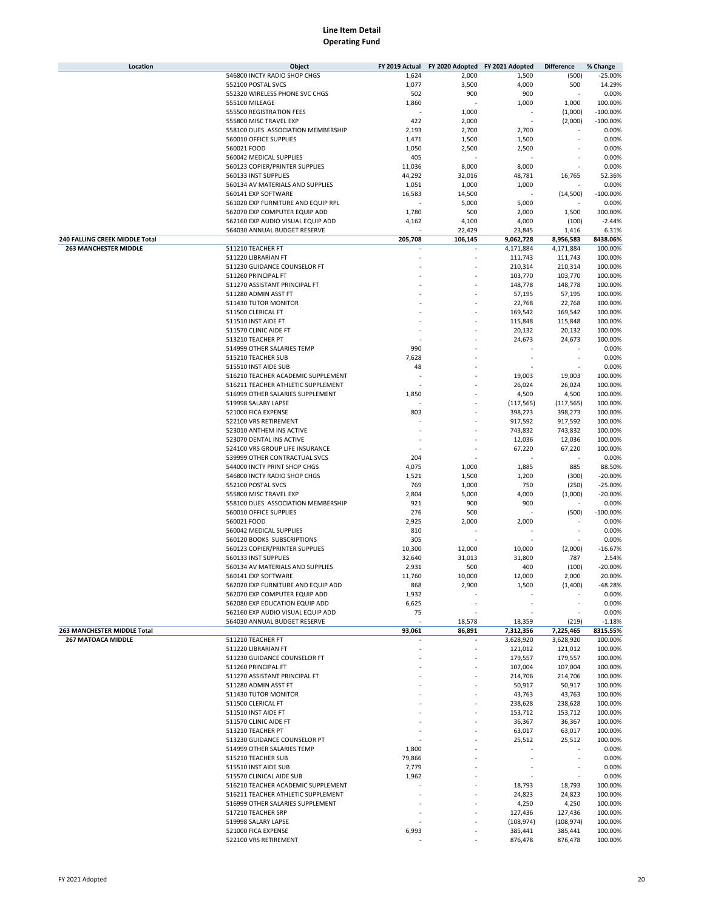| Location                       | Object                                                            | FY 2019 Actual |                  | FY 2020 Adopted FY 2021 Adopted | <b>Difference</b>  | % Change            |
|--------------------------------|-------------------------------------------------------------------|----------------|------------------|---------------------------------|--------------------|---------------------|
|                                | 546800 INCTY RADIO SHOP CHGS                                      | 1,624          | 2,000            | 1,500                           | (500)              | $-25.00%$           |
|                                | 552100 POSTAL SVCS                                                | 1,077          | 3,500            | 4,000                           | 500                | 14.29%              |
|                                | 552320 WIRELESS PHONE SVC CHGS                                    | 502            | 900              | 900                             |                    | 0.00%               |
|                                | 555100 MILEAGE                                                    | 1,860          |                  | 1,000                           | 1,000              | 100.00%             |
|                                | 555500 REGISTRATION FEES                                          |                | 1,000            |                                 | (1,000)            | $-100.00%$          |
|                                | 555800 MISC TRAVEL EXP                                            | 422            | 2,000            |                                 | (2,000)            | $-100.00%$          |
|                                | 558100 DUES ASSOCIATION MEMBERSHIP                                | 2,193          | 2,700            | 2,700                           |                    | 0.00%               |
|                                | 560010 OFFICE SUPPLIES                                            | 1,471          | 1,500            | 1,500                           |                    | 0.00%               |
|                                | 560021 FOOD                                                       | 1,050          | 2,500            | 2,500                           |                    | 0.00%               |
|                                | 560042 MEDICAL SUPPLIES                                           | 405            |                  |                                 |                    | 0.00%               |
|                                | 560123 COPIER/PRINTER SUPPLIES                                    | 11,036         | 8,000            | 8,000                           |                    | 0.00%               |
|                                | 560133 INST SUPPLIES                                              | 44,292         | 32,016           | 48,781                          | 16,765             | 52.36%              |
|                                | 560134 AV MATERIALS AND SUPPLIES                                  | 1,051          | 1,000            | 1,000                           |                    | 0.00%               |
|                                | 560141 EXP SOFTWARE                                               | 16,583         | 14,500           |                                 | (14, 500)          | $-100.00%$          |
|                                | 561020 EXP FURNITURE AND EQUIP RPL                                |                | 5,000            | 5,000                           |                    | 0.00%               |
|                                | 562070 EXP COMPUTER EQUIP ADD                                     | 1,780          | 500              | 2,000                           | 1,500              | 300.00%             |
|                                | 562160 EXP AUDIO VISUAL EQUIP ADD                                 | 4,162          | 4,100            | 4,000                           | (100)              | $-2.44%$            |
|                                | 564030 ANNUAL BUDGET RESERVE                                      |                | 22,429           | 23,845                          | 1,416              | 6.31%               |
| 240 FALLING CREEK MIDDLE Total |                                                                   | 205,708        | 106,145          | 9,062,728                       | 8,956,583          | 8438.06%            |
| <b>263 MANCHESTER MIDDLE</b>   | 511210 TEACHER FT                                                 |                |                  | 4,171,884                       | 4,171,884          | 100.00%             |
|                                | 511220 LIBRARIAN FT                                               |                |                  | 111,743                         | 111,743            | 100.00%             |
|                                | 511230 GUIDANCE COUNSELOR FT                                      |                |                  | 210,314                         | 210,314            | 100.00%             |
|                                | 511260 PRINCIPAL FT                                               |                |                  | 103,770                         | 103,770            | 100.00%             |
|                                | 511270 ASSISTANT PRINCIPAL FT                                     |                |                  | 148,778                         | 148,778            | 100.00%             |
|                                | 511280 ADMIN ASST FT                                              |                |                  | 57,195                          | 57,195             | 100.00%             |
|                                | 511430 TUTOR MONITOR                                              |                |                  | 22,768                          | 22,768             | 100.00%             |
|                                | 511500 CLERICAL FT                                                |                |                  | 169,542                         | 169,542            | 100.00%             |
|                                | 511510 INST AIDE FT                                               |                |                  | 115,848                         | 115,848            | 100.00%             |
|                                | 511570 CLINIC AIDE FT                                             |                |                  | 20,132                          | 20,132             | 100.00%             |
|                                | 513210 TEACHER PT                                                 |                |                  | 24,673                          | 24,673             | 100.00%             |
|                                | 514999 OTHER SALARIES TEMP                                        | 990            |                  |                                 |                    | 0.00%               |
|                                | 515210 TEACHER SUB                                                | 7,628          |                  |                                 |                    | 0.00%               |
|                                | 515510 INST AIDE SUB                                              | 48             |                  |                                 |                    | 0.00%               |
|                                | 516210 TEACHER ACADEMIC SUPPLEMENT                                |                |                  | 19,003                          | 19,003             | 100.00%             |
|                                | 516211 TEACHER ATHLETIC SUPPLEMENT                                |                |                  | 26,024                          | 26,024             | 100.00%             |
|                                | 516999 OTHER SALARIES SUPPLEMENT                                  | 1,850          |                  | 4,500                           | 4,500              | 100.00%             |
|                                | 519998 SALARY LAPSE                                               |                |                  | (117, 565)                      | (117, 565)         | 100.00%             |
|                                | 521000 FICA EXPENSE                                               | 803            |                  | 398,273                         | 398,273            | 100.00%             |
|                                | 522100 VRS RETIREMENT                                             |                |                  | 917,592                         | 917,592            | 100.00%             |
|                                | 523010 ANTHEM INS ACTIVE                                          |                |                  | 743,832                         | 743,832            | 100.00%             |
|                                | 523070 DENTAL INS ACTIVE                                          |                |                  | 12,036                          | 12,036             | 100.00%             |
|                                | 524100 VRS GROUP LIFE INSURANCE                                   |                |                  | 67,220                          | 67,220             | 100.00%             |
|                                | 539999 OTHER CONTRACTUAL SVCS                                     | 204            |                  |                                 |                    | 0.00%               |
|                                | 544000 INCTY PRINT SHOP CHGS                                      | 4,075          | 1,000            | 1,885                           | 885                | 88.50%              |
|                                | 546800 INCTY RADIO SHOP CHGS                                      | 1,521          | 1,500            | 1,200                           | (300)              | $-20.00%$           |
|                                | 552100 POSTAL SVCS                                                | 769            | 1,000            | 750                             | (250)              | $-25.00%$           |
|                                | 555800 MISC TRAVEL EXP                                            | 2,804          | 5,000            | 4,000                           |                    | $-20.00%$           |
|                                | 558100 DUES ASSOCIATION MEMBERSHIP                                | 921            | 900              | 900                             | (1,000)            | 0.00%               |
|                                | 560010 OFFICE SUPPLIES                                            | 276            |                  |                                 |                    |                     |
|                                | 560021 FOOD                                                       |                | 500              |                                 | (500)              | $-100.00%$          |
|                                |                                                                   | 2,925          | 2,000            | 2,000                           |                    | 0.00%               |
|                                | 560042 MEDICAL SUPPLIES                                           | 810            |                  |                                 |                    | 0.00%               |
|                                | 560120 BOOKS SUBSCRIPTIONS                                        | 305            |                  |                                 |                    | 0.00%               |
|                                | 560123 COPIER/PRINTER SUPPLIES                                    | 10,300         | 12,000           | 10,000                          | (2,000)            | $-16.67%$           |
|                                | 560133 INST SUPPLIES                                              | 32,640         | 31,013           | 31,800                          | 787                | 2.54%               |
|                                | 560134 AV MATERIALS AND SUPPLIES                                  | 2,931          | 500              | 400                             | (100)              | $-20.00%$           |
|                                | 560141 EXP SOFTWARE<br>562020 EXP FURNITURE AND EQUIP ADD         | 11,760<br>868  | 10,000           | 12,000                          | 2,000              | 20.00%<br>$-48.28%$ |
|                                |                                                                   |                | 2,900            | 1,500                           | (1,400)            |                     |
|                                | 562070 EXP COMPUTER EQUIP ADD<br>562080 EXP EDUCATION EQUIP ADD   | 1,932          |                  |                                 |                    | 0.00%               |
|                                |                                                                   | 6,625          |                  |                                 |                    | 0.00%               |
|                                | 562160 EXP AUDIO VISUAL EQUIP ADD<br>564030 ANNUAL BUDGET RESERVE | 75             |                  |                                 |                    | 0.00%<br>$-1.18%$   |
| 263 MANCHESTER MIDDLE Total    |                                                                   | 93,061         | 18,578<br>86,891 | 18,359<br>7,312,356             | (219)<br>7,225,465 | 8315.55%            |
| <b>267 MATOACA MIDDLE</b>      | 511210 TEACHER FT                                                 |                |                  | 3,628,920                       | 3,628,920          | 100.00%             |
|                                | 511220 LIBRARIAN FT                                               |                |                  | 121,012                         | 121,012            | 100.00%             |
|                                |                                                                   |                |                  | 179,557                         | 179,557            |                     |
|                                | 511230 GUIDANCE COUNSELOR FT<br>511260 PRINCIPAL FT               |                |                  | 107,004                         | 107,004            | 100.00%<br>100.00%  |
|                                |                                                                   |                |                  |                                 |                    |                     |
|                                | 511270 ASSISTANT PRINCIPAL FT<br>511280 ADMIN ASST FT             |                |                  | 214,706<br>50,917               | 214,706<br>50,917  | 100.00%<br>100.00%  |
|                                |                                                                   |                |                  |                                 |                    |                     |
|                                | 511430 TUTOR MONITOR<br>511500 CLERICAL FT                        |                |                  | 43,763<br>238,628               | 43,763<br>238,628  | 100.00%<br>100.00%  |
|                                | 511510 INST AIDE FT                                               |                |                  | 153,712                         |                    | 100.00%             |
|                                | 511570 CLINIC AIDE FT                                             |                |                  | 36,367                          | 153,712<br>36,367  | 100.00%             |
|                                | 513210 TEACHER PT                                                 |                |                  | 63,017                          | 63,017             | 100.00%             |
|                                | 513230 GUIDANCE COUNSELOR PT                                      |                |                  | 25,512                          | 25,512             | 100.00%             |
|                                | 514999 OTHER SALARIES TEMP                                        | 1,800          |                  |                                 |                    | 0.00%               |
|                                | 515210 TEACHER SUB                                                | 79,866         |                  |                                 |                    | 0.00%               |
|                                | 515510 INST AIDE SUB                                              | 7,779          |                  |                                 |                    | 0.00%               |
|                                | 515570 CLINICAL AIDE SUB                                          | 1,962          |                  |                                 |                    | 0.00%               |
|                                | 516210 TEACHER ACADEMIC SUPPLEMENT                                |                |                  | 18,793                          | 18,793             | 100.00%             |
|                                | 516211 TEACHER ATHLETIC SUPPLEMENT                                |                |                  | 24,823                          | 24,823             | 100.00%             |
|                                | 516999 OTHER SALARIES SUPPLEMENT                                  |                |                  | 4,250                           | 4,250              | 100.00%             |
|                                | 517210 TEACHER SRP                                                |                |                  | 127,436                         | 127,436            | 100.00%             |
|                                | 519998 SALARY LAPSE                                               |                |                  | (108, 974)                      | (108, 974)         | 100.00%             |
|                                | 521000 FICA EXPENSE                                               | 6,993          |                  | 385,441                         | 385,441            | 100.00%             |
|                                | 522100 VRS RETIREMENT                                             |                |                  | 876,478                         | 876,478            | 100.00%             |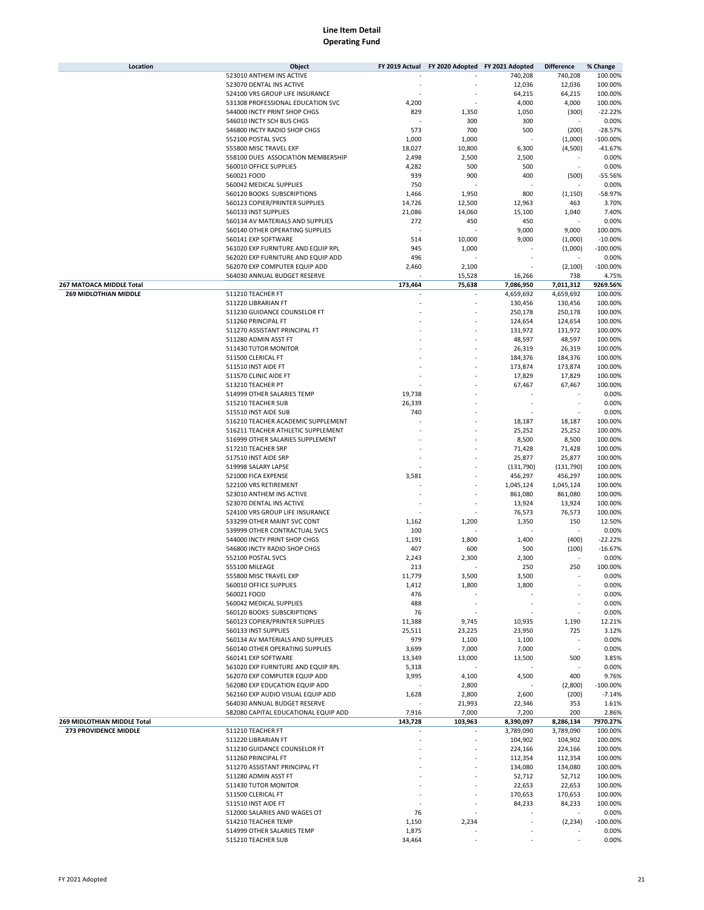| Location                     | Object                               | FY 2019 Actual | FY 2020 Adopted FY 2021 Adopted |            | <b>Difference</b> | % Change   |
|------------------------------|--------------------------------------|----------------|---------------------------------|------------|-------------------|------------|
|                              | 523010 ANTHEM INS ACTIVE             |                |                                 | 740,208    | 740,208           | 100.00%    |
|                              | 523070 DENTAL INS ACTIVE             |                |                                 | 12,036     | 12,036            | 100.00%    |
|                              | 524100 VRS GROUP LIFE INSURANCE      |                |                                 | 64,215     | 64,215            | 100.00%    |
|                              | 531308 PROFESSIONAL EDUCATION SVC    | 4,200          |                                 | 4,000      | 4,000             | 100.00%    |
|                              | 544000 INCTY PRINT SHOP CHGS         | 829            | 1,350                           | 1,050      | (300)             | $-22.22%$  |
|                              | 546010 INCTY SCH BUS CHGS            |                | 300                             | 300        |                   | 0.00%      |
|                              | 546800 INCTY RADIO SHOP CHGS         | 573            | 700                             | 500        | (200)             | $-28.57%$  |
|                              | 552100 POSTAL SVCS                   | 1,000          | 1,000                           |            | (1,000)           | $-100.00%$ |
|                              | 555800 MISC TRAVEL EXP               | 18,027         | 10,800                          | 6,300      | (4,500)           | $-41.67%$  |
|                              |                                      |                |                                 |            |                   |            |
|                              | 558100 DUES ASSOCIATION MEMBERSHIP   | 2,498          | 2,500                           | 2,500      |                   | 0.00%      |
|                              | 560010 OFFICE SUPPLIES               | 4,282          | 500                             | 500        | ×,                | 0.00%      |
|                              | 560021 FOOD                          | 939            | 900                             | 400        | (500)             | $-55.56%$  |
|                              | 560042 MEDICAL SUPPLIES              | 750            |                                 |            |                   | 0.00%      |
|                              | 560120 BOOKS SUBSCRIPTIONS           | 1,466          | 1,950                           | 800        | (1, 150)          | -58.97%    |
|                              | 560123 COPIER/PRINTER SUPPLIES       | 14,726         | 12,500                          | 12,963     | 463               | 3.70%      |
|                              | 560133 INST SUPPLIES                 | 21,086         | 14,060                          | 15,100     | 1,040             | 7.40%      |
|                              | 560134 AV MATERIALS AND SUPPLIES     | 272            | 450                             | 450        |                   | 0.00%      |
|                              | 560140 OTHER OPERATING SUPPLIES      |                |                                 | 9,000      | 9,000             | 100.00%    |
|                              | 560141 EXP SOFTWARE                  | 514            | 10,000                          | 9,000      | (1,000)           | $-10.00%$  |
|                              | 561020 EXP FURNITURE AND EQUIP RPL   | 945            | 1,000                           |            | (1,000)           | $-100.00%$ |
|                              | 562020 EXP FURNITURE AND EQUIP ADD   | 496            |                                 |            |                   | 0.00%      |
|                              | 562070 EXP COMPUTER EQUIP ADD        | 2,460          | 2,100                           |            | (2, 100)          | $-100.00%$ |
|                              | 564030 ANNUAL BUDGET RESERVE         |                | 15,528                          | 16,266     | 738               | 4.75%      |
| 267 MATOACA MIDDLE Total     |                                      | 173,464        | 75,638                          | 7,086,950  | 7,011,312         | 9269.56%   |
| <b>269 MIDLOTHIAN MIDDLE</b> | 511210 TEACHER FT                    |                |                                 |            |                   | 100.00%    |
|                              |                                      |                |                                 | 4,659,692  | 4,659,692         |            |
|                              | 511220 LIBRARIAN FT                  |                | ä,                              | 130,456    | 130,456           | 100.00%    |
|                              | 511230 GUIDANCE COUNSELOR FT         |                |                                 | 250,178    | 250,178           | 100.00%    |
|                              | 511260 PRINCIPAL FT                  |                |                                 | 124,654    | 124,654           | 100.00%    |
|                              | 511270 ASSISTANT PRINCIPAL FT        |                |                                 | 131,972    | 131,972           | 100.00%    |
|                              | 511280 ADMIN ASST FT                 |                |                                 | 48,597     | 48,597            | 100.00%    |
|                              | 511430 TUTOR MONITOR                 |                |                                 | 26,319     | 26,319            | 100.00%    |
|                              | 511500 CLERICAL FT                   |                |                                 | 184,376    | 184,376           | 100.00%    |
|                              | 511510 INST AIDE FT                  |                |                                 | 173,874    | 173,874           | 100.00%    |
|                              | 511570 CLINIC AIDE FT                |                |                                 | 17,829     | 17,829            | 100.00%    |
|                              | 513210 TEACHER PT                    |                |                                 | 67,467     | 67,467            | 100.00%    |
|                              | 514999 OTHER SALARIES TEMP           | 19,738         |                                 |            |                   | 0.00%      |
|                              |                                      | 26,339         |                                 |            |                   | 0.00%      |
|                              | 515210 TEACHER SUB                   |                |                                 |            |                   |            |
|                              | 515510 INST AIDE SUB                 | 740            |                                 |            |                   | 0.00%      |
|                              | 516210 TEACHER ACADEMIC SUPPLEMENT   |                |                                 | 18,187     | 18,187            | 100.00%    |
|                              | 516211 TEACHER ATHLETIC SUPPLEMENT   |                |                                 | 25,252     | 25,252            | 100.00%    |
|                              | 516999 OTHER SALARIES SUPPLEMENT     |                |                                 | 8,500      | 8,500             | 100.00%    |
|                              | 517210 TEACHER SRP                   |                |                                 | 71,428     | 71,428            | 100.00%    |
|                              | 517510 INST AIDE SRP                 |                |                                 | 25,877     | 25,877            | 100.00%    |
|                              | 519998 SALARY LAPSE                  |                |                                 | (131, 790) | (131,790)         | 100.00%    |
|                              | 521000 FICA EXPENSE                  | 3,581          |                                 | 456,297    | 456,297           | 100.00%    |
|                              | 522100 VRS RETIREMENT                |                |                                 | 1,045,124  | 1,045,124         | 100.00%    |
|                              | 523010 ANTHEM INS ACTIVE             |                |                                 | 861,080    | 861,080           | 100.00%    |
|                              | 523070 DENTAL INS ACTIVE             |                |                                 | 13,924     | 13,924            | 100.00%    |
|                              | 524100 VRS GROUP LIFE INSURANCE      |                |                                 | 76,573     | 76,573            | 100.00%    |
|                              | 533299 OTHER MAINT SVC CONT          | 1,162          | 1,200                           | 1,350      | 150               | 12.50%     |
|                              |                                      |                |                                 |            |                   |            |
|                              | 539999 OTHER CONTRACTUAL SVCS        | 100            |                                 |            |                   | 0.00%      |
|                              | 544000 INCTY PRINT SHOP CHGS         | 1,191          | 1,800                           | 1,400      | (400)             | $-22.22%$  |
|                              | 546800 INCTY RADIO SHOP CHGS         | 407            | 600                             | 500        | (100)             | $-16.67%$  |
|                              | 552100 POSTAL SVCS                   | 2,243          | 2,300                           | 2,300      |                   | 0.00%      |
|                              | 555100 MILEAGE                       | 213            |                                 | 250        | 250               | 100.00%    |
|                              | 555800 MISC TRAVEL EXP               | 11,779         | 3,500                           | 3,500      |                   | 0.00%      |
|                              | 560010 OFFICE SUPPLIES               | 1,412          | 1,800                           | 1,800      |                   | 0.00%      |
|                              | 560021 FOOD                          | 476            |                                 |            |                   | 0.00%      |
|                              | 560042 MEDICAL SUPPLIES              | 488            |                                 |            |                   | 0.00%      |
|                              | 560120 BOOKS SUBSCRIPTIONS           | 76             |                                 |            |                   | 0.00%      |
|                              | 560123 COPIER/PRINTER SUPPLIES       | 11,388         | 9,745                           | 10,935     | 1,190             | 12.21%     |
|                              | 560133 INST SUPPLIES                 | 25,511         | 23,225                          | 23,950     | 725               | 3.12%      |
|                              | 560134 AV MATERIALS AND SUPPLIES     | 979            | 1,100                           | 1,100      |                   | 0.00%      |
|                              | 560140 OTHER OPERATING SUPPLIES      | 3,699          | 7,000                           | 7,000      |                   | 0.00%      |
|                              | 560141 EXP SOFTWARE                  | 13,349         | 13,000                          | 13,500     | 500               | 3.85%      |
|                              | 561020 EXP FURNITURE AND EQUIP RPL   | 5,318          |                                 |            |                   | 0.00%      |
|                              |                                      |                |                                 |            |                   |            |
|                              | 562070 EXP COMPUTER EQUIP ADD        | 3,995          | 4,100                           | 4,500      | 400               | 9.76%      |
|                              | 562080 EXP EDUCATION EQUIP ADD       |                | 2,800                           |            | (2,800)           | $-100.00%$ |
|                              | 562160 EXP AUDIO VISUAL EQUIP ADD    | 1,628          | 2,800                           | 2,600      | (200)             | $-7.14%$   |
|                              | 564030 ANNUAL BUDGET RESERVE         |                | 21,993                          | 22,346     | 353               | 1.61%      |
|                              | 582080 CAPITAL EDUCATIONAL EQUIP ADD | 7,916          | 7,000                           | 7,200      | 200               | 2.86%      |
| 269 MIDLOTHIAN MIDDLE Total  |                                      | 143,728        | 103,963                         | 8,390,097  | 8,286,134         | 7970.27%   |
| 273 PROVIDENCE MIDDLE        | 511210 TEACHER FT                    |                |                                 | 3,789,090  | 3,789,090         | 100.00%    |
|                              | 511220 LIBRARIAN FT                  |                |                                 | 104,902    | 104,902           | 100.00%    |
|                              | 511230 GUIDANCE COUNSELOR FT         |                |                                 | 224,166    | 224,166           | 100.00%    |
|                              | 511260 PRINCIPAL FT                  |                |                                 | 112,354    | 112,354           | 100.00%    |
|                              | 511270 ASSISTANT PRINCIPAL FT        |                |                                 | 134,080    | 134,080           | 100.00%    |
|                              | 511280 ADMIN ASST FT                 |                |                                 | 52,712     | 52,712            | 100.00%    |
|                              | 511430 TUTOR MONITOR                 |                |                                 | 22,653     | 22,653            | 100.00%    |
|                              | 511500 CLERICAL FT                   |                |                                 | 170,653    | 170,653           | 100.00%    |
|                              | 511510 INST AIDE FT                  |                |                                 | 84,233     | 84,233            | 100.00%    |
|                              |                                      |                |                                 |            |                   |            |
|                              | 512000 SALARIES AND WAGES OT         | 76             |                                 |            |                   | 0.00%      |
|                              | 514210 TEACHER TEMP                  | 1,150          | 2,234                           |            | (2, 234)          | $-100.00%$ |
|                              | 514999 OTHER SALARIES TEMP           | 1,875          |                                 |            |                   | 0.00%      |
|                              | 515210 TEACHER SUB                   | 34,464         |                                 |            |                   | 0.00%      |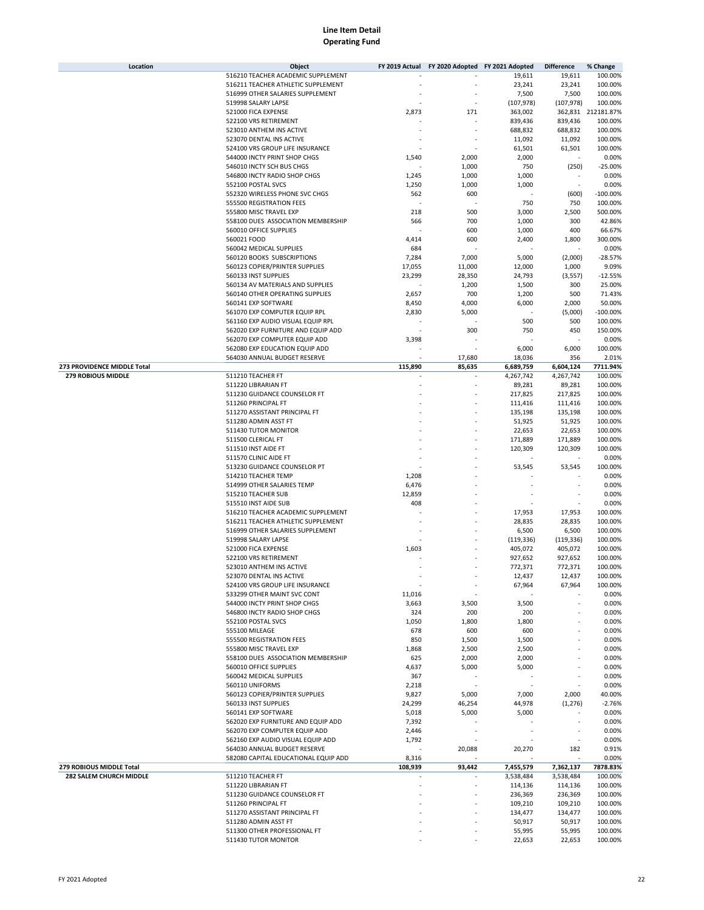| Location                    | Object                               | FY 2019 Actual | FY 2020 Adopted FY 2021 Adopted |            | <b>Difference</b> | % Change           |
|-----------------------------|--------------------------------------|----------------|---------------------------------|------------|-------------------|--------------------|
|                             | 516210 TEACHER ACADEMIC SUPPLEMENT   |                |                                 | 19,611     | 19,611            | 100.00%            |
|                             | 516211 TEACHER ATHLETIC SUPPLEMENT   |                |                                 | 23,241     | 23,241            | 100.00%            |
|                             | 516999 OTHER SALARIES SUPPLEMENT     |                |                                 | 7,500      | 7,500             | 100.00%            |
|                             | 519998 SALARY LAPSE                  |                |                                 | (107, 978) | (107, 978)        | 100.00%            |
|                             |                                      | 2,873          |                                 |            |                   |                    |
|                             | 521000 FICA EXPENSE                  |                | 171                             | 363,002    |                   | 362,831 212181.87% |
|                             | 522100 VRS RETIREMENT                |                |                                 | 839,436    | 839,436           | 100.00%            |
|                             | 523010 ANTHEM INS ACTIVE             |                |                                 | 688,832    | 688,832           | 100.00%            |
|                             | 523070 DENTAL INS ACTIVE             |                |                                 | 11,092     | 11,092            | 100.00%            |
|                             | 524100 VRS GROUP LIFE INSURANCE      |                |                                 | 61,501     | 61,501            | 100.00%            |
|                             | 544000 INCTY PRINT SHOP CHGS         | 1,540          | 2,000                           | 2,000      |                   | 0.00%              |
|                             | 546010 INCTY SCH BUS CHGS            |                | 1,000                           | 750        | (250)             | $-25.00%$          |
|                             | 546800 INCTY RADIO SHOP CHGS         | 1,245          | 1,000                           | 1,000      |                   | 0.00%              |
|                             | 552100 POSTAL SVCS                   | 1,250          | 1,000                           | 1,000      | ٠                 | 0.00%              |
|                             | 552320 WIRELESS PHONE SVC CHGS       | 562            | 600                             |            | (600)             | $-100.00%$         |
|                             | 555500 REGISTRATION FEES             |                |                                 | 750        | 750               | 100.00%            |
|                             | 555800 MISC TRAVEL EXP               | 218            | 500                             | 3,000      | 2,500             | 500.00%            |
|                             | 558100 DUES ASSOCIATION MEMBERSHIP   | 566            | 700                             | 1,000      | 300               | 42.86%             |
|                             |                                      |                |                                 |            |                   |                    |
|                             | 560010 OFFICE SUPPLIES               |                | 600                             | 1,000      | 400               | 66.67%             |
|                             | 560021 FOOD                          | 4,414          | 600                             | 2,400      | 1,800             | 300.00%            |
|                             | 560042 MEDICAL SUPPLIES              | 684            |                                 |            |                   | 0.00%              |
|                             | 560120 BOOKS SUBSCRIPTIONS           | 7,284          | 7,000                           | 5,000      | (2,000)           | $-28.57%$          |
|                             | 560123 COPIER/PRINTER SUPPLIES       | 17,055         | 11,000                          | 12,000     | 1,000             | 9.09%              |
|                             | 560133 INST SUPPLIES                 | 23,299         | 28,350                          | 24,793     | (3, 557)          | $-12.55%$          |
|                             | 560134 AV MATERIALS AND SUPPLIES     |                | 1,200                           | 1,500      | 300               | 25.00%             |
|                             | 560140 OTHER OPERATING SUPPLIES      | 2,657          | 700                             | 1,200      | 500               | 71.43%             |
|                             | 560141 EXP SOFTWARE                  | 8,450          | 4,000                           | 6,000      | 2,000             | 50.00%             |
|                             | 561070 EXP COMPUTER EQUIP RPL        | 2,830          | 5,000                           |            | (5,000)           | $-100.00%$         |
|                             | 561160 EXP AUDIO VISUAL EQUIP RPL    |                |                                 | 500        | 500               | 100.00%            |
|                             | 562020 EXP FURNITURE AND EQUIP ADD   |                | 300                             | 750        | 450               | 150.00%            |
|                             | 562070 EXP COMPUTER EQUIP ADD        | 3,398          |                                 |            |                   | 0.00%              |
|                             |                                      |                |                                 |            |                   |                    |
|                             | 562080 EXP EDUCATION EQUIP ADD       |                |                                 | 6,000      | 6,000             | 100.00%            |
|                             | 564030 ANNUAL BUDGET RESERVE         |                | 17,680                          | 18,036     | 356               | 2.01%              |
| 273 PROVIDENCE MIDDLE Total |                                      | 115,890        | 85,635                          | 6,689,759  | 6,604,124         | 7711.94%           |
| <b>279 ROBIOUS MIDDLE</b>   | 511210 TEACHER FT                    |                |                                 | 4,267,742  | 4,267,742         | 100.00%            |
|                             | 511220 LIBRARIAN FT                  |                |                                 | 89,281     | 89,281            | 100.00%            |
|                             | 511230 GUIDANCE COUNSELOR FT         |                |                                 | 217,825    | 217,825           | 100.00%            |
|                             | 511260 PRINCIPAL FT                  |                |                                 | 111,416    | 111,416           | 100.00%            |
|                             | 511270 ASSISTANT PRINCIPAL FT        |                |                                 | 135,198    | 135,198           | 100.00%            |
|                             | 511280 ADMIN ASST FT                 |                |                                 | 51,925     | 51,925            | 100.00%            |
|                             | 511430 TUTOR MONITOR                 |                |                                 | 22,653     | 22,653            | 100.00%            |
|                             | 511500 CLERICAL FT                   |                |                                 | 171,889    | 171,889           | 100.00%            |
|                             | 511510 INST AIDE FT                  |                |                                 | 120,309    | 120,309           | 100.00%            |
|                             | 511570 CLINIC AIDE FT                |                |                                 |            |                   | 0.00%              |
|                             | 513230 GUIDANCE COUNSELOR PT         |                |                                 | 53,545     | 53,545            | 100.00%            |
|                             |                                      |                |                                 |            |                   |                    |
|                             | 514210 TEACHER TEMP                  | 1,208          |                                 |            |                   | 0.00%              |
|                             | 514999 OTHER SALARIES TEMP           | 6,476          |                                 |            |                   | 0.00%              |
|                             | 515210 TEACHER SUB                   | 12,859         |                                 |            |                   | 0.00%              |
|                             | 515510 INST AIDE SUB                 | 408            |                                 |            |                   | 0.00%              |
|                             | 516210 TEACHER ACADEMIC SUPPLEMENT   |                |                                 | 17,953     | 17,953            | 100.00%            |
|                             | 516211 TEACHER ATHLETIC SUPPLEMENT   |                |                                 | 28,835     | 28,835            | 100.00%            |
|                             | 516999 OTHER SALARIES SUPPLEMENT     |                |                                 | 6,500      | 6,500             | 100.00%            |
|                             | 519998 SALARY LAPSE                  |                |                                 | (119, 336) | (119, 336)        | 100.00%            |
|                             | 521000 FICA EXPENSE                  | 1,603          |                                 | 405,072    | 405,072           | 100.00%            |
|                             | 522100 VRS RETIREMENT                |                |                                 | 927,652    | 927,652           | 100.00%            |
|                             | 523010 ANTHEM INS ACTIVE             |                |                                 | 772,371    | 772,371           | 100.00%            |
|                             | 523070 DENTAL INS ACTIVE             |                |                                 | 12,437     | 12,437            | 100.00%            |
|                             |                                      |                |                                 |            |                   |                    |
|                             | 524100 VRS GROUP LIFE INSURANCE      |                |                                 | 67,964     | 67,964            | 100.00%            |
|                             | 533299 OTHER MAINT SVC CONT          | 11,016         |                                 |            |                   | 0.00%              |
|                             | 544000 INCTY PRINT SHOP CHGS         | 3,663          | 3,500                           | 3,500      |                   | 0.00%              |
|                             | 546800 INCTY RADIO SHOP CHGS         | 324            | 200                             | 200        |                   | 0.00%              |
|                             | 552100 POSTAL SVCS                   | 1,050          | 1,800                           | 1,800      |                   | 0.00%              |
|                             | 555100 MILEAGE                       | 678            | 600                             | 600        |                   | 0.00%              |
|                             | 555500 REGISTRATION FEES             | 850            | 1,500                           | 1,500      |                   | 0.00%              |
|                             | 555800 MISC TRAVEL EXP               | 1,868          | 2,500                           | 2,500      |                   | 0.00%              |
|                             | 558100 DUES ASSOCIATION MEMBERSHIP   | 625            | 2,000                           | 2,000      |                   | 0.00%              |
|                             | 560010 OFFICE SUPPLIES               | 4,637          | 5,000                           | 5,000      |                   | 0.00%              |
|                             | 560042 MEDICAL SUPPLIES              | 367            |                                 |            |                   | 0.00%              |
|                             | 560110 UNIFORMS                      | 2,218          |                                 |            |                   | 0.00%              |
|                             | 560123 COPIER/PRINTER SUPPLIES       | 9,827          | 5,000                           | 7,000      | 2,000             | 40.00%             |
|                             | 560133 INST SUPPLIES                 | 24,299         | 46,254                          | 44,978     | (1, 276)          | $-2.76%$           |
|                             |                                      |                |                                 |            |                   |                    |
|                             | 560141 EXP SOFTWARE                  | 5,018          | 5,000                           | 5,000      |                   | 0.00%              |
|                             | 562020 EXP FURNITURE AND EQUIP ADD   | 7,392          |                                 |            |                   | 0.00%              |
|                             | 562070 EXP COMPUTER EQUIP ADD        | 2,446          |                                 |            |                   | 0.00%              |
|                             | 562160 EXP AUDIO VISUAL EQUIP ADD    | 1,792          |                                 |            |                   | 0.00%              |
|                             | 564030 ANNUAL BUDGET RESERVE         |                | 20,088                          | 20,270     | 182               | 0.91%              |
|                             | 582080 CAPITAL EDUCATIONAL EQUIP ADD | 8,316          |                                 |            |                   | 0.00%              |
| 279 ROBIOUS MIDDLE Total    |                                      | 108,939        | 93,442                          | 7,455,579  | 7,362,137         | 7878.83%           |
| 282 SALEM CHURCH MIDDLE     | 511210 TEACHER FT                    |                |                                 | 3,538,484  | 3,538,484         | 100.00%            |
|                             | 511220 LIBRARIAN FT                  |                |                                 | 114,136    | 114,136           | 100.00%            |
|                             | 511230 GUIDANCE COUNSELOR FT         |                |                                 | 236,369    | 236,369           | 100.00%            |
|                             | 511260 PRINCIPAL FT                  |                |                                 | 109,210    | 109,210           | 100.00%            |
|                             | 511270 ASSISTANT PRINCIPAL FT        |                |                                 | 134,477    | 134,477           | 100.00%            |
|                             | 511280 ADMIN ASST FT                 |                |                                 | 50,917     | 50,917            | 100.00%            |
|                             | 511300 OTHER PROFESSIONAL FT         |                |                                 | 55,995     | 55,995            | 100.00%            |
|                             | 511430 TUTOR MONITOR                 |                |                                 |            |                   |                    |
|                             |                                      |                |                                 | 22,653     | 22,653            | 100.00%            |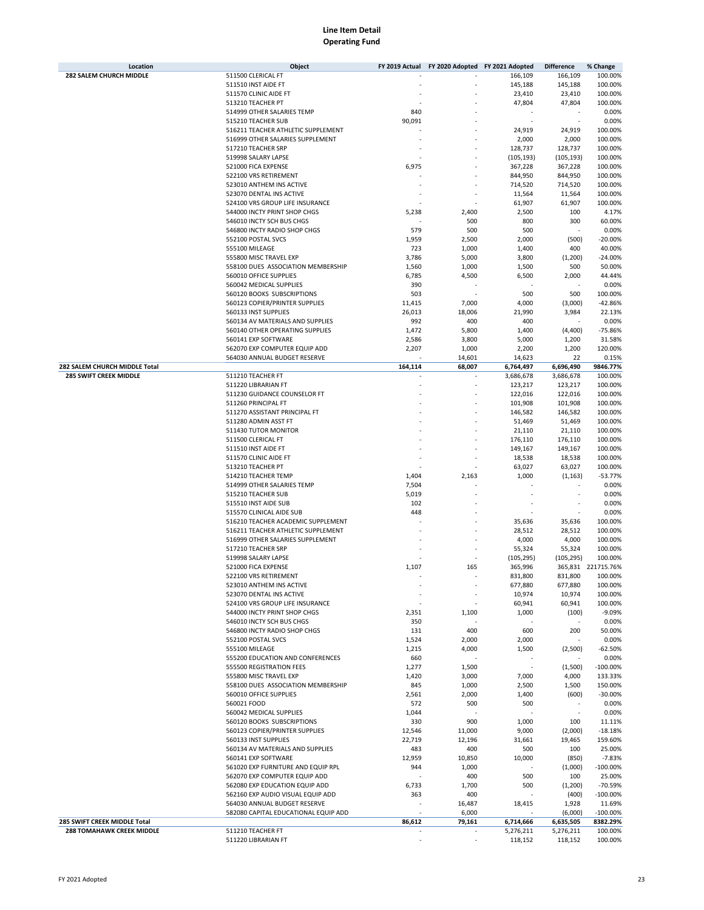| Location                         | Object                               | FY 2019 Actual | FY 2020 Adopted FY 2021 Adopted |            | <b>Difference</b> | % Change           |
|----------------------------------|--------------------------------------|----------------|---------------------------------|------------|-------------------|--------------------|
| <b>282 SALEM CHURCH MIDDLE</b>   | 511500 CLERICAL FT                   |                |                                 | 166,109    | 166,109           | 100.00%            |
|                                  | 511510 INST AIDE FT                  |                |                                 | 145,188    | 145,188           | 100.00%            |
|                                  | 511570 CLINIC AIDE FT                |                |                                 | 23,410     | 23,410            | 100.00%            |
|                                  | 513210 TEACHER PT                    |                |                                 | 47,804     | 47,804            | 100.00%            |
|                                  | 514999 OTHER SALARIES TEMP           | 840            |                                 |            |                   | 0.00%              |
|                                  | 515210 TEACHER SUB                   |                |                                 |            |                   | 0.00%              |
|                                  |                                      | 90,091         |                                 |            |                   |                    |
|                                  | 516211 TEACHER ATHLETIC SUPPLEMENT   |                |                                 | 24,919     | 24,919            | 100.00%            |
|                                  | 516999 OTHER SALARIES SUPPLEMENT     |                |                                 | 2,000      | 2,000             | 100.00%            |
|                                  | 517210 TEACHER SRP                   |                |                                 | 128,737    | 128,737           | 100.00%            |
|                                  | 519998 SALARY LAPSE                  |                |                                 | (105, 193) | (105, 193)        | 100.00%            |
|                                  | 521000 FICA EXPENSE                  | 6,975          |                                 | 367,228    | 367,228           | 100.00%            |
|                                  | 522100 VRS RETIREMENT                |                |                                 | 844,950    | 844,950           | 100.00%            |
|                                  | 523010 ANTHEM INS ACTIVE             |                |                                 | 714,520    | 714,520           | 100.00%            |
|                                  | 523070 DENTAL INS ACTIVE             |                |                                 | 11,564     | 11,564            | 100.00%            |
|                                  | 524100 VRS GROUP LIFE INSURANCE      |                |                                 |            |                   |                    |
|                                  |                                      |                |                                 | 61,907     | 61,907            | 100.00%            |
|                                  | 544000 INCTY PRINT SHOP CHGS         | 5,238          | 2,400                           | 2,500      | 100               | 4.17%              |
|                                  | 546010 INCTY SCH BUS CHGS            |                | 500                             | 800        | 300               | 60.00%             |
|                                  | 546800 INCTY RADIO SHOP CHGS         | 579            | 500                             | 500        |                   | 0.00%              |
|                                  | 552100 POSTAL SVCS                   | 1,959          | 2,500                           | 2,000      | (500)             | $-20.00%$          |
|                                  | 555100 MILEAGE                       | 723            | 1,000                           | 1,400      | 400               | 40.00%             |
|                                  | 555800 MISC TRAVEL EXP               | 3,786          | 5,000                           | 3,800      | (1, 200)          | $-24.00%$          |
|                                  | 558100 DUES ASSOCIATION MEMBERSHIP   | 1,560          | 1,000                           | 1,500      | 500               | 50.00%             |
|                                  | 560010 OFFICE SUPPLIES               | 6,785          | 4,500                           | 6,500      | 2,000             | 44.44%             |
|                                  |                                      |                |                                 |            |                   |                    |
|                                  | 560042 MEDICAL SUPPLIES              | 390            |                                 |            |                   | 0.00%              |
|                                  | 560120 BOOKS SUBSCRIPTIONS           | 503            |                                 | 500        | 500               | 100.00%            |
|                                  | 560123 COPIER/PRINTER SUPPLIES       | 11,415         | 7,000                           | 4,000      | (3,000)           | $-42.86%$          |
|                                  | 560133 INST SUPPLIES                 | 26,013         | 18,006                          | 21,990     | 3,984             | 22.13%             |
|                                  | 560134 AV MATERIALS AND SUPPLIES     | 992            | 400                             | 400        |                   | 0.00%              |
|                                  | 560140 OTHER OPERATING SUPPLIES      | 1,472          | 5,800                           | 1,400      | (4,400)           | $-75.86%$          |
|                                  | 560141 EXP SOFTWARE                  | 2,586          | 3,800                           | 5,000      | 1,200             | 31.58%             |
|                                  | 562070 EXP COMPUTER EQUIP ADD        | 2,207          | 1,000                           | 2,200      | 1,200             | 120.00%            |
|                                  |                                      |                |                                 |            | 22                |                    |
|                                  | 564030 ANNUAL BUDGET RESERVE         |                | 14,601                          | 14,623     |                   | 0.15%              |
| 282 SALEM CHURCH MIDDLE Total    |                                      | 164,114        | 68,007                          | 6,764,497  | 6,696,490         | 9846.77%           |
| <b>285 SWIFT CREEK MIDDLE</b>    | 511210 TEACHER FT                    |                |                                 | 3,686,678  | 3,686,678         | 100.00%            |
|                                  | 511220 LIBRARIAN FT                  |                |                                 | 123,217    | 123,217           | 100.00%            |
|                                  | 511230 GUIDANCE COUNSELOR FT         |                |                                 | 122,016    | 122,016           | 100.00%            |
|                                  | 511260 PRINCIPAL FT                  |                |                                 | 101,908    | 101,908           | 100.00%            |
|                                  | 511270 ASSISTANT PRINCIPAL FT        |                |                                 | 146,582    | 146,582           | 100.00%            |
|                                  | 511280 ADMIN ASST FT                 |                |                                 | 51,469     | 51,469            | 100.00%            |
|                                  |                                      |                |                                 |            |                   |                    |
|                                  | 511430 TUTOR MONITOR                 |                |                                 | 21,110     | 21,110            | 100.00%            |
|                                  | 511500 CLERICAL FT                   |                |                                 | 176,110    | 176,110           | 100.00%            |
|                                  | 511510 INST AIDE FT                  |                |                                 | 149,167    | 149,167           | 100.00%            |
|                                  | 511570 CLINIC AIDE FT                |                |                                 | 18,538     | 18,538            | 100.00%            |
|                                  | 513210 TEACHER PT                    |                |                                 | 63,027     | 63,027            | 100.00%            |
|                                  | 514210 TEACHER TEMP                  | 1,404          | 2,163                           | 1,000      | (1, 163)          | $-53.77%$          |
|                                  | 514999 OTHER SALARIES TEMP           | 7,504          |                                 |            |                   | 0.00%              |
|                                  | 515210 TEACHER SUB                   | 5,019          |                                 |            |                   | 0.00%              |
|                                  | 515510 INST AIDE SUB                 | 102            |                                 |            |                   | 0.00%              |
|                                  |                                      |                |                                 |            |                   |                    |
|                                  | 515570 CLINICAL AIDE SUB             | 448            |                                 |            |                   | 0.00%              |
|                                  | 516210 TEACHER ACADEMIC SUPPLEMENT   |                |                                 | 35,636     | 35,636            | 100.00%            |
|                                  | 516211 TEACHER ATHLETIC SUPPLEMENT   |                |                                 | 28,512     | 28,512            | 100.00%            |
|                                  | 516999 OTHER SALARIES SUPPLEMENT     |                |                                 | 4,000      | 4,000             | 100.00%            |
|                                  | 517210 TEACHER SRP                   |                |                                 | 55,324     | 55,324            | 100.00%            |
|                                  | 519998 SALARY LAPSE                  |                |                                 | (105, 295) | (105, 295)        | 100.00%            |
|                                  | 521000 FICA EXPENSE                  | 1,107          | 165                             | 365,996    |                   | 365,831 221715.76% |
|                                  | 522100 VRS RETIREMENT                |                |                                 | 831,800    | 831,800           | 100.00%            |
|                                  |                                      |                | $\overline{a}$                  | 677,880    |                   | 100.00%            |
|                                  | 523010 ANTHEM INS ACTIVE             |                |                                 |            | 677,880           |                    |
|                                  | 523070 DENTAL INS ACTIVE             |                |                                 | 10,974     | 10,974            | 100.00%            |
|                                  | 524100 VRS GROUP LIFE INSURANCE      |                |                                 | 60,941     | 60,941            | 100.00%            |
|                                  | 544000 INCTY PRINT SHOP CHGS         | 2,351          | 1,100                           | 1,000      | (100)             | $-9.09%$           |
|                                  | 546010 INCTY SCH BUS CHGS            | 350            |                                 |            |                   | 0.00%              |
|                                  | 546800 INCTY RADIO SHOP CHGS         | 131            | 400                             | 600        | 200               | 50.00%             |
|                                  | 552100 POSTAL SVCS                   | 1,524          | 2,000                           | 2,000      |                   | 0.00%              |
|                                  | 555100 MILEAGE                       | 1,215          | 4,000                           | 1,500      | (2,500)           | $-62.50%$          |
|                                  | 555200 EDUCATION AND CONFERENCES     | 660            |                                 |            |                   | 0.00%              |
|                                  | 555500 REGISTRATION FEES             | 1,277          | 1,500                           | ×,         | (1,500)           | $-100.00\%$        |
|                                  | 555800 MISC TRAVEL EXP               |                |                                 |            |                   |                    |
|                                  |                                      | 1,420          | 3,000                           | 7,000      | 4,000             | 133.33%            |
|                                  | 558100 DUES ASSOCIATION MEMBERSHIP   | 845            | 1,000                           | 2,500      | 1,500             | 150.00%            |
|                                  | 560010 OFFICE SUPPLIES               | 2,561          | 2,000                           | 1,400      | (600)             | $-30.00%$          |
|                                  | 560021 FOOD                          | 572            | 500                             | 500        |                   | 0.00%              |
|                                  | 560042 MEDICAL SUPPLIES              | 1,044          |                                 |            | $\sim$            | 0.00%              |
|                                  | 560120 BOOKS SUBSCRIPTIONS           | 330            | 900                             | 1,000      | 100               | 11.11%             |
|                                  | 560123 COPIER/PRINTER SUPPLIES       | 12,546         | 11,000                          | 9,000      | (2,000)           | $-18.18%$          |
|                                  | 560133 INST SUPPLIES                 | 22,719         | 12,196                          | 31,661     | 19,465            | 159.60%            |
|                                  | 560134 AV MATERIALS AND SUPPLIES     | 483            | 400                             | 500        | 100               | 25.00%             |
|                                  |                                      |                |                                 |            |                   |                    |
|                                  | 560141 EXP SOFTWARE                  | 12,959         | 10,850                          | 10,000     | (850)             | $-7.83%$           |
|                                  | 561020 EXP FURNITURE AND EQUIP RPL   | 944            | 1,000                           |            | (1,000)           | $-100.00\%$        |
|                                  | 562070 EXP COMPUTER EQUIP ADD        |                | 400                             | 500        | 100               | 25.00%             |
|                                  | 562080 EXP EDUCATION EQUIP ADD       | 6,733          | 1,700                           | 500        | (1,200)           | -70.59%            |
|                                  | 562160 EXP AUDIO VISUAL EQUIP ADD    | 363            | 400                             |            | (400)             | $-100.00%$         |
|                                  | 564030 ANNUAL BUDGET RESERVE         |                | 16,487                          | 18,415     | 1,928             | 11.69%             |
|                                  | 582080 CAPITAL EDUCATIONAL EQUIP ADD |                | 6,000                           |            | (6,000)           | $-100.00\%$        |
| 285 SWIFT CREEK MIDDLE Total     |                                      | 86,612         | 79,161                          | 6,714,666  | 6,635,505         | 8382.29%           |
|                                  |                                      |                |                                 |            |                   |                    |
| <b>288 TOMAHAWK CREEK MIDDLE</b> | 511210 TEACHER FT                    |                |                                 | 5,276,211  | 5,276,211         | 100.00%            |
|                                  | 511220 LIBRARIAN FT                  |                |                                 | 118,152    | 118,152           | 100.00%            |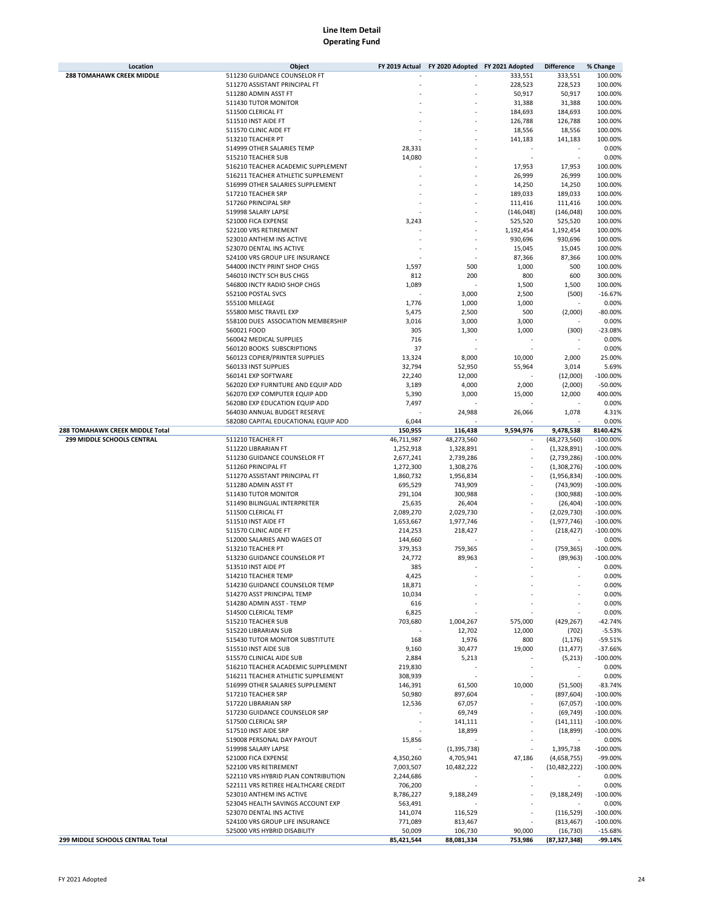| Location                         | Object                               | FY 2019 Actual | FY 2020 Adopted FY 2021 Adopted |            | <b>Difference</b> | % Change   |
|----------------------------------|--------------------------------------|----------------|---------------------------------|------------|-------------------|------------|
| 288 TOMAHAWK CREEK MIDDLE        | 511230 GUIDANCE COUNSELOR FT         |                |                                 | 333,551    | 333,551           | 100.00%    |
|                                  | 511270 ASSISTANT PRINCIPAL FT        |                |                                 | 228,523    | 228,523           | 100.00%    |
|                                  | 511280 ADMIN ASST FT                 |                |                                 | 50,917     | 50,917            | 100.00%    |
|                                  | 511430 TUTOR MONITOR                 |                |                                 | 31,388     | 31,388            | 100.00%    |
|                                  | 511500 CLERICAL FT                   |                |                                 | 184,693    | 184,693           | 100.00%    |
|                                  | 511510 INST AIDE FT                  |                |                                 | 126,788    | 126,788           | 100.00%    |
|                                  | 511570 CLINIC AIDE FT                |                |                                 | 18,556     | 18,556            | 100.00%    |
|                                  |                                      |                |                                 |            |                   |            |
|                                  | 513210 TEACHER PT                    |                |                                 | 141,183    | 141,183           | 100.00%    |
|                                  | 514999 OTHER SALARIES TEMP           | 28,331         |                                 |            |                   | 0.00%      |
|                                  | 515210 TEACHER SUB                   | 14,080         |                                 |            |                   | 0.00%      |
|                                  | 516210 TEACHER ACADEMIC SUPPLEMENT   |                |                                 | 17,953     | 17,953            | 100.00%    |
|                                  | 516211 TEACHER ATHLETIC SUPPLEMENT   |                |                                 | 26,999     | 26,999            | 100.00%    |
|                                  | 516999 OTHER SALARIES SUPPLEMENT     |                |                                 | 14,250     | 14,250            | 100.00%    |
|                                  | 517210 TEACHER SRP                   |                |                                 | 189,033    | 189,033           | 100.00%    |
|                                  | 517260 PRINCIPAL SRP                 |                |                                 | 111,416    | 111,416           | 100.00%    |
|                                  | 519998 SALARY LAPSE                  |                |                                 | (146, 048) | (146, 048)        | 100.00%    |
|                                  | 521000 FICA EXPENSE                  | 3,243          |                                 | 525,520    | 525,520           | 100.00%    |
|                                  |                                      |                |                                 |            |                   |            |
|                                  | 522100 VRS RETIREMENT                |                |                                 | 1,192,454  | 1,192,454         | 100.00%    |
|                                  | 523010 ANTHEM INS ACTIVE             |                |                                 | 930,696    | 930,696           | 100.00%    |
|                                  | 523070 DENTAL INS ACTIVE             |                |                                 | 15,045     | 15,045            | 100.00%    |
|                                  | 524100 VRS GROUP LIFE INSURANCE      |                |                                 | 87,366     | 87,366            | 100.00%    |
|                                  | 544000 INCTY PRINT SHOP CHGS         | 1,597          | 500                             | 1,000      | 500               | 100.00%    |
|                                  | 546010 INCTY SCH BUS CHGS            | 812            | 200                             | 800        | 600               | 300.00%    |
|                                  | 546800 INCTY RADIO SHOP CHGS         | 1,089          |                                 | 1,500      | 1,500             | 100.00%    |
|                                  | 552100 POSTAL SVCS                   |                | 3,000                           | 2,500      | (500)             | $-16.67%$  |
|                                  | 555100 MILEAGE                       | 1,776          | 1,000                           | 1,000      |                   | 0.00%      |
|                                  | 555800 MISC TRAVEL EXP               |                |                                 |            |                   |            |
|                                  |                                      | 5,475          | 2,500                           | 500        | (2,000)           | $-80.00%$  |
|                                  | 558100 DUES ASSOCIATION MEMBERSHIP   | 3,016          | 3,000                           | 3,000      |                   | 0.00%      |
|                                  | 560021 FOOD                          | 305            | 1,300                           | 1,000      | (300)             | $-23.08%$  |
|                                  | 560042 MEDICAL SUPPLIES              | 716            |                                 |            |                   | 0.00%      |
|                                  | 560120 BOOKS SUBSCRIPTIONS           | 37             |                                 |            |                   | 0.00%      |
|                                  | 560123 COPIER/PRINTER SUPPLIES       | 13,324         | 8,000                           | 10,000     | 2,000             | 25.00%     |
|                                  | 560133 INST SUPPLIES                 | 32,794         | 52,950                          | 55,964     | 3,014             | 5.69%      |
|                                  | 560141 EXP SOFTWARE                  | 22,240         | 12,000                          |            | (12,000)          | $-100.00%$ |
|                                  | 562020 EXP FURNITURE AND EQUIP ADD   | 3,189          | 4,000                           | 2,000      | (2,000)           | $-50.00%$  |
|                                  | 562070 EXP COMPUTER EQUIP ADD        |                |                                 |            |                   |            |
|                                  |                                      | 5,390          | 3,000                           | 15,000     | 12,000            | 400.00%    |
|                                  | 562080 EXP EDUCATION EQUIP ADD       | 7,497          |                                 |            |                   | 0.00%      |
|                                  | 564030 ANNUAL BUDGET RESERVE         |                | 24,988                          | 26,066     | 1,078             | 4.31%      |
|                                  | 582080 CAPITAL EDUCATIONAL EQUIP ADD | 6,044          |                                 |            |                   | 0.00%      |
| 288 TOMAHAWK CREEK MIDDLE Total  |                                      | 150,955        | 116,438                         | 9,594,976  | 9,478,538         | 8140.42%   |
| 299 MIDDLE SCHOOLS CENTRAL       | 511210 TEACHER FT                    | 46,711,987     | 48,273,560                      |            | (48, 273, 560)    | $-100.00%$ |
|                                  | 511220 LIBRARIAN FT                  | 1,252,918      | 1,328,891                       |            | (1,328,891)       | $-100.00%$ |
|                                  | 511230 GUIDANCE COUNSELOR FT         | 2,677,241      | 2,739,286                       | ÷          | (2,739,286)       | $-100.00%$ |
|                                  | 511260 PRINCIPAL FT                  | 1,272,300      | 1,308,276                       |            | (1,308,276)       | $-100.00%$ |
|                                  | 511270 ASSISTANT PRINCIPAL FT        | 1,860,732      | 1,956,834                       |            | (1,956,834)       | $-100.00%$ |
|                                  | 511280 ADMIN ASST FT                 | 695,529        | 743,909                         |            | (743,909)         | $-100.00%$ |
|                                  | 511430 TUTOR MONITOR                 | 291,104        | 300,988                         |            | (300, 988)        | $-100.00%$ |
|                                  |                                      |                |                                 |            |                   |            |
|                                  | 511490 BILINGUAL INTERPRETER         | 25,635         | 26,404                          |            | (26, 404)         | $-100.00%$ |
|                                  | 511500 CLERICAL FT                   | 2,089,270      | 2,029,730                       |            | (2,029,730)       | $-100.00%$ |
|                                  | 511510 INST AIDE FT                  | 1,653,667      | 1,977,746                       |            | (1,977,746)       | $-100.00%$ |
|                                  | 511570 CLINIC AIDE FT                | 214,253        | 218,427                         |            | (218, 427)        | $-100.00%$ |
|                                  | 512000 SALARIES AND WAGES OT         | 144,660        |                                 |            |                   | 0.00%      |
|                                  | 513210 TEACHER PT                    | 379,353        | 759,365                         |            | (759, 365)        | $-100.00%$ |
|                                  | 513230 GUIDANCE COUNSELOR PT         | 24,772         | 89,963                          |            | (89, 963)         | $-100.00%$ |
|                                  | 513510 INST AIDE PT                  | 385            |                                 |            |                   | 0.00%      |
|                                  | 514210 TEACHER TEMP                  | 4,425          |                                 |            |                   | 0.00%      |
|                                  | 514230 GUIDANCE COUNSELOR TEMP       | 18,871         |                                 |            |                   | 0.00%      |
|                                  |                                      |                |                                 |            |                   | 0.00%      |
|                                  | 514270 ASST PRINCIPAL TEMP           | 10,034         |                                 |            |                   |            |
|                                  | 514280 ADMIN ASST - TEMP             | 616            |                                 |            |                   | 0.00%      |
|                                  | 514500 CLERICAL TEMP                 | 6,825          |                                 |            |                   | 0.00%      |
|                                  | 515210 TEACHER SUB                   | 703,680        | 1,004,267                       | 575,000    | (429, 267)        | $-42.74%$  |
|                                  | 515220 LIBRARIAN SUB                 |                | 12,702                          | 12,000     | (702)             | $-5.53%$   |
|                                  | 515430 TUTOR MONITOR SUBSTITUTE      | 168            | 1,976                           | 800        | (1, 176)          | $-59.51%$  |
|                                  | 515510 INST AIDE SUB                 | 9,160          | 30,477                          | 19,000     | (11, 477)         | $-37.66%$  |
|                                  | 515570 CLINICAL AIDE SUB             | 2,884          | 5,213                           |            | (5,213)           | $-100.00%$ |
|                                  | 516210 TEACHER ACADEMIC SUPPLEMENT   | 219,830        |                                 |            |                   | 0.00%      |
|                                  | 516211 TEACHER ATHLETIC SUPPLEMENT   | 308,939        |                                 |            |                   | 0.00%      |
|                                  | 516999 OTHER SALARIES SUPPLEMENT     | 146,391        | 61,500                          | 10,000     | (51,500)          | $-83.74%$  |
|                                  | 517210 TEACHER SRP                   | 50,980         |                                 |            |                   | $-100.00%$ |
|                                  |                                      |                | 897,604                         |            | (897, 604)        |            |
|                                  | 517220 LIBRARIAN SRP                 | 12,536         | 67,057                          |            | (67,057)          | $-100.00%$ |
|                                  | 517230 GUIDANCE COUNSELOR SRP        |                | 69,749                          |            | (69, 749)         | $-100.00%$ |
|                                  | 517500 CLERICAL SRP                  |                | 141,111                         |            | (141, 111)        | $-100.00%$ |
|                                  | 517510 INST AIDE SRP                 |                | 18,899                          |            | (18, 899)         | $-100.00%$ |
|                                  | 519008 PERSONAL DAY PAYOUT           | 15,856         |                                 |            |                   | 0.00%      |
|                                  | 519998 SALARY LAPSE                  |                | (1, 395, 738)                   |            | 1,395,738         | $-100.00%$ |
|                                  | 521000 FICA EXPENSE                  | 4,350,260      | 4,705,941                       | 47,186     | (4,658,755)       | -99.00%    |
|                                  | 522100 VRS RETIREMENT                | 7,003,507      | 10,482,222                      |            | (10, 482, 222)    | $-100.00%$ |
|                                  | 522110 VRS HYBRID PLAN CONTRIBUTION  | 2,244,686      |                                 |            |                   | 0.00%      |
|                                  | 522111 VRS RETIREE HEALTHCARE CREDIT |                |                                 |            |                   | 0.00%      |
|                                  |                                      | 706,200        |                                 |            |                   |            |
|                                  | 523010 ANTHEM INS ACTIVE             | 8,786,227      | 9,188,249                       |            | (9, 188, 249)     | $-100.00%$ |
|                                  | 523045 HEALTH SAVINGS ACCOUNT EXP    | 563,491        |                                 |            |                   | 0.00%      |
|                                  | 523070 DENTAL INS ACTIVE             | 141,074        | 116,529                         |            | (116, 529)        | $-100.00%$ |
|                                  | 524100 VRS GROUP LIFE INSURANCE      | 771,089        | 813,467                         |            | (813, 467)        | $-100.00%$ |
|                                  | 525000 VRS HYBRID DISABILITY         | 50,009         | 106,730                         | 90,000     | (16, 730)         | $-15.68%$  |
| 299 MIDDLE SCHOOLS CENTRAL Total |                                      | 85,421,544     | 88,081,334                      | 753,986    | (87, 327, 348)    | -99.14%    |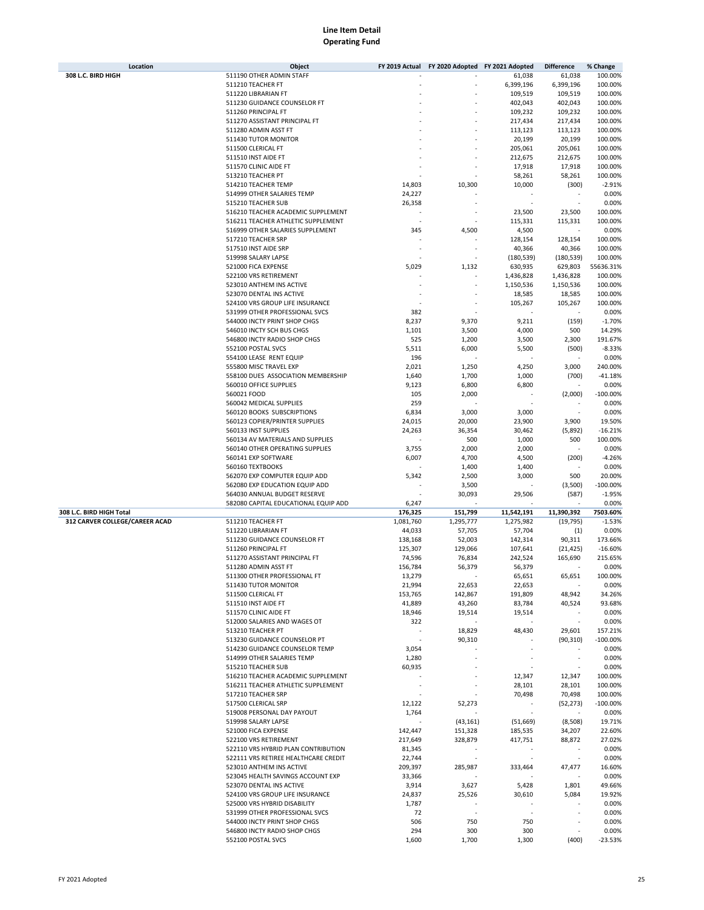| Location                       | Object                                                                   | FY 2019 Actual | FY 2020 Adopted FY 2021 Adopted |                  | <b>Difference</b> | % Change         |
|--------------------------------|--------------------------------------------------------------------------|----------------|---------------------------------|------------------|-------------------|------------------|
| 308 L.C. BIRD HIGH             | 511190 OTHER ADMIN STAFF                                                 |                |                                 | 61,038           | 61,038            | 100.00%          |
|                                | 511210 TEACHER FT                                                        |                |                                 | 6,399,196        | 6,399,196         | 100.00%          |
|                                | 511220 LIBRARIAN FT                                                      |                |                                 | 109,519          | 109,519           | 100.00%          |
|                                | 511230 GUIDANCE COUNSELOR FT                                             |                |                                 | 402,043          | 402,043           | 100.00%          |
|                                | 511260 PRINCIPAL FT                                                      |                |                                 | 109,232          | 109,232           | 100.00%          |
|                                | 511270 ASSISTANT PRINCIPAL FT                                            |                |                                 | 217,434          | 217,434           | 100.00%          |
|                                | 511280 ADMIN ASST FT                                                     |                |                                 | 113,123          | 113,123           | 100.00%          |
|                                | 511430 TUTOR MONITOR                                                     |                |                                 | 20,199           | 20,199            | 100.00%          |
|                                | 511500 CLERICAL FT                                                       |                |                                 | 205,061          | 205,061           | 100.00%          |
|                                | 511510 INST AIDE FT                                                      |                |                                 | 212,675          | 212,675           | 100.00%          |
|                                | 511570 CLINIC AIDE FT                                                    |                |                                 | 17,918           | 17,918            | 100.00%          |
|                                | 513210 TEACHER PT                                                        |                |                                 | 58,261           | 58,261            | 100.00%          |
|                                | 514210 TEACHER TEMP                                                      | 14,803         | 10,300                          | 10,000           | (300)             | $-2.91%$         |
|                                | 514999 OTHER SALARIES TEMP                                               | 24,227         |                                 |                  |                   | 0.00%            |
|                                | 515210 TEACHER SUB                                                       | 26,358         |                                 |                  |                   | 0.00%            |
|                                | 516210 TEACHER ACADEMIC SUPPLEMENT                                       |                |                                 |                  |                   | 100.00%          |
|                                |                                                                          |                |                                 | 23,500           | 23,500            |                  |
|                                | 516211 TEACHER ATHLETIC SUPPLEMENT                                       |                |                                 | 115,331          | 115,331           | 100.00%          |
|                                | 516999 OTHER SALARIES SUPPLEMENT                                         | 345            | 4,500                           | 4,500            |                   | 0.00%            |
|                                | 517210 TEACHER SRP                                                       |                |                                 | 128,154          | 128,154           | 100.00%          |
|                                | 517510 INST AIDE SRP                                                     |                |                                 | 40,366           | 40,366            | 100.00%          |
|                                | 519998 SALARY LAPSE                                                      |                |                                 | (180, 539)       | (180, 539)        | 100.00%          |
|                                | 521000 FICA EXPENSE                                                      | 5,029          | 1,132                           | 630,935          | 629,803           | 55636.31%        |
|                                | 522100 VRS RETIREMENT                                                    |                |                                 | 1,436,828        | 1,436,828         | 100.00%          |
|                                | 523010 ANTHEM INS ACTIVE                                                 |                |                                 | 1,150,536        | 1,150,536         | 100.00%          |
|                                | 523070 DENTAL INS ACTIVE                                                 |                |                                 | 18,585           | 18,585            | 100.00%          |
|                                | 524100 VRS GROUP LIFE INSURANCE                                          |                |                                 | 105,267          | 105,267           | 100.00%          |
|                                | 531999 OTHER PROFESSIONAL SVCS                                           | 382            |                                 |                  |                   | 0.00%            |
|                                | 544000 INCTY PRINT SHOP CHGS                                             | 8,237          | 9,370                           | 9,211            | (159)             | $-1.70%$         |
|                                | 546010 INCTY SCH BUS CHGS                                                | 1,101          | 3,500                           | 4,000            | 500               | 14.29%           |
|                                | 546800 INCTY RADIO SHOP CHGS                                             | 525            | 1,200                           | 3,500            | 2,300             | 191.67%          |
|                                | 552100 POSTAL SVCS                                                       | 5,511          | 6,000                           | 5,500            | (500)             | $-8.33%$         |
|                                | 554100 LEASE RENT EQUIP                                                  | 196            |                                 |                  |                   | 0.00%            |
|                                | 555800 MISC TRAVEL EXP                                                   | 2,021          | 1,250                           | 4,250            | 3,000             | 240.00%          |
|                                | 558100 DUES ASSOCIATION MEMBERSHIP                                       | 1,640          | 1,700                           | 1,000            | (700)             | $-41.18%$        |
|                                | 560010 OFFICE SUPPLIES                                                   | 9,123          | 6,800                           | 6,800            |                   | 0.00%            |
|                                | 560021 FOOD                                                              | 105            | 2,000                           |                  | (2,000)           | $-100.00%$       |
|                                | 560042 MEDICAL SUPPLIES                                                  | 259            |                                 |                  |                   | 0.00%            |
|                                | 560120 BOOKS SUBSCRIPTIONS                                               | 6,834          | 3,000                           | 3,000            |                   | 0.00%            |
|                                | 560123 COPIER/PRINTER SUPPLIES                                           | 24,015         | 20,000                          | 23,900           | 3,900             | 19.50%           |
|                                | 560133 INST SUPPLIES                                                     | 24,263         | 36,354                          | 30,462           | (5,892)           | $-16.21%$        |
|                                | 560134 AV MATERIALS AND SUPPLIES                                         |                | 500                             | 1,000            | 500               | 100.00%          |
|                                | 560140 OTHER OPERATING SUPPLIES                                          | 3,755          | 2,000                           | 2,000            |                   | 0.00%            |
|                                | 560141 EXP SOFTWARE                                                      | 6,007          | 4,700                           | 4,500            | (200)             | $-4.26%$         |
|                                | 560160 TEXTBOOKS                                                         |                | 1,400                           | 1,400            |                   | 0.00%            |
|                                | 562070 EXP COMPUTER EQUIP ADD                                            | 5,342          | 2,500                           | 3,000            | 500               | 20.00%           |
|                                | 562080 EXP EDUCATION EQUIP ADD                                           |                | 3,500                           |                  | (3,500)           | $-100.00%$       |
|                                | 564030 ANNUAL BUDGET RESERVE                                             |                | 30,093                          | 29,506           | (587)             | $-1.95%$         |
|                                | 582080 CAPITAL EDUCATIONAL EQUIP ADD                                     | 6,247          |                                 |                  |                   | 0.00%            |
| 308 L.C. BIRD HIGH Total       |                                                                          | 176,325        | 151,799                         | 11,542,191       | 11,390,392        | 7503.60%         |
| 312 CARVER COLLEGE/CAREER ACAD | 511210 TEACHER FT                                                        | 1,081,760      | 1,295,777                       | 1,275,982        | (19, 795)         | $-1.53%$         |
|                                | 511220 LIBRARIAN FT                                                      | 44,033         | 57,705                          | 57,704           | (1)               | 0.00%            |
|                                | 511230 GUIDANCE COUNSELOR FT                                             | 138,168        | 52,003                          | 142,314          | 90,311            | 173.66%          |
|                                | 511260 PRINCIPAL FT                                                      | 125,307        | 129,066                         | 107,641          | (21, 425)         | $-16.60%$        |
|                                | 511270 ASSISTANT PRINCIPAL FT                                            | 74,596         | 76,834                          | 242,524          | 165,690           | 215.65%          |
|                                | 511280 ADMIN ASST FT                                                     | 156,784        | 56,379                          | 56,379           |                   | 0.00%            |
|                                | 511300 OTHER PROFESSIONAL FT                                             | 13,279         |                                 | 65,651           | 65,651            | 100.00%          |
|                                | 511430 TUTOR MONITOR                                                     | 21,994         | 22,653                          | 22,653           | $\sim$            | 0.00%            |
|                                | 511500 CLERICAL FT                                                       | 153,765        | 142,867                         | 191,809          | 48,942            | 34.26%           |
|                                | 511510 INST AIDE FT                                                      | 41,889         | 43,260                          | 83,784           | 40,524            | 93.68%           |
|                                | 511570 CLINIC AIDE FT                                                    | 18,946         | 19,514                          | 19,514           |                   | 0.00%            |
|                                | 512000 SALARIES AND WAGES OT                                             | 322            |                                 |                  | $\sim$            | 0.00%            |
|                                | 513210 TEACHER PT                                                        |                | 18,829                          | 48,430           | 29,601            | 157.21%          |
|                                | 513230 GUIDANCE COUNSELOR PT                                             |                | 90,310                          |                  | (90, 310)         | $-100.00\%$      |
|                                | 514230 GUIDANCE COUNSELOR TEMP                                           | 3,054          |                                 |                  |                   | 0.00%            |
|                                | 514999 OTHER SALARIES TEMP                                               | 1,280          |                                 |                  |                   | 0.00%            |
|                                | 515210 TEACHER SUB                                                       | 60,935         |                                 |                  |                   | 0.00%            |
|                                |                                                                          |                |                                 |                  |                   | 100.00%          |
|                                | 516210 TEACHER ACADEMIC SUPPLEMENT<br>516211 TEACHER ATHLETIC SUPPLEMENT |                |                                 | 12,347<br>28,101 | 12,347<br>28,101  | 100.00%          |
|                                | 517210 TEACHER SRP                                                       |                |                                 | 70,498           | 70,498            | 100.00%          |
|                                | 517500 CLERICAL SRP                                                      | 12,122         | 52,273                          |                  | (52, 273)         | $-100.00\%$      |
|                                | 519008 PERSONAL DAY PAYOUT                                               | 1,764          |                                 |                  |                   | 0.00%            |
|                                | 519998 SALARY LAPSE                                                      |                |                                 |                  |                   |                  |
|                                |                                                                          |                | (43, 161)                       | (51, 669)        | (8,508)           | 19.71%           |
|                                | 521000 FICA EXPENSE                                                      | 142,447        | 151,328                         | 185,535          | 34,207            | 22.60%<br>27.02% |
|                                | 522100 VRS RETIREMENT                                                    | 217,649        | 328,879                         | 417,751          | 88,872            |                  |
|                                | 522110 VRS HYBRID PLAN CONTRIBUTION                                      | 81,345         |                                 |                  |                   | 0.00%            |
|                                | 522111 VRS RETIREE HEALTHCARE CREDIT                                     | 22,744         |                                 |                  |                   | 0.00%            |
|                                | 523010 ANTHEM INS ACTIVE                                                 | 209,397        | 285,987                         | 333,464          | 47,477            | 16.60%           |
|                                | 523045 HEALTH SAVINGS ACCOUNT EXP                                        | 33,366         |                                 |                  |                   | 0.00%            |
|                                | 523070 DENTAL INS ACTIVE                                                 | 3,914          | 3,627                           | 5,428            | 1,801             | 49.66%           |
|                                | 524100 VRS GROUP LIFE INSURANCE                                          | 24,837         | 25,526                          | 30,610           | 5,084             | 19.92%           |
|                                | 525000 VRS HYBRID DISABILITY                                             | 1,787          |                                 |                  |                   | 0.00%            |
|                                | 531999 OTHER PROFESSIONAL SVCS                                           | 72             | $\sim$                          |                  |                   | 0.00%            |
|                                | 544000 INCTY PRINT SHOP CHGS                                             | 506            | 750                             | 750              |                   | 0.00%            |
|                                | 546800 INCTY RADIO SHOP CHGS                                             | 294            | 300                             | 300              |                   | 0.00%            |
|                                | 552100 POSTAL SVCS                                                       | 1,600          | 1,700                           | 1,300            | (400)             | $-23.53%$        |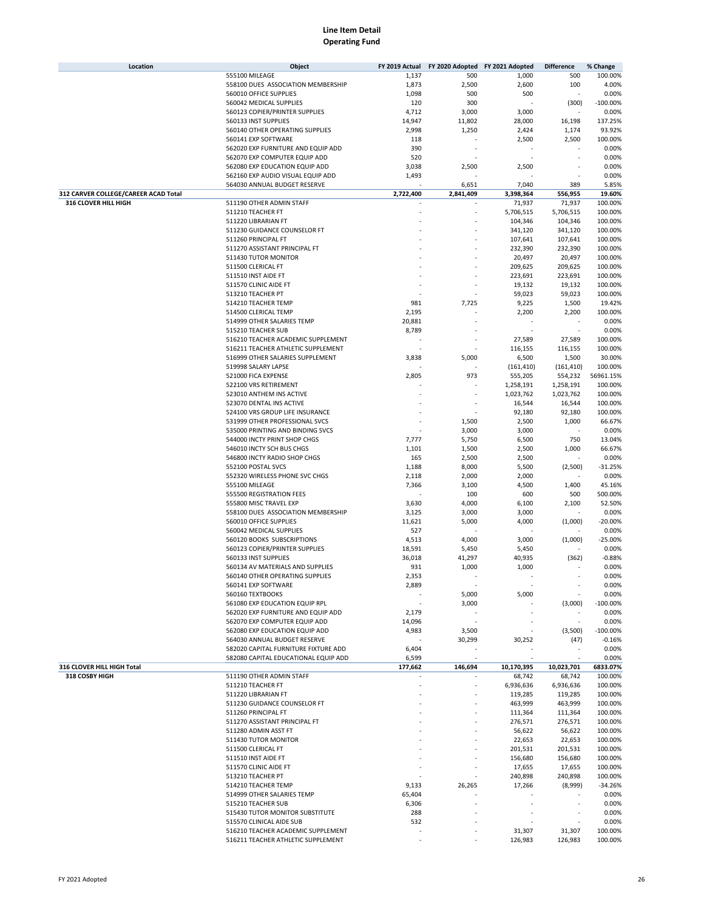| Location                                                     | Object                                                                   | FY 2019 Actual           | FY 2020 Adopted FY 2021 Adopted     |                      | <b>Difference</b>    | % Change            |
|--------------------------------------------------------------|--------------------------------------------------------------------------|--------------------------|-------------------------------------|----------------------|----------------------|---------------------|
|                                                              | 555100 MILEAGE                                                           | 1,137                    | 500                                 | 1,000                | 500                  | 100.00%             |
|                                                              | 558100 DUES ASSOCIATION MEMBERSHIP                                       | 1,873                    | 2,500                               | 2,600                | 100                  | 4.00%               |
|                                                              | 560010 OFFICE SUPPLIES<br>560042 MEDICAL SUPPLIES                        | 1,098<br>120             | 500<br>300                          | 500                  | (300)                | 0.00%<br>$-100.00%$ |
|                                                              | 560123 COPIER/PRINTER SUPPLIES                                           | 4,712                    | 3,000                               | 3,000                |                      | 0.00%               |
|                                                              | 560133 INST SUPPLIES                                                     | 14,947                   | 11,802                              | 28,000               | 16,198               | 137.25%             |
|                                                              | 560140 OTHER OPERATING SUPPLIES                                          | 2,998                    | 1,250                               | 2,424                | 1,174                | 93.92%              |
|                                                              | 560141 EXP SOFTWARE                                                      | 118                      |                                     | 2,500                | 2,500                | 100.00%             |
|                                                              | 562020 EXP FURNITURE AND EQUIP ADD                                       | 390                      |                                     |                      |                      | 0.00%               |
|                                                              | 562070 EXP COMPUTER EQUIP ADD                                            | 520                      |                                     |                      |                      | 0.00%               |
|                                                              | 562080 EXP EDUCATION EQUIP ADD                                           | 3,038                    | 2,500                               | 2,500                |                      | 0.00%               |
|                                                              | 562160 EXP AUDIO VISUAL EQUIP ADD                                        | 1,493                    |                                     |                      |                      | 0.00%               |
|                                                              | 564030 ANNUAL BUDGET RESERVE                                             |                          | 6,651                               | 7,040                | 389                  | 5.85%               |
| 312 CARVER COLLEGE/CAREER ACAD Total<br>316 CLOVER HILL HIGH | 511190 OTHER ADMIN STAFF                                                 | 2,722,400                | 2,841,409                           | 3,398,364<br>71,937  | 556,955<br>71,937    | 19.60%<br>100.00%   |
|                                                              | 511210 TEACHER FT                                                        |                          |                                     | 5,706,515            | 5,706,515            | 100.00%             |
|                                                              | 511220 LIBRARIAN FT                                                      |                          |                                     | 104,346              | 104,346              | 100.00%             |
|                                                              | 511230 GUIDANCE COUNSELOR FT                                             |                          |                                     | 341,120              | 341,120              | 100.00%             |
|                                                              | 511260 PRINCIPAL FT                                                      |                          |                                     | 107,641              | 107,641              | 100.00%             |
|                                                              | 511270 ASSISTANT PRINCIPAL FT                                            |                          |                                     | 232,390              | 232,390              | 100.00%             |
|                                                              | 511430 TUTOR MONITOR                                                     |                          |                                     | 20,497               | 20,497               | 100.00%             |
|                                                              | 511500 CLERICAL FT                                                       |                          |                                     | 209,625              | 209,625              | 100.00%             |
|                                                              | 511510 INST AIDE FT                                                      |                          |                                     | 223,691              | 223,691              | 100.00%             |
|                                                              | 511570 CLINIC AIDE FT                                                    |                          |                                     | 19,132               | 19,132               | 100.00%             |
|                                                              | 513210 TEACHER PT                                                        |                          |                                     | 59,023               | 59,023               | 100.00%             |
|                                                              | 514210 TEACHER TEMP                                                      | 981                      | 7,725                               | 9,225                | 1,500                | 19.42%              |
|                                                              | 514500 CLERICAL TEMP                                                     | 2,195                    |                                     | 2,200                | 2,200                | 100.00%             |
|                                                              | 514999 OTHER SALARIES TEMP                                               | 20,881                   |                                     |                      |                      | 0.00%               |
|                                                              | 515210 TEACHER SUB                                                       | 8,789                    |                                     |                      |                      | 0.00%               |
|                                                              | 516210 TEACHER ACADEMIC SUPPLEMENT<br>516211 TEACHER ATHLETIC SUPPLEMENT |                          |                                     | 27,589<br>116,155    | 27,589<br>116,155    | 100.00%<br>100.00%  |
|                                                              | 516999 OTHER SALARIES SUPPLEMENT                                         | 3,838                    | 5,000                               | 6,500                | 1,500                | 30.00%              |
|                                                              | 519998 SALARY LAPSE                                                      |                          |                                     | (161, 410)           | (161, 410)           | 100.00%             |
|                                                              | 521000 FICA EXPENSE                                                      | 2,805                    | 973                                 | 555,205              | 554,232              | 56961.15%           |
|                                                              | 522100 VRS RETIREMENT                                                    |                          |                                     | 1,258,191            | 1,258,191            | 100.00%             |
|                                                              | 523010 ANTHEM INS ACTIVE                                                 |                          |                                     | 1,023,762            | 1,023,762            | 100.00%             |
|                                                              | 523070 DENTAL INS ACTIVE                                                 |                          |                                     | 16,544               | 16,544               | 100.00%             |
|                                                              | 524100 VRS GROUP LIFE INSURANCE                                          |                          |                                     | 92,180               | 92,180               | 100.00%             |
|                                                              | 531999 OTHER PROFESSIONAL SVCS                                           |                          | 1,500                               | 2,500                | 1,000                | 66.67%              |
|                                                              | 535000 PRINTING AND BINDING SVCS                                         |                          | 3,000                               | 3,000                |                      | 0.00%               |
|                                                              | 544000 INCTY PRINT SHOP CHGS                                             | 7,777                    | 5,750                               | 6,500                | 750                  | 13.04%              |
|                                                              | 546010 INCTY SCH BUS CHGS                                                | 1,101                    | 1,500                               | 2,500                | 1,000                | 66.67%              |
|                                                              | 546800 INCTY RADIO SHOP CHGS                                             | 165                      | 2,500                               | 2,500                |                      | 0.00%               |
|                                                              | 552100 POSTAL SVCS                                                       | 1,188                    | 8,000                               | 5,500                | (2,500)              | $-31.25%$           |
|                                                              | 552320 WIRELESS PHONE SVC CHGS                                           | 2,118                    | 2,000                               | 2,000                |                      | 0.00%               |
|                                                              | 555100 MILEAGE                                                           | 7,366                    | 3,100                               | 4,500                | 1,400                | 45.16%              |
|                                                              | 555500 REGISTRATION FEES                                                 |                          | 100                                 | 600                  | 500                  | 500.00%             |
|                                                              | 555800 MISC TRAVEL EXP                                                   | 3,630                    | 4,000                               | 6,100                | 2,100                | 52.50%              |
|                                                              | 558100 DUES ASSOCIATION MEMBERSHIP<br>560010 OFFICE SUPPLIES             | 3,125                    | 3,000                               | 3,000<br>4,000       |                      | 0.00%<br>$-20.00%$  |
|                                                              | 560042 MEDICAL SUPPLIES                                                  | 11,621<br>527            | 5,000                               |                      | (1,000)              | 0.00%               |
|                                                              | 560120 BOOKS SUBSCRIPTIONS                                               | 4,513                    | 4,000                               | 3,000                | (1,000)              | $-25.00%$           |
|                                                              | 560123 COPIER/PRINTER SUPPLIES                                           | 18,591                   | 5,450                               | 5,450                |                      | 0.00%               |
|                                                              | 560133 INST SUPPLIES                                                     | 36,018                   | 41,297                              | 40,935               | (362)                | $-0.88%$            |
|                                                              | 560134 AV MATERIALS AND SUPPLIES                                         | 931                      | 1,000                               | 1,000                |                      | 0.00%               |
|                                                              | 560140 OTHER OPERATING SUPPLIES                                          | 2,353                    |                                     |                      |                      | 0.00%               |
|                                                              | 560141 EXP SOFTWARE                                                      | 2,889                    |                                     |                      | ٠                    | 0.00%               |
|                                                              | 560160 TEXTBOOKS                                                         |                          | 5,000                               | 5,000                |                      | 0.00%               |
|                                                              | 561080 EXP EDUCATION EQUIP RPL                                           |                          | 3,000                               |                      | (3,000)              | $-100.00%$          |
|                                                              | 562020 EXP FURNITURE AND EQUIP ADD                                       | 2,179                    |                                     |                      |                      | 0.00%               |
|                                                              | 562070 EXP COMPUTER EQUIP ADD                                            | 14,096                   |                                     |                      | ٠                    | 0.00%               |
|                                                              | 562080 EXP EDUCATION EQUIP ADD                                           | 4,983                    | 3,500                               |                      | (3,500)              | $-100.00%$          |
|                                                              | 564030 ANNUAL BUDGET RESERVE                                             |                          | 30,299                              | 30,252               | (47)                 | $-0.16%$            |
|                                                              | 582020 CAPITAL FURNITURE FIXTURE ADD                                     | 6,404                    |                                     |                      |                      | 0.00%               |
|                                                              | 582080 CAPITAL EDUCATIONAL EQUIP ADD                                     | 6,599<br>177,662         | $\overline{\phantom{a}}$<br>146,694 |                      |                      | 0.00%               |
| 316 CLOVER HILL HIGH Total<br>318 COSBY HIGH                 | 511190 OTHER ADMIN STAFF                                                 |                          |                                     | 10,170,395<br>68,742 | 10,023,701<br>68,742 | 6833.07%<br>100.00% |
|                                                              | 511210 TEACHER FT                                                        |                          |                                     | 6,936,636            | 6,936,636            | 100.00%             |
|                                                              | 511220 LIBRARIAN FT                                                      |                          |                                     | 119,285              | 119,285              | 100.00%             |
|                                                              | 511230 GUIDANCE COUNSELOR FT                                             |                          |                                     | 463,999              | 463,999              | 100.00%             |
|                                                              | 511260 PRINCIPAL FT                                                      |                          |                                     | 111,364              | 111,364              | 100.00%             |
|                                                              | 511270 ASSISTANT PRINCIPAL FT                                            |                          |                                     | 276,571              | 276,571              | 100.00%             |
|                                                              | 511280 ADMIN ASST FT                                                     |                          |                                     | 56,622               | 56,622               | 100.00%             |
|                                                              | 511430 TUTOR MONITOR                                                     |                          |                                     | 22,653               | 22,653               | 100.00%             |
|                                                              | 511500 CLERICAL FT                                                       |                          |                                     | 201,531              | 201,531              | 100.00%             |
|                                                              | 511510 INST AIDE FT                                                      |                          |                                     | 156,680              | 156,680              | 100.00%             |
|                                                              | 511570 CLINIC AIDE FT                                                    |                          |                                     | 17,655               | 17,655               | 100.00%             |
|                                                              | 513210 TEACHER PT                                                        |                          |                                     | 240,898              | 240,898              | 100.00%             |
|                                                              | 514210 TEACHER TEMP                                                      | 9,133                    | 26,265                              | 17,266               | (8,999)              | $-34.26%$           |
|                                                              | 514999 OTHER SALARIES TEMP                                               | 65,404                   |                                     |                      |                      | 0.00%               |
|                                                              | 515210 TEACHER SUB                                                       | 6,306                    |                                     |                      |                      | 0.00%               |
|                                                              | 515430 TUTOR MONITOR SUBSTITUTE                                          | 288                      |                                     |                      |                      | 0.00%               |
|                                                              | 515570 CLINICAL AIDE SUB                                                 | 532                      |                                     |                      |                      | 0.00%               |
|                                                              | 516210 TEACHER ACADEMIC SUPPLEMENT<br>516211 TEACHER ATHLETIC SUPPLEMENT | $\overline{\phantom{a}}$ |                                     | 31,307               | 31,307<br>126,983    | 100.00%<br>100.00%  |
|                                                              |                                                                          |                          |                                     | 126,983              |                      |                     |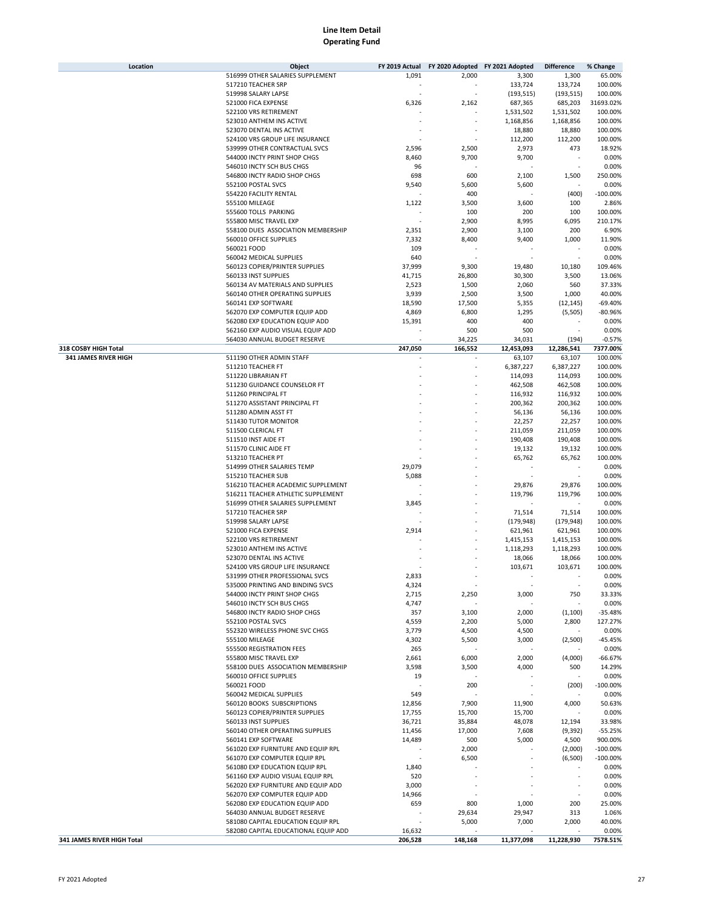| Location                   | Object                               | FY 2019 Actual    |         | FY 2020 Adopted FY 2021 Adopted | <b>Difference</b> | % Change    |
|----------------------------|--------------------------------------|-------------------|---------|---------------------------------|-------------------|-------------|
|                            | 516999 OTHER SALARIES SUPPLEMENT     | 1,091             | 2,000   | 3,300                           | 1,300             | 65.00%      |
|                            | 517210 TEACHER SRP                   |                   |         | 133,724                         | 133,724           | 100.00%     |
|                            | 519998 SALARY LAPSE                  |                   |         | (193, 515)                      | (193, 515)        | 100.00%     |
|                            | 521000 FICA EXPENSE                  | 6,326             | 2,162   | 687,365                         | 685,203           | 31693.02%   |
|                            | 522100 VRS RETIREMENT                |                   |         | 1,531,502                       | 1,531,502         | 100.00%     |
|                            | 523010 ANTHEM INS ACTIVE             |                   |         |                                 | 1,168,856         |             |
|                            |                                      |                   |         | 1,168,856                       |                   | 100.00%     |
|                            | 523070 DENTAL INS ACTIVE             |                   |         | 18,880                          | 18,880            | 100.00%     |
|                            | 524100 VRS GROUP LIFE INSURANCE      |                   |         | 112,200                         | 112,200           | 100.00%     |
|                            | 539999 OTHER CONTRACTUAL SVCS        | 2,596             | 2,500   | 2,973                           | 473               | 18.92%      |
|                            | 544000 INCTY PRINT SHOP CHGS         | 8,460             | 9,700   | 9,700                           |                   | 0.00%       |
|                            | 546010 INCTY SCH BUS CHGS            | 96                |         |                                 | ÷.                | 0.00%       |
|                            | 546800 INCTY RADIO SHOP CHGS         | 698               | 600     | 2,100                           | 1,500             | 250.00%     |
|                            | 552100 POSTAL SVCS                   | 9,540             | 5,600   | 5,600                           |                   | 0.00%       |
|                            | 554220 FACILITY RENTAL               |                   | 400     |                                 | (400)             | $-100.00%$  |
|                            | 555100 MILEAGE                       | 1,122             | 3,500   | 3,600                           | 100               | 2.86%       |
|                            | 555600 TOLLS PARKING                 |                   | 100     | 200                             | 100               | 100.00%     |
|                            | 555800 MISC TRAVEL EXP               |                   | 2,900   | 8,995                           | 6,095             | 210.17%     |
|                            |                                      |                   |         |                                 |                   |             |
|                            | 558100 DUES ASSOCIATION MEMBERSHIP   | 2,351             | 2,900   | 3,100                           | 200               | 6.90%       |
|                            | 560010 OFFICE SUPPLIES               | 7,332             | 8,400   | 9,400                           | 1,000             | 11.90%      |
|                            | 560021 FOOD                          | 109               |         |                                 |                   | 0.00%       |
|                            | 560042 MEDICAL SUPPLIES              | 640               |         |                                 |                   | 0.00%       |
|                            | 560123 COPIER/PRINTER SUPPLIES       | 37,999            | 9,300   | 19,480                          | 10,180            | 109.46%     |
|                            | 560133 INST SUPPLIES                 | 41,715            | 26,800  | 30,300                          | 3,500             | 13.06%      |
|                            | 560134 AV MATERIALS AND SUPPLIES     | 2,523             | 1,500   | 2,060                           | 560               | 37.33%      |
|                            | 560140 OTHER OPERATING SUPPLIES      | 3,939             | 2,500   | 3,500                           | 1,000             | 40.00%      |
|                            | 560141 EXP SOFTWARE                  | 18,590            | 17,500  | 5,355                           | (12, 145)         | $-69.40%$   |
|                            | 562070 EXP COMPUTER EQUIP ADD        | 4,869             | 6,800   | 1,295                           | (5,505)           | $-80.96%$   |
|                            |                                      | 15,391            |         | 400                             |                   | 0.00%       |
|                            | 562080 EXP EDUCATION EQUIP ADD       |                   | 400     |                                 |                   |             |
|                            | 562160 EXP AUDIO VISUAL EQUIP ADD    |                   | 500     | 500                             |                   | 0.00%       |
|                            | 564030 ANNUAL BUDGET RESERVE         |                   | 34,225  | 34,031                          | (194)             | $-0.57%$    |
| 318 COSBY HIGH Total       |                                      | 247,050           | 166,552 | 12,453,093                      | 12,286,541        | 7377.00%    |
| 341 JAMES RIVER HIGH       | 511190 OTHER ADMIN STAFF             |                   |         | 63,107                          | 63,107            | 100.00%     |
|                            | 511210 TEACHER FT                    |                   |         | 6,387,227                       | 6,387,227         | 100.00%     |
|                            | 511220 LIBRARIAN FT                  |                   |         | 114,093                         | 114,093           | 100.00%     |
|                            | 511230 GUIDANCE COUNSELOR FT         |                   |         | 462,508                         | 462,508           | 100.00%     |
|                            | 511260 PRINCIPAL FT                  |                   |         | 116,932                         | 116,932           | 100.00%     |
|                            | 511270 ASSISTANT PRINCIPAL FT        |                   |         | 200,362                         | 200,362           | 100.00%     |
|                            | 511280 ADMIN ASST FT                 |                   |         | 56,136                          | 56,136            | 100.00%     |
|                            | 511430 TUTOR MONITOR                 |                   |         | 22,257                          | 22,257            | 100.00%     |
|                            | 511500 CLERICAL FT                   |                   |         |                                 |                   |             |
|                            |                                      |                   |         | 211,059                         | 211,059           | 100.00%     |
|                            | 511510 INST AIDE FT                  |                   |         | 190,408                         | 190,408           | 100.00%     |
|                            | 511570 CLINIC AIDE FT                |                   |         | 19,132                          | 19,132            | 100.00%     |
|                            | 513210 TEACHER PT                    |                   |         | 65,762                          | 65,762            | 100.00%     |
|                            | 514999 OTHER SALARIES TEMP           | 29,079            |         |                                 |                   | 0.00%       |
|                            | 515210 TEACHER SUB                   | 5,088             |         |                                 |                   | 0.00%       |
|                            | 516210 TEACHER ACADEMIC SUPPLEMENT   |                   |         | 29,876                          | 29,876            | 100.00%     |
|                            | 516211 TEACHER ATHLETIC SUPPLEMENT   |                   |         | 119,796                         | 119,796           | 100.00%     |
|                            | 516999 OTHER SALARIES SUPPLEMENT     | 3,845             |         |                                 |                   | 0.00%       |
|                            | 517210 TEACHER SRP                   |                   |         | 71,514                          | 71,514            | 100.00%     |
|                            | 519998 SALARY LAPSE                  |                   |         | (179, 948)                      | (179, 948)        | 100.00%     |
|                            |                                      |                   |         |                                 |                   |             |
|                            | 521000 FICA EXPENSE                  | 2,914             |         | 621,961                         | 621,961           | 100.00%     |
|                            | 522100 VRS RETIREMENT                |                   |         | 1,415,153                       | 1,415,153         | 100.00%     |
|                            | 523010 ANTHEM INS ACTIVE             |                   |         | 1,118,293                       | 1,118,293         | 100.00%     |
|                            | 523070 DENTAL INS ACTIVE             |                   |         | 18,066                          | 18,066            | 100.00%     |
|                            | 524100 VRS GROUP LIFE INSURANCE      |                   |         | 103,671                         | 103,671           | 100.00%     |
|                            | 531999 OTHER PROFESSIONAL SVCS       | 2,833             |         |                                 |                   | 0.00%       |
|                            | 535000 PRINTING AND BINDING SVCS     | 4,324             |         |                                 | $\sim$            | 0.00%       |
|                            | 544000 INCTY PRINT SHOP CHGS         | 2,715             | 2,250   | 3,000                           | 750               | 33.33%      |
|                            | 546010 INCTY SCH BUS CHGS            | 4,747             |         |                                 |                   | 0.00%       |
|                            | 546800 INCTY RADIO SHOP CHGS         | 357               | 3,100   | 2,000                           | (1,100)           | $-35.48%$   |
|                            | 552100 POSTAL SVCS                   | 4,559             | 2,200   | 5,000                           | 2,800             | 127.27%     |
|                            | 552320 WIRELESS PHONE SVC CHGS       | 3,779             | 4,500   | 4,500                           |                   | 0.00%       |
|                            |                                      |                   |         |                                 |                   |             |
|                            | 555100 MILEAGE                       | 4,302             | 5,500   | 3,000                           | (2,500)           | $-45.45%$   |
|                            | 555500 REGISTRATION FEES             | 265               |         |                                 |                   | 0.00%       |
|                            | 555800 MISC TRAVEL EXP               | 2,661             | 6,000   | 2,000                           | (4,000)           | $-66.67%$   |
|                            | 558100 DUES ASSOCIATION MEMBERSHIP   | 3,598             | 3,500   | 4,000                           | 500               | 14.29%      |
|                            | 560010 OFFICE SUPPLIES               | 19                |         |                                 |                   | 0.00%       |
|                            | 560021 FOOD                          |                   | 200     |                                 | (200)             | $-100.00%$  |
|                            | 560042 MEDICAL SUPPLIES              | 549               |         |                                 |                   | 0.00%       |
|                            | 560120 BOOKS SUBSCRIPTIONS           | 12,856            | 7,900   | 11,900                          | 4,000             | 50.63%      |
|                            | 560123 COPIER/PRINTER SUPPLIES       | 17,755            | 15,700  | 15,700                          |                   | 0.00%       |
|                            | 560133 INST SUPPLIES                 | 36,721            | 35,884  | 48,078                          | 12,194            | 33.98%      |
|                            | 560140 OTHER OPERATING SUPPLIES      | 11,456            | 17,000  | 7,608                           | (9, 392)          | $-55.25%$   |
|                            |                                      |                   |         |                                 |                   |             |
|                            | 560141 EXP SOFTWARE                  | 14,489            | 500     | 5,000                           | 4,500             | 900.00%     |
|                            | 561020 EXP FURNITURE AND EQUIP RPL   |                   | 2,000   |                                 | (2,000)           | $-100.00\%$ |
|                            | 561070 EXP COMPUTER EQUIP RPL        |                   | 6,500   |                                 | (6,500)           | $-100.00\%$ |
|                            | 561080 EXP EDUCATION EQUIP RPL       | 1,840             |         |                                 |                   | 0.00%       |
|                            | 561160 EXP AUDIO VISUAL EQUIP RPL    | 520               |         |                                 |                   | 0.00%       |
|                            | 562020 EXP FURNITURE AND EQUIP ADD   | 3,000             |         |                                 |                   | 0.00%       |
|                            | 562070 EXP COMPUTER EQUIP ADD        | 14,966            |         |                                 |                   | 0.00%       |
|                            | 562080 EXP EDUCATION EQUIP ADD       | 659               | 800     | 1,000                           | 200               | 25.00%      |
|                            | 564030 ANNUAL BUDGET RESERVE         |                   | 29,634  | 29,947                          | 313               | 1.06%       |
|                            | 581080 CAPITAL EDUCATION EQUIP RPL   |                   | 5,000   | 7,000                           | 2,000             | 40.00%      |
|                            | 582080 CAPITAL EDUCATIONAL EQUIP ADD |                   |         |                                 |                   | 0.00%       |
| 341 JAMES RIVER HIGH Total |                                      | 16,632<br>206,528 |         |                                 | 11,228,930        | 7578.51%    |
|                            |                                      |                   | 148,168 | 11,377,098                      |                   |             |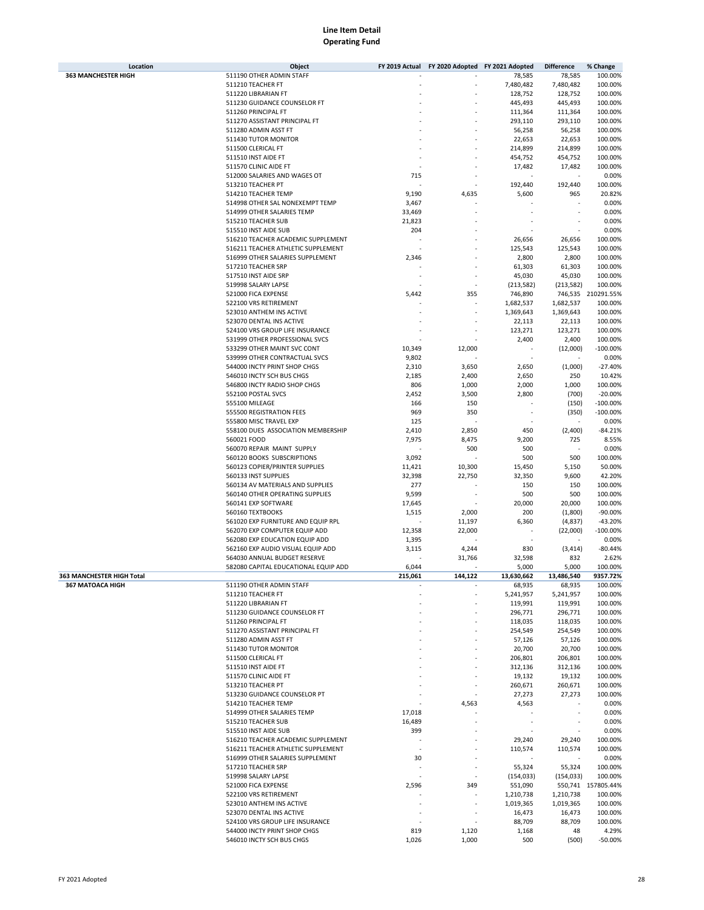| Location                   | Object                                                 |                 | FY 2019 Actual FY 2020 Adopted FY 2021 Adopted |               | <b>Difference</b>  | % Change           |
|----------------------------|--------------------------------------------------------|-----------------|------------------------------------------------|---------------|--------------------|--------------------|
| <b>363 MANCHESTER HIGH</b> | 511190 OTHER ADMIN STAFF                               |                 |                                                | 78,585        | 78,585             | 100.00%            |
|                            | 511210 TEACHER FT                                      |                 |                                                | 7,480,482     | 7,480,482          | 100.00%            |
|                            | 511220 LIBRARIAN FT                                    |                 |                                                | 128,752       | 128,752            | 100.00%            |
|                            | 511230 GUIDANCE COUNSELOR FT                           |                 |                                                | 445,493       | 445,493            | 100.00%            |
|                            | 511260 PRINCIPAL FT                                    |                 |                                                | 111,364       | 111,364            | 100.00%            |
|                            | 511270 ASSISTANT PRINCIPAL FT                          |                 |                                                | 293,110       | 293,110            | 100.00%            |
|                            | 511280 ADMIN ASST FT                                   |                 |                                                | 56,258        | 56,258             | 100.00%            |
|                            | 511430 TUTOR MONITOR                                   |                 |                                                | 22,653        | 22,653             | 100.00%            |
|                            | 511500 CLERICAL FT                                     |                 |                                                | 214,899       | 214,899            | 100.00%            |
|                            | 511510 INST AIDE FT                                    |                 |                                                | 454,752       | 454,752            | 100.00%            |
|                            | 511570 CLINIC AIDE FT                                  |                 |                                                | 17,482        | 17,482             | 100.00%            |
|                            | 512000 SALARIES AND WAGES OT                           | 715             |                                                |               |                    | 0.00%              |
|                            | 513210 TEACHER PT                                      |                 |                                                | 192,440       | 192,440            | 100.00%            |
|                            | 514210 TEACHER TEMP                                    | 9,190           | 4,635                                          | 5,600         | 965                | 20.82%             |
|                            | 514998 OTHER SAL NONEXEMPT TEMP                        | 3,467           |                                                |               |                    | 0.00%              |
|                            | 514999 OTHER SALARIES TEMP                             | 33,469          |                                                |               |                    | 0.00%              |
|                            | 515210 TEACHER SUB                                     | 21,823          |                                                |               |                    | 0.00%              |
|                            | 515510 INST AIDE SUB                                   | 204             |                                                |               |                    | 0.00%              |
|                            | 516210 TEACHER ACADEMIC SUPPLEMENT                     |                 |                                                | 26,656        | 26,656             | 100.00%            |
|                            | 516211 TEACHER ATHLETIC SUPPLEMENT                     |                 |                                                | 125,543       | 125,543            | 100.00%            |
|                            | 516999 OTHER SALARIES SUPPLEMENT                       | 2,346           |                                                | 2,800         | 2,800              | 100.00%            |
|                            | 517210 TEACHER SRP                                     |                 |                                                | 61,303        | 61,303             | 100.00%            |
|                            | 517510 INST AIDE SRP                                   |                 |                                                | 45,030        | 45,030             | 100.00%            |
|                            | 519998 SALARY LAPSE                                    |                 |                                                | (213,582)     | (213, 582)         | 100.00%            |
|                            | 521000 FICA EXPENSE                                    | 5,442           | 355                                            | 746,890       |                    | 746,535 210291.55% |
|                            | 522100 VRS RETIREMENT                                  |                 |                                                | 1,682,537     | 1,682,537          | 100.00%            |
|                            | 523010 ANTHEM INS ACTIVE                               |                 |                                                | 1,369,643     | 1,369,643          | 100.00%            |
|                            | 523070 DENTAL INS ACTIVE                               |                 |                                                | 22,113        | 22,113             | 100.00%            |
|                            | 524100 VRS GROUP LIFE INSURANCE                        |                 |                                                | 123,271       | 123,271            | 100.00%            |
|                            | 531999 OTHER PROFESSIONAL SVCS                         |                 |                                                | 2,400         | 2,400              | 100.00%            |
|                            | 533299 OTHER MAINT SVC CONT                            | 10,349          | 12,000                                         |               | (12,000)           | $-100.00%$         |
|                            | 539999 OTHER CONTRACTUAL SVCS                          | 9,802           |                                                |               |                    | 0.00%              |
|                            | 544000 INCTY PRINT SHOP CHGS                           | 2,310           | 3,650                                          | 2,650         | (1,000)            | $-27.40%$          |
|                            | 546010 INCTY SCH BUS CHGS                              | 2,185           | 2,400                                          | 2,650         | 250                | 10.42%             |
|                            | 546800 INCTY RADIO SHOP CHGS                           | 806             | 1,000                                          | 2,000         | 1,000              | 100.00%            |
|                            | 552100 POSTAL SVCS                                     | 2,452           | 3,500                                          | 2,800         | (700)              | $-20.00%$          |
|                            | 555100 MILEAGE                                         | 166             | 150                                            |               | (150)              | $-100.00%$         |
|                            | 555500 REGISTRATION FEES                               | 969             | 350                                            |               | (350)              | $-100.00%$         |
|                            | 555800 MISC TRAVEL EXP                                 | 125             |                                                |               |                    | 0.00%              |
|                            | 558100 DUES ASSOCIATION MEMBERSHIP                     | 2,410           | 2,850                                          | 450           | (2,400)            | $-84.21%$          |
|                            | 560021 FOOD                                            | 7,975           | 8,475                                          | 9,200         | 725                | 8.55%              |
|                            | 560070 REPAIR MAINT SUPPLY                             |                 | 500                                            | 500           |                    | 0.00%              |
|                            | 560120 BOOKS SUBSCRIPTIONS                             | 3,092           |                                                | 500           | 500                | 100.00%            |
|                            | 560123 COPIER/PRINTER SUPPLIES                         | 11,421          | 10,300                                         | 15,450        | 5,150              | 50.00%             |
|                            | 560133 INST SUPPLIES                                   | 32,398          | 22,750                                         | 32,350        | 9,600              | 42.20%             |
|                            | 560134 AV MATERIALS AND SUPPLIES                       | 277             |                                                | 150           | 150                | 100.00%            |
|                            | 560140 OTHER OPERATING SUPPLIES<br>560141 EXP SOFTWARE | 9,599<br>17,645 |                                                | 500<br>20,000 | 500<br>20,000      | 100.00%<br>100.00% |
|                            | 560160 TEXTBOOKS                                       |                 |                                                | 200           |                    | $-90.00%$          |
|                            | 561020 EXP FURNITURE AND EQUIP RPL                     | 1,515           | 2,000<br>11,197                                | 6,360         | (1,800)<br>(4,837) | $-43.20%$          |
|                            | 562070 EXP COMPUTER EQUIP ADD                          | 12,358          | 22,000                                         |               | (22,000)           | $-100.00%$         |
|                            | 562080 EXP EDUCATION EQUIP ADD                         | 1,395           |                                                |               |                    | 0.00%              |
|                            | 562160 EXP AUDIO VISUAL EQUIP ADD                      | 3,115           | 4,244                                          | 830           | (3, 414)           | $-80.44%$          |
|                            | 564030 ANNUAL BUDGET RESERVE                           |                 | 31,766                                         | 32,598        | 832                | 2.62%              |
|                            | 582080 CAPITAL EDUCATIONAL EQUIP ADD                   | 6,044           |                                                | 5,000         | 5,000              | 100.00%            |
| 363 MANCHESTER HIGH Total  |                                                        | 215.061         | 144.122                                        | 13,630,662    | 13,486,540         | 9357.72%           |
| 367 MATOACA HIGH           | 511190 OTHER ADMIN STAFF                               |                 |                                                | 68,935        | 68,935             | 100.00%            |
|                            | 511210 TEACHER FT                                      |                 |                                                | 5,241,957     | 5,241,957          | 100.00%            |
|                            | 511220 LIBRARIAN FT                                    |                 |                                                | 119,991       | 119,991            | 100.00%            |
|                            | 511230 GUIDANCE COUNSELOR FT                           |                 |                                                | 296,771       | 296,771            | 100.00%            |
|                            | 511260 PRINCIPAL FT                                    |                 |                                                | 118,035       | 118,035            | 100.00%            |
|                            | 511270 ASSISTANT PRINCIPAL FT                          |                 |                                                | 254,549       | 254,549            | 100.00%            |
|                            | 511280 ADMIN ASST FT                                   |                 |                                                | 57,126        | 57,126             | 100.00%            |
|                            | 511430 TUTOR MONITOR                                   |                 |                                                | 20,700        | 20,700             | 100.00%            |
|                            | 511500 CLERICAL FT                                     |                 |                                                | 206,801       | 206,801            | 100.00%            |
|                            | 511510 INST AIDE FT                                    |                 |                                                | 312,136       | 312,136            | 100.00%            |
|                            | 511570 CLINIC AIDE FT                                  |                 |                                                | 19,132        | 19,132             | 100.00%            |
|                            | 513210 TEACHER PT                                      |                 |                                                | 260,671       | 260,671            | 100.00%            |
|                            | 513230 GUIDANCE COUNSELOR PT                           |                 |                                                | 27,273        | 27,273             | 100.00%            |
|                            | 514210 TEACHER TEMP                                    |                 | 4,563                                          | 4,563         |                    | 0.00%              |
|                            | 514999 OTHER SALARIES TEMP                             | 17,018          |                                                |               |                    | 0.00%              |
|                            | 515210 TEACHER SUB                                     | 16,489          |                                                |               |                    | 0.00%              |
|                            | 515510 INST AIDE SUB                                   | 399             |                                                |               |                    | 0.00%              |
|                            | 516210 TEACHER ACADEMIC SUPPLEMENT                     |                 |                                                | 29,240        | 29,240             | 100.00%            |
|                            | 516211 TEACHER ATHLETIC SUPPLEMENT                     |                 |                                                | 110,574       | 110,574            | 100.00%            |
|                            | 516999 OTHER SALARIES SUPPLEMENT                       | 30              |                                                |               |                    | 0.00%              |
|                            | 517210 TEACHER SRP                                     |                 |                                                | 55,324        | 55,324             | 100.00%            |
|                            | 519998 SALARY LAPSE                                    |                 |                                                | (154, 033)    | (154, 033)         | 100.00%            |
|                            | 521000 FICA EXPENSE                                    | 2,596           | 349                                            | 551,090       |                    | 550,741 157805.44% |
|                            | 522100 VRS RETIREMENT                                  |                 |                                                | 1,210,738     | 1,210,738          | 100.00%            |
|                            | 523010 ANTHEM INS ACTIVE                               |                 |                                                | 1,019,365     | 1,019,365          | 100.00%            |
|                            | 523070 DENTAL INS ACTIVE                               |                 |                                                | 16,473        | 16,473             | 100.00%            |
|                            | 524100 VRS GROUP LIFE INSURANCE                        |                 |                                                | 88,709        | 88,709             | 100.00%            |
|                            | 544000 INCTY PRINT SHOP CHGS                           | 819             | 1,120                                          | 1,168         | 48                 | 4.29%              |
|                            | 546010 INCTY SCH BUS CHGS                              | 1,026           | 1,000                                          | 500           | (500)              | $-50.00%$          |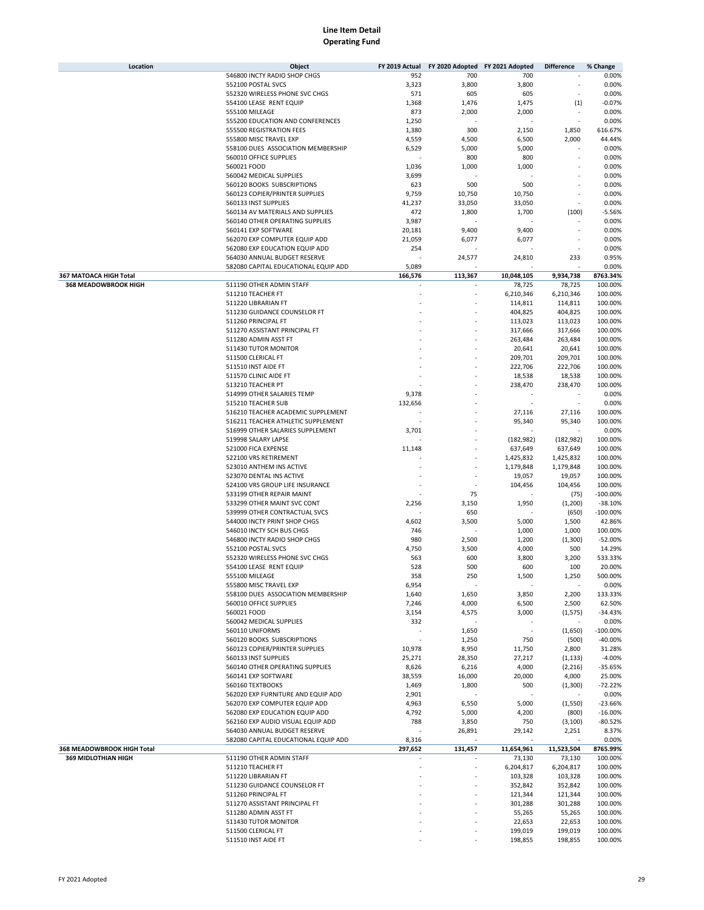| Location                   | Object                               | FY 2019 Actual | FY 2020 Adopted FY 2021 Adopted |                          | <b>Difference</b> | % Change   |
|----------------------------|--------------------------------------|----------------|---------------------------------|--------------------------|-------------------|------------|
|                            | 546800 INCTY RADIO SHOP CHGS         | 952            | 700                             | 700                      |                   | 0.00%      |
|                            | 552100 POSTAL SVCS                   | 3,323          | 3,800                           | 3,800                    |                   | 0.00%      |
|                            | 552320 WIRELESS PHONE SVC CHGS       | 571            | 605                             | 605                      |                   | 0.00%      |
|                            | 554100 LEASE RENT EQUIP              | 1,368          | 1,476                           | 1,475                    | (1)               | $-0.07%$   |
|                            | 555100 MILEAGE                       | 873            | 2,000                           | 2,000                    |                   | 0.00%      |
|                            | 555200 EDUCATION AND CONFERENCES     | 1,250          |                                 |                          | ä,                | 0.00%      |
|                            |                                      |                |                                 |                          |                   |            |
|                            | 555500 REGISTRATION FEES             | 1,380          | 300                             | 2,150                    | 1,850             | 616.67%    |
|                            | 555800 MISC TRAVEL EXP               | 4,559          | 4,500                           | 6,500                    | 2,000             | 44.44%     |
|                            | 558100 DUES ASSOCIATION MEMBERSHIP   | 6,529          | 5,000                           | 5,000                    | ä,                | 0.00%      |
|                            | 560010 OFFICE SUPPLIES               |                | 800                             | 800                      |                   | 0.00%      |
|                            | 560021 FOOD                          | 1,036          | 1,000                           | 1,000                    |                   | 0.00%      |
|                            | 560042 MEDICAL SUPPLIES              | 3,699          |                                 |                          |                   | 0.00%      |
|                            | 560120 BOOKS SUBSCRIPTIONS           | 623            | 500                             | 500                      |                   | 0.00%      |
|                            | 560123 COPIER/PRINTER SUPPLIES       | 9,759          | 10,750                          | 10,750                   |                   | 0.00%      |
|                            | 560133 INST SUPPLIES                 | 41,237         | 33,050                          | 33,050                   | ٠                 | 0.00%      |
|                            | 560134 AV MATERIALS AND SUPPLIES     | 472            | 1,800                           | 1,700                    | (100)             | $-5.56%$   |
|                            | 560140 OTHER OPERATING SUPPLIES      | 3,987          |                                 |                          |                   | 0.00%      |
|                            | 560141 EXP SOFTWARE                  | 20,181         | 9,400                           | 9,400                    | ٠                 | 0.00%      |
|                            |                                      |                |                                 | 6,077                    | ٠                 |            |
|                            | 562070 EXP COMPUTER EQUIP ADD        | 21,059         | 6,077                           |                          |                   | 0.00%      |
|                            | 562080 EXP EDUCATION EQUIP ADD       | 254            |                                 |                          | ٠                 | 0.00%      |
|                            | 564030 ANNUAL BUDGET RESERVE         |                | 24,577                          | 24,810                   | 233               | 0.95%      |
|                            | 582080 CAPITAL EDUCATIONAL EQUIP ADD | 5,089          |                                 |                          |                   | 0.00%      |
| 367 MATOACA HIGH Total     |                                      | 166,576        | 113,367                         | 10,048,105               | 9,934,738         | 8763.34%   |
| 368 MEADOWBROOK HIGH       | 511190 OTHER ADMIN STAFF             |                |                                 | 78,725                   | 78,725            | 100.00%    |
|                            | 511210 TEACHER FT                    |                |                                 | 6,210,346                | 6,210,346         | 100.00%    |
|                            | 511220 LIBRARIAN FT                  |                |                                 | 114,811                  | 114,811           | 100.00%    |
|                            | 511230 GUIDANCE COUNSELOR FT         |                |                                 | 404,825                  | 404,825           | 100.00%    |
|                            | 511260 PRINCIPAL FT                  |                |                                 | 113,023                  | 113,023           | 100.00%    |
|                            | 511270 ASSISTANT PRINCIPAL FT        |                |                                 | 317,666                  | 317,666           | 100.00%    |
|                            | 511280 ADMIN ASST FT                 |                |                                 | 263,484                  | 263,484           | 100.00%    |
|                            | 511430 TUTOR MONITOR                 |                |                                 | 20,641                   | 20,641            | 100.00%    |
|                            | 511500 CLERICAL FT                   |                |                                 |                          |                   |            |
|                            |                                      |                |                                 | 209,701                  | 209,701           | 100.00%    |
|                            | 511510 INST AIDE FT                  |                |                                 | 222,706                  | 222,706           | 100.00%    |
|                            | 511570 CLINIC AIDE FT                |                |                                 | 18,538                   | 18,538            | 100.00%    |
|                            | 513210 TEACHER PT                    |                |                                 | 238,470                  | 238,470           | 100.00%    |
|                            | 514999 OTHER SALARIES TEMP           | 9,378          |                                 |                          |                   | 0.00%      |
|                            | 515210 TEACHER SUB                   | 132,656        |                                 |                          |                   | 0.00%      |
|                            | 516210 TEACHER ACADEMIC SUPPLEMENT   |                |                                 | 27,116                   | 27,116            | 100.00%    |
|                            | 516211 TEACHER ATHLETIC SUPPLEMENT   |                |                                 | 95,340                   | 95,340            | 100.00%    |
|                            | 516999 OTHER SALARIES SUPPLEMENT     | 3,701          |                                 |                          |                   | 0.00%      |
|                            | 519998 SALARY LAPSE                  |                |                                 | (182, 982)               | (182, 982)        | 100.00%    |
|                            | 521000 FICA EXPENSE                  | 11,148         |                                 | 637,649                  | 637,649           | 100.00%    |
|                            |                                      |                |                                 |                          |                   |            |
|                            | 522100 VRS RETIREMENT                |                |                                 | 1,425,832                | 1,425,832         | 100.00%    |
|                            | 523010 ANTHEM INS ACTIVE             |                |                                 | 1,179,848                | 1,179,848         | 100.00%    |
|                            | 523070 DENTAL INS ACTIVE             |                |                                 | 19,057                   | 19,057            | 100.00%    |
|                            | 524100 VRS GROUP LIFE INSURANCE      |                |                                 | 104,456                  | 104,456           | 100.00%    |
|                            | 533199 OTHER REPAIR MAINT            |                | 75                              |                          | (75)              | $-100.00%$ |
|                            | 533299 OTHER MAINT SVC CONT          | 2,256          | 3,150                           | 1,950                    | (1, 200)          | $-38.10%$  |
|                            | 539999 OTHER CONTRACTUAL SVCS        |                | 650                             |                          | (650)             | $-100.00%$ |
|                            | 544000 INCTY PRINT SHOP CHGS         | 4,602          | 3,500                           | 5,000                    | 1,500             | 42.86%     |
|                            | 546010 INCTY SCH BUS CHGS            | 746            |                                 | 1,000                    | 1,000             | 100.00%    |
|                            | 546800 INCTY RADIO SHOP CHGS         | 980            | 2,500                           | 1,200                    | (1,300)           | $-52.00%$  |
|                            | 552100 POSTAL SVCS                   | 4,750          | 3,500                           | 4,000                    | 500               | 14.29%     |
|                            | 552320 WIRELESS PHONE SVC CHGS       | 563            | 600                             | 3,800                    | 3,200             | 533.33%    |
|                            | 554100 LEASE RENT EQUIP              | 528            | 500                             | 600                      | 100               | 20.00%     |
|                            |                                      |                |                                 |                          |                   |            |
|                            | 555100 MILEAGE                       | 358            | 250                             | 1,500                    | 1,250             | 500.00%    |
|                            | 555800 MISC TRAVEL EXP               | 6,954          |                                 |                          |                   | 0.00%      |
|                            | 558100 DUES ASSOCIATION MEMBERSHIP   | 1,640          | 1,650                           | 3,850                    | 2,200             | 133.33%    |
|                            | 560010 OFFICE SUPPLIES               | 7,246          | 4,000                           | 6,500                    | 2,500             | 62.50%     |
|                            | 560021 FOOD                          | 3,154          | 4,575                           | 3,000                    | (1, 575)          | $-34.43%$  |
|                            | 560042 MEDICAL SUPPLIES              | 332            |                                 |                          |                   | 0.00%      |
|                            | 560110 UNIFORMS                      |                | 1,650                           | $\overline{\phantom{a}}$ | (1,650)           | $-100.00%$ |
|                            | 560120 BOOKS SUBSCRIPTIONS           |                | 1,250                           | 750                      | (500)             | $-40.00%$  |
|                            | 560123 COPIER/PRINTER SUPPLIES       | 10,978         | 8,950                           | 11,750                   | 2,800             | 31.28%     |
|                            | 560133 INST SUPPLIES                 | 25,271         | 28,350                          | 27,217                   | (1, 133)          | $-4.00%$   |
|                            | 560140 OTHER OPERATING SUPPLIES      | 8,626          | 6,216                           | 4,000                    | (2, 216)          | $-35.65%$  |
|                            | 560141 EXP SOFTWARE                  | 38,559         | 16,000                          | 20,000                   | 4,000             | 25.00%     |
|                            | 560160 TEXTBOOKS                     |                |                                 |                          |                   | $-72.22%$  |
|                            |                                      | 1,469          | 1,800                           | 500                      | (1,300)           |            |
|                            | 562020 EXP FURNITURE AND EQUIP ADD   | 2,901          |                                 |                          |                   | 0.00%      |
|                            | 562070 EXP COMPUTER EQUIP ADD        | 4,963          | 6,550                           | 5,000                    | (1,550)           | $-23.66%$  |
|                            | 562080 EXP EDUCATION EQUIP ADD       | 4,792          | 5,000                           | 4,200                    | (800)             | $-16.00%$  |
|                            | 562160 EXP AUDIO VISUAL EQUIP ADD    | 788            | 3,850                           | 750                      | (3, 100)          | $-80.52%$  |
|                            | 564030 ANNUAL BUDGET RESERVE         |                | 26,891                          | 29,142                   | 2,251             | 8.37%      |
|                            | 582080 CAPITAL EDUCATIONAL EQUIP ADD | 8,316          |                                 |                          |                   | 0.00%      |
| 368 MEADOWBROOK HIGH Total |                                      | 297,652        | 131,457                         | 11,654,961               | 11,523,504        | 8765.99%   |
| 369 MIDLOTHIAN HIGH        | 511190 OTHER ADMIN STAFF             | ÷.             | ä,                              | 73,130                   | 73,130            | 100.00%    |
|                            | 511210 TEACHER FT                    |                | ä,                              | 6,204,817                | 6,204,817         | 100.00%    |
|                            | 511220 LIBRARIAN FT                  |                |                                 | 103,328                  | 103,328           | 100.00%    |
|                            | 511230 GUIDANCE COUNSELOR FT         |                |                                 | 352,842                  | 352,842           | 100.00%    |
|                            |                                      |                |                                 |                          |                   |            |
|                            | 511260 PRINCIPAL FT                  |                |                                 | 121,344                  | 121,344           | 100.00%    |
|                            | 511270 ASSISTANT PRINCIPAL FT        |                |                                 | 301,288                  | 301,288           | 100.00%    |
|                            | 511280 ADMIN ASST FT                 |                |                                 | 55,265                   | 55,265            | 100.00%    |
|                            | 511430 TUTOR MONITOR                 |                |                                 | 22,653                   | 22,653            | 100.00%    |
|                            | 511500 CLERICAL FT                   |                |                                 | 199,019                  | 199,019           | 100.00%    |
|                            | 511510 INST AIDE FT                  |                |                                 | 198,855                  | 198,855           | 100.00%    |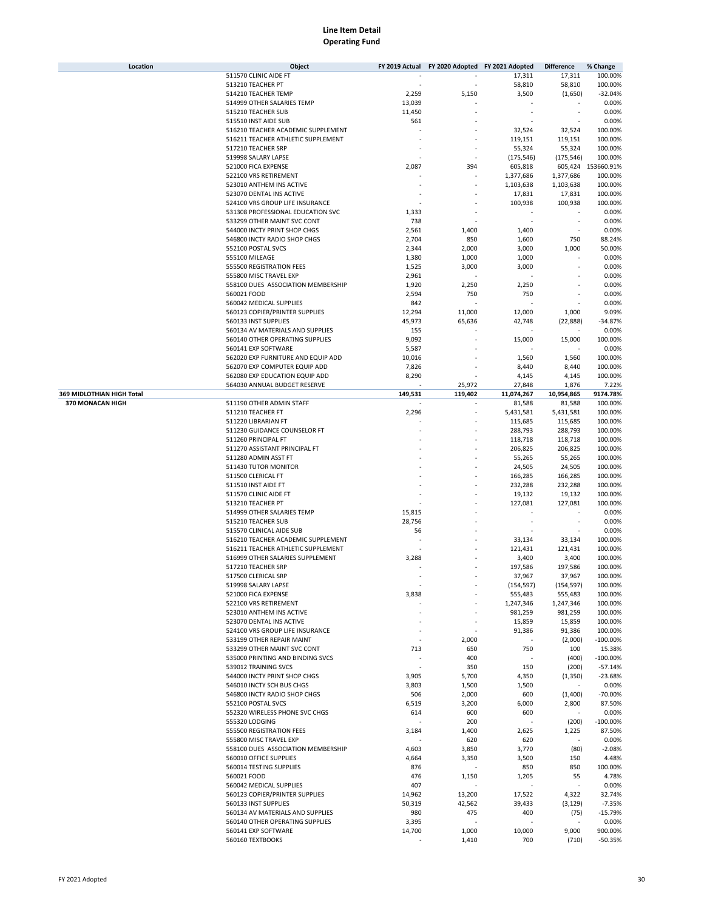| Location                  | Object                             | FY 2019 Actual |                          | FY 2020 Adopted FY 2021 Adopted | <b>Difference</b> | % Change           |
|---------------------------|------------------------------------|----------------|--------------------------|---------------------------------|-------------------|--------------------|
|                           | 511570 CLINIC AIDE FT              |                |                          | 17,311                          | 17,311            | 100.00%            |
|                           | 513210 TEACHER PT                  |                |                          | 58,810                          | 58,810            | 100.00%            |
|                           | 514210 TEACHER TEMP                | 2,259          | 5,150                    | 3,500                           | (1,650)           | $-32.04%$          |
|                           | 514999 OTHER SALARIES TEMP         | 13,039         |                          |                                 |                   | 0.00%              |
|                           | 515210 TEACHER SUB                 | 11,450         |                          |                                 |                   | 0.00%              |
|                           | 515510 INST AIDE SUB               | 561            |                          |                                 |                   | 0.00%              |
|                           | 516210 TEACHER ACADEMIC SUPPLEMENT |                |                          | 32,524                          | 32,524            | 100.00%            |
|                           |                                    |                |                          |                                 |                   |                    |
|                           | 516211 TEACHER ATHLETIC SUPPLEMENT |                |                          | 119,151                         | 119,151           | 100.00%            |
|                           | 517210 TEACHER SRP                 |                |                          | 55,324                          | 55,324            | 100.00%            |
|                           | 519998 SALARY LAPSE                |                |                          | (175, 546)                      | (175, 546)        | 100.00%            |
|                           | 521000 FICA EXPENSE                | 2,087          | 394                      | 605,818                         |                   | 605,424 153660.91% |
|                           | 522100 VRS RETIREMENT              |                |                          | 1,377,686                       | 1,377,686         | 100.00%            |
|                           | 523010 ANTHEM INS ACTIVE           |                |                          | 1,103,638                       | 1,103,638         | 100.00%            |
|                           | 523070 DENTAL INS ACTIVE           |                |                          | 17,831                          | 17,831            | 100.00%            |
|                           | 524100 VRS GROUP LIFE INSURANCE    |                |                          | 100,938                         | 100,938           | 100.00%            |
|                           | 531308 PROFESSIONAL EDUCATION SVC  | 1,333          |                          |                                 |                   | 0.00%              |
|                           | 533299 OTHER MAINT SVC CONT        | 738            |                          |                                 |                   | 0.00%              |
|                           | 544000 INCTY PRINT SHOP CHGS       | 2,561          | 1,400                    | 1,400                           | ÷                 | 0.00%              |
|                           | 546800 INCTY RADIO SHOP CHGS       | 2,704          | 850                      |                                 | 750               | 88.24%             |
|                           |                                    |                |                          | 1,600                           |                   |                    |
|                           | 552100 POSTAL SVCS                 | 2,344          | 2,000                    | 3,000                           | 1,000             | 50.00%             |
|                           | 555100 MILEAGE                     | 1,380          | 1,000                    | 1,000                           |                   | 0.00%              |
|                           | 555500 REGISTRATION FEES           | 1,525          | 3,000                    | 3,000                           |                   | 0.00%              |
|                           | 555800 MISC TRAVEL EXP             | 2,961          |                          |                                 |                   | 0.00%              |
|                           | 558100 DUES ASSOCIATION MEMBERSHIP | 1,920          | 2,250                    | 2,250                           |                   | 0.00%              |
|                           | 560021 FOOD                        | 2,594          | 750                      | 750                             | ÷                 | 0.00%              |
|                           | 560042 MEDICAL SUPPLIES            | 842            |                          |                                 |                   | 0.00%              |
|                           |                                    |                |                          |                                 |                   |                    |
|                           | 560123 COPIER/PRINTER SUPPLIES     | 12,294         | 11,000                   | 12,000                          | 1,000             | 9.09%              |
|                           | 560133 INST SUPPLIES               | 45,973         | 65,636                   | 42,748                          | (22, 888)         | $-34.87%$          |
|                           | 560134 AV MATERIALS AND SUPPLIES   | 155            |                          |                                 |                   | 0.00%              |
|                           | 560140 OTHER OPERATING SUPPLIES    | 9,092          |                          | 15,000                          | 15,000            | 100.00%            |
|                           | 560141 EXP SOFTWARE                | 5,587          |                          |                                 |                   | 0.00%              |
|                           | 562020 EXP FURNITURE AND EQUIP ADD | 10,016         |                          | 1,560                           | 1,560             | 100.00%            |
|                           | 562070 EXP COMPUTER EQUIP ADD      | 7,826          |                          | 8,440                           | 8,440             | 100.00%            |
|                           | 562080 EXP EDUCATION EQUIP ADD     | 8,290          |                          | 4,145                           | 4,145             | 100.00%            |
|                           |                                    |                |                          |                                 |                   |                    |
|                           | 564030 ANNUAL BUDGET RESERVE       |                | 25,972                   | 27,848                          | 1,876             | 7.22%              |
| 369 MIDLOTHIAN HIGH Total |                                    | 149,531        | 119,402                  | 11,074,267                      | 10,954,865        | 9174.78%           |
| 370 MONACAN HIGH          | 511190 OTHER ADMIN STAFF           |                | $\overline{\phantom{a}}$ | 81,588                          | 81,588            | 100.00%            |
|                           | 511210 TEACHER FT                  | 2,296          | ٠                        | 5,431,581                       | 5,431,581         | 100.00%            |
|                           | 511220 LIBRARIAN FT                |                |                          | 115,685                         | 115,685           | 100.00%            |
|                           | 511230 GUIDANCE COUNSELOR FT       |                |                          | 288,793                         | 288,793           | 100.00%            |
|                           | 511260 PRINCIPAL FT                |                |                          | 118,718                         | 118,718           | 100.00%            |
|                           | 511270 ASSISTANT PRINCIPAL FT      |                |                          | 206,825                         | 206,825           | 100.00%            |
|                           | 511280 ADMIN ASST FT               |                |                          | 55,265                          | 55,265            | 100.00%            |
|                           | 511430 TUTOR MONITOR               |                |                          | 24,505                          | 24,505            | 100.00%            |
|                           |                                    |                |                          |                                 |                   |                    |
|                           | 511500 CLERICAL FT                 |                |                          | 166,285                         | 166,285           | 100.00%            |
|                           | 511510 INST AIDE FT                |                |                          | 232,288                         | 232,288           | 100.00%            |
|                           | 511570 CLINIC AIDE FT              |                |                          | 19,132                          | 19,132            | 100.00%            |
|                           | 513210 TEACHER PT                  |                |                          | 127,081                         | 127,081           | 100.00%            |
|                           | 514999 OTHER SALARIES TEMP         | 15,815         |                          |                                 |                   | 0.00%              |
|                           | 515210 TEACHER SUB                 | 28,756         |                          | ٠                               | ÷                 | 0.00%              |
|                           | 515570 CLINICAL AIDE SUB           | 56             |                          |                                 |                   | 0.00%              |
|                           | 516210 TEACHER ACADEMIC SUPPLEMENT |                |                          | 33,134                          | 33,134            | 100.00%            |
|                           | 516211 TEACHER ATHLETIC SUPPLEMENT |                |                          |                                 | 121,431           |                    |
|                           |                                    |                |                          | 121,431                         |                   | 100.00%            |
|                           | 516999 OTHER SALARIES SUPPLEMENT   | 3,288          |                          | 3,400                           | 3,400             | 100.00%            |
|                           | 517210 TEACHER SRP                 |                |                          | 197,586                         | 197,586           | 100.00%            |
|                           | 517500 CLERICAL SRP                |                |                          | 37,967                          | 37,967            | 100.00%            |
|                           | 519998 SALARY LAPSE                |                |                          | (154, 597)                      | (154, 597)        | 100.00%            |
|                           | 521000 FICA EXPENSE                | 3,838          |                          | 555,483                         | 555,483           | 100.00%            |
|                           | 522100 VRS RETIREMENT              |                |                          | 1,247,346                       | 1,247,346         | 100.00%            |
|                           | 523010 ANTHEM INS ACTIVE           |                |                          | 981,259                         | 981,259           | 100.00%            |
|                           | 523070 DENTAL INS ACTIVE           |                |                          | 15,859                          | 15,859            | 100.00%            |
|                           |                                    |                |                          |                                 |                   |                    |
|                           | 524100 VRS GROUP LIFE INSURANCE    |                |                          | 91,386                          | 91,386            | 100.00%            |
|                           | 533199 OTHER REPAIR MAINT          |                | 2,000                    |                                 | (2,000)           | $-100.00%$         |
|                           | 533299 OTHER MAINT SVC CONT        | 713            | 650                      | 750                             | 100               | 15.38%             |
|                           | 535000 PRINTING AND BINDING SVCS   |                | 400                      |                                 | (400)             | $-100.00%$         |
|                           | 539012 TRAINING SVCS               |                | 350                      | 150                             | (200)             | $-57.14%$          |
|                           | 544000 INCTY PRINT SHOP CHGS       | 3,905          | 5,700                    | 4,350                           | (1, 350)          | $-23.68%$          |
|                           | 546010 INCTY SCH BUS CHGS          | 3,803          | 1,500                    | 1,500                           |                   | 0.00%              |
|                           | 546800 INCTY RADIO SHOP CHGS       | 506            | 2,000                    | 600                             | (1,400)           | -70.00%            |
|                           |                                    |                |                          |                                 |                   |                    |
|                           | 552100 POSTAL SVCS                 | 6,519          | 3,200                    | 6,000                           | 2,800             | 87.50%             |
|                           | 552320 WIRELESS PHONE SVC CHGS     | 614            | 600                      | 600                             |                   | 0.00%              |
|                           | 555320 LODGING                     |                | 200                      |                                 | (200)             | $-100.00%$         |
|                           | 555500 REGISTRATION FEES           | 3,184          | 1,400                    | 2,625                           | 1,225             | 87.50%             |
|                           | 555800 MISC TRAVEL EXP             |                | 620                      | 620                             |                   | 0.00%              |
|                           | 558100 DUES ASSOCIATION MEMBERSHIP | 4,603          | 3,850                    | 3,770                           | (80)              | $-2.08%$           |
|                           | 560010 OFFICE SUPPLIES             | 4,664          | 3,350                    | 3,500                           | 150               | 4.48%              |
|                           | 560014 TESTING SUPPLIES            | 876            |                          | 850                             | 850               | 100.00%            |
|                           |                                    |                |                          |                                 |                   |                    |
|                           | 560021 FOOD                        | 476            | 1,150                    | 1,205                           | 55                | 4.78%              |
|                           | 560042 MEDICAL SUPPLIES            | 407            |                          |                                 |                   | 0.00%              |
|                           | 560123 COPIER/PRINTER SUPPLIES     | 14,962         | 13,200                   | 17,522                          | 4,322             | 32.74%             |
|                           | 560133 INST SUPPLIES               | 50,319         | 42,562                   | 39,433                          | (3, 129)          | $-7.35%$           |
|                           | 560134 AV MATERIALS AND SUPPLIES   | 980            | 475                      | 400                             | (75)              | $-15.79%$          |
|                           | 560140 OTHER OPERATING SUPPLIES    | 3,395          |                          |                                 |                   | 0.00%              |
|                           | 560141 EXP SOFTWARE                | 14,700         | 1,000                    | 10,000                          | 9,000             | 900.00%            |
|                           | 560160 TEXTBOOKS                   |                | 1,410                    | 700                             | (710)             | $-50.35%$          |
|                           |                                    |                |                          |                                 |                   |                    |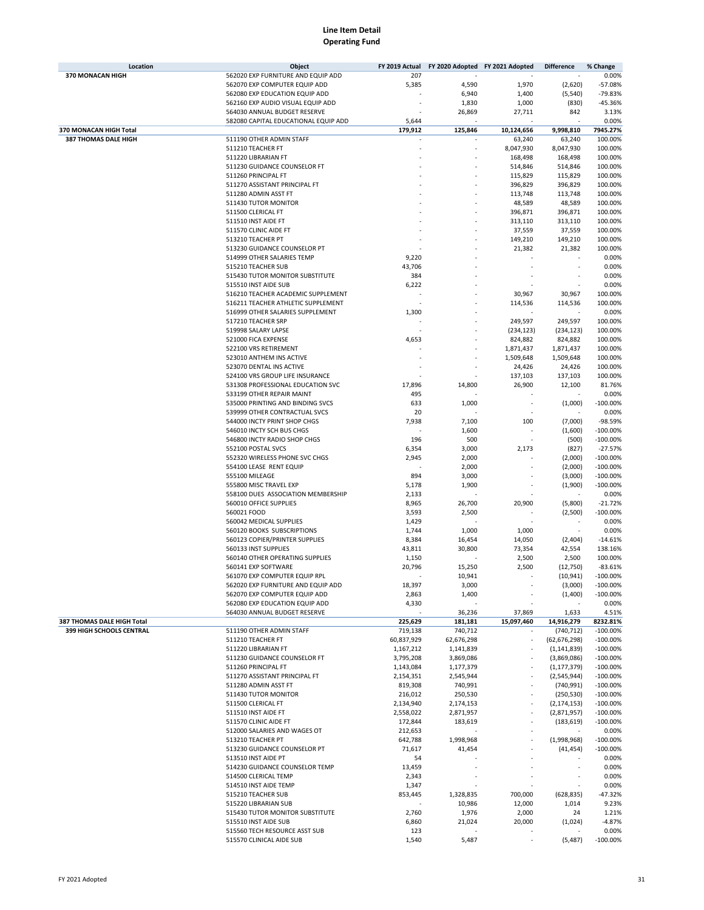| Location                                               | Object                               | FY 2019 Actual         | FY 2020 Adopted FY 2021 Adopted |            | <b>Difference</b>            | % Change                 |
|--------------------------------------------------------|--------------------------------------|------------------------|---------------------------------|------------|------------------------------|--------------------------|
| 370 MONACAN HIGH                                       | 562020 EXP FURNITURE AND EQUIP ADD   | 207                    |                                 |            |                              | 0.00%                    |
|                                                        | 562070 EXP COMPUTER EQUIP ADD        | 5,385                  | 4,590                           | 1,970      | (2,620)                      | $-57.08%$                |
|                                                        | 562080 EXP EDUCATION EQUIP ADD       |                        | 6,940                           | 1,400      | (5, 540)                     | $-79.83%$                |
|                                                        | 562160 EXP AUDIO VISUAL EQUIP ADD    |                        | 1,830                           | 1,000      | (830)                        | -45.36%                  |
|                                                        | 564030 ANNUAL BUDGET RESERVE         |                        | 26,869                          | 27,711     | 842                          | 3.13%                    |
|                                                        | 582080 CAPITAL EDUCATIONAL EQUIP ADD | 5,644                  |                                 |            |                              | 0.00%                    |
| 370 MONACAN HIGH Total                                 |                                      | 179,912                | 125,846                         | 10,124,656 | 9,998,810                    | 7945.27%                 |
| 387 THOMAS DALE HIGH                                   | 511190 OTHER ADMIN STAFF             |                        |                                 | 63,240     | 63,240                       | 100.00%                  |
|                                                        | 511210 TEACHER FT                    |                        |                                 | 8,047,930  | 8,047,930                    | 100.00%                  |
|                                                        | 511220 LIBRARIAN FT                  |                        |                                 | 168,498    | 168,498                      | 100.00%                  |
|                                                        | 511230 GUIDANCE COUNSELOR FT         |                        |                                 | 514,846    | 514,846                      | 100.00%                  |
|                                                        | 511260 PRINCIPAL FT                  |                        |                                 | 115,829    | 115,829                      | 100.00%                  |
|                                                        | 511270 ASSISTANT PRINCIPAL FT        |                        |                                 | 396,829    | 396,829                      | 100.00%                  |
|                                                        | 511280 ADMIN ASST FT                 |                        |                                 | 113,748    | 113,748                      | 100.00%                  |
|                                                        | 511430 TUTOR MONITOR                 |                        |                                 | 48,589     | 48,589                       | 100.00%                  |
|                                                        | 511500 CLERICAL FT                   |                        |                                 | 396,871    | 396,871                      | 100.00%                  |
|                                                        |                                      |                        |                                 |            |                              |                          |
|                                                        | 511510 INST AIDE FT                  |                        |                                 | 313,110    | 313,110                      | 100.00%                  |
|                                                        | 511570 CLINIC AIDE FT                |                        |                                 | 37,559     | 37,559                       | 100.00%                  |
|                                                        | 513210 TEACHER PT                    |                        |                                 | 149,210    | 149,210                      | 100.00%                  |
|                                                        | 513230 GUIDANCE COUNSELOR PT         |                        |                                 | 21,382     | 21,382                       | 100.00%                  |
|                                                        | 514999 OTHER SALARIES TEMP           | 9,220                  |                                 |            |                              | 0.00%                    |
|                                                        | 515210 TEACHER SUB                   | 43,706                 |                                 |            |                              | 0.00%                    |
|                                                        | 515430 TUTOR MONITOR SUBSTITUTE      | 384                    |                                 |            |                              | 0.00%                    |
|                                                        | 515510 INST AIDE SUB                 | 6,222                  |                                 |            |                              | 0.00%                    |
|                                                        | 516210 TEACHER ACADEMIC SUPPLEMENT   |                        |                                 | 30,967     | 30,967                       | 100.00%                  |
|                                                        | 516211 TEACHER ATHLETIC SUPPLEMENT   |                        |                                 | 114,536    | 114,536                      | 100.00%                  |
|                                                        | 516999 OTHER SALARIES SUPPLEMENT     | 1,300                  |                                 |            |                              | 0.00%                    |
|                                                        | 517210 TEACHER SRP                   |                        |                                 | 249,597    | 249,597                      | 100.00%                  |
|                                                        | 519998 SALARY LAPSE                  |                        |                                 | (234, 123) | (234, 123)                   | 100.00%                  |
|                                                        | 521000 FICA EXPENSE                  | 4,653                  |                                 | 824,882    | 824,882                      | 100.00%                  |
|                                                        | 522100 VRS RETIREMENT                |                        |                                 | 1,871,437  | 1,871,437                    | 100.00%                  |
|                                                        | 523010 ANTHEM INS ACTIVE             |                        |                                 | 1,509,648  | 1,509,648                    | 100.00%                  |
|                                                        | 523070 DENTAL INS ACTIVE             |                        |                                 | 24,426     | 24,426                       | 100.00%                  |
|                                                        | 524100 VRS GROUP LIFE INSURANCE      |                        |                                 | 137,103    | 137,103                      | 100.00%                  |
|                                                        | 531308 PROFESSIONAL EDUCATION SVC    | 17,896                 | 14,800                          | 26,900     | 12,100                       | 81.76%                   |
|                                                        | 533199 OTHER REPAIR MAINT            | 495                    |                                 |            |                              | 0.00%                    |
|                                                        | 535000 PRINTING AND BINDING SVCS     | 633                    | 1,000                           |            | (1,000)                      | $-100.00%$               |
|                                                        | 539999 OTHER CONTRACTUAL SVCS        | 20                     |                                 |            |                              | 0.00%                    |
|                                                        | 544000 INCTY PRINT SHOP CHGS         | 7,938                  | 7,100                           | 100        | (7,000)                      | -98.59%                  |
|                                                        | 546010 INCTY SCH BUS CHGS            |                        | 1,600                           |            | (1,600)                      | $-100.00%$               |
|                                                        | 546800 INCTY RADIO SHOP CHGS         | 196                    | 500                             |            | (500)                        | $-100.00%$               |
|                                                        | 552100 POSTAL SVCS                   | 6,354                  | 3,000                           | 2,173      | (827)                        | $-27.57%$                |
|                                                        | 552320 WIRELESS PHONE SVC CHGS       | 2,945                  | 2,000                           |            | (2,000)                      | $-100.00%$               |
|                                                        | 554100 LEASE RENT EQUIP              |                        | 2,000                           |            | (2,000)                      | $-100.00%$               |
|                                                        | 555100 MILEAGE                       | 894                    | 3,000                           |            | (3,000)                      | $-100.00%$               |
|                                                        | 555800 MISC TRAVEL EXP               | 5,178                  | 1,900                           |            | (1,900)                      | $-100.00%$               |
|                                                        | 558100 DUES ASSOCIATION MEMBERSHIP   | 2,133                  |                                 |            |                              | 0.00%                    |
|                                                        | 560010 OFFICE SUPPLIES               | 8,965                  | 26,700                          | 20,900     | (5,800)                      | $-21.72%$                |
|                                                        | 560021 FOOD                          | 3,593                  | 2,500                           |            | (2,500)                      | $-100.00%$               |
|                                                        | 560042 MEDICAL SUPPLIES              | 1,429                  |                                 |            |                              | 0.00%                    |
|                                                        | 560120 BOOKS SUBSCRIPTIONS           | 1,744                  | 1,000                           | 1,000      |                              | 0.00%                    |
|                                                        | 560123 COPIER/PRINTER SUPPLIES       | 8,384                  | 16,454                          | 14,050     | (2,404)                      | $-14.61%$                |
|                                                        | 560133 INST SUPPLIES                 | 43,811                 | 30,800                          | 73,354     | 42,554                       | 138.16%                  |
|                                                        | 560140 OTHER OPERATING SUPPLIES      | 1,150                  |                                 | 2,500      | 2,500                        | 100.00%                  |
|                                                        | 560141 EXP SOFTWARE                  | 20,796                 | 15,250                          | 2,500      | (12,750)                     | $-83.61%$                |
|                                                        | 561070 EXP COMPUTER EQUIP RPL        |                        | 10,941                          |            | (10, 941)                    | $-100.00%$               |
|                                                        | 562020 EXP FURNITURE AND EQUIP ADD   | 18,397                 | 3,000                           |            | (3,000)                      | $-100.00\%$              |
|                                                        | 562070 EXP COMPUTER EQUIP ADD        | 2,863                  | 1,400                           |            | (1,400)                      | $-100.00\%$              |
|                                                        | 562080 EXP EDUCATION EQUIP ADD       |                        |                                 |            |                              |                          |
|                                                        |                                      | 4,330                  |                                 |            |                              | 0.00%                    |
|                                                        | 564030 ANNUAL BUDGET RESERVE         |                        | 36,236<br>181,181               | 37,869     | 1,633                        | 4.51%<br>8232.81%        |
| 387 THOMAS DALE HIGH Total<br>399 HIGH SCHOOLS CENTRAL | 511190 OTHER ADMIN STAFF             | 225,629                |                                 | 15,097,460 | 14,916,279                   |                          |
|                                                        | 511210 TEACHER FT                    | 719,138<br>60,837,929  | 740,712                         |            | (740, 712)                   | $-100.00%$<br>$-100.00%$ |
|                                                        |                                      |                        | 62,676,298<br>1,141,839         | ٠          | (62, 676, 298)               |                          |
|                                                        | 511220 LIBRARIAN FT                  | 1,167,212<br>3,795,208 |                                 |            | (1, 141, 839)<br>(3,869,086) | $-100.00%$               |
|                                                        | 511230 GUIDANCE COUNSELOR FT         |                        | 3,869,086                       |            |                              | $-100.00%$               |
|                                                        | 511260 PRINCIPAL FT                  | 1,143,084              | 1,177,379                       |            | (1, 177, 379)                | $-100.00%$               |
|                                                        | 511270 ASSISTANT PRINCIPAL FT        | 2,154,351              | 2,545,944                       |            | (2,545,944)                  | $-100.00%$               |
|                                                        | 511280 ADMIN ASST FT                 | 819,308                | 740,991                         |            | (740, 991)                   | $-100.00%$               |
|                                                        | 511430 TUTOR MONITOR                 | 216,012                | 250,530                         |            | (250, 530)                   | $-100.00%$               |
|                                                        | 511500 CLERICAL FT                   | 2,134,940              | 2,174,153                       |            | (2, 174, 153)                | $-100.00%$               |
|                                                        | 511510 INST AIDE FT                  | 2,558,022              | 2,871,957                       |            | (2,871,957)                  | $-100.00%$               |
|                                                        | 511570 CLINIC AIDE FT                | 172,844                | 183,619                         |            | (183, 619)                   | $-100.00%$               |
|                                                        | 512000 SALARIES AND WAGES OT         | 212,653                |                                 |            |                              | 0.00%                    |
|                                                        | 513210 TEACHER PT                    | 642,788                | 1,998,968                       |            | (1,998,968)                  | $-100.00%$               |
|                                                        | 513230 GUIDANCE COUNSELOR PT         | 71,617                 | 41,454                          |            | (41, 454)                    | $-100.00%$               |
|                                                        | 513510 INST AIDE PT                  | 54                     |                                 |            |                              | 0.00%                    |
|                                                        | 514230 GUIDANCE COUNSELOR TEMP       | 13,459                 |                                 |            |                              | 0.00%                    |
|                                                        | 514500 CLERICAL TEMP                 | 2,343                  |                                 |            |                              | 0.00%                    |
|                                                        | 514510 INST AIDE TEMP                | 1,347                  |                                 |            |                              | 0.00%                    |
|                                                        | 515210 TEACHER SUB                   | 853,445                | 1,328,835                       | 700,000    | (628, 835)                   | -47.32%                  |
|                                                        | 515220 LIBRARIAN SUB                 |                        | 10,986                          | 12,000     | 1,014                        | 9.23%                    |
|                                                        | 515430 TUTOR MONITOR SUBSTITUTE      | 2,760                  | 1,976                           | 2,000      | 24                           | 1.21%                    |
|                                                        | 515510 INST AIDE SUB                 | 6,860                  | 21,024                          | 20,000     | (1,024)                      | $-4.87%$                 |
|                                                        | 515560 TECH RESOURCE ASST SUB        | 123                    |                                 |            |                              | 0.00%                    |
|                                                        | 515570 CLINICAL AIDE SUB             | 1,540                  | 5,487                           |            | (5,487)                      | $-100.00%$               |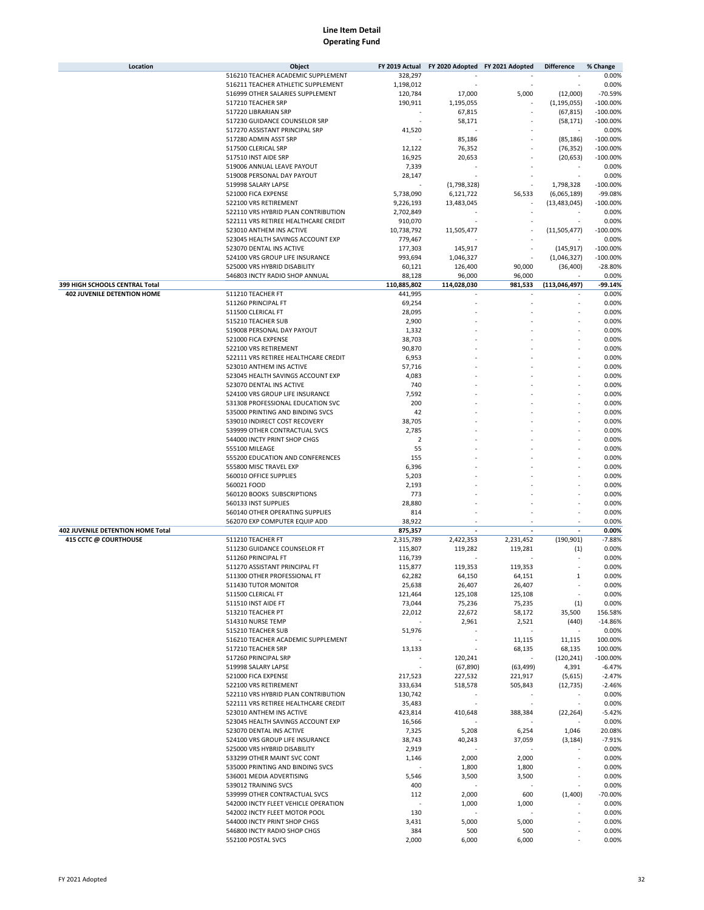| Location                                 | Object                                                       | FY 2019 Actual     | FY 2020 Adopted FY 2021 Adopted |                                    | <b>Difference</b> | % Change              |
|------------------------------------------|--------------------------------------------------------------|--------------------|---------------------------------|------------------------------------|-------------------|-----------------------|
|                                          | 516210 TEACHER ACADEMIC SUPPLEMENT                           | 328,297            |                                 |                                    |                   | 0.00%                 |
|                                          | 516211 TEACHER ATHLETIC SUPPLEMENT                           | 1,198,012          |                                 |                                    |                   | 0.00%                 |
|                                          | 516999 OTHER SALARIES SUPPLEMENT                             | 120,784            | 17,000                          | 5,000                              | (12,000)          | $-70.59%$             |
|                                          | 517210 TEACHER SRP                                           | 190,911            | 1,195,055                       |                                    | (1, 195, 055)     | $-100.00%$            |
|                                          | 517220 LIBRARIAN SRP                                         |                    | 67,815                          |                                    | (67, 815)         | $-100.00%$            |
|                                          | 517230 GUIDANCE COUNSELOR SRP                                |                    | 58,171                          |                                    | (58, 171)         | $-100.00%$            |
|                                          | 517270 ASSISTANT PRINCIPAL SRP                               | 41,520             |                                 |                                    |                   | 0.00%                 |
|                                          | 517280 ADMIN ASST SRP                                        |                    | 85,186                          |                                    | (85, 186)         | $-100.00%$            |
|                                          | 517500 CLERICAL SRP                                          | 12,122             | 76,352                          |                                    | (76, 352)         | $-100.00%$            |
|                                          | 517510 INST AIDE SRP                                         | 16,925             | 20,653                          |                                    | (20, 653)         | $-100.00%$            |
|                                          | 519006 ANNUAL LEAVE PAYOUT                                   | 7,339              |                                 |                                    |                   | 0.00%                 |
|                                          | 519008 PERSONAL DAY PAYOUT                                   | 28,147             |                                 |                                    |                   | 0.00%                 |
|                                          | 519998 SALARY LAPSE                                          |                    | (1,798,328)                     |                                    | 1,798,328         | $-100.00%$            |
|                                          | 521000 FICA EXPENSE                                          | 5,738,090          | 6,121,722                       | 56,533                             | (6,065,189)       | -99.08%               |
|                                          | 522100 VRS RETIREMENT                                        | 9,226,193          | 13,483,045                      |                                    | (13, 483, 045)    | $-100.00%$            |
|                                          | 522110 VRS HYBRID PLAN CONTRIBUTION                          | 2,702,849          |                                 |                                    |                   | 0.00%                 |
|                                          | 522111 VRS RETIREE HEALTHCARE CREDIT                         | 910,070            |                                 |                                    |                   | 0.00%                 |
|                                          | 523010 ANTHEM INS ACTIVE                                     | 10,738,792         | 11,505,477                      |                                    | (11,505,477)      | $-100.00%$            |
|                                          | 523045 HEALTH SAVINGS ACCOUNT EXP                            | 779,467            |                                 |                                    |                   | 0.00%                 |
|                                          | 523070 DENTAL INS ACTIVE                                     | 177,303            | 145,917                         |                                    | (145, 917)        | $-100.00%$            |
|                                          | 524100 VRS GROUP LIFE INSURANCE                              | 993,694            | 1,046,327                       |                                    | (1,046,327)       | $-100.00%$            |
|                                          | 525000 VRS HYBRID DISABILITY                                 | 60,121             | 126,400                         | 90,000                             | (36, 400)         | $-28.80%$             |
|                                          | 546803 INCTY RADIO SHOP ANNUAL                               | 88,128             | 96,000                          | 96,000                             |                   | 0.00%                 |
| 399 HIGH SCHOOLS CENTRAL Total           |                                                              | 110,885,802        | 114,028,030                     | 981,533                            | (113,046,497)     | -99.14%               |
| <b>402 JUVENILE DETENTION HOME</b>       | 511210 TEACHER FT                                            | 441,995            |                                 |                                    |                   | 0.00%                 |
|                                          | 511260 PRINCIPAL FT                                          | 69,254             |                                 |                                    |                   | 0.00%                 |
|                                          | 511500 CLERICAL FT                                           | 28,095             |                                 |                                    |                   | 0.00%                 |
|                                          | 515210 TEACHER SUB                                           | 2,900              |                                 |                                    |                   | 0.00%                 |
|                                          | 519008 PERSONAL DAY PAYOUT                                   | 1,332              |                                 |                                    |                   | 0.00%                 |
|                                          | 521000 FICA EXPENSE                                          | 38,703             |                                 |                                    |                   | 0.00%                 |
|                                          | 522100 VRS RETIREMENT                                        | 90,870             |                                 |                                    |                   | 0.00%                 |
|                                          | 522111 VRS RETIREE HEALTHCARE CREDIT                         | 6,953              |                                 |                                    |                   | 0.00%                 |
|                                          | 523010 ANTHEM INS ACTIVE                                     | 57,716             |                                 |                                    |                   | 0.00%                 |
|                                          | 523045 HEALTH SAVINGS ACCOUNT EXP                            | 4,083              |                                 |                                    |                   | 0.00%                 |
|                                          | 523070 DENTAL INS ACTIVE                                     | 740                |                                 |                                    |                   | 0.00%                 |
|                                          | 524100 VRS GROUP LIFE INSURANCE                              | 7,592              |                                 |                                    |                   | 0.00%                 |
|                                          | 531308 PROFESSIONAL EDUCATION SVC                            | 200                |                                 |                                    |                   | 0.00%                 |
|                                          | 535000 PRINTING AND BINDING SVCS                             | 42                 |                                 |                                    |                   | 0.00%                 |
|                                          | 539010 INDIRECT COST RECOVERY                                | 38,705             |                                 |                                    |                   | 0.00%                 |
|                                          | 539999 OTHER CONTRACTUAL SVCS                                | 2,785              |                                 |                                    |                   | 0.00%                 |
|                                          | 544000 INCTY PRINT SHOP CHGS                                 | $\overline{2}$     |                                 |                                    |                   | 0.00%                 |
|                                          | 555100 MILEAGE                                               | 55                 |                                 |                                    |                   | 0.00%                 |
|                                          | 555200 EDUCATION AND CONFERENCES                             | 155                |                                 |                                    |                   | 0.00%                 |
|                                          | 555800 MISC TRAVEL EXP                                       | 6,396              |                                 |                                    |                   | 0.00%                 |
|                                          | 560010 OFFICE SUPPLIES                                       | 5,203              |                                 |                                    |                   | 0.00%                 |
|                                          | 560021 FOOD                                                  | 2,193              |                                 |                                    |                   | 0.00%                 |
|                                          | 560120 BOOKS SUBSCRIPTIONS                                   | 773                |                                 |                                    |                   | 0.00%                 |
|                                          | 560133 INST SUPPLIES                                         | 28,880             |                                 |                                    |                   | 0.00%                 |
|                                          | 560140 OTHER OPERATING SUPPLIES                              | 814                |                                 |                                    |                   | 0.00%                 |
|                                          | 562070 EXP COMPUTER EQUIP ADD                                | 38,922             |                                 |                                    |                   | 0.00%                 |
| <b>402 JUVENILE DETENTION HOME Total</b> |                                                              | 875,357            |                                 |                                    |                   | 0.00%                 |
| 415 CCTC @ COURTHOUSE                    | 511210 TEACHER FT                                            | 2,315,789          | 2,422,353                       | 2,231,452                          | (190, 901)        | $-7.88%$              |
|                                          | 511230 GUIDANCE COUNSELOR FT                                 | 115,807            | 119,282                         | 119,281                            | (1)               | 0.00%                 |
|                                          | 511260 PRINCIPAL FT                                          | 116,739            |                                 |                                    |                   | 0.00%                 |
|                                          | 511270 ASSISTANT PRINCIPAL FT                                | 115,877            | 119,353                         | 119,353                            | ÷.                | 0.00%                 |
|                                          | 511300 OTHER PROFESSIONAL FT                                 | 62,282             | 64,150                          | 64,151                             |                   | 0.00%                 |
|                                          | 511430 TUTOR MONITOR                                         | 25,638             | 26,407                          | 26,407                             | ÷,                | 0.00%                 |
|                                          | 511500 CLERICAL FT                                           | 121,464            | 125,108                         | 125,108                            | $\sim$            | 0.00%                 |
|                                          | 511510 INST AIDE FT                                          | 73,044             | 75,236                          | 75,235                             | (1)               | 0.00%                 |
|                                          | 513210 TEACHER PT                                            | 22,012             | 22,672                          | 58,172                             | 35,500            | 156.58%               |
|                                          | 514310 NURSE TEMP                                            |                    | 2,961<br>÷.                     | 2,521                              | (440)             | $-14.86%$             |
|                                          | 515210 TEACHER SUB                                           | 51,976             | ×,                              |                                    |                   | 0.00%                 |
|                                          | 516210 TEACHER ACADEMIC SUPPLEMENT                           |                    |                                 | 11,115                             | 11,115            | 100.00%               |
|                                          | 517210 TEACHER SRP<br>517260 PRINCIPAL SRP                   | 13,133             |                                 | 68,135<br>$\overline{\phantom{a}}$ | 68,135            | 100.00%<br>$-100.00%$ |
|                                          |                                                              |                    | 120,241                         |                                    | (120, 241)        |                       |
|                                          | 519998 SALARY LAPSE                                          |                    | (67, 890)                       | (63, 499)                          | 4,391             | $-6.47%$              |
|                                          | 521000 FICA EXPENSE                                          | 217,523            | 227,532                         | 221,917                            | (5,615)           | $-2.47%$<br>$-2.46%$  |
|                                          | 522100 VRS RETIREMENT<br>522110 VRS HYBRID PLAN CONTRIBUTION | 333,634<br>130,742 | 518,578                         | 505,843                            | (12, 735)         | 0.00%                 |
|                                          | 522111 VRS RETIREE HEALTHCARE CREDIT                         | 35,483             |                                 |                                    |                   | 0.00%                 |
|                                          | 523010 ANTHEM INS ACTIVE                                     | 423,814            | 410,648                         | 388,384                            | (22, 264)         | $-5.42%$              |
|                                          | 523045 HEALTH SAVINGS ACCOUNT EXP                            | 16,566             |                                 |                                    |                   | 0.00%                 |
|                                          | 523070 DENTAL INS ACTIVE                                     | 7,325              | 5,208                           | 6,254                              | 1,046             | 20.08%                |
|                                          | 524100 VRS GROUP LIFE INSURANCE                              | 38,743             | 40,243                          | 37,059                             | (3, 184)          | $-7.91%$              |
|                                          | 525000 VRS HYBRID DISABILITY                                 | 2,919              |                                 |                                    |                   | 0.00%                 |
|                                          | 533299 OTHER MAINT SVC CONT                                  | 1,146              | 2,000                           | 2,000                              |                   | 0.00%                 |
|                                          | 535000 PRINTING AND BINDING SVCS                             |                    | 1,800                           | 1,800                              |                   | 0.00%                 |
|                                          | 536001 MEDIA ADVERTISING                                     | 5,546              | 3,500                           | 3,500                              |                   | 0.00%                 |
|                                          | 539012 TRAINING SVCS                                         | 400                |                                 |                                    |                   | 0.00%                 |
|                                          | 539999 OTHER CONTRACTUAL SVCS                                | 112                | 2,000                           | 600                                | (1,400)           | $-70.00%$             |
|                                          | 542000 INCTY FLEET VEHICLE OPERATION                         |                    | 1,000                           | 1,000                              |                   | 0.00%                 |
|                                          | 542002 INCTY FLEET MOTOR POOL                                | 130                |                                 |                                    |                   | 0.00%                 |
|                                          | 544000 INCTY PRINT SHOP CHGS                                 | 3,431              | 5,000                           | 5,000                              |                   | 0.00%                 |
|                                          | 546800 INCTY RADIO SHOP CHGS                                 | 384                | 500                             | 500                                |                   | 0.00%                 |
|                                          | 552100 POSTAL SVCS                                           | 2,000              | 6,000                           | 6,000                              |                   | 0.00%                 |
|                                          |                                                              |                    |                                 |                                    |                   |                       |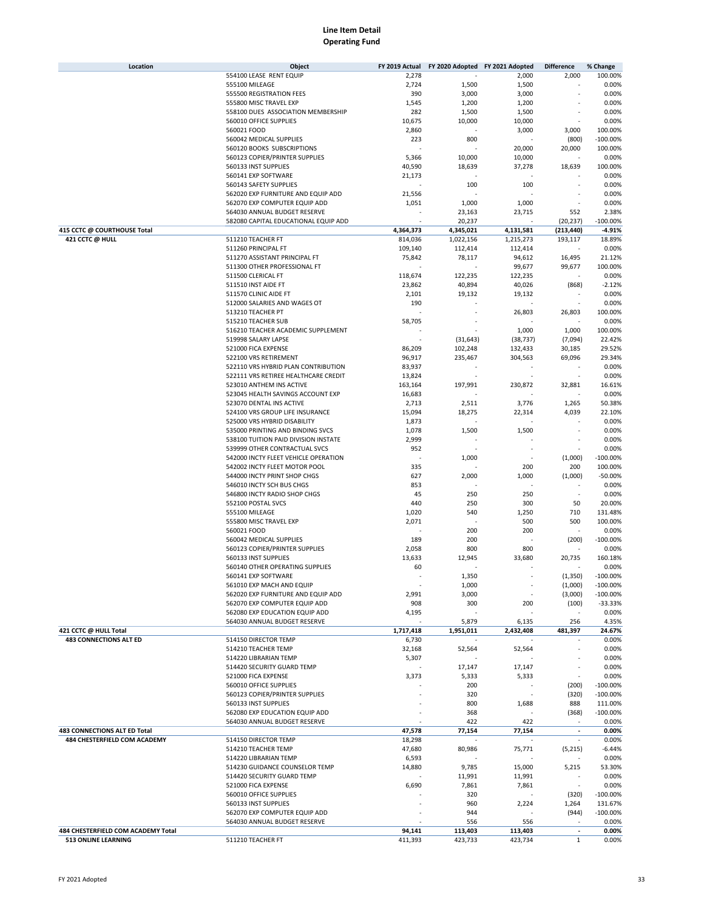| Location                           | Object                               | FY 2019 Actual | FY 2020 Adopted FY 2021 Adopted |           | <b>Difference</b>        | % Change    |
|------------------------------------|--------------------------------------|----------------|---------------------------------|-----------|--------------------------|-------------|
|                                    | 554100 LEASE RENT EQUIP              | 2,278          |                                 | 2,000     | 2,000                    | 100.00%     |
|                                    | 555100 MILEAGE                       | 2,724          | 1,500                           | 1,500     |                          | 0.00%       |
|                                    | 555500 REGISTRATION FEES             | 390            | 3,000                           | 3,000     |                          | 0.00%       |
|                                    | 555800 MISC TRAVEL EXP               | 1,545          | 1,200                           | 1,200     |                          | 0.00%       |
|                                    | 558100 DUES ASSOCIATION MEMBERSHIP   | 282            | 1,500                           | 1,500     |                          | 0.00%       |
|                                    | 560010 OFFICE SUPPLIES               | 10,675         | 10,000                          | 10,000    |                          | 0.00%       |
|                                    | 560021 FOOD                          | 2,860          |                                 | 3,000     | 3,000                    | 100.00%     |
|                                    | 560042 MEDICAL SUPPLIES              | 223            | 800                             |           | (800)                    | $-100.00%$  |
|                                    | 560120 BOOKS SUBSCRIPTIONS           |                |                                 | 20,000    | 20,000                   | 100.00%     |
|                                    | 560123 COPIER/PRINTER SUPPLIES       | 5,366          | 10,000                          | 10,000    |                          | 0.00%       |
|                                    | 560133 INST SUPPLIES                 | 40,590         | 18,639                          | 37,278    | 18,639                   | 100.00%     |
|                                    | 560141 EXP SOFTWARE                  | 21,173         |                                 |           |                          | 0.00%       |
|                                    | 560143 SAFETY SUPPLIES               |                | 100                             | 100       |                          | 0.00%       |
|                                    | 562020 EXP FURNITURE AND EQUIP ADD   | 21,556         |                                 |           |                          | 0.00%       |
|                                    | 562070 EXP COMPUTER EQUIP ADD        | 1,051          |                                 | 1,000     |                          | 0.00%       |
|                                    |                                      |                | 1,000                           |           |                          |             |
|                                    | 564030 ANNUAL BUDGET RESERVE         |                | 23,163                          | 23,715    | 552                      | 2.38%       |
|                                    | 582080 CAPITAL EDUCATIONAL EQUIP ADD |                | 20,237                          |           | (20, 237)                | $-100.00%$  |
| 415 CCTC @ COURTHOUSE Total        |                                      | 4,364,373      | 4,345,021                       | 4,131,581 | (213, 440)               | $-4.91%$    |
| 421 CCTC @ HULL                    | 511210 TEACHER FT                    | 814,036        | 1,022,156                       | 1,215,273 | 193,117                  | 18.89%      |
|                                    | 511260 PRINCIPAL FT                  | 109,140        | 112,414                         | 112,414   |                          | 0.00%       |
|                                    | 511270 ASSISTANT PRINCIPAL FT        | 75,842         | 78,117                          | 94,612    | 16,495                   | 21.12%      |
|                                    | 511300 OTHER PROFESSIONAL FT         |                |                                 | 99,677    | 99,677                   | 100.00%     |
|                                    | 511500 CLERICAL FT                   | 118,674        | 122,235                         | 122,235   |                          | 0.00%       |
|                                    | 511510 INST AIDE FT                  | 23,862         | 40,894                          | 40,026    | (868)                    | $-2.12%$    |
|                                    | 511570 CLINIC AIDE FT                | 2,101          | 19,132                          | 19,132    |                          | 0.00%       |
|                                    | 512000 SALARIES AND WAGES OT         | 190            |                                 |           |                          | 0.00%       |
|                                    | 513210 TEACHER PT                    |                |                                 | 26,803    | 26,803                   | 100.00%     |
|                                    | 515210 TEACHER SUB                   | 58,705         |                                 |           |                          | 0.00%       |
|                                    | 516210 TEACHER ACADEMIC SUPPLEMENT   |                |                                 | 1,000     | 1,000                    | 100.00%     |
|                                    | 519998 SALARY LAPSE                  |                | (31, 643)                       | (38, 737) | (7,094)                  | 22.42%      |
|                                    | 521000 FICA EXPENSE                  | 86,209         | 102,248                         | 132,433   | 30,185                   | 29.52%      |
|                                    | 522100 VRS RETIREMENT                | 96,917         | 235,467                         | 304,563   | 69,096                   | 29.34%      |
|                                    | 522110 VRS HYBRID PLAN CONTRIBUTION  | 83,937         |                                 |           |                          | 0.00%       |
|                                    | 522111 VRS RETIREE HEALTHCARE CREDIT | 13,824         |                                 |           |                          | 0.00%       |
|                                    | 523010 ANTHEM INS ACTIVE             | 163,164        | 197,991                         | 230,872   | 32,881                   | 16.61%      |
|                                    | 523045 HEALTH SAVINGS ACCOUNT EXP    | 16,683         |                                 |           |                          | 0.00%       |
|                                    | 523070 DENTAL INS ACTIVE             | 2,713          | 2,511                           |           | 1,265                    | 50.38%      |
|                                    | 524100 VRS GROUP LIFE INSURANCE      |                |                                 | 3,776     | 4,039                    | 22.10%      |
|                                    |                                      | 15,094         | 18,275                          | 22,314    |                          |             |
|                                    | 525000 VRS HYBRID DISABILITY         | 1,873          |                                 |           |                          | 0.00%       |
|                                    | 535000 PRINTING AND BINDING SVCS     | 1,078          | 1,500                           | 1,500     |                          | 0.00%       |
|                                    | 538100 TUITION PAID DIVISION INSTATE | 2,999          |                                 |           |                          | 0.00%       |
|                                    | 539999 OTHER CONTRACTUAL SVCS        | 952            |                                 |           |                          | 0.00%       |
|                                    | 542000 INCTY FLEET VEHICLE OPERATION |                | 1,000                           |           | (1,000)                  | $-100.00%$  |
|                                    | 542002 INCTY FLEET MOTOR POOL        | 335            |                                 | 200       | 200                      | 100.00%     |
|                                    | 544000 INCTY PRINT SHOP CHGS         | 627            | 2,000                           | 1,000     | (1,000)                  | $-50.00%$   |
|                                    | 546010 INCTY SCH BUS CHGS            | 853            |                                 |           |                          | 0.00%       |
|                                    | 546800 INCTY RADIO SHOP CHGS         | 45             | 250                             | 250       |                          | 0.00%       |
|                                    | 552100 POSTAL SVCS                   | 440            | 250                             | 300       | 50                       | 20.00%      |
|                                    | 555100 MILEAGE                       | 1,020          | 540                             | 1,250     | 710                      | 131.48%     |
|                                    | 555800 MISC TRAVEL EXP               | 2,071          |                                 | 500       | 500                      | 100.00%     |
|                                    | 560021 FOOD                          |                | 200                             | 200       |                          | 0.00%       |
|                                    | 560042 MEDICAL SUPPLIES              | 189            | 200                             |           | (200)                    | $-100.00%$  |
|                                    | 560123 COPIER/PRINTER SUPPLIES       | 2,058          | 800                             | 800       |                          | 0.00%       |
|                                    | 560133 INST SUPPLIES                 | 13,633         | 12,945                          | 33,680    | 20,735                   | 160.18%     |
|                                    | 560140 OTHER OPERATING SUPPLIES      | 60             |                                 |           |                          | 0.00%       |
|                                    | 560141 EXP SOFTWARE                  |                | 1,350                           |           | (1, 350)                 | $-100.00\%$ |
|                                    | 561010 EXP MACH AND EQUIP            |                | 1,000                           | ÷,        | (1,000)                  | $-100.00\%$ |
|                                    | 562020 EXP FURNITURE AND EQUIP ADD   | 2,991          | 3,000                           |           | (3,000)                  | $-100.00\%$ |
|                                    | 562070 EXP COMPUTER EQUIP ADD        | 908            | 300                             | 200       | (100)                    | $-33.33%$   |
|                                    | 562080 EXP EDUCATION EQUIP ADD       | 4,195          |                                 |           |                          | 0.00%       |
|                                    | 564030 ANNUAL BUDGET RESERVE         |                | 5,879                           |           | 256                      | 4.35%       |
|                                    |                                      | 1,717,418      |                                 | 6,135     |                          |             |
| 421 CCTC @ HULL Total              |                                      |                | 1,951,011                       | 2,432,408 | 481,397                  | 24.67%      |
| <b>483 CONNECTIONS ALT ED</b>      | 514150 DIRECTOR TEMP                 | 6,730          |                                 |           |                          | 0.00%       |
|                                    | 514210 TEACHER TEMP                  | 32,168         | 52,564                          | 52,564    |                          | 0.00%       |
|                                    | 514220 LIBRARIAN TEMP                | 5,307          |                                 |           |                          | 0.00%       |
|                                    | 514420 SECURITY GUARD TEMP           |                | 17,147                          | 17,147    |                          | 0.00%       |
|                                    | 521000 FICA EXPENSE                  | 3,373          | 5,333                           | 5,333     |                          | 0.00%       |
|                                    | 560010 OFFICE SUPPLIES               |                | 200                             |           | (200)                    | $-100.00%$  |
|                                    | 560123 COPIER/PRINTER SUPPLIES       |                | 320                             |           | (320)                    | $-100.00%$  |
|                                    | 560133 INST SUPPLIES                 |                | 800                             | 1,688     | 888                      | 111.00%     |
|                                    | 562080 EXP EDUCATION EQUIP ADD       |                | 368                             |           | (368)                    | $-100.00\%$ |
|                                    | 564030 ANNUAL BUDGET RESERVE         |                | 422                             | 422       |                          | 0.00%       |
| 483 CONNECTIONS ALT ED Total       |                                      | 47,578         | 77,154                          | 77,154    | $\overline{\phantom{a}}$ | 0.00%       |
| 484 CHESTERFIELD COM ACADEMY       | 514150 DIRECTOR TEMP                 | 18,298         |                                 |           |                          | 0.00%       |
|                                    | 514210 TEACHER TEMP                  | 47,680         | 80,986                          | 75,771    | (5,215)                  | $-6.44%$    |
|                                    | 514220 LIBRARIAN TEMP                | 6,593          |                                 |           |                          | 0.00%       |
|                                    | 514230 GUIDANCE COUNSELOR TEMP       | 14,880         | 9,785                           | 15,000    | 5,215                    | 53.30%      |
|                                    | 514420 SECURITY GUARD TEMP           |                | 11,991                          | 11,991    |                          | 0.00%       |
|                                    | 521000 FICA EXPENSE                  | 6,690          | 7,861                           | 7,861     |                          | 0.00%       |
|                                    | 560010 OFFICE SUPPLIES               |                | 320                             |           | (320)                    | $-100.00%$  |
|                                    | 560133 INST SUPPLIES                 |                | 960                             | 2,224     | 1,264                    | 131.67%     |
|                                    | 562070 EXP COMPUTER EQUIP ADD        |                | 944                             |           | (944)                    | $-100.00%$  |
|                                    | 564030 ANNUAL BUDGET RESERVE         |                | 556                             | 556       |                          | 0.00%       |
| 484 CHESTERFIELD COM ACADEMY Total |                                      | 94,141         | 113,403                         | 113,403   | $\overline{\phantom{a}}$ | 0.00%       |
| <b>513 ONLINE LEARNING</b>         | 511210 TEACHER FT                    | 411,393        | 423,733                         | 423,734   | $\mathbf{1}$             | 0.00%       |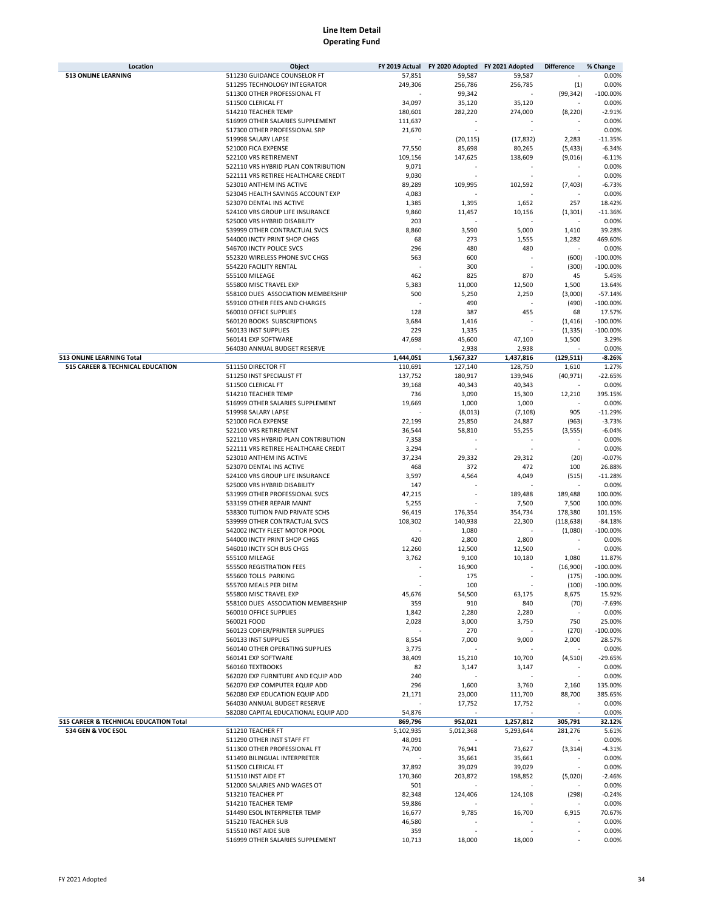| Location                               | Object                                                        | FY 2019 Actual | FY 2020 Adopted FY 2021 Adopted |           | <b>Difference</b> | % Change          |
|----------------------------------------|---------------------------------------------------------------|----------------|---------------------------------|-----------|-------------------|-------------------|
| <b>513 ONLINE LEARNING</b>             | 511230 GUIDANCE COUNSELOR FT                                  | 57,851         | 59,587                          | 59,587    |                   | 0.00%             |
|                                        | 511295 TECHNOLOGY INTEGRATOR                                  | 249,306        | 256,786                         | 256,785   | (1)               | 0.00%             |
|                                        | 511300 OTHER PROFESSIONAL FT                                  |                | 99,342                          |           | (99, 342)         | $-100.00%$        |
|                                        | 511500 CLERICAL FT                                            | 34,097         | 35,120                          | 35,120    |                   | 0.00%             |
|                                        | 514210 TEACHER TEMP                                           | 180,601        | 282,220                         | 274,000   | (8, 220)          | $-2.91%$          |
|                                        | 516999 OTHER SALARIES SUPPLEMENT                              | 111,637        |                                 |           |                   | 0.00%             |
|                                        | 517300 OTHER PROFESSIONAL SRP<br>519998 SALARY LAPSE          | 21,670         |                                 |           |                   | 0.00%             |
|                                        |                                                               |                | (20, 115)                       | (17, 832) | 2,283             | $-11.35%$         |
|                                        | 521000 FICA EXPENSE                                           | 77,550         | 85,698                          | 80,265    | (5, 433)          | $-6.34%$          |
|                                        | 522100 VRS RETIREMENT<br>522110 VRS HYBRID PLAN CONTRIBUTION  | 109,156        | 147,625                         | 138,609   | (9,016)           | $-6.11%$          |
|                                        |                                                               | 9,071          |                                 |           | ٠                 | 0.00%             |
|                                        | 522111 VRS RETIREE HEALTHCARE CREDIT                          | 9,030          |                                 |           |                   | 0.00%             |
|                                        | 523010 ANTHEM INS ACTIVE<br>523045 HEALTH SAVINGS ACCOUNT EXP | 89,289         | 109,995                         | 102,592   | (7, 403)          | $-6.73%$<br>0.00% |
|                                        | 523070 DENTAL INS ACTIVE                                      | 4,083<br>1,385 | 1,395                           | 1,652     | 257               | 18.42%            |
|                                        | 524100 VRS GROUP LIFE INSURANCE                               | 9,860          | 11,457                          | 10,156    | (1, 301)          | $-11.36%$         |
|                                        | 525000 VRS HYBRID DISABILITY                                  | 203            |                                 |           |                   | 0.00%             |
|                                        | 539999 OTHER CONTRACTUAL SVCS                                 | 8,860          | 3,590                           | 5,000     | 1,410             | 39.28%            |
|                                        | 544000 INCTY PRINT SHOP CHGS                                  | 68             | 273                             | 1,555     | 1,282             | 469.60%           |
|                                        | 546700 INCTY POLICE SVCS                                      | 296            | 480                             | 480       |                   | 0.00%             |
|                                        | 552320 WIRELESS PHONE SVC CHGS                                | 563            | 600                             |           | (600)             | $-100.00%$        |
|                                        | 554220 FACILITY RENTAL                                        |                | 300                             |           | (300)             | $-100.00%$        |
|                                        | 555100 MILEAGE                                                | 462            | 825                             | 870       | 45                | 5.45%             |
|                                        | 555800 MISC TRAVEL EXP                                        | 5,383          | 11,000                          | 12,500    | 1,500             | 13.64%            |
|                                        | 558100 DUES ASSOCIATION MEMBERSHIP                            | 500            | 5,250                           | 2,250     | (3,000)           | $-57.14%$         |
|                                        | 559100 OTHER FEES AND CHARGES                                 |                | 490                             |           | (490)             | $-100.00%$        |
|                                        | 560010 OFFICE SUPPLIES                                        | 128            | 387                             | 455       | 68                | 17.57%            |
|                                        | 560120 BOOKS SUBSCRIPTIONS                                    | 3,684          | 1,416                           |           | (1, 416)          | $-100.00%$        |
|                                        | 560133 INST SUPPLIES                                          | 229            | 1,335                           |           | (1, 335)          | $-100.00%$        |
|                                        | 560141 EXP SOFTWARE                                           | 47,698         | 45,600                          | 47,100    | 1,500             | 3.29%             |
|                                        | 564030 ANNUAL BUDGET RESERVE                                  |                | 2,938                           | 2,938     |                   | 0.00%             |
| 513 ONLINE LEARNING Total              |                                                               | 1,444,051      | 1,567,327                       | 1,437,816 | (129, 511)        | $-8.26%$          |
| 515 CAREER & TECHNICAL EDUCATION       | 511150 DIRECTOR FT                                            | 110,691        | 127,140                         | 128,750   | 1,610             | 1.27%             |
|                                        | 511250 INST SPECIALIST FT                                     | 137,752        | 180,917                         | 139,946   | (40, 971)         | $-22.65%$         |
|                                        | 511500 CLERICAL FT                                            | 39,168         | 40,343                          | 40,343    |                   | 0.00%             |
|                                        | 514210 TEACHER TEMP                                           | 736            | 3,090                           | 15,300    | 12,210            | 395.15%           |
|                                        | 516999 OTHER SALARIES SUPPLEMENT                              | 19,669         | 1,000                           | 1,000     |                   | 0.00%             |
|                                        | 519998 SALARY LAPSE                                           |                | (8,013)                         | (7, 108)  | 905               | $-11.29%$         |
|                                        | 521000 FICA EXPENSE                                           | 22,199         | 25,850                          | 24,887    | (963)             | $-3.73%$          |
|                                        | 522100 VRS RETIREMENT                                         | 36,544         | 58,810                          | 55,255    | (3, 555)          | $-6.04%$          |
|                                        | 522110 VRS HYBRID PLAN CONTRIBUTION                           | 7,358          |                                 |           |                   | 0.00%             |
|                                        | 522111 VRS RETIREE HEALTHCARE CREDIT                          | 3,294          |                                 |           |                   | 0.00%             |
|                                        | 523010 ANTHEM INS ACTIVE                                      | 37,234         | 29,332                          | 29,312    | (20)              | $-0.07%$          |
|                                        | 523070 DENTAL INS ACTIVE                                      | 468            | 372                             | 472       | 100               | 26.88%            |
|                                        | 524100 VRS GROUP LIFE INSURANCE                               | 3,597          | 4,564                           | 4,049     | (515)             | $-11.28%$         |
|                                        | 525000 VRS HYBRID DISABILITY                                  | 147            |                                 |           |                   | 0.00%             |
|                                        | 531999 OTHER PROFESSIONAL SVCS                                | 47,215         |                                 | 189,488   | 189,488           | 100.00%           |
|                                        | 533199 OTHER REPAIR MAINT                                     | 5,255          |                                 | 7,500     | 7,500             | 100.00%           |
|                                        | 538300 TUITION PAID PRIVATE SCHS                              | 96,419         | 176,354                         | 354,734   | 178,380           | 101.15%           |
|                                        | 539999 OTHER CONTRACTUAL SVCS                                 | 108,302        | 140,938                         | 22,300    | (118, 638)        | $-84.18%$         |
|                                        | 542002 INCTY FLEET MOTOR POOL                                 |                | 1,080                           |           | (1,080)           | $-100.00%$        |
|                                        | 544000 INCTY PRINT SHOP CHGS                                  | 420            | 2,800                           | 2,800     |                   | 0.00%             |
|                                        | 546010 INCTY SCH BUS CHGS                                     | 12,260         | 12,500                          | 12,500    |                   | 0.00%             |
|                                        | 555100 MILEAGE                                                | 3,762          | 9,100                           | 10,180    | 1,080             | 11.87%            |
|                                        | 555500 REGISTRATION FEES                                      |                | 16,900                          |           | (16,900)          | $-100.00%$        |
|                                        | 555600 TOLLS PARKING                                          |                | 175                             |           | (175)             | $-100.00%$        |
|                                        | 555700 MEALS PER DIEM                                         |                | 100                             |           | (100)             | $-100.00\%$       |
|                                        | 555800 MISC TRAVEL EXP                                        | 45,676         | 54,500                          | 63,175    | 8,675             | 15.92%            |
|                                        | 558100 DUES ASSOCIATION MEMBERSHIP                            | 359            | 910                             | 840       | (70)              | $-7.69%$          |
|                                        | 560010 OFFICE SUPPLIES                                        | 1,842          | 2,280                           | 2,280     |                   | 0.00%             |
|                                        | 560021 FOOD                                                   | 2,028          | 3,000                           | 3,750     | 750               | 25.00%            |
|                                        | 560123 COPIER/PRINTER SUPPLIES                                |                | 270                             |           | (270)             | $-100.00%$        |
|                                        | 560133 INST SUPPLIES                                          | 8,554          | 7,000                           | 9,000     | 2,000             | 28.57%            |
|                                        | 560140 OTHER OPERATING SUPPLIES                               | 3,775          |                                 |           |                   | 0.00%             |
|                                        | 560141 EXP SOFTWARE                                           | 38,409         | 15,210                          | 10,700    | (4,510)           | $-29.65%$         |
|                                        | 560160 TEXTBOOKS                                              | 82             | 3,147                           | 3,147     |                   | 0.00%             |
|                                        | 562020 EXP FURNITURE AND EQUIP ADD                            | 240            |                                 |           |                   | 0.00%             |
|                                        | 562070 EXP COMPUTER EQUIP ADD                                 | 296            | 1,600                           | 3,760     | 2,160             | 135.00%           |
|                                        | 562080 EXP EDUCATION EQUIP ADD                                | 21,171         | 23,000                          | 111,700   | 88,700            | 385.65%           |
|                                        | 564030 ANNUAL BUDGET RESERVE                                  |                | 17,752                          | 17,752    |                   | 0.00%             |
|                                        | 582080 CAPITAL EDUCATIONAL EQUIP ADD                          | 54,876         |                                 |           |                   | 0.00%             |
| 515 CAREER & TECHNICAL EDUCATION Total |                                                               | 869,796        | 952,021                         | 1,257,812 | 305,791           | 32.12%            |
| 534 GEN & VOC ESOL                     | 511210 TEACHER FT                                             | 5,102,935      | 5,012,368                       | 5,293,644 | 281,276           | 5.61%             |
|                                        | 511290 OTHER INST STAFF FT                                    | 48,091         |                                 |           |                   | 0.00%             |
|                                        | 511300 OTHER PROFESSIONAL FT                                  | 74,700         | 76,941                          | 73,627    | (3, 314)          | $-4.31%$          |
|                                        | 511490 BILINGUAL INTERPRETER                                  |                | 35,661                          | 35,661    |                   | 0.00%             |
|                                        | 511500 CLERICAL FT                                            | 37,892         | 39,029                          | 39,029    |                   | 0.00%             |
|                                        | 511510 INST AIDE FT                                           | 170,360        | 203,872                         | 198,852   | (5,020)           | $-2.46%$          |
|                                        | 512000 SALARIES AND WAGES OT                                  | 501            |                                 |           |                   | 0.00%             |
|                                        | 513210 TEACHER PT                                             | 82,348         | 124,406                         | 124,108   | (298)             | $-0.24%$          |
|                                        | 514210 TEACHER TEMP                                           | 59,886         |                                 |           |                   | 0.00%             |
|                                        | 514490 ESOL INTERPRETER TEMP                                  | 16,677         | 9,785                           | 16,700    | 6,915             | 70.67%            |
|                                        | 515210 TEACHER SUB                                            | 46,580         |                                 |           |                   | 0.00%             |
|                                        | 515510 INST AIDE SUB                                          | 359            |                                 |           |                   | 0.00%             |
|                                        | 516999 OTHER SALARIES SUPPLEMENT                              | 10,713         | 18,000                          | 18,000    |                   | 0.00%             |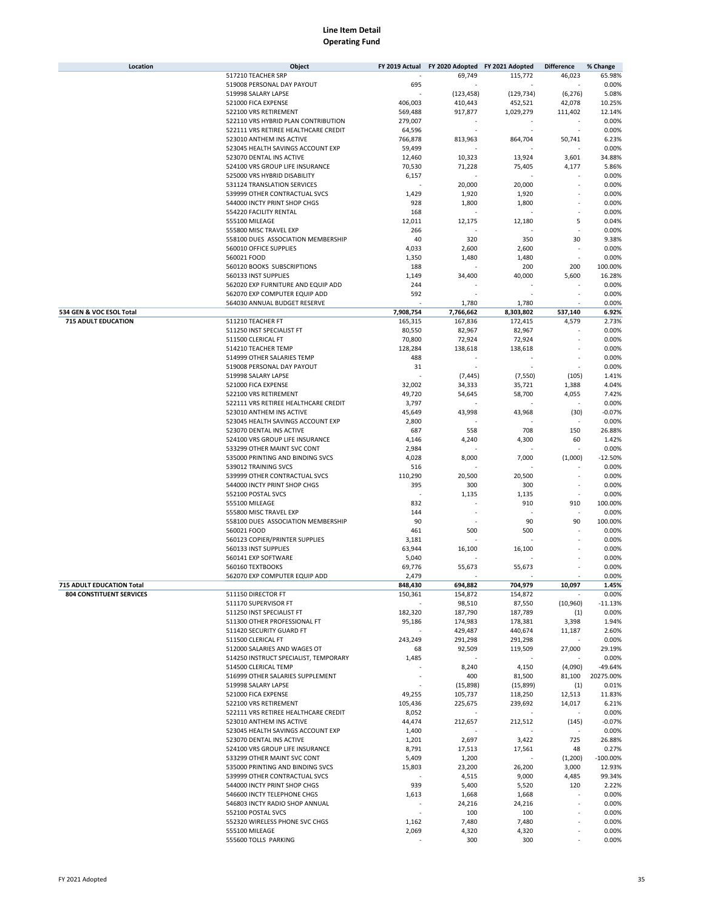| Location                        | Object                                     | FY 2019 Actual | FY 2020 Adopted FY 2021 Adopted |            | <b>Difference</b> | % Change   |
|---------------------------------|--------------------------------------------|----------------|---------------------------------|------------|-------------------|------------|
|                                 | 517210 TEACHER SRP                         |                | 69,749                          | 115,772    | 46,023            | 65.98%     |
|                                 | 519008 PERSONAL DAY PAYOUT                 | 695            |                                 |            |                   | 0.00%      |
|                                 | 519998 SALARY LAPSE                        |                | (123, 458)                      | (129, 734) | (6, 276)          | 5.08%      |
|                                 | 521000 FICA EXPENSE                        | 406,003        | 410,443                         | 452,521    | 42,078            | 10.25%     |
|                                 | 522100 VRS RETIREMENT                      | 569,488        | 917,877                         | 1,029,279  | 111,402           | 12.14%     |
|                                 | 522110 VRS HYBRID PLAN CONTRIBUTION        |                |                                 |            |                   | 0.00%      |
|                                 |                                            | 279,007        |                                 |            |                   |            |
|                                 | 522111 VRS RETIREE HEALTHCARE CREDIT       | 64,596         |                                 |            |                   | 0.00%      |
|                                 | 523010 ANTHEM INS ACTIVE                   | 766,878        | 813,963                         | 864,704    | 50,741            | 6.23%      |
|                                 | 523045 HEALTH SAVINGS ACCOUNT EXP          | 59,499         |                                 |            |                   | 0.00%      |
|                                 | 523070 DENTAL INS ACTIVE                   | 12,460         | 10,323                          | 13,924     | 3,601             | 34.88%     |
|                                 | 524100 VRS GROUP LIFE INSURANCE            | 70,530         | 71,228                          | 75,405     | 4,177             | 5.86%      |
|                                 | 525000 VRS HYBRID DISABILITY               | 6,157          |                                 |            |                   | 0.00%      |
|                                 | 531124 TRANSLATION SERVICES                |                | 20,000                          | 20,000     |                   | 0.00%      |
|                                 | 539999 OTHER CONTRACTUAL SVCS              | 1,429          | 1,920                           | 1,920      |                   | 0.00%      |
|                                 | 544000 INCTY PRINT SHOP CHGS               | 928            | 1,800                           | 1,800      |                   | 0.00%      |
|                                 | 554220 FACILITY RENTAL                     | 168            |                                 |            |                   | 0.00%      |
|                                 | 555100 MILEAGE                             | 12,011         | 12,175                          | 12,180     | 5                 | 0.04%      |
|                                 |                                            |                |                                 |            |                   |            |
|                                 | 555800 MISC TRAVEL EXP                     | 266            |                                 |            |                   | 0.00%      |
|                                 | 558100 DUES ASSOCIATION MEMBERSHIP         | 40             | 320                             | 350        | 30                | 9.38%      |
|                                 | 560010 OFFICE SUPPLIES                     | 4,033          | 2,600                           | 2,600      |                   | 0.00%      |
|                                 | 560021 FOOD                                | 1,350          | 1,480                           | 1,480      |                   | 0.00%      |
|                                 | 560120 BOOKS SUBSCRIPTIONS                 | 188            |                                 | 200        | 200               | 100.00%    |
|                                 | 560133 INST SUPPLIES                       | 1,149          | 34,400                          | 40,000     | 5,600             | 16.28%     |
|                                 | 562020 EXP FURNITURE AND EQUIP ADD         | 244            |                                 |            |                   | 0.00%      |
|                                 | 562070 EXP COMPUTER EQUIP ADD              | 592            |                                 |            |                   | 0.00%      |
|                                 | 564030 ANNUAL BUDGET RESERVE               |                | 1,780                           | 1,780      |                   | 0.00%      |
| 534 GEN & VOC ESOL Total        |                                            | 7,908,754      | 7,766,662                       | 8,303,802  | 537,140           | 6.92%      |
| <b>715 ADULT EDUCATION</b>      | 511210 TEACHER FT                          | 165,315        | 167,836                         | 172,415    | 4,579             | 2.73%      |
|                                 | 511250 INST SPECIALIST FT                  | 80,550         | 82,967                          | 82,967     |                   | 0.00%      |
|                                 | 511500 CLERICAL FT                         | 70,800         | 72,924                          | 72,924     |                   | 0.00%      |
|                                 |                                            |                |                                 |            |                   |            |
|                                 | 514210 TEACHER TEMP                        | 128,284        | 138,618                         | 138,618    |                   | 0.00%      |
|                                 | 514999 OTHER SALARIES TEMP                 | 488            |                                 |            |                   | 0.00%      |
|                                 | 519008 PERSONAL DAY PAYOUT                 | 31             |                                 |            | ä,                | 0.00%      |
|                                 | 519998 SALARY LAPSE                        |                | (7, 445)                        | (7, 550)   | (105)             | 1.41%      |
|                                 | 521000 FICA EXPENSE                        | 32,002         | 34,333                          | 35,721     | 1,388             | 4.04%      |
|                                 | 522100 VRS RETIREMENT                      | 49,720         | 54,645                          | 58,700     | 4,055             | 7.42%      |
|                                 | 522111 VRS RETIREE HEALTHCARE CREDIT       | 3,797          |                                 |            |                   | 0.00%      |
|                                 | 523010 ANTHEM INS ACTIVE                   | 45,649         | 43,998                          | 43,968     | (30)              | $-0.07%$   |
|                                 | 523045 HEALTH SAVINGS ACCOUNT EXP          | 2,800          |                                 |            |                   | 0.00%      |
|                                 | 523070 DENTAL INS ACTIVE                   | 687            | 558                             | 708        | 150               | 26.88%     |
|                                 | 524100 VRS GROUP LIFE INSURANCE            | 4,146          | 4,240                           | 4,300      | 60                | 1.42%      |
|                                 | 533299 OTHER MAINT SVC CONT                | 2,984          |                                 |            |                   | 0.00%      |
|                                 |                                            |                |                                 |            |                   |            |
|                                 | 535000 PRINTING AND BINDING SVCS           | 4,028          | 8,000                           | 7,000      | (1,000)           | $-12.50%$  |
|                                 | 539012 TRAINING SVCS                       | 516            |                                 |            |                   | 0.00%      |
|                                 | 539999 OTHER CONTRACTUAL SVCS              | 110,290        | 20,500                          | 20,500     |                   | 0.00%      |
|                                 | 544000 INCTY PRINT SHOP CHGS               | 395            | 300                             | 300        | ×,                | 0.00%      |
|                                 | 552100 POSTAL SVCS                         |                | 1,135                           | 1,135      |                   | 0.00%      |
|                                 | 555100 MILEAGE                             | 832            |                                 | 910        | 910               | 100.00%    |
|                                 | 555800 MISC TRAVEL EXP                     | 144            |                                 |            |                   | 0.00%      |
|                                 | 558100 DUES ASSOCIATION MEMBERSHIP         | 90             |                                 | 90         | 90                | 100.00%    |
|                                 | 560021 FOOD                                | 461            | 500                             | 500        |                   | 0.00%      |
|                                 | 560123 COPIER/PRINTER SUPPLIES             | 3,181          |                                 |            |                   | 0.00%      |
|                                 | 560133 INST SUPPLIES                       | 63,944         | 16,100                          | 16,100     |                   | 0.00%      |
|                                 | 560141 EXP SOFTWARE                        | 5,040          |                                 |            |                   | 0.00%      |
|                                 |                                            |                |                                 |            |                   |            |
|                                 | 560160 TEXTBOOKS                           | 69,776         | 55,673                          | 55,673     |                   | 0.00%      |
|                                 | 562070 EXP COMPUTER EQUIP ADD              | 2,479          |                                 |            |                   | 0.00%      |
| 715 ADULT EDUCATION Total       |                                            | 848,430        | 694,882                         | 704,979    | 10,097            | 1.45%      |
| <b>804 CONSTITUENT SERVICES</b> | 511150 DIRECTOR FT                         | 150,361        | 154,872                         | 154,872    |                   | 0.00%      |
|                                 | 511170 SUPERVISOR FT                       |                | 98,510                          | 87,550     | (10, 960)         | $-11.13%$  |
|                                 | 511250 INST SPECIALIST FT                  | 182,320        | 187,790                         | 187,789    | (1)               | 0.00%      |
|                                 | 511300 OTHER PROFESSIONAL FT               | 95,186         | 174,983                         | 178,381    | 3,398             | 1.94%      |
|                                 | 511420 SECURITY GUARD FT                   |                | 429,487                         | 440,674    | 11,187            | 2.60%      |
|                                 | 511500 CLERICAL FT                         | 243,249        | 291,298                         | 291,298    |                   | 0.00%      |
|                                 | 512000 SALARIES AND WAGES OT               | 68             | 92,509                          | 119,509    | 27,000            | 29.19%     |
|                                 | 514250 INSTRUCT SPECIALIST, TEMPORARY      | 1,485          |                                 |            |                   | 0.00%      |
|                                 | 514500 CLERICAL TEMP                       |                | 8,240                           | 4,150      | (4,090)           | -49.64%    |
|                                 | 516999 OTHER SALARIES SUPPLEMENT           |                | 400                             | 81,500     | 81,100            | 20275.00%  |
|                                 |                                            |                |                                 |            |                   |            |
|                                 | 519998 SALARY LAPSE<br>521000 FICA EXPENSE |                | (15,898)                        | (15, 899)  | (1)               | 0.01%      |
|                                 |                                            | 49,255         | 105,737                         | 118,250    | 12,513            | 11.83%     |
|                                 | 522100 VRS RETIREMENT                      | 105,436        | 225,675                         | 239,692    | 14,017            | 6.21%      |
|                                 | 522111 VRS RETIREE HEALTHCARE CREDIT       | 8,052          |                                 |            |                   | 0.00%      |
|                                 | 523010 ANTHEM INS ACTIVE                   | 44,474         | 212,657                         | 212,512    | (145)             | $-0.07%$   |
|                                 | 523045 HEALTH SAVINGS ACCOUNT EXP          | 1,400          |                                 |            |                   | 0.00%      |
|                                 | 523070 DENTAL INS ACTIVE                   | 1,201          | 2,697                           | 3,422      | 725               | 26.88%     |
|                                 | 524100 VRS GROUP LIFE INSURANCE            | 8,791          | 17,513                          | 17,561     | 48                | 0.27%      |
|                                 | 533299 OTHER MAINT SVC CONT                | 5,409          | 1,200                           |            | (1,200)           | $-100.00%$ |
|                                 | 535000 PRINTING AND BINDING SVCS           | 15,803         | 23,200                          | 26,200     | 3,000             | 12.93%     |
|                                 | 539999 OTHER CONTRACTUAL SVCS              |                | 4,515                           | 9,000      | 4,485             | 99.34%     |
|                                 |                                            |                |                                 |            |                   |            |
|                                 | 544000 INCTY PRINT SHOP CHGS               | 939            | 5,400                           | 5,520      | 120               | 2.22%      |
|                                 | 546600 INCTY TELEPHONE CHGS                | 1,613          | 1,668                           | 1,668      |                   | 0.00%      |
|                                 | 546803 INCTY RADIO SHOP ANNUAL             |                | 24,216                          | 24,216     |                   | 0.00%      |
|                                 | 552100 POSTAL SVCS                         |                | 100                             | 100        |                   | 0.00%      |
|                                 | 552320 WIRELESS PHONE SVC CHGS             | 1,162          | 7,480                           | 7,480      |                   | 0.00%      |
|                                 | 555100 MILEAGE                             | 2,069          | 4,320                           | 4,320      |                   | 0.00%      |
|                                 | 555600 TOLLS PARKING                       |                | 300                             | 300        |                   | 0.00%      |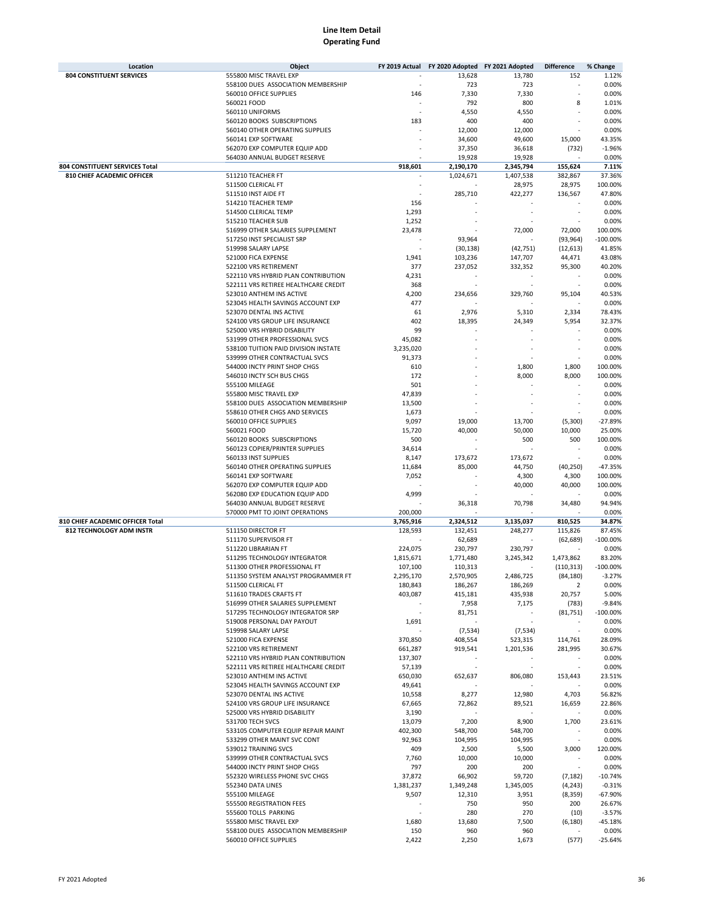| Location                         | Object                               | FY 2019 Actual | FY 2020 Adopted FY 2021 Adopted |           | <b>Difference</b> | % Change    |
|----------------------------------|--------------------------------------|----------------|---------------------------------|-----------|-------------------|-------------|
| <b>804 CONSTITUENT SERVICES</b>  | 555800 MISC TRAVEL EXP               |                | 13,628                          | 13,780    | 152               | 1.12%       |
|                                  | 558100 DUES ASSOCIATION MEMBERSHIP   |                | 723                             | 723       |                   | 0.00%       |
|                                  | 560010 OFFICE SUPPLIES               | 146            | 7,330                           | 7,330     |                   | 0.00%       |
|                                  | 560021 FOOD                          |                | 792                             | 800       | 8                 | 1.01%       |
|                                  | 560110 UNIFORMS                      |                | 4,550                           | 4,550     |                   | 0.00%       |
|                                  | 560120 BOOKS SUBSCRIPTIONS           | 183            | 400                             | 400       |                   | 0.00%       |
|                                  | 560140 OTHER OPERATING SUPPLIES      |                | 12,000                          | 12,000    |                   | 0.00%       |
|                                  | 560141 EXP SOFTWARE                  |                | 34,600                          | 49,600    | 15,000            | 43.35%      |
|                                  | 562070 EXP COMPUTER EQUIP ADD        |                | 37,350                          | 36,618    | (732)             | $-1.96%$    |
|                                  | 564030 ANNUAL BUDGET RESERVE         |                | 19,928                          | 19,928    |                   | 0.00%       |
| 804 CONSTITUENT SERVICES Total   |                                      | 918,601        | 2,190,170                       | 2,345,794 | 155,624           | 7.11%       |
| 810 CHIEF ACADEMIC OFFICER       | 511210 TEACHER FT                    |                | 1,024,671                       | 1,407,538 | 382,867           | 37.36%      |
|                                  | 511500 CLERICAL FT                   |                |                                 | 28,975    | 28,975            | 100.00%     |
|                                  | 511510 INST AIDE FT                  |                | 285,710                         | 422,277   | 136,567           | 47.80%      |
|                                  |                                      | 156            |                                 |           |                   | 0.00%       |
|                                  | 514210 TEACHER TEMP                  |                |                                 |           |                   |             |
|                                  | 514500 CLERICAL TEMP                 | 1,293          |                                 |           |                   | 0.00%       |
|                                  | 515210 TEACHER SUB                   | 1,252          |                                 |           |                   | 0.00%       |
|                                  | 516999 OTHER SALARIES SUPPLEMENT     | 23,478         |                                 | 72,000    | 72,000            | 100.00%     |
|                                  | 517250 INST SPECIALIST SRP           |                | 93,964                          |           | (93, 964)         | $-100.00%$  |
|                                  | 519998 SALARY LAPSE                  |                | (30, 138)                       | (42, 751) | (12, 613)         | 41.85%      |
|                                  | 521000 FICA EXPENSE                  | 1,941          | 103,236                         | 147,707   | 44,471            | 43.08%      |
|                                  | 522100 VRS RETIREMENT                | 377            | 237,052                         | 332,352   | 95,300            | 40.20%      |
|                                  | 522110 VRS HYBRID PLAN CONTRIBUTION  | 4,231          |                                 |           |                   | 0.00%       |
|                                  | 522111 VRS RETIREE HEALTHCARE CREDIT | 368            |                                 |           |                   | 0.00%       |
|                                  | 523010 ANTHEM INS ACTIVE             | 4,200          | 234,656                         | 329,760   | 95,104            | 40.53%      |
|                                  | 523045 HEALTH SAVINGS ACCOUNT EXP    | 477            |                                 |           |                   | 0.00%       |
|                                  | 523070 DENTAL INS ACTIVE             | 61             | 2,976                           | 5,310     | 2,334             | 78.43%      |
|                                  | 524100 VRS GROUP LIFE INSURANCE      | 402            | 18,395                          | 24,349    | 5,954             | 32.37%      |
|                                  | 525000 VRS HYBRID DISABILITY         | 99             |                                 |           |                   | 0.00%       |
|                                  | 531999 OTHER PROFESSIONAL SVCS       | 45,082         |                                 |           |                   | 0.00%       |
|                                  | 538100 TUITION PAID DIVISION INSTATE | 3,235,020      |                                 |           |                   | 0.00%       |
|                                  | 539999 OTHER CONTRACTUAL SVCS        | 91,373         |                                 |           |                   | 0.00%       |
|                                  | 544000 INCTY PRINT SHOP CHGS         | 610            |                                 | 1,800     | 1,800             | 100.00%     |
|                                  | 546010 INCTY SCH BUS CHGS            | 172            |                                 | 8,000     | 8,000             | 100.00%     |
|                                  | 555100 MILEAGE                       | 501            |                                 |           |                   | 0.00%       |
|                                  | 555800 MISC TRAVEL EXP               | 47,839         |                                 |           |                   | 0.00%       |
|                                  | 558100 DUES ASSOCIATION MEMBERSHIP   | 13,500         |                                 |           |                   | 0.00%       |
|                                  | 558610 OTHER CHGS AND SERVICES       | 1,673          |                                 |           |                   | 0.00%       |
|                                  | 560010 OFFICE SUPPLIES               | 9,097          | 19,000                          | 13,700    | (5,300)           | $-27.89%$   |
|                                  | 560021 FOOD                          | 15,720         | 40,000                          | 50,000    | 10,000            | 25.00%      |
|                                  | 560120 BOOKS SUBSCRIPTIONS           | 500            |                                 | 500       | 500               | 100.00%     |
|                                  | 560123 COPIER/PRINTER SUPPLIES       | 34,614         |                                 |           |                   | 0.00%       |
|                                  | 560133 INST SUPPLIES                 | 8,147          | 173,672                         | 173,672   |                   | 0.00%       |
|                                  | 560140 OTHER OPERATING SUPPLIES      | 11,684         | 85,000                          | 44,750    | (40, 250)         | $-47.35%$   |
|                                  | 560141 EXP SOFTWARE                  | 7,052          |                                 | 4,300     | 4,300             | 100.00%     |
|                                  | 562070 EXP COMPUTER EQUIP ADD        |                |                                 | 40,000    | 40,000            | 100.00%     |
|                                  | 562080 EXP EDUCATION EQUIP ADD       | 4,999          |                                 |           |                   | 0.00%       |
|                                  | 564030 ANNUAL BUDGET RESERVE         |                | 36,318                          | 70,798    | 34,480            | 94.94%      |
|                                  | 570000 PMT TO JOINT OPERATIONS       | 200,000        |                                 |           |                   | 0.00%       |
| 810 CHIEF ACADEMIC OFFICER Total |                                      | 3,765,916      | 2,324,512                       | 3,135,037 | 810,525           | 34.87%      |
|                                  |                                      |                |                                 |           |                   |             |
| 812 TECHNOLOGY ADM INSTR         | 511150 DIRECTOR FT                   | 128,593        | 132,451                         | 248,277   | 115,826           | 87.45%      |
|                                  | 511170 SUPERVISOR FT                 |                | 62,689                          |           | (62, 689)         | $-100.00%$  |
|                                  | 511220 LIBRARIAN FT                  | 224,075        | 230,797                         | 230,797   |                   | 0.00%       |
|                                  | 511295 TECHNOLOGY INTEGRATOR         | 1,815,671      | 1,771,480                       | 3,245,342 | 1,473,862         | 83.20%      |
|                                  | 511300 OTHER PROFESSIONAL FT         | 107,100        | 110,313                         |           | (110, 313)        | $-100.00%$  |
|                                  | 511350 SYSTEM ANALYST PROGRAMMER FT  | 2,295,170      | 2,570,905                       | 2,486,725 | (84, 180)         | $-3.27%$    |
|                                  | 511500 CLERICAL FT                   | 180,843        | 186,267                         | 186,269   | $\overline{2}$    | 0.00%       |
|                                  | 511610 TRADES CRAFTS FT              | 403,087        | 415,181                         | 435,938   | 20,757            | 5.00%       |
|                                  | 516999 OTHER SALARIES SUPPLEMENT     |                | 7,958                           | 7,175     | (783)             | $-9.84%$    |
|                                  | 517295 TECHNOLOGY INTEGRATOR SRP     |                | 81,751                          |           | (81,751)          | $-100.00\%$ |
|                                  | 519008 PERSONAL DAY PAYOUT           | 1,691          |                                 |           |                   | 0.00%       |
|                                  | 519998 SALARY LAPSE                  |                | (7, 534)                        | (7, 534)  |                   | 0.00%       |
|                                  | 521000 FICA EXPENSE                  | 370,850        | 408,554                         | 523,315   | 114,761           | 28.09%      |
|                                  | 522100 VRS RETIREMENT                | 661,287        | 919,541                         | 1,201,536 | 281,995           | 30.67%      |
|                                  | 522110 VRS HYBRID PLAN CONTRIBUTION  | 137,307        |                                 |           |                   | 0.00%       |
|                                  | 522111 VRS RETIREE HEALTHCARE CREDIT | 57,139         | $\overline{\phantom{a}}$        | ×,        |                   | 0.00%       |
|                                  | 523010 ANTHEM INS ACTIVE             | 650,030        | 652,637                         | 806,080   | 153,443           | 23.51%      |
|                                  | 523045 HEALTH SAVINGS ACCOUNT EXP    | 49,641         |                                 |           |                   | 0.00%       |
|                                  | 523070 DENTAL INS ACTIVE             | 10,558         | 8,277                           | 12,980    | 4,703             | 56.82%      |
|                                  | 524100 VRS GROUP LIFE INSURANCE      | 67,665         | 72,862                          | 89,521    | 16,659            | 22.86%      |
|                                  | 525000 VRS HYBRID DISABILITY         | 3,190          |                                 |           |                   | 0.00%       |
|                                  | 531700 TECH SVCS                     | 13,079         | 7,200                           | 8,900     | 1,700             | 23.61%      |
|                                  | 533105 COMPUTER EQUIP REPAIR MAINT   | 402,300        | 548,700                         | 548,700   |                   | 0.00%       |
|                                  | 533299 OTHER MAINT SVC CONT          | 92,963         | 104,995                         | 104,995   |                   | 0.00%       |
|                                  | 539012 TRAINING SVCS                 | 409            | 2,500                           | 5,500     | 3,000             | 120.00%     |
|                                  | 539999 OTHER CONTRACTUAL SVCS        | 7,760          | 10,000                          | 10,000    |                   | 0.00%       |
|                                  | 544000 INCTY PRINT SHOP CHGS         | 797            | 200                             | 200       |                   | 0.00%       |
|                                  | 552320 WIRELESS PHONE SVC CHGS       | 37,872         | 66,902                          | 59,720    | (7, 182)          | $-10.74%$   |
|                                  | 552340 DATA LINES                    | 1,381,237      | 1,349,248                       | 1,345,005 | (4, 243)          | $-0.31%$    |
|                                  | 555100 MILEAGE                       | 9,507          | 12,310                          | 3,951     | (8,359)           | $-67.90%$   |
|                                  | 555500 REGISTRATION FEES             |                | 750                             | 950       | 200               | 26.67%      |
|                                  | 555600 TOLLS PARKING                 |                | 280                             | 270       | (10)              | $-3.57%$    |
|                                  | 555800 MISC TRAVEL EXP               | 1,680          | 13,680                          | 7,500     | (6, 180)          | $-45.18%$   |
|                                  | 558100 DUES ASSOCIATION MEMBERSHIP   | 150            | 960                             | 960       |                   | 0.00%       |
|                                  | 560010 OFFICE SUPPLIES               | 2,422          | 2,250                           | 1,673     | (577)             | $-25.64%$   |
|                                  |                                      |                |                                 |           |                   |             |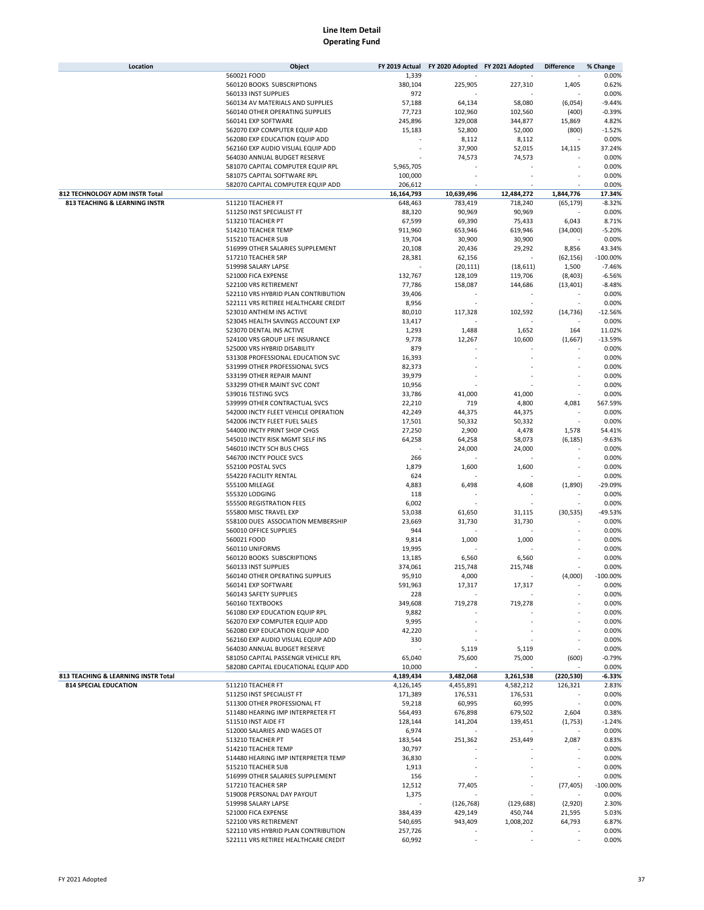| Location                            | Object                                                            | FY 2019 Actual | FY 2020 Adopted FY 2021 Adopted |            | <b>Difference</b> | % Change    |
|-------------------------------------|-------------------------------------------------------------------|----------------|---------------------------------|------------|-------------------|-------------|
|                                     | 560021 FOOD                                                       | 1,339          |                                 |            |                   | 0.00%       |
|                                     | 560120 BOOKS SUBSCRIPTIONS                                        | 380,104        | 225,905                         | 227,310    | 1,405             | 0.62%       |
|                                     | 560133 INST SUPPLIES                                              | 972            |                                 |            |                   | 0.00%       |
|                                     | 560134 AV MATERIALS AND SUPPLIES                                  | 57,188         | 64,134                          | 58,080     | (6,054)           | $-9.44%$    |
|                                     | 560140 OTHER OPERATING SUPPLIES                                   | 77,723         | 102,960                         | 102,560    | (400)             | $-0.39%$    |
|                                     | 560141 EXP SOFTWARE                                               | 245,896        | 329,008                         | 344,877    | 15,869            | 4.82%       |
|                                     | 562070 EXP COMPUTER EQUIP ADD                                     | 15,183         | 52,800                          | 52,000     | (800)             | $-1.52%$    |
|                                     | 562080 EXP EDUCATION EQUIP ADD                                    |                | 8,112                           | 8,112      |                   | 0.00%       |
|                                     | 562160 EXP AUDIO VISUAL EQUIP ADD                                 |                | 37,900                          | 52,015     | 14,115            | 37.24%      |
|                                     | 564030 ANNUAL BUDGET RESERVE                                      |                | 74,573                          | 74,573     |                   | 0.00%       |
|                                     | 581070 CAPITAL COMPUTER EQUIP RPL                                 | 5,965,705      |                                 |            |                   | 0.00%       |
|                                     | 581075 CAPITAL SOFTWARE RPL                                       | 100,000        |                                 |            |                   | 0.00%       |
|                                     | 582070 CAPITAL COMPUTER EQUIP ADD                                 | 206,612        |                                 |            |                   | 0.00%       |
| 812 TECHNOLOGY ADM INSTR Total      |                                                                   | 16,164,793     | 10,639,496                      | 12,484,272 | 1,844,776         | 17.34%      |
| 813 TEACHING & LEARNING INSTR       | 511210 TEACHER FT                                                 | 648,463        | 783,419                         | 718,240    | (65, 179)         | $-8.32%$    |
|                                     | 511250 INST SPECIALIST FT                                         | 88,320         | 90,969                          | 90,969     |                   | 0.00%       |
|                                     | 513210 TEACHER PT                                                 | 67,599         | 69,390                          | 75,433     | 6,043             | 8.71%       |
|                                     | 514210 TEACHER TEMP                                               | 911,960        | 653,946                         | 619,946    | (34,000)          | $-5.20%$    |
|                                     | 515210 TEACHER SUB                                                | 19,704         | 30,900                          | 30,900     |                   | 0.00%       |
|                                     | 516999 OTHER SALARIES SUPPLEMENT                                  | 20,108         | 20,436                          | 29,292     | 8,856             | 43.34%      |
|                                     | 517210 TEACHER SRP                                                | 28,381         | 62,156                          |            | (62, 156)         | $-100.00%$  |
|                                     | 519998 SALARY LAPSE                                               |                | (20, 111)                       | (18, 611)  | 1,500             | $-7.46%$    |
|                                     | 521000 FICA EXPENSE                                               | 132,767        | 128,109                         | 119,706    | (8,403)           | $-6.56%$    |
|                                     | 522100 VRS RETIREMENT                                             |                |                                 |            |                   | $-8.48%$    |
|                                     |                                                                   | 77,786         | 158,087                         | 144,686    | (13, 401)         |             |
|                                     | 522110 VRS HYBRID PLAN CONTRIBUTION                               | 39,406         |                                 |            |                   | 0.00%       |
|                                     | 522111 VRS RETIREE HEALTHCARE CREDIT                              | 8,956          |                                 |            |                   | 0.00%       |
|                                     | 523010 ANTHEM INS ACTIVE                                          | 80,010         | 117,328                         | 102,592    | (14, 736)         | $-12.56%$   |
|                                     | 523045 HEALTH SAVINGS ACCOUNT EXP                                 | 13,417         |                                 |            |                   | 0.00%       |
|                                     | 523070 DENTAL INS ACTIVE                                          | 1,293          | 1,488                           | 1,652      | 164               | 11.02%      |
|                                     | 524100 VRS GROUP LIFE INSURANCE                                   | 9,778          | 12,267                          | 10,600     | (1,667)           | $-13.59%$   |
|                                     | 525000 VRS HYBRID DISABILITY                                      | 879            |                                 |            |                   | 0.00%       |
|                                     | 531308 PROFESSIONAL EDUCATION SVC                                 | 16,393         |                                 |            |                   | 0.00%       |
|                                     | 531999 OTHER PROFESSIONAL SVCS                                    | 82,373         |                                 |            |                   | 0.00%       |
|                                     | 533199 OTHER REPAIR MAINT                                         | 39,979         |                                 |            |                   | 0.00%       |
|                                     | 533299 OTHER MAINT SVC CONT                                       | 10,956         |                                 |            |                   | 0.00%       |
|                                     | 539016 TESTING SVCS                                               | 33,786         | 41,000                          | 41,000     |                   | 0.00%       |
|                                     | 539999 OTHER CONTRACTUAL SVCS                                     | 22,210         | 719                             | 4,800      | 4,081             | 567.59%     |
|                                     | 542000 INCTY FLEET VEHICLE OPERATION                              | 42,249         | 44,375                          | 44,375     |                   | 0.00%       |
|                                     | 542006 INCTY FLEET FUEL SALES                                     | 17,501         | 50,332                          | 50,332     |                   | 0.00%       |
|                                     | 544000 INCTY PRINT SHOP CHGS                                      | 27,250         | 2,900                           | 4,478      | 1,578             | 54.41%      |
|                                     | 545010 INCTY RISK MGMT SELF INS                                   | 64,258         | 64,258                          | 58,073     | (6, 185)          | $-9.63%$    |
|                                     | 546010 INCTY SCH BUS CHGS                                         |                | 24,000                          | 24,000     |                   | 0.00%       |
|                                     | 546700 INCTY POLICE SVCS                                          | 266            |                                 |            |                   | 0.00%       |
|                                     | 552100 POSTAL SVCS                                                | 1,879          | 1,600                           | 1,600      |                   | 0.00%       |
|                                     | 554220 FACILITY RENTAL                                            | 624            |                                 |            |                   | 0.00%       |
|                                     | 555100 MILEAGE                                                    | 4,883          | 6,498                           | 4,608      | (1,890)           | $-29.09%$   |
|                                     | 555320 LODGING                                                    | 118            |                                 |            |                   | 0.00%       |
|                                     | 555500 REGISTRATION FEES                                          | 6,002          |                                 |            |                   | 0.00%       |
|                                     | 555800 MISC TRAVEL EXP                                            | 53,038         | 61,650                          | 31,115     | (30, 535)         | -49.53%     |
|                                     | 558100 DUES ASSOCIATION MEMBERSHIP                                | 23,669         | 31,730                          | 31,730     |                   | 0.00%       |
|                                     | 560010 OFFICE SUPPLIES                                            | 944            |                                 |            |                   | 0.00%       |
|                                     | 560021 FOOD                                                       | 9,814          | 1,000                           | 1,000      |                   | 0.00%       |
|                                     | 560110 UNIFORMS                                                   | 19,995         |                                 |            |                   | 0.00%       |
|                                     | 560120 BOOKS SUBSCRIPTIONS                                        | 13,185         | 6,560                           | 6,560      |                   | 0.00%       |
|                                     | 560133 INST SUPPLIES                                              | 374,061        | 215,748                         | 215.748    |                   | 0.00%       |
|                                     | 560140 OTHER OPERATING SUPPLIES                                   | 95,910         | 4,000                           |            | (4,000)           | $-100.00%$  |
|                                     | 560141 EXP SOFTWARE                                               | 591,963        | 17,317                          | 17,317     |                   | 0.00%       |
|                                     | 560143 SAFETY SUPPLIES                                            | 228            |                                 |            |                   | 0.00%       |
|                                     | 560160 TEXTBOOKS                                                  |                |                                 |            |                   |             |
|                                     |                                                                   | 349,608        | 719,278                         | 719,278    |                   | 0.00%       |
|                                     | 561080 EXP EDUCATION EQUIP RPL                                    | 9,882          |                                 |            |                   | 0.00%       |
|                                     | 562070 EXP COMPUTER EQUIP ADD                                     | 9,995          |                                 |            |                   | 0.00%       |
|                                     | 562080 EXP EDUCATION EQUIP ADD                                    | 42,220         |                                 |            |                   | 0.00%       |
|                                     | 562160 EXP AUDIO VISUAL EQUIP ADD<br>564030 ANNUAL BUDGET RESERVE | 330            |                                 |            |                   | 0.00%       |
|                                     |                                                                   |                | 5,119                           | 5,119      |                   | 0.00%       |
|                                     | 581050 CAPITAL PASSENGR VEHICLE RPL                               | 65,040         | 75,600                          | 75,000     | (600)             | $-0.79%$    |
|                                     | 582080 CAPITAL EDUCATIONAL EQUIP ADD                              | 10,000         |                                 |            |                   | 0.00%       |
| 813 TEACHING & LEARNING INSTR Total |                                                                   | 4,189,434      | 3,482,068                       | 3,261,538  | (220, 530)        | $-6.33%$    |
| <b>814 SPECIAL EDUCATION</b>        | 511210 TEACHER FT                                                 | 4,126,145      | 4,455,891                       | 4,582,212  | 126,321           | 2.83%       |
|                                     | 511250 INST SPECIALIST FT                                         | 171,389        | 176,531                         | 176,531    |                   | 0.00%       |
|                                     | 511300 OTHER PROFESSIONAL FT                                      | 59,218         | 60,995                          | 60,995     |                   | 0.00%       |
|                                     | 511480 HEARING IMP INTERPRETER FT                                 | 564,493        | 676,898                         | 679,502    | 2,604             | 0.38%       |
|                                     | 511510 INST AIDE FT                                               | 128,144        | 141,204                         | 139,451    | (1,753)           | $-1.24%$    |
|                                     | 512000 SALARIES AND WAGES OT                                      | 6,974          |                                 |            |                   | 0.00%       |
|                                     | 513210 TEACHER PT                                                 | 183,544        | 251,362                         | 253,449    | 2,087             | 0.83%       |
|                                     | 514210 TEACHER TEMP                                               | 30,797         |                                 |            |                   | 0.00%       |
|                                     | 514480 HEARING IMP INTERPRETER TEMP                               | 36,830         |                                 |            |                   | 0.00%       |
|                                     | 515210 TEACHER SUB                                                | 1,913          |                                 |            |                   | 0.00%       |
|                                     | 516999 OTHER SALARIES SUPPLEMENT                                  | 156            |                                 |            |                   | 0.00%       |
|                                     | 517210 TEACHER SRP                                                | 12,512         | 77,405                          |            | (77, 405)         | $-100.00\%$ |
|                                     | 519008 PERSONAL DAY PAYOUT                                        | 1,375          |                                 |            |                   | 0.00%       |
|                                     | 519998 SALARY LAPSE                                               |                | (126, 768)                      | (129, 688) | (2,920)           | 2.30%       |
|                                     | 521000 FICA EXPENSE                                               | 384,439        | 429,149                         | 450,744    | 21,595            | 5.03%       |
|                                     | 522100 VRS RETIREMENT                                             | 540,695        | 943,409                         | 1,008,202  | 64,793            | 6.87%       |
|                                     | 522110 VRS HYBRID PLAN CONTRIBUTION                               | 257,726        |                                 |            |                   | 0.00%       |
|                                     | 522111 VRS RETIREE HEALTHCARE CREDIT                              | 60,992         |                                 |            |                   | 0.00%       |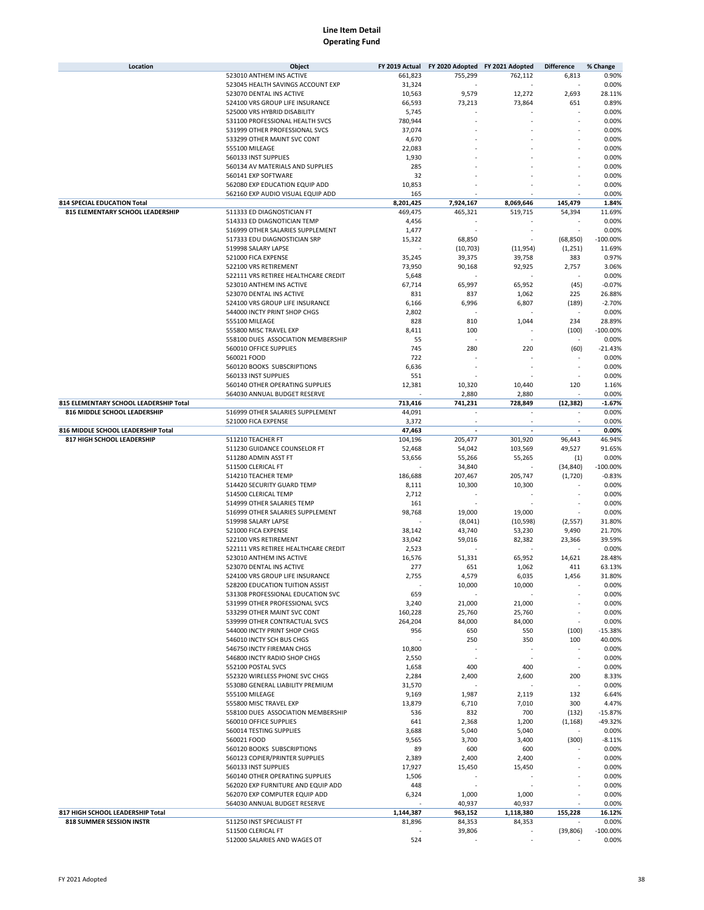| Location                                | Object                               | FY 2019 Actual | FY 2020 Adopted FY 2021 Adopted |                          | <b>Difference</b>        | % Change    |
|-----------------------------------------|--------------------------------------|----------------|---------------------------------|--------------------------|--------------------------|-------------|
|                                         | 523010 ANTHEM INS ACTIVE             | 661,823        | 755,299                         | 762,112                  | 6,813                    | 0.90%       |
|                                         | 523045 HEALTH SAVINGS ACCOUNT EXP    | 31,324         |                                 |                          |                          | 0.00%       |
|                                         | 523070 DENTAL INS ACTIVE             | 10,563         | 9,579                           | 12,272                   | 2,693                    | 28.11%      |
|                                         | 524100 VRS GROUP LIFE INSURANCE      | 66,593         | 73,213                          | 73,864                   | 651                      | 0.89%       |
|                                         | 525000 VRS HYBRID DISABILITY         | 5,745          |                                 |                          |                          | 0.00%       |
|                                         | 531100 PROFESSIONAL HEALTH SVCS      | 780,944        |                                 |                          |                          | 0.00%       |
|                                         | 531999 OTHER PROFESSIONAL SVCS       | 37,074         |                                 |                          |                          | 0.00%       |
|                                         | 533299 OTHER MAINT SVC CONT          | 4,670          |                                 |                          |                          | 0.00%       |
|                                         | 555100 MILEAGE                       | 22,083         |                                 |                          |                          | 0.00%       |
|                                         | 560133 INST SUPPLIES                 | 1,930          |                                 |                          |                          | 0.00%       |
|                                         | 560134 AV MATERIALS AND SUPPLIES     | 285            |                                 |                          |                          | 0.00%       |
|                                         | 560141 EXP SOFTWARE                  |                |                                 |                          |                          |             |
|                                         |                                      | 32             |                                 |                          |                          | 0.00%       |
|                                         | 562080 EXP EDUCATION EQUIP ADD       | 10,853         |                                 |                          |                          | 0.00%       |
|                                         | 562160 EXP AUDIO VISUAL EQUIP ADD    | 165            |                                 |                          |                          | 0.00%       |
| <b>814 SPECIAL EDUCATION Total</b>      |                                      | 8,201,425      | 7,924,167                       | 8,069,646                | 145,479                  | 1.84%       |
| <b>815 ELEMENTARY SCHOOL LEADERSHIP</b> | 511333 ED DIAGNOSTICIAN FT           | 469,475        | 465,321                         | 519,715                  | 54,394                   | 11.69%      |
|                                         | 514333 ED DIAGNOTICIAN TEMP          | 4,456          |                                 |                          |                          | 0.00%       |
|                                         | 516999 OTHER SALARIES SUPPLEMENT     | 1,477          |                                 |                          |                          | 0.00%       |
|                                         | 517333 EDU DIAGNOSTICIAN SRP         | 15,322         | 68,850                          |                          | (68, 850)                | $-100.00%$  |
|                                         | 519998 SALARY LAPSE                  |                | (10, 703)                       | (11, 954)                | (1, 251)                 | 11.69%      |
|                                         | 521000 FICA EXPENSE                  | 35,245         | 39,375                          | 39,758                   | 383                      | 0.97%       |
|                                         | 522100 VRS RETIREMENT                | 73,950         | 90,168                          | 92,925                   | 2,757                    | 3.06%       |
|                                         | 522111 VRS RETIREE HEALTHCARE CREDIT | 5,648          |                                 |                          |                          | 0.00%       |
|                                         | 523010 ANTHEM INS ACTIVE             | 67,714         | 65,997                          | 65,952                   | (45)                     | $-0.07%$    |
|                                         | 523070 DENTAL INS ACTIVE             | 831            | 837                             | 1,062                    | 225                      | 26.88%      |
|                                         | 524100 VRS GROUP LIFE INSURANCE      | 6,166          | 6,996                           | 6,807                    | (189)                    | $-2.70%$    |
|                                         | 544000 INCTY PRINT SHOP CHGS         | 2,802          |                                 |                          | $\overline{\phantom{a}}$ | 0.00%       |
|                                         | 555100 MILEAGE                       | 828            |                                 | 1,044                    | 234                      | 28.89%      |
|                                         |                                      |                | 810                             |                          |                          |             |
|                                         | 555800 MISC TRAVEL EXP               | 8,411          | 100                             |                          | (100)                    | $-100.00%$  |
|                                         | 558100 DUES ASSOCIATION MEMBERSHIP   | 55             |                                 |                          |                          | 0.00%       |
|                                         | 560010 OFFICE SUPPLIES               | 745            | 280                             | 220                      | (60)                     | $-21.43%$   |
|                                         | 560021 FOOD                          | 722            |                                 |                          |                          | 0.00%       |
|                                         | 560120 BOOKS SUBSCRIPTIONS           | 6,636          |                                 |                          |                          | 0.00%       |
|                                         | 560133 INST SUPPLIES                 | 551            |                                 |                          |                          | 0.00%       |
|                                         | 560140 OTHER OPERATING SUPPLIES      | 12,381         | 10,320                          | 10,440                   | 120                      | 1.16%       |
|                                         | 564030 ANNUAL BUDGET RESERVE         |                | 2,880                           | 2,880                    |                          | 0.00%       |
| 815 ELEMENTARY SCHOOL LEADERSHIP Total  |                                      | 713,416        | 741,231                         | 728,849                  | (12, 382)                | $-1.67%$    |
| 816 MIDDLE SCHOOL LEADERSHIP            | 516999 OTHER SALARIES SUPPLEMENT     | 44,091         |                                 |                          | $\overline{\phantom{a}}$ | 0.00%       |
|                                         | 521000 FICA EXPENSE                  | 3,372          |                                 |                          |                          | 0.00%       |
| 816 MIDDLE SCHOOL LEADERSHIP Total      |                                      | 47,463         | $\overline{\phantom{a}}$        | $\overline{\phantom{a}}$ | $\overline{a}$           | 0.00%       |
| 817 HIGH SCHOOL LEADERSHIP              | 511210 TEACHER FT                    | 104,196        | 205,477                         | 301,920                  | 96,443                   | 46.94%      |
|                                         | 511230 GUIDANCE COUNSELOR FT         | 52,468         | 54,042                          | 103,569                  | 49,527                   | 91.65%      |
|                                         | 511280 ADMIN ASST FT                 | 53,656         | 55,266                          | 55,265                   | (1)                      | 0.00%       |
|                                         | 511500 CLERICAL FT                   |                | 34,840                          |                          | (34, 840)                | $-100.00%$  |
|                                         | 514210 TEACHER TEMP                  | 186,688        | 207,467                         | 205,747                  | (1,720)                  | $-0.83%$    |
|                                         | 514420 SECURITY GUARD TEMP           | 8,111          | 10,300                          | 10,300                   |                          | 0.00%       |
|                                         | 514500 CLERICAL TEMP                 | 2,712          |                                 |                          |                          | 0.00%       |
|                                         | 514999 OTHER SALARIES TEMP           | 161            |                                 |                          |                          | 0.00%       |
|                                         |                                      |                |                                 |                          |                          |             |
|                                         | 516999 OTHER SALARIES SUPPLEMENT     | 98,768         | 19,000                          | 19,000                   |                          | 0.00%       |
|                                         | 519998 SALARY LAPSE                  |                | (8,041)                         | (10, 598)                | (2,557)                  | 31.80%      |
|                                         | 521000 FICA EXPENSE                  | 38,142         | 43,740                          | 53,230                   | 9,490                    | 21.70%      |
|                                         | 522100 VRS RETIREMENT                | 33,042         | 59,016                          | 82,382                   | 23,366                   | 39.59%      |
|                                         | 522111 VRS RETIREE HEALTHCARE CREDIT | 2,523          |                                 |                          |                          | 0.00%       |
|                                         | 523010 ANTHEM INS ACTIVE             | 16,576         | 51,331                          | 65,952                   | 14,621                   | 28.48%      |
|                                         | 523070 DENTAL INS ACTIVE             | 277            | 651                             | 1,062                    | 411                      | 63.13%      |
|                                         | 524100 VRS GROUP LIFE INSURANCE      | 2,755          | 4,579                           | 6,035                    | 1,456                    | 31.80%      |
|                                         | 528200 EDUCATION TUITION ASSIST      |                | 10,000                          | 10,000                   |                          | 0.00%       |
|                                         | 531308 PROFESSIONAL EDUCATION SVC    | 659            |                                 |                          |                          | 0.00%       |
|                                         | 531999 OTHER PROFESSIONAL SVCS       | 3,240          | 21,000                          | 21,000                   |                          | 0.00%       |
|                                         | 533299 OTHER MAINT SVC CONT          | 160,228        | 25,760                          | 25,760                   |                          | 0.00%       |
|                                         | 539999 OTHER CONTRACTUAL SVCS        | 264,204        | 84,000                          | 84,000                   |                          | 0.00%       |
|                                         | 544000 INCTY PRINT SHOP CHGS         | 956            | 650                             | 550                      | (100)                    | $-15.38%$   |
|                                         | 546010 INCTY SCH BUS CHGS            |                | 250                             | 350                      | 100                      | 40.00%      |
|                                         | 546750 INCTY FIREMAN CHGS            | 10,800         |                                 |                          |                          | 0.00%       |
|                                         | 546800 INCTY RADIO SHOP CHGS         | 2,550          |                                 |                          |                          | 0.00%       |
|                                         | 552100 POSTAL SVCS                   | 1,658          | 400                             | 400                      |                          | 0.00%       |
|                                         | 552320 WIRELESS PHONE SVC CHGS       | 2,284          |                                 | 2,600                    | 200                      | 8.33%       |
|                                         |                                      | 31,570         | 2,400                           |                          |                          |             |
|                                         | 553080 GENERAL LIABILITY PREMIUM     |                |                                 |                          |                          | 0.00%       |
|                                         | 555100 MILEAGE                       | 9,169          | 1,987                           | 2,119                    | 132                      | 6.64%       |
|                                         | 555800 MISC TRAVEL EXP               | 13,879         | 6,710                           | 7,010                    | 300                      | 4.47%       |
|                                         | 558100 DUES ASSOCIATION MEMBERSHIP   | 536            | 832                             | 700                      | (132)                    | $-15.87%$   |
|                                         | 560010 OFFICE SUPPLIES               | 641            | 2,368                           | 1,200                    | (1, 168)                 | -49.32%     |
|                                         | 560014 TESTING SUPPLIES              | 3,688          | 5,040                           | 5,040                    |                          | 0.00%       |
|                                         | 560021 FOOD                          | 9,565          | 3,700                           | 3,400                    | (300)                    | $-8.11%$    |
|                                         | 560120 BOOKS SUBSCRIPTIONS           | 89             | 600                             | 600                      |                          | 0.00%       |
|                                         | 560123 COPIER/PRINTER SUPPLIES       | 2,389          | 2,400                           | 2,400                    |                          | 0.00%       |
|                                         | 560133 INST SUPPLIES                 | 17,927         | 15,450                          | 15,450                   |                          | 0.00%       |
|                                         | 560140 OTHER OPERATING SUPPLIES      | 1,506          |                                 |                          |                          | 0.00%       |
|                                         | 562020 EXP FURNITURE AND EQUIP ADD   | 448            |                                 |                          |                          | 0.00%       |
|                                         | 562070 EXP COMPUTER EQUIP ADD        | 6,324          | 1,000                           | 1,000                    |                          | 0.00%       |
|                                         | 564030 ANNUAL BUDGET RESERVE         |                | 40,937                          | 40,937                   |                          | 0.00%       |
| 817 HIGH SCHOOL LEADERSHIP Total        |                                      | 1,144,387      | 963,152                         | 1,118,380                | 155,228                  | 16.12%      |
| 818 SUMMER SESSION INSTR                | 511250 INST SPECIALIST FT            | 81,896         | 84,353                          | 84,353                   |                          | 0.00%       |
|                                         | 511500 CLERICAL FT                   |                | 39,806                          |                          | (39, 806)                | $-100.00\%$ |
|                                         | 512000 SALARIES AND WAGES OT         | 524            |                                 |                          |                          | 0.00%       |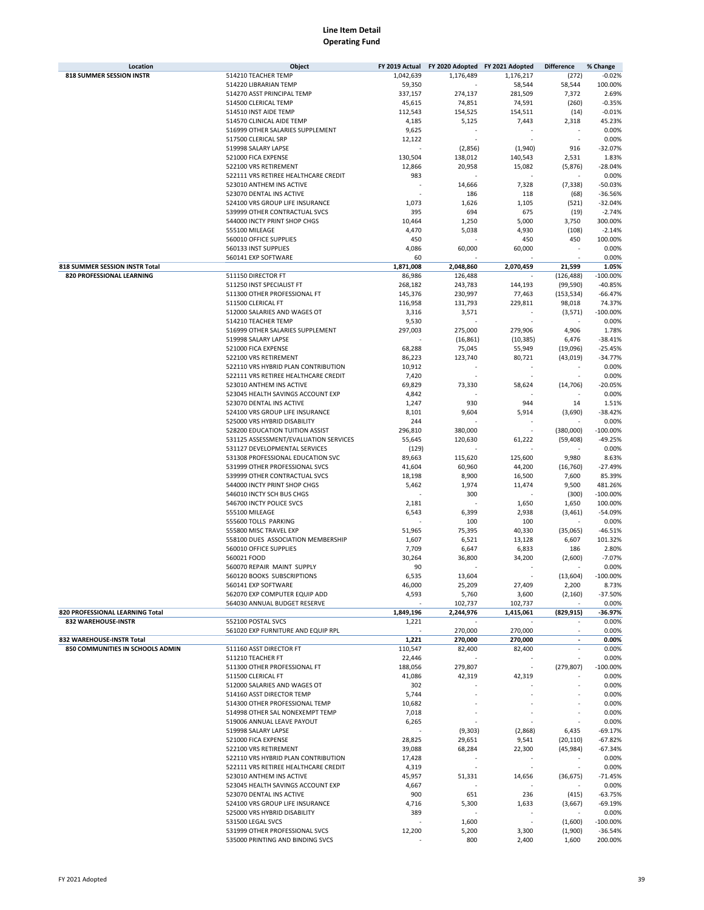| Location                                                      | Object                                                   | FY 2019 Actual | FY 2020 Adopted FY 2021 Adopted |           | <b>Difference</b> | % Change            |
|---------------------------------------------------------------|----------------------------------------------------------|----------------|---------------------------------|-----------|-------------------|---------------------|
| <b>818 SUMMER SESSION INSTR</b>                               | 514210 TEACHER TEMP                                      | 1,042,639      | 1,176,489                       | 1,176,217 | (272)             | $-0.02%$            |
|                                                               | 514220 LIBRARIAN TEMP                                    | 59,350         |                                 | 58,544    | 58,544            | 100.00%             |
|                                                               | 514270 ASST PRINCIPAL TEMP                               | 337,157        | 274,137                         | 281,509   | 7,372             | 2.69%               |
|                                                               | 514500 CLERICAL TEMP                                     | 45,615         | 74,851                          | 74,591    | (260)             | $-0.35%$            |
|                                                               | 514510 INST AIDE TEMP                                    | 112,543        | 154,525                         | 154,511   | (14)              | $-0.01%$            |
|                                                               | 514570 CLINICAL AIDE TEMP                                | 4,185          | 5,125                           | 7,443     | 2,318             | 45.23%              |
|                                                               | 516999 OTHER SALARIES SUPPLEMENT                         | 9,625          |                                 |           |                   | 0.00%               |
|                                                               | 517500 CLERICAL SRP                                      | 12,122         |                                 |           | ä,                | 0.00%               |
|                                                               | 519998 SALARY LAPSE                                      |                | (2,856)                         | (1,940)   | 916               | $-32.07%$           |
|                                                               | 521000 FICA EXPENSE                                      | 130,504        | 138,012                         | 140,543   | 2,531             | 1.83%               |
|                                                               | 522100 VRS RETIREMENT                                    | 12,866         | 20,958                          | 15,082    | (5,876)           | $-28.04%$           |
|                                                               | 522111 VRS RETIREE HEALTHCARE CREDIT                     | 983            |                                 |           | ä,                | 0.00%               |
|                                                               | 523010 ANTHEM INS ACTIVE                                 |                | 14,666                          | 7,328     | (7, 338)          | $-50.03%$           |
|                                                               | 523070 DENTAL INS ACTIVE                                 |                | 186                             | 118       | (68)              | $-36.56%$           |
|                                                               | 524100 VRS GROUP LIFE INSURANCE                          | 1,073          | 1,626                           | 1,105     | (521)             | $-32.04%$           |
|                                                               |                                                          | 395            |                                 | 675       |                   | $-2.74%$            |
|                                                               | 539999 OTHER CONTRACTUAL SVCS                            |                | 694                             |           | (19)              |                     |
|                                                               | 544000 INCTY PRINT SHOP CHGS                             | 10,464         | 1,250                           | 5,000     | 3,750             | 300.00%             |
|                                                               | 555100 MILEAGE                                           | 4,470          | 5,038                           | 4,930     | (108)             | $-2.14%$            |
|                                                               | 560010 OFFICE SUPPLIES                                   | 450            |                                 | 450       | 450               | 100.00%             |
|                                                               | 560133 INST SUPPLIES                                     | 4,086          | 60,000                          | 60,000    |                   | 0.00%               |
|                                                               | 560141 EXP SOFTWARE                                      | 60             |                                 |           |                   | 0.00%               |
| 818 SUMMER SESSION INSTR Total                                |                                                          | 1,871,008      | 2,048,860                       | 2,070,459 | 21,599            | 1.05%               |
| 820 PROFESSIONAL LEARNING                                     | 511150 DIRECTOR FT                                       | 86,986         | 126,488                         |           | (126, 488)        | $-100.00%$          |
|                                                               | 511250 INST SPECIALIST FT                                | 268,182        | 243,783                         | 144,193   | (99, 590)         | $-40.85%$           |
|                                                               | 511300 OTHER PROFESSIONAL FT                             | 145,376        | 230,997                         | 77,463    | (153, 534)        | $-66.47%$           |
|                                                               | 511500 CLERICAL FT                                       | 116,958        | 131,793                         | 229,811   | 98,018            | 74.37%              |
|                                                               | 512000 SALARIES AND WAGES OT                             | 3,316          | 3,571                           |           | (3, 571)          | $-100.00%$          |
|                                                               | 514210 TEACHER TEMP                                      | 9,530          |                                 |           |                   | 0.00%               |
|                                                               | 516999 OTHER SALARIES SUPPLEMENT                         | 297,003        | 275,000                         | 279,906   | 4,906             | 1.78%               |
|                                                               | 519998 SALARY LAPSE                                      |                | (16, 861)                       | (10, 385) | 6,476             | $-38.41%$           |
|                                                               | 521000 FICA EXPENSE                                      | 68,288         | 75,045                          | 55,949    | (19,096)          | $-25.45%$           |
|                                                               | 522100 VRS RETIREMENT                                    | 86,223         | 123,740                         | 80,721    | (43,019)          | $-34.77%$           |
|                                                               | 522110 VRS HYBRID PLAN CONTRIBUTION                      | 10,912         |                                 |           |                   | 0.00%               |
|                                                               | 522111 VRS RETIREE HEALTHCARE CREDIT                     | 7,420          |                                 |           |                   | 0.00%               |
|                                                               | 523010 ANTHEM INS ACTIVE                                 | 69,829         | 73,330                          | 58,624    | (14, 706)         | $-20.05%$           |
|                                                               | 523045 HEALTH SAVINGS ACCOUNT EXP                        | 4,842          |                                 |           |                   | 0.00%               |
|                                                               | 523070 DENTAL INS ACTIVE                                 | 1,247          | 930                             | 944       | 14                | 1.51%               |
|                                                               | 524100 VRS GROUP LIFE INSURANCE                          | 8,101          | 9,604                           | 5,914     | (3,690)           | $-38.42%$           |
|                                                               | 525000 VRS HYBRID DISABILITY                             | 244            |                                 |           |                   | 0.00%               |
|                                                               | 528200 EDUCATION TUITION ASSIST                          | 296,810        | 380,000                         |           | (380,000)         | $-100.00%$          |
|                                                               | 531125 ASSESSMENT/EVALUATION SERVICES                    | 55,645         | 120,630                         | 61,222    | (59, 408)         | $-49.25%$           |
|                                                               | 531127 DEVELOPMENTAL SERVICES                            | (129)          |                                 |           |                   | 0.00%               |
|                                                               | 531308 PROFESSIONAL EDUCATION SVC                        | 89,663         | 115,620                         | 125,600   | 9,980             | 8.63%               |
|                                                               | 531999 OTHER PROFESSIONAL SVCS                           | 41,604         | 60,960                          | 44,200    | (16, 760)         | $-27.49%$           |
|                                                               | 539999 OTHER CONTRACTUAL SVCS                            | 18,198         | 8,900                           | 16,500    | 7,600             | 85.39%              |
|                                                               | 544000 INCTY PRINT SHOP CHGS                             | 5,462          | 1,974                           | 11,474    | 9,500             | 481.26%             |
|                                                               | 546010 INCTY SCH BUS CHGS                                |                | 300                             |           | (300)             | $-100.00%$          |
|                                                               | 546700 INCTY POLICE SVCS                                 | 2,181          |                                 | 1,650     | 1,650             | 100.00%             |
|                                                               | 555100 MILEAGE                                           | 6,543          | 6,399                           | 2,938     | (3, 461)          | $-54.09%$           |
|                                                               | 555600 TOLLS PARKING                                     |                | 100                             | 100       |                   | 0.00%               |
|                                                               | 555800 MISC TRAVEL EXP                                   | 51,965         | 75,395                          | 40,330    | (35,065)          | $-46.51%$           |
|                                                               | 558100 DUES ASSOCIATION MEMBERSHIP                       |                |                                 |           |                   | 101.32%             |
|                                                               | 560010 OFFICE SUPPLIES                                   | 1,607          | 6,521                           | 13,128    | 6,607             |                     |
|                                                               |                                                          | 7,709          | 6,647                           | 6,833     | 186               | 2.80%               |
|                                                               | 560021 FOOD                                              | 30,264         | 36,800                          | 34,200    | (2,600)           | $-7.07%$            |
|                                                               | 560070 REPAIR MAINT SUPPLY<br>560120 BOOKS SUBSCRIPTIONS | 90             |                                 |           |                   | 0.00%<br>$-100.00%$ |
|                                                               |                                                          | 6,535          | 13,604                          |           | (13, 604)         |                     |
|                                                               | 560141 EXP SOFTWARE                                      | 46,000         | 25,209                          | 27,409    | 2,200             | 8.73%               |
|                                                               | 562070 EXP COMPUTER EQUIP ADD                            | 4,593          | 5,760                           | 3,600     | (2, 160)          | $-37.50%$           |
|                                                               | 564030 ANNUAL BUDGET RESERVE                             |                | 102,737                         | 102,737   |                   | 0.00%               |
| 820 PROFESSIONAL LEARNING Total                               |                                                          | 1,849,196      | 2,244,976                       | 1,415,061 | (829, 915)        | $-36.97%$           |
| 832 WAREHOUSE-INSTR                                           | 552100 POSTAL SVCS                                       | 1,221          |                                 |           |                   | 0.00%               |
|                                                               | 561020 EXP FURNITURE AND EQUIP RPL                       |                | 270,000                         | 270,000   | ٠                 | 0.00%               |
| 832 WAREHOUSE-INSTR Total<br>850 COMMUNITIES IN SCHOOLS ADMIN |                                                          | 1,221          | 270,000                         | 270,000   |                   | 0.00%               |
|                                                               | 511160 ASST DIRECTOR FT                                  | 110,547        | 82,400                          | 82,400    |                   | 0.00%               |
|                                                               | 511210 TEACHER FT                                        | 22,446         |                                 |           |                   | 0.00%               |
|                                                               | 511300 OTHER PROFESSIONAL FT                             | 188,056        | 279,807                         |           | (279, 807)        | $-100.00%$          |
|                                                               | 511500 CLERICAL FT                                       | 41,086         | 42,319                          | 42,319    |                   | 0.00%               |
|                                                               | 512000 SALARIES AND WAGES OT                             | 302            |                                 |           |                   | 0.00%               |
|                                                               | 514160 ASST DIRECTOR TEMP                                | 5,744          |                                 |           |                   | 0.00%               |
|                                                               | 514300 OTHER PROFESSIONAL TEMP                           | 10,682         |                                 |           |                   | 0.00%               |
|                                                               | 514998 OTHER SAL NONEXEMPT TEMP                          | 7,018          |                                 |           |                   | 0.00%               |
|                                                               | 519006 ANNUAL LEAVE PAYOUT                               | 6,265          |                                 |           |                   | 0.00%               |
|                                                               | 519998 SALARY LAPSE                                      |                | (9,303)                         | (2,868)   | 6,435             | $-69.17%$           |
|                                                               | 521000 FICA EXPENSE                                      | 28,825         | 29,651                          | 9,541     | (20, 110)         | $-67.82%$           |
|                                                               | 522100 VRS RETIREMENT                                    | 39,088         | 68,284                          | 22,300    | (45, 984)         | -67.34%             |
|                                                               | 522110 VRS HYBRID PLAN CONTRIBUTION                      | 17,428         |                                 |           |                   | 0.00%               |
|                                                               | 522111 VRS RETIREE HEALTHCARE CREDIT                     | 4,319          |                                 |           |                   | 0.00%               |
|                                                               | 523010 ANTHEM INS ACTIVE                                 | 45,957         | 51,331                          | 14,656    | (36, 675)         | $-71.45%$           |
|                                                               | 523045 HEALTH SAVINGS ACCOUNT EXP                        | 4,667          |                                 |           |                   | 0.00%               |
|                                                               | 523070 DENTAL INS ACTIVE                                 | 900            | 651                             | 236       | (415)             | $-63.75%$           |
|                                                               | 524100 VRS GROUP LIFE INSURANCE                          | 4,716          | 5,300                           | 1,633     | (3,667)           | $-69.19%$           |
|                                                               | 525000 VRS HYBRID DISABILITY                             | 389            |                                 |           |                   | 0.00%               |
|                                                               | 531500 LEGAL SVCS                                        |                | 1,600                           |           | (1,600)           | $-100.00%$          |
|                                                               | 531999 OTHER PROFESSIONAL SVCS                           | 12,200         | 5,200                           | 3,300     | (1,900)           | $-36.54%$           |
|                                                               | 535000 PRINTING AND BINDING SVCS                         |                | 800                             | 2,400     | 1,600             | 200.00%             |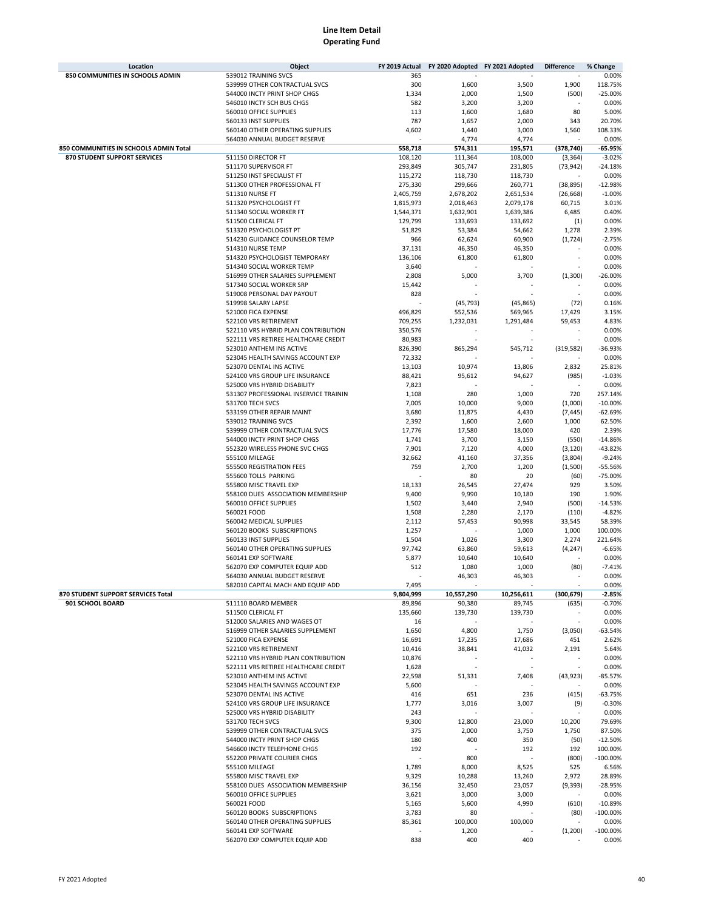| Location                               | Object                                                 | FY 2019 Actual |                 | FY 2020 Adopted FY 2021 Adopted | <b>Difference</b> | % Change          |
|----------------------------------------|--------------------------------------------------------|----------------|-----------------|---------------------------------|-------------------|-------------------|
| 850 COMMUNITIES IN SCHOOLS ADMIN       | 539012 TRAINING SVCS                                   | 365            |                 |                                 |                   | 0.00%             |
|                                        | 539999 OTHER CONTRACTUAL SVCS                          | 300            | 1,600           | 3,500                           | 1,900             | 118.75%           |
|                                        | 544000 INCTY PRINT SHOP CHGS                           | 1,334          | 2,000           | 1,500                           | (500)             | $-25.00%$         |
|                                        | 546010 INCTY SCH BUS CHGS                              | 582            | 3,200           | 3,200                           |                   | 0.00%             |
|                                        | 560010 OFFICE SUPPLIES                                 | 113            | 1,600           | 1,680                           | 80                | 5.00%             |
|                                        | 560133 INST SUPPLIES                                   | 787            | 1,657           | 2,000                           | 343               | 20.70%            |
|                                        | 560140 OTHER OPERATING SUPPLIES                        | 4,602          | 1,440           | 3,000                           | 1,560             | 108.33%           |
|                                        | 564030 ANNUAL BUDGET RESERVE                           |                | 4,774           | 4,774                           |                   | 0.00%             |
| 850 COMMUNITIES IN SCHOOLS ADMIN Total |                                                        | 558,718        | 574,311         | 195,571                         | (378, 740)        | $-65.95%$         |
| 870 STUDENT SUPPORT SERVICES           | 511150 DIRECTOR FT                                     | 108,120        | 111,364         | 108,000                         | (3, 364)          | $-3.02%$          |
|                                        | 511170 SUPERVISOR FT                                   | 293,849        | 305,747         | 231,805                         | (73, 942)         | $-24.18%$         |
|                                        | 511250 INST SPECIALIST FT                              | 115,272        | 118,730         | 118,730                         |                   | 0.00%             |
|                                        | 511300 OTHER PROFESSIONAL FT                           | 275,330        | 299,666         | 260,771                         | (38, 895)         | $-12.98%$         |
|                                        | 511310 NURSE FT                                        | 2,405,759      | 2,678,202       | 2,651,534                       | (26, 668)         | $-1.00%$          |
|                                        | 511320 PSYCHOLOGIST FT                                 | 1,815,973      | 2,018,463       | 2,079,178                       | 60,715            | 3.01%             |
|                                        | 511340 SOCIAL WORKER FT                                | 1,544,371      | 1,632,901       | 1,639,386                       | 6,485             | 0.40%             |
|                                        | 511500 CLERICAL FT                                     | 129,799        | 133,693         | 133,692                         | (1)               | 0.00%             |
|                                        | 513320 PSYCHOLOGIST PT                                 | 51,829         | 53,384          | 54,662                          | 1,278             | 2.39%             |
|                                        | 514230 GUIDANCE COUNSELOR TEMP                         | 966            | 62,624          | 60,900                          | (1, 724)          | $-2.75%$          |
|                                        | 514310 NURSE TEMP                                      | 37,131         | 46,350          | 46,350                          |                   | 0.00%             |
|                                        | 514320 PSYCHOLOGIST TEMPORARY                          | 136,106        | 61,800          | 61,800                          |                   | 0.00%             |
|                                        | 514340 SOCIAL WORKER TEMP                              | 3,640          |                 |                                 |                   | 0.00%             |
|                                        | 516999 OTHER SALARIES SUPPLEMENT                       | 2,808          | 5,000           | 3,700                           | (1, 300)          | $-26.00%$         |
|                                        | 517340 SOCIAL WORKER SRP                               | 15,442         |                 |                                 |                   | 0.00%             |
|                                        | 519008 PERSONAL DAY PAYOUT                             | 828            |                 |                                 |                   | 0.00%             |
|                                        | 519998 SALARY LAPSE                                    |                | (45, 793)       | (45, 865)                       | (72)              | 0.16%             |
|                                        | 521000 FICA EXPENSE                                    | 496,829        | 552,536         | 569,965                         | 17,429            | 3.15%             |
|                                        | 522100 VRS RETIREMENT                                  | 709,255        | 1,232,031       | 1,291,484                       | 59,453            | 4.83%             |
|                                        | 522110 VRS HYBRID PLAN CONTRIBUTION                    | 350,576        |                 |                                 |                   | 0.00%             |
|                                        | 522111 VRS RETIREE HEALTHCARE CREDIT                   | 80,983         |                 |                                 |                   | 0.00%             |
|                                        | 523010 ANTHEM INS ACTIVE                               | 826,390        | 865,294         | 545,712                         | (319, 582)        | $-36.93%$         |
|                                        | 523045 HEALTH SAVINGS ACCOUNT EXP                      | 72,332         |                 |                                 |                   | 0.00%             |
|                                        | 523070 DENTAL INS ACTIVE                               | 13,103         | 10,974          | 13,806                          | 2,832             | 25.81%            |
|                                        | 524100 VRS GROUP LIFE INSURANCE                        | 88,421         | 95,612          | 94,627                          | (985)             | $-1.03%$          |
|                                        | 525000 VRS HYBRID DISABILITY                           | 7,823          |                 |                                 |                   | 0.00%             |
|                                        | 531307 PROFESSIONAL INSERVICE TRAININ                  | 1,108          | 280             | 1,000                           | 720               | 257.14%           |
|                                        | 531700 TECH SVCS                                       | 7,005          | 10,000          | 9,000                           | (1,000)           | $-10.00%$         |
|                                        | 533199 OTHER REPAIR MAINT                              | 3,680          | 11,875          | 4,430                           | (7, 445)          | $-62.69%$         |
|                                        | 539012 TRAINING SVCS                                   | 2,392          | 1,600           | 2,600                           | 1,000             | 62.50%            |
|                                        | 539999 OTHER CONTRACTUAL SVCS                          | 17,776         | 17,580          | 18,000                          | 420               | 2.39%             |
|                                        | 544000 INCTY PRINT SHOP CHGS                           | 1,741          | 3,700           | 3,150                           | (550)             | $-14.86%$         |
|                                        | 552320 WIRELESS PHONE SVC CHGS                         | 7,901          | 7,120           | 4,000                           | (3, 120)          | $-43.82%$         |
|                                        | 555100 MILEAGE                                         | 32,662         | 41,160          | 37,356                          | (3,804)           | $-9.24%$          |
|                                        | 555500 REGISTRATION FEES                               | 759            | 2,700           | 1,200                           | (1,500)           | $-55.56%$         |
|                                        | 555600 TOLLS PARKING                                   |                | 80              | 20                              | (60)              | $-75.00%$         |
|                                        | 555800 MISC TRAVEL EXP                                 | 18,133         | 26,545          | 27,474                          | 929               | 3.50%             |
|                                        | 558100 DUES ASSOCIATION MEMBERSHIP                     | 9,400          | 9,990           | 10,180                          | 190               | 1.90%             |
|                                        | 560010 OFFICE SUPPLIES                                 | 1,502          | 3,440           | 2,940                           | (500)             | $-14.53%$         |
|                                        | 560021 FOOD<br>560042 MEDICAL SUPPLIES                 | 1,508          | 2,280           | 2,170                           | (110)             | $-4.82%$          |
|                                        |                                                        | 2,112          | 57,453          | 90,998                          | 33,545            | 58.39%            |
|                                        | 560120 BOOKS SUBSCRIPTIONS<br>560133 INST SUPPLIES     | 1,257          |                 | 1,000                           | 1,000             | 100.00%           |
|                                        |                                                        | 1,504          | 1,026           | 3,300                           | 2,274             | 221.64%           |
|                                        | 560140 OTHER OPERATING SUPPLIES<br>560141 EXP SOFTWARE | 97,742         | 63,860          | 59,613                          | (4, 247)          | $-6.65%$<br>0.00% |
|                                        | 562070 EXP COMPUTER EQUIP ADD                          | 5,877<br>512   | 10,640<br>1,080 | 10,640<br>1,000                 | (80)              | $-7.41%$          |
|                                        | 564030 ANNUAL BUDGET RESERVE                           |                |                 |                                 |                   | 0.00%             |
|                                        | 582010 CAPITAL MACH AND EQUIP ADD                      | 7,495          | 46,303          | 46,303                          |                   | 0.00%             |
| 870 STUDENT SUPPORT SERVICES Total     |                                                        | 9,804,999      | 10,557,290      | 10,256,611                      | (300, 679)        | $-2.85%$          |
| 901 SCHOOL BOARD                       | 511110 BOARD MEMBER                                    | 89,896         | 90,380          | 89,745                          | (635)             | $-0.70%$          |
|                                        | 511500 CLERICAL FT                                     | 135.660        | 139,730         | 139,730                         |                   | 0.00%             |
|                                        | 512000 SALARIES AND WAGES OT                           | 16             |                 |                                 |                   | 0.00%             |
|                                        | 516999 OTHER SALARIES SUPPLEMENT                       | 1,650          | 4,800           | 1,750                           | (3,050)           | $-63.54%$         |
|                                        | 521000 FICA EXPENSE                                    | 16,691         | 17,235          | 17,686                          | 451               | 2.62%             |
|                                        | 522100 VRS RETIREMENT                                  | 10,416         | 38,841          | 41,032                          | 2,191             | 5.64%             |
|                                        | 522110 VRS HYBRID PLAN CONTRIBUTION                    | 10,876         |                 |                                 |                   | 0.00%             |
|                                        | 522111 VRS RETIREE HEALTHCARE CREDIT                   | 1,628          | $\sim$          | $\overline{\phantom{a}}$        | $\sim$            | 0.00%             |
|                                        | 523010 ANTHEM INS ACTIVE                               | 22,598         | 51,331          | 7,408                           | (43, 923)         | $-85.57%$         |
|                                        | 523045 HEALTH SAVINGS ACCOUNT EXP                      | 5,600          |                 |                                 |                   | 0.00%             |
|                                        | 523070 DENTAL INS ACTIVE                               | 416            | 651             | 236                             | (415)             | $-63.75%$         |
|                                        | 524100 VRS GROUP LIFE INSURANCE                        | 1,777          | 3,016           | 3,007                           | (9)               | $-0.30%$          |
|                                        | 525000 VRS HYBRID DISABILITY                           | 243            |                 |                                 |                   | 0.00%             |
|                                        | 531700 TECH SVCS                                       | 9,300          | 12,800          | 23,000                          | 10,200            | 79.69%            |
|                                        | 539999 OTHER CONTRACTUAL SVCS                          | 375            | 2,000           | 3,750                           | 1,750             | 87.50%            |
|                                        | 544000 INCTY PRINT SHOP CHGS                           | 180            | 400             | 350                             | (50)              | $-12.50%$         |
|                                        | 546600 INCTY TELEPHONE CHGS                            | 192            |                 | 192                             | 192               | 100.00%           |
|                                        | 552200 PRIVATE COURIER CHGS                            |                | 800             |                                 | (800)             | $-100.00%$        |
|                                        | 555100 MILEAGE                                         | 1,789          | 8,000           | 8,525                           | 525               | 6.56%             |
|                                        | 555800 MISC TRAVEL EXP                                 | 9,329          | 10,288          | 13,260                          | 2,972             | 28.89%            |
|                                        | 558100 DUES ASSOCIATION MEMBERSHIP                     | 36,156         | 32,450          | 23,057                          | (9, 393)          | $-28.95%$         |
|                                        | 560010 OFFICE SUPPLIES                                 | 3,621          | 3,000           | 3,000                           |                   | 0.00%             |
|                                        | 560021 FOOD                                            | 5,165          | 5,600           | 4,990                           | (610)             | $-10.89%$         |
|                                        | 560120 BOOKS SUBSCRIPTIONS                             | 3,783          | 80              |                                 | (80)              | $-100.00\%$       |
|                                        | 560140 OTHER OPERATING SUPPLIES                        | 85,361         | 100,000         | 100,000                         |                   | 0.00%             |
|                                        | 560141 EXP SOFTWARE                                    |                | 1,200           |                                 | (1, 200)          | $-100.00%$        |
|                                        | 562070 EXP COMPUTER EQUIP ADD                          | 838            | 400             | 400                             |                   | 0.00%             |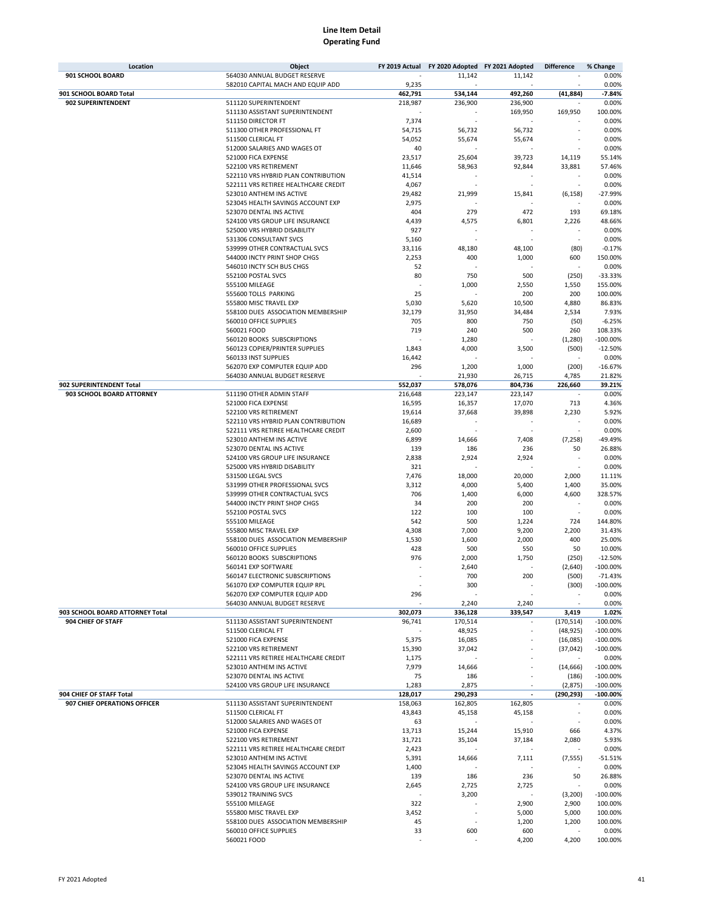| Location                        | Object                                                          | FY 2019 Actual  | FY 2020 Adopted FY 2021 Adopted |         | <b>Difference</b> | % Change           |
|---------------------------------|-----------------------------------------------------------------|-----------------|---------------------------------|---------|-------------------|--------------------|
| 901 SCHOOL BOARD                | 564030 ANNUAL BUDGET RESERVE                                    |                 | 11,142                          | 11,142  |                   | 0.00%              |
|                                 | 582010 CAPITAL MACH AND EQUIP ADD                               | 9,235           |                                 |         |                   | 0.00%              |
| 901 SCHOOL BOARD Total          |                                                                 | 462,791         | 534,144                         | 492,260 | (41, 884)         | $-7.84%$           |
| 902 SUPERINTENDENT              | 511120 SUPERINTENDENT                                           | 218,987         | 236,900                         | 236,900 |                   | 0.00%              |
|                                 | 511130 ASSISTANT SUPERINTENDENT                                 |                 |                                 | 169,950 | 169,950           | 100.00%            |
|                                 | 511150 DIRECTOR FT                                              | 7,374           |                                 |         |                   | 0.00%              |
|                                 | 511300 OTHER PROFESSIONAL FT                                    | 54,715          | 56,732                          | 56,732  |                   | 0.00%              |
|                                 | 511500 CLERICAL FT                                              | 54,052          | 55,674                          | 55,674  |                   | 0.00%              |
|                                 | 512000 SALARIES AND WAGES OT                                    | 40              |                                 |         |                   | 0.00%              |
|                                 | 521000 FICA EXPENSE                                             | 23,517          | 25,604                          | 39,723  | 14,119            | 55.14%             |
|                                 | 522100 VRS RETIREMENT                                           | 11,646          | 58,963                          | 92,844  | 33,881            | 57.46%             |
|                                 | 522110 VRS HYBRID PLAN CONTRIBUTION                             | 41,514          |                                 |         |                   | 0.00%              |
|                                 | 522111 VRS RETIREE HEALTHCARE CREDIT                            | 4,067           |                                 |         |                   | 0.00%<br>$-27.99%$ |
|                                 | 523010 ANTHEM INS ACTIVE                                        | 29,482          | 21,999                          | 15,841  | (6, 158)          | 0.00%              |
|                                 | 523045 HEALTH SAVINGS ACCOUNT EXP                               | 2,975<br>404    |                                 | 472     |                   |                    |
|                                 | 523070 DENTAL INS ACTIVE                                        |                 | 279                             |         | 193               | 69.18%             |
|                                 | 524100 VRS GROUP LIFE INSURANCE<br>525000 VRS HYBRID DISABILITY | 4,439           | 4,575                           | 6,801   | 2,226             | 48.66%             |
|                                 | 531306 CONSULTANT SVCS                                          | 927             |                                 |         |                   | 0.00%<br>0.00%     |
|                                 | 539999 OTHER CONTRACTUAL SVCS                                   | 5,160<br>33,116 | 48,180                          | 48,100  | (80)              | $-0.17%$           |
|                                 | 544000 INCTY PRINT SHOP CHGS                                    | 2,253           | 400                             | 1,000   | 600               | 150.00%            |
|                                 | 546010 INCTY SCH BUS CHGS                                       | 52              |                                 |         |                   | 0.00%              |
|                                 | 552100 POSTAL SVCS                                              | 80              | 750                             | 500     | (250)             | $-33.33%$          |
|                                 | 555100 MILEAGE                                                  |                 | 1,000                           | 2,550   | 1,550             | 155.00%            |
|                                 | 555600 TOLLS PARKING                                            | 25              |                                 | 200     | 200               | 100.00%            |
|                                 | 555800 MISC TRAVEL EXP                                          | 5,030           | 5,620                           | 10,500  | 4,880             | 86.83%             |
|                                 | 558100 DUES ASSOCIATION MEMBERSHIP                              | 32,179          | 31,950                          | 34,484  | 2,534             | 7.93%              |
|                                 | 560010 OFFICE SUPPLIES                                          | 705             | 800                             | 750     | (50)              | $-6.25%$           |
|                                 | 560021 FOOD                                                     | 719             | 240                             | 500     | 260               | 108.33%            |
|                                 | 560120 BOOKS SUBSCRIPTIONS                                      |                 | 1,280                           |         | (1,280)           | $-100.00%$         |
|                                 | 560123 COPIER/PRINTER SUPPLIES                                  | 1,843           | 4,000                           | 3,500   | (500)             | $-12.50%$          |
|                                 | 560133 INST SUPPLIES                                            | 16,442          |                                 |         |                   | 0.00%              |
|                                 | 562070 EXP COMPUTER EQUIP ADD                                   | 296             | 1,200                           | 1,000   | (200)             | $-16.67%$          |
|                                 | 564030 ANNUAL BUDGET RESERVE                                    |                 | 21,930                          | 26,715  | 4,785             | 21.82%             |
| 902 SUPERINTENDENT Total        |                                                                 | 552,037         | 578,076                         | 804,736 | 226,660           | 39.21%             |
| 903 SCHOOL BOARD ATTORNEY       | 511190 OTHER ADMIN STAFF                                        | 216,648         | 223,147                         | 223,147 |                   | 0.00%              |
|                                 | 521000 FICA EXPENSE                                             | 16,595          | 16,357                          | 17,070  | 713               | 4.36%              |
|                                 | 522100 VRS RETIREMENT                                           | 19,614          | 37,668                          | 39,898  | 2,230             | 5.92%              |
|                                 | 522110 VRS HYBRID PLAN CONTRIBUTION                             | 16,689          |                                 |         |                   | 0.00%              |
|                                 | 522111 VRS RETIREE HEALTHCARE CREDIT                            | 2,600           |                                 |         |                   | 0.00%              |
|                                 | 523010 ANTHEM INS ACTIVE                                        | 6,899           | 14,666                          | 7,408   | (7, 258)          | -49.49%            |
|                                 | 523070 DENTAL INS ACTIVE                                        | 139             | 186                             | 236     | 50                | 26.88%             |
|                                 | 524100 VRS GROUP LIFE INSURANCE                                 | 2,838           | 2,924                           | 2,924   |                   | 0.00%              |
|                                 | 525000 VRS HYBRID DISABILITY                                    | 321             |                                 |         |                   | 0.00%              |
|                                 | 531500 LEGAL SVCS                                               | 7,476           | 18,000                          | 20,000  | 2,000             | 11.11%             |
|                                 | 531999 OTHER PROFESSIONAL SVCS                                  | 3,312           | 4,000                           | 5,400   | 1,400             | 35.00%             |
|                                 | 539999 OTHER CONTRACTUAL SVCS                                   | 706             | 1,400                           | 6,000   | 4,600             | 328.57%            |
|                                 | 544000 INCTY PRINT SHOP CHGS                                    | 34              | 200                             | 200     |                   | 0.00%              |
|                                 | 552100 POSTAL SVCS                                              | 122             | 100                             | 100     |                   | 0.00%              |
|                                 | 555100 MILEAGE                                                  | 542             | 500                             | 1,224   | 724               | 144.80%            |
|                                 | 555800 MISC TRAVEL EXP                                          | 4,308           | 7,000                           | 9,200   | 2,200             | 31.43%             |
|                                 | 558100 DUES ASSOCIATION MEMBERSHIP                              | 1,530           | 1,600                           | 2,000   | 400               | 25.00%             |
|                                 | 560010 OFFICE SUPPLIES                                          | 428             | 500                             | 550     | 50                | 10.00%             |
|                                 | 560120 BOOKS SUBSCRIPTIONS                                      | 976             | 2,000                           | 1,750   | (250)             | $-12.50%$          |
|                                 | 560141 EXP SOFTWARE                                             |                 | 2,640                           |         | (2,640)           | $-100.00%$         |
|                                 | 560147 ELECTRONIC SUBSCRIPTIONS                                 |                 | 700                             | 200     | (500)             | $-71.43%$          |
|                                 | 561070 EXP COMPUTER EQUIP RPL                                   |                 | 300                             |         | (300)             | $-100.00\%$        |
|                                 | 562070 EXP COMPUTER EQUIP ADD                                   | 296             |                                 |         |                   | 0.00%              |
|                                 | 564030 ANNUAL BUDGET RESERVE                                    |                 | 2,240                           | 2,240   |                   | 0.00%              |
| 903 SCHOOL BOARD ATTORNEY Total |                                                                 | 302,073         | 336,128                         | 339,547 | 3,419             | 1.02%              |
| 904 CHIEF OF STAFF              | 511130 ASSISTANT SUPERINTENDENT                                 | 96,741          | 170,514                         |         | (170, 514)        | $-100.00%$         |
|                                 | 511500 CLERICAL FT                                              |                 | 48,925                          |         | (48, 925)         | $-100.00%$         |
|                                 | 521000 FICA EXPENSE                                             | 5,375           | 16,085                          |         | (16,085)          | $-100.00%$         |
|                                 | 522100 VRS RETIREMENT                                           | 15,390          | 37,042                          |         | (37, 042)         | $-100.00\%$        |
|                                 | 522111 VRS RETIREE HEALTHCARE CREDIT                            | 1,175           |                                 |         |                   | 0.00%              |
|                                 | 523010 ANTHEM INS ACTIVE                                        | 7,979           | 14,666                          |         | (14, 666)         | $-100.00%$         |
|                                 | 523070 DENTAL INS ACTIVE                                        | 75              | 186                             |         | (186)             | $-100.00%$         |
|                                 | 524100 VRS GROUP LIFE INSURANCE                                 | 1,283           | 2,875                           |         | (2,875)           | $-100.00%$         |
| 904 CHIEF OF STAFF Total        |                                                                 | 128,017         | 290,293                         |         | (290, 293)        | $-100.00%$         |
| 907 CHIEF OPERATIONS OFFICER    | 511130 ASSISTANT SUPERINTENDENT                                 | 158,063         | 162,805                         | 162,805 |                   | 0.00%              |
|                                 | 511500 CLERICAL FT                                              | 43,843          | 45,158                          | 45,158  |                   | 0.00%              |
|                                 | 512000 SALARIES AND WAGES OT                                    | 63              |                                 |         |                   | 0.00%              |
|                                 | 521000 FICA EXPENSE                                             | 13,713          | 15,244                          | 15,910  | 666               | 4.37%              |
|                                 | 522100 VRS RETIREMENT                                           | 31,721          | 35,104                          | 37,184  | 2,080             | 5.93%              |
|                                 | 522111 VRS RETIREE HEALTHCARE CREDIT                            | 2,423           |                                 |         |                   | 0.00%              |
|                                 | 523010 ANTHEM INS ACTIVE                                        | 5,391           | 14,666                          | 7,111   | (7, 555)          | $-51.51%$          |
|                                 | 523045 HEALTH SAVINGS ACCOUNT EXP                               | 1,400           |                                 |         |                   | 0.00%              |
|                                 | 523070 DENTAL INS ACTIVE                                        | 139             | 186                             | 236     | 50                | 26.88%             |
|                                 | 524100 VRS GROUP LIFE INSURANCE                                 | 2,645           | 2,725                           | 2,725   |                   | 0.00%              |
|                                 | 539012 TRAINING SVCS                                            |                 | 3,200                           |         | (3,200)           | $-100.00\%$        |
|                                 | 555100 MILEAGE                                                  | 322             |                                 | 2,900   | 2,900             | 100.00%            |
|                                 | 555800 MISC TRAVEL EXP                                          | 3,452           |                                 | 5,000   | 5,000             | 100.00%            |
|                                 | 558100 DUES ASSOCIATION MEMBERSHIP                              | 45              |                                 | 1,200   | 1,200             | 100.00%            |
|                                 | 560010 OFFICE SUPPLIES<br>560021 FOOD                           | 33              | 600                             | 600     |                   | 0.00%              |
|                                 |                                                                 |                 |                                 | 4,200   | 4,200             | 100.00%            |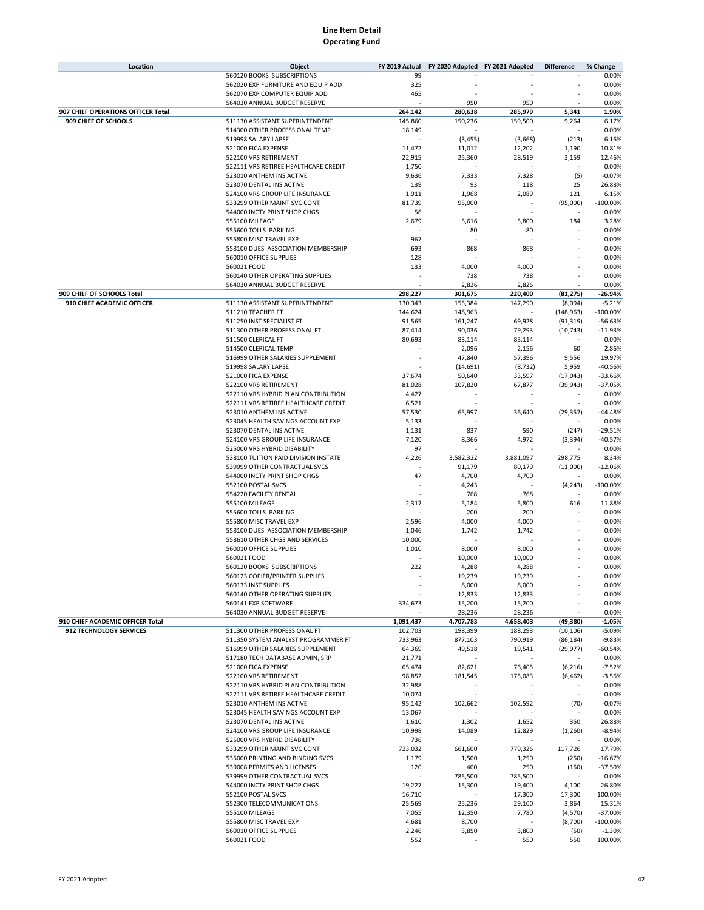| Location                           | Object                                             | FY 2019 Actual   | FY 2020 Adopted FY 2021 Adopted |                  | <b>Difference</b>   | % Change               |
|------------------------------------|----------------------------------------------------|------------------|---------------------------------|------------------|---------------------|------------------------|
|                                    | 560120 BOOKS SUBSCRIPTIONS                         | 99               |                                 |                  |                     | 0.00%                  |
|                                    | 562020 EXP FURNITURE AND EQUIP ADD                 | 325              |                                 |                  |                     | 0.00%                  |
|                                    | 562070 EXP COMPUTER EQUIP ADD                      | 465              |                                 |                  |                     | 0.00%                  |
|                                    | 564030 ANNUAL BUDGET RESERVE                       |                  | 950                             | 950              |                     | 0.00%                  |
| 907 CHIEF OPERATIONS OFFICER Total |                                                    | 264,142          | 280,638                         | 285,979          | 5,341               | 1.90%                  |
| 909 CHIEF OF SCHOOLS               | 511130 ASSISTANT SUPERINTENDENT                    | 145,860          | 150,236                         | 159,500          | 9,264               | 6.17%                  |
|                                    | 514300 OTHER PROFESSIONAL TEMP                     | 18,149           |                                 |                  |                     | 0.00%                  |
|                                    | 519998 SALARY LAPSE                                |                  | (3, 455)                        | (3,668)          | (213)               | 6.16%                  |
|                                    | 521000 FICA EXPENSE                                | 11,472           | 11,012                          | 12,202           | 1,190               | 10.81%                 |
|                                    | 522100 VRS RETIREMENT                              | 22,915           | 25,360                          | 28,519           | 3,159               | 12.46%                 |
|                                    | 522111 VRS RETIREE HEALTHCARE CREDIT               | 1,750            |                                 |                  |                     | 0.00%                  |
|                                    | 523010 ANTHEM INS ACTIVE                           | 9,636            | 7,333                           | 7,328            | (5)                 | $-0.07%$               |
|                                    | 523070 DENTAL INS ACTIVE                           | 139              | 93                              | 118              | 25                  | 26.88%                 |
|                                    | 524100 VRS GROUP LIFE INSURANCE                    | 1,911            | 1,968                           | 2,089            | 121                 | 6.15%                  |
|                                    | 533299 OTHER MAINT SVC CONT                        | 81,739           | 95,000                          |                  | (95,000)            | $-100.00%$             |
|                                    | 544000 INCTY PRINT SHOP CHGS                       | 56               |                                 |                  |                     | 0.00%                  |
|                                    | 555100 MILEAGE                                     | 2,679            | 5,616                           | 5,800            | 184                 | 3.28%                  |
|                                    | 555600 TOLLS PARKING                               |                  | 80                              | 80               |                     | 0.00%                  |
|                                    | 555800 MISC TRAVEL EXP                             | 967              |                                 |                  |                     | 0.00%                  |
|                                    | 558100 DUES ASSOCIATION MEMBERSHIP                 | 693              | 868                             | 868              |                     | 0.00%                  |
|                                    | 560010 OFFICE SUPPLIES                             | 128              |                                 |                  |                     | 0.00%                  |
|                                    | 560021 FOOD                                        | 133              | 4,000                           | 4,000            |                     | 0.00%                  |
|                                    | 560140 OTHER OPERATING SUPPLIES                    |                  | 738                             | 738              |                     | 0.00%                  |
|                                    | 564030 ANNUAL BUDGET RESERVE                       |                  | 2,826                           | 2,826            |                     | 0.00%                  |
| 909 CHIEF OF SCHOOLS Total         |                                                    | 298,227          | 301,675                         | 220,400          | (81, 275)           | $-26.94%$              |
| 910 CHIEF ACADEMIC OFFICER         | 511130 ASSISTANT SUPERINTENDENT                    | 130,343          | 155,384                         | 147,290          | (8,094)             | $-5.21%$               |
|                                    | 511210 TEACHER FT                                  | 144,624          | 148,963                         |                  | (148, 963)          | $-100.00%$             |
|                                    | 511250 INST SPECIALIST FT                          | 91,565           | 161,247<br>90,036               | 69,928<br>79,293 | (91, 319)           | $-56.63%$<br>$-11.93%$ |
|                                    | 511300 OTHER PROFESSIONAL FT<br>511500 CLERICAL FT | 87,414<br>80,693 | 83,114                          | 83,114           | (10, 743)<br>$\sim$ | 0.00%                  |
|                                    | 514500 CLERICAL TEMP                               |                  | 2,096                           | 2,156            | 60                  | 2.86%                  |
|                                    | 516999 OTHER SALARIES SUPPLEMENT                   |                  | 47,840                          | 57,396           | 9,556               | 19.97%                 |
|                                    | 519998 SALARY LAPSE                                |                  | (14, 691)                       | (8, 732)         | 5,959               | $-40.56%$              |
|                                    | 521000 FICA EXPENSE                                | 37,674           | 50,640                          | 33,597           | (17, 043)           | $-33.66%$              |
|                                    | 522100 VRS RETIREMENT                              | 81,028           | 107,820                         | 67,877           | (39, 943)           | $-37.05%$              |
|                                    | 522110 VRS HYBRID PLAN CONTRIBUTION                | 4,427            |                                 |                  |                     | 0.00%                  |
|                                    | 522111 VRS RETIREE HEALTHCARE CREDIT               | 6,521            |                                 |                  |                     | 0.00%                  |
|                                    | 523010 ANTHEM INS ACTIVE                           | 57,530           | 65,997                          | 36,640           | (29, 357)           | $-44.48%$              |
|                                    | 523045 HEALTH SAVINGS ACCOUNT EXP                  | 5,133            |                                 |                  |                     | 0.00%                  |
|                                    | 523070 DENTAL INS ACTIVE                           | 1,131            | 837                             | 590              | (247)               | $-29.51%$              |
|                                    | 524100 VRS GROUP LIFE INSURANCE                    | 7,120            | 8,366                           | 4,972            | (3, 394)            | $-40.57%$              |
|                                    | 525000 VRS HYBRID DISABILITY                       | 97               |                                 |                  |                     | 0.00%                  |
|                                    | 538100 TUITION PAID DIVISION INSTATE               | 4,226            | 3,582,322                       | 3,881,097        | 298,775             | 8.34%                  |
|                                    | 539999 OTHER CONTRACTUAL SVCS                      |                  | 91,179                          | 80,179           | (11,000)            | $-12.06%$              |
|                                    | 544000 INCTY PRINT SHOP CHGS                       | 47               | 4,700                           | 4,700            |                     | 0.00%                  |
|                                    | 552100 POSTAL SVCS                                 |                  | 4,243                           |                  | (4, 243)            | $-100.00%$             |
|                                    | 554220 FACILITY RENTAL                             |                  | 768                             | 768              |                     | 0.00%                  |
|                                    | 555100 MILEAGE                                     | 2,317            | 5,184                           | 5,800            | 616                 | 11.88%                 |
|                                    | 555600 TOLLS PARKING                               |                  | 200                             | 200              |                     | 0.00%                  |
|                                    | 555800 MISC TRAVEL EXP                             | 2,596            | 4,000                           | 4,000            |                     | 0.00%                  |
|                                    | 558100 DUES ASSOCIATION MEMBERSHIP                 | 1,046            | 1,742                           | 1,742            |                     | 0.00%                  |
|                                    | 558610 OTHER CHGS AND SERVICES                     | 10,000           |                                 |                  |                     | 0.00%                  |
|                                    | 560010 OFFICE SUPPLIES                             | 1,010            | 8,000                           | 8,000            |                     | 0.00%                  |
|                                    | 560021 FOOD                                        |                  | 10,000                          | 10,000           |                     | 0.00%                  |
|                                    | 560120 BOOKS SUBSCRIPTIONS                         | 222              | 4,288                           | 4,288            |                     | 0.00%                  |
|                                    | 560123 COPIER/PRINTER SUPPLIES                     |                  | 19,239                          | 19,239           |                     | 0.00%                  |
|                                    | 560133 INST SUPPLIES                               |                  | 8,000                           | 8,000            |                     | 0.00%                  |
|                                    | 560140 OTHER OPERATING SUPPLIES                    |                  | 12,833                          | 12,833           |                     | 0.00%                  |
|                                    | 560141 EXP SOFTWARE                                | 334,673          | 15,200                          | 15,200           |                     | 0.00%                  |
|                                    | 564030 ANNUAL BUDGET RESERVE                       |                  | 28,236                          | 28,236           |                     | 0.00%                  |
| 910 CHIEF ACADEMIC OFFICER Total   |                                                    | 1,091,437        | 4,707,783                       | 4,658,403        | (49, 380)           | $-1.05%$               |
| 912 TECHNOLOGY SERVICES            | 511300 OTHER PROFESSIONAL FT                       | 102,703          | 198,399                         | 188,293          | (10, 106)           | $-5.09%$               |
|                                    | 511350 SYSTEM ANALYST PROGRAMMER FT                | 733,963          | 877,103                         | 790,919          | (86, 184)           | $-9.83%$               |
|                                    | 516999 OTHER SALARIES SUPPLEMENT                   | 64,369           | 49,518                          | 19,541           | (29, 977)           | $-60.54%$              |
|                                    | 517180 TECH DATABASE ADMIN, SRP                    | 21,771           |                                 |                  |                     | 0.00%                  |
|                                    | 521000 FICA EXPENSE                                | 65,474           | 82,621                          | 76,405           | (6, 216)            | $-7.52%$               |
|                                    | 522100 VRS RETIREMENT                              | 98,852           | 181,545                         | 175,083          | (6, 462)            | $-3.56%$               |
|                                    | 522110 VRS HYBRID PLAN CONTRIBUTION                | 32,988           |                                 |                  |                     | 0.00%                  |
|                                    | 522111 VRS RETIREE HEALTHCARE CREDIT               | 10,074           | $\overline{\phantom{a}}$        | $\sim$           | ٠                   | 0.00%                  |
|                                    | 523010 ANTHEM INS ACTIVE                           | 95,142           | 102,662                         | 102,592          | (70)                | $-0.07%$               |
|                                    | 523045 HEALTH SAVINGS ACCOUNT EXP                  | 13,067           |                                 |                  |                     | 0.00%                  |
|                                    | 523070 DENTAL INS ACTIVE                           | 1,610            | 1,302                           | 1,652            | 350                 | 26.88%                 |
|                                    | 524100 VRS GROUP LIFE INSURANCE                    | 10,998           | 14,089                          | 12,829           | (1,260)             | $-8.94%$               |
|                                    | 525000 VRS HYBRID DISABILITY                       | 736              |                                 |                  |                     | 0.00%                  |
|                                    | 533299 OTHER MAINT SVC CONT                        | 723,032          | 661,600                         | 779,326          | 117,726             | 17.79%                 |
|                                    | 535000 PRINTING AND BINDING SVCS                   | 1,179            | 1,500                           | 1,250            | (250)               | $-16.67%$              |
|                                    | 539008 PERMITS AND LICENSES                        | 120              | 400                             | 250              | (150)               | $-37.50%$              |
|                                    | 539999 OTHER CONTRACTUAL SVCS                      |                  | 785,500                         | 785,500          |                     | 0.00%                  |
|                                    | 544000 INCTY PRINT SHOP CHGS                       | 19,227           | 15,300                          | 19,400           | 4,100               | 26.80%                 |
|                                    | 552100 POSTAL SVCS                                 | 16,710           |                                 | 17,300           | 17,300              | 100.00%                |
|                                    | 552300 TELECOMMUNICATIONS                          | 25,569           | 25,236                          | 29,100           | 3,864               | 15.31%                 |
|                                    | 555100 MILEAGE                                     | 7,055            | 12,350                          | 7,780            | (4,570)             | $-37.00%$              |
|                                    | 555800 MISC TRAVEL EXP                             | 4,681            | 8,700                           |                  | (8,700)             | $-100.00\%$            |
|                                    | 560010 OFFICE SUPPLIES                             | 2,246            | 3,850                           | 3,800            | (50)                | $-1.30%$               |
|                                    | 560021 FOOD                                        | 552              |                                 | 550              | 550                 | 100.00%                |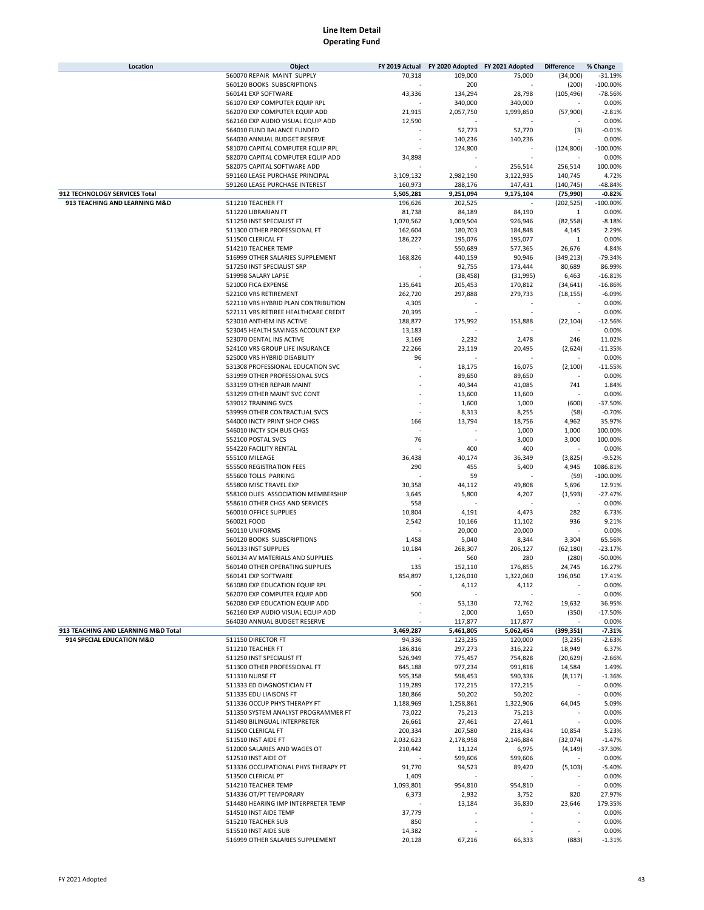| Location                            | Object                               | FY 2019 Actual | FY 2020 Adopted FY 2021 Adopted |           | <b>Difference</b> | % Change   |
|-------------------------------------|--------------------------------------|----------------|---------------------------------|-----------|-------------------|------------|
|                                     | 560070 REPAIR MAINT SUPPLY           | 70,318         | 109,000                         | 75,000    | (34,000)          | $-31.19%$  |
|                                     | 560120 BOOKS SUBSCRIPTIONS           |                | 200                             |           | (200)             | $-100.00%$ |
|                                     | 560141 EXP SOFTWARE                  | 43,336         | 134,294                         | 28,798    | (105, 496)        | $-78.56%$  |
|                                     | 561070 EXP COMPUTER EQUIP RPL        |                | 340,000                         | 340,000   |                   | 0.00%      |
|                                     | 562070 EXP COMPUTER EQUIP ADD        | 21,915         | 2,057,750                       | 1,999,850 | (57,900)          | $-2.81%$   |
|                                     | 562160 EXP AUDIO VISUAL EQUIP ADD    | 12,590         |                                 |           |                   | 0.00%      |
|                                     | 564010 FUND BALANCE FUNDED           |                | 52,773                          | 52,770    | (3)               | $-0.01%$   |
|                                     | 564030 ANNUAL BUDGET RESERVE         |                | 140,236                         | 140,236   |                   | 0.00%      |
|                                     | 581070 CAPITAL COMPUTER EQUIP RPL    |                | 124,800                         |           | (124, 800)        | $-100.00%$ |
|                                     | 582070 CAPITAL COMPUTER EQUIP ADD    | 34,898         |                                 |           |                   | 0.00%      |
|                                     | 582075 CAPITAL SOFTWARE ADD          |                |                                 | 256,514   | 256,514           | 100.00%    |
|                                     | 591160 LEASE PURCHASE PRINCIPAL      | 3,109,132      | 2,982,190                       | 3,122,935 | 140,745           | 4.72%      |
|                                     | 591260 LEASE PURCHASE INTEREST       | 160,973        | 288,176                         | 147,431   | (140, 745)        | $-48.84%$  |
| 912 TECHNOLOGY SERVICES Total       |                                      | 5,505,281      | 9,251,094                       | 9,175,104 | (75, 990)         | $-0.82%$   |
| 913 TEACHING AND LEARNING M&D       | 511210 TEACHER FT                    | 196,626        | 202,525                         |           | (202, 525)        | $-100.00%$ |
|                                     | 511220 LIBRARIAN FT                  | 81,738         | 84,189                          | 84,190    | 1                 | 0.00%      |
|                                     |                                      |                |                                 |           |                   | $-8.18%$   |
|                                     | 511250 INST SPECIALIST FT            | 1,070,562      | 1,009,504                       | 926,946   | (82, 558)         |            |
|                                     | 511300 OTHER PROFESSIONAL FT         | 162,604        | 180,703                         | 184,848   | 4,145             | 2.29%      |
|                                     | 511500 CLERICAL FT                   | 186,227        | 195,076                         | 195,077   | 1                 | 0.00%      |
|                                     | 514210 TEACHER TEMP                  |                | 550,689                         | 577,365   | 26,676            | 4.84%      |
|                                     | 516999 OTHER SALARIES SUPPLEMENT     | 168,826        | 440,159                         | 90,946    | (349, 213)        | $-79.34%$  |
|                                     | 517250 INST SPECIALIST SRP           |                | 92,755                          | 173,444   | 80,689            | 86.99%     |
|                                     | 519998 SALARY LAPSE                  |                | (38, 458)                       | (31, 995) | 6,463             | $-16.81%$  |
|                                     | 521000 FICA EXPENSE                  | 135,641        | 205,453                         | 170,812   | (34, 641)         | $-16.86%$  |
|                                     | 522100 VRS RETIREMENT                | 262,720        | 297,888                         | 279,733   | (18, 155)         | $-6.09%$   |
|                                     | 522110 VRS HYBRID PLAN CONTRIBUTION  | 4,305          |                                 |           |                   | 0.00%      |
|                                     | 522111 VRS RETIREE HEALTHCARE CREDIT | 20,395         |                                 |           |                   | 0.00%      |
|                                     | 523010 ANTHEM INS ACTIVE             | 188,877        | 175,992                         | 153,888   | (22, 104)         | $-12.56%$  |
|                                     | 523045 HEALTH SAVINGS ACCOUNT EXP    | 13,183         |                                 |           |                   | 0.00%      |
|                                     | 523070 DENTAL INS ACTIVE             | 3,169          | 2,232                           | 2,478     | 246               | 11.02%     |
|                                     | 524100 VRS GROUP LIFE INSURANCE      | 22,266         | 23,119                          | 20,495    | (2,624)           | $-11.35%$  |
|                                     | 525000 VRS HYBRID DISABILITY         | 96             |                                 |           |                   | 0.00%      |
|                                     | 531308 PROFESSIONAL EDUCATION SVC    |                | 18,175                          | 16,075    | (2, 100)          | $-11.55%$  |
|                                     | 531999 OTHER PROFESSIONAL SVCS       |                | 89,650                          | 89,650    |                   | 0.00%      |
|                                     | 533199 OTHER REPAIR MAINT            |                | 40,344                          | 41,085    | 741               | 1.84%      |
|                                     | 533299 OTHER MAINT SVC CONT          |                | 13,600                          | 13,600    |                   | 0.00%      |
|                                     | 539012 TRAINING SVCS                 |                | 1,600                           | 1,000     | (600)             | $-37.50%$  |
|                                     | 539999 OTHER CONTRACTUAL SVCS        |                | 8,313                           | 8,255     | (58)              | $-0.70%$   |
|                                     | 544000 INCTY PRINT SHOP CHGS         | 166            | 13,794                          | 18,756    | 4,962             | 35.97%     |
|                                     | 546010 INCTY SCH BUS CHGS            |                |                                 | 1,000     | 1,000             | 100.00%    |
|                                     | 552100 POSTAL SVCS                   | 76             |                                 | 3,000     | 3,000             | 100.00%    |
|                                     | 554220 FACILITY RENTAL               |                |                                 | 400       |                   | 0.00%      |
|                                     |                                      |                | 400                             |           |                   |            |
|                                     | 555100 MILEAGE                       | 36,438         | 40,174                          | 36,349    | (3,825)           | $-9.52%$   |
|                                     | 555500 REGISTRATION FEES             | 290            | 455                             | 5,400     | 4,945             | 1086.81%   |
|                                     | 555600 TOLLS PARKING                 |                | 59                              |           | (59)              | $-100.00%$ |
|                                     | 555800 MISC TRAVEL EXP               | 30,358         | 44,112                          | 49,808    | 5,696             | 12.91%     |
|                                     | 558100 DUES ASSOCIATION MEMBERSHIP   | 3,645          | 5,800                           | 4,207     | (1, 593)          | $-27.47%$  |
|                                     | 558610 OTHER CHGS AND SERVICES       | 558            |                                 |           | ÷                 | 0.00%      |
|                                     | 560010 OFFICE SUPPLIES               | 10,804         | 4,191                           | 4,473     | 282               | 6.73%      |
|                                     | 560021 FOOD                          | 2,542          | 10,166                          | 11,102    | 936               | 9.21%      |
|                                     | 560110 UNIFORMS                      |                | 20,000                          | 20,000    |                   | 0.00%      |
|                                     | 560120 BOOKS SUBSCRIPTIONS           | 1,458          | 5,040                           | 8,344     | 3,304             | 65.56%     |
|                                     | 560133 INST SUPPLIES                 | 10,184         | 268,307                         | 206,127   | (62, 180)         | $-23.17%$  |
|                                     | 560134 AV MATERIALS AND SUPPLIES     |                | 560                             | 280       | (280)             | $-50.00%$  |
|                                     | 560140 OTHER OPERATING SUPPLIES      | 135            | 152,110                         | 176,855   | 24,745            | 16.27%     |
|                                     | 560141 EXP SOFTWARE                  | 854,897        | 1,126,010                       | 1,322,060 | 196,050           | 17.41%     |
|                                     | 561080 EXP EDUCATION EQUIP RPL       |                | 4,112                           | 4,112     | $\sim$            | 0.00%      |
|                                     | 562070 EXP COMPUTER EQUIP ADD        | 500            |                                 |           |                   | 0.00%      |
|                                     | 562080 EXP EDUCATION EQUIP ADD       |                | 53,130                          | 72,762    | 19,632            | 36.95%     |
|                                     | 562160 EXP AUDIO VISUAL EQUIP ADD    |                | 2,000                           | 1,650     | (350)             | $-17.50%$  |
|                                     | 564030 ANNUAL BUDGET RESERVE         |                | 117,877                         | 117,877   |                   | 0.00%      |
| 913 TEACHING AND LEARNING M&D Total |                                      | 3,469,287      | 5,461,805                       | 5,062,454 | (399, 351)        | $-7.31%$   |
| 914 SPECIAL EDUCATION M&D           | 511150 DIRECTOR FT                   | 94,336         | 123,235                         | 120,000   | (3,235)           | $-2.63%$   |
|                                     | 511210 TEACHER FT                    | 186,816        | 297,273                         | 316,222   | 18,949            | 6.37%      |
|                                     | 511250 INST SPECIALIST FT            | 526,949        | 775,457                         | 754,828   | (20, 629)         | $-2.66%$   |
|                                     | 511300 OTHER PROFESSIONAL FT         | 845,188        | 977,234                         | 991,818   | 14,584            | 1.49%      |
|                                     | 511310 NURSE FT                      | 595,358        | 598,453                         | 590,336   | (8, 117)          | $-1.36%$   |
|                                     | 511333 ED DIAGNOSTICIAN FT           | 119,289        | 172,215                         | 172,215   |                   | 0.00%      |
|                                     | 511335 EDU LIAISONS FT               | 180,866        | 50,202                          | 50,202    |                   | 0.00%      |
|                                     | 511336 OCCUP PHYS THERAPY FT         | 1,188,969      | 1,258,861                       | 1,322,906 | 64,045            | 5.09%      |
|                                     | 511350 SYSTEM ANALYST PROGRAMMER FT  | 73,022         | 75,213                          | 75,213    |                   | 0.00%      |
|                                     | 511490 BILINGUAL INTERPRETER         | 26,661         | 27,461                          |           |                   | 0.00%      |
|                                     |                                      |                |                                 | 27,461    |                   |            |
|                                     | 511500 CLERICAL FT                   | 200,334        | 207,580                         | 218,434   | 10,854            | 5.23%      |
|                                     | 511510 INST AIDE FT                  | 2,032,623      | 2,178,958                       | 2,146,884 | (32,074)          | $-1.47%$   |
|                                     | 512000 SALARIES AND WAGES OT         | 210,442        | 11,124                          | 6,975     | (4, 149)          | -37.30%    |
|                                     | 512510 INST AIDE OT                  |                | 599,606                         | 599,606   |                   | 0.00%      |
|                                     | 513336 OCCUPATIONAL PHYS THERAPY PT  | 91,770         | 94,523                          | 89,420    | (5, 103)          | $-5.40%$   |
|                                     | 513500 CLERICAL PT                   | 1,409          |                                 |           |                   | 0.00%      |
|                                     | 514210 TEACHER TEMP                  | 1,093,801      | 954,810                         | 954,810   |                   | 0.00%      |
|                                     | 514336 OT/PT TEMPORARY               | 6,373          | 2,932                           | 3,752     | 820               | 27.97%     |
|                                     | 514480 HEARING IMP INTERPRETER TEMP  |                | 13,184                          | 36,830    | 23,646            | 179.35%    |
|                                     | 514510 INST AIDE TEMP                | 37,779         |                                 |           |                   | 0.00%      |
|                                     | 515210 TEACHER SUB                   | 850            |                                 |           |                   | 0.00%      |
|                                     | 515510 INST AIDE SUB                 | 14,382         |                                 |           |                   | 0.00%      |
|                                     | 516999 OTHER SALARIES SUPPLEMENT     | 20,128         | 67,216                          | 66,333    | (883)             | $-1.31%$   |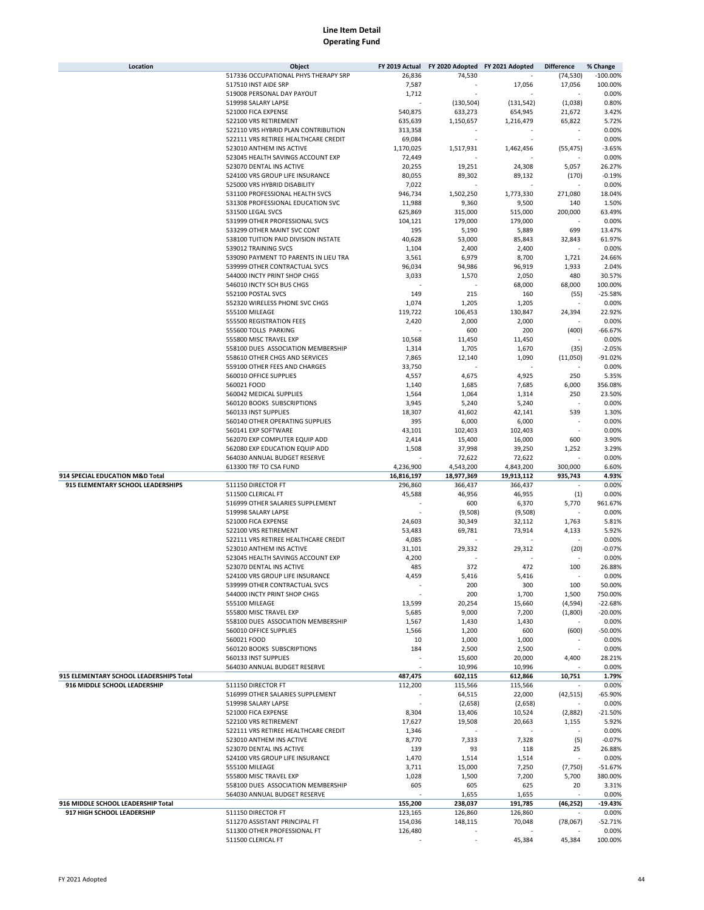| Location                                | Object                                                              | FY 2019 Actual  | FY 2020 Adopted FY 2021 Adopted |              | <b>Difference</b>  | % Change               |
|-----------------------------------------|---------------------------------------------------------------------|-----------------|---------------------------------|--------------|--------------------|------------------------|
|                                         | 517336 OCCUPATIONAL PHYS THERAPY SRP                                | 26,836          | 74,530                          |              | (74, 530)          | $-100.00%$             |
|                                         | 517510 INST AIDE SRP                                                | 7,587           |                                 | 17,056       | 17,056             | 100.00%                |
|                                         | 519008 PERSONAL DAY PAYOUT                                          | 1,712           |                                 |              |                    | 0.00%                  |
|                                         | 519998 SALARY LAPSE                                                 |                 | (130, 504)                      | (131, 542)   | (1,038)            | 0.80%                  |
|                                         | 521000 FICA EXPENSE                                                 | 540,875         | 633,273                         | 654,945      | 21,672             | 3.42%                  |
|                                         | 522100 VRS RETIREMENT                                               | 635,639         | 1,150,657                       | 1,216,479    | 65,822             | 5.72%                  |
|                                         | 522110 VRS HYBRID PLAN CONTRIBUTION                                 | 313,358         |                                 |              |                    | 0.00%                  |
|                                         | 522111 VRS RETIREE HEALTHCARE CREDIT                                | 69,084          |                                 |              |                    | 0.00%                  |
|                                         | 523010 ANTHEM INS ACTIVE                                            | 1,170,025       | 1,517,931                       | 1,462,456    | (55, 475)          | $-3.65%$               |
|                                         | 523045 HEALTH SAVINGS ACCOUNT EXP                                   | 72,449          |                                 |              |                    | 0.00%                  |
|                                         | 523070 DENTAL INS ACTIVE                                            | 20,255          | 19,251                          | 24,308       | 5,057              | 26.27%                 |
|                                         | 524100 VRS GROUP LIFE INSURANCE                                     | 80,055          | 89,302                          | 89,132       | (170)              | $-0.19%$               |
|                                         | 525000 VRS HYBRID DISABILITY                                        | 7,022           |                                 |              |                    | 0.00%                  |
|                                         | 531100 PROFESSIONAL HEALTH SVCS                                     | 946,734         | 1,502,250                       | 1,773,330    | 271,080            | 18.04%                 |
|                                         | 531308 PROFESSIONAL EDUCATION SVC                                   | 11,988          | 9,360                           | 9,500        | 140                | 1.50%                  |
|                                         | 531500 LEGAL SVCS                                                   | 625,869         | 315,000                         | 515,000      | 200,000            | 63.49%                 |
|                                         |                                                                     |                 |                                 |              |                    |                        |
|                                         | 531999 OTHER PROFESSIONAL SVCS                                      | 104,121         | 179,000                         | 179,000      |                    | 0.00%                  |
|                                         | 533299 OTHER MAINT SVC CONT<br>538100 TUITION PAID DIVISION INSTATE | 195             | 5,190                           | 5,889        | 699                | 13.47%                 |
|                                         |                                                                     | 40,628          | 53,000                          | 85,843       | 32,843             | 61.97%                 |
|                                         | 539012 TRAINING SVCS                                                | 1,104           | 2,400                           | 2,400        |                    | 0.00%                  |
|                                         | 539090 PAYMENT TO PARENTS IN LIEU TRA                               | 3,561           | 6,979                           | 8,700        | 1,721              | 24.66%                 |
|                                         | 539999 OTHER CONTRACTUAL SVCS                                       | 96,034          | 94,986                          | 96,919       | 1,933              | 2.04%                  |
|                                         | 544000 INCTY PRINT SHOP CHGS                                        | 3,033           | 1,570                           | 2,050        | 480                | 30.57%                 |
|                                         | 546010 INCTY SCH BUS CHGS                                           |                 |                                 | 68,000       | 68,000             | 100.00%                |
|                                         | 552100 POSTAL SVCS                                                  | 149             | 215                             | 160          | (55)               | $-25.58%$              |
|                                         | 552320 WIRELESS PHONE SVC CHGS                                      | 1,074           | 1,205                           | 1,205        |                    | 0.00%                  |
|                                         | 555100 MILEAGE                                                      | 119,722         | 106,453                         | 130,847      | 24,394             | 22.92%                 |
|                                         | 555500 REGISTRATION FEES                                            | 2,420           | 2,000                           | 2,000        |                    | 0.00%                  |
|                                         | 555600 TOLLS PARKING                                                |                 | 600                             | 200          | (400)              | $-66.67%$              |
|                                         | 555800 MISC TRAVEL EXP                                              | 10,568          | 11,450                          | 11,450       |                    | 0.00%                  |
|                                         | 558100 DUES ASSOCIATION MEMBERSHIP                                  | 1,314           | 1,705                           | 1,670        | (35)               | $-2.05%$               |
|                                         | 558610 OTHER CHGS AND SERVICES                                      | 7,865           | 12,140                          | 1,090        | (11,050)           | $-91.02%$              |
|                                         | 559100 OTHER FEES AND CHARGES                                       | 33,750          |                                 |              |                    | 0.00%                  |
|                                         | 560010 OFFICE SUPPLIES                                              | 4,557           | 4,675                           | 4,925        | 250                | 5.35%                  |
|                                         | 560021 FOOD                                                         | 1,140           | 1,685                           | 7,685        | 6,000              | 356.08%                |
|                                         | 560042 MEDICAL SUPPLIES                                             | 1,564           | 1,064                           | 1,314        | 250                | 23.50%                 |
|                                         | 560120 BOOKS SUBSCRIPTIONS                                          | 3,945           | 5,240                           | 5,240        |                    | 0.00%                  |
|                                         | 560133 INST SUPPLIES                                                | 18,307          | 41,602                          | 42,141       | 539                | 1.30%                  |
|                                         | 560140 OTHER OPERATING SUPPLIES                                     | 395             | 6,000                           | 6,000        |                    | 0.00%                  |
|                                         | 560141 EXP SOFTWARE                                                 | 43,101          | 102,403                         | 102,403      |                    | 0.00%                  |
|                                         | 562070 EXP COMPUTER EQUIP ADD                                       | 2,414           | 15,400                          | 16,000       | 600                | 3.90%                  |
|                                         | 562080 EXP EDUCATION EQUIP ADD                                      | 1,508           | 37,998                          | 39,250       | 1,252              | 3.29%                  |
|                                         | 564030 ANNUAL BUDGET RESERVE                                        |                 | 72,622                          | 72,622       |                    | 0.00%                  |
|                                         | 613300 TRF TO CSA FUND                                              | 4,236,900       | 4,543,200                       | 4,843,200    | 300,000            | 6.60%                  |
| 914 SPECIAL EDUCATION M&D Total         |                                                                     | 16,816,197      | 18,977,369                      | 19,913,112   | 935,743            | 4.93%                  |
| 915 ELEMENTARY SCHOOL LEADERSHIPS       | 511150 DIRECTOR FT                                                  | 296,860         | 366,437                         | 366,437      |                    | 0.00%                  |
|                                         | 511500 CLERICAL FT                                                  | 45,588          | 46,956                          | 46,955       | (1)                | 0.00%                  |
|                                         | 516999 OTHER SALARIES SUPPLEMENT                                    |                 | 600                             | 6,370        | 5,770              | 961.67%                |
|                                         | 519998 SALARY LAPSE                                                 |                 | (9,508)                         | (9,508)      |                    | 0.00%                  |
|                                         | 521000 FICA EXPENSE                                                 | 24,603          | 30,349                          | 32,112       | 1,763              | 5.81%                  |
|                                         | 522100 VRS RETIREMENT                                               | 53,483          | 69,781                          | 73,914       | 4,133              | 5.92%                  |
|                                         | 522111 VRS RETIREE HEALTHCARE CREDIT                                | 4,085           |                                 |              |                    | 0.00%                  |
|                                         | 523010 ANTHEM INS ACTIVE                                            | 31,101          | 29,332                          | 29,312       | (20)               | $-0.07%$               |
|                                         | 523045 HEALTH SAVINGS ACCOUNT EXP                                   | 4,200           |                                 |              |                    | 0.00%                  |
|                                         | 523070 DENTAL INS ACTIVE                                            | 485             | 372                             | 472          | 100                | 26.88%                 |
|                                         | 524100 VRS GROUP LIFE INSURANCE                                     | 4,459           | 5,416                           | 5,416        |                    | 0.00%                  |
|                                         |                                                                     |                 |                                 |              |                    |                        |
|                                         | 539999 OTHER CONTRACTUAL SVCS<br>544000 INCTY PRINT SHOP CHGS       |                 | 200<br>200                      | 300<br>1,700 | 100<br>1,500       | 50.00%<br>750.00%      |
|                                         |                                                                     |                 |                                 |              |                    |                        |
|                                         | 555100 MILEAGE<br>555800 MISC TRAVEL EXP                            | 13,599<br>5,685 | 20,254<br>9,000                 | 15,660       | (4,594)<br>(1,800) | $-22.68%$<br>$-20.00%$ |
|                                         |                                                                     |                 |                                 | 7,200        |                    |                        |
|                                         | 558100 DUES ASSOCIATION MEMBERSHIP                                  | 1,567           | 1,430                           | 1,430        |                    | 0.00%                  |
|                                         | 560010 OFFICE SUPPLIES                                              | 1,566           | 1,200                           | 600          | (600)              | $-50.00%$              |
|                                         | 560021 FOOD                                                         | 10              | 1,000                           | 1,000        |                    | 0.00%                  |
|                                         | 560120 BOOKS SUBSCRIPTIONS                                          | 184             | 2,500                           | 2,500        |                    | 0.00%                  |
|                                         | 560133 INST SUPPLIES                                                |                 | 15,600                          | 20,000       | 4,400              | 28.21%                 |
|                                         | 564030 ANNUAL BUDGET RESERVE                                        |                 | 10,996                          | 10,996       |                    | 0.00%                  |
| 915 ELEMENTARY SCHOOL LEADERSHIPS Total |                                                                     | 487,475         | 602,115                         | 612,866      | 10,751             | 1.79%                  |
| 916 MIDDLE SCHOOL LEADERSHIP            | 511150 DIRECTOR FT                                                  | 112,200         | 115,566                         | 115,566      |                    | 0.00%                  |
|                                         | 516999 OTHER SALARIES SUPPLEMENT                                    |                 | 64,515                          | 22,000       | (42, 515)          | $-65.90%$              |
|                                         | 519998 SALARY LAPSE                                                 |                 | (2,658)                         | (2,658)      |                    | 0.00%                  |
|                                         | 521000 FICA EXPENSE                                                 | 8,304           | 13,406                          | 10,524       | (2,882)            | $-21.50%$              |
|                                         | 522100 VRS RETIREMENT                                               | 17,627          | 19,508                          | 20,663       | 1,155              | 5.92%                  |
|                                         | 522111 VRS RETIREE HEALTHCARE CREDIT                                | 1,346           |                                 |              |                    | 0.00%                  |
|                                         | 523010 ANTHEM INS ACTIVE                                            | 8,770           | 7,333                           | 7,328        | (5)                | $-0.07%$               |
|                                         | 523070 DENTAL INS ACTIVE                                            | 139             | 93                              | 118          | 25                 | 26.88%                 |
|                                         | 524100 VRS GROUP LIFE INSURANCE                                     | 1,470           | 1,514                           | 1,514        |                    | 0.00%                  |
|                                         | 555100 MILEAGE                                                      | 3,711           | 15,000                          | 7,250        | (7, 750)           | $-51.67%$              |
|                                         | 555800 MISC TRAVEL EXP                                              | 1,028           | 1,500                           | 7,200        | 5,700              | 380.00%                |
|                                         | 558100 DUES ASSOCIATION MEMBERSHIP                                  | 605             | 605                             | 625          | 20                 | 3.31%                  |
|                                         | 564030 ANNUAL BUDGET RESERVE                                        |                 | 1,655                           | 1,655        |                    | 0.00%                  |
| 916 MIDDLE SCHOOL LEADERSHIP Total      |                                                                     | 155,200         | 238,037                         | 191,785      | (46, 252)          | $-19.43%$              |
| 917 HIGH SCHOOL LEADERSHIP              | 511150 DIRECTOR FT                                                  | 123,165         | 126,860                         | 126,860      |                    | 0.00%                  |
|                                         | 511270 ASSISTANT PRINCIPAL FT                                       | 154,036         | 148,115                         | 70,048       | (78,067)           | $-52.71%$              |
|                                         | 511300 OTHER PROFESSIONAL FT                                        | 126,480         |                                 |              |                    | 0.00%                  |
|                                         | 511500 CLERICAL FT                                                  |                 |                                 | 45,384       | 45,384             | 100.00%                |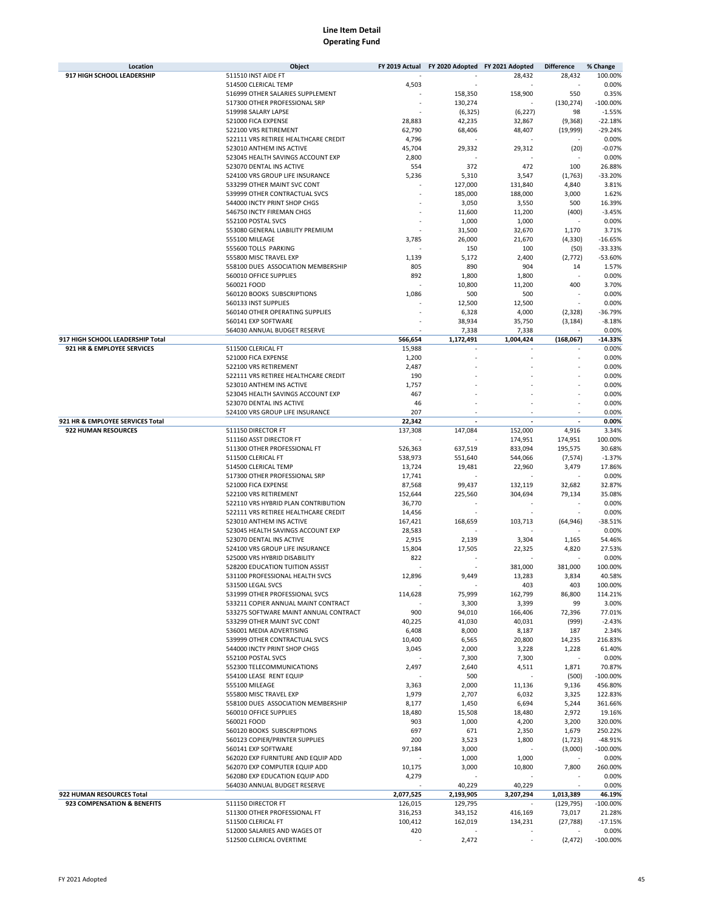| Location                         | Object                                | FY 2019 Actual | FY 2020 Adopted FY 2021 Adopted |           | <b>Difference</b>        | % Change    |
|----------------------------------|---------------------------------------|----------------|---------------------------------|-----------|--------------------------|-------------|
| 917 HIGH SCHOOL LEADERSHIP       | 511510 INST AIDE FT                   |                |                                 | 28,432    | 28,432                   | 100.00%     |
|                                  | 514500 CLERICAL TEMP                  | 4,503          |                                 |           |                          | 0.00%       |
|                                  | 516999 OTHER SALARIES SUPPLEMENT      |                | 158,350                         | 158,900   | 550                      | 0.35%       |
|                                  | 517300 OTHER PROFESSIONAL SRP         |                |                                 |           |                          | $-100.00%$  |
|                                  |                                       |                | 130,274                         |           | (130, 274)               |             |
|                                  | 519998 SALARY LAPSE                   |                | (6, 325)                        | (6, 227)  | 98                       | $-1.55%$    |
|                                  | 521000 FICA EXPENSE                   | 28,883         | 42,235                          | 32,867    | (9,368)                  | $-22.18%$   |
|                                  | 522100 VRS RETIREMENT                 | 62,790         | 68,406                          | 48,407    | (19,999)                 | $-29.24%$   |
|                                  | 522111 VRS RETIREE HEALTHCARE CREDIT  | 4,796          |                                 |           |                          | 0.00%       |
|                                  | 523010 ANTHEM INS ACTIVE              | 45,704         | 29,332                          | 29,312    | (20)                     | $-0.07%$    |
|                                  | 523045 HEALTH SAVINGS ACCOUNT EXP     | 2,800          |                                 |           |                          | 0.00%       |
|                                  | 523070 DENTAL INS ACTIVE              | 554            | 372                             | 472       | 100                      | 26.88%      |
|                                  | 524100 VRS GROUP LIFE INSURANCE       | 5,236          | 5,310                           | 3,547     | (1,763)                  | $-33.20%$   |
|                                  | 533299 OTHER MAINT SVC CONT           |                | 127,000                         | 131,840   | 4,840                    | 3.81%       |
|                                  | 539999 OTHER CONTRACTUAL SVCS         |                | 185,000                         | 188,000   | 3,000                    | 1.62%       |
|                                  | 544000 INCTY PRINT SHOP CHGS          |                | 3,050                           | 3,550     | 500                      | 16.39%      |
|                                  | 546750 INCTY FIREMAN CHGS             |                | 11,600                          | 11,200    | (400)                    | $-3.45%$    |
|                                  | 552100 POSTAL SVCS                    |                | 1,000                           | 1,000     |                          | 0.00%       |
|                                  |                                       |                |                                 |           |                          | 3.71%       |
|                                  | 553080 GENERAL LIABILITY PREMIUM      |                | 31,500                          | 32,670    | 1,170                    |             |
|                                  | 555100 MILEAGE                        | 3,785          | 26,000                          | 21,670    | (4, 330)                 | $-16.65%$   |
|                                  | 555600 TOLLS PARKING                  |                | 150                             | 100       | (50)                     | $-33.33%$   |
|                                  | 555800 MISC TRAVEL EXP                | 1,139          | 5,172                           | 2,400     | (2, 772)                 | $-53.60%$   |
|                                  | 558100 DUES ASSOCIATION MEMBERSHIP    | 805            | 890                             | 904       | 14                       | 1.57%       |
|                                  | 560010 OFFICE SUPPLIES                | 892            | 1,800                           | 1,800     |                          | 0.00%       |
|                                  | 560021 FOOD                           |                | 10,800                          | 11,200    | 400                      | 3.70%       |
|                                  | 560120 BOOKS SUBSCRIPTIONS            | 1,086          | 500                             | 500       |                          | 0.00%       |
|                                  | 560133 INST SUPPLIES                  |                | 12,500                          | 12,500    |                          | 0.00%       |
|                                  | 560140 OTHER OPERATING SUPPLIES       |                | 6,328                           | 4,000     | (2, 328)                 | $-36.79%$   |
|                                  | 560141 EXP SOFTWARE                   |                | 38,934                          | 35,750    | (3, 184)                 | $-8.18%$    |
|                                  | 564030 ANNUAL BUDGET RESERVE          |                | 7,338                           | 7,338     |                          | 0.00%       |
| 917 HIGH SCHOOL LEADERSHIP Total |                                       | 566,654        | 1,172,491                       | 1,004,424 | (168,067)                | -14.33%     |
|                                  |                                       |                |                                 |           |                          | 0.00%       |
| 921 HR & EMPLOYEE SERVICES       | 511500 CLERICAL FT                    | 15,988         |                                 |           |                          |             |
|                                  | 521000 FICA EXPENSE                   | 1,200          |                                 |           |                          | 0.00%       |
|                                  | 522100 VRS RETIREMENT                 | 2,487          |                                 |           |                          | 0.00%       |
|                                  | 522111 VRS RETIREE HEALTHCARE CREDIT  | 190            |                                 |           |                          | 0.00%       |
|                                  | 523010 ANTHEM INS ACTIVE              | 1,757          |                                 |           |                          | 0.00%       |
|                                  | 523045 HEALTH SAVINGS ACCOUNT EXP     | 467            |                                 |           |                          | 0.00%       |
|                                  | 523070 DENTAL INS ACTIVE              | 46             |                                 |           |                          | 0.00%       |
|                                  | 524100 VRS GROUP LIFE INSURANCE       | 207            |                                 |           |                          | 0.00%       |
| 921 HR & EMPLOYEE SERVICES Total |                                       | 22,342         |                                 | ÷,        | $\overline{\phantom{a}}$ | 0.00%       |
| 922 HUMAN RESOURCES              | 511150 DIRECTOR FT                    | 137,308        | 147,084                         | 152,000   | 4,916                    | 3.34%       |
|                                  | 511160 ASST DIRECTOR FT               |                |                                 | 174,951   | 174,951                  | 100.00%     |
|                                  | 511300 OTHER PROFESSIONAL FT          | 526,363        | 637,519                         | 833,094   | 195,575                  | 30.68%      |
|                                  |                                       |                |                                 |           |                          | $-1.37%$    |
|                                  | 511500 CLERICAL FT                    | 538,973        | 551,640                         | 544,066   | (7, 574)                 |             |
|                                  | 514500 CLERICAL TEMP                  | 13,724         | 19,481                          | 22,960    | 3,479                    | 17.86%      |
|                                  | 517300 OTHER PROFESSIONAL SRP         | 17,741         |                                 |           |                          | 0.00%       |
|                                  | 521000 FICA EXPENSE                   | 87,568         | 99,437                          | 132,119   | 32,682                   | 32.87%      |
|                                  | 522100 VRS RETIREMENT                 | 152,644        | 225,560                         | 304,694   | 79,134                   | 35.08%      |
|                                  | 522110 VRS HYBRID PLAN CONTRIBUTION   | 36,770         |                                 |           |                          | 0.00%       |
|                                  | 522111 VRS RETIREE HEALTHCARE CREDIT  | 14,456         |                                 |           |                          | 0.00%       |
|                                  | 523010 ANTHEM INS ACTIVE              | 167,421        | 168,659                         | 103,713   | (64, 946)                | $-38.51%$   |
|                                  | 523045 HEALTH SAVINGS ACCOUNT EXP     | 28,583         |                                 |           |                          | 0.00%       |
|                                  | 523070 DENTAL INS ACTIVE              | 2,915          | 2,139                           | 3,304     | 1,165                    | 54.46%      |
|                                  | 524100 VRS GROUP LIFE INSURANCE       | 15,804         | 17,505                          | 22,325    | 4,820                    | 27.53%      |
|                                  | 525000 VRS HYBRID DISABILITY          | 822            |                                 |           |                          | 0.00%       |
|                                  | 528200 EDUCATION TUITION ASSIST       |                |                                 | 381,000   | 381,000                  | 100.00%     |
|                                  |                                       |                |                                 |           |                          |             |
|                                  | 531100 PROFESSIONAL HEALTH SVCS       | 12,896         | 9,449                           | 13,283    | 3,834                    | 40.58%      |
|                                  | 531500 LEGAL SVCS                     |                |                                 | 403       | 403                      | 100.00%     |
|                                  | 531999 OTHER PROFESSIONAL SVCS        | 114,628        | 75,999                          | 162,799   | 86,800                   | 114.21%     |
|                                  | 533211 COPIER ANNUAL MAINT CONTRACT   |                | 3,300                           | 3,399     | 99                       | 3.00%       |
|                                  | 533275 SOFTWARE MAINT ANNUAL CONTRACT | 900            | 94,010                          | 166,406   | 72,396                   | 77.01%      |
|                                  | 533299 OTHER MAINT SVC CONT           | 40,225         | 41,030                          | 40,031    | (999)                    | $-2.43%$    |
|                                  | 536001 MEDIA ADVERTISING              | 6,408          | 8,000                           | 8,187     | 187                      | 2.34%       |
|                                  | 539999 OTHER CONTRACTUAL SVCS         | 10,400         | 6,565                           | 20,800    | 14,235                   | 216.83%     |
|                                  | 544000 INCTY PRINT SHOP CHGS          | 3,045          | 2,000                           | 3,228     | 1,228                    | 61.40%      |
|                                  | 552100 POSTAL SVCS                    |                | 7,300                           | 7,300     |                          | 0.00%       |
|                                  | 552300 TELECOMMUNICATIONS             | 2,497          | 2,640                           | 4,511     | 1,871                    | 70.87%      |
|                                  | 554100 LEASE RENT EQUIP               |                | 500                             |           | (500)                    | $-100.00%$  |
|                                  | 555100 MILEAGE                        | 3,363          | 2,000                           | 11,136    | 9,136                    | 456.80%     |
|                                  | 555800 MISC TRAVEL EXP                | 1,979          | 2,707                           | 6,032     | 3,325                    | 122.83%     |
|                                  |                                       |                |                                 |           |                          |             |
|                                  | 558100 DUES ASSOCIATION MEMBERSHIP    | 8,177          | 1,450                           | 6,694     | 5,244                    | 361.66%     |
|                                  | 560010 OFFICE SUPPLIES                | 18,480         | 15,508                          | 18,480    | 2,972                    | 19.16%      |
|                                  | 560021 FOOD                           | 903            | 1,000                           | 4,200     | 3,200                    | 320.00%     |
|                                  | 560120 BOOKS SUBSCRIPTIONS            | 697            | 671                             | 2,350     | 1,679                    | 250.22%     |
|                                  | 560123 COPIER/PRINTER SUPPLIES        | 200            | 3,523                           | 1,800     | (1, 723)                 | $-48.91%$   |
|                                  | 560141 EXP SOFTWARE                   | 97,184         | 3,000                           |           | (3,000)                  | $-100.00\%$ |
|                                  | 562020 EXP FURNITURE AND EQUIP ADD    |                | 1,000                           | 1,000     |                          | 0.00%       |
|                                  | 562070 EXP COMPUTER EQUIP ADD         | 10,175         | 3,000                           | 10,800    | 7,800                    | 260.00%     |
|                                  | 562080 EXP EDUCATION EQUIP ADD        | 4,279          |                                 |           |                          | 0.00%       |
|                                  | 564030 ANNUAL BUDGET RESERVE          |                | 40,229                          | 40,229    |                          | 0.00%       |
| 922 HUMAN RESOURCES Total        |                                       | 2,077,525      | 2,193,905                       | 3,207,294 | 1,013,389                | 46.19%      |
| 923 COMPENSATION & BENEFITS      | 511150 DIRECTOR FT                    | 126,015        | 129,795                         |           | (129, 795)               | $-100.00%$  |
|                                  | 511300 OTHER PROFESSIONAL FT          | 316,253        | 343,152                         | 416,169   | 73,017                   | 21.28%      |
|                                  |                                       |                |                                 |           |                          |             |
|                                  | 511500 CLERICAL FT                    | 100,412        | 162,019                         | 134,231   | (27, 788)                | $-17.15%$   |
|                                  | 512000 SALARIES AND WAGES OT          | 420            |                                 |           |                          | 0.00%       |
|                                  | 512500 CLERICAL OVERTIME              |                | 2,472                           |           | (2, 472)                 | $-100.00\%$ |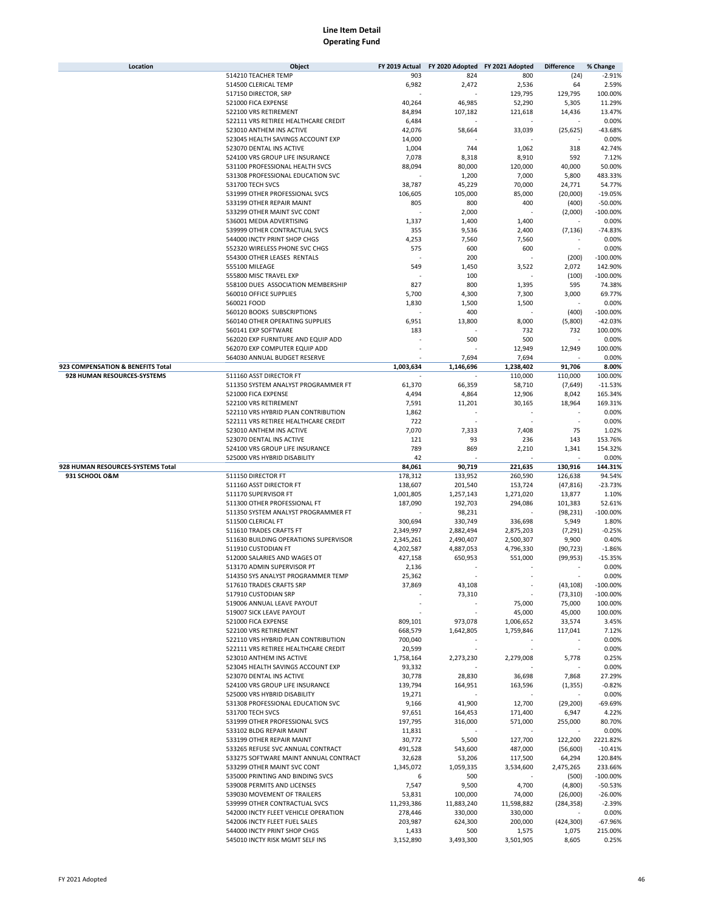| Location                          | Object                                                           | FY 2019 Actual         | FY 2020 Adopted FY 2021 Adopted |                          | <b>Difference</b>   | % Change             |
|-----------------------------------|------------------------------------------------------------------|------------------------|---------------------------------|--------------------------|---------------------|----------------------|
|                                   | 514210 TEACHER TEMP                                              | 903                    | 824                             | 800                      | (24)                | $-2.91%$             |
|                                   | 514500 CLERICAL TEMP                                             | 6,982                  | 2,472                           | 2,536                    | 64                  | 2.59%                |
|                                   | 517150 DIRECTOR, SRP                                             |                        |                                 | 129,795                  | 129,795             | 100.00%              |
|                                   | 521000 FICA EXPENSE<br>522100 VRS RETIREMENT                     | 40,264<br>84,894       | 46,985<br>107,182               | 52,290<br>121,618        | 5,305<br>14,436     | 11.29%<br>13.47%     |
|                                   | 522111 VRS RETIREE HEALTHCARE CREDIT                             | 6,484                  |                                 |                          |                     | 0.00%                |
|                                   | 523010 ANTHEM INS ACTIVE                                         | 42,076                 | 58,664                          | 33,039                   | (25, 625)           | $-43.68%$            |
|                                   | 523045 HEALTH SAVINGS ACCOUNT EXP                                | 14,000                 |                                 |                          |                     | 0.00%                |
|                                   | 523070 DENTAL INS ACTIVE                                         | 1,004                  | 744                             | 1,062                    | 318                 | 42.74%               |
|                                   | 524100 VRS GROUP LIFE INSURANCE                                  | 7,078                  | 8,318                           | 8,910                    | 592                 | 7.12%                |
|                                   | 531100 PROFESSIONAL HEALTH SVCS                                  | 88,094                 | 80,000                          | 120,000                  | 40,000              | 50.00%               |
|                                   | 531308 PROFESSIONAL EDUCATION SVC                                |                        | 1,200                           | 7,000                    | 5,800               | 483.33%              |
|                                   | 531700 TECH SVCS<br>531999 OTHER PROFESSIONAL SVCS               | 38,787                 | 45,229<br>105,000               | 70,000                   | 24,771              | 54.77%<br>$-19.05%$  |
|                                   | 533199 OTHER REPAIR MAINT                                        | 106,605<br>805         | 800                             | 85,000<br>400            | (20,000)<br>(400)   | $-50.00%$            |
|                                   | 533299 OTHER MAINT SVC CONT                                      |                        | 2,000                           |                          | (2,000)             | $-100.00%$           |
|                                   | 536001 MEDIA ADVERTISING                                         | 1,337                  | 1,400                           | 1,400                    |                     | 0.00%                |
|                                   | 539999 OTHER CONTRACTUAL SVCS                                    | 355                    | 9,536                           | 2,400                    | (7, 136)            | $-74.83%$            |
|                                   | 544000 INCTY PRINT SHOP CHGS                                     | 4,253                  | 7,560                           | 7,560                    |                     | 0.00%                |
|                                   | 552320 WIRELESS PHONE SVC CHGS                                   | 575                    | 600                             | 600                      |                     | 0.00%                |
|                                   | 554300 OTHER LEASES RENTALS                                      |                        | 200                             |                          | (200)               | $-100.00%$           |
|                                   | 555100 MILEAGE                                                   | 549                    | 1,450                           | 3,522                    | 2,072               | 142.90%              |
|                                   | 555800 MISC TRAVEL EXP                                           |                        | 100                             |                          | (100)               | $-100.00%$           |
|                                   | 558100 DUES ASSOCIATION MEMBERSHIP<br>560010 OFFICE SUPPLIES     | 827                    | 800                             | 1,395                    | 595                 | 74.38%<br>69.77%     |
|                                   | 560021 FOOD                                                      | 5,700<br>1,830         | 4,300<br>1,500                  | 7,300<br>1,500           | 3,000               | 0.00%                |
|                                   | 560120 BOOKS SUBSCRIPTIONS                                       |                        | 400                             |                          | (400)               | $-100.00%$           |
|                                   | 560140 OTHER OPERATING SUPPLIES                                  | 6,951                  | 13,800                          | 8,000                    | (5,800)             | $-42.03%$            |
|                                   | 560141 EXP SOFTWARE                                              | 183                    |                                 | 732                      | 732                 | 100.00%              |
|                                   | 562020 EXP FURNITURE AND EQUIP ADD                               |                        | 500                             | 500                      |                     | 0.00%                |
|                                   | 562070 EXP COMPUTER EQUIP ADD                                    |                        |                                 | 12,949                   | 12,949              | 100.00%              |
|                                   | 564030 ANNUAL BUDGET RESERVE                                     |                        | 7,694                           | 7,694                    |                     | 0.00%                |
| 923 COMPENSATION & BENEFITS Total |                                                                  | 1,003,634              | 1,146,696                       | 1,238,402                | 91,706              | 8.00%                |
| 928 HUMAN RESOURCES-SYSTEMS       | 511160 ASST DIRECTOR FT                                          |                        |                                 | 110,000                  | 110,000             | 100.00%              |
|                                   | 511350 SYSTEM ANALYST PROGRAMMER FT                              | 61,370                 | 66,359                          | 58,710                   | (7,649)             | $-11.53%$            |
|                                   | 521000 FICA EXPENSE<br>522100 VRS RETIREMENT                     | 4,494                  | 4,864                           | 12,906                   | 8,042               | 165.34%<br>169.31%   |
|                                   | 522110 VRS HYBRID PLAN CONTRIBUTION                              | 7,591<br>1,862         | 11,201                          | 30,165                   | 18,964              | 0.00%                |
|                                   | 522111 VRS RETIREE HEALTHCARE CREDIT                             | 722                    |                                 |                          |                     | 0.00%                |
|                                   | 523010 ANTHEM INS ACTIVE                                         | 7,070                  | 7,333                           | 7,408                    | 75                  | 1.02%                |
|                                   | 523070 DENTAL INS ACTIVE                                         | 121                    | 93                              | 236                      | 143                 | 153.76%              |
|                                   | 524100 VRS GROUP LIFE INSURANCE                                  | 789                    | 869                             | 2,210                    | 1,341               | 154.32%              |
|                                   | 525000 VRS HYBRID DISABILITY                                     | 42                     |                                 |                          |                     | 0.00%                |
|                                   |                                                                  |                        |                                 |                          |                     |                      |
| 928 HUMAN RESOURCES-SYSTEMS Total |                                                                  | 84,061                 | 90,719                          | 221,635                  | 130,916             | 144.31%              |
| 931 SCHOOL O&M                    | 511150 DIRECTOR FT                                               | 178,312                | 133,952                         | 260,590                  | 126,638             | 94.54%               |
|                                   | 511160 ASST DIRECTOR FT                                          | 138,607                | 201,540                         | 153,724                  | (47, 816)           | $-23.73%$            |
|                                   | 511170 SUPERVISOR FT                                             | 1,001,805              | 1,257,143                       | 1,271,020                | 13,877              | 1.10%                |
|                                   | 511300 OTHER PROFESSIONAL FT                                     | 187,090                | 192,703                         | 294,086                  | 101,383             | 52.61%               |
|                                   | 511350 SYSTEM ANALYST PROGRAMMER FT                              |                        | 98,231                          |                          | (98, 231)           | $-100.00%$           |
|                                   | 511500 CLERICAL FT                                               | 300,694                | 330,749                         | 336,698                  | 5,949               | 1.80%                |
|                                   | 511610 TRADES CRAFTS FT<br>511630 BUILDING OPERATIONS SUPERVISOR | 2,349,997<br>2,345,261 | 2,882,494<br>2,490,407          | 2,875,203<br>2,500,307   | (7, 291)<br>9,900   | $-0.25%$<br>0.40%    |
|                                   | 511910 CUSTODIAN FT                                              | 4,202,587              | 4,887,053                       | 4,796,330                | (90, 723)           | $-1.86%$             |
|                                   | 512000 SALARIES AND WAGES OT                                     | 427,158                | 650,953                         | 551,000                  | (99, 953)           | $-15.35%$            |
|                                   | 513170 ADMIN SUPERVISOR PT                                       | 2,136                  |                                 |                          |                     | 0.00%                |
|                                   | 514350 SYS ANALYST PROGRAMMER TEMP                               | 25,362                 |                                 |                          |                     | 0.00%                |
|                                   | 517610 TRADES CRAFTS SRP                                         | 37,869                 | 43,108                          | $\overline{\phantom{a}}$ | (43, 108)           | $-100.00\%$          |
|                                   | 517910 CUSTODIAN SRP                                             |                        | 73,310                          | ٠                        | (73, 310)           | $-100.00%$           |
|                                   | 519006 ANNUAL LEAVE PAYOUT                                       |                        |                                 | 75,000                   | 75,000              | 100.00%              |
|                                   | 519007 SICK LEAVE PAYOUT                                         |                        | $\overline{\phantom{a}}$        | 45,000                   | 45,000              | 100.00%              |
|                                   | 521000 FICA EXPENSE                                              | 809,101                | 973,078                         | 1,006,652                | 33,574              | 3.45%                |
|                                   | 522100 VRS RETIREMENT<br>522110 VRS HYBRID PLAN CONTRIBUTION     | 668,579                | 1,642,805                       | 1,759,846                | 117,041             | 7.12%                |
|                                   | 522111 VRS RETIREE HEALTHCARE CREDIT                             | 700,040<br>20,599      |                                 |                          |                     | 0.00%<br>0.00%       |
|                                   | 523010 ANTHEM INS ACTIVE                                         | 1,758,164              | 2,273,230                       | 2,279,008                | 5,778               | 0.25%                |
|                                   | 523045 HEALTH SAVINGS ACCOUNT EXP                                | 93,332                 |                                 |                          |                     | 0.00%                |
|                                   | 523070 DENTAL INS ACTIVE                                         | 30,778                 | 28,830                          | 36,698                   | 7,868               | 27.29%               |
|                                   | 524100 VRS GROUP LIFE INSURANCE                                  | 139,794                | 164,951                         | 163,596                  | (1, 355)            | $-0.82%$             |
|                                   | 525000 VRS HYBRID DISABILITY                                     | 19,271                 |                                 |                          |                     | 0.00%                |
|                                   | 531308 PROFESSIONAL EDUCATION SVC                                | 9,166                  | 41,900                          | 12,700                   | (29, 200)           | $-69.69%$            |
|                                   | 531700 TECH SVCS                                                 | 97,651                 | 164,453                         | 171,400                  | 6,947               | 4.22%                |
|                                   | 531999 OTHER PROFESSIONAL SVCS                                   | 197,795                | 316,000                         | 571,000                  | 255,000             | 80.70%               |
|                                   | 533102 BLDG REPAIR MAINT<br>533199 OTHER REPAIR MAINT            | 11,831<br>30,772       | 5,500                           | 127,700                  | 122,200             | 0.00%<br>2221.82%    |
|                                   | 533265 REFUSE SVC ANNUAL CONTRACT                                | 491,528                | 543,600                         | 487,000                  | (56, 600)           | $-10.41%$            |
|                                   | 533275 SOFTWARE MAINT ANNUAL CONTRACT                            | 32,628                 | 53,206                          | 117,500                  | 64,294              | 120.84%              |
|                                   | 533299 OTHER MAINT SVC CONT                                      | 1,345,072              | 1,059,335                       | 3,534,600                | 2,475,265           | 233.66%              |
|                                   | 535000 PRINTING AND BINDING SVCS                                 | 6                      | 500                             |                          | (500)               | $-100.00%$           |
|                                   | 539008 PERMITS AND LICENSES                                      | 7,547                  | 9,500                           | 4,700                    | (4,800)             | $-50.53%$            |
|                                   | 539030 MOVEMENT OF TRAILERS                                      | 53,831                 | 100,000                         | 74,000                   | (26,000)            | $-26.00%$            |
|                                   | 539999 OTHER CONTRACTUAL SVCS                                    | 11,293,386             | 11,883,240                      | 11,598,882               | (284, 358)          | $-2.39%$             |
|                                   | 542000 INCTY FLEET VEHICLE OPERATION                             | 278,446                | 330,000                         | 330,000                  |                     | 0.00%                |
|                                   | 542006 INCTY FLEET FUEL SALES<br>544000 INCTY PRINT SHOP CHGS    | 203,987<br>1,433       | 624,300<br>500                  | 200,000<br>1,575         | (424, 300)<br>1,075 | $-67.96%$<br>215.00% |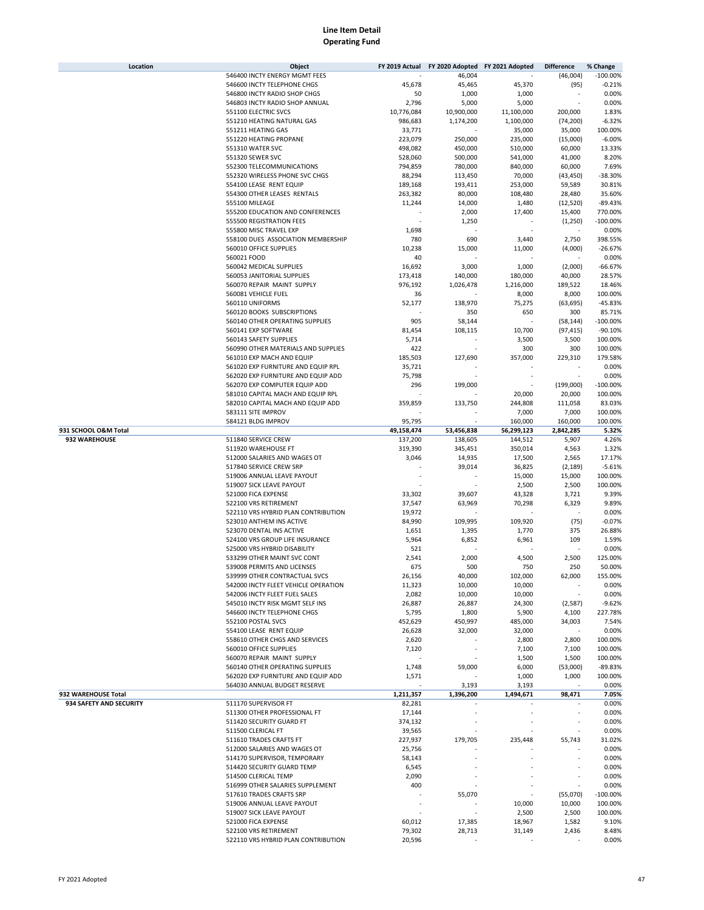| Location                | Object                                                                | FY 2019 Actual   | FY 2020 Adopted FY 2021 Adopted |                   | <b>Difference</b> | % Change   |
|-------------------------|-----------------------------------------------------------------------|------------------|---------------------------------|-------------------|-------------------|------------|
|                         | 546400 INCTY ENERGY MGMT FEES                                         |                  | 46,004                          |                   | (46,004)          | $-100.00%$ |
|                         | 546600 INCTY TELEPHONE CHGS                                           | 45,678           | 45,465                          | 45,370            | (95)              | $-0.21%$   |
|                         | 546800 INCTY RADIO SHOP CHGS                                          | 50               | 1,000                           | 1,000             |                   | 0.00%      |
|                         | 546803 INCTY RADIO SHOP ANNUAL                                        | 2,796            | 5,000                           | 5,000             |                   | 0.00%      |
|                         | 551100 ELECTRIC SVCS                                                  | 10,776,084       | 10,900,000                      | 11,100,000        | 200,000           | 1.83%      |
|                         | 551210 HEATING NATURAL GAS                                            | 986,683          | 1,174,200                       | 1,100,000         | (74, 200)         | $-6.32%$   |
|                         | 551211 HEATING GAS                                                    | 33,771           |                                 | 35,000            | 35,000            | 100.00%    |
|                         | 551220 HEATING PROPANE                                                | 223,079          | 250,000                         | 235,000           | (15,000)          | $-6.00%$   |
|                         | 551310 WATER SVC                                                      | 498,082          | 450,000                         | 510,000           | 60,000            | 13.33%     |
|                         | 551320 SEWER SVC                                                      | 528,060          | 500,000                         | 541,000           | 41,000            | 8.20%      |
|                         | 552300 TELECOMMUNICATIONS                                             | 794,859          | 780,000                         | 840,000           | 60,000            | 7.69%      |
|                         | 552320 WIRELESS PHONE SVC CHGS                                        | 88,294           | 113,450                         | 70,000            | (43,450)          | $-38.30%$  |
|                         | 554100 LEASE RENT EQUIP                                               | 189,168          | 193,411                         | 253,000           | 59,589            | 30.81%     |
|                         | 554300 OTHER LEASES RENTALS                                           |                  |                                 | 108,480           |                   | 35.60%     |
|                         |                                                                       | 263,382          | 80,000                          |                   | 28,480            |            |
|                         | 555100 MILEAGE                                                        | 11,244           | 14,000                          | 1,480             | (12,520)          | $-89.43%$  |
|                         | 555200 EDUCATION AND CONFERENCES                                      |                  | 2,000                           | 17,400            | 15,400            | 770.00%    |
|                         | 555500 REGISTRATION FEES                                              |                  | 1,250                           |                   | (1,250)           | $-100.00%$ |
|                         | 555800 MISC TRAVEL EXP                                                | 1,698            |                                 |                   |                   | 0.00%      |
|                         | 558100 DUES ASSOCIATION MEMBERSHIP                                    | 780              | 690                             | 3,440             | 2,750             | 398.55%    |
|                         | 560010 OFFICE SUPPLIES                                                | 10,238           | 15,000                          | 11,000            | (4,000)           | $-26.67%$  |
|                         | 560021 FOOD                                                           | 40               |                                 |                   |                   | 0.00%      |
|                         | 560042 MEDICAL SUPPLIES                                               | 16,692           | 3,000                           | 1,000             | (2,000)           | $-66.67%$  |
|                         | 560053 JANITORIAL SUPPLIES                                            | 173,418          | 140,000                         | 180,000           | 40,000            | 28.57%     |
|                         | 560070 REPAIR MAINT SUPPLY                                            | 976,192          | 1,026,478                       | 1,216,000         | 189,522           | 18.46%     |
|                         | 560081 VEHICLE FUEL                                                   | 36               |                                 | 8,000             | 8,000             | 100.00%    |
|                         | 560110 UNIFORMS                                                       | 52,177           | 138,970                         | 75,275            | (63, 695)         | $-45.83%$  |
|                         | 560120 BOOKS SUBSCRIPTIONS                                            |                  | 350                             | 650               | 300               | 85.71%     |
|                         | 560140 OTHER OPERATING SUPPLIES                                       | 905              | 58,144                          |                   | (58, 144)         | $-100.00%$ |
|                         | 560141 EXP SOFTWARE                                                   | 81,454           | 108,115                         | 10,700            | (97, 415)         | $-90.10%$  |
|                         | 560143 SAFETY SUPPLIES                                                | 5,714            |                                 | 3,500             | 3,500             | 100.00%    |
|                         | 560990 OTHER MATERIALS AND SUPPLIES                                   | 422              |                                 | 300               | 300               | 100.00%    |
|                         | 561010 EXP MACH AND EQUIP                                             | 185,503          | 127,690                         | 357,000           | 229,310           | 179.58%    |
|                         | 561020 EXP FURNITURE AND EQUIP RPL                                    | 35,721           |                                 |                   |                   | 0.00%      |
|                         | 562020 EXP FURNITURE AND EQUIP ADD                                    | 75,798           |                                 |                   |                   | 0.00%      |
|                         |                                                                       |                  |                                 |                   |                   |            |
|                         | 562070 EXP COMPUTER EQUIP ADD                                         | 296              | 199,000                         |                   | (199,000)         | $-100.00%$ |
|                         | 581010 CAPITAL MACH AND EQUIP RPL                                     |                  |                                 | 20,000            | 20,000            | 100.00%    |
|                         | 582010 CAPITAL MACH AND EQUIP ADD                                     | 359,859          | 133,750                         | 244,808           | 111,058           | 83.03%     |
|                         | 583111 SITE IMPROV                                                    |                  |                                 | 7,000             | 7,000             | 100.00%    |
|                         | 584121 BLDG IMPROV                                                    | 95,795           |                                 | 160,000           | 160,000           | 100.00%    |
| 931 SCHOOL O&M Total    |                                                                       | 49,158,474       | 53,456,838                      | 56,299,123        | 2,842,285         | 5.32%      |
| 932 WAREHOUSE           | 511840 SERVICE CREW                                                   | 137,200          | 138,605                         | 144,512           | 5,907             | 4.26%      |
|                         | 511920 WAREHOUSE FT                                                   | 319,390          | 345,451                         | 350,014           | 4,563             | 1.32%      |
|                         | 512000 SALARIES AND WAGES OT                                          | 3,046            | 14,935                          | 17,500            | 2,565             | 17.17%     |
|                         | 517840 SERVICE CREW SRP                                               |                  | 39,014                          | 36,825            | (2, 189)          | $-5.61%$   |
|                         | 519006 ANNUAL LEAVE PAYOUT                                            |                  |                                 | 15,000            | 15,000            | 100.00%    |
|                         | 519007 SICK LEAVE PAYOUT                                              |                  |                                 | 2,500             | 2,500             | 100.00%    |
|                         | 521000 FICA EXPENSE                                                   | 33,302           | 39,607                          | 43,328            | 3,721             | 9.39%      |
|                         | 522100 VRS RETIREMENT                                                 | 37,547           | 63,969                          | 70,298            | 6,329             | 9.89%      |
|                         | 522110 VRS HYBRID PLAN CONTRIBUTION                                   | 19,972           |                                 |                   |                   | 0.00%      |
|                         | 523010 ANTHEM INS ACTIVE                                              | 84,990           | 109,995                         | 109,920           | (75)              | $-0.07%$   |
|                         | 523070 DENTAL INS ACTIVE                                              | 1,651            | 1,395                           | 1,770             | 375               | 26.88%     |
|                         | 524100 VRS GROUP LIFE INSURANCE                                       | 5,964            | 6,852                           | 6,961             | 109               | 1.59%      |
|                         | 525000 VRS HYBRID DISABILITY                                          | 521              |                                 |                   |                   | 0.00%      |
|                         | 533299 OTHER MAINT SVC CONT                                           | 2,541            | 2,000                           | 4,500             | 2,500             | 125.00%    |
|                         | 539008 PERMITS AND LICENSES                                           | 675              | 500                             | 750               | 250               | 50.00%     |
|                         |                                                                       |                  |                                 |                   |                   | 155.00%    |
|                         | 539999 OTHER CONTRACTUAL SVCS<br>542000 INCTY FLEET VEHICLE OPERATION | 26,156<br>11,323 | 40,000<br>10,000                | 102,000<br>10,000 | 62,000<br>×.      | 0.00%      |
|                         |                                                                       |                  |                                 |                   | ä,                |            |
|                         | 542006 INCTY FLEET FUEL SALES                                         | 2,082            | 10,000                          | 10,000            |                   | 0.00%      |
|                         | 545010 INCTY RISK MGMT SELF INS                                       | 26,887           | 26,887                          | 24,300            | (2, 587)          | $-9.62%$   |
|                         | 546600 INCTY TELEPHONE CHGS                                           | 5,795            | 1,800                           | 5,900             | 4,100             | 227.78%    |
|                         | 552100 POSTAL SVCS                                                    | 452,629          | 450,997                         | 485,000           | 34,003            | 7.54%      |
|                         | 554100 LEASE RENT EQUIP                                               | 26,628           | 32,000                          | 32,000            |                   | 0.00%      |
|                         | 558610 OTHER CHGS AND SERVICES                                        | 2,620            |                                 | 2,800             | 2,800             | 100.00%    |
|                         | 560010 OFFICE SUPPLIES                                                | 7,120            |                                 | 7,100             | 7,100             | 100.00%    |
|                         | 560070 REPAIR MAINT SUPPLY                                            |                  |                                 | 1,500             | 1,500             | 100.00%    |
|                         | 560140 OTHER OPERATING SUPPLIES                                       | 1,748            | 59,000                          | 6,000             | (53,000)          | $-89.83%$  |
|                         | 562020 EXP FURNITURE AND EQUIP ADD                                    | 1,571            |                                 | 1,000             | 1,000             | 100.00%    |
|                         | 564030 ANNUAL BUDGET RESERVE                                          |                  | 3,193                           | 3,193             |                   | 0.00%      |
| 932 WAREHOUSE Total     |                                                                       | 1,211,357        | 1,396,200                       | 1,494,671         | 98,471            | 7.05%      |
| 934 SAFETY AND SECURITY | 511170 SUPERVISOR FT                                                  | 82,281           |                                 |                   |                   | 0.00%      |
|                         | 511300 OTHER PROFESSIONAL FT                                          | 17,144           |                                 |                   |                   | 0.00%      |
|                         | 511420 SECURITY GUARD FT                                              | 374,132          |                                 |                   |                   | 0.00%      |
|                         | 511500 CLERICAL FT                                                    | 39,565           |                                 |                   |                   | 0.00%      |
|                         | 511610 TRADES CRAFTS FT                                               | 227,937          | 179,705                         | 235,448           | 55,743            | 31.02%     |
|                         | 512000 SALARIES AND WAGES OT                                          | 25,756           |                                 |                   |                   | 0.00%      |
|                         | 514170 SUPERVISOR, TEMPORARY                                          | 58,143           |                                 |                   |                   | 0.00%      |
|                         | 514420 SECURITY GUARD TEMP                                            | 6,545            |                                 |                   |                   | 0.00%      |
|                         | 514500 CLERICAL TEMP                                                  | 2,090            |                                 |                   |                   | 0.00%      |
|                         | 516999 OTHER SALARIES SUPPLEMENT                                      | 400              |                                 |                   |                   | 0.00%      |
|                         | 517610 TRADES CRAFTS SRP                                              |                  | 55,070                          |                   | (55,070)          | $-100.00%$ |
|                         | 519006 ANNUAL LEAVE PAYOUT                                            |                  |                                 | 10,000            | 10,000            | 100.00%    |
|                         | 519007 SICK LEAVE PAYOUT                                              |                  |                                 | 2,500             | 2,500             | 100.00%    |
|                         | 521000 FICA EXPENSE                                                   | 60,012           | 17,385                          | 18,967            | 1,582             | 9.10%      |
|                         | 522100 VRS RETIREMENT                                                 | 79,302           | 28,713                          | 31,149            | 2,436             | 8.48%      |
|                         | 522110 VRS HYBRID PLAN CONTRIBUTION                                   | 20,596           |                                 |                   |                   | 0.00%      |
|                         |                                                                       |                  |                                 |                   |                   |            |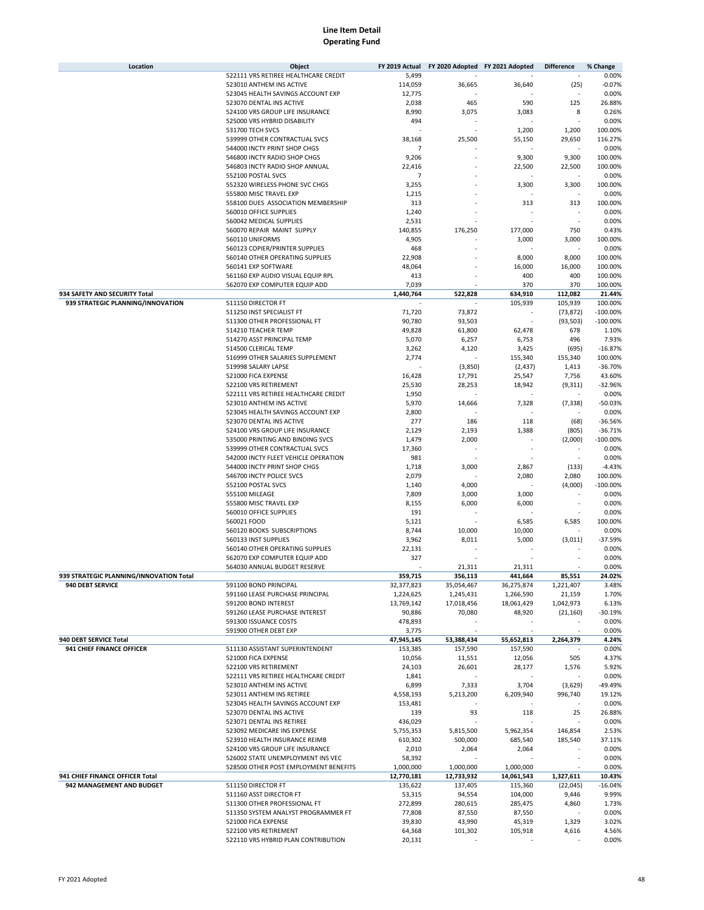| Location                                            | Object                                                        | FY 2019 Actual           |                       | FY 2020 Adopted FY 2021 Adopted | <b>Difference</b>        | % Change           |
|-----------------------------------------------------|---------------------------------------------------------------|--------------------------|-----------------------|---------------------------------|--------------------------|--------------------|
|                                                     | 522111 VRS RETIREE HEALTHCARE CREDIT                          | 5,499                    |                       |                                 |                          | 0.00%              |
|                                                     | 523010 ANTHEM INS ACTIVE                                      | 114,059                  | 36,665                | 36,640                          | (25)                     | $-0.07%$           |
|                                                     | 523045 HEALTH SAVINGS ACCOUNT EXP                             | 12,775                   |                       |                                 |                          | 0.00%              |
|                                                     | 523070 DENTAL INS ACTIVE                                      | 2,038                    | 465                   | 590                             | 125                      | 26.88%             |
|                                                     | 524100 VRS GROUP LIFE INSURANCE                               | 8,990                    | 3,075                 | 3,083                           | 8                        | 0.26%              |
|                                                     | 525000 VRS HYBRID DISABILITY                                  | 494                      |                       |                                 |                          | 0.00%              |
|                                                     | 531700 TECH SVCS                                              |                          |                       | 1,200                           | 1,200                    | 100.00%            |
|                                                     | 539999 OTHER CONTRACTUAL SVCS                                 | 38,168                   | 25,500                | 55,150                          | 29,650                   | 116.27%            |
|                                                     | 544000 INCTY PRINT SHOP CHGS                                  | $\overline{7}$           |                       |                                 |                          | 0.00%              |
|                                                     | 546800 INCTY RADIO SHOP CHGS                                  | 9,206                    |                       | 9,300                           | 9,300                    | 100.00%            |
|                                                     | 546803 INCTY RADIO SHOP ANNUAL<br>552100 POSTAL SVCS          | 22,416<br>$\overline{7}$ |                       | 22,500                          | 22,500                   | 100.00%            |
|                                                     | 552320 WIRELESS PHONE SVC CHGS                                | 3,255                    |                       | 3,300                           | 3,300                    | 0.00%<br>100.00%   |
|                                                     | 555800 MISC TRAVEL EXP                                        | 1,215                    |                       |                                 |                          | 0.00%              |
|                                                     | 558100 DUES ASSOCIATION MEMBERSHIP                            | 313                      |                       | 313                             | 313                      | 100.00%            |
|                                                     | 560010 OFFICE SUPPLIES                                        | 1,240                    |                       |                                 |                          | 0.00%              |
|                                                     | 560042 MEDICAL SUPPLIES                                       | 2,531                    |                       |                                 | ×                        | 0.00%              |
|                                                     | 560070 REPAIR MAINT SUPPLY                                    | 140,855                  | 176,250               | 177,000                         | 750                      | 0.43%              |
|                                                     | 560110 UNIFORMS                                               | 4,905                    |                       | 3,000                           | 3,000                    | 100.00%            |
|                                                     | 560123 COPIER/PRINTER SUPPLIES                                | 468                      |                       |                                 |                          | 0.00%              |
|                                                     | 560140 OTHER OPERATING SUPPLIES                               | 22,908                   |                       | 8,000                           | 8,000                    | 100.00%            |
|                                                     | 560141 EXP SOFTWARE                                           | 48,064                   |                       | 16,000                          | 16,000                   | 100.00%            |
|                                                     | 561160 EXP AUDIO VISUAL EQUIP RPL                             | 413                      |                       | 400                             | 400                      | 100.00%            |
|                                                     | 562070 EXP COMPUTER EQUIP ADD                                 | 7,039                    |                       | 370                             | 370                      | 100.00%            |
| 934 SAFETY AND SECURITY Total                       |                                                               | 1,440,764                | 522,828               | 634,910                         | 112,082                  | 21.44%             |
| 939 STRATEGIC PLANNING/INNOVATION                   | 511150 DIRECTOR FT                                            |                          |                       | 105,939                         | 105,939                  | 100.00%            |
|                                                     | 511250 INST SPECIALIST FT                                     | 71,720                   | 73,872                |                                 | (73, 872)                | $-100.00%$         |
|                                                     | 511300 OTHER PROFESSIONAL FT                                  | 90,780                   | 93,503                |                                 | (93, 503)                | $-100.00%$         |
|                                                     | 514210 TEACHER TEMP                                           | 49,828                   | 61,800                | 62,478                          | 678                      | 1.10%              |
|                                                     | 514270 ASST PRINCIPAL TEMP                                    | 5,070                    | 6,257                 | 6,753                           | 496                      | 7.93%              |
|                                                     | 514500 CLERICAL TEMP                                          | 3,262                    | 4,120                 | 3,425                           | (695)                    | $-16.87%$          |
|                                                     | 516999 OTHER SALARIES SUPPLEMENT                              | 2,774                    |                       | 155,340                         | 155,340                  | 100.00%            |
|                                                     | 519998 SALARY LAPSE                                           |                          | (3,850)               | (2, 437)                        | 1,413                    | $-36.70%$          |
|                                                     | 521000 FICA EXPENSE                                           | 16,428                   | 17,791                | 25,547                          | 7,756                    | 43.60%             |
|                                                     | 522100 VRS RETIREMENT                                         | 25,530                   | 28,253                | 18,942                          | (9,311)                  | $-32.96%$          |
|                                                     | 522111 VRS RETIREE HEALTHCARE CREDIT                          | 1,950                    |                       |                                 |                          | 0.00%              |
|                                                     | 523010 ANTHEM INS ACTIVE                                      | 5,970                    | 14,666                | 7,328                           | (7, 338)                 | $-50.03%$          |
|                                                     | 523045 HEALTH SAVINGS ACCOUNT EXP<br>523070 DENTAL INS ACTIVE | 2,800<br>277             |                       | 118                             | (68)                     | 0.00%<br>$-36.56%$ |
|                                                     | 524100 VRS GROUP LIFE INSURANCE                               | 2,129                    | 186<br>2,193          | 1,388                           | (805)                    | $-36.71%$          |
|                                                     | 535000 PRINTING AND BINDING SVCS                              | 1,479                    | 2,000                 |                                 | (2,000)                  | $-100.00%$         |
|                                                     | 539999 OTHER CONTRACTUAL SVCS                                 | 17,360                   |                       |                                 |                          | 0.00%              |
|                                                     | 542000 INCTY FLEET VEHICLE OPERATION                          | 981                      |                       |                                 |                          | 0.00%              |
|                                                     | 544000 INCTY PRINT SHOP CHGS                                  | 1,718                    | 3,000                 | 2,867                           | (133)                    | $-4.43%$           |
|                                                     | 546700 INCTY POLICE SVCS                                      | 2,079                    |                       | 2,080                           | 2,080                    | 100.00%            |
|                                                     | 552100 POSTAL SVCS                                            | 1,140                    | 4,000                 |                                 | (4,000)                  | $-100.00\%$        |
|                                                     | 555100 MILEAGE                                                | 7,809                    | 3,000                 | 3,000                           |                          | 0.00%              |
|                                                     | 555800 MISC TRAVEL EXP                                        | 8,155                    | 6,000                 | 6,000                           |                          | 0.00%              |
|                                                     | 560010 OFFICE SUPPLIES                                        | 191                      |                       |                                 |                          | 0.00%              |
|                                                     | 560021 FOOD                                                   | 5,121                    |                       | 6,585                           | 6,585                    | 100.00%            |
|                                                     | 560120 BOOKS SUBSCRIPTIONS                                    | 8,744                    | 10,000                | 10,000                          |                          | 0.00%              |
|                                                     | 560133 INST SUPPLIES                                          | 3,962                    | 8,011                 | 5,000                           | (3,011)                  | $-37.59%$          |
|                                                     | 560140 OTHER OPERATING SUPPLIES                               | 22,131                   |                       |                                 |                          | 0.00%              |
|                                                     | 562070 EXP COMPUTER EQUIP ADD                                 | 327                      |                       |                                 |                          | 0.00%              |
|                                                     | 564030 ANNUAL BUDGET RESERVE                                  |                          | 21,311                | 21,311                          |                          | 0.00%              |
| 939 STRATEGIC PLANNING/INNOVATION Total             |                                                               | 359,715                  | 356,113               | 441,664                         | 85,551                   | 24.02%             |
| 940 DEBT SERVICE                                    | 591100 BOND PRINCIPAL                                         | 32,377,823               | 35,054,467            | 36,275,874                      | 1,221,407                | 3.48%              |
|                                                     | 591160 LEASE PURCHASE PRINCIPAL                               | 1,224,625                | 1,245,431             | 1,266,590                       | 21,159                   | 1.70%              |
|                                                     | 591200 BOND INTEREST                                          | 13,769,142               | 17,018,456            | 18,061,429                      | 1,042,973                | 6.13%              |
|                                                     | 591260 LEASE PURCHASE INTEREST                                | 90,886                   | 70,080                | 48,920                          | (21, 160)                | $-30.19%$          |
|                                                     | 591300 ISSUANCE COSTS                                         | 478,893                  |                       |                                 |                          | 0.00%              |
|                                                     | 591900 OTHER DEBT EXP                                         | 3,775<br>47,945,145      |                       |                                 |                          | 0.00%<br>4.24%     |
| 940 DEBT SERVICE Total<br>941 CHIEF FINANCE OFFICER | 511130 ASSISTANT SUPERINTENDENT                               | 153,385                  | 53,388,434<br>157,590 | 55,652,813<br>157,590           | 2,264,379                | 0.00%              |
|                                                     | 521000 FICA EXPENSE                                           | 10,056                   | 11,551                | 12,056                          | 505                      | 4.37%              |
|                                                     | 522100 VRS RETIREMENT                                         | 24,103                   | 26,601                | 28,177                          | 1,576                    | 5.92%              |
|                                                     | 522111 VRS RETIREE HEALTHCARE CREDIT                          | 1,841                    |                       |                                 | $\overline{\phantom{a}}$ | 0.00%              |
|                                                     | 523010 ANTHEM INS ACTIVE                                      | 6,899                    | 7,333                 | 3,704                           | (3,629)                  | -49.49%            |
|                                                     | 523011 ANTHEM INS RETIREE                                     | 4,558,193                | 5,213,200             | 6,209,940                       | 996,740                  | 19.12%             |
|                                                     | 523045 HEALTH SAVINGS ACCOUNT EXP                             | 153,481                  |                       |                                 |                          | 0.00%              |
|                                                     | 523070 DENTAL INS ACTIVE                                      | 139                      | 93                    | 118                             | 25                       | 26.88%             |
|                                                     | 523071 DENTAL INS RETIREE                                     | 436,029                  |                       |                                 |                          | 0.00%              |
|                                                     | 523092 MEDICARE INS EXPENSE                                   | 5,755,353                | 5,815,500             | 5,962,354                       | 146,854                  | 2.53%              |
|                                                     | 523910 HEALTH INSURANCE REIMB                                 | 610,302                  | 500,000               | 685,540                         | 185,540                  | 37.11%             |
|                                                     | 524100 VRS GROUP LIFE INSURANCE                               | 2,010                    | 2,064                 | 2,064                           |                          | 0.00%              |
|                                                     | 526002 STATE UNEMPLOYMENT INS VEC                             | 58,392                   |                       |                                 |                          | 0.00%              |
|                                                     | 528500 OTHER POST EMPLOYMENT BENEFITS                         | 1,000,000                | 1,000,000             | 1,000,000                       |                          | 0.00%              |
| 941 CHIEF FINANCE OFFICER Total                     |                                                               | 12,770,181               | 12,733,932            | 14,061,543                      | 1,327,611                | 10.43%             |
| 942 MANAGEMENT AND BUDGET                           | 511150 DIRECTOR FT                                            | 135,622                  | 137,405               | 115,360                         | (22, 045)                | $-16.04%$          |
|                                                     | 511160 ASST DIRECTOR FT                                       | 53,315                   | 94,554                | 104,000                         | 9,446                    | 9.99%              |
|                                                     | 511300 OTHER PROFESSIONAL FT                                  | 272,899                  | 280,615               | 285,475                         | 4,860                    | 1.73%              |
|                                                     | 511350 SYSTEM ANALYST PROGRAMMER FT                           | 77,808                   | 87,550                | 87,550                          |                          | 0.00%              |
|                                                     | 521000 FICA EXPENSE                                           | 39,830                   | 43,990                | 45,319                          | 1,329                    | 3.02%              |
|                                                     | 522100 VRS RETIREMENT<br>522110 VRS HYBRID PLAN CONTRIBUTION  | 64,368<br>20,131         | 101,302               | 105,918                         | 4,616                    | 4.56%<br>0.00%     |
|                                                     |                                                               |                          |                       |                                 |                          |                    |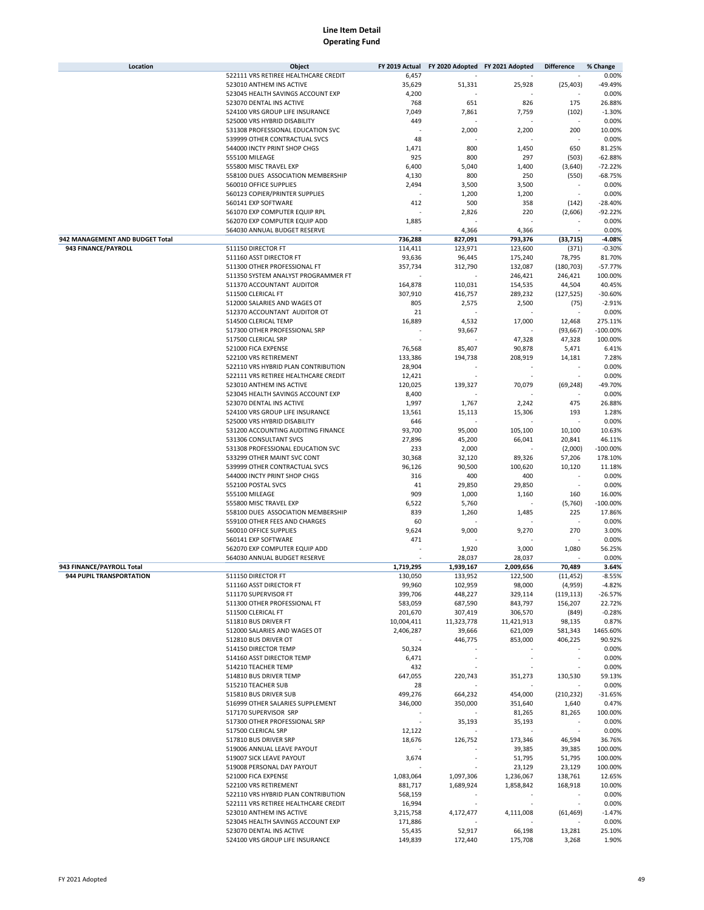| Location                        | Object                               | FY 2019 Actual           | FY 2020 Adopted FY 2021 Adopted |                          | <b>Difference</b>        | % Change   |
|---------------------------------|--------------------------------------|--------------------------|---------------------------------|--------------------------|--------------------------|------------|
|                                 | 522111 VRS RETIREE HEALTHCARE CREDIT | 6,457                    |                                 |                          |                          | 0.00%      |
|                                 | 523010 ANTHEM INS ACTIVE             | 35,629                   | 51,331                          | 25,928                   | (25, 403)                | -49.49%    |
|                                 | 523045 HEALTH SAVINGS ACCOUNT EXP    | 4,200                    |                                 |                          |                          | 0.00%      |
|                                 | 523070 DENTAL INS ACTIVE             | 768                      | 651                             | 826                      | 175                      | 26.88%     |
|                                 | 524100 VRS GROUP LIFE INSURANCE      | 7,049                    | 7,861                           | 7,759                    | (102)                    | $-1.30%$   |
|                                 | 525000 VRS HYBRID DISABILITY         | 449                      |                                 |                          |                          | 0.00%      |
|                                 | 531308 PROFESSIONAL EDUCATION SVC    |                          | 2,000                           | 2,200                    | 200                      | 10.00%     |
|                                 | 539999 OTHER CONTRACTUAL SVCS        | 48                       |                                 |                          |                          | 0.00%      |
|                                 | 544000 INCTY PRINT SHOP CHGS         | 1,471                    | 800                             | 1,450                    | 650                      | 81.25%     |
|                                 | 555100 MILEAGE                       | 925                      | 800                             | 297                      | (503)                    | $-62.88%$  |
|                                 | 555800 MISC TRAVEL EXP               | 6,400                    | 5,040                           | 1,400                    | (3,640)                  | $-72.22%$  |
|                                 | 558100 DUES ASSOCIATION MEMBERSHIP   |                          | 800                             | 250                      |                          | $-68.75%$  |
|                                 |                                      | 4,130                    |                                 |                          | (550)                    |            |
|                                 | 560010 OFFICE SUPPLIES               | 2,494                    | 3,500                           | 3,500                    |                          | 0.00%      |
|                                 | 560123 COPIER/PRINTER SUPPLIES       |                          | 1,200                           | 1,200                    | ×                        | 0.00%      |
|                                 | 560141 EXP SOFTWARE                  | 412                      | 500                             | 358                      | (142)                    | $-28.40%$  |
|                                 | 561070 EXP COMPUTER EQUIP RPL        |                          | 2,826                           | 220                      | (2,606)                  | $-92.22%$  |
|                                 | 562070 EXP COMPUTER EQUIP ADD        | 1,885                    |                                 |                          |                          | 0.00%      |
|                                 | 564030 ANNUAL BUDGET RESERVE         |                          | 4,366                           | 4,366                    |                          | 0.00%      |
| 942 MANAGEMENT AND BUDGET Total |                                      | 736,288                  | 827,091                         | 793,376                  | (33, 715)                | $-4.08%$   |
| 943 FINANCE/PAYROLL             | 511150 DIRECTOR FT                   | 114,411                  | 123,971                         | 123,600                  | (371)                    | $-0.30%$   |
|                                 | 511160 ASST DIRECTOR FT              | 93,636                   | 96,445                          | 175,240                  | 78,795                   | 81.70%     |
|                                 | 511300 OTHER PROFESSIONAL FT         | 357,734                  | 312,790                         | 132,087                  | (180, 703)               | $-57.77%$  |
|                                 | 511350 SYSTEM ANALYST PROGRAMMER FT  |                          |                                 | 246,421                  | 246,421                  | 100.00%    |
|                                 | 511370 ACCOUNTANT AUDITOR            | 164,878                  | 110,031                         | 154,535                  | 44,504                   | 40.45%     |
|                                 | 511500 CLERICAL FT                   | 307,910                  | 416,757                         | 289,232                  | (127, 525)               | $-30.60%$  |
|                                 |                                      |                          |                                 |                          |                          |            |
|                                 | 512000 SALARIES AND WAGES OT         | 805                      | 2,575                           | 2,500                    | (75)                     | $-2.91%$   |
|                                 | 512370 ACCOUNTANT AUDITOR OT         | 21                       |                                 |                          |                          | 0.00%      |
|                                 | 514500 CLERICAL TEMP                 | 16,889                   | 4,532                           | 17,000                   | 12,468                   | 275.11%    |
|                                 | 517300 OTHER PROFESSIONAL SRP        |                          | 93,667                          |                          | (93, 667)                | $-100.00%$ |
|                                 | 517500 CLERICAL SRP                  |                          |                                 | 47,328                   | 47,328                   | 100.00%    |
|                                 | 521000 FICA EXPENSE                  | 76,568                   | 85,407                          | 90,878                   | 5,471                    | 6.41%      |
|                                 | 522100 VRS RETIREMENT                | 133,386                  | 194,738                         | 208,919                  | 14,181                   | 7.28%      |
|                                 | 522110 VRS HYBRID PLAN CONTRIBUTION  | 28,904                   |                                 |                          |                          | 0.00%      |
|                                 | 522111 VRS RETIREE HEALTHCARE CREDIT | 12,421                   |                                 |                          |                          | 0.00%      |
|                                 | 523010 ANTHEM INS ACTIVE             | 120,025                  | 139,327                         | 70,079                   | (69, 248)                | -49.70%    |
|                                 | 523045 HEALTH SAVINGS ACCOUNT EXP    | 8,400                    |                                 |                          |                          | 0.00%      |
|                                 | 523070 DENTAL INS ACTIVE             | 1,997                    | 1,767                           | 2,242                    | 475                      | 26.88%     |
|                                 | 524100 VRS GROUP LIFE INSURANCE      | 13,561                   | 15,113                          | 15,306                   | 193                      | 1.28%      |
|                                 | 525000 VRS HYBRID DISABILITY         | 646                      |                                 |                          |                          | 0.00%      |
|                                 | 531200 ACCOUNTING AUDITING FINANCE   | 93,700                   | 95,000                          | 105,100                  | 10,100                   | 10.63%     |
|                                 |                                      |                          |                                 |                          |                          |            |
|                                 | 531306 CONSULTANT SVCS               | 27,896                   | 45,200                          | 66,041                   | 20,841                   | 46.11%     |
|                                 | 531308 PROFESSIONAL EDUCATION SVC    | 233                      | 2,000                           |                          | (2,000)                  | $-100.00%$ |
|                                 | 533299 OTHER MAINT SVC CONT          | 30,368                   | 32,120                          | 89,326                   | 57,206                   | 178.10%    |
|                                 | 539999 OTHER CONTRACTUAL SVCS        | 96,126                   | 90,500                          | 100,620                  | 10,120                   | 11.18%     |
|                                 | 544000 INCTY PRINT SHOP CHGS         | 316                      | 400                             | 400                      |                          | 0.00%      |
|                                 | 552100 POSTAL SVCS                   | 41                       | 29,850                          | 29,850                   |                          | 0.00%      |
|                                 | 555100 MILEAGE                       | 909                      | 1,000                           | 1,160                    | 160                      | 16.00%     |
|                                 | 555800 MISC TRAVEL EXP               | 6,522                    | 5,760                           |                          | (5,760)                  | $-100.00%$ |
|                                 | 558100 DUES ASSOCIATION MEMBERSHIP   | 839                      | 1,260                           | 1,485                    | 225                      | 17.86%     |
|                                 | 559100 OTHER FEES AND CHARGES        | 60                       |                                 |                          |                          | 0.00%      |
|                                 | 560010 OFFICE SUPPLIES               | 9,624                    | 9,000                           | 9,270                    | 270                      | 3.00%      |
|                                 | 560141 EXP SOFTWARE                  | 471                      |                                 |                          |                          | 0.00%      |
|                                 | 562070 EXP COMPUTER EQUIP ADD        |                          | 1,920                           | 3,000                    | 1,080                    | 56.25%     |
|                                 | 564030 ANNUAL BUDGET RESERVE         |                          |                                 |                          |                          | 0.00%      |
|                                 |                                      |                          | 28,037                          | 28,037                   |                          |            |
| 943 FINANCE/PAYROLL Total       |                                      | 1,719,295                | 1,939,167                       | 2,009,656                | 70,489                   | 3.64%      |
| 944 PUPIL TRANSPORTATION        | 511150 DIRECTOR FT                   | 130,050                  | 133,952                         | 122,500                  | (11,452)                 | $-8.55%$   |
|                                 | 511160 ASST DIRECTOR FT              | 99,960                   | 102,959                         | 98,000                   | (4,959)                  | $-4.82%$   |
|                                 | 511170 SUPERVISOR FT                 | 399,706                  | 448,227                         | 329,114                  | (119, 113)               | $-26.57%$  |
|                                 | 511300 OTHER PROFESSIONAL FT         | 583,059                  | 687,590                         | 843,797                  | 156,207                  | 22.72%     |
|                                 | 511500 CLERICAL FT                   | 201,670                  | 307,419                         | 306,570                  | (849)                    | $-0.28%$   |
|                                 | 511810 BUS DRIVER FT                 | 10,004,411               | 11,323,778                      | 11,421,913               | 98,135                   | 0.87%      |
|                                 | 512000 SALARIES AND WAGES OT         | 2,406,287                | 39,666                          | 621,009                  | 581,343                  | 1465.60%   |
|                                 | 512810 BUS DRIVER OT                 |                          | 446,775                         | 853,000                  | 406,225                  | 90.92%     |
|                                 | 514150 DIRECTOR TEMP                 | 50,324                   |                                 |                          |                          | 0.00%      |
|                                 | 514160 ASST DIRECTOR TEMP            | 6,471                    |                                 | $\overline{\phantom{a}}$ | $\overline{\phantom{a}}$ | 0.00%      |
|                                 | 514210 TEACHER TEMP                  | 432                      |                                 |                          |                          | 0.00%      |
|                                 | 514810 BUS DRIVER TEMP               | 647,055                  | 220,743                         | 351,273                  | 130,530                  | 59.13%     |
|                                 | 515210 TEACHER SUB                   | 28                       |                                 |                          |                          | 0.00%      |
|                                 | 515810 BUS DRIVER SUB                | 499,276                  | 664,232                         | 454,000                  | (210, 232)               | $-31.65%$  |
|                                 | 516999 OTHER SALARIES SUPPLEMENT     |                          |                                 |                          |                          | 0.47%      |
|                                 |                                      | 346,000                  | 350,000                         | 351,640                  | 1,640                    |            |
|                                 | 517170 SUPERVISOR SRP                |                          |                                 | 81,265                   | 81,265                   | 100.00%    |
|                                 | 517300 OTHER PROFESSIONAL SRP        | $\overline{\phantom{a}}$ | 35,193                          | 35,193                   |                          | 0.00%      |
|                                 | 517500 CLERICAL SRP                  | 12,122                   |                                 |                          |                          | 0.00%      |
|                                 | 517810 BUS DRIVER SRP                | 18,676                   | 126,752                         | 173,346                  | 46,594                   | 36.76%     |
|                                 | 519006 ANNUAL LEAVE PAYOUT           |                          |                                 | 39,385                   | 39,385                   | 100.00%    |
|                                 | 519007 SICK LEAVE PAYOUT             | 3,674                    |                                 | 51,795                   | 51,795                   | 100.00%    |
|                                 | 519008 PERSONAL DAY PAYOUT           |                          |                                 | 23,129                   | 23,129                   | 100.00%    |
|                                 | 521000 FICA EXPENSE                  | 1,083,064                | 1,097,306                       | 1,236,067                | 138,761                  | 12.65%     |
|                                 | 522100 VRS RETIREMENT                | 881,717                  | 1,689,924                       | 1,858,842                | 168,918                  | 10.00%     |
|                                 | 522110 VRS HYBRID PLAN CONTRIBUTION  | 568,159                  |                                 |                          |                          | 0.00%      |
|                                 | 522111 VRS RETIREE HEALTHCARE CREDIT | 16,994                   |                                 |                          |                          | 0.00%      |
|                                 | 523010 ANTHEM INS ACTIVE             | 3,215,758                | 4,172,477                       | 4,111,008                | (61, 469)                | $-1.47%$   |
|                                 | 523045 HEALTH SAVINGS ACCOUNT EXP    | 171,886                  |                                 |                          |                          | 0.00%      |
|                                 |                                      |                          |                                 |                          |                          |            |
|                                 | 523070 DENTAL INS ACTIVE             | 55,435                   | 52,917                          | 66,198                   | 13,281                   | 25.10%     |
|                                 | 524100 VRS GROUP LIFE INSURANCE      | 149,839                  | 172,440                         | 175,708                  | 3,268                    | 1.90%      |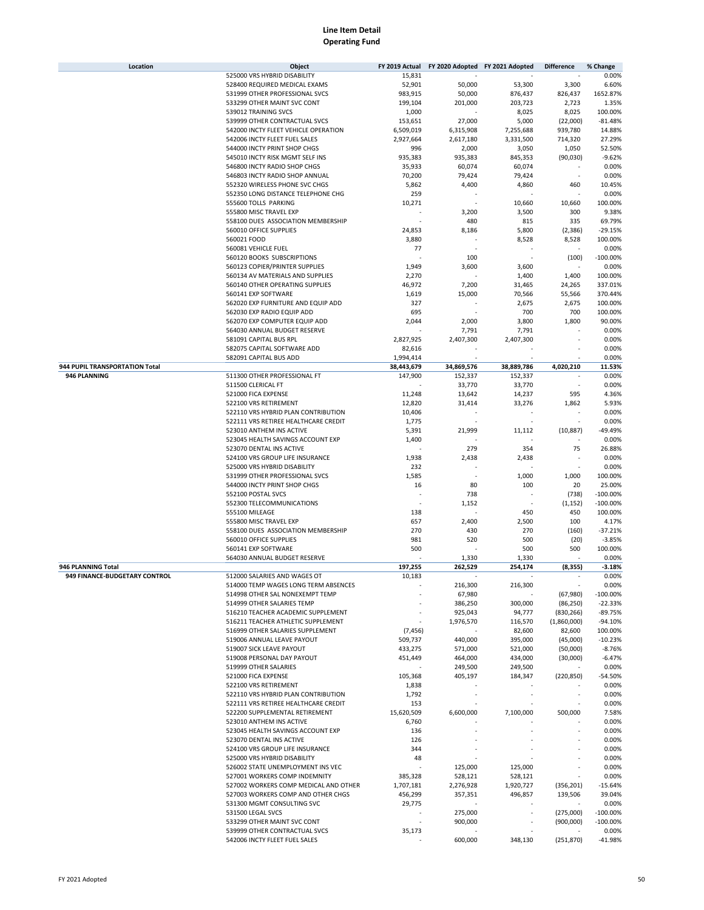| Location                       | Object                                |            | FY 2019 Actual FY 2020 Adopted FY 2021 Adopted |                          | <b>Difference</b> | % Change    |
|--------------------------------|---------------------------------------|------------|------------------------------------------------|--------------------------|-------------------|-------------|
|                                | 525000 VRS HYBRID DISABILITY          | 15,831     |                                                |                          |                   | 0.00%       |
|                                | 528400 REQUIRED MEDICAL EXAMS         | 52,901     | 50,000                                         | 53,300                   | 3,300             | 6.60%       |
|                                | 531999 OTHER PROFESSIONAL SVCS        | 983,915    | 50,000                                         | 876,437                  | 826,437           | 1652.87%    |
|                                | 533299 OTHER MAINT SVC CONT           | 199,104    | 201,000                                        | 203,723                  |                   | 1.35%       |
|                                |                                       |            |                                                |                          | 2,723             |             |
|                                | 539012 TRAINING SVCS                  | 1,000      |                                                | 8,025                    | 8,025             | 100.00%     |
|                                | 539999 OTHER CONTRACTUAL SVCS         | 153,651    | 27,000                                         | 5,000                    | (22,000)          | $-81.48%$   |
|                                | 542000 INCTY FLEET VEHICLE OPERATION  | 6,509,019  | 6,315,908                                      | 7,255,688                | 939,780           | 14.88%      |
|                                | 542006 INCTY FLEET FUEL SALES         | 2,927,664  | 2,617,180                                      | 3,331,500                | 714,320           | 27.29%      |
|                                | 544000 INCTY PRINT SHOP CHGS          | 996        | 2,000                                          | 3,050                    | 1,050             | 52.50%      |
|                                | 545010 INCTY RISK MGMT SELF INS       | 935,383    | 935,383                                        | 845,353                  | (90,030)          | $-9.62%$    |
|                                | 546800 INCTY RADIO SHOP CHGS          | 35,933     | 60,074                                         | 60,074                   |                   | 0.00%       |
|                                | 546803 INCTY RADIO SHOP ANNUAL        | 70,200     | 79,424                                         | 79,424                   |                   | 0.00%       |
|                                | 552320 WIRELESS PHONE SVC CHGS        | 5,862      | 4,400                                          | 4,860                    | 460               | 10.45%      |
|                                | 552350 LONG DISTANCE TELEPHONE CHG    | 259        |                                                |                          |                   | 0.00%       |
|                                | 555600 TOLLS PARKING                  | 10,271     |                                                | 10,660                   | 10,660            | 100.00%     |
|                                | 555800 MISC TRAVEL EXP                |            | 3,200                                          | 3,500                    | 300               | 9.38%       |
|                                | 558100 DUES ASSOCIATION MEMBERSHIP    |            | 480                                            | 815                      | 335               | 69.79%      |
|                                | 560010 OFFICE SUPPLIES                |            |                                                |                          |                   | $-29.15%$   |
|                                |                                       | 24,853     | 8,186                                          | 5,800                    | (2,386)           |             |
|                                | 560021 FOOD                           | 3,880      |                                                | 8,528                    | 8,528             | 100.00%     |
|                                | 560081 VEHICLE FUEL                   | 77         |                                                |                          |                   | 0.00%       |
|                                | 560120 BOOKS SUBSCRIPTIONS            |            | 100                                            |                          | (100)             | $-100.00%$  |
|                                | 560123 COPIER/PRINTER SUPPLIES        | 1,949      | 3,600                                          | 3,600                    |                   | 0.00%       |
|                                | 560134 AV MATERIALS AND SUPPLIES      | 2,270      |                                                | 1,400                    | 1,400             | 100.00%     |
|                                | 560140 OTHER OPERATING SUPPLIES       | 46,972     | 7,200                                          | 31,465                   | 24,265            | 337.01%     |
|                                | 560141 EXP SOFTWARE                   | 1,619      | 15,000                                         | 70,566                   | 55,566            | 370.44%     |
|                                | 562020 EXP FURNITURE AND EQUIP ADD    | 327        |                                                | 2,675                    | 2,675             | 100.00%     |
|                                | 562030 EXP RADIO EQUIP ADD            | 695        |                                                | 700                      | 700               | 100.00%     |
|                                | 562070 EXP COMPUTER EQUIP ADD         | 2,044      | 2,000                                          | 3,800                    | 1,800             | 90.00%      |
|                                | 564030 ANNUAL BUDGET RESERVE          |            | 7,791                                          | 7,791                    |                   | 0.00%       |
|                                | 581091 CAPITAL BUS RPL                | 2,827,925  | 2,407,300                                      | 2,407,300                |                   | 0.00%       |
|                                |                                       |            |                                                |                          |                   |             |
|                                | 582075 CAPITAL SOFTWARE ADD           | 82,616     |                                                |                          |                   | 0.00%       |
|                                | 582091 CAPITAL BUS ADD                | 1,994,414  |                                                |                          |                   | 0.00%       |
| 944 PUPIL TRANSPORTATION Total |                                       | 38,443,679 | 34,869,576                                     | 38,889,786               | 4,020,210         | 11.53%      |
| 946 PLANNING                   | 511300 OTHER PROFESSIONAL FT          | 147,900    | 152,337                                        | 152,337                  |                   | 0.00%       |
|                                | 511500 CLERICAL FT                    |            | 33,770                                         | 33,770                   |                   | 0.00%       |
|                                | 521000 FICA EXPENSE                   | 11,248     | 13,642                                         | 14,237                   | 595               | 4.36%       |
|                                | 522100 VRS RETIREMENT                 | 12,820     | 31,414                                         | 33,276                   | 1,862             | 5.93%       |
|                                | 522110 VRS HYBRID PLAN CONTRIBUTION   | 10,406     |                                                |                          |                   | 0.00%       |
|                                | 522111 VRS RETIREE HEALTHCARE CREDIT  | 1,775      |                                                |                          |                   | 0.00%       |
|                                | 523010 ANTHEM INS ACTIVE              | 5,391      | 21,999                                         | 11,112                   | (10, 887)         | -49.49%     |
|                                | 523045 HEALTH SAVINGS ACCOUNT EXP     | 1,400      |                                                |                          |                   | 0.00%       |
|                                | 523070 DENTAL INS ACTIVE              |            | 279                                            | 354                      | 75                | 26.88%      |
|                                | 524100 VRS GROUP LIFE INSURANCE       | 1,938      | 2,438                                          |                          |                   | 0.00%       |
|                                |                                       |            |                                                | 2,438                    |                   |             |
|                                | 525000 VRS HYBRID DISABILITY          | 232        |                                                |                          |                   | 0.00%       |
|                                | 531999 OTHER PROFESSIONAL SVCS        | 1,585      |                                                | 1,000                    | 1,000             | 100.00%     |
|                                | 544000 INCTY PRINT SHOP CHGS          | 16         | 80                                             | 100                      | 20                | 25.00%      |
|                                | 552100 POSTAL SVCS                    |            | 738                                            |                          | (738)             | $-100.00%$  |
|                                | 552300 TELECOMMUNICATIONS             |            | 1,152                                          | ÷,                       | (1, 152)          | $-100.00%$  |
|                                | 555100 MILEAGE                        | 138        |                                                | 450                      | 450               | 100.00%     |
|                                | 555800 MISC TRAVEL EXP                | 657        | 2,400                                          | 2,500                    | 100               | 4.17%       |
|                                | 558100 DUES ASSOCIATION MEMBERSHIP    | 270        | 430                                            | 270                      | (160)             | $-37.21%$   |
|                                | 560010 OFFICE SUPPLIES                | 981        | 520                                            | 500                      | (20)              | $-3.85%$    |
|                                | 560141 EXP SOFTWARE                   | 500        |                                                | 500                      | 500               | 100.00%     |
|                                | 564030 ANNUAL BUDGET RESERVE          |            | 1,330                                          | 1,330                    |                   | 0.00%       |
| 946 PLANNING Total             |                                       | 197,255    | 262,529                                        | 254,174                  | (8, 355)          | $-3.18%$    |
|                                | 512000 SALARIES AND WAGES OT          |            |                                                |                          |                   | 0.00%       |
| 949 FINANCE-BUDGETARY CONTROL  |                                       | 10,183     |                                                |                          |                   |             |
|                                | 514000 TEMP WAGES LONG TERM ABSENCES  |            | 216,300                                        | 216,300                  |                   | 0.00%       |
|                                | 514998 OTHER SAL NONEXEMPT TEMP       |            | 67,980                                         |                          | (67,980)          | $-100.00\%$ |
|                                | 514999 OTHER SALARIES TEMP            |            | 386,250                                        | 300,000                  | (86, 250)         | $-22.33%$   |
|                                | 516210 TEACHER ACADEMIC SUPPLEMENT    |            | 925,043                                        | 94,777                   | (830, 266)        | $-89.75%$   |
|                                | 516211 TEACHER ATHLETIC SUPPLEMENT    |            | 1,976,570                                      | 116,570                  | (1,860,000)       | $-94.10%$   |
|                                | 516999 OTHER SALARIES SUPPLEMENT      | (7, 456)   |                                                | 82,600                   | 82,600            | 100.00%     |
|                                | 519006 ANNUAL LEAVE PAYOUT            | 509,737    | 440,000                                        | 395,000                  | (45,000)          | $-10.23%$   |
|                                | 519007 SICK LEAVE PAYOUT              | 433,275    | 571,000                                        | 521,000                  | (50,000)          | $-8.76%$    |
|                                | 519008 PERSONAL DAY PAYOUT            | 451,449    | 464,000                                        | 434,000                  | (30,000)          | $-6.47%$    |
|                                | 519999 OTHER SALARIES                 |            | 249,500                                        | 249,500                  |                   | 0.00%       |
|                                | 521000 FICA EXPENSE                   | 105,368    | 405,197                                        | 184,347                  | (220, 850)        | -54.50%     |
|                                | 522100 VRS RETIREMENT                 | 1,838      |                                                |                          |                   | 0.00%       |
|                                | 522110 VRS HYBRID PLAN CONTRIBUTION   | 1,792      |                                                | $\overline{\phantom{a}}$ |                   | 0.00%       |
|                                |                                       |            |                                                |                          |                   |             |
|                                | 522111 VRS RETIREE HEALTHCARE CREDIT  | 153        |                                                |                          |                   | 0.00%       |
|                                | 522200 SUPPLEMENTAL RETIREMENT        | 15,620,509 | 6,600,000                                      | 7,100,000                | 500,000           | 7.58%       |
|                                | 523010 ANTHEM INS ACTIVE              | 6,760      |                                                |                          |                   | 0.00%       |
|                                | 523045 HEALTH SAVINGS ACCOUNT EXP     | 136        |                                                |                          |                   | 0.00%       |
|                                | 523070 DENTAL INS ACTIVE              | 126        |                                                |                          |                   | 0.00%       |
|                                | 524100 VRS GROUP LIFE INSURANCE       | 344        |                                                |                          |                   | 0.00%       |
|                                | 525000 VRS HYBRID DISABILITY          | 48         |                                                |                          |                   | 0.00%       |
|                                | 526002 STATE UNEMPLOYMENT INS VEC     |            | 125,000                                        | 125,000                  |                   | 0.00%       |
|                                | 527001 WORKERS COMP INDEMNITY         | 385,328    | 528,121                                        | 528,121                  |                   | 0.00%       |
|                                | 527002 WORKERS COMP MEDICAL AND OTHER | 1,707,181  | 2,276,928                                      | 1,920,727                | (356, 201)        | $-15.64%$   |
|                                | 527003 WORKERS COMP AND OTHER CHGS    | 456,299    | 357,351                                        | 496,857                  | 139,506           | 39.04%      |
|                                | 531300 MGMT CONSULTING SVC            | 29,775     |                                                |                          |                   | 0.00%       |
|                                | 531500 LEGAL SVCS                     |            | 275,000                                        |                          | (275,000)         | $-100.00\%$ |
|                                |                                       |            | 900,000                                        |                          |                   | $-100.00\%$ |
|                                | 533299 OTHER MAINT SVC CONT           |            |                                                | ٠                        | (900,000)         |             |
|                                | 539999 OTHER CONTRACTUAL SVCS         | 35,173     |                                                |                          |                   | 0.00%       |
|                                | 542006 INCTY FLEET FUEL SALES         |            | 600,000                                        | 348,130                  | (251, 870)        | -41.98%     |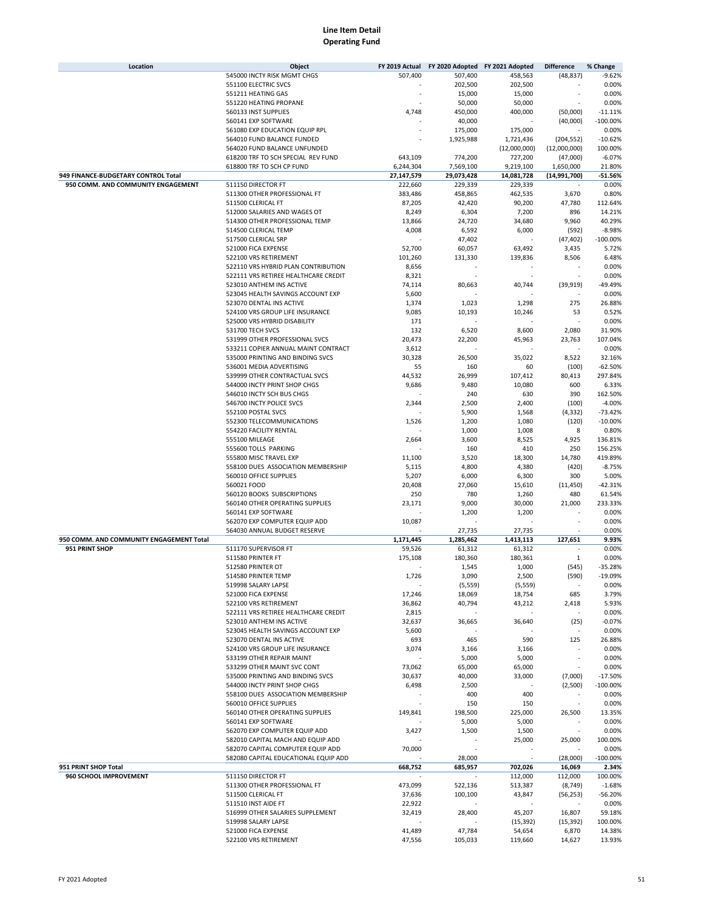| Location                                       | Object                               | FY 2019 Actual | FY 2020 Adopted FY 2021 Adopted |                    | <b>Difference</b> | % Change            |
|------------------------------------------------|--------------------------------------|----------------|---------------------------------|--------------------|-------------------|---------------------|
|                                                | 545000 INCTY RISK MGMT CHGS          | 507,400        | 507,400                         | 458,563            | (48, 837)         | $-9.62%$            |
|                                                | 551100 ELECTRIC SVCS                 |                | 202,500                         | 202,500            |                   | 0.00%               |
|                                                | 551211 HEATING GAS                   |                | 15,000                          | 15,000             |                   | 0.00%               |
|                                                | 551220 HEATING PROPANE               |                | 50,000                          | 50,000             |                   | 0.00%               |
|                                                | 560133 INST SUPPLIES                 | 4,748          | 450,000                         | 400,000            | (50,000)          | $-11.11%$           |
|                                                | 560141 EXP SOFTWARE                  |                | 40,000                          |                    | (40,000)          | $-100.00%$          |
|                                                | 561080 EXP EDUCATION EQUIP RPL       |                | 175,000                         | 175,000            |                   | 0.00%               |
|                                                | 564010 FUND BALANCE FUNDED           |                | 1,925,988                       | 1,721,436          | (204, 552)        | $-10.62%$           |
|                                                | 564020 FUND BALANCE UNFUNDED         |                |                                 | (12,000,000)       | (12,000,000)      | 100.00%             |
|                                                | 618200 TRF TO SCH SPECIAL REV FUND   | 643,109        | 774,200                         | 727,200            | (47,000)          | $-6.07%$            |
|                                                | 618800 TRF TO SCH CP FUND            | 6,244,304      | 7,569,100                       | 9,219,100          | 1,650,000         | 21.80%              |
| 949 FINANCE-BUDGETARY CONTROL Total            |                                      | 27,147,579     | 29,073,428                      | 14,081,728         | (14,991,700)      | -51.56%             |
| 950 COMM. AND COMMUNITY ENGAGEMENT             | 511150 DIRECTOR FT                   | 222,660        | 229,339                         | 229.339            |                   | 0.00%               |
|                                                | 511300 OTHER PROFESSIONAL FT         | 383,486        | 458,865                         | 462,535            | 3,670             | 0.80%               |
|                                                | 511500 CLERICAL FT                   | 87,205         | 42,420                          | 90,200             | 47,780            | 112.64%             |
|                                                | 512000 SALARIES AND WAGES OT         | 8,249          | 6,304                           | 7,200              | 896               | 14.21%              |
|                                                | 514300 OTHER PROFESSIONAL TEMP       | 13,866         | 24,720                          | 34,680             | 9,960             | 40.29%              |
|                                                | 514500 CLERICAL TEMP                 | 4,008          | 6,592                           | 6,000              | (592)             | $-8.98%$            |
|                                                | 517500 CLERICAL SRP                  |                | 47,402                          |                    | (47, 402)         | $-100.00%$          |
|                                                | 521000 FICA EXPENSE                  | 52,700         | 60,057                          | 63,492             | 3,435             | 5.72%               |
|                                                | 522100 VRS RETIREMENT                | 101,260        | 131,330                         | 139,836            | 8,506             | 6.48%               |
|                                                | 522110 VRS HYBRID PLAN CONTRIBUTION  | 8,656          |                                 |                    |                   | 0.00%               |
|                                                | 522111 VRS RETIREE HEALTHCARE CREDIT | 8,321          |                                 |                    | ä,                | 0.00%               |
|                                                | 523010 ANTHEM INS ACTIVE             | 74,114         | 80,663                          | 40,744             | (39, 919)         | -49.49%             |
|                                                | 523045 HEALTH SAVINGS ACCOUNT EXP    | 5,600          |                                 |                    |                   | 0.00%               |
|                                                | 523070 DENTAL INS ACTIVE             | 1,374          | 1,023                           | 1,298              | 275               | 26.88%              |
|                                                | 524100 VRS GROUP LIFE INSURANCE      | 9,085          | 10,193                          | 10,246             | 53                | 0.52%               |
|                                                | 525000 VRS HYBRID DISABILITY         | 171            |                                 |                    |                   | 0.00%               |
|                                                | 531700 TECH SVCS                     | 132            | 6,520                           | 8,600              | 2,080             | 31.90%              |
|                                                | 531999 OTHER PROFESSIONAL SVCS       | 20,473         | 22,200                          | 45,963             | 23,763            | 107.04%             |
|                                                | 533211 COPIER ANNUAL MAINT CONTRACT  | 3,612          |                                 |                    |                   | 0.00%               |
|                                                | 535000 PRINTING AND BINDING SVCS     | 30,328         | 26,500                          | 35,022             | 8,522             | 32.16%              |
|                                                | 536001 MEDIA ADVERTISING             | 55             | 160                             | 60                 | (100)             | $-62.50%$           |
|                                                | 539999 OTHER CONTRACTUAL SVCS        | 44,532         | 26,999                          | 107,412            | 80,413            | 297.84%             |
|                                                | 544000 INCTY PRINT SHOP CHGS         | 9,686          | 9,480                           | 10,080             | 600               | 6.33%               |
|                                                | 546010 INCTY SCH BUS CHGS            |                | 240                             | 630                | 390               | 162.50%             |
|                                                | 546700 INCTY POLICE SVCS             | 2,344          | 2,500                           | 2,400              | (100)             | $-4.00%$            |
|                                                | 552100 POSTAL SVCS                   |                | 5,900                           | 1,568              | (4, 332)          | $-73.42%$           |
|                                                | 552300 TELECOMMUNICATIONS            | 1,526          | 1,200                           | 1,080              | (120)             | $-10.00%$           |
|                                                | 554220 FACILITY RENTAL               |                | 1,000                           | 1,008              | 8                 | 0.80%               |
|                                                | 555100 MILEAGE                       | 2,664          | 3,600                           | 8,525              | 4,925             | 136.81%             |
|                                                | 555600 TOLLS PARKING                 |                | 160                             | 410                | 250               | 156.25%             |
|                                                | 555800 MISC TRAVEL EXP               | 11,100         | 3,520                           | 18,300             | 14,780            | 419.89%             |
|                                                | 558100 DUES ASSOCIATION MEMBERSHIP   | 5,115          | 4,800                           | 4,380              | (420)             | $-8.75%$            |
|                                                | 560010 OFFICE SUPPLIES               | 5,207          | 6,000                           | 6,300              | 300               | 5.00%               |
|                                                | 560021 FOOD                          | 20,408         | 27,060                          | 15,610             | (11, 450)         | $-42.31%$           |
|                                                | 560120 BOOKS SUBSCRIPTIONS           | 250            | 780                             | 1,260              | 480               | 61.54%              |
|                                                | 560140 OTHER OPERATING SUPPLIES      | 23,171         | 9,000                           | 30,000             | 21,000            | 233.33%             |
|                                                | 560141 EXP SOFTWARE                  |                | 1,200                           | 1,200              |                   | 0.00%               |
|                                                | 562070 EXP COMPUTER EQUIP ADD        | 10,087         |                                 |                    |                   | 0.00%               |
|                                                | 564030 ANNUAL BUDGET RESERVE         |                | 27,735                          | 27,735             |                   | 0.00%               |
| 950 COMM. AND COMMUNITY ENGAGEMENT Total       |                                      | 1,171,445      | 1,285,462                       | 1,413,113          | 127,651           | 9.93%               |
| 951 PRINT SHOP                                 | 511170 SUPERVISOR FT                 | 59,526         | 61,312                          | 61,312             |                   | 0.00%               |
|                                                | 511580 PRINTER FT                    | 175,108        | 180,360                         | 180,361            | $\mathbf{1}$      | 0.00%               |
|                                                | 512580 PRINTER OT                    |                | 1,545                           | 1,000              | (545)             | $-35.28%$           |
|                                                | 514580 PRINTER TEMP                  | 1,726          | 3,090                           | 2,500              | (590)             | $-19.09%$           |
|                                                | 519998 SALARY LAPSE                  |                | (5, 559)                        | (5, 559)           | $\sim$            | 0.00%               |
|                                                | 521000 FICA EXPENSE                  | 17,246         | 18,069                          | 18,754             | 685               | 3.79%               |
|                                                | 522100 VRS RETIREMENT                | 36,862         | 40,794                          | 43,212             | 2,418             | 5.93%               |
|                                                | 522111 VRS RETIREE HEALTHCARE CREDIT | 2,815          |                                 |                    |                   | 0.00%               |
|                                                | 523010 ANTHEM INS ACTIVE             | 32,637         | 36,665                          | 36,640             | (25)              | $-0.07%$            |
|                                                | 523045 HEALTH SAVINGS ACCOUNT EXP    | 5,600          |                                 |                    |                   | 0.00%               |
|                                                | 523070 DENTAL INS ACTIVE             | 693            | 465                             | 590                | 125               | 26.88%              |
|                                                | 524100 VRS GROUP LIFE INSURANCE      | 3,074          | 3,166                           | 3,166              |                   | 0.00%               |
|                                                | 533199 OTHER REPAIR MAINT            |                | 5,000                           | 5,000              |                   | 0.00%               |
|                                                | 533299 OTHER MAINT SVC CONT          | 73,062         | 65,000                          | 65,000             |                   | 0.00%               |
|                                                | 535000 PRINTING AND BINDING SVCS     | 30,637         | 40,000                          | 33,000             | (7,000)           | $-17.50%$           |
|                                                | 544000 INCTY PRINT SHOP CHGS         | 6,498          | 2,500                           |                    | (2,500)           | $-100.00%$          |
|                                                | 558100 DUES ASSOCIATION MEMBERSHIP   |                | 400                             | 400                |                   | 0.00%               |
|                                                | 560010 OFFICE SUPPLIES               |                | 150                             | 150                |                   | 0.00%               |
|                                                | 560140 OTHER OPERATING SUPPLIES      | 149,841        | 198,500                         | 225,000            | 26,500            | 13.35%              |
|                                                | 560141 EXP SOFTWARE                  |                | 5,000                           | 5,000              |                   | 0.00%<br>0.00%      |
|                                                | 562070 EXP COMPUTER EQUIP ADD        | 3,427          | 1,500                           | 1,500              |                   |                     |
|                                                | 582010 CAPITAL MACH AND EQUIP ADD    |                |                                 | 25,000             | 25,000            | 100.00%             |
|                                                | 582070 CAPITAL COMPUTER EQUIP ADD    | 70,000         |                                 |                    |                   | 0.00%               |
|                                                | 582080 CAPITAL EDUCATIONAL EQUIP ADD |                | 28,000                          |                    | (28,000)          | $-100.00%$<br>2.34% |
| 951 PRINT SHOP Total<br>960 SCHOOL IMPROVEMENT | 511150 DIRECTOR FT                   | 668,752        | 685,957                         | 702,026<br>112,000 | 16,069<br>112,000 | 100.00%             |
|                                                | 511300 OTHER PROFESSIONAL FT         | 473,099        | 522,136                         | 513,387            | (8, 749)          | $-1.68%$            |
|                                                | 511500 CLERICAL FT                   | 37,636         | 100,100                         | 43,847             | (56, 253)         | $-56.20%$           |
|                                                | 511510 INST AIDE FT                  | 22,922         |                                 |                    |                   | 0.00%               |
|                                                | 516999 OTHER SALARIES SUPPLEMENT     | 32,419         | 28,400                          | 45,207             | 16,807            | 59.18%              |
|                                                | 519998 SALARY LAPSE                  |                |                                 | (15, 392)          | (15, 392)         | 100.00%             |
|                                                | 521000 FICA EXPENSE                  | 41,489         | 47,784                          | 54,654             | 6,870             | 14.38%              |
|                                                | 522100 VRS RETIREMENT                | 47,556         | 105,033                         | 119,660            | 14,627            | 13.93%              |
|                                                |                                      |                |                                 |                    |                   |                     |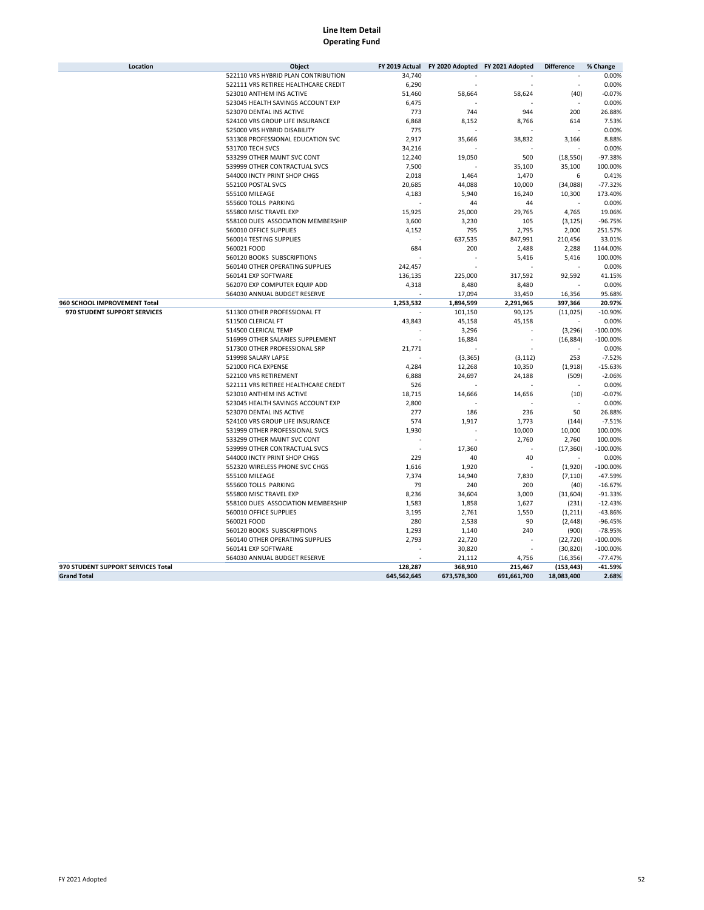| Location                           | Object                               | FY 2019 Actual | FY 2020 Adopted FY 2021 Adopted |             | <b>Difference</b> | % Change   |
|------------------------------------|--------------------------------------|----------------|---------------------------------|-------------|-------------------|------------|
|                                    | 522110 VRS HYBRID PLAN CONTRIBUTION  | 34,740         |                                 |             |                   | 0.00%      |
|                                    | 522111 VRS RETIREE HEALTHCARE CREDIT | 6,290          |                                 |             |                   | 0.00%      |
|                                    | 523010 ANTHEM INS ACTIVE             | 51,460         | 58,664                          | 58,624      | (40)              | $-0.07%$   |
|                                    | 523045 HEALTH SAVINGS ACCOUNT EXP    | 6,475          |                                 |             |                   | 0.00%      |
|                                    | 523070 DENTAL INS ACTIVE             | 773            | 744                             | 944         | 200               | 26.88%     |
|                                    | 524100 VRS GROUP LIFE INSURANCE      | 6,868          | 8,152                           | 8,766       | 614               | 7.53%      |
|                                    | 525000 VRS HYBRID DISABILITY         | 775            |                                 |             |                   | 0.00%      |
|                                    | 531308 PROFESSIONAL EDUCATION SVC    | 2,917          | 35,666                          | 38,832      | 3,166             | 8.88%      |
|                                    | 531700 TECH SVCS                     | 34,216         |                                 |             |                   | 0.00%      |
|                                    | 533299 OTHER MAINT SVC CONT          | 12,240         | 19,050                          | 500         | (18, 550)         | $-97.38%$  |
|                                    | 539999 OTHER CONTRACTUAL SVCS        | 7,500          |                                 | 35,100      | 35,100            | 100.00%    |
|                                    | 544000 INCTY PRINT SHOP CHGS         | 2,018          | 1,464                           | 1,470       | 6                 | 0.41%      |
|                                    | 552100 POSTAL SVCS                   | 20,685         | 44,088                          | 10,000      | (34,088)          | $-77.32%$  |
|                                    | 555100 MILEAGE                       | 4,183          | 5,940                           | 16,240      | 10,300            | 173.40%    |
|                                    | 555600 TOLLS PARKING                 |                | 44                              | 44          |                   | 0.00%      |
|                                    | 555800 MISC TRAVEL EXP               | 15,925         | 25,000                          | 29,765      | 4,765             | 19.06%     |
|                                    | 558100 DUES ASSOCIATION MEMBERSHIP   | 3,600          | 3,230                           | 105         | (3, 125)          | $-96.75%$  |
|                                    | 560010 OFFICE SUPPLIES               | 4,152          | 795                             | 2,795       | 2,000             | 251.57%    |
|                                    | 560014 TESTING SUPPLIES              |                | 637,535                         | 847,991     | 210,456           | 33.01%     |
|                                    | 560021 FOOD                          | 684            | 200                             |             | 2,288             | 1144.00%   |
|                                    |                                      |                |                                 | 2,488       |                   |            |
|                                    | 560120 BOOKS SUBSCRIPTIONS           |                |                                 | 5,416       | 5,416             | 100.00%    |
|                                    | 560140 OTHER OPERATING SUPPLIES      | 242,457        |                                 |             |                   | 0.00%      |
|                                    | 560141 EXP SOFTWARE                  | 136,135        | 225,000                         | 317,592     | 92,592            | 41.15%     |
|                                    | 562070 EXP COMPUTER EQUIP ADD        | 4,318          | 8,480                           | 8,480       |                   | 0.00%      |
|                                    | 564030 ANNUAL BUDGET RESERVE         |                | 17,094                          | 33,450      | 16,356            | 95.68%     |
| 960 SCHOOL IMPROVEMENT Total       |                                      | 1,253,532      | 1,894,599                       | 2,291,965   | 397,366           | 20.97%     |
| 970 STUDENT SUPPORT SERVICES       | 511300 OTHER PROFESSIONAL FT         |                | 101,150                         | 90,125      | (11, 025)         | $-10.90%$  |
|                                    | 511500 CLERICAL FT                   | 43,843         | 45,158                          | 45,158      |                   | 0.00%      |
|                                    | 514500 CLERICAL TEMP                 |                | 3,296                           |             | (3, 296)          | $-100.00%$ |
|                                    | 516999 OTHER SALARIES SUPPLEMENT     |                | 16,884                          |             | (16, 884)         | $-100.00%$ |
|                                    | 517300 OTHER PROFESSIONAL SRP        | 21,771         |                                 |             |                   | 0.00%      |
|                                    | 519998 SALARY LAPSE                  |                | (3, 365)                        | (3, 112)    | 253               | $-7.52%$   |
|                                    | 521000 FICA EXPENSE                  | 4,284          | 12,268                          | 10,350      | (1,918)           | $-15.63%$  |
|                                    | 522100 VRS RETIREMENT                | 6,888          | 24,697                          | 24,188      | (509)             | $-2.06%$   |
|                                    | 522111 VRS RETIREE HEALTHCARE CREDIT | 526            |                                 |             |                   | 0.00%      |
|                                    | 523010 ANTHEM INS ACTIVE             | 18,715         | 14,666                          | 14,656      | (10)              | $-0.07%$   |
|                                    | 523045 HEALTH SAVINGS ACCOUNT EXP    | 2,800          |                                 |             |                   | 0.00%      |
|                                    | 523070 DENTAL INS ACTIVE             | 277            | 186                             | 236         | 50                | 26.88%     |
|                                    | 524100 VRS GROUP LIFE INSURANCE      | 574            | 1,917                           | 1,773       | (144)             | $-7.51%$   |
|                                    | 531999 OTHER PROFESSIONAL SVCS       | 1,930          |                                 | 10,000      | 10,000            | 100.00%    |
|                                    | 533299 OTHER MAINT SVC CONT          |                |                                 | 2,760       | 2,760             | 100.00%    |
|                                    | 539999 OTHER CONTRACTUAL SVCS        |                | 17,360                          |             | (17, 360)         | $-100.00%$ |
|                                    | 544000 INCTY PRINT SHOP CHGS         | 229            | 40                              | 40          |                   | 0.00%      |
|                                    | 552320 WIRELESS PHONE SVC CHGS       | 1,616          | 1,920                           |             | (1,920)           | $-100.00%$ |
|                                    | 555100 MILEAGE                       | 7,374          | 14,940                          | 7,830       | (7, 110)          | $-47.59%$  |
|                                    | 555600 TOLLS PARKING                 | 79             | 240                             | 200         | (40)              | $-16.67%$  |
|                                    | 555800 MISC TRAVEL EXP               | 8,236          | 34,604                          | 3,000       | (31,604)          | $-91.33%$  |
|                                    | 558100 DUES ASSOCIATION MEMBERSHIP   | 1,583          | 1,858                           | 1,627       | (231)             | $-12.43%$  |
|                                    | 560010 OFFICE SUPPLIES               | 3,195          | 2,761                           | 1,550       | (1,211)           | $-43.86%$  |
|                                    | 560021 FOOD                          | 280            | 2,538                           | 90          | (2, 448)          | $-96.45%$  |
|                                    | 560120 BOOKS SUBSCRIPTIONS           | 1,293          | 1,140                           | 240         | (900)             | $-78.95%$  |
|                                    | 560140 OTHER OPERATING SUPPLIES      | 2,793          | 22,720                          |             | (22, 720)         | $-100.00%$ |
|                                    | 560141 EXP SOFTWARE                  |                | 30,820                          |             | (30, 820)         | $-100.00%$ |
|                                    | 564030 ANNUAL BUDGET RESERVE         |                | 21,112                          | 4,756       | (16, 356)         | $-77.47%$  |
| 970 STUDENT SUPPORT SERVICES Total |                                      | 128.287        | 368,910                         | 215,467     | (153, 443)        | $-41.59%$  |
| <b>Grand Total</b>                 |                                      | 645,562,645    | 673,578,300                     | 691,661,700 | 18,083,400        | 2.68%      |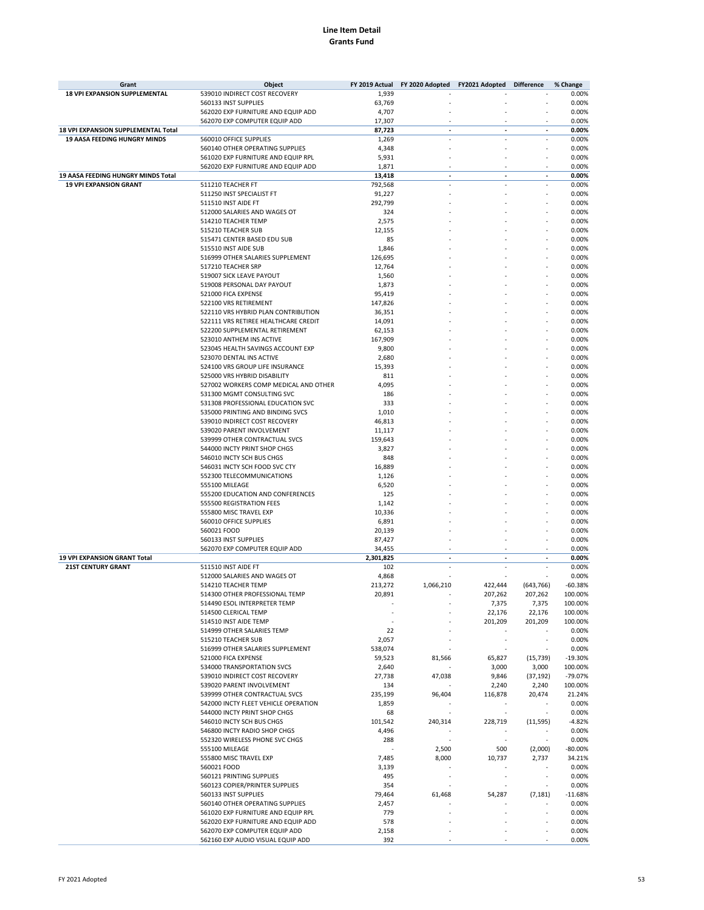| Grant                                | Object                                |           | FY 2019 Actual FY 2020 Adopted FY2021 Adopted Difference |                          |                          | % Change  |
|--------------------------------------|---------------------------------------|-----------|----------------------------------------------------------|--------------------------|--------------------------|-----------|
| <b>18 VPI EXPANSION SUPPLEMENTAL</b> | 539010 INDIRECT COST RECOVERY         | 1,939     |                                                          |                          |                          | 0.00%     |
|                                      | 560133 INST SUPPLIES                  | 63,769    |                                                          |                          |                          | 0.00%     |
|                                      | 562020 EXP FURNITURE AND EQUIP ADD    | 4,707     |                                                          |                          |                          | 0.00%     |
|                                      | 562070 EXP COMPUTER EQUIP ADD         | 17,307    |                                                          |                          |                          | 0.00%     |
| 18 VPI EXPANSION SUPPLEMENTAL Total  |                                       | 87,723    | $\overline{a}$                                           | $\overline{\phantom{a}}$ | $\overline{a}$           | 0.00%     |
| <b>19 AASA FEEDING HUNGRY MINDS</b>  | 560010 OFFICE SUPPLIES                | 1,269     |                                                          |                          | ×,                       | 0.00%     |
|                                      |                                       |           |                                                          |                          |                          |           |
|                                      | 560140 OTHER OPERATING SUPPLIES       | 4,348     |                                                          |                          |                          | 0.00%     |
|                                      | 561020 EXP FURNITURE AND EQUIP RPL    | 5,931     |                                                          |                          |                          | 0.00%     |
|                                      | 562020 EXP FURNITURE AND EQUIP ADD    | 1,871     |                                                          |                          |                          | 0.00%     |
| 19 AASA FEEDING HUNGRY MINDS Total   |                                       | 13,418    |                                                          |                          | $\overline{\phantom{a}}$ | 0.00%     |
| <b>19 VPI EXPANSION GRANT</b>        | 511210 TEACHER FT                     | 792,568   |                                                          |                          |                          | 0.00%     |
|                                      | 511250 INST SPECIALIST FT             | 91,227    |                                                          |                          |                          | 0.00%     |
|                                      | 511510 INST AIDE FT                   | 292,799   |                                                          |                          |                          | 0.00%     |
|                                      | 512000 SALARIES AND WAGES OT          | 324       |                                                          |                          |                          | 0.00%     |
|                                      | 514210 TEACHER TEMP                   | 2,575     |                                                          |                          |                          | 0.00%     |
|                                      | 515210 TEACHER SUB                    | 12,155    |                                                          |                          |                          | 0.00%     |
|                                      |                                       |           |                                                          |                          |                          | 0.00%     |
|                                      | 515471 CENTER BASED EDU SUB           | 85        |                                                          |                          |                          |           |
|                                      | 515510 INST AIDE SUB                  | 1,846     |                                                          |                          |                          | 0.00%     |
|                                      | 516999 OTHER SALARIES SUPPLEMENT      | 126,695   |                                                          |                          |                          | 0.00%     |
|                                      | 517210 TEACHER SRP                    | 12,764    |                                                          |                          |                          | 0.00%     |
|                                      | 519007 SICK LEAVE PAYOUT              | 1,560     |                                                          |                          |                          | 0.00%     |
|                                      | 519008 PERSONAL DAY PAYOUT            | 1,873     |                                                          |                          |                          | 0.00%     |
|                                      | 521000 FICA EXPENSE                   | 95,419    |                                                          |                          |                          | 0.00%     |
|                                      | 522100 VRS RETIREMENT                 | 147,826   |                                                          |                          |                          | 0.00%     |
|                                      | 522110 VRS HYBRID PLAN CONTRIBUTION   | 36,351    |                                                          |                          |                          | 0.00%     |
|                                      | 522111 VRS RETIREE HEALTHCARE CREDIT  | 14,091    |                                                          |                          |                          | 0.00%     |
|                                      |                                       |           |                                                          |                          |                          |           |
|                                      | 522200 SUPPLEMENTAL RETIREMENT        | 62,153    |                                                          |                          |                          | 0.00%     |
|                                      | 523010 ANTHEM INS ACTIVE              | 167,909   |                                                          |                          |                          | 0.00%     |
|                                      | 523045 HEALTH SAVINGS ACCOUNT EXP     | 9,800     |                                                          |                          |                          | 0.00%     |
|                                      | 523070 DENTAL INS ACTIVE              | 2,680     |                                                          |                          |                          | 0.00%     |
|                                      | 524100 VRS GROUP LIFE INSURANCE       | 15,393    |                                                          |                          |                          | 0.00%     |
|                                      | 525000 VRS HYBRID DISABILITY          | 811       |                                                          |                          |                          | 0.00%     |
|                                      | 527002 WORKERS COMP MEDICAL AND OTHER | 4,095     |                                                          |                          |                          | 0.00%     |
|                                      | 531300 MGMT CONSULTING SVC            | 186       |                                                          |                          |                          | 0.00%     |
|                                      | 531308 PROFESSIONAL EDUCATION SVC     | 333       |                                                          |                          |                          | 0.00%     |
|                                      |                                       |           |                                                          |                          |                          |           |
|                                      | 535000 PRINTING AND BINDING SVCS      | 1,010     |                                                          |                          |                          | 0.00%     |
|                                      | 539010 INDIRECT COST RECOVERY         | 46,813    |                                                          |                          |                          | 0.00%     |
|                                      | 539020 PARENT INVOLVEMENT             | 11,117    |                                                          |                          |                          | 0.00%     |
|                                      | 539999 OTHER CONTRACTUAL SVCS         | 159,643   |                                                          |                          |                          | 0.00%     |
|                                      | 544000 INCTY PRINT SHOP CHGS          | 3,827     |                                                          |                          |                          | 0.00%     |
|                                      | 546010 INCTY SCH BUS CHGS             | 848       |                                                          |                          |                          | 0.00%     |
|                                      | 546031 INCTY SCH FOOD SVC CTY         | 16,889    |                                                          |                          |                          | 0.00%     |
|                                      | 552300 TELECOMMUNICATIONS             | 1,126     |                                                          |                          |                          | 0.00%     |
|                                      | 555100 MILEAGE                        | 6,520     |                                                          |                          |                          | 0.00%     |
|                                      | 555200 EDUCATION AND CONFERENCES      | 125       |                                                          |                          |                          | 0.00%     |
|                                      |                                       |           |                                                          |                          |                          |           |
|                                      | 555500 REGISTRATION FEES              | 1,142     |                                                          |                          |                          | 0.00%     |
|                                      | 555800 MISC TRAVEL EXP                | 10,336    |                                                          |                          |                          | 0.00%     |
|                                      | 560010 OFFICE SUPPLIES                | 6,891     |                                                          |                          |                          | 0.00%     |
|                                      | 560021 FOOD                           | 20,139    |                                                          |                          |                          | 0.00%     |
|                                      | 560133 INST SUPPLIES                  | 87,427    |                                                          |                          |                          | 0.00%     |
|                                      | 562070 EXP COMPUTER EQUIP ADD         | 34,455    |                                                          |                          |                          | 0.00%     |
| 19 VPI EXPANSION GRANT Total         |                                       | 2,301,825 |                                                          |                          | $\overline{\phantom{a}}$ | 0.00%     |
| <b>21ST CENTURY GRANT</b>            | 511510 INST AIDE FT                   | 102       |                                                          | ä,                       | ٠                        | 0.00%     |
|                                      | 512000 SALARIES AND WAGES OT          | 4,868     |                                                          |                          |                          | 0.00%     |
|                                      |                                       |           |                                                          |                          |                          |           |
|                                      | 514210 TEACHER TEMP                   | 213,272   | 1,066,210                                                | 422,444                  | (643, 766)               | $-60.38%$ |
|                                      | 514300 OTHER PROFESSIONAL TEMP        | 20,891    |                                                          | 207,262                  | 207,262                  | 100.00%   |
|                                      | 514490 ESOL INTERPRETER TEMP          |           |                                                          | 7,375                    | 7,375                    | 100.00%   |
|                                      | 514500 CLERICAL TEMP                  |           |                                                          | 22,176                   | 22,176                   | 100.00%   |
|                                      | 514510 INST AIDE TEMP                 |           |                                                          | 201,209                  | 201,209                  | 100.00%   |
|                                      | 514999 OTHER SALARIES TEMP            | 22        |                                                          |                          |                          | 0.00%     |
|                                      | 515210 TEACHER SUB                    | 2,057     |                                                          |                          | ٠                        | 0.00%     |
|                                      | 516999 OTHER SALARIES SUPPLEMENT      | 538,074   |                                                          | ÷,                       |                          | 0.00%     |
|                                      | 521000 FICA EXPENSE                   | 59,523    | 81,566                                                   | 65,827                   | (15, 739)                | $-19.30%$ |
|                                      | 534000 TRANSPORTATION SVCS            | 2,640     |                                                          | 3,000                    | 3,000                    | 100.00%   |
|                                      | 539010 INDIRECT COST RECOVERY         |           |                                                          |                          |                          |           |
|                                      |                                       | 27,738    | 47,038                                                   | 9,846                    | (37, 192)                | -79.07%   |
|                                      | 539020 PARENT INVOLVEMENT             | 134       |                                                          | 2,240                    | 2,240                    | 100.00%   |
|                                      | 539999 OTHER CONTRACTUAL SVCS         | 235,199   | 96,404                                                   | 116,878                  | 20,474                   | 21.24%    |
|                                      | 542000 INCTY FLEET VEHICLE OPERATION  | 1,859     |                                                          |                          |                          | 0.00%     |
|                                      | 544000 INCTY PRINT SHOP CHGS          | 68        | ÷                                                        | $\overline{\phantom{a}}$ | $\overline{\phantom{a}}$ | 0.00%     |
|                                      | 546010 INCTY SCH BUS CHGS             | 101,542   | 240,314                                                  | 228,719                  | (11, 595)                | $-4.82%$  |
|                                      | 546800 INCTY RADIO SHOP CHGS          | 4,496     |                                                          |                          |                          | 0.00%     |
|                                      | 552320 WIRELESS PHONE SVC CHGS        | 288       | ٠                                                        | ٠.                       | $\overline{\phantom{a}}$ | 0.00%     |
|                                      | 555100 MILEAGE                        |           | 2,500                                                    | 500                      | (2,000)                  | $-80.00%$ |
|                                      | 555800 MISC TRAVEL EXP                | 7,485     | 8,000                                                    | 10,737                   | 2,737                    | 34.21%    |
|                                      |                                       |           |                                                          |                          |                          |           |
|                                      | 560021 FOOD                           | 3,139     |                                                          |                          | $\sim$                   | 0.00%     |
|                                      | 560121 PRINTING SUPPLIES              | 495       |                                                          |                          |                          | 0.00%     |
|                                      | 560123 COPIER/PRINTER SUPPLIES        | 354       |                                                          |                          | J.                       | 0.00%     |
|                                      | 560133 INST SUPPLIES                  | 79,464    | 61,468                                                   | 54,287                   | (7, 181)                 | $-11.68%$ |
|                                      | 560140 OTHER OPERATING SUPPLIES       | 2,457     |                                                          |                          |                          | 0.00%     |
|                                      | 561020 EXP FURNITURE AND EQUIP RPL    | 779       |                                                          |                          | ł.                       | 0.00%     |
|                                      | 562020 EXP FURNITURE AND EQUIP ADD    | 578       |                                                          |                          |                          | 0.00%     |
|                                      | 562070 EXP COMPUTER EQUIP ADD         | 2,158     |                                                          |                          |                          | 0.00%     |
|                                      | 562160 EXP AUDIO VISUAL EQUIP ADD     | 392       |                                                          |                          |                          | 0.00%     |
|                                      |                                       |           |                                                          |                          |                          |           |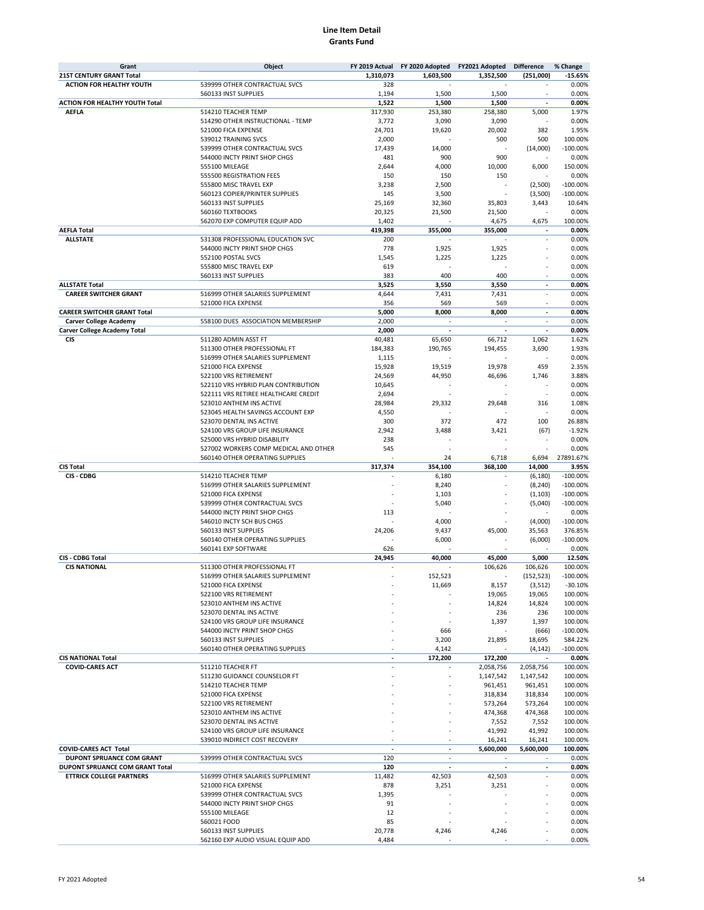| Grant                                 | Object                                | FY 2019 Actual | FY 2020 Adopted          | FY2021 Adopted           | <b>Difference</b>        | % Change   |
|---------------------------------------|---------------------------------------|----------------|--------------------------|--------------------------|--------------------------|------------|
| <b>21ST CENTURY GRANT Total</b>       |                                       | 1,310,073      | 1,603,500                | 1,352,500                | (251,000)                | $-15.65%$  |
| <b>ACTION FOR HEALTHY YOUTH</b>       | 539999 OTHER CONTRACTUAL SVCS         | 328            |                          |                          |                          | 0.00%      |
|                                       | 560133 INST SUPPLIES                  | 1,194          | 1,500                    | 1,500                    |                          | 0.00%      |
|                                       |                                       |                |                          |                          |                          |            |
| <b>ACTION FOR HEALTHY YOUTH Total</b> |                                       | 1,522          | 1,500                    | 1,500                    | $\overline{\phantom{a}}$ | 0.00%      |
| <b>AEFLA</b>                          | 514210 TEACHER TEMP                   | 317,930        | 253,380                  | 258,380                  | 5,000                    | 1.97%      |
|                                       | 514290 OTHER INSTRUCTIONAL - TEMP     | 3,772          | 3,090                    | 3,090                    | J.                       | 0.00%      |
|                                       | 521000 FICA EXPENSE                   | 24,701         | 19,620                   | 20,002                   | 382                      | 1.95%      |
|                                       | 539012 TRAINING SVCS                  | 2,000          |                          | 500                      | 500                      | 100.00%    |
|                                       |                                       |                |                          |                          |                          |            |
|                                       | 539999 OTHER CONTRACTUAL SVCS         | 17,439         | 14,000                   |                          | (14,000)                 | $-100.00%$ |
|                                       | 544000 INCTY PRINT SHOP CHGS          | 481            | 900                      | 900                      |                          | 0.00%      |
|                                       | 555100 MILEAGE                        | 2,644          | 4,000                    | 10,000                   | 6,000                    | 150.00%    |
|                                       | 555500 REGISTRATION FEES              | 150            | 150                      | 150                      |                          | 0.00%      |
|                                       | 555800 MISC TRAVEL EXP                | 3,238          | 2,500                    |                          | (2,500)                  | $-100.00%$ |
|                                       | 560123 COPIER/PRINTER SUPPLIES        | 145            | 3,500                    |                          | (3,500)                  | $-100.00%$ |
|                                       |                                       |                |                          |                          |                          |            |
|                                       | 560133 INST SUPPLIES                  | 25,169         | 32,360                   | 35,803                   | 3,443                    | 10.64%     |
|                                       | 560160 TEXTBOOKS                      | 20,325         | 21,500                   | 21,500                   |                          | 0.00%      |
|                                       | 562070 EXP COMPUTER EQUIP ADD         | 1,402          |                          | 4,675                    | 4,675                    | 100.00%    |
| <b>AEFLA Total</b>                    |                                       | 419,398        | 355,000                  | 355,000                  | $\overline{\phantom{a}}$ | 0.00%      |
| <b>ALLSTATE</b>                       | 531308 PROFESSIONAL EDUCATION SVC     | 200            |                          |                          |                          | 0.00%      |
|                                       |                                       |                |                          |                          |                          |            |
|                                       | 544000 INCTY PRINT SHOP CHGS          | 778            | 1,925                    | 1,925                    |                          | 0.00%      |
|                                       | 552100 POSTAL SVCS                    | 1,545          | 1,225                    | 1,225                    |                          | 0.00%      |
|                                       | 555800 MISC TRAVEL EXP                | 619            |                          |                          |                          | 0.00%      |
|                                       | 560133 INST SUPPLIES                  | 383            | 400                      | 400                      | ٠                        | 0.00%      |
| <b>ALLSTATE Total</b>                 |                                       | 3,525          | 3,550                    | 3,550                    | ÷,                       | 0.00%      |
| <b>CAREER SWITCHER GRANT</b>          | 516999 OTHER SALARIES SUPPLEMENT      | 4,644          | 7,431                    | 7,431                    | $\overline{\phantom{a}}$ | 0.00%      |
|                                       |                                       |                |                          |                          |                          |            |
|                                       | 521000 FICA EXPENSE                   | 356            | 569                      | 569                      | $\sim$                   | 0.00%      |
| <b>CAREER SWITCHER GRANT Total</b>    |                                       | 5,000          | 8,000                    | 8,000                    | $\overline{\phantom{a}}$ | 0.00%      |
| <b>Carver College Academy</b>         | 558100 DUES ASSOCIATION MEMBERSHIP    | 2,000          | ÷.                       | $\overline{\phantom{a}}$ | $\overline{\phantom{a}}$ | 0.00%      |
| <b>Carver College Academy Total</b>   |                                       | 2,000          |                          | $\overline{\phantom{a}}$ | $\overline{\phantom{a}}$ | 0.00%      |
| <b>CIS</b>                            | 511280 ADMIN ASST FT                  | 40,481         | 65,650                   | 66,712                   | 1,062                    | 1.62%      |
|                                       |                                       |                |                          |                          |                          |            |
|                                       | 511300 OTHER PROFESSIONAL FT          | 184,383        | 190,765                  | 194,455                  | 3,690                    | 1.93%      |
|                                       | 516999 OTHER SALARIES SUPPLEMENT      | 1,115          |                          |                          |                          | 0.00%      |
|                                       | 521000 FICA EXPENSE                   | 15,928         | 19,519                   | 19,978                   | 459                      | 2.35%      |
|                                       | 522100 VRS RETIREMENT                 | 24,569         | 44,950                   | 46,696                   | 1,746                    | 3.88%      |
|                                       | 522110 VRS HYBRID PLAN CONTRIBUTION   | 10,645         |                          |                          |                          | 0.00%      |
|                                       |                                       |                |                          |                          |                          |            |
|                                       | 522111 VRS RETIREE HEALTHCARE CREDIT  | 2,694          |                          |                          |                          | 0.00%      |
|                                       | 523010 ANTHEM INS ACTIVE              | 28,984         | 29,332                   | 29,648                   | 316                      | 1.08%      |
|                                       | 523045 HEALTH SAVINGS ACCOUNT EXP     | 4,550          |                          |                          |                          | 0.00%      |
|                                       | 523070 DENTAL INS ACTIVE              | 300            | 372                      | 472                      | 100                      | 26.88%     |
|                                       | 524100 VRS GROUP LIFE INSURANCE       | 2,942          | 3,488                    | 3,421                    | (67)                     | $-1.92%$   |
|                                       |                                       | 238            |                          |                          |                          | 0.00%      |
|                                       | 525000 VRS HYBRID DISABILITY          |                |                          |                          |                          |            |
|                                       | 527002 WORKERS COMP MEDICAL AND OTHER | 545            |                          |                          | ÷,                       | 0.00%      |
|                                       | 560140 OTHER OPERATING SUPPLIES       |                | 24                       | 6,718                    | 6,694                    | 27891.67%  |
| <b>CIS Total</b>                      |                                       | 317,374        | 354,100                  | 368,100                  | 14,000                   | 3.95%      |
| CIS - CDBG                            | 514210 TEACHER TEMP                   |                | 6,180                    |                          | (6, 180)                 | $-100.00%$ |
|                                       | 516999 OTHER SALARIES SUPPLEMENT      |                | 8,240                    |                          | (8, 240)                 | $-100.00%$ |
|                                       |                                       |                |                          |                          |                          |            |
|                                       | 521000 FICA EXPENSE                   |                | 1,103                    |                          | (1, 103)                 | $-100.00%$ |
|                                       | 539999 OTHER CONTRACTUAL SVCS         |                | 5,040                    |                          | (5,040)                  | $-100.00%$ |
|                                       | 544000 INCTY PRINT SHOP CHGS          | 113            |                          |                          |                          | 0.00%      |
|                                       | 546010 INCTY SCH BUS CHGS             |                | 4,000                    |                          | (4,000)                  | $-100.00%$ |
|                                       | 560133 INST SUPPLIES                  | 24,206         | 9,437                    | 45,000                   | 35,563                   | 376.85%    |
|                                       |                                       |                |                          |                          |                          |            |
|                                       | 560140 OTHER OPERATING SUPPLIES       |                | 6,000                    |                          | (6,000)                  | $-100.00%$ |
|                                       | 560141 EXP SOFTWARE                   | 626            |                          |                          |                          | 0.00%      |
| CIS - CDBG Total                      |                                       | 24,945         | 40,000                   | 45,000                   | 5,000                    | 12.50%     |
| <b>CIS NATIONAL</b>                   | 511300 OTHER PROFESSIONAL FT          |                |                          | 106,626                  | 106,626                  | 100.00%    |
|                                       | 516999 OTHER SALARIES SUPPLEMENT      |                | 152,523                  |                          | (152, 523)               | $-100.00%$ |
|                                       | 521000 FICA EXPENSE                   |                | 11,669                   | 8,157                    |                          | $-30.10%$  |
|                                       |                                       |                |                          |                          | (3,512)                  |            |
|                                       | 522100 VRS RETIREMENT                 |                |                          | 19,065                   | 19,065                   | 100.00%    |
|                                       | 523010 ANTHEM INS ACTIVE              |                |                          | 14,824                   | 14,824                   | 100.00%    |
|                                       | 523070 DENTAL INS ACTIVE              |                |                          | 236                      | 236                      | 100.00%    |
|                                       | 524100 VRS GROUP LIFE INSURANCE       |                |                          | 1,397                    | 1,397                    | 100.00%    |
|                                       | 544000 INCTY PRINT SHOP CHGS          |                | 666                      |                          | (666)                    | $-100.00%$ |
|                                       |                                       |                |                          |                          |                          |            |
|                                       | 560133 INST SUPPLIES                  |                | 3,200                    | 21,895                   | 18,695                   | 584.22%    |
|                                       | 560140 OTHER OPERATING SUPPLIES       |                | 4,142                    |                          | (4, 142)                 | $-100.00%$ |
| <b>CIS NATIONAL Total</b>             |                                       |                | 172,200                  | 172,200                  | $\overline{\phantom{a}}$ | 0.00%      |
| <b>COVID-CARES ACT</b>                | 511210 TEACHER FT                     |                |                          | 2,058,756                | 2,058,756                | 100.00%    |
|                                       | 511230 GUIDANCE COUNSELOR FT          |                |                          | 1,147,542                | 1,147,542                | 100.00%    |
|                                       |                                       |                |                          |                          |                          |            |
|                                       | 514210 TEACHER TEMP                   |                |                          | 961,451                  | 961,451                  | 100.00%    |
|                                       | 521000 FICA EXPENSE                   |                |                          | 318,834                  | 318,834                  | 100.00%    |
|                                       | 522100 VRS RETIREMENT                 |                |                          | 573,264                  | 573,264                  | 100.00%    |
|                                       | 523010 ANTHEM INS ACTIVE              |                |                          | 474,368                  | 474,368                  | 100.00%    |
|                                       | 523070 DENTAL INS ACTIVE              |                |                          | 7,552                    | 7,552                    | 100.00%    |
|                                       |                                       |                |                          |                          |                          |            |
|                                       | 524100 VRS GROUP LIFE INSURANCE       |                |                          | 41,992                   | 41,992                   | 100.00%    |
|                                       | 539010 INDIRECT COST RECOVERY         |                |                          | 16,241                   | 16,241                   | 100.00%    |
| <b>COVID-CARES ACT Total</b>          |                                       | $\overline{a}$ | $\overline{\phantom{a}}$ | 5,600,000                | 5,600,000                | 100.00%    |
| DUPONT SPRUANCE COM GRANT             | 539999 OTHER CONTRACTUAL SVCS         | 120            | $\sim$                   | $\overline{\phantom{a}}$ | $\overline{\phantom{a}}$ | 0.00%      |
| DUPONT SPRUANCE COM GRANT Total       |                                       | 120            |                          | $\overline{\phantom{a}}$ |                          | 0.00%      |
| <b>ETTRICK COLLEGE PARTNERS</b>       | 516999 OTHER SALARIES SUPPLEMENT      | 11,482         | 42,503                   | 42,503                   |                          | 0.00%      |
|                                       |                                       |                |                          |                          |                          |            |
|                                       | 521000 FICA EXPENSE                   | 878            | 3,251                    | 3,251                    |                          | 0.00%      |
|                                       | 539999 OTHER CONTRACTUAL SVCS         | 1,395          |                          |                          |                          | 0.00%      |
|                                       | 544000 INCTY PRINT SHOP CHGS          | 91             |                          |                          |                          | 0.00%      |
|                                       | 555100 MILEAGE                        | 12             |                          |                          |                          | 0.00%      |
|                                       | 560021 FOOD                           | 85             |                          |                          |                          | 0.00%      |
|                                       |                                       |                |                          |                          |                          |            |
|                                       | 560133 INST SUPPLIES                  | 20,778         | 4,246                    | 4,246                    |                          | 0.00%      |
|                                       | 562160 EXP AUDIO VISUAL EQUIP ADD     | 4,484          |                          |                          |                          | 0.00%      |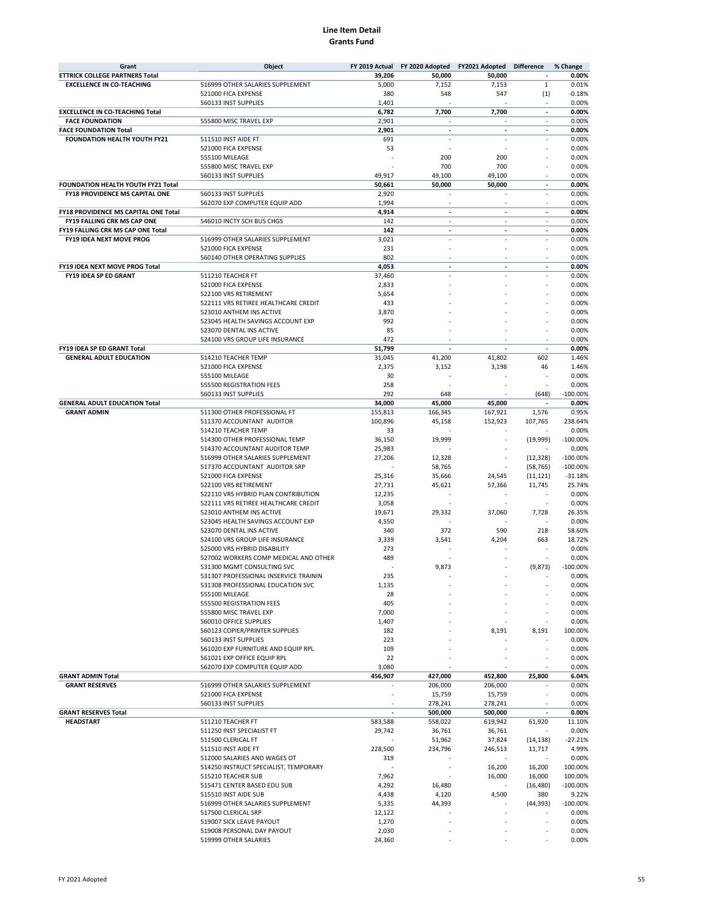| Grant                                     | Object                                     |                 | FY 2019 Actual FY 2020 Adopted | FY2021 Adopted           | <b>Difference</b>        | % Change       |
|-------------------------------------------|--------------------------------------------|-----------------|--------------------------------|--------------------------|--------------------------|----------------|
| <b>ETTRICK COLLEGE PARTNERS Total</b>     |                                            | 39,206          | 50,000                         | 50,000                   | $\overline{a}$           | 0.00%          |
| <b>EXCELLENCE IN CO-TEACHING</b>          | 516999 OTHER SALARIES SUPPLEMENT           | 5,000           | 7,152                          | 7,153                    | $\mathbf 1$              | 0.01%          |
|                                           | 521000 FICA EXPENSE                        | 380             | 548                            | 547                      | (1)                      | $-0.18%$       |
|                                           | 560133 INST SUPPLIES                       | 1,401           |                                |                          | $\overline{\phantom{a}}$ | 0.00%          |
| <b>EXCELLENCE IN CO-TEACHING Total</b>    |                                            | 6,782           | 7,700                          | 7,700                    | $\overline{\phantom{a}}$ | 0.00%          |
| <b>FACE FOUNDATION</b>                    | 555800 MISC TRAVEL EXP                     | 2,901           | ×,                             | $\sim$                   | $\overline{\phantom{a}}$ | 0.00%          |
| <b>FACE FOUNDATION Total</b>              |                                            | 2,901           | $\overline{a}$                 | $\overline{\phantom{a}}$ | $\overline{\phantom{a}}$ | 0.00%          |
| FOUNDATION HEALTH YOUTH FY21              | 511510 INST AIDE FT                        | 691             | ÷.                             | ÷.                       | ÷.                       | 0.00%          |
|                                           | 521000 FICA EXPENSE                        | 53              |                                |                          |                          | 0.00%          |
|                                           | 555100 MILEAGE                             |                 | 200                            | 200                      |                          | 0.00%          |
|                                           | 555800 MISC TRAVEL EXP                     |                 | 700                            | 700                      |                          | 0.00%          |
| <b>FOUNDATION HEALTH YOUTH FY21 Total</b> | 560133 INST SUPPLIES                       | 49,917          | 49,100                         | 49,100                   | $\sim$                   | 0.00%<br>0.00% |
| <b>FY18 PROVIDENCE MS CAPITAL ONE</b>     | 560133 INST SUPPLIES                       | 50,661<br>2,920 | 50,000                         | 50,000                   | ÷,                       | 0.00%          |
|                                           | 562070 EXP COMPUTER EQUIP ADD              | 1,994           | ٠                              | $\overline{\phantom{a}}$ | ٠                        | 0.00%          |
| FY18 PROVIDENCE MS CAPITAL ONE Total      |                                            | 4,914           | $\overline{a}$                 | $\overline{a}$           | $\overline{a}$           | 0.00%          |
| <b>FY19 FALLING CRK MS CAP ONE</b>        | 546010 INCTY SCH BUS CHGS                  | 142             | ×,                             | $\sim$                   | ÷.                       | 0.00%          |
| FY19 FALLING CRK MS CAP ONE Total         |                                            | 142             | $\overline{\phantom{a}}$       | $\blacksquare$           | $\overline{\phantom{a}}$ | 0.00%          |
| FY19 IDEA NEXT MOVE PROG                  | 516999 OTHER SALARIES SUPPLEMENT           | 3,021           |                                |                          |                          | 0.00%          |
|                                           | 521000 FICA EXPENSE                        | 231             |                                |                          |                          | 0.00%          |
|                                           | 560140 OTHER OPERATING SUPPLIES            | 802             |                                |                          |                          | 0.00%          |
| FY19 IDEA NEXT MOVE PROG Total            |                                            | 4,053           | $\overline{a}$                 | $\overline{a}$           | ÷.                       | 0.00%          |
| FY19 IDEA SP ED GRANT                     | 511210 TEACHER FT                          | 37,460          |                                |                          |                          | 0.00%          |
|                                           | 521000 FICA EXPENSE                        | 2,833           |                                |                          |                          | 0.00%          |
|                                           | 522100 VRS RETIREMENT                      | 5,654           |                                |                          |                          | 0.00%          |
|                                           | 522111 VRS RETIREE HEALTHCARE CREDIT       | 433             |                                |                          |                          | 0.00%          |
|                                           | 523010 ANTHEM INS ACTIVE                   | 3,870           |                                |                          |                          | 0.00%          |
|                                           | 523045 HEALTH SAVINGS ACCOUNT EXP          | 992             |                                |                          |                          | 0.00%          |
|                                           | 523070 DENTAL INS ACTIVE                   | 85              |                                |                          |                          | 0.00%          |
|                                           | 524100 VRS GROUP LIFE INSURANCE            | 472             |                                |                          |                          | 0.00%          |
| FY19 IDEA SP ED GRANT Total               |                                            | 51,799          |                                |                          |                          | 0.00%          |
| <b>GENERAL ADULT EDUCATION</b>            | 514210 TEACHER TEMP                        | 31,045          | 41,200                         | 41,802                   | 602                      | 1.46%          |
|                                           | 521000 FICA EXPENSE                        | 2,375           | 3,152                          | 3,198                    | 46                       | 1.46%          |
|                                           | 555100 MILEAGE                             | 30              |                                |                          |                          | 0.00%          |
|                                           | 555500 REGISTRATION FEES                   | 258             |                                |                          |                          | 0.00%          |
|                                           | 560133 INST SUPPLIES                       | 292             | 648                            |                          | (648)                    | $-100.00%$     |
| <b>GENERAL ADULT EDUCATION Total</b>      |                                            | 34,000          | 45,000                         | 45,000                   | $\overline{\phantom{a}}$ | 0.00%          |
| <b>GRANT ADMIN</b>                        | 511300 OTHER PROFESSIONAL FT               | 155,813         | 166,345                        | 167,921                  | 1,576                    | 0.95%          |
|                                           | 511370 ACCOUNTANT AUDITOR                  | 100,896         | 45,158                         | 152,923                  | 107,765                  | 238.64%        |
|                                           | 514210 TEACHER TEMP                        | 33              |                                |                          |                          | 0.00%          |
|                                           | 514300 OTHER PROFESSIONAL TEMP             | 36,150          | 19,999                         |                          | (19, 999)                | $-100.00%$     |
|                                           | 514370 ACCOUNTANT AUDITOR TEMP             | 25,983          |                                |                          |                          | 0.00%          |
|                                           | 516999 OTHER SALARIES SUPPLEMENT           | 27,206          | 12,328                         |                          | (12, 328)                | $-100.00%$     |
|                                           | 517370 ACCOUNTANT AUDITOR SRP              |                 | 58,765                         |                          | (58, 765)                | $-100.00%$     |
|                                           | 521000 FICA EXPENSE                        | 25,316          | 35,666                         | 24,545                   | (11, 121)                | $-31.18%$      |
|                                           | 522100 VRS RETIREMENT                      | 27,731          | 45,621                         | 57,366                   | 11,745                   | 25.74%         |
|                                           | 522110 VRS HYBRID PLAN CONTRIBUTION        | 12,235          |                                |                          |                          | 0.00%          |
|                                           | 522111 VRS RETIREE HEALTHCARE CREDIT       | 3,058           |                                |                          |                          | 0.00%          |
|                                           | 523010 ANTHEM INS ACTIVE                   | 19,671          | 29,332                         | 37,060                   | 7,728                    | 26.35%         |
|                                           | 523045 HEALTH SAVINGS ACCOUNT EXP          | 4,550           |                                |                          |                          | 0.00%          |
|                                           | 523070 DENTAL INS ACTIVE                   | 340             | 372                            | 590                      | 218                      | 58.60%         |
|                                           | 524100 VRS GROUP LIFE INSURANCE            | 3,339           | 3,541                          | 4,204                    | 663                      | 18.72%         |
|                                           | 525000 VRS HYBRID DISABILITY               | 273             |                                |                          |                          | 0.00%          |
|                                           | 527002 WORKERS COMP MEDICAL AND OTHER      | 489             |                                |                          |                          | 0.00%          |
|                                           | 531300 MGMT CONSULTING SVC                 |                 | 9,873                          |                          | (9, 873)                 | $-100.00%$     |
|                                           | 531307 PROFESSIONAL INSERVICE TRAININ      | 235             |                                |                          |                          | 0.00%          |
|                                           | 531308 PROFESSIONAL EDUCATION SVC          | 1,135           |                                |                          |                          | 0.00%          |
|                                           | 555100 MILEAGE<br>555500 REGISTRATION FEES | 28<br>405       |                                |                          |                          | 0.00%<br>0.00% |
|                                           | 555800 MISC TRAVEL EXP                     | 7,000           |                                |                          |                          | 0.00%          |
|                                           | 560010 OFFICE SUPPLIES                     | 1,407           |                                |                          |                          | 0.00%          |
|                                           | 560123 COPIER/PRINTER SUPPLIES             | 182             |                                | 8,191                    | 8,191                    | 100.00%        |
|                                           | 560133 INST SUPPLIES                       | 223             |                                |                          |                          | 0.00%          |
|                                           | 561020 EXP FURNITURE AND EQUIP RPL         | 109             |                                |                          |                          | 0.00%          |
|                                           | 561021 EXP OFFICE EQUIP RPL                | 22              |                                |                          |                          | 0.00%          |
|                                           | 562070 EXP COMPUTER EQUIP ADD              | 3,080           |                                |                          |                          | 0.00%          |
| <b>GRANT ADMIN Total</b>                  |                                            | 456,907         | 427,000                        | 452,800                  | 25,800                   | 6.04%          |
| <b>GRANT RESERVES</b>                     | 516999 OTHER SALARIES SUPPLEMENT           |                 | 206,000                        | 206,000                  |                          | 0.00%          |
|                                           | 521000 FICA EXPENSE                        | ä,              | 15,759                         | 15,759                   |                          | 0.00%          |
|                                           | 560133 INST SUPPLIES                       | ÷.              | 278,241                        | 278,241                  | ÷,                       | 0.00%          |
| <b>GRANT RESERVES Total</b>               |                                            | $\blacksquare$  | 500,000                        | 500,000                  | $\overline{a}$           | 0.00%          |
| <b>HEADSTART</b>                          | 511210 TEACHER FT                          | 583,588         | 558,022                        | 619,942                  | 61,920                   | 11.10%         |
|                                           | 511250 INST SPECIALIST FT                  | 29,742          | 36,761                         | 36,761                   |                          | 0.00%          |
|                                           | 511500 CLERICAL FT                         |                 | 51,962                         | 37,824                   | (14, 138)                | $-27.21%$      |
|                                           | 511510 INST AIDE FT                        | 228,500         | 234,796                        | 246,513                  | 11,717                   | 4.99%          |
|                                           | 512000 SALARIES AND WAGES OT               | 319             |                                |                          |                          | 0.00%          |
|                                           | 514250 INSTRUCT SPECIALIST, TEMPORARY      |                 |                                | 16,200                   | 16,200                   | 100.00%        |
|                                           | 515210 TEACHER SUB                         | 7,962           |                                | 16,000                   | 16,000                   | 100.00%        |
|                                           | 515471 CENTER BASED EDU SUB                | 4,292           | 16,480                         |                          | (16, 480)                | $-100.00\%$    |
|                                           | 515510 INST AIDE SUB                       | 4,438           | 4,120                          | 4,500                    | 380                      | 9.22%          |
|                                           | 516999 OTHER SALARIES SUPPLEMENT           | 5,335           | 44,393                         |                          | (44, 393)                | $-100.00\%$    |
|                                           | 517500 CLERICAL SRP                        | 12,122          |                                |                          |                          | 0.00%          |
|                                           | 519007 SICK LEAVE PAYOUT                   | 1,270           |                                |                          |                          | 0.00%          |
|                                           | 519008 PERSONAL DAY PAYOUT                 | 2,030           |                                |                          |                          | 0.00%          |
|                                           | 519999 OTHER SALARIES                      | 24,360          |                                |                          |                          | 0.00%          |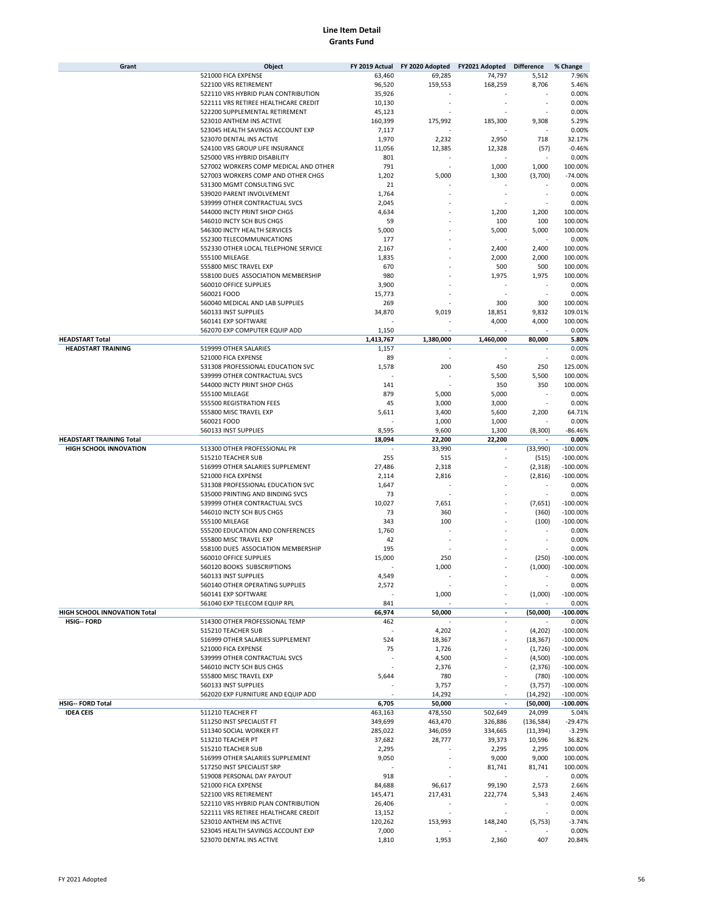| Grant                           | Object                                                  |               | FY 2019 Actual FY 2020 Adopted FY2021 Adopted Difference |                          |                          | % Change            |
|---------------------------------|---------------------------------------------------------|---------------|----------------------------------------------------------|--------------------------|--------------------------|---------------------|
|                                 | 521000 FICA EXPENSE                                     | 63,460        | 69,285                                                   | 74,797                   | 5,512                    | 7.96%               |
|                                 | 522100 VRS RETIREMENT                                   | 96,520        | 159,553                                                  | 168,259                  | 8,706                    | 5.46%               |
|                                 | 522110 VRS HYBRID PLAN CONTRIBUTION                     | 35,926        |                                                          |                          |                          | 0.00%               |
|                                 | 522111 VRS RETIREE HEALTHCARE CREDIT                    | 10,130        |                                                          |                          |                          | 0.00%               |
|                                 | 522200 SUPPLEMENTAL RETIREMENT                          | 45,123        |                                                          |                          |                          | 0.00%               |
|                                 | 523010 ANTHEM INS ACTIVE                                | 160,399       | 175,992                                                  | 185,300                  | 9,308                    | 5.29%               |
|                                 | 523045 HEALTH SAVINGS ACCOUNT EXP                       | 7,117         |                                                          |                          |                          | 0.00%               |
|                                 | 523070 DENTAL INS ACTIVE                                | 1,970         | 2,232                                                    | 2,950                    | 718                      | 32.17%              |
|                                 | 524100 VRS GROUP LIFE INSURANCE                         | 11,056        | 12,385                                                   | 12,328                   | (57)                     | $-0.46%$            |
|                                 | 525000 VRS HYBRID DISABILITY                            | 801           |                                                          |                          |                          | 0.00%               |
|                                 | 527002 WORKERS COMP MEDICAL AND OTHER                   | 791           |                                                          | 1,000                    | 1,000                    | 100.00%             |
|                                 | 527003 WORKERS COMP AND OTHER CHGS                      | 1,202         | 5,000                                                    | 1,300                    | (3,700)                  | $-74.00%$           |
|                                 | 531300 MGMT CONSULTING SVC                              | 21            |                                                          |                          |                          | 0.00%               |
|                                 | 539020 PARENT INVOLVEMENT                               | 1,764         |                                                          |                          |                          | 0.00%               |
|                                 | 539999 OTHER CONTRACTUAL SVCS                           | 2,045         |                                                          |                          |                          | 0.00%               |
|                                 | 544000 INCTY PRINT SHOP CHGS                            | 4,634         |                                                          | 1,200                    | 1,200                    | 100.00%             |
|                                 |                                                         |               |                                                          |                          |                          |                     |
|                                 | 546010 INCTY SCH BUS CHGS                               | 59            |                                                          | 100                      | 100                      | 100.00%             |
|                                 | 546300 INCTY HEALTH SERVICES                            | 5,000         |                                                          | 5,000                    | 5,000                    | 100.00%             |
|                                 | 552300 TELECOMMUNICATIONS                               | 177           |                                                          |                          |                          | 0.00%               |
|                                 | 552330 OTHER LOCAL TELEPHONE SERVICE                    | 2,167         |                                                          | 2,400                    | 2,400                    | 100.00%             |
|                                 | 555100 MILEAGE                                          | 1,835         |                                                          | 2,000                    | 2,000                    | 100.00%             |
|                                 | 555800 MISC TRAVEL EXP                                  | 670           |                                                          | 500                      | 500                      | 100.00%             |
|                                 | 558100 DUES ASSOCIATION MEMBERSHIP                      | 980           |                                                          | 1,975                    | 1,975                    | 100.00%             |
|                                 | 560010 OFFICE SUPPLIES                                  | 3,900         |                                                          |                          |                          | 0.00%               |
|                                 | 560021 FOOD                                             | 15,773        |                                                          |                          |                          | 0.00%               |
|                                 | 560040 MEDICAL AND LAB SUPPLIES                         | 269           |                                                          | 300                      | 300                      | 100.00%             |
|                                 | 560133 INST SUPPLIES                                    | 34,870        | 9,019                                                    | 18,851                   | 9,832                    | 109.01%             |
|                                 | 560141 EXP SOFTWARE                                     |               |                                                          | 4,000                    | 4,000                    | 100.00%             |
|                                 | 562070 EXP COMPUTER EQUIP ADD                           | 1,150         |                                                          |                          |                          | 0.00%               |
| <b>HEADSTART Total</b>          |                                                         | 1,413,767     | 1,380,000                                                | 1,460,000                | 80,000                   | 5.80%               |
| <b>HEADSTART TRAINING</b>       | 519999 OTHER SALARIES                                   | 1,157         |                                                          |                          |                          | 0.00%               |
|                                 | 521000 FICA EXPENSE                                     | 89            |                                                          |                          |                          | 0.00%               |
|                                 | 531308 PROFESSIONAL EDUCATION SVC                       | 1,578         | 200                                                      | 450                      | 250                      | 125.00%             |
|                                 | 539999 OTHER CONTRACTUAL SVCS                           |               |                                                          | 5,500                    | 5,500                    | 100.00%             |
|                                 | 544000 INCTY PRINT SHOP CHGS                            | 141           |                                                          | 350                      | 350                      | 100.00%             |
|                                 | 555100 MILEAGE                                          | 879           | 5,000                                                    | 5,000                    |                          | 0.00%               |
|                                 | 555500 REGISTRATION FEES                                | 45            | 3,000                                                    | 3,000                    |                          | 0.00%               |
|                                 |                                                         |               |                                                          |                          |                          |                     |
|                                 | 555800 MISC TRAVEL EXP                                  | 5,611         | 3,400                                                    | 5,600                    | 2,200                    | 64.71%              |
|                                 | 560021 FOOD                                             |               | 1,000                                                    | 1,000                    |                          | 0.00%               |
|                                 | 560133 INST SUPPLIES                                    | 8,595         | 9,600                                                    | 1,300                    | (8,300)                  | $-86.46%$           |
| <b>HEADSTART TRAINING Total</b> |                                                         | 18,094        | 22,200                                                   | 22,200                   |                          | 0.00%               |
| <b>HIGH SCHOOL INNOVATION</b>   | 513300 OTHER PROFESSIONAL PR                            |               | 33,990                                                   |                          | (33,990)                 | $-100.00%$          |
|                                 | 515210 TEACHER SUB                                      | 255           | 515                                                      |                          | (515)                    | $-100.00%$          |
|                                 | 516999 OTHER SALARIES SUPPLEMENT                        | 27,486        | 2,318                                                    |                          | (2,318)                  | $-100.00%$          |
|                                 | 521000 FICA EXPENSE                                     | 2,114         | 2,816                                                    |                          | (2,816)                  | $-100.00%$          |
|                                 | 531308 PROFESSIONAL EDUCATION SVC                       | 1,647         |                                                          |                          |                          | 0.00%               |
|                                 | 535000 PRINTING AND BINDING SVCS                        | 73            |                                                          |                          |                          | 0.00%               |
|                                 | 539999 OTHER CONTRACTUAL SVCS                           | 10,027        | 7,651                                                    |                          | (7,651)                  | $-100.00%$          |
|                                 | 546010 INCTY SCH BUS CHGS                               | 73            | 360                                                      |                          | (360)                    | $-100.00%$          |
|                                 | 555100 MILEAGE                                          | 343           | 100                                                      |                          | (100)                    | $-100.00%$          |
|                                 | 555200 EDUCATION AND CONFERENCES                        | 1,760         |                                                          |                          | $\overline{\phantom{a}}$ | 0.00%               |
|                                 | 555800 MISC TRAVEL EXP                                  | 42            |                                                          |                          |                          | 0.00%               |
|                                 | 558100 DUES ASSOCIATION MEMBERSHIP                      | 195           |                                                          |                          |                          | 0.00%               |
|                                 | 560010 OFFICE SUPPLIES                                  | 15,000        | 250                                                      |                          | (250)                    | $-100.00%$          |
|                                 | 560120 BOOKS SUBSCRIPTIONS                              |               | 1,000                                                    |                          | (1,000)                  | $-100.00%$          |
|                                 | 560133 INST SUPPLIES                                    | 4,549         |                                                          |                          |                          | 0.00%               |
|                                 | 560140 OTHER OPERATING SUPPLIES                         | 2,572         |                                                          |                          |                          | 0.00%               |
|                                 | 560141 EXP SOFTWARE                                     | ×,            | 1,000                                                    |                          | (1,000)                  | $-100.00\%$         |
|                                 |                                                         |               |                                                          |                          |                          |                     |
| HIGH SCHOOL INNOVATION Total    | 561040 EXP TELECOM EQUIP RPL                            | 841<br>66,974 | 50.000                                                   | $\overline{a}$           | (50.000)                 | 0.00%<br>$-100.00%$ |
|                                 |                                                         |               |                                                          | $\overline{\phantom{a}}$ |                          |                     |
| <b>HSIG-- FORD</b>              | 514300 OTHER PROFESSIONAL TEMP<br>515210 TEACHER SUB    | 462           | 4,202                                                    | ä,                       | (4,202)                  | 0.00%<br>$-100.00%$ |
|                                 |                                                         |               |                                                          |                          |                          |                     |
|                                 | 516999 OTHER SALARIES SUPPLEMENT<br>521000 FICA EXPENSE | 524           | 18,367                                                   |                          | (18, 367)                | $-100.00%$          |
|                                 |                                                         | 75            | 1,726                                                    |                          | (1,726)                  | $-100.00%$          |
|                                 | 539999 OTHER CONTRACTUAL SVCS                           |               | 4,500                                                    |                          | (4,500)                  | $-100.00%$          |
|                                 | 546010 INCTY SCH BUS CHGS                               |               | 2,376                                                    |                          | (2, 376)                 | $-100.00%$          |
|                                 | 555800 MISC TRAVEL EXP                                  | 5,644         | 780                                                      |                          | (780)                    | $-100.00%$          |
|                                 | 560133 INST SUPPLIES                                    |               | 3,757                                                    |                          | (3,757)                  | $-100.00%$          |
|                                 | 562020 EXP FURNITURE AND EQUIP ADD                      |               | 14,292                                                   |                          | (14, 292)                | $-100.00%$          |
| <b>HSIG-- FORD Total</b>        |                                                         | 6,705         | 50,000                                                   | $\overline{a}$           | (50,000)                 | $-100.00\%$         |
| <b>IDEA CEIS</b>                | 511210 TEACHER FT                                       | 463,163       | 478,550                                                  | 502,649                  | 24,099                   | 5.04%               |
|                                 | 511250 INST SPECIALIST FT                               | 349,699       | 463,470                                                  | 326,886                  | (136, 584)               | $-29.47%$           |
|                                 | 511340 SOCIAL WORKER FT                                 | 285,022       | 346,059                                                  | 334,665                  | (11, 394)                | $-3.29%$            |
|                                 | 513210 TEACHER PT                                       | 37,682        | 28,777                                                   | 39,373                   | 10,596                   | 36.82%              |
|                                 | 515210 TEACHER SUB                                      | 2,295         |                                                          | 2,295                    | 2,295                    | 100.00%             |
|                                 | 516999 OTHER SALARIES SUPPLEMENT                        | 9,050         |                                                          | 9,000                    | 9,000                    | 100.00%             |
|                                 | 517250 INST SPECIALIST SRP                              |               |                                                          | 81,741                   | 81,741                   | 100.00%             |
|                                 | 519008 PERSONAL DAY PAYOUT                              | 918           |                                                          | ÷,                       |                          | 0.00%               |
|                                 | 521000 FICA EXPENSE                                     | 84,688        | 96,617                                                   | 99,190                   | 2,573                    | 2.66%               |
|                                 | 522100 VRS RETIREMENT                                   | 145,471       | 217,431                                                  | 222,774                  | 5,343                    | 2.46%               |
|                                 | 522110 VRS HYBRID PLAN CONTRIBUTION                     | 26,406        | ×,                                                       |                          | ×                        | 0.00%               |
|                                 | 522111 VRS RETIREE HEALTHCARE CREDIT                    | 13,152        |                                                          |                          |                          | 0.00%               |
|                                 | 523010 ANTHEM INS ACTIVE                                | 120,262       | 153,993                                                  | 148,240                  | (5, 753)                 | $-3.74%$            |
|                                 | 523045 HEALTH SAVINGS ACCOUNT EXP                       | 7,000         |                                                          |                          | ÷,                       | 0.00%               |
|                                 | 523070 DENTAL INS ACTIVE                                | 1,810         | 1,953                                                    | 2,360                    | 407                      | 20.84%              |
|                                 |                                                         |               |                                                          |                          |                          |                     |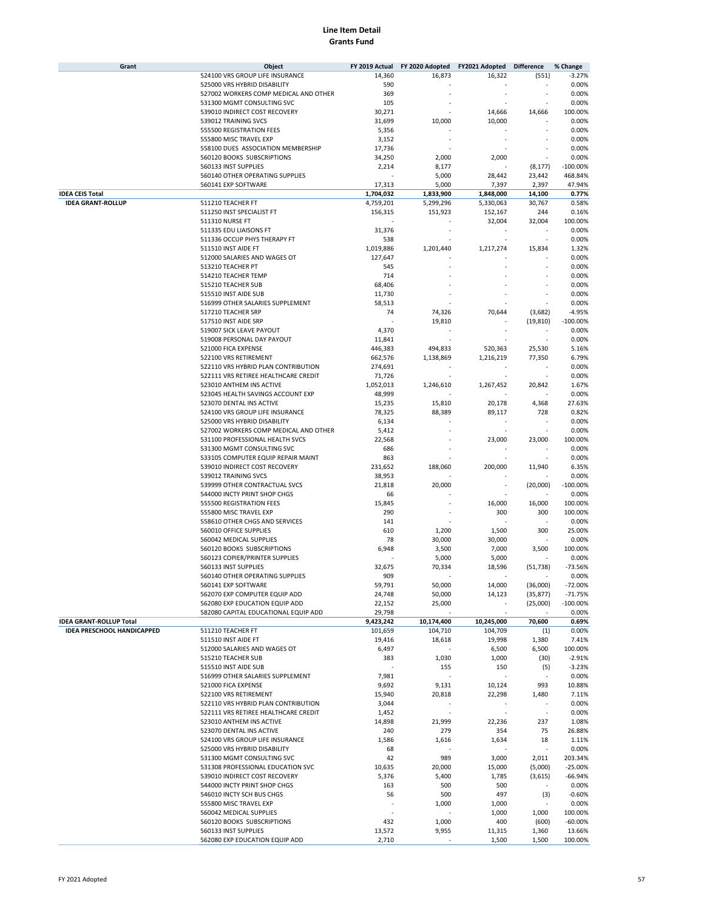| Grant                             | Object                                | FY 2019 Actual | FY 2020 Adopted | FY2021 Adopted | <b>Difference</b> | % Change   |
|-----------------------------------|---------------------------------------|----------------|-----------------|----------------|-------------------|------------|
|                                   | 524100 VRS GROUP LIFE INSURANCE       | 14,360         | 16,873          | 16,322         | (551)             | $-3.27%$   |
|                                   | 525000 VRS HYBRID DISABILITY          | 590            |                 |                |                   | 0.00%      |
|                                   | 527002 WORKERS COMP MEDICAL AND OTHER | 369            |                 |                |                   | 0.00%      |
|                                   | 531300 MGMT CONSULTING SVC            | 105            |                 |                |                   | 0.00%      |
|                                   |                                       |                |                 |                |                   |            |
|                                   | 539010 INDIRECT COST RECOVERY         | 30,271         |                 | 14,666         | 14,666            | 100.00%    |
|                                   | 539012 TRAINING SVCS                  | 31,699         | 10,000          | 10,000         |                   | 0.00%      |
|                                   | 555500 REGISTRATION FEES              | 5,356          |                 |                |                   | 0.00%      |
|                                   | 555800 MISC TRAVEL EXP                | 3,152          |                 |                |                   | 0.00%      |
|                                   | 558100 DUES ASSOCIATION MEMBERSHIP    | 17,736         |                 |                |                   | 0.00%      |
|                                   | 560120 BOOKS SUBSCRIPTIONS            | 34,250         | 2,000           | 2,000          |                   | 0.00%      |
|                                   | 560133 INST SUPPLIES                  | 2,214          | 8,177           |                | (8, 177)          | $-100.00%$ |
|                                   | 560140 OTHER OPERATING SUPPLIES       |                | 5,000           | 28,442         | 23,442            | 468.84%    |
|                                   | 560141 EXP SOFTWARE                   | 17,313         | 5,000           | 7,397          | 2,397             | 47.94%     |
| <b>IDEA CEIS Total</b>            |                                       | 1,704,032      | 1,833,900       | 1,848,000      | 14,100            | 0.77%      |
| <b>IDEA GRANT-ROLLUP</b>          | 511210 TEACHER FT                     |                | 5,299,296       |                | 30,767            | 0.58%      |
|                                   |                                       | 4,759,201      |                 | 5,330,063      |                   |            |
|                                   | 511250 INST SPECIALIST FT             | 156,315        | 151,923         | 152,167        | 244               | 0.16%      |
|                                   | 511310 NURSE FT                       |                |                 | 32,004         | 32,004            | 100.00%    |
|                                   | 511335 EDU LIAISONS FT                | 31,376         |                 |                |                   | 0.00%      |
|                                   | 511336 OCCUP PHYS THERAPY FT          | 538            |                 |                |                   | 0.00%      |
|                                   | 511510 INST AIDE FT                   | 1,019,886      | 1,201,440       | 1,217,274      | 15,834            | 1.32%      |
|                                   | 512000 SALARIES AND WAGES OT          | 127,647        |                 |                |                   | 0.00%      |
|                                   | 513210 TEACHER PT                     | 545            |                 |                |                   | 0.00%      |
|                                   | 514210 TEACHER TEMP                   | 714            |                 |                |                   | 0.00%      |
|                                   | 515210 TEACHER SUB                    | 68,406         |                 |                |                   | 0.00%      |
|                                   |                                       |                |                 |                |                   |            |
|                                   | 515510 INST AIDE SUB                  | 11,730         |                 |                |                   | 0.00%      |
|                                   | 516999 OTHER SALARIES SUPPLEMENT      | 58,513         |                 |                |                   | 0.00%      |
|                                   | 517210 TEACHER SRP                    | 74             | 74,326          | 70,644         | (3,682)           | $-4.95%$   |
|                                   | 517510 INST AIDE SRP                  |                | 19,810          |                | (19, 810)         | $-100.00%$ |
|                                   | 519007 SICK LEAVE PAYOUT              | 4,370          |                 |                |                   | 0.00%      |
|                                   | 519008 PERSONAL DAY PAYOUT            | 11,841         |                 |                |                   | 0.00%      |
|                                   | 521000 FICA EXPENSE                   | 446,383        | 494,833         | 520,363        | 25,530            | 5.16%      |
|                                   | 522100 VRS RETIREMENT                 | 662,576        | 1,138,869       | 1,216,219      | 77,350            | 6.79%      |
|                                   | 522110 VRS HYBRID PLAN CONTRIBUTION   | 274,691        |                 |                |                   | 0.00%      |
|                                   | 522111 VRS RETIREE HEALTHCARE CREDIT  | 71,726         |                 |                | ٠                 | 0.00%      |
|                                   | 523010 ANTHEM INS ACTIVE              |                |                 |                | 20,842            |            |
|                                   |                                       | 1,052,013      | 1,246,610       | 1,267,452      |                   | 1.67%      |
|                                   | 523045 HEALTH SAVINGS ACCOUNT EXP     | 48,999         |                 |                |                   | 0.00%      |
|                                   | 523070 DENTAL INS ACTIVE              | 15,235         | 15,810          | 20,178         | 4,368             | 27.63%     |
|                                   | 524100 VRS GROUP LIFE INSURANCE       | 78,325         | 88,389          | 89,117         | 728               | 0.82%      |
|                                   | 525000 VRS HYBRID DISABILITY          | 6,134          |                 |                |                   | 0.00%      |
|                                   | 527002 WORKERS COMP MEDICAL AND OTHER | 5,412          |                 |                |                   | 0.00%      |
|                                   | 531100 PROFESSIONAL HEALTH SVCS       | 22,568         |                 | 23,000         | 23,000            | 100.00%    |
|                                   | 531300 MGMT CONSULTING SVC            | 686            |                 |                |                   | 0.00%      |
|                                   | 533105 COMPUTER EQUIP REPAIR MAINT    | 863            |                 |                |                   | 0.00%      |
|                                   | 539010 INDIRECT COST RECOVERY         | 231,652        | 188,060         | 200,000        | 11,940            | 6.35%      |
|                                   | 539012 TRAINING SVCS                  | 38,953         |                 |                |                   | 0.00%      |
|                                   |                                       |                |                 |                |                   |            |
|                                   | 539999 OTHER CONTRACTUAL SVCS         | 21,818         | 20,000          |                | (20,000)          | $-100.00%$ |
|                                   | 544000 INCTY PRINT SHOP CHGS          | 66             |                 |                |                   | 0.00%      |
|                                   | 555500 REGISTRATION FEES              | 15,845         |                 | 16,000         | 16,000            | 100.00%    |
|                                   | 555800 MISC TRAVEL EXP                | 290            |                 | 300            | 300               | 100.00%    |
|                                   | 558610 OTHER CHGS AND SERVICES        | 141            |                 |                |                   | 0.00%      |
|                                   | 560010 OFFICE SUPPLIES                | 610            | 1,200           | 1,500          | 300               | 25.00%     |
|                                   | 560042 MEDICAL SUPPLIES               | 78             | 30,000          | 30,000         |                   | 0.00%      |
|                                   | 560120 BOOKS SUBSCRIPTIONS            | 6,948          | 3,500           | 7,000          | 3,500             | 100.00%    |
|                                   | 560123 COPIER/PRINTER SUPPLIES        |                | 5,000           | 5,000          |                   | 0.00%      |
|                                   | 560133 INST SUPPLIES                  | 32,675         | 70,334          |                |                   | $-73.56%$  |
|                                   |                                       |                |                 | 18,596         | (51, 738)         |            |
|                                   | 560140 OTHER OPERATING SUPPLIES       | 909            |                 |                |                   | 0.00%      |
|                                   | 560141 EXP SOFTWARE                   | 59,791         | 50,000          | 14,000         | (36,000)          | $-72.00%$  |
|                                   | 562070 EXP COMPUTER EQUIP ADD         | 24,748         | 50,000          | 14,123         | (35, 877)         | $-71.75%$  |
|                                   | 562080 EXP EDUCATION EQUIP ADD        | 22,152         | 25,000          |                | (25,000)          | $-100.00%$ |
|                                   | 582080 CAPITAL EDUCATIONAL EQUIP ADD  | 29,798         |                 |                |                   | 0.00%      |
| <b>IDEA GRANT-ROLLUP Total</b>    |                                       | 9,423,242      | 10,174,400      | 10,245,000     | 70,600            | 0.69%      |
| <b>IDEA PRESCHOOL HANDICAPPED</b> | 511210 TEACHER FT                     | 101,659        | 104,710         | 104,709        | (1)               | 0.00%      |
|                                   | 511510 INST AIDE FT                   | 19,416         | 18,618          | 19,998         | 1,380             | 7.41%      |
|                                   | 512000 SALARIES AND WAGES OT          | 6,497          |                 | 6,500          | 6,500             | 100.00%    |
|                                   | 515210 TEACHER SUB                    | 383            | 1,030           | 1,000          | (30)              | $-2.91%$   |
|                                   | 515510 INST AIDE SUB                  |                | 155             | 150            | (5)               | $-3.23%$   |
|                                   | 516999 OTHER SALARIES SUPPLEMENT      | 7,981          |                 |                |                   | 0.00%      |
|                                   |                                       |                |                 |                |                   |            |
|                                   | 521000 FICA EXPENSE                   | 9,692          | 9,131           | 10,124         | 993               | 10.88%     |
|                                   | 522100 VRS RETIREMENT                 | 15,940         | 20,818          | 22,298         | 1,480             | 7.11%      |
|                                   | 522110 VRS HYBRID PLAN CONTRIBUTION   | 3,044          |                 |                |                   | 0.00%      |
|                                   | 522111 VRS RETIREE HEALTHCARE CREDIT  | 1,452          |                 | ä,             | ×                 | 0.00%      |
|                                   | 523010 ANTHEM INS ACTIVE              | 14,898         | 21,999          | 22,236         | 237               | 1.08%      |
|                                   | 523070 DENTAL INS ACTIVE              | 240            | 279             | 354            | 75                | 26.88%     |
|                                   | 524100 VRS GROUP LIFE INSURANCE       | 1,586          | 1,616           | 1,634          | 18                | 1.11%      |
|                                   | 525000 VRS HYBRID DISABILITY          | 68             | ٠               |                | ä,                | 0.00%      |
|                                   | 531300 MGMT CONSULTING SVC            | 42             | 989             | 3,000          | 2,011             | 203.34%    |
|                                   | 531308 PROFESSIONAL EDUCATION SVC     | 10,635         | 20,000          | 15,000         | (5,000)           | $-25.00%$  |
|                                   | 539010 INDIRECT COST RECOVERY         | 5,376          | 5,400           | 1,785          | (3,615)           | $-66.94%$  |
|                                   |                                       |                |                 |                |                   |            |
|                                   | 544000 INCTY PRINT SHOP CHGS          | 163            | 500             | 500            |                   | 0.00%      |
|                                   | 546010 INCTY SCH BUS CHGS             | 56             | 500             | 497            | (3)               | $-0.60%$   |
|                                   | 555800 MISC TRAVEL EXP                | J.             | 1,000           | 1,000          |                   | 0.00%      |
|                                   | 560042 MEDICAL SUPPLIES               |                |                 | 1,000          | 1,000             | 100.00%    |
|                                   | 560120 BOOKS SUBSCRIPTIONS            | 432            | 1,000           | 400            | (600)             | $-60.00%$  |
|                                   | 560133 INST SUPPLIES                  | 13,572         | 9,955           | 11,315         | 1,360             | 13.66%     |
|                                   | 562080 EXP EDUCATION EQUIP ADD        | 2,710          |                 | 1,500          | 1,500             | 100.00%    |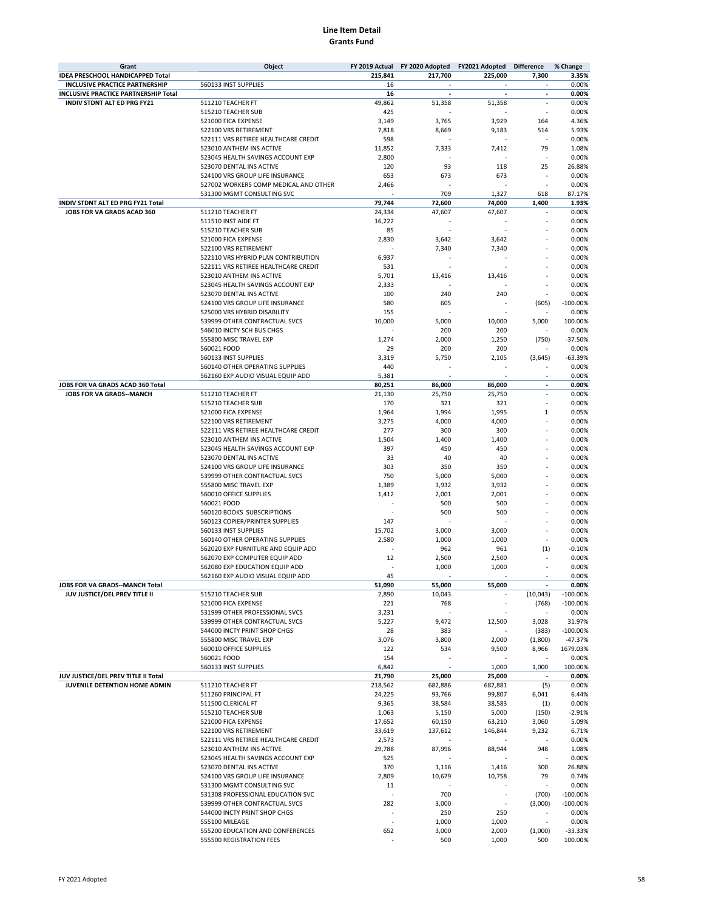| Grant                                                        | Object                                                              | FY 2019 Actual   | FY 2020 Adopted  | FY2021 Adopted | <b>Difference</b>        | % Change       |
|--------------------------------------------------------------|---------------------------------------------------------------------|------------------|------------------|----------------|--------------------------|----------------|
| IDEA PRESCHOOL HANDICAPPED Total                             |                                                                     | 215,841          | 217,700          | 225,000        | 7,300                    | 3.35%          |
| <b>INCLUSIVE PRACTICE PARTNERSHIP</b>                        | 560133 INST SUPPLIES                                                | 16               | ٠                | $\sim$         | $\overline{\phantom{a}}$ | 0.00%          |
| INCLUSIVE PRACTICE PARTNERSHIP Total                         |                                                                     | 16               |                  |                | $\blacksquare$           | 0.00%          |
| INDIV STDNT ALT ED PRG FY21                                  | 511210 TEACHER FT<br>515210 TEACHER SUB                             | 49.862<br>425    | 51,358           | 51.358         | ×                        | 0.00%<br>0.00% |
|                                                              | 521000 FICA EXPENSE                                                 | 3,149            | 3,765            | 3,929          | 164                      | 4.36%          |
|                                                              | 522100 VRS RETIREMENT                                               | 7,818            | 8,669            | 9,183          | 514                      | 5.93%          |
|                                                              | 522111 VRS RETIREE HEALTHCARE CREDIT                                | 598              |                  |                | ×,                       | 0.00%          |
|                                                              | 523010 ANTHEM INS ACTIVE                                            | 11,852           | 7,333            | 7,412          | 79                       | 1.08%          |
|                                                              | 523045 HEALTH SAVINGS ACCOUNT EXP                                   | 2,800            |                  |                |                          | 0.00%          |
|                                                              | 523070 DENTAL INS ACTIVE                                            | 120              | 93               | 118            | 25                       | 26.88%         |
|                                                              | 524100 VRS GROUP LIFE INSURANCE                                     | 653              | 673              | 673            |                          | 0.00%          |
|                                                              | 527002 WORKERS COMP MEDICAL AND OTHER                               | 2,466            |                  |                |                          | 0.00%          |
|                                                              | 531300 MGMT CONSULTING SVC                                          |                  | 709              | 1,327          | 618                      | 87.17%         |
| INDIV STDNT ALT ED PRG FY21 Total                            |                                                                     | 79,744           | 72,600           | 74,000         | 1,400                    | 1.93%          |
| JOBS FOR VA GRADS ACAD 360                                   | 511210 TEACHER FT                                                   | 24,334           | 47,607           | 47,607         | ٠                        | 0.00%<br>0.00% |
|                                                              | 511510 INST AIDE FT<br>515210 TEACHER SUB                           | 16,222<br>85     |                  |                |                          | 0.00%          |
|                                                              | 521000 FICA EXPENSE                                                 | 2,830            | 3,642            | 3,642          |                          | 0.00%          |
|                                                              | 522100 VRS RETIREMENT                                               |                  | 7,340            | 7,340          |                          | 0.00%          |
|                                                              | 522110 VRS HYBRID PLAN CONTRIBUTION                                 | 6,937            |                  |                |                          | 0.00%          |
|                                                              | 522111 VRS RETIREE HEALTHCARE CREDIT                                | 531              |                  |                |                          | 0.00%          |
|                                                              | 523010 ANTHEM INS ACTIVE                                            | 5,701            | 13,416           | 13,416         |                          | 0.00%          |
|                                                              | 523045 HEALTH SAVINGS ACCOUNT EXP                                   | 2,333            |                  |                |                          | 0.00%          |
|                                                              | 523070 DENTAL INS ACTIVE                                            | 100              | 240              | 240            |                          | 0.00%          |
|                                                              | 524100 VRS GROUP LIFE INSURANCE                                     | 580              | 605              |                | (605)                    | $-100.00%$     |
|                                                              | 525000 VRS HYBRID DISABILITY                                        | 155              |                  |                |                          | 0.00%          |
|                                                              | 539999 OTHER CONTRACTUAL SVCS                                       | 10,000           | 5,000            | 10,000         | 5,000                    | 100.00%        |
|                                                              | 546010 INCTY SCH BUS CHGS                                           |                  | 200              | 200            |                          | 0.00%          |
|                                                              | 555800 MISC TRAVEL EXP                                              | 1,274            | 2,000            | 1,250          | (750)                    | $-37.50%$      |
|                                                              | 560021 FOOD                                                         | 29               | 200              | 200            |                          | 0.00%          |
|                                                              | 560133 INST SUPPLIES                                                | 3,319            | 5,750            | 2,105          | (3,645)                  | $-63.39%$      |
|                                                              | 560140 OTHER OPERATING SUPPLIES                                     | 440              |                  |                |                          | 0.00%          |
|                                                              | 562160 EXP AUDIO VISUAL EQUIP ADD                                   | 5,381            |                  | 86,000         |                          | 0.00%<br>0.00% |
| JOBS FOR VA GRADS ACAD 360 Total<br>JOBS FOR VA GRADS--MANCH | 511210 TEACHER FT                                                   | 80,251<br>21,130 | 86,000<br>25,750 | 25,750         | $\overline{\phantom{a}}$ | 0.00%          |
|                                                              | 515210 TEACHER SUB                                                  | 170              | 321              | 321            |                          | 0.00%          |
|                                                              | 521000 FICA EXPENSE                                                 | 1,964            | 1,994            | 1,995          | 1                        | 0.05%          |
|                                                              | 522100 VRS RETIREMENT                                               | 3,275            | 4,000            | 4,000          |                          | 0.00%          |
|                                                              | 522111 VRS RETIREE HEALTHCARE CREDIT                                | 277              | 300              | 300            |                          | 0.00%          |
|                                                              | 523010 ANTHEM INS ACTIVE                                            | 1,504            | 1,400            | 1,400          |                          | 0.00%          |
|                                                              | 523045 HEALTH SAVINGS ACCOUNT EXP                                   | 397              | 450              | 450            |                          | 0.00%          |
|                                                              | 523070 DENTAL INS ACTIVE                                            | 33               | 40               | 40             |                          | 0.00%          |
|                                                              | 524100 VRS GROUP LIFE INSURANCE                                     | 303              | 350              | 350            |                          | 0.00%          |
|                                                              | 539999 OTHER CONTRACTUAL SVCS                                       | 750              | 5,000            | 5,000          |                          | 0.00%          |
|                                                              | 555800 MISC TRAVEL EXP                                              | 1,389            | 3,932            | 3,932          |                          | 0.00%          |
|                                                              | 560010 OFFICE SUPPLIES                                              | 1,412            | 2,001            | 2,001          |                          | 0.00%          |
|                                                              | 560021 FOOD                                                         |                  | 500              | 500            |                          | 0.00%          |
|                                                              | 560120 BOOKS SUBSCRIPTIONS                                          |                  | 500              | 500            |                          | 0.00%          |
|                                                              | 560123 COPIER/PRINTER SUPPLIES                                      | 147              |                  |                |                          | 0.00%          |
|                                                              | 560133 INST SUPPLIES                                                | 15,702           | 3,000            | 3,000          |                          | 0.00%          |
|                                                              | 560140 OTHER OPERATING SUPPLIES                                     | 2,580            | 1,000            | 1,000          |                          | 0.00%          |
|                                                              | 562020 EXP FURNITURE AND EQUIP ADD                                  |                  | 962              | 961            | (1)                      | $-0.10%$       |
|                                                              | 562070 EXP COMPUTER EQUIP ADD                                       | 12               | 2,500            | 2,500          | $\sim$                   | 0.00%<br>0.00% |
|                                                              | 562080 EXP EDUCATION EQUIP ADD<br>562160 EXP AUDIO VISUAL EQUIP ADD | 45               | 1,000            | 1,000          |                          | 0.00%          |
| JOBS FOR VA GRADS--MANCH Total                               |                                                                     | 51,090           | 55,000           | 55,000         | $\overline{\phantom{a}}$ | 0.00%          |
| JUV JUSTICE/DEL PREV TITLE II                                | 515210 TEACHER SUB                                                  | 2,890            | 10,043           |                | (10, 043)                | $-100.00%$     |
|                                                              | 521000 FICA EXPENSE                                                 | 221              | 768              |                | (768)                    | $-100.00%$     |
|                                                              | 531999 OTHER PROFESSIONAL SVCS                                      | 3,231            |                  |                | $\overline{\phantom{a}}$ | 0.00%          |
|                                                              | 539999 OTHER CONTRACTUAL SVCS                                       | 5,227            | 9,472            | 12,500         | 3,028                    | 31.97%         |
|                                                              | 544000 INCTY PRINT SHOP CHGS                                        | 28               | 383              |                | (383)                    | $-100.00%$     |
|                                                              | 555800 MISC TRAVEL EXP                                              | 3,076            | 3,800            | 2,000          | (1,800)                  | $-47.37%$      |
|                                                              | 560010 OFFICE SUPPLIES                                              | 122              | 534              | 9,500          | 8,966                    | 1679.03%       |
|                                                              | 560021 FOOD                                                         | 154              |                  |                |                          | 0.00%          |
|                                                              | 560133 INST SUPPLIES                                                | 6,842            |                  | 1,000          | 1,000                    | 100.00%        |
| JUV JUSTICE/DEL PREV TITLE II Total                          |                                                                     | 21,790           | 25,000           | 25,000         |                          | 0.00%          |
| JUVENILE DETENTION HOME ADMIN                                | 511210 TEACHER FT                                                   | 218,562          | 682,886          | 682,881        | (5)                      | 0.00%          |
|                                                              | 511260 PRINCIPAL FT                                                 | 24,225           | 93,766           | 99,807         | 6,041                    | 6.44%          |
|                                                              | 511500 CLERICAL FT                                                  | 9,365            | 38,584           | 38,583         | (1)                      | 0.00%          |
|                                                              | 515210 TEACHER SUB                                                  | 1,063            | 5,150            | 5,000          | (150)                    | $-2.91%$       |
|                                                              | 521000 FICA EXPENSE<br>522100 VRS RETIREMENT                        | 17,652           | 60,150           | 63,210         | 3,060                    | 5.09%<br>6.71% |
|                                                              | 522111 VRS RETIREE HEALTHCARE CREDIT                                | 33,619<br>2,573  | 137,612          | 146,844        | 9,232                    | 0.00%          |
|                                                              | 523010 ANTHEM INS ACTIVE                                            | 29,788           | 87,996           | 88,944         | 948                      | 1.08%          |
|                                                              | 523045 HEALTH SAVINGS ACCOUNT EXP                                   | 525              |                  |                |                          | 0.00%          |
|                                                              | 523070 DENTAL INS ACTIVE                                            | 370              | 1,116            | 1,416          | 300                      | 26.88%         |
|                                                              | 524100 VRS GROUP LIFE INSURANCE                                     | 2,809            | 10,679           | 10,758         | 79                       | 0.74%          |
|                                                              | 531300 MGMT CONSULTING SVC                                          | 11               |                  |                |                          | 0.00%          |
|                                                              | 531308 PROFESSIONAL EDUCATION SVC                                   |                  | 700              |                | (700)                    | $-100.00%$     |
|                                                              | 539999 OTHER CONTRACTUAL SVCS                                       | 282              | 3,000            |                | (3,000)                  | $-100.00%$     |
|                                                              | 544000 INCTY PRINT SHOP CHGS                                        |                  | 250              | 250            | $\overline{\phantom{a}}$ | 0.00%          |
|                                                              | 555100 MILEAGE                                                      | ÷,               | 1,000            | 1,000          |                          | 0.00%          |
|                                                              | 555200 EDUCATION AND CONFERENCES                                    | 652              | 3,000            | 2,000          | (1,000)                  | $-33.33%$      |
|                                                              | 555500 REGISTRATION FEES                                            |                  | 500              | 1,000          | 500                      | 100.00%        |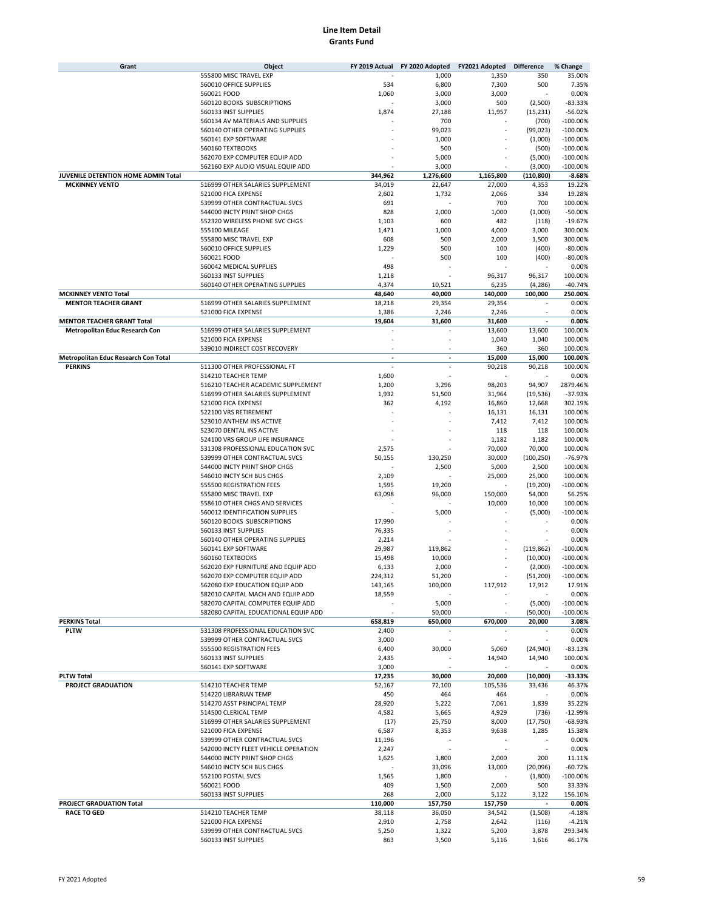| Grant                                 | Object                                                  |                  | FY 2019 Actual FY 2020 Adopted | FY2021 Adopted  | <b>Difference</b>    | % Change               |
|---------------------------------------|---------------------------------------------------------|------------------|--------------------------------|-----------------|----------------------|------------------------|
|                                       | 555800 MISC TRAVEL EXP                                  |                  | 1,000                          | 1,350           | 350                  | 35.00%                 |
|                                       | 560010 OFFICE SUPPLIES                                  | 534              | 6,800                          | 7,300           | 500                  | 7.35%                  |
|                                       | 560021 FOOD                                             | 1,060            | 3,000                          | 3,000           |                      | 0.00%                  |
|                                       | 560120 BOOKS SUBSCRIPTIONS<br>560133 INST SUPPLIES      | 1,874            | 3,000<br>27,188                | 500<br>11,957   | (2,500)<br>(15, 231) | $-83.33%$<br>$-56.02%$ |
|                                       | 560134 AV MATERIALS AND SUPPLIES                        |                  | 700                            |                 | (700)                | $-100.00%$             |
|                                       | 560140 OTHER OPERATING SUPPLIES                         |                  | 99,023                         |                 | (99, 023)            | $-100.00%$             |
|                                       | 560141 EXP SOFTWARE                                     |                  | 1,000                          |                 | (1,000)              | $-100.00%$             |
|                                       | 560160 TEXTBOOKS                                        |                  | 500                            |                 | (500)                | $-100.00%$             |
|                                       | 562070 EXP COMPUTER EQUIP ADD                           |                  | 5,000                          |                 | (5,000)              | $-100.00%$             |
|                                       | 562160 EXP AUDIO VISUAL EQUIP ADD                       |                  | 3,000                          |                 | (3,000)              | $-100.00%$             |
| JUVENILE DETENTION HOME ADMIN Total   |                                                         | 344,962          | 1,276,600                      | 1,165,800       | (110, 800)           | $-8.68%$               |
| <b>MCKINNEY VENTO</b>                 | 516999 OTHER SALARIES SUPPLEMENT                        | 34,019           | 22,647                         | 27,000          | 4,353                | 19.22%                 |
|                                       | 521000 FICA EXPENSE<br>539999 OTHER CONTRACTUAL SVCS    | 2,602            | 1,732                          | 2,066           | 334                  | 19.28%                 |
|                                       | 544000 INCTY PRINT SHOP CHGS                            | 691<br>828       | 2,000                          | 700<br>1,000    | 700<br>(1,000)       | 100.00%<br>$-50.00%$   |
|                                       | 552320 WIRELESS PHONE SVC CHGS                          | 1,103            | 600                            | 482             | (118)                | $-19.67%$              |
|                                       | 555100 MILEAGE                                          | 1,471            | 1,000                          | 4,000           | 3,000                | 300.00%                |
|                                       | 555800 MISC TRAVEL EXP                                  | 608              | 500                            | 2,000           | 1,500                | 300.00%                |
|                                       | 560010 OFFICE SUPPLIES                                  | 1,229            | 500                            | 100             | (400)                | $-80.00%$              |
|                                       | 560021 FOOD                                             |                  | 500                            | 100             | (400)                | $-80.00%$              |
|                                       | 560042 MEDICAL SUPPLIES                                 | 498              |                                |                 |                      | 0.00%                  |
|                                       | 560133 INST SUPPLIES                                    | 1,218            |                                | 96,317          | 96,317               | 100.00%                |
|                                       | 560140 OTHER OPERATING SUPPLIES                         | 4,374            | 10,521                         | 6,235           | (4, 286)             | $-40.74%$              |
| <b>MCKINNEY VENTO Total</b>           |                                                         | 48,640           | 40,000                         | 140,000         | 100.000              | 250.00%                |
| <b>MENTOR TEACHER GRANT</b>           | 516999 OTHER SALARIES SUPPLEMENT<br>521000 FICA EXPENSE | 18,218<br>1,386  | 29,354<br>2,246                | 29,354<br>2,246 |                      | 0.00%<br>0.00%         |
| <b>MENTOR TEACHER GRANT Total</b>     |                                                         | 19,604           | 31,600                         | 31,600          |                      | 0.00%                  |
| <b>Metropolitan Educ Research Con</b> | 516999 OTHER SALARIES SUPPLEMENT                        |                  |                                | 13,600          | 13,600               | 100.00%                |
|                                       | 521000 FICA EXPENSE                                     |                  |                                | 1,040           | 1,040                | 100.00%                |
|                                       | 539010 INDIRECT COST RECOVERY                           |                  |                                | 360             | 360                  | 100.00%                |
| Metropolitan Educ Research Con Total  |                                                         |                  | ÷,                             | 15,000          | 15,000               | 100.00%                |
| <b>PERKINS</b>                        | 511300 OTHER PROFESSIONAL FT                            |                  | ÷.                             | 90,218          | 90,218               | 100.00%                |
|                                       | 514210 TEACHER TEMP                                     | 1,600            |                                |                 |                      | 0.00%                  |
|                                       | 516210 TEACHER ACADEMIC SUPPLEMENT                      | 1,200            | 3,296                          | 98,203          | 94,907               | 2879.46%               |
|                                       | 516999 OTHER SALARIES SUPPLEMENT                        | 1,932            | 51,500                         | 31,964          | (19, 536)            | $-37.93%$              |
|                                       | 521000 FICA EXPENSE                                     | 362              | 4,192                          | 16,860          | 12,668               | 302.19%                |
|                                       | 522100 VRS RETIREMENT<br>523010 ANTHEM INS ACTIVE       |                  |                                | 16,131<br>7,412 | 16,131<br>7,412      | 100.00%<br>100.00%     |
|                                       | 523070 DENTAL INS ACTIVE                                |                  |                                | 118             | 118                  | 100.00%                |
|                                       | 524100 VRS GROUP LIFE INSURANCE                         |                  |                                | 1,182           | 1,182                | 100.00%                |
|                                       | 531308 PROFESSIONAL EDUCATION SVC                       | 2,575            |                                | 70,000          | 70,000               | 100.00%                |
|                                       | 539999 OTHER CONTRACTUAL SVCS                           | 50,155           | 130,250                        | 30,000          | (100, 250)           | $-76.97%$              |
|                                       | 544000 INCTY PRINT SHOP CHGS                            |                  | 2,500                          | 5,000           | 2,500                | 100.00%                |
|                                       | 546010 INCTY SCH BUS CHGS                               | 2,109            |                                | 25,000          | 25,000               | 100.00%                |
|                                       | 555500 REGISTRATION FEES                                | 1,595            | 19,200                         |                 | (19, 200)            | $-100.00%$             |
|                                       | 555800 MISC TRAVEL EXP                                  | 63,098           | 96,000                         | 150,000         | 54,000               | 56.25%                 |
|                                       | 558610 OTHER CHGS AND SERVICES                          |                  |                                | 10,000          | 10,000               | 100.00%                |
|                                       | 560012 IDENTIFICATION SUPPLIES                          |                  | 5,000                          |                 | (5,000)              | $-100.00%$             |
|                                       | 560120 BOOKS SUBSCRIPTIONS<br>560133 INST SUPPLIES      | 17,990<br>76,335 |                                |                 |                      | 0.00%<br>0.00%         |
|                                       | 560140 OTHER OPERATING SUPPLIES                         | 2,214            |                                |                 |                      | 0.00%                  |
|                                       | 560141 EXP SOFTWARE                                     | 29,987           | 119,862                        |                 | (119, 862)           | $-100.00%$             |
|                                       | 560160 TEXTBOOKS                                        | 15,498           | 10,000                         |                 | (10,000)             | $-100.00%$             |
|                                       | 562020 EXP FURNITURE AND EQUIP ADD                      | 6,133            | 2,000                          |                 | (2,000)              | $-100.00%$             |
|                                       | 562070 EXP COMPUTER EQUIP ADD                           | 224,312          | 51,200                         |                 | (51, 200)            | $-100.00%$             |
|                                       | 562080 EXP EDUCATION EQUIP ADD                          | 143,165          | 100,000                        | 117,912         | 17,912               | 17.91%                 |
|                                       | 582010 CAPITAL MACH AND EQUIP ADD                       | 18,559           |                                |                 |                      | 0.00%                  |
|                                       | 582070 CAPITAL COMPUTER EQUIP ADD                       |                  | 5,000                          |                 | (5,000)              | $-100.00\%$            |
|                                       | 582080 CAPITAL EDUCATIONAL EQUIP ADD                    |                  | 50,000                         |                 | (50,000)             | $-100.00%$             |
| <b>PERKINS Total</b><br><b>PLTW</b>   | 531308 PROFESSIONAL EDUCATION SVC                       | 658,819<br>2,400 | 650,000                        | 670,000         | 20,000               | 3.08%<br>0.00%         |
|                                       | 539999 OTHER CONTRACTUAL SVCS                           | 3,000            | ×,                             |                 |                      | 0.00%                  |
|                                       | 555500 REGISTRATION FEES                                | 6,400            | 30,000                         | 5,060           | (24, 940)            | $-83.13%$              |
|                                       | 560133 INST SUPPLIES                                    | 2,435            |                                | 14,940          | 14,940               | 100.00%                |
|                                       | 560141 EXP SOFTWARE                                     | 3,000            |                                |                 |                      | 0.00%                  |
| <b>PLTW Total</b>                     |                                                         | 17,235           | 30,000                         | 20,000          | (10,000)             | $-33.33%$              |
| PROJECT GRADUATION                    | 514210 TEACHER TEMP                                     | 52,167           | 72,100                         | 105,536         | 33,436               | 46.37%                 |
|                                       | 514220 LIBRARIAN TEMP                                   | 450              | 464                            | 464             |                      | 0.00%                  |
|                                       | 514270 ASST PRINCIPAL TEMP                              | 28,920           | 5,222                          | 7,061           | 1,839                | 35.22%                 |
|                                       | 514500 CLERICAL TEMP                                    | 4,582            | 5,665                          | 4,929           | (736)                | $-12.99%$              |
|                                       | 516999 OTHER SALARIES SUPPLEMENT                        | (17)             | 25,750                         | 8,000           | (17,750)             | -68.93%                |
|                                       | 521000 FICA EXPENSE<br>539999 OTHER CONTRACTUAL SVCS    | 6,587            | 8,353                          | 9,638           | 1,285                | 15.38%<br>0.00%        |
|                                       | 542000 INCTY FLEET VEHICLE OPERATION                    | 11,196<br>2,247  |                                |                 |                      | 0.00%                  |
|                                       | 544000 INCTY PRINT SHOP CHGS                            | 1,625            | 1,800                          | 2,000           | 200                  | 11.11%                 |
|                                       | 546010 INCTY SCH BUS CHGS                               |                  | 33,096                         | 13,000          | (20,096)             | $-60.72%$              |
|                                       | 552100 POSTAL SVCS                                      | 1,565            | 1,800                          |                 | (1,800)              | $-100.00\%$            |
|                                       | 560021 FOOD                                             | 409              | 1,500                          | 2,000           | 500                  | 33.33%                 |
|                                       | 560133 INST SUPPLIES                                    | 268              | 2,000                          | 5,122           | 3,122                | 156.10%                |
| PROJECT GRADUATION Total              |                                                         | 110,000          | 157,750                        | 157,750         |                      | 0.00%                  |
| <b>RACE TO GED</b>                    | 514210 TEACHER TEMP                                     | 38,118           | 36,050                         | 34,542          | (1,508)              | $-4.18%$               |
|                                       | 521000 FICA EXPENSE                                     | 2,910            | 2,758                          | 2,642           | (116)                | $-4.21%$               |
|                                       | 539999 OTHER CONTRACTUAL SVCS                           | 5,250            | 1,322                          | 5,200           | 3,878                | 293.34%                |
|                                       | 560133 INST SUPPLIES                                    | 863              | 3,500                          | 5,116           | 1,616                | 46.17%                 |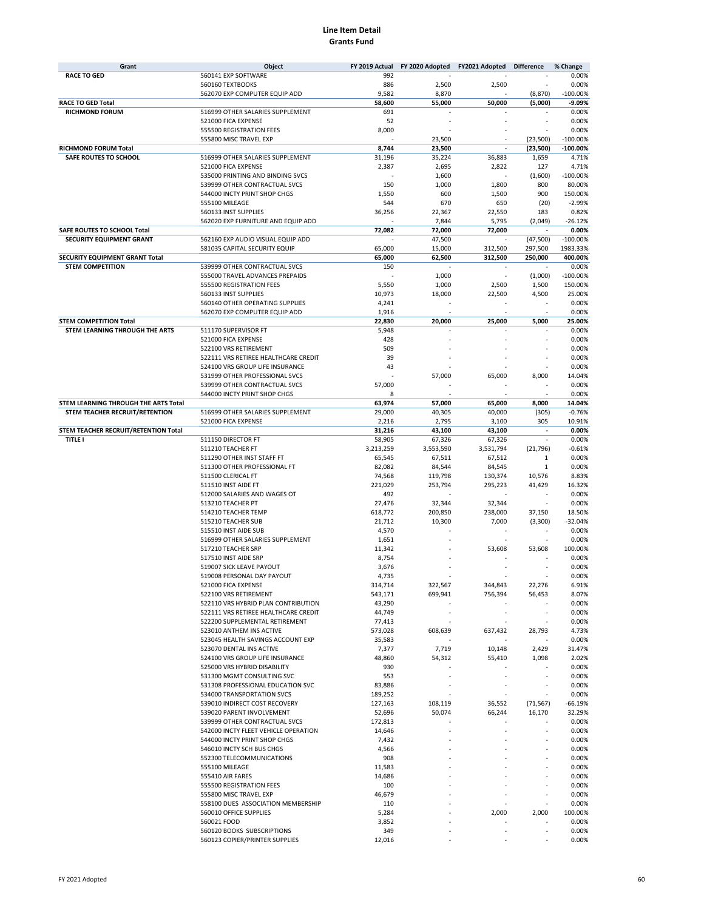| Grant                                | Object                               | FY 2019 Actual | FY 2020 Adopted | FY2021 Adopted | <b>Difference</b>        | % Change   |
|--------------------------------------|--------------------------------------|----------------|-----------------|----------------|--------------------------|------------|
| <b>RACE TO GED</b>                   | 560141 EXP SOFTWARE                  | 992            |                 |                |                          | 0.00%      |
|                                      | 560160 TEXTBOOKS                     | 886            | 2,500           | 2,500          |                          | 0.00%      |
|                                      | 562070 EXP COMPUTER EQUIP ADD        | 9,582          | 8,870           |                | (8, 870)                 | $-100.00%$ |
| <b>RACE TO GED Total</b>             |                                      | 58,600         | 55,000          | 50,000         | (5.000)                  | $-9.09%$   |
|                                      |                                      |                |                 |                |                          |            |
| <b>RICHMOND FORUM</b>                | 516999 OTHER SALARIES SUPPLEMENT     | 691            |                 |                |                          | 0.00%      |
|                                      | 521000 FICA EXPENSE                  | 52             |                 |                |                          | 0.00%      |
|                                      | 555500 REGISTRATION FEES             | 8,000          |                 |                |                          | 0.00%      |
|                                      | 555800 MISC TRAVEL EXP               |                | 23,500          |                | (23, 500)                | $-100.00%$ |
| RICHMOND FORUM Total                 |                                      | 8,744          | 23,500          | $\overline{a}$ | (23, 500)                | $-100.00%$ |
|                                      | 516999 OTHER SALARIES SUPPLEMENT     |                |                 |                |                          | 4.71%      |
| SAFE ROUTES TO SCHOOL                |                                      | 31,196         | 35,224          | 36,883         | 1,659                    |            |
|                                      | 521000 FICA EXPENSE                  | 2,387          | 2,695           | 2,822          | 127                      | 4.71%      |
|                                      | 535000 PRINTING AND BINDING SVCS     |                | 1,600           |                | (1,600)                  | $-100.00%$ |
|                                      | 539999 OTHER CONTRACTUAL SVCS        | 150            | 1,000           | 1,800          | 800                      | 80.00%     |
|                                      | 544000 INCTY PRINT SHOP CHGS         | 1,550          | 600             | 1,500          | 900                      | 150.00%    |
|                                      | 555100 MILEAGE                       | 544            | 670             | 650            | (20)                     | $-2.99%$   |
|                                      | 560133 INST SUPPLIES                 |                | 22,367          |                | 183                      | 0.82%      |
|                                      |                                      | 36,256         |                 | 22,550         |                          |            |
|                                      | 562020 EXP FURNITURE AND EQUIP ADD   |                | 7,844           | 5,795          | (2,049)                  | $-26.12%$  |
| SAFE ROUTES TO SCHOOL Total          |                                      | 72,082         | 72,000          | 72,000         | $\overline{a}$           | 0.00%      |
| SECURITY EQUIPMENT GRANT             | 562160 EXP AUDIO VISUAL EQUIP ADD    |                | 47,500          |                | (47, 500)                | $-100.00%$ |
|                                      | 581035 CAPITAL SECURITY EQUIP        | 65,000         | 15,000          | 312,500        | 297,500                  | 1983.33%   |
| SECURITY EQUIPMENT GRANT Total       |                                      | 65,000         | 62,500          | 312,500        | 250,000                  | 400.00%    |
| <b>STEM COMPETITION</b>              | 539999 OTHER CONTRACTUAL SVCS        | 150            |                 |                |                          | 0.00%      |
|                                      |                                      |                |                 |                |                          |            |
|                                      | 555000 TRAVEL ADVANCES PREPAIDS      |                | 1,000           |                | (1,000)                  | $-100.00%$ |
|                                      | 555500 REGISTRATION FEES             | 5,550          | 1,000           | 2,500          | 1,500                    | 150.00%    |
|                                      | 560133 INST SUPPLIES                 | 10,973         | 18,000          | 22,500         | 4,500                    | 25.00%     |
|                                      | 560140 OTHER OPERATING SUPPLIES      | 4,241          |                 |                |                          | 0.00%      |
|                                      | 562070 EXP COMPUTER EQUIP ADD        | 1,916          |                 |                |                          | 0.00%      |
|                                      |                                      |                |                 |                |                          |            |
| <b>STEM COMPETITION Total</b>        |                                      | 22,830         | 20,000          | 25,000         | 5,000                    | 25.00%     |
| STEM LEARNING THROUGH THE ARTS       | 511170 SUPERVISOR FT                 | 5,948          |                 |                |                          | 0.00%      |
|                                      | 521000 FICA EXPENSE                  | 428            |                 |                |                          | 0.00%      |
|                                      | 522100 VRS RETIREMENT                | 509            |                 |                |                          | 0.00%      |
|                                      | 522111 VRS RETIREE HEALTHCARE CREDIT | 39             |                 |                |                          | 0.00%      |
|                                      | 524100 VRS GROUP LIFE INSURANCE      | 43             |                 |                |                          | 0.00%      |
|                                      |                                      |                |                 |                |                          |            |
|                                      | 531999 OTHER PROFESSIONAL SVCS       |                | 57,000          | 65,000         | 8,000                    | 14.04%     |
|                                      | 539999 OTHER CONTRACTUAL SVCS        | 57,000         |                 |                |                          | 0.00%      |
|                                      | 544000 INCTY PRINT SHOP CHGS         | 8              |                 |                |                          | 0.00%      |
| STEM LEARNING THROUGH THE ARTS Total |                                      | 63,974         | 57,000          | 65,000         | 8,000                    | 14.04%     |
| STEM TEACHER RECRUIT/RETENTION       | 516999 OTHER SALARIES SUPPLEMENT     | 29,000         | 40,305          | 40,000         | (305)                    | $-0.76%$   |
|                                      | 521000 FICA EXPENSE                  | 2,216          | 2,795           | 3,100          | 305                      | 10.91%     |
|                                      |                                      |                |                 |                |                          |            |
| STEM TEACHER RECRUIT/RETENTION Total |                                      | 31,216         | 43,100          | 43,100         |                          | 0.00%      |
| <b>TITLE I</b>                       | 511150 DIRECTOR FT                   | 58,905         | 67,326          | 67,326         | ×,                       | 0.00%      |
|                                      | 511210 TEACHER FT                    | 3,213,259      | 3,553,590       | 3,531,794      | (21, 796)                | $-0.61%$   |
|                                      | 511290 OTHER INST STAFF FT           | 65,545         | 67,511          | 67,512         | 1                        | 0.00%      |
|                                      | 511300 OTHER PROFESSIONAL FT         | 82,082         | 84,544          | 84,545         | 1                        | 0.00%      |
|                                      | 511500 CLERICAL FT                   | 74,568         | 119,798         | 130,374        | 10,576                   | 8.83%      |
|                                      |                                      |                |                 |                |                          |            |
|                                      | 511510 INST AIDE FT                  | 221,029        | 253,794         | 295,223        | 41,429                   | 16.32%     |
|                                      | 512000 SALARIES AND WAGES OT         | 492            |                 |                |                          | 0.00%      |
|                                      | 513210 TEACHER PT                    | 27,476         | 32,344          | 32,344         |                          | 0.00%      |
|                                      | 514210 TEACHER TEMP                  | 618,772        | 200,850         | 238,000        | 37,150                   | 18.50%     |
|                                      | 515210 TEACHER SUB                   | 21,712         | 10,300          | 7,000          | (3,300)                  | $-32.04%$  |
|                                      |                                      |                |                 |                |                          |            |
|                                      | 515510 INST AIDE SUB                 | 4,570          |                 |                |                          | 0.00%      |
|                                      | 516999 OTHER SALARIES SUPPLEMENT     | 1,651          |                 |                |                          | 0.00%      |
|                                      | 517210 TEACHER SRP                   | 11,342         |                 | 53,608         | 53,608                   | 100.00%    |
|                                      | 517510 INST AIDE SRP                 | 8,754          |                 |                |                          | 0.00%      |
|                                      | 519007 SICK LEAVE PAYOUT             | 3,676          |                 |                |                          | 0.00%      |
|                                      |                                      | 4,735          |                 |                |                          | 0.00%      |
|                                      | 519008 PERSONAL DAY PAYOUT           |                |                 |                |                          |            |
|                                      | 521000 FICA EXPENSE                  | 314,714        | 322,567         | 344,843        | 22,276                   | 6.91%      |
|                                      | 522100 VRS RETIREMENT                | 543,171        | 699,941         | 756,394        | 56,453                   | 8.07%      |
|                                      | 522110 VRS HYBRID PLAN CONTRIBUTION  | 43,290         |                 |                |                          | 0.00%      |
|                                      | 522111 VRS RETIREE HEALTHCARE CREDIT | 44,749         |                 | ٠              | $\overline{\phantom{a}}$ | 0.00%      |
|                                      | 522200 SUPPLEMENTAL RETIREMENT       | 77,413         |                 |                |                          | 0.00%      |
|                                      | 523010 ANTHEM INS ACTIVE             | 573,028        | 608,639         | 637,432        | 28,793                   | 4.73%      |
|                                      | 523045 HEALTH SAVINGS ACCOUNT EXP    |                |                 |                | ä,                       |            |
|                                      |                                      | 35,583         |                 |                |                          | 0.00%      |
|                                      | 523070 DENTAL INS ACTIVE             | 7,377          | 7,719           | 10,148         | 2,429                    | 31.47%     |
|                                      | 524100 VRS GROUP LIFE INSURANCE      | 48,860         | 54,312          | 55,410         | 1,098                    | 2.02%      |
|                                      | 525000 VRS HYBRID DISABILITY         | 930            |                 |                | ×,                       | 0.00%      |
|                                      | 531300 MGMT CONSULTING SVC           | 553            |                 |                |                          | 0.00%      |
|                                      | 531308 PROFESSIONAL EDUCATION SVC    | 83,886         |                 |                |                          | 0.00%      |
|                                      | 534000 TRANSPORTATION SVCS           | 189,252        |                 |                |                          | 0.00%      |
|                                      |                                      |                |                 |                |                          |            |
|                                      | 539010 INDIRECT COST RECOVERY        | 127,163        | 108,119         | 36,552         | (71, 567)                | $-66.19%$  |
|                                      | 539020 PARENT INVOLVEMENT            | 52,696         | 50,074          | 66,244         | 16,170                   | 32.29%     |
|                                      | 539999 OTHER CONTRACTUAL SVCS        | 172,813        |                 |                |                          | 0.00%      |
|                                      | 542000 INCTY FLEET VEHICLE OPERATION | 14,646         |                 |                |                          | 0.00%      |
|                                      | 544000 INCTY PRINT SHOP CHGS         | 7,432          |                 |                |                          | 0.00%      |
|                                      | 546010 INCTY SCH BUS CHGS            | 4,566          |                 |                | ÷                        | 0.00%      |
|                                      |                                      |                |                 |                |                          |            |
|                                      | 552300 TELECOMMUNICATIONS            | 908            |                 |                |                          | 0.00%      |
|                                      | 555100 MILEAGE                       | 11,583         |                 |                |                          | 0.00%      |
|                                      | 555410 AIR FARES                     | 14,686         |                 |                | ÷.                       | 0.00%      |
|                                      | 555500 REGISTRATION FEES             | 100            |                 |                |                          | 0.00%      |
|                                      | 555800 MISC TRAVEL EXP               | 46,679         |                 |                | ٠                        | 0.00%      |
|                                      | 558100 DUES ASSOCIATION MEMBERSHIP   |                |                 |                | ÷                        | 0.00%      |
|                                      |                                      | 110            |                 |                |                          |            |
|                                      | 560010 OFFICE SUPPLIES               | 5,284          |                 | 2,000          | 2,000                    | 100.00%    |
|                                      | 560021 FOOD                          | 3,852          |                 |                |                          | 0.00%      |
|                                      | 560120 BOOKS SUBSCRIPTIONS           | 349            |                 |                |                          | 0.00%      |
|                                      | 560123 COPIER/PRINTER SUPPLIES       | 12,016         |                 |                |                          | 0.00%      |
|                                      |                                      |                |                 |                |                          |            |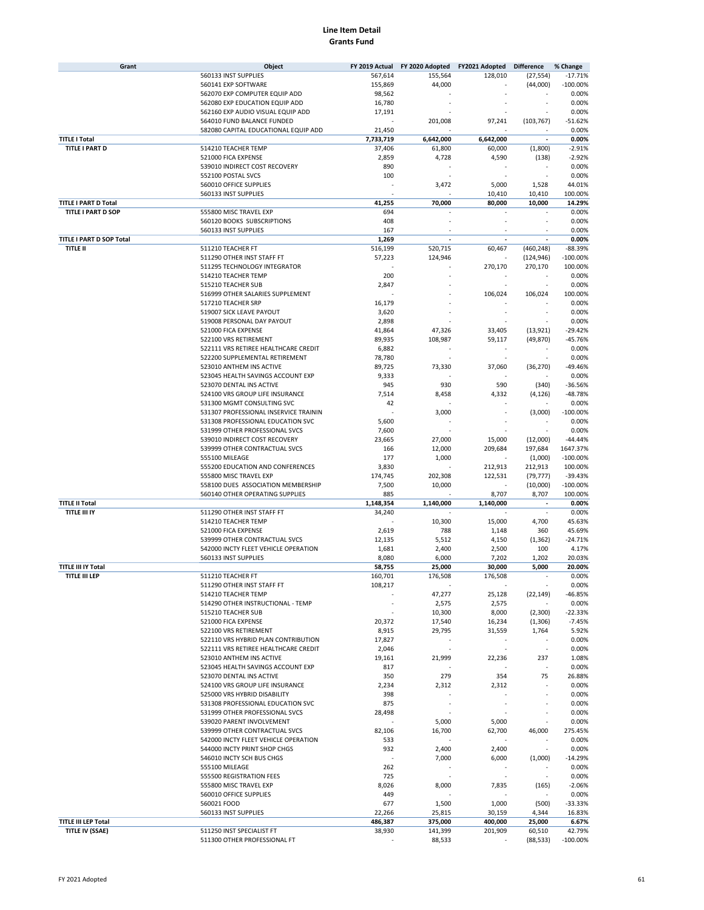| Grant                       | Object                                |                          | FY 2019 Actual FY 2020 Adopted FY2021 Adopted Difference |           |                          | % Change    |
|-----------------------------|---------------------------------------|--------------------------|----------------------------------------------------------|-----------|--------------------------|-------------|
|                             | 560133 INST SUPPLIES                  | 567,614                  | 155,564                                                  | 128,010   | (27, 554)                | $-17.71%$   |
|                             | 560141 EXP SOFTWARE                   | 155,869                  | 44,000                                                   |           | (44,000)                 | $-100.00%$  |
|                             | 562070 EXP COMPUTER EQUIP ADD         | 98,562                   |                                                          |           |                          | 0.00%       |
|                             | 562080 EXP EDUCATION EQUIP ADD        | 16,780                   |                                                          |           |                          | 0.00%       |
|                             | 562160 EXP AUDIO VISUAL EQUIP ADD     | 17,191                   |                                                          |           |                          | 0.00%       |
|                             | 564010 FUND BALANCE FUNDED            |                          | 201,008                                                  | 97,241    | (103, 767)               | $-51.62%$   |
|                             | 582080 CAPITAL EDUCATIONAL EQUIP ADD  | 21,450                   |                                                          |           |                          | 0.00%       |
| <b>TITLE I Total</b>        |                                       | 7,733,719                | 6,642,000                                                | 6,642,000 | $\overline{\phantom{a}}$ | 0.00%       |
| TITLE I PART D              | 514210 TEACHER TEMP                   | 37,406                   | 61,800                                                   | 60,000    | (1,800)                  | $-2.91%$    |
|                             |                                       |                          |                                                          |           |                          | $-2.92%$    |
|                             | 521000 FICA EXPENSE                   | 2,859                    | 4,728                                                    | 4,590     | (138)                    |             |
|                             | 539010 INDIRECT COST RECOVERY         | 890                      |                                                          |           |                          | 0.00%       |
|                             | 552100 POSTAL SVCS                    | 100                      |                                                          |           |                          | 0.00%       |
|                             | 560010 OFFICE SUPPLIES                |                          | 3,472                                                    | 5,000     | 1,528                    | 44.01%      |
|                             | 560133 INST SUPPLIES                  |                          |                                                          | 10,410    | 10,410                   | 100.00%     |
| <b>TITLE I PART D Total</b> |                                       | 41,255                   | 70,000                                                   | 80,000    | 10,000                   | 14.29%      |
| <b>TITLE I PART D SOP</b>   | 555800 MISC TRAVEL EXP                | 694                      |                                                          |           |                          | 0.00%       |
|                             | 560120 BOOKS SUBSCRIPTIONS            | 408                      |                                                          |           | $\sim$                   | 0.00%       |
|                             | 560133 INST SUPPLIES                  | 167                      |                                                          |           |                          | 0.00%       |
| TITLE I PART D SOP Total    |                                       | 1,269                    |                                                          |           |                          | 0.00%       |
| <b>TITLE II</b>             | 511210 TEACHER FT                     | 516,199                  | 520,715                                                  | 60,467    | (460, 248)               | $-88.39%$   |
|                             | 511290 OTHER INST STAFF FT            | 57,223                   | 124,946                                                  |           | (124, 946)               | $-100.00%$  |
|                             | 511295 TECHNOLOGY INTEGRATOR          |                          |                                                          | 270,170   | 270,170                  | 100.00%     |
|                             |                                       |                          |                                                          |           |                          |             |
|                             | 514210 TEACHER TEMP                   | 200                      |                                                          |           |                          | 0.00%       |
|                             | 515210 TEACHER SUB                    | 2,847                    |                                                          |           |                          | 0.00%       |
|                             | 516999 OTHER SALARIES SUPPLEMENT      |                          |                                                          | 106,024   | 106,024                  | 100.00%     |
|                             | 517210 TEACHER SRP                    | 16,179                   |                                                          |           |                          | 0.00%       |
|                             | 519007 SICK LEAVE PAYOUT              | 3,620                    |                                                          |           |                          | 0.00%       |
|                             | 519008 PERSONAL DAY PAYOUT            | 2,898                    |                                                          |           |                          | 0.00%       |
|                             | 521000 FICA EXPENSE                   | 41,864                   | 47,326                                                   | 33,405    | (13, 921)                | $-29.42%$   |
|                             | 522100 VRS RETIREMENT                 | 89,935                   | 108,987                                                  | 59,117    | (49, 870)                | $-45.76%$   |
|                             | 522111 VRS RETIREE HEALTHCARE CREDIT  | 6,882                    |                                                          |           |                          | 0.00%       |
|                             | 522200 SUPPLEMENTAL RETIREMENT        | 78,780                   |                                                          |           |                          | 0.00%       |
|                             | 523010 ANTHEM INS ACTIVE              | 89,725                   | 73,330                                                   | 37,060    | (36, 270)                | $-49.46%$   |
|                             | 523045 HEALTH SAVINGS ACCOUNT EXP     | 9,333                    |                                                          |           |                          | 0.00%       |
|                             | 523070 DENTAL INS ACTIVE              |                          |                                                          |           |                          |             |
|                             |                                       | 945                      | 930                                                      | 590       | (340)                    | $-36.56%$   |
|                             | 524100 VRS GROUP LIFE INSURANCE       | 7,514                    | 8,458                                                    | 4,332     | (4, 126)                 | -48.78%     |
|                             | 531300 MGMT CONSULTING SVC            | 42                       |                                                          |           |                          | 0.00%       |
|                             | 531307 PROFESSIONAL INSERVICE TRAININ |                          | 3,000                                                    |           | (3,000)                  | $-100.00%$  |
|                             | 531308 PROFESSIONAL EDUCATION SVC     | 5,600                    |                                                          |           | ٠                        | 0.00%       |
|                             | 531999 OTHER PROFESSIONAL SVCS        | 7,600                    |                                                          |           |                          | 0.00%       |
|                             | 539010 INDIRECT COST RECOVERY         | 23,665                   | 27,000                                                   | 15,000    | (12,000)                 | $-44.44%$   |
|                             | 539999 OTHER CONTRACTUAL SVCS         | 166                      | 12,000                                                   | 209,684   | 197,684                  | 1647.37%    |
|                             | 555100 MILEAGE                        | 177                      | 1,000                                                    |           | (1,000)                  | $-100.00%$  |
|                             | 555200 EDUCATION AND CONFERENCES      | 3,830                    |                                                          | 212,913   | 212,913                  | 100.00%     |
|                             | 555800 MISC TRAVEL EXP                | 174,745                  | 202,308                                                  | 122,531   | (79, 777)                | $-39.43%$   |
|                             | 558100 DUES ASSOCIATION MEMBERSHIP    | 7,500                    | 10,000                                                   |           | (10,000)                 | $-100.00%$  |
|                             | 560140 OTHER OPERATING SUPPLIES       | 885                      |                                                          | 8,707     | 8,707                    | 100.00%     |
| <b>TITLE II Total</b>       |                                       | 1,148,354                | 1,140,000                                                | 1,140,000 |                          | 0.00%       |
| <b>TITLE III IY</b>         | 511290 OTHER INST STAFF FT            | 34,240                   |                                                          |           | ÷.                       | 0.00%       |
|                             |                                       |                          |                                                          |           |                          |             |
|                             | 514210 TEACHER TEMP                   |                          | 10,300                                                   | 15,000    | 4,700                    | 45.63%      |
|                             | 521000 FICA EXPENSE                   | 2,619                    | 788                                                      | 1,148     | 360                      | 45.69%      |
|                             | 539999 OTHER CONTRACTUAL SVCS         | 12,135                   | 5,512                                                    | 4,150     | (1, 362)                 | $-24.71%$   |
|                             | 542000 INCTY FLEET VEHICLE OPERATION  | 1,681                    | 2,400                                                    | 2,500     | 100                      | 4.17%       |
|                             | 560133 INST SUPPLIES                  | 8,080                    | 6,000                                                    | 7,202     | 1,202                    | 20.03%      |
| <b>TITLE III IY Total</b>   |                                       | 58,755                   | 25,000                                                   | 30,000    | 5,000                    | 20.00%      |
| <b>TITLE III LEP</b>        | 511210 TEACHER FT                     | 160,701                  | 176,508                                                  | 176,508   |                          | 0.00%       |
|                             | 511290 OTHER INST STAFF FT            | 108,217                  |                                                          |           |                          | 0.00%       |
|                             | 514210 TEACHER TEMP                   |                          | 47,277                                                   | 25,128    | (22, 149)                | -46.85%     |
|                             | 514290 OTHER INSTRUCTIONAL - TEMP     |                          | 2,575                                                    | 2,575     |                          | 0.00%       |
|                             | 515210 TEACHER SUB                    |                          | 10,300                                                   | 8,000     | (2,300)                  | $-22.33%$   |
|                             | 521000 FICA EXPENSE                   | 20,372                   | 17,540                                                   | 16,234    |                          | $-7.45%$    |
|                             |                                       |                          |                                                          |           | (1,306)                  |             |
|                             | 522100 VRS RETIREMENT                 | 8,915                    | 29,795                                                   | 31,559    | 1,764                    | 5.92%       |
|                             | 522110 VRS HYBRID PLAN CONTRIBUTION   | 17,827                   |                                                          |           |                          | 0.00%       |
|                             | 522111 VRS RETIREE HEALTHCARE CREDIT  | 2,046                    |                                                          |           | $\sim$                   | 0.00%       |
|                             | 523010 ANTHEM INS ACTIVE              | 19,161                   | 21,999                                                   | 22,236    | 237                      | 1.08%       |
|                             | 523045 HEALTH SAVINGS ACCOUNT EXP     | 817                      |                                                          |           |                          | 0.00%       |
|                             | 523070 DENTAL INS ACTIVE              | 350                      | 279                                                      | 354       | 75                       | 26.88%      |
|                             | 524100 VRS GROUP LIFE INSURANCE       | 2,234                    | 2,312                                                    | 2,312     |                          | 0.00%       |
|                             | 525000 VRS HYBRID DISABILITY          | 398                      |                                                          |           |                          | 0.00%       |
|                             | 531308 PROFESSIONAL EDUCATION SVC     | 875                      |                                                          |           |                          | 0.00%       |
|                             | 531999 OTHER PROFESSIONAL SVCS        | 28,498                   |                                                          |           |                          | 0.00%       |
|                             | 539020 PARENT INVOLVEMENT             |                          | 5,000                                                    | 5,000     | ٠                        | 0.00%       |
|                             | 539999 OTHER CONTRACTUAL SVCS         | 82,106                   | 16,700                                                   | 62,700    | 46,000                   | 275.45%     |
|                             | 542000 INCTY FLEET VEHICLE OPERATION  | 533                      |                                                          |           |                          | 0.00%       |
|                             |                                       |                          |                                                          |           |                          |             |
|                             | 544000 INCTY PRINT SHOP CHGS          | 932                      | 2,400                                                    | 2,400     | $\overline{\phantom{a}}$ | 0.00%       |
|                             | 546010 INCTY SCH BUS CHGS             | $\overline{\phantom{a}}$ | 7,000                                                    | 6,000     | (1,000)                  | $-14.29%$   |
|                             | 555100 MILEAGE                        | 262                      |                                                          |           |                          | 0.00%       |
|                             | 555500 REGISTRATION FEES              | 725                      |                                                          |           | $\overline{\phantom{a}}$ | 0.00%       |
|                             | 555800 MISC TRAVEL EXP                | 8,026                    | 8,000                                                    | 7,835     | (165)                    | $-2.06%$    |
|                             | 560010 OFFICE SUPPLIES                | 449                      |                                                          |           |                          | 0.00%       |
|                             | 560021 FOOD                           | 677                      | 1,500                                                    | 1,000     | (500)                    | $-33.33%$   |
|                             | 560133 INST SUPPLIES                  | 22,266                   | 25,815                                                   | 30,159    | 4,344                    | 16.83%      |
| <b>TITLE III LEP Total</b>  |                                       | 486,387                  | 375,000                                                  | 400,000   | 25,000                   | 6.67%       |
| TITLE IV (SSAE)             | 511250 INST SPECIALIST FT             | 38,930                   | 141,399                                                  | 201,909   | 60,510                   | 42.79%      |
|                             | 511300 OTHER PROFESSIONAL FT          |                          | 88,533                                                   |           | (88, 533)                | $-100.00\%$ |
|                             |                                       |                          |                                                          |           |                          |             |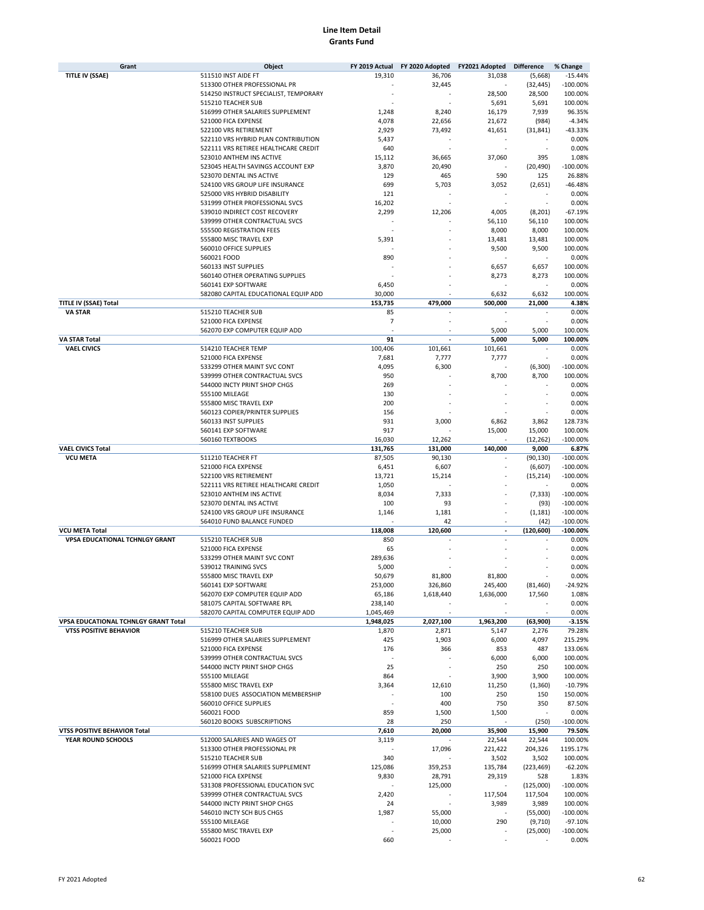| Grant                                 | Object                                |                | FY 2019 Actual FY 2020 Adopted | FY2021 Adopted | <b>Difference</b> | % Change   |
|---------------------------------------|---------------------------------------|----------------|--------------------------------|----------------|-------------------|------------|
| <b>TITLE IV (SSAE)</b>                | 511510 INST AIDE FT                   | 19,310         | 36,706                         | 31,038         | (5,668)           | $-15.44%$  |
|                                       | 513300 OTHER PROFESSIONAL PR          |                | 32.445                         |                | (32, 445)         | $-100.00%$ |
|                                       | 514250 INSTRUCT SPECIALIST, TEMPORARY |                |                                | 28,500         | 28,500            | 100.00%    |
|                                       | 515210 TEACHER SUB                    |                |                                | 5,691          | 5,691             | 100.00%    |
|                                       | 516999 OTHER SALARIES SUPPLEMENT      | 1,248          | 8,240                          | 16,179         | 7,939             | 96.35%     |
|                                       | 521000 FICA EXPENSE                   | 4,078          | 22,656                         | 21,672         | (984)             | $-4.34%$   |
|                                       | 522100 VRS RETIREMENT                 | 2,929          | 73,492                         | 41,651         | (31, 841)         | $-43.33%$  |
|                                       | 522110 VRS HYBRID PLAN CONTRIBUTION   | 5,437          |                                |                |                   | 0.00%      |
|                                       |                                       |                |                                |                |                   |            |
|                                       | 522111 VRS RETIREE HEALTHCARE CREDIT  | 640            |                                |                |                   | 0.00%      |
|                                       | 523010 ANTHEM INS ACTIVE              | 15,112         | 36,665                         | 37,060         | 395               | 1.08%      |
|                                       | 523045 HEALTH SAVINGS ACCOUNT EXP     | 3,870          | 20,490                         |                | (20, 490)         | $-100.00%$ |
|                                       | 523070 DENTAL INS ACTIVE              | 129            | 465                            | 590            | 125               | 26.88%     |
|                                       | 524100 VRS GROUP LIFE INSURANCE       | 699            | 5,703                          | 3,052          | (2,651)           | $-46.48%$  |
|                                       | 525000 VRS HYBRID DISABILITY          | 121            |                                |                |                   | 0.00%      |
|                                       | 531999 OTHER PROFESSIONAL SVCS        | 16,202         |                                |                |                   | 0.00%      |
|                                       | 539010 INDIRECT COST RECOVERY         | 2,299          | 12,206                         | 4,005          | (8, 201)          | $-67.19%$  |
|                                       | 539999 OTHER CONTRACTUAL SVCS         |                |                                | 56,110         | 56,110            | 100.00%    |
|                                       | 555500 REGISTRATION FEES              |                |                                | 8,000          | 8,000             | 100.00%    |
|                                       | 555800 MISC TRAVEL EXP                | 5,391          |                                | 13,481         | 13,481            | 100.00%    |
|                                       | 560010 OFFICE SUPPLIES                |                |                                | 9,500          | 9,500             | 100.00%    |
|                                       | 560021 FOOD                           | 890            |                                |                |                   | 0.00%      |
|                                       | 560133 INST SUPPLIES                  |                |                                |                |                   |            |
|                                       |                                       |                |                                | 6,657          | 6,657             | 100.00%    |
|                                       | 560140 OTHER OPERATING SUPPLIES       |                |                                | 8,273          | 8,273             | 100.00%    |
|                                       | 560141 EXP SOFTWARE                   | 6,450          |                                |                |                   | 0.00%      |
|                                       | 582080 CAPITAL EDUCATIONAL EQUIP ADD  | 30,000         |                                | 6,632          | 6,632             | 100.00%    |
| <b>TITLE IV (SSAE) Total</b>          |                                       | 153,735        | 479,000                        | 500,000        | 21,000            | 4.38%      |
| <b>VA STAR</b>                        | 515210 TEACHER SUB                    | 85             |                                |                |                   | 0.00%      |
|                                       | 521000 FICA EXPENSE                   | $\overline{7}$ |                                |                |                   | 0.00%      |
|                                       | 562070 EXP COMPUTER EQUIP ADD         |                |                                | 5,000          | 5,000             | 100.00%    |
| <b>VA STAR Total</b>                  |                                       | 91             |                                | 5,000          | 5,000             | 100.00%    |
| <b>VAEL CIVICS</b>                    | 514210 TEACHER TEMP                   | 100,406        | 101,661                        | 101,661        |                   | 0.00%      |
|                                       | 521000 FICA EXPENSE                   | 7,681          | 7,777                          | 7,777          |                   | 0.00%      |
|                                       | 533299 OTHER MAINT SVC CONT           | 4,095          | 6,300                          |                | (6, 300)          | $-100.00%$ |
|                                       |                                       |                |                                |                |                   | 100.00%    |
|                                       | 539999 OTHER CONTRACTUAL SVCS         | 950            |                                | 8,700          | 8,700             |            |
|                                       | 544000 INCTY PRINT SHOP CHGS          | 269            |                                |                |                   | 0.00%      |
|                                       | 555100 MILEAGE                        | 130            |                                |                |                   | 0.00%      |
|                                       | 555800 MISC TRAVEL EXP                | 200            |                                |                |                   | 0.00%      |
|                                       | 560123 COPIER/PRINTER SUPPLIES        | 156            |                                |                |                   | 0.00%      |
|                                       | 560133 INST SUPPLIES                  | 931            | 3,000                          | 6,862          | 3,862             | 128.73%    |
|                                       | 560141 EXP SOFTWARE                   | 917            |                                | 15,000         | 15,000            | 100.00%    |
|                                       | 560160 TEXTBOOKS                      | 16,030         | 12,262                         |                | (12, 262)         | $-100.00%$ |
| <b>VAEL CIVICS Total</b>              |                                       | 131,765        | 131,000                        | 140,000        | 9,000             | 6.87%      |
| <b>VCU META</b>                       | 511210 TEACHER FT                     | 87,505         | 90,130                         |                | (90, 130)         | $-100.00%$ |
|                                       | 521000 FICA EXPENSE                   | 6,451          | 6,607                          |                | (6,607)           | $-100.00%$ |
|                                       | 522100 VRS RETIREMENT                 | 13,721         | 15,214                         |                | (15, 214)         | $-100.00%$ |
|                                       | 522111 VRS RETIREE HEALTHCARE CREDIT  |                |                                |                |                   | 0.00%      |
|                                       |                                       | 1,050          |                                |                |                   |            |
|                                       | 523010 ANTHEM INS ACTIVE              | 8,034          | 7,333                          |                | (7, 333)          | $-100.00%$ |
|                                       | 523070 DENTAL INS ACTIVE              | 100            | 93                             |                | (93)              | $-100.00%$ |
|                                       | 524100 VRS GROUP LIFE INSURANCE       | 1,146          | 1,181                          |                | (1, 181)          | $-100.00%$ |
|                                       | 564010 FUND BALANCE FUNDED            |                | 42                             |                | (42)              | $-100.00%$ |
| <b>VCU META Total</b>                 |                                       | 118,008        | 120,600                        |                | (120, 600)        | $-100.00%$ |
| <b>VPSA EDUCATIONAL TCHNLGY GRANT</b> | 515210 TEACHER SUB                    | 850            |                                |                |                   | 0.00%      |
|                                       | 521000 FICA EXPENSE                   | 65             |                                |                |                   | 0.00%      |
|                                       | 533299 OTHER MAINT SVC CONT           | 289,636        |                                |                |                   | 0.00%      |
|                                       | 539012 TRAINING SVCS                  | 5,000          |                                |                |                   | 0.00%      |
|                                       | 555800 MISC TRAVEL EXP                | 50,679         | 81,800                         | 81,800         |                   | 0.00%      |
|                                       | 560141 EXP SOFTWARE                   | 253,000        | 326,860                        | 245,400        | (81, 460)         | $-24.92%$  |
|                                       | 562070 EXP COMPUTER EQUIP ADD         | 65,186         | 1,618,440                      | 1,636,000      | 17,560            | 1.08%      |
|                                       |                                       |                |                                |                |                   |            |
|                                       | 581075 CAPITAL SOFTWARE RPL           | 238,140        |                                |                |                   | 0.00%      |
|                                       | 582070 CAPITAL COMPUTER EQUIP ADD     | 1,045,469      |                                |                |                   | 0.00%      |
| VPSA EDUCATIONAL TCHNLGY GRANT Total  |                                       | 1,948,025      | 2,027,100                      | 1,963,200      | (63,900)          | $-3.15%$   |
| <b>VTSS POSITIVE BEHAVIOR</b>         | 515210 TEACHER SUB                    | 1,870          | 2,871                          | 5,147          | 2,276             | 79.28%     |
|                                       | 516999 OTHER SALARIES SUPPLEMENT      | 425            | 1,903                          | 6,000          | 4,097             | 215.29%    |
|                                       | 521000 FICA EXPENSE                   | 176            | 366                            | 853            | 487               | 133.06%    |
|                                       | 539999 OTHER CONTRACTUAL SVCS         |                |                                | 6,000          | 6,000             | 100.00%    |
|                                       | 544000 INCTY PRINT SHOP CHGS          | 25             |                                | 250            | 250               | 100.00%    |
|                                       | 555100 MILEAGE                        | 864            |                                | 3,900          | 3,900             | 100.00%    |
|                                       | 555800 MISC TRAVEL EXP                | 3,364          | 12,610                         | 11,250         | (1,360)           | $-10.79%$  |
|                                       | 558100 DUES ASSOCIATION MEMBERSHIP    |                | 100                            | 250            | 150               | 150.00%    |
|                                       | 560010 OFFICE SUPPLIES                |                | 400                            | 750            | 350               | 87.50%     |
|                                       |                                       |                |                                |                |                   |            |
|                                       | 560021 FOOD                           | 859            | 1,500                          | 1,500          |                   | 0.00%      |
|                                       | 560120 BOOKS SUBSCRIPTIONS            | 28             | 250                            |                | (250)             | $-100.00%$ |
| VTSS POSITIVE BEHAVIOR Total          |                                       | 7,610          | 20,000                         | 35,900         | 15,900            | 79.50%     |
| YEAR ROUND SCHOOLS                    | 512000 SALARIES AND WAGES OT          | 3,119          |                                | 22,544         | 22,544            | 100.00%    |
|                                       | 513300 OTHER PROFESSIONAL PR          | ×              | 17,096                         | 221,422        | 204,326           | 1195.17%   |
|                                       | 515210 TEACHER SUB                    | 340            |                                | 3,502          | 3,502             | 100.00%    |
|                                       | 516999 OTHER SALARIES SUPPLEMENT      | 125,086        | 359,253                        | 135,784        | (223, 469)        | $-62.20%$  |
|                                       | 521000 FICA EXPENSE                   | 9,830          | 28,791                         | 29,319         | 528               | 1.83%      |
|                                       | 531308 PROFESSIONAL EDUCATION SVC     |                | 125,000                        |                | (125,000)         | $-100.00%$ |
|                                       | 539999 OTHER CONTRACTUAL SVCS         | 2,420          |                                | 117,504        | 117,504           | 100.00%    |
|                                       | 544000 INCTY PRINT SHOP CHGS          | 24             |                                | 3,989          | 3,989             | 100.00%    |
|                                       | 546010 INCTY SCH BUS CHGS             | 1,987          | 55,000                         |                | (55,000)          | $-100.00%$ |
|                                       | 555100 MILEAGE                        |                | 10,000                         | 290            |                   | $-97.10%$  |
|                                       |                                       |                |                                |                | (9,710)           |            |
|                                       | 555800 MISC TRAVEL EXP                |                | 25,000                         |                | (25,000)          | $-100.00%$ |
|                                       | 560021 FOOD                           | 660            |                                |                |                   | 0.00%      |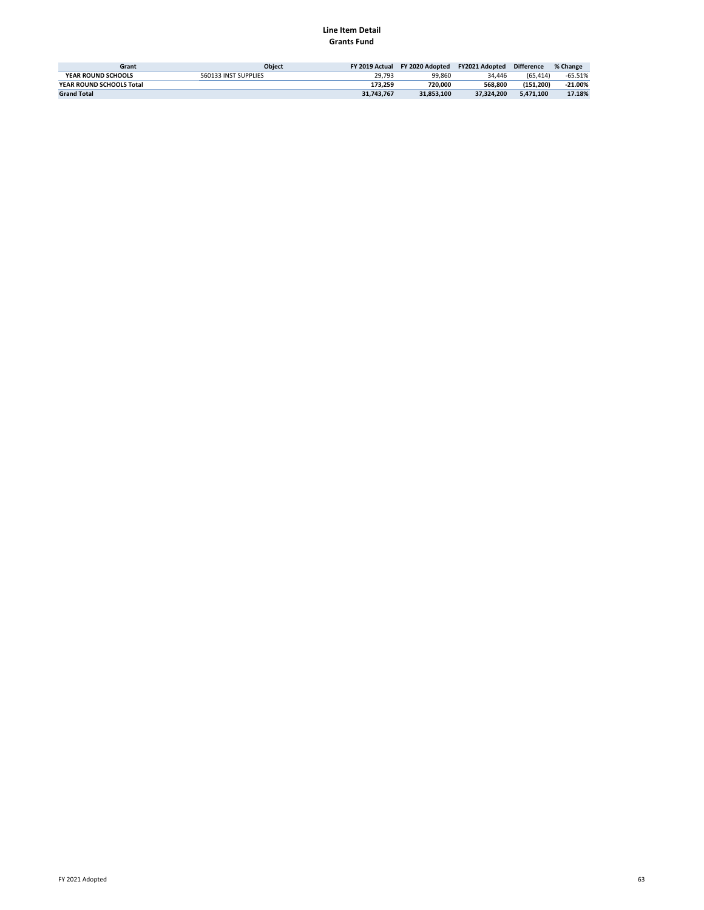| Grant                     | <b>Object</b>        | FY 2019 Actual | FY 2020 Adopted | <b>FY2021 Adopted</b> | <b>Difference</b> | % Change  |
|---------------------------|----------------------|----------------|-----------------|-----------------------|-------------------|-----------|
| <b>YEAR ROUND SCHOOLS</b> | 560133 INST SUPPLIES | 29.793         | 99.860          | 34.446                | (65.414)          | $-65.51%$ |
| YEAR ROUND SCHOOLS Total  |                      | 173.259        | 720.000         | 568.800               | (151.200)         | $-21.00%$ |
| <b>Grand Total</b>        |                      | 31,743,767     | 31.853.100      | 37.324.200            | 5.471.100         | 17.18%    |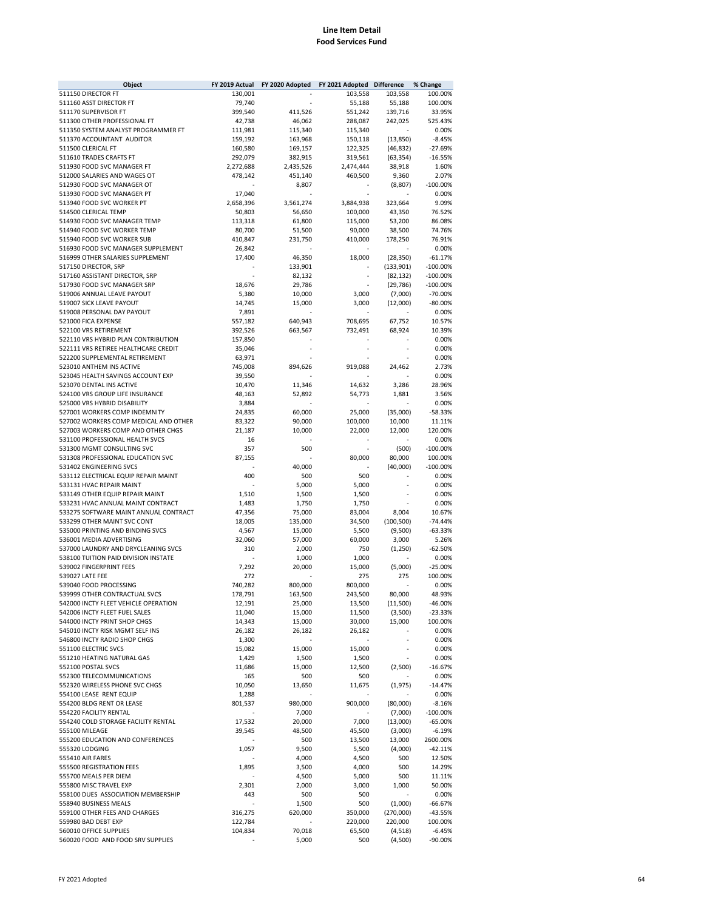#### **Line Item Detail Food Services Fund**

| Object                                                                 | FY 2019 Actual     | FY 2020 Adopted    | FY 2021 Adopted    | <b>Difference</b>      | % Change                 |
|------------------------------------------------------------------------|--------------------|--------------------|--------------------|------------------------|--------------------------|
| 511150 DIRECTOR FT                                                     | 130,001            |                    | 103,558            | 103,558                | 100.00%                  |
| 511160 ASST DIRECTOR FT                                                | 79,740             |                    | 55,188             | 55,188                 | 100.00%                  |
| 511170 SUPERVISOR FT                                                   | 399,540            | 411,526            | 551,242            | 139,716                | 33.95%                   |
| 511300 OTHER PROFESSIONAL FT                                           | 42,738             | 46,062             | 288,087            | 242,025                | 525.43%                  |
| 511350 SYSTEM ANALYST PROGRAMMER FT<br>511370 ACCOUNTANT AUDITOR       | 111,981            | 115,340            | 115,340            |                        | 0.00%<br>$-8.45%$        |
| 511500 CLERICAL FT                                                     | 159,192<br>160,580 | 163,968<br>169,157 | 150,118<br>122,325 | (13, 850)<br>(46, 832) | $-27.69%$                |
| 511610 TRADES CRAFTS FT                                                | 292,079            | 382,915            | 319,561            | (63, 354)              | $-16.55%$                |
| 511930 FOOD SVC MANAGER FT                                             | 2,272,688          | 2,435,526          | 2,474,444          | 38,918                 | 1.60%                    |
| 512000 SALARIES AND WAGES OT                                           | 478,142            | 451,140            | 460,500            | 9,360                  | 2.07%                    |
| 512930 FOOD SVC MANAGER OT                                             |                    | 8,807              |                    | (8,807)                | $-100.00%$               |
| 513930 FOOD SVC MANAGER PT                                             | 17,040             |                    |                    |                        | 0.00%                    |
| 513940 FOOD SVC WORKER PT                                              | 2,658,396          | 3,561,274          | 3,884,938          | 323,664                | 9.09%                    |
| 514500 CLERICAL TEMP                                                   | 50,803             | 56,650             | 100,000            | 43,350                 | 76.52%                   |
| 514930 FOOD SVC MANAGER TEMP                                           | 113,318            | 61,800             | 115,000            | 53,200                 | 86.08%                   |
| 514940 FOOD SVC WORKER TEMP                                            | 80,700             | 51,500             | 90,000             | 38,500                 | 74.76%                   |
| 515940 FOOD SVC WORKER SUB                                             | 410,847            | 231,750            | 410,000            | 178,250                | 76.91%                   |
| 516930 FOOD SVC MANAGER SUPPLEMENT                                     | 26,842             |                    |                    |                        | 0.00%                    |
| 516999 OTHER SALARIES SUPPLEMENT                                       | 17,400             | 46,350             | 18,000             | (28, 350)              | $-61.17%$                |
| 517150 DIRECTOR, SRP                                                   |                    | 133,901            | ٠                  | (133,901)              | $-100.00%$               |
| 517160 ASSISTANT DIRECTOR, SRP<br>517930 FOOD SVC MANAGER SRP          | 18,676             | 82,132<br>29,786   |                    | (82, 132)<br>(29, 786) | $-100.00%$<br>$-100.00%$ |
| 519006 ANNUAL LEAVE PAYOUT                                             | 5,380              | 10,000             | 3,000              | (7,000)                | $-70.00%$                |
| 519007 SICK LEAVE PAYOUT                                               | 14,745             | 15,000             | 3,000              | (12,000)               | $-80.00%$                |
| 519008 PERSONAL DAY PAYOUT                                             | 7,891              |                    |                    |                        | 0.00%                    |
| 521000 FICA EXPENSE                                                    | 557,182            | 640,943            | 708,695            | 67,752                 | 10.57%                   |
| 522100 VRS RETIREMENT                                                  | 392,526            | 663,567            | 732,491            | 68,924                 | 10.39%                   |
| 522110 VRS HYBRID PLAN CONTRIBUTION                                    | 157,850            |                    |                    |                        | 0.00%                    |
| 522111 VRS RETIREE HEALTHCARE CREDIT                                   | 35,046             |                    |                    |                        | 0.00%                    |
| 522200 SUPPLEMENTAL RETIREMENT                                         | 63,971             |                    |                    |                        | 0.00%                    |
| 523010 ANTHEM INS ACTIVE                                               | 745,008            | 894,626            | 919,088            | 24,462                 | 2.73%                    |
| 523045 HEALTH SAVINGS ACCOUNT EXP                                      | 39,550             |                    |                    |                        | 0.00%                    |
| 523070 DENTAL INS ACTIVE                                               | 10,470             | 11,346             | 14,632             | 3,286                  | 28.96%                   |
| 524100 VRS GROUP LIFE INSURANCE                                        | 48,163             | 52,892             | 54,773             | 1,881                  | 3.56%                    |
| 525000 VRS HYBRID DISABILITY                                           | 3,884              |                    |                    |                        | 0.00%                    |
| 527001 WORKERS COMP INDEMNITY<br>527002 WORKERS COMP MEDICAL AND OTHER | 24,835             | 60,000<br>90,000   | 25,000<br>100,000  | (35,000)               | $-58.33%$<br>11.11%      |
| 527003 WORKERS COMP AND OTHER CHGS                                     | 83,322<br>21,187   | 10,000             | 22,000             | 10,000<br>12,000       | 120.00%                  |
| 531100 PROFESSIONAL HEALTH SVCS                                        | 16                 |                    |                    |                        | 0.00%                    |
| 531300 MGMT CONSULTING SVC                                             | 357                | 500                |                    | (500)                  | $-100.00%$               |
| 531308 PROFESSIONAL EDUCATION SVC                                      | 87,155             |                    | 80,000             | 80,000                 | 100.00%                  |
| 531402 ENGINEERING SVCS                                                |                    | 40,000             |                    | (40,000)               | $-100.00%$               |
| 533112 ELECTRICAL EQUIP REPAIR MAINT                                   | 400                | 500                | 500                |                        | 0.00%                    |
| 533131 HVAC REPAIR MAINT                                               |                    | 5,000              | 5,000              |                        | 0.00%                    |
| 533149 OTHER EQUIP REPAIR MAINT                                        | 1,510              | 1,500              | 1,500              |                        | 0.00%                    |
| 533231 HVAC ANNUAL MAINT CONTRACT                                      | 1,483              | 1,750              | 1,750              |                        | 0.00%                    |
| 533275 SOFTWARE MAINT ANNUAL CONTRACT                                  | 47,356             | 75,000             | 83,004             | 8,004                  | 10.67%                   |
| 533299 OTHER MAINT SVC CONT                                            | 18,005             | 135,000            | 34,500             | (100, 500)             | $-74.44%$                |
| 535000 PRINTING AND BINDING SVCS                                       | 4,567              | 15,000             | 5,500              | (9,500)                | $-63.33%$                |
| 536001 MEDIA ADVERTISING<br>537000 LAUNDRY AND DRYCLEANING SVCS        | 32,060             | 57,000             | 60,000             | 3,000                  | 5.26%                    |
| 538100 TUITION PAID DIVISION INSTATE                                   | 310                | 2,000<br>1,000     | 750<br>1,000       | (1,250)                | $-62.50%$<br>0.00%       |
| 539002 FINGERPRINT FEES                                                | 7,292              | 20,000             | 15,000             | (5,000)                | $-25.00%$                |
| 539027 LATE FEE                                                        | 272                |                    | 275                | 275                    | 100.00%                  |
| 539040 FOOD PROCESSING                                                 | 740,282            | 800,000            | 800,000            |                        | 0.00%                    |
| 539999 OTHER CONTRACTUAL SVCS                                          | 178,791            | 163,500            | 243,500            | 80,000                 | 48.93%                   |
| 542000 INCTY FLEET VEHICLE OPERATION                                   | 12,191             | 25,000             | 13,500             | (11,500)               | $-46.00%$                |
| 542006 INCTY FLEET FUEL SALES                                          | 11,040             | 15,000             | 11,500             | (3,500)                | $-23.33%$                |
| 544000 INCTY PRINT SHOP CHGS                                           | 14,343             | 15,000             | 30,000             | 15,000                 | 100.00%                  |
| 545010 INCTY RISK MGMT SELF INS                                        | 26,182             | 26,182             | 26,182             |                        | 0.00%                    |
| 546800 INCTY RADIO SHOP CHGS                                           | 1,300              |                    |                    |                        | 0.00%                    |
| 551100 ELECTRIC SVCS                                                   | 15,082             | 15,000             | 15,000             |                        | 0.00%                    |
| 551210 HEATING NATURAL GAS                                             | 1,429              | 1,500              | 1,500              |                        | 0.00%                    |
| 552100 POSTAL SVCS                                                     | 11,686             | 15,000             | 12,500             | (2,500)                | $-16.67%$                |
| 552300 TELECOMMUNICATIONS                                              | 165                | 500                | 500                |                        | 0.00%                    |
| 552320 WIRELESS PHONE SVC CHGS<br>554100 LEASE RENT EQUIP              | 10,050             | 13,650             | 11,675             | (1, 975)               | $-14.47%$<br>0.00%       |
| 554200 BLDG RENT OR LEASE                                              | 1,288<br>801,537   | 980,000            | 900,000            | (80,000)               | $-8.16%$                 |
| 554220 FACILITY RENTAL                                                 |                    | 7,000              |                    | (7,000)                | $-100.00%$               |
| 554240 COLD STORAGE FACILITY RENTAL                                    | 17,532             | 20,000             | 7,000              | (13,000)               | $-65.00%$                |
| 555100 MILEAGE                                                         | 39,545             | 48,500             | 45,500             | (3,000)                | $-6.19%$                 |
| 555200 EDUCATION AND CONFERENCES                                       |                    | 500                | 13,500             | 13,000                 | 2600.00%                 |
| 555320 LODGING                                                         | 1,057              | 9,500              | 5,500              | (4,000)                | $-42.11%$                |
| 555410 AIR FARES                                                       |                    | 4,000              | 4,500              | 500                    | 12.50%                   |
| 555500 REGISTRATION FEES                                               | 1,895              | 3,500              | 4,000              | 500                    | 14.29%                   |
| 555700 MEALS PER DIEM                                                  |                    | 4,500              | 5,000              | 500                    | 11.11%                   |
| 555800 MISC TRAVEL EXP                                                 | 2,301              | 2,000              | 3,000              | 1,000                  | 50.00%                   |
| 558100 DUES ASSOCIATION MEMBERSHIP                                     | 443                | 500                | 500                |                        | 0.00%                    |
| 558940 BUSINESS MEALS                                                  |                    | 1,500              | 500                | (1,000)                | $-66.67%$                |
| 559100 OTHER FEES AND CHARGES                                          | 316,275            | 620,000            | 350,000            | (270,000)              | $-43.55%$                |
| 559980 BAD DEBT EXP<br>560010 OFFICE SUPPLIES                          | 122,784<br>104,834 | 70,018             | 220,000<br>65,500  | 220,000<br>(4,518)     | 100.00%<br>$-6.45%$      |
| 560020 FOOD AND FOOD SRV SUPPLIES                                      |                    | 5,000              | 500                | (4,500)                | $-90.00%$                |